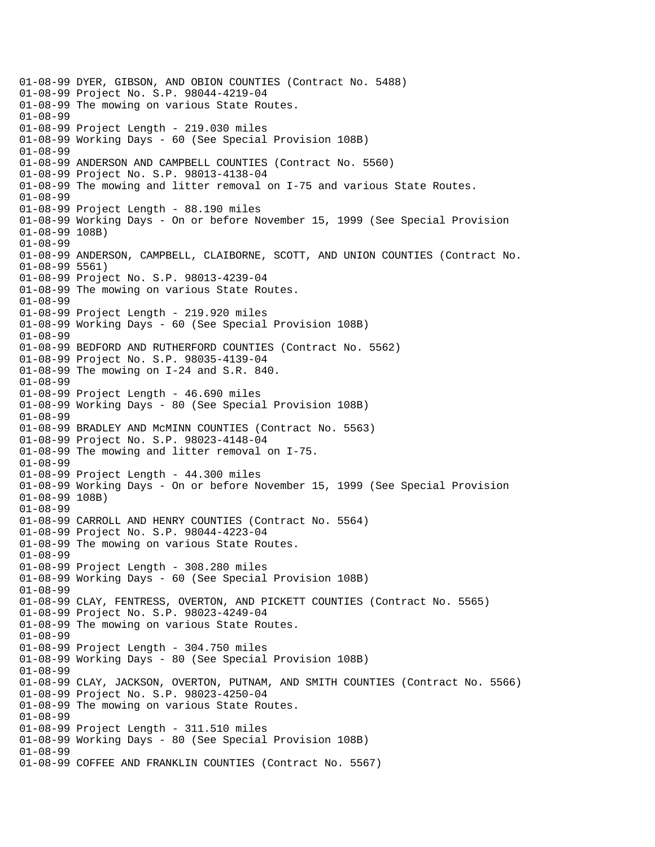01-08-99 DYER, GIBSON, AND OBION COUNTIES (Contract No. 5488) 01-08-99 Project No. S.P. 98044-4219-04 01-08-99 The mowing on various State Routes. 01-08-99 01-08-99 Project Length - 219.030 miles 01-08-99 Working Days - 60 (See Special Provision 108B) 01-08-99 01-08-99 ANDERSON AND CAMPBELL COUNTIES (Contract No. 5560) 01-08-99 Project No. S.P. 98013-4138-04 01-08-99 The mowing and litter removal on I-75 and various State Routes. 01-08-99 01-08-99 Project Length - 88.190 miles 01-08-99 Working Days - On or before November 15, 1999 (See Special Provision 01-08-99 108B) 01-08-99 01-08-99 ANDERSON, CAMPBELL, CLAIBORNE, SCOTT, AND UNION COUNTIES (Contract No. 01-08-99 5561) 01-08-99 Project No. S.P. 98013-4239-04 01-08-99 The mowing on various State Routes. 01-08-99 01-08-99 Project Length - 219.920 miles 01-08-99 Working Days - 60 (See Special Provision 108B) 01-08-99 01-08-99 BEDFORD AND RUTHERFORD COUNTIES (Contract No. 5562) 01-08-99 Project No. S.P. 98035-4139-04 01-08-99 The mowing on I-24 and S.R. 840. 01-08-99 01-08-99 Project Length - 46.690 miles 01-08-99 Working Days - 80 (See Special Provision 108B) 01-08-99 01-08-99 BRADLEY AND McMINN COUNTIES (Contract No. 5563) 01-08-99 Project No. S.P. 98023-4148-04 01-08-99 The mowing and litter removal on I-75. 01-08-99 01-08-99 Project Length - 44.300 miles 01-08-99 Working Days - On or before November 15, 1999 (See Special Provision 01-08-99 108B) 01-08-99 01-08-99 CARROLL AND HENRY COUNTIES (Contract No. 5564) 01-08-99 Project No. S.P. 98044-4223-04 01-08-99 The mowing on various State Routes. 01-08-99 01-08-99 Project Length - 308.280 miles 01-08-99 Working Days - 60 (See Special Provision 108B) 01-08-99 01-08-99 CLAY, FENTRESS, OVERTON, AND PICKETT COUNTIES (Contract No. 5565) 01-08-99 Project No. S.P. 98023-4249-04 01-08-99 The mowing on various State Routes. 01-08-99 01-08-99 Project Length - 304.750 miles 01-08-99 Working Days - 80 (See Special Provision 108B) 01-08-99 01-08-99 CLAY, JACKSON, OVERTON, PUTNAM, AND SMITH COUNTIES (Contract No. 5566) 01-08-99 Project No. S.P. 98023-4250-04 01-08-99 The mowing on various State Routes. 01-08-99 01-08-99 Project Length - 311.510 miles 01-08-99 Working Days - 80 (See Special Provision 108B) 01-08-99 01-08-99 COFFEE AND FRANKLIN COUNTIES (Contract No. 5567)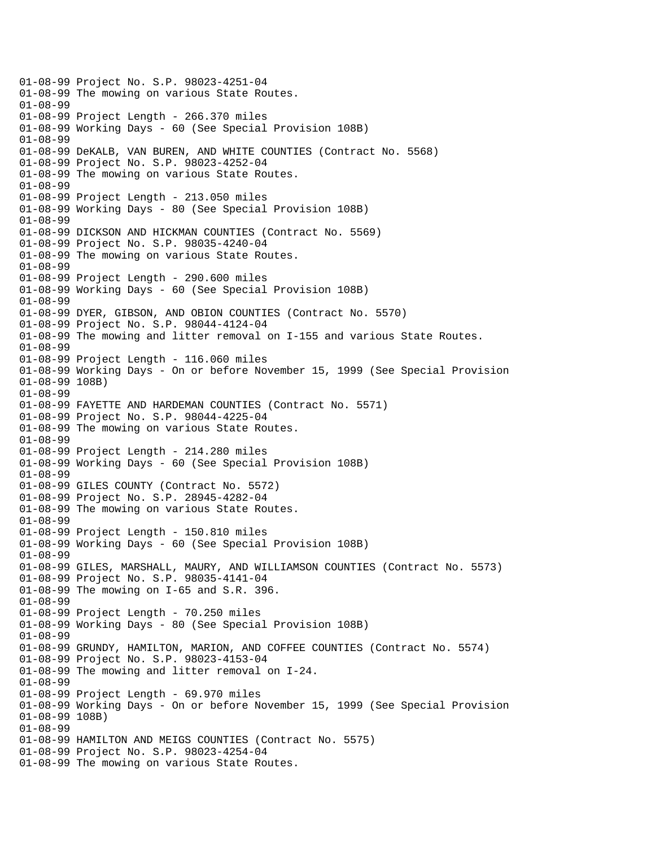01-08-99 Project No. S.P. 98023-4251-04 01-08-99 The mowing on various State Routes. 01-08-99 01-08-99 Project Length - 266.370 miles 01-08-99 Working Days - 60 (See Special Provision 108B) 01-08-99 01-08-99 DeKALB, VAN BUREN, AND WHITE COUNTIES (Contract No. 5568) 01-08-99 Project No. S.P. 98023-4252-04 01-08-99 The mowing on various State Routes. 01-08-99 01-08-99 Project Length - 213.050 miles 01-08-99 Working Days - 80 (See Special Provision 108B) 01-08-99 01-08-99 DICKSON AND HICKMAN COUNTIES (Contract No. 5569) 01-08-99 Project No. S.P. 98035-4240-04 01-08-99 The mowing on various State Routes. 01-08-99 01-08-99 Project Length - 290.600 miles 01-08-99 Working Days - 60 (See Special Provision 108B) 01-08-99 01-08-99 DYER, GIBSON, AND OBION COUNTIES (Contract No. 5570) 01-08-99 Project No. S.P. 98044-4124-04 01-08-99 The mowing and litter removal on I-155 and various State Routes. 01-08-99 01-08-99 Project Length - 116.060 miles 01-08-99 Working Days - On or before November 15, 1999 (See Special Provision 01-08-99 108B) 01-08-99 01-08-99 FAYETTE AND HARDEMAN COUNTIES (Contract No. 5571) 01-08-99 Project No. S.P. 98044-4225-04 01-08-99 The mowing on various State Routes. 01-08-99 01-08-99 Project Length - 214.280 miles 01-08-99 Working Days - 60 (See Special Provision 108B) 01-08-99 01-08-99 GILES COUNTY (Contract No. 5572) 01-08-99 Project No. S.P. 28945-4282-04 01-08-99 The mowing on various State Routes. 01-08-99 01-08-99 Project Length - 150.810 miles 01-08-99 Working Days - 60 (See Special Provision 108B) 01-08-99 01-08-99 GILES, MARSHALL, MAURY, AND WILLIAMSON COUNTIES (Contract No. 5573) 01-08-99 Project No. S.P. 98035-4141-04 01-08-99 The mowing on I-65 and S.R. 396. 01-08-99 01-08-99 Project Length - 70.250 miles 01-08-99 Working Days - 80 (See Special Provision 108B) 01-08-99 01-08-99 GRUNDY, HAMILTON, MARION, AND COFFEE COUNTIES (Contract No. 5574) 01-08-99 Project No. S.P. 98023-4153-04 01-08-99 The mowing and litter removal on I-24. 01-08-99 01-08-99 Project Length - 69.970 miles 01-08-99 Working Days - On or before November 15, 1999 (See Special Provision 01-08-99 108B) 01-08-99 01-08-99 HAMILTON AND MEIGS COUNTIES (Contract No. 5575) 01-08-99 Project No. S.P. 98023-4254-04 01-08-99 The mowing on various State Routes.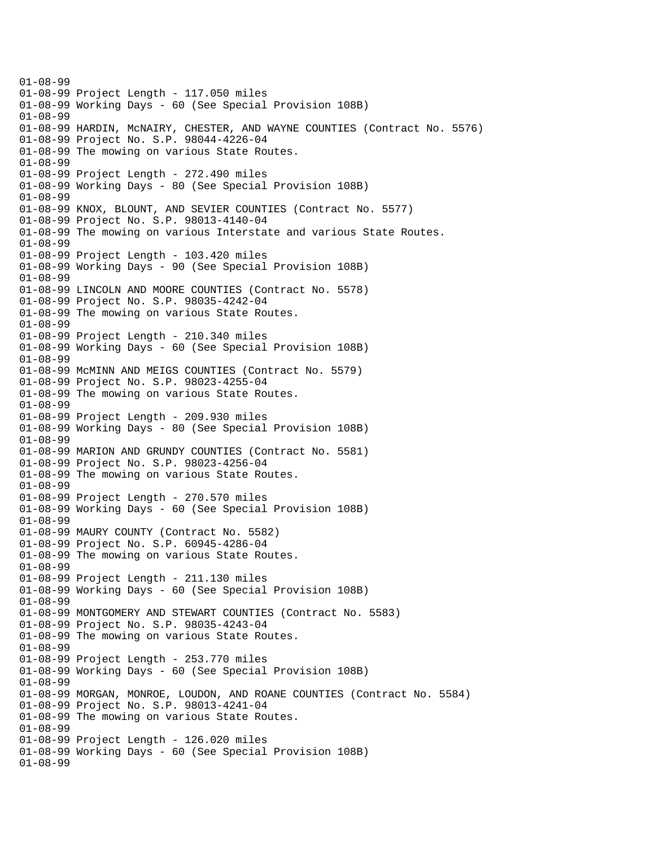01-08-99 01-08-99 Project Length - 117.050 miles 01-08-99 Working Days - 60 (See Special Provision 108B) 01-08-99 01-08-99 HARDIN, McNAIRY, CHESTER, AND WAYNE COUNTIES (Contract No. 5576) 01-08-99 Project No. S.P. 98044-4226-04 01-08-99 The mowing on various State Routes. 01-08-99 01-08-99 Project Length - 272.490 miles 01-08-99 Working Days - 80 (See Special Provision 108B) 01-08-99 01-08-99 KNOX, BLOUNT, AND SEVIER COUNTIES (Contract No. 5577) 01-08-99 Project No. S.P. 98013-4140-04 01-08-99 The mowing on various Interstate and various State Routes. 01-08-99 01-08-99 Project Length - 103.420 miles 01-08-99 Working Days - 90 (See Special Provision 108B) 01-08-99 01-08-99 LINCOLN AND MOORE COUNTIES (Contract No. 5578) 01-08-99 Project No. S.P. 98035-4242-04 01-08-99 The mowing on various State Routes. 01-08-99 01-08-99 Project Length - 210.340 miles 01-08-99 Working Days - 60 (See Special Provision 108B) 01-08-99 01-08-99 McMINN AND MEIGS COUNTIES (Contract No. 5579) 01-08-99 Project No. S.P. 98023-4255-04 01-08-99 The mowing on various State Routes. 01-08-99 01-08-99 Project Length - 209.930 miles 01-08-99 Working Days - 80 (See Special Provision 108B) 01-08-99 01-08-99 MARION AND GRUNDY COUNTIES (Contract No. 5581) 01-08-99 Project No. S.P. 98023-4256-04 01-08-99 The mowing on various State Routes. 01-08-99 01-08-99 Project Length - 270.570 miles 01-08-99 Working Days - 60 (See Special Provision 108B) 01-08-99 01-08-99 MAURY COUNTY (Contract No. 5582) 01-08-99 Project No. S.P. 60945-4286-04 01-08-99 The mowing on various State Routes. 01-08-99 01-08-99 Project Length - 211.130 miles 01-08-99 Working Days - 60 (See Special Provision 108B) 01-08-99 01-08-99 MONTGOMERY AND STEWART COUNTIES (Contract No. 5583) 01-08-99 Project No. S.P. 98035-4243-04 01-08-99 The mowing on various State Routes. 01-08-99 01-08-99 Project Length - 253.770 miles 01-08-99 Working Days - 60 (See Special Provision 108B) 01-08-99 01-08-99 MORGAN, MONROE, LOUDON, AND ROANE COUNTIES (Contract No. 5584) 01-08-99 Project No. S.P. 98013-4241-04 01-08-99 The mowing on various State Routes. 01-08-99 01-08-99 Project Length - 126.020 miles 01-08-99 Working Days - 60 (See Special Provision 108B) 01-08-99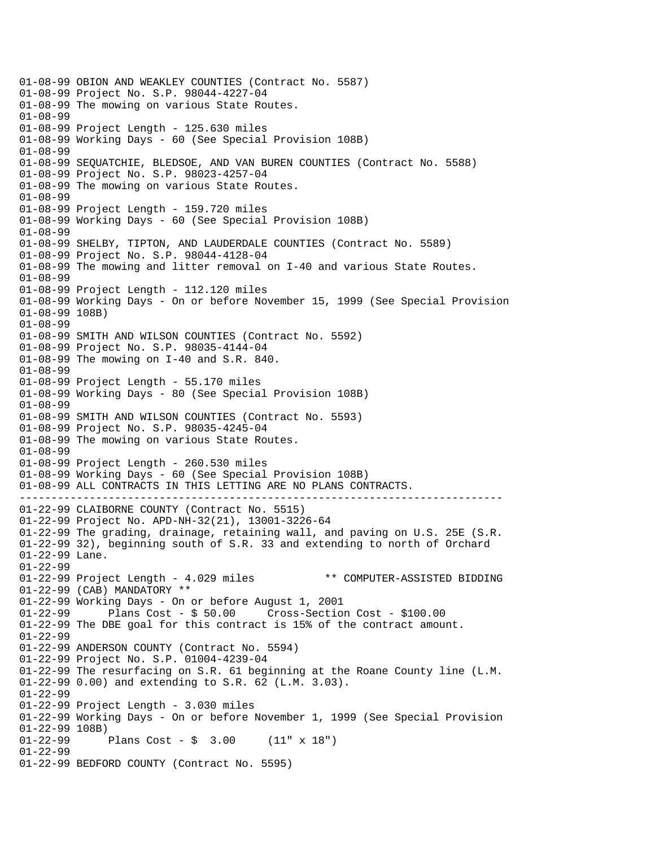---------------------------------------------------------------------------- 01-08-99 OBION AND WEAKLEY COUNTIES (Contract No. 5587) 01-08-99 Project No. S.P. 98044-4227-04 01-08-99 The mowing on various State Routes. 01-08-99 01-08-99 Project Length - 125.630 miles 01-08-99 Working Days - 60 (See Special Provision 108B) 01-08-99 01-08-99 SEQUATCHIE, BLEDSOE, AND VAN BUREN COUNTIES (Contract No. 5588) 01-08-99 Project No. S.P. 98023-4257-04 01-08-99 The mowing on various State Routes. 01-08-99 01-08-99 Project Length - 159.720 miles 01-08-99 Working Days - 60 (See Special Provision 108B) 01-08-99 01-08-99 SHELBY, TIPTON, AND LAUDERDALE COUNTIES (Contract No. 5589) 01-08-99 Project No. S.P. 98044-4128-04 01-08-99 The mowing and litter removal on I-40 and various State Routes. 01-08-99 01-08-99 Project Length - 112.120 miles 01-08-99 Working Days - On or before November 15, 1999 (See Special Provision 01-08-99 108B) 01-08-99 01-08-99 SMITH AND WILSON COUNTIES (Contract No. 5592) 01-08-99 Project No. S.P. 98035-4144-04 01-08-99 The mowing on I-40 and S.R. 840. 01-08-99 01-08-99 Project Length - 55.170 miles 01-08-99 Working Days - 80 (See Special Provision 108B) 01-08-99 01-08-99 SMITH AND WILSON COUNTIES (Contract No. 5593) 01-08-99 Project No. S.P. 98035-4245-04 01-08-99 The mowing on various State Routes. 01-08-99 01-08-99 Project Length - 260.530 miles 01-08-99 Working Days - 60 (See Special Provision 108B) 01-08-99 ALL CONTRACTS IN THIS LETTING ARE NO PLANS CONTRACTS. 01-22-99 CLAIBORNE COUNTY (Contract No. 5515) 01-22-99 Project No. APD-NH-32(21), 13001-3226-64 01-22-99 The grading, drainage, retaining wall, and paving on U.S. 25E (S.R. 01-22-99 32), beginning south of S.R. 33 and extending to north of Orchard 01-22-99 Lane. 01-22-99 01-22-99 Project Length - 4.029 miles \*\* COMPUTER-ASSISTED BIDDING 01-22-99 (CAB) MANDATORY \*\* 01-22-99 Working Days - On or before August 1, 2001 01-22-99 Plans Cost - \$ 50.00 Cross-Section Cost - \$100.00 01-22-99 The DBE goal for this contract is 15% of the contract amount. 01-22-99 01-22-99 ANDERSON COUNTY (Contract No. 5594) 01-22-99 Project No. S.P. 01004-4239-04 01-22-99 The resurfacing on S.R. 61 beginning at the Roane County line (L.M. 01-22-99 0.00) and extending to S.R. 62 (L.M. 3.03). 01-22-99 01-22-99 Project Length - 3.030 miles 01-22-99 Working Days - On or before November 1, 1999 (See Special Provision 01-22-99 108B)<br>01-22-99 Plans Cost -  $\frac{1}{2}$  3.00 (11" x 18") 01-22-99 01-22-99 BEDFORD COUNTY (Contract No. 5595)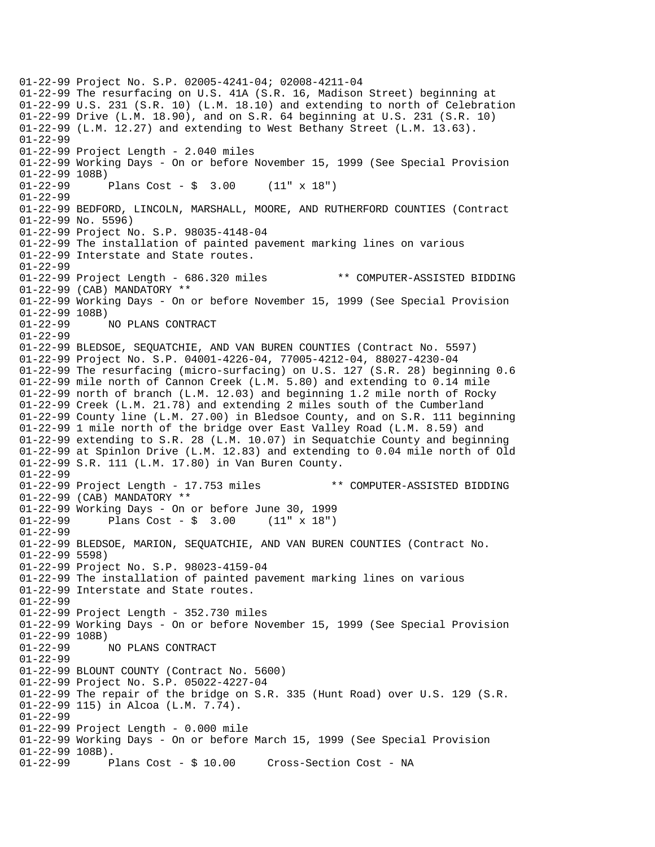01-22-99 Project No. S.P. 02005-4241-04; 02008-4211-04 01-22-99 The resurfacing on U.S. 41A (S.R. 16, Madison Street) beginning at 01-22-99 U.S. 231 (S.R. 10) (L.M. 18.10) and extending to north of Celebration 01-22-99 Drive (L.M. 18.90), and on S.R. 64 beginning at U.S. 231 (S.R. 10) 01-22-99 (L.M. 12.27) and extending to West Bethany Street (L.M. 13.63). 01-22-99 01-22-99 Project Length - 2.040 miles 01-22-99 Working Days - On or before November 15, 1999 (See Special Provision 01-22-99 108B) 01-22-99 Plans Cost - \$ 3.00 (11" x 18") 01-22-99 01-22-99 BEDFORD, LINCOLN, MARSHALL, MOORE, AND RUTHERFORD COUNTIES (Contract 01-22-99 No. 5596) 01-22-99 Project No. S.P. 98035-4148-04 01-22-99 The installation of painted pavement marking lines on various 01-22-99 Interstate and State routes. 01-22-99 01-22-99 Project Length - 686.320 miles \*\* COMPUTER-ASSISTED BIDDING 01-22-99 (CAB) MANDATORY \*\* 01-22-99 Working Days - On or before November 15, 1999 (See Special Provision 01-22-99 108B) NO PLANS CONTRACT 01-22-99 01-22-99 BLEDSOE, SEQUATCHIE, AND VAN BUREN COUNTIES (Contract No. 5597) 01-22-99 Project No. S.P. 04001-4226-04, 77005-4212-04, 88027-4230-04 01-22-99 The resurfacing (micro-surfacing) on U.S. 127 (S.R. 28) beginning 0.6 01-22-99 mile north of Cannon Creek (L.M. 5.80) and extending to 0.14 mile 01-22-99 north of branch (L.M. 12.03) and beginning 1.2 mile north of Rocky 01-22-99 Creek (L.M. 21.78) and extending 2 miles south of the Cumberland 01-22-99 County line (L.M. 27.00) in Bledsoe County, and on S.R. 111 beginning 01-22-99 1 mile north of the bridge over East Valley Road (L.M. 8.59) and 01-22-99 extending to S.R. 28 (L.M. 10.07) in Sequatchie County and beginning 01-22-99 at Spinlon Drive (L.M. 12.83) and extending to 0.04 mile north of Old 01-22-99 S.R. 111 (L.M. 17.80) in Van Buren County. 01-22-99 01-22-99 Project Length - 17.753 miles \*\* COMPUTER-ASSISTED BIDDING 01-22-99 (CAB) MANDATORY \*\* 01-22-99 Working Days - On or before June 30, 1999 01-22-99 Plans Cost - \$ 3.00 (11" x 18") 01-22-99 01-22-99 BLEDSOE, MARION, SEQUATCHIE, AND VAN BUREN COUNTIES (Contract No. 01-22-99 5598) 01-22-99 Project No. S.P. 98023-4159-04 01-22-99 The installation of painted pavement marking lines on various 01-22-99 Interstate and State routes. 01-22-99 01-22-99 Project Length - 352.730 miles 01-22-99 Working Days - On or before November 15, 1999 (See Special Provision 01-22-99 108B)<br>01-22-99 1 01-22-99 NO PLANS CONTRACT 01-22-99 01-22-99 BLOUNT COUNTY (Contract No. 5600) 01-22-99 Project No. S.P. 05022-4227-04 01-22-99 The repair of the bridge on S.R. 335 (Hunt Road) over U.S. 129 (S.R. 01-22-99 115) in Alcoa (L.M. 7.74). 01-22-99 01-22-99 Project Length - 0.000 mile 01-22-99 Working Days - On or before March 15, 1999 (See Special Provision 01-22-99 108B). 01-22-99 Plans Cost - \$ 10.00 Cross-Section Cost - NA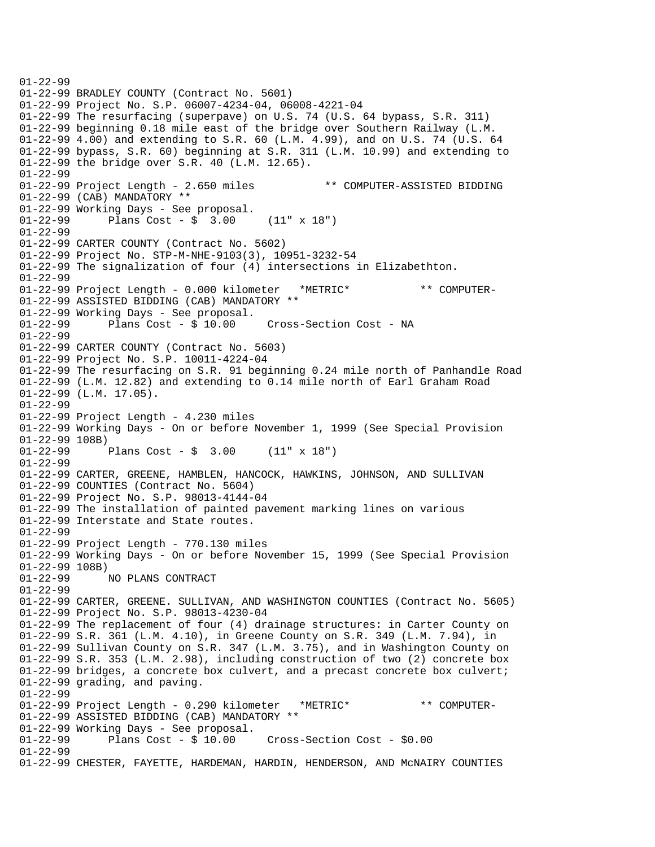01-22-99 01-22-99 BRADLEY COUNTY (Contract No. 5601) 01-22-99 Project No. S.P. 06007-4234-04, 06008-4221-04 01-22-99 The resurfacing (superpave) on U.S. 74 (U.S. 64 bypass, S.R. 311) 01-22-99 beginning 0.18 mile east of the bridge over Southern Railway (L.M. 01-22-99 4.00) and extending to S.R. 60 (L.M. 4.99), and on U.S. 74 (U.S. 64 01-22-99 bypass, S.R. 60) beginning at S.R. 311 (L.M. 10.99) and extending to 01-22-99 the bridge over S.R. 40 (L.M. 12.65). 01-22-99 01-22-99 Project Length - 2.650 miles \*\* COMPUTER-ASSISTED BIDDING 01-22-99 (CAB) MANDATORY \*\* 01-22-99 Working Days - See proposal. 01-22-99 Plans Cost - \$ 3.00 (11" x 18") 01-22-99 01-22-99 CARTER COUNTY (Contract No. 5602) 01-22-99 Project No. STP-M-NHE-9103(3), 10951-3232-54 01-22-99 The signalization of four (4) intersections in Elizabethton. 01-22-99 01-22-99 Project Length - 0.000 kilometer \*METRIC\* \*\* COMPUTER-01-22-99 ASSISTED BIDDING (CAB) MANDATORY \*\*  $01-22-99$  Working Days - See proposal.<br> $01-22-99$  Plans Cost - \$ 10.00 Cross-Section Cost - NA 01-22-99 01-22-99 CARTER COUNTY (Contract No. 5603) 01-22-99 Project No. S.P. 10011-4224-04 01-22-99 The resurfacing on S.R. 91 beginning 0.24 mile north of Panhandle Road 01-22-99 (L.M. 12.82) and extending to 0.14 mile north of Earl Graham Road 01-22-99 (L.M. 17.05). 01-22-99 01-22-99 Project Length - 4.230 miles 01-22-99 Working Days - On or before November 1, 1999 (See Special Provision 01-22-99 108B)<br>01-22-99 Plans Cost -  $\frac{1}{2}$  3.00 (11" x 18") 01-22-99 01-22-99 CARTER, GREENE, HAMBLEN, HANCOCK, HAWKINS, JOHNSON, AND SULLIVAN 01-22-99 COUNTIES (Contract No. 5604) 01-22-99 Project No. S.P. 98013-4144-04 01-22-99 The installation of painted pavement marking lines on various 01-22-99 Interstate and State routes. 01-22-99 01-22-99 Project Length - 770.130 miles 01-22-99 Working Days - On or before November 15, 1999 (See Special Provision 01-22-99 108B) 01-22-99 NO PLANS CONTRACT 01-22-99 01-22-99 CARTER, GREENE. SULLIVAN, AND WASHINGTON COUNTIES (Contract No. 5605) 01-22-99 Project No. S.P. 98013-4230-04 01-22-99 The replacement of four (4) drainage structures: in Carter County on 01-22-99 S.R. 361 (L.M. 4.10), in Greene County on S.R. 349 (L.M. 7.94), in 01-22-99 Sullivan County on S.R. 347 (L.M. 3.75), and in Washington County on 01-22-99 S.R. 353 (L.M. 2.98), including construction of two (2) concrete box 01-22-99 bridges, a concrete box culvert, and a precast concrete box culvert; 01-22-99 grading, and paving. 01-22-99 01-22-99 Project Length - 0.290 kilometer \*METRIC\* \*\* COMPUTER-01-22-99 ASSISTED BIDDING (CAB) MANDATORY \*\*  $01-22-99$  Working Days - See proposal.<br> $01-22-99$  Plans Cost - \$ 10.00 01-22-99 Plans Cost - \$ 10.00 Cross-Section Cost - \$0.00 01-22-99 01-22-99 CHESTER, FAYETTE, HARDEMAN, HARDIN, HENDERSON, AND McNAIRY COUNTIES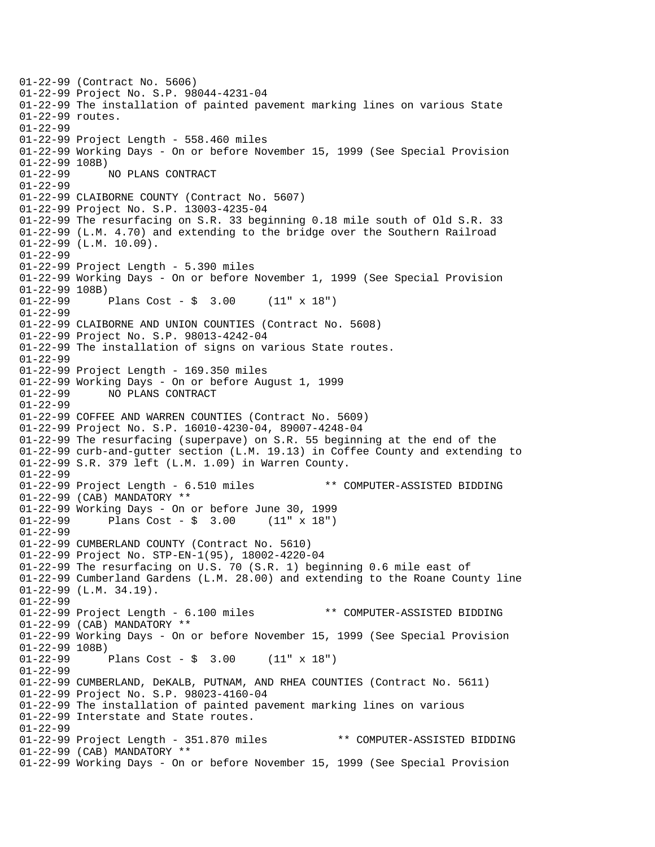01-22-99 (Contract No. 5606) 01-22-99 Project No. S.P. 98044-4231-04 01-22-99 The installation of painted pavement marking lines on various State 01-22-99 routes. 01-22-99 01-22-99 Project Length - 558.460 miles 01-22-99 Working Days - On or before November 15, 1999 (See Special Provision 01-22-99 108B) 01-22-99 NO PLANS CONTRACT 01-22-99 01-22-99 CLAIBORNE COUNTY (Contract No. 5607) 01-22-99 Project No. S.P. 13003-4235-04 01-22-99 The resurfacing on S.R. 33 beginning 0.18 mile south of Old S.R. 33 01-22-99 (L.M. 4.70) and extending to the bridge over the Southern Railroad 01-22-99 (L.M. 10.09). 01-22-99 01-22-99 Project Length - 5.390 miles 01-22-99 Working Days - On or before November 1, 1999 (See Special Provision 01-22-99 108B) 01-22-99 Plans Cost - \$ 3.00 (11" x 18") 01-22-99 01-22-99 CLAIBORNE AND UNION COUNTIES (Contract No. 5608) 01-22-99 Project No. S.P. 98013-4242-04 01-22-99 The installation of signs on various State routes. 01-22-99 01-22-99 Project Length - 169.350 miles 01-22-99 Working Days - On or before August 1, 1999 01-22-99 NO PLANS CONTRACT 01-22-99 01-22-99 COFFEE AND WARREN COUNTIES (Contract No. 5609) 01-22-99 Project No. S.P. 16010-4230-04, 89007-4248-04 01-22-99 The resurfacing (superpave) on S.R. 55 beginning at the end of the 01-22-99 curb-and-gutter section (L.M. 19.13) in Coffee County and extending to 01-22-99 S.R. 379 left (L.M. 1.09) in Warren County. 01-22-99 01-22-99 Project Length - 6.510 miles \*\* COMPUTER-ASSISTED BIDDING 01-22-99 (CAB) MANDATORY \*\* 01-22-99 Working Days - On or before June 30, 1999 01-22-99 Plans Cost - \$ 3.00 (11" x 18") 01-22-99 01-22-99 CUMBERLAND COUNTY (Contract No. 5610) 01-22-99 Project No. STP-EN-1(95), 18002-4220-04 01-22-99 The resurfacing on U.S. 70 (S.R. 1) beginning 0.6 mile east of 01-22-99 Cumberland Gardens (L.M. 28.00) and extending to the Roane County line 01-22-99 (L.M. 34.19). 01-22-99 01-22-99 Project Length - 6.100 miles \*\* COMPUTER-ASSISTED BIDDING 01-22-99 (CAB) MANDATORY \*\* 01-22-99 Working Days - On or before November 15, 1999 (See Special Provision 01-22-99 108B)<br>01-22-99 1 Plans Cost -  $\sin 3.00$  (11" x 18") 01-22-99 01-22-99 CUMBERLAND, DeKALB, PUTNAM, AND RHEA COUNTIES (Contract No. 5611) 01-22-99 Project No. S.P. 98023-4160-04 01-22-99 The installation of painted pavement marking lines on various 01-22-99 Interstate and State routes. 01-22-99 01-22-99 Project Length - 351.870 miles \*\* COMPUTER-ASSISTED BIDDING 01-22-99 (CAB) MANDATORY \*\* 01-22-99 Working Days - On or before November 15, 1999 (See Special Provision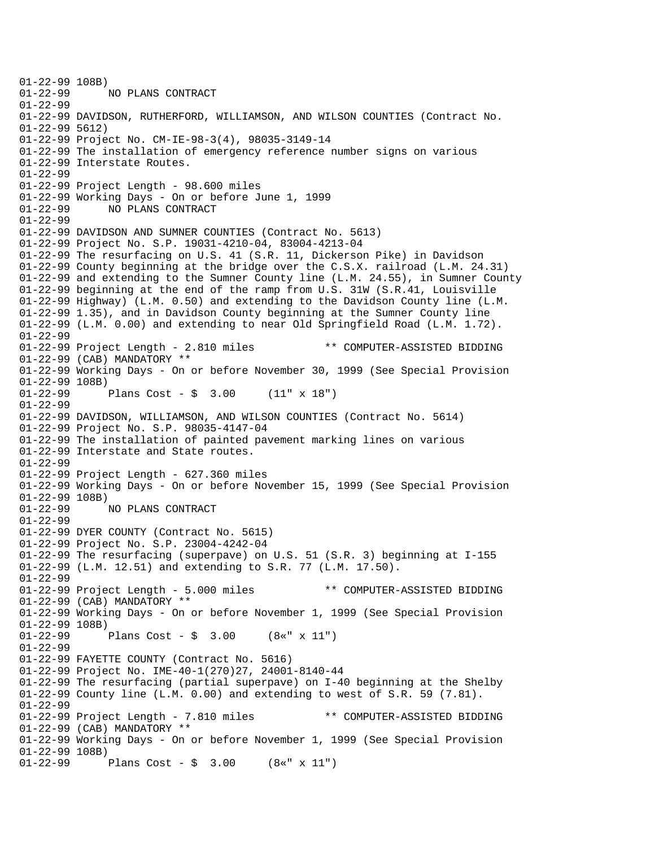01-22-99 108B)<br>01-22-99 : 01-22-99 NO PLANS CONTRACT 01-22-99 01-22-99 DAVIDSON, RUTHERFORD, WILLIAMSON, AND WILSON COUNTIES (Contract No. 01-22-99 5612) 01-22-99 Project No. CM-IE-98-3(4), 98035-3149-14 01-22-99 The installation of emergency reference number signs on various 01-22-99 Interstate Routes. 01-22-99 01-22-99 Project Length - 98.600 miles 01-22-99 Working Days - On or before June 1, 1999 01-22-99 NO PLANS CONTRACT 01-22-99 01-22-99 DAVIDSON AND SUMNER COUNTIES (Contract No. 5613) 01-22-99 Project No. S.P. 19031-4210-04, 83004-4213-04 01-22-99 The resurfacing on U.S. 41 (S.R. 11, Dickerson Pike) in Davidson 01-22-99 County beginning at the bridge over the C.S.X. railroad (L.M. 24.31) 01-22-99 and extending to the Sumner County line (L.M. 24.55), in Sumner County 01-22-99 beginning at the end of the ramp from U.S. 31W (S.R.41, Louisville 01-22-99 Highway) (L.M. 0.50) and extending to the Davidson County line (L.M. 01-22-99 1.35), and in Davidson County beginning at the Sumner County line 01-22-99 (L.M. 0.00) and extending to near Old Springfield Road (L.M. 1.72). 01-22-99 01-22-99 Project Length - 2.810 miles \*\* COMPUTER-ASSISTED BIDDING 01-22-99 (CAB) MANDATORY \*\* 01-22-99 Working Days - On or before November 30, 1999 (See Special Provision 01-22-99 108B)<br>01-22-99 1 Plans Cost -  $\sin 3.00$  (11" x 18") 01-22-99 01-22-99 DAVIDSON, WILLIAMSON, AND WILSON COUNTIES (Contract No. 5614) 01-22-99 Project No. S.P. 98035-4147-04 01-22-99 The installation of painted pavement marking lines on various 01-22-99 Interstate and State routes. 01-22-99 01-22-99 Project Length - 627.360 miles 01-22-99 Working Days - On or before November 15, 1999 (See Special Provision 01-22-99 108B)<br>01-22-99 01-22-99 NO PLANS CONTRACT 01-22-99 01-22-99 DYER COUNTY (Contract No. 5615) 01-22-99 Project No. S.P. 23004-4242-04 01-22-99 The resurfacing (superpave) on U.S. 51 (S.R. 3) beginning at I-155 01-22-99 (L.M. 12.51) and extending to S.R. 77 (L.M. 17.50). 01-22-99 01-22-99 Project Length - 5.000 miles \*\* COMPUTER-ASSISTED BIDDING 01-22-99 (CAB) MANDATORY \*\* 01-22-99 Working Days - On or before November 1, 1999 (See Special Provision 01-22-99 108B)<br>01-22-99 1 Plans Cost -  $\frac{1}{2}$  3.00 (8«" x 11") 01-22-99 01-22-99 FAYETTE COUNTY (Contract No. 5616) 01-22-99 Project No. IME-40-1(270)27, 24001-8140-44 01-22-99 The resurfacing (partial superpave) on I-40 beginning at the Shelby 01-22-99 County line (L.M. 0.00) and extending to west of S.R. 59 (7.81). 01-22-99 01-22-99 Project Length - 7.810 miles \*\* COMPUTER-ASSISTED BIDDING 01-22-99 (CAB) MANDATORY \*\* 01-22-99 Working Days - On or before November 1, 1999 (See Special Provision 01-22-99 108B) 01-22-99 Plans Cost - \$ 3.00 (8«" x 11")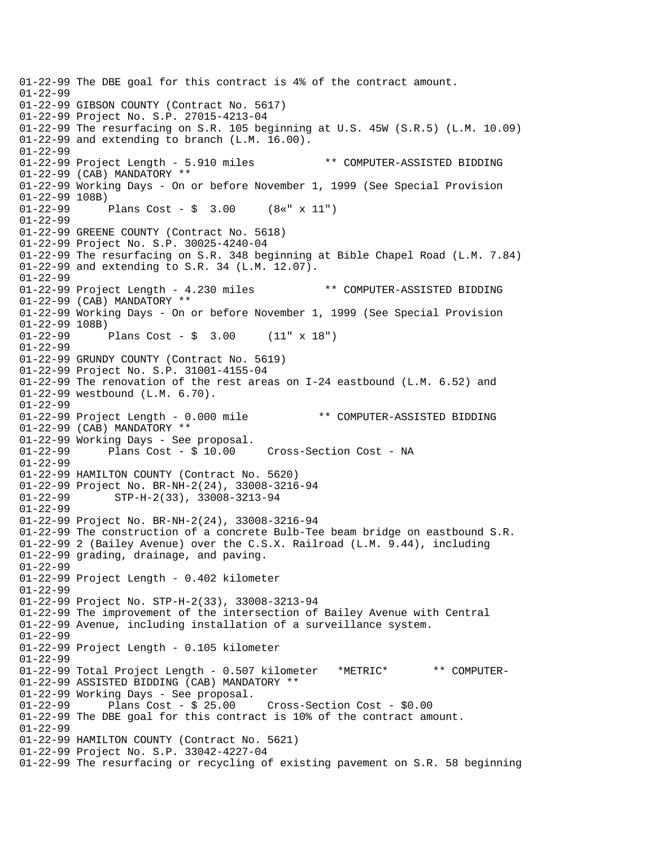01-22-99 The DBE goal for this contract is 4% of the contract amount. 01-22-99 01-22-99 GIBSON COUNTY (Contract No. 5617) 01-22-99 Project No. S.P. 27015-4213-04 01-22-99 The resurfacing on S.R. 105 beginning at U.S. 45W (S.R.5) (L.M. 10.09) 01-22-99 and extending to branch (L.M. 16.00). 01-22-99 01-22-99 Project Length - 5.910 miles \*\* COMPUTER-ASSISTED BIDDING 01-22-99 (CAB) MANDATORY \*\* 01-22-99 Working Days - On or before November 1, 1999 (See Special Provision 01-22-99 108B) 01-22-99 Plans Cost - \$ 3.00 (8«" x 11") 01-22-99 01-22-99 GREENE COUNTY (Contract No. 5618) 01-22-99 Project No. S.P. 30025-4240-04 01-22-99 The resurfacing on S.R. 348 beginning at Bible Chapel Road (L.M. 7.84) 01-22-99 and extending to S.R. 34 (L.M. 12.07). 01-22-99 01-22-99 Project Length - 4.230 miles \*\* COMPUTER-ASSISTED BIDDING 01-22-99 (CAB) MANDATORY \*\* 01-22-99 Working Days - On or before November 1, 1999 (See Special Provision 01-22-99 108B)<br>01-22-99 1 Plans Cost -  $\frac{1}{2}$  3.00 (11" x 18") 01-22-99 01-22-99 GRUNDY COUNTY (Contract No. 5619) 01-22-99 Project No. S.P. 31001-4155-04 01-22-99 The renovation of the rest areas on I-24 eastbound (L.M. 6.52) and 01-22-99 westbound (L.M. 6.70). 01-22-99 01-22-99 Project Length - 0.000 mile \*\* COMPUTER-ASSISTED BIDDING 01-22-99 (CAB) MANDATORY \*\* 01-22-99 Working Days - See proposal.<br>01-22-99 Plans Cost - \$ 10.00 Cross-Section Cost - NA 01-22-99 01-22-99 HAMILTON COUNTY (Contract No. 5620) 01-22-99 Project No. BR-NH-2(24), 33008-3216-94 01-22-99 STP-H-2(33), 33008-3213-94 01-22-99 01-22-99 Project No. BR-NH-2(24), 33008-3216-94 01-22-99 The construction of a concrete Bulb-Tee beam bridge on eastbound S.R. 01-22-99 2 (Bailey Avenue) over the C.S.X. Railroad (L.M. 9.44), including 01-22-99 grading, drainage, and paving. 01-22-99 01-22-99 Project Length - 0.402 kilometer 01-22-99 01-22-99 Project No. STP-H-2(33), 33008-3213-94 01-22-99 The improvement of the intersection of Bailey Avenue with Central 01-22-99 Avenue, including installation of a surveillance system. 01-22-99 01-22-99 Project Length - 0.105 kilometer 01-22-99 01-22-99 Total Project Length - 0.507 kilometer \*METRIC\* \*\* COMPUTER-01-22-99 ASSISTED BIDDING (CAB) MANDATORY \*\*  $01-22-99$  Working Days - See proposal.<br> $01-22-99$  Plans Cost - \$ 25.00 Plans  $Cost - $ 25.00$  Cross-Section Cost -  $$0.00$ 01-22-99 The DBE goal for this contract is 10% of the contract amount. 01-22-99 01-22-99 HAMILTON COUNTY (Contract No. 5621) 01-22-99 Project No. S.P. 33042-4227-04 01-22-99 The resurfacing or recycling of existing pavement on S.R. 58 beginning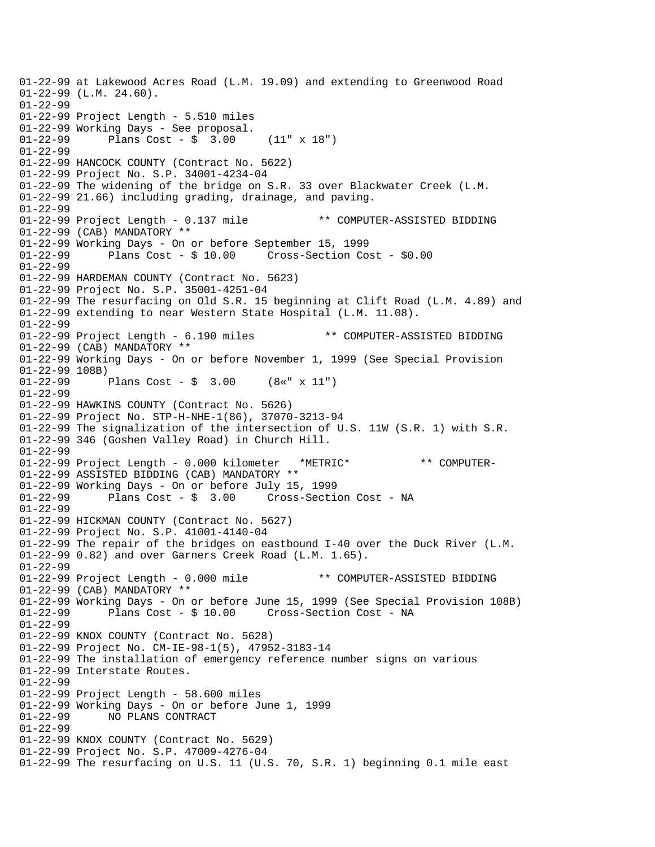01-22-99 at Lakewood Acres Road (L.M. 19.09) and extending to Greenwood Road 01-22-99 (L.M. 24.60). 01-22-99 01-22-99 Project Length - 5.510 miles 01-22-99 Working Days - See proposal. 01-22-99 Plans Cost - \$ 3.00 (11" x 18") 01-22-99 01-22-99 HANCOCK COUNTY (Contract No. 5622) 01-22-99 Project No. S.P. 34001-4234-04 01-22-99 The widening of the bridge on S.R. 33 over Blackwater Creek (L.M. 01-22-99 21.66) including grading, drainage, and paving. 01-22-99 01-22-99 Project Length - 0.137 mile \*\* COMPUTER-ASSISTED BIDDING 01-22-99 (CAB) MANDATORY \*\* 01-22-99 Working Days - On or before September 15, 1999 01-22-99 Plans Cost - \$ 10.00 Cross-Section Cost - \$0.00 01-22-99 01-22-99 HARDEMAN COUNTY (Contract No. 5623) 01-22-99 Project No. S.P. 35001-4251-04 01-22-99 The resurfacing on Old S.R. 15 beginning at Clift Road (L.M. 4.89) and 01-22-99 extending to near Western State Hospital (L.M. 11.08). 01-22-99 01-22-99 Project Length - 6.190 miles \*\* COMPUTER-ASSISTED BIDDING 01-22-99 (CAB) MANDATORY \*\* 01-22-99 Working Days - On or before November 1, 1999 (See Special Provision 01-22-99 108B) 01-22-99 Plans Cost - \$ 3.00 (8«" x 11") 01-22-99 01-22-99 HAWKINS COUNTY (Contract No. 5626) 01-22-99 Project No. STP-H-NHE-1(86), 37070-3213-94 01-22-99 The signalization of the intersection of U.S. 11W (S.R. 1) with S.R. 01-22-99 346 (Goshen Valley Road) in Church Hill. 01-22-99 01-22-99 Project Length - 0.000 kilometer \*METRIC\* \*\* COMPUTER-01-22-99 ASSISTED BIDDING (CAB) MANDATORY \*\* 01-22-99 Working Days - On or before July 15, 1999 01-22-99 Plans Cost - \$ 3.00 Cross-Section Cost - NA 01-22-99 01-22-99 HICKMAN COUNTY (Contract No. 5627) 01-22-99 Project No. S.P. 41001-4140-04 01-22-99 The repair of the bridges on eastbound I-40 over the Duck River (L.M. 01-22-99 0.82) and over Garners Creek Road (L.M. 1.65). 01-22-99 01-22-99 Project Length - 0.000 mile \*\* COMPUTER-ASSISTED BIDDING 01-22-99 (CAB) MANDATORY \*\* 01-22-99 Working Days - On or before June 15, 1999 (See Special Provision 108B) 01-22-99 Plans Cost - \$ 10.00 Cross-Section Cost - NA 01-22-99 01-22-99 KNOX COUNTY (Contract No. 5628) 01-22-99 Project No. CM-IE-98-1(5), 47952-3183-14 01-22-99 The installation of emergency reference number signs on various 01-22-99 Interstate Routes. 01-22-99 01-22-99 Project Length - 58.600 miles 01-22-99 Working Days - On or before June 1, 1999<br>01-22-99 NO PLANS CONTRACT NO PLANS CONTRACT 01-22-99 01-22-99 KNOX COUNTY (Contract No. 5629) 01-22-99 Project No. S.P. 47009-4276-04 01-22-99 The resurfacing on U.S. 11 (U.S. 70, S.R. 1) beginning 0.1 mile east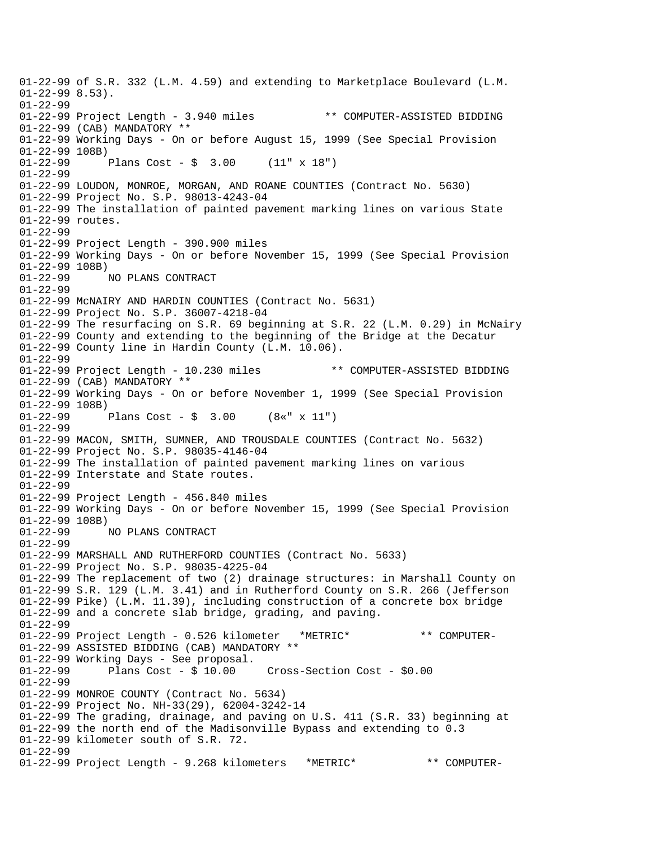01-22-99 of S.R. 332 (L.M. 4.59) and extending to Marketplace Boulevard (L.M.  $01-22-998.53$ . 01-22-99 01-22-99 Project Length - 3.940 miles \*\* COMPUTER-ASSISTED BIDDING 01-22-99 (CAB) MANDATORY \*\* 01-22-99 Working Days - On or before August 15, 1999 (See Special Provision 01-22-99 108B) 01-22-99 Plans Cost - \$ 3.00 (11" x 18") 01-22-99 01-22-99 LOUDON, MONROE, MORGAN, AND ROANE COUNTIES (Contract No. 5630) 01-22-99 Project No. S.P. 98013-4243-04 01-22-99 The installation of painted pavement marking lines on various State 01-22-99 routes. 01-22-99 01-22-99 Project Length - 390.900 miles 01-22-99 Working Days - On or before November 15, 1999 (See Special Provision 01-22-99 108B) 01-22-99 NO PLANS CONTRACT 01-22-99 01-22-99 McNAIRY AND HARDIN COUNTIES (Contract No. 5631) 01-22-99 Project No. S.P. 36007-4218-04 01-22-99 The resurfacing on S.R. 69 beginning at S.R. 22 (L.M. 0.29) in McNairy 01-22-99 County and extending to the beginning of the Bridge at the Decatur 01-22-99 County line in Hardin County (L.M. 10.06). 01-22-99 01-22-99 Project Length - 10.230 miles \*\* COMPUTER-ASSISTED BIDDING 01-22-99 (CAB) MANDATORY \*\* 01-22-99 Working Days - On or before November 1, 1999 (See Special Provision 01-22-99 108B)<br>01-22-99 1 Plans Cost -  $\frac{1}{2}$  3.00 (8«" x 11") 01-22-99 01-22-99 MACON, SMITH, SUMNER, AND TROUSDALE COUNTIES (Contract No. 5632) 01-22-99 Project No. S.P. 98035-4146-04 01-22-99 The installation of painted pavement marking lines on various 01-22-99 Interstate and State routes. 01-22-99 01-22-99 Project Length - 456.840 miles 01-22-99 Working Days - On or before November 15, 1999 (See Special Provision 01-22-99 108B) 01-22-99 NO PLANS CONTRACT 01-22-99 01-22-99 MARSHALL AND RUTHERFORD COUNTIES (Contract No. 5633) 01-22-99 Project No. S.P. 98035-4225-04 01-22-99 The replacement of two (2) drainage structures: in Marshall County on 01-22-99 S.R. 129 (L.M. 3.41) and in Rutherford County on S.R. 266 (Jefferson 01-22-99 Pike) (L.M. 11.39), including construction of a concrete box bridge 01-22-99 and a concrete slab bridge, grading, and paving. 01-22-99 01-22-99 Project Length - 0.526 kilometer \*METRIC\* \*\* COMPUTER-01-22-99 ASSISTED BIDDING (CAB) MANDATORY \*\* 01-22-99 Working Days - See proposal. 01-22-99 Plans Cost - \$ 10.00 Cross-Section Cost - \$0.00 01-22-99 01-22-99 MONROE COUNTY (Contract No. 5634) 01-22-99 Project No. NH-33(29), 62004-3242-14 01-22-99 The grading, drainage, and paving on U.S. 411 (S.R. 33) beginning at 01-22-99 the north end of the Madisonville Bypass and extending to 0.3 01-22-99 kilometer south of S.R. 72. 01-22-99 01-22-99 Project Length - 9.268 kilometers \*METRIC\* \*\* COMPUTER-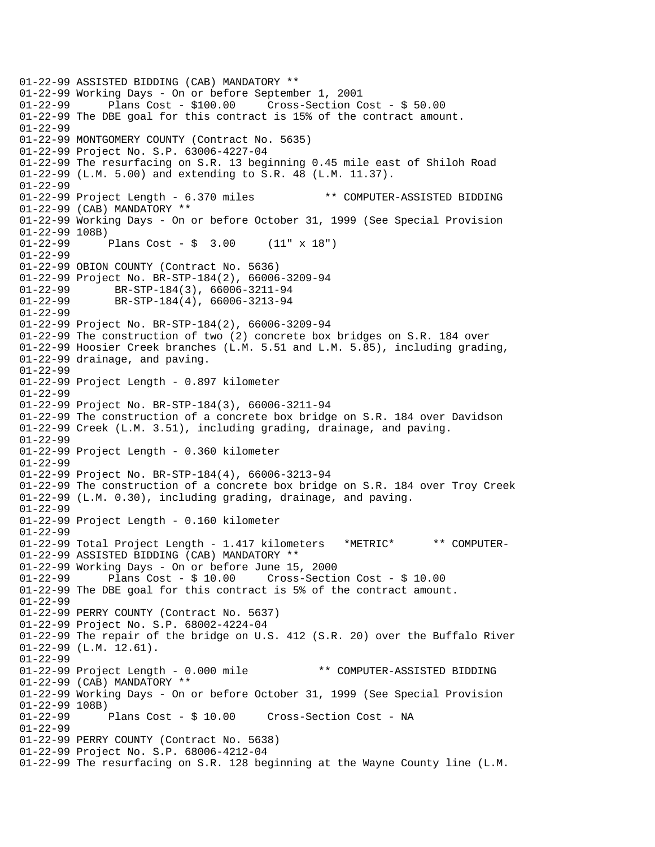01-22-99 ASSISTED BIDDING (CAB) MANDATORY \*\* 01-22-99 Working Days - On or before September 1, 2001 Plans Cost -  $$100.00$  Cross-Section Cost -  $$50.00$ 01-22-99 The DBE goal for this contract is 15% of the contract amount. 01-22-99 01-22-99 MONTGOMERY COUNTY (Contract No. 5635) 01-22-99 Project No. S.P. 63006-4227-04 01-22-99 The resurfacing on S.R. 13 beginning 0.45 mile east of Shiloh Road 01-22-99 (L.M. 5.00) and extending to S.R. 48 (L.M. 11.37). 01-22-99 01-22-99 Project Length - 6.370 miles \*\* COMPUTER-ASSISTED BIDDING 01-22-99 (CAB) MANDATORY \*\* 01-22-99 Working Days - On or before October 31, 1999 (See Special Provision 01-22-99 108B)<br>01-22-99 Plans Cost -  $\frac{1}{2}$  3.00 (11" x 18") 01-22-99 01-22-99 OBION COUNTY (Contract No. 5636) 01-22-99 Project No. BR-STP-184(2), 66006-3209-94 01-22-99 BR-STP-184(3), 66006-3211-94 01-22-99 BR-STP-184(4), 66006-3213-94 01-22-99 01-22-99 Project No. BR-STP-184(2), 66006-3209-94 01-22-99 The construction of two (2) concrete box bridges on S.R. 184 over 01-22-99 Hoosier Creek branches (L.M. 5.51 and L.M. 5.85), including grading, 01-22-99 drainage, and paving. 01-22-99 01-22-99 Project Length - 0.897 kilometer 01-22-99 01-22-99 Project No. BR-STP-184(3), 66006-3211-94 01-22-99 The construction of a concrete box bridge on S.R. 184 over Davidson 01-22-99 Creek (L.M. 3.51), including grading, drainage, and paving. 01-22-99 01-22-99 Project Length - 0.360 kilometer 01-22-99 01-22-99 Project No. BR-STP-184(4), 66006-3213-94 01-22-99 The construction of a concrete box bridge on S.R. 184 over Troy Creek 01-22-99 (L.M. 0.30), including grading, drainage, and paving. 01-22-99 01-22-99 Project Length - 0.160 kilometer 01-22-99 01-22-99 Total Project Length - 1.417 kilometers \*METRIC\* \*\* COMPUTER-01-22-99 ASSISTED BIDDING (CAB) MANDATORY \*\* 01-22-99 Working Days - On or before June 15, 2000 01-22-99 Plans Cost - \$ 10.00 Cross-Section Cost - \$ 10.00 01-22-99 The DBE goal for this contract is 5% of the contract amount. 01-22-99 01-22-99 PERRY COUNTY (Contract No. 5637) 01-22-99 Project No. S.P. 68002-4224-04 01-22-99 The repair of the bridge on U.S. 412 (S.R. 20) over the Buffalo River 01-22-99 (L.M. 12.61). 01-22-99 01-22-99 Project Length - 0.000 mile \*\* COMPUTER-ASSISTED BIDDING 01-22-99 (CAB) MANDATORY \*\* 01-22-99 Working Days - On or before October 31, 1999 (See Special Provision 01-22-99 108B)<br>01-22-99 Plans Cost - \$ 10.00 Cross-Section Cost - NA 01-22-99 01-22-99 PERRY COUNTY (Contract No. 5638) 01-22-99 Project No. S.P. 68006-4212-04 01-22-99 The resurfacing on S.R. 128 beginning at the Wayne County line (L.M.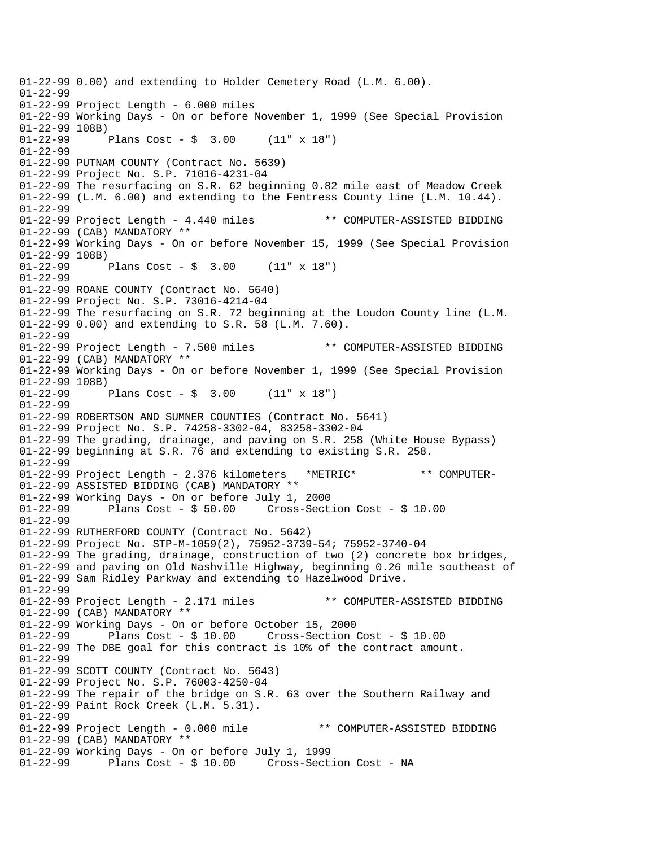01-22-99 0.00) and extending to Holder Cemetery Road (L.M. 6.00). 01-22-99 01-22-99 Project Length - 6.000 miles 01-22-99 Working Days - On or before November 1, 1999 (See Special Provision 01-22-99 108B) 01-22-99 Plans Cost - \$ 3.00 (11" x 18") 01-22-99 01-22-99 PUTNAM COUNTY (Contract No. 5639) 01-22-99 Project No. S.P. 71016-4231-04 01-22-99 The resurfacing on S.R. 62 beginning 0.82 mile east of Meadow Creek 01-22-99 (L.M. 6.00) and extending to the Fentress County line (L.M. 10.44). 01-22-99 01-22-99 Project Length - 4.440 miles \*\* COMPUTER-ASSISTED BIDDING 01-22-99 (CAB) MANDATORY \*\* 01-22-99 Working Days - On or before November 15, 1999 (See Special Provision 01-22-99 108B)<br>01-22-99 1 Plans Cost -  $$ 3.00$  (11" x 18") 01-22-99 01-22-99 ROANE COUNTY (Contract No. 5640) 01-22-99 Project No. S.P. 73016-4214-04 01-22-99 The resurfacing on S.R. 72 beginning at the Loudon County line (L.M. 01-22-99 0.00) and extending to S.R. 58 (L.M. 7.60). 01-22-99 01-22-99 Project Length - 7.500 miles \*\* COMPUTER-ASSISTED BIDDING 01-22-99 (CAB) MANDATORY \*\* 01-22-99 Working Days - On or before November 1, 1999 (See Special Provision 01-22-99 108B)<br>01-22-99 1 Plans Cost -  $\frac{1}{2}$  3.00 (11" x 18") 01-22-99 01-22-99 ROBERTSON AND SUMNER COUNTIES (Contract No. 5641) 01-22-99 Project No. S.P. 74258-3302-04, 83258-3302-04 01-22-99 The grading, drainage, and paving on S.R. 258 (White House Bypass) 01-22-99 beginning at S.R. 76 and extending to existing S.R. 258. 01-22-99 01-22-99 Project Length - 2.376 kilometers \*METRIC\* \*\* COMPUTER-01-22-99 ASSISTED BIDDING (CAB) MANDATORY \*\* 01-22-99 Working Days - On or before July 1, 2000 01-22-99 Plans Cost - \$ 50.00 Cross-Section Cost - \$ 10.00 01-22-99 01-22-99 RUTHERFORD COUNTY (Contract No. 5642) 01-22-99 Project No. STP-M-1059(2), 75952-3739-54; 75952-3740-04 01-22-99 The grading, drainage, construction of two (2) concrete box bridges, 01-22-99 and paving on Old Nashville Highway, beginning 0.26 mile southeast of 01-22-99 Sam Ridley Parkway and extending to Hazelwood Drive. 01-22-99 01-22-99 Project Length - 2.171 miles \*\* COMPUTER-ASSISTED BIDDING 01-22-99 (CAB) MANDATORY \*\* 01-22-99 Working Days - On or before October 15, 2000 01-22-99 Plans Cost - \$ 10.00 Cross-Section Cost - \$ 10.00 01-22-99 The DBE goal for this contract is 10% of the contract amount. 01-22-99 01-22-99 SCOTT COUNTY (Contract No. 5643) 01-22-99 Project No. S.P. 76003-4250-04 01-22-99 The repair of the bridge on S.R. 63 over the Southern Railway and 01-22-99 Paint Rock Creek (L.M. 5.31). 01-22-99 01-22-99 Project Length - 0.000 mile \*\* COMPUTER-ASSISTED BIDDING 01-22-99 (CAB) MANDATORY \*\* 01-22-99 Working Days - On or before July 1, 1999 01-22-99 Plans Cost - \$ 10.00 Cross-Section Cost - NA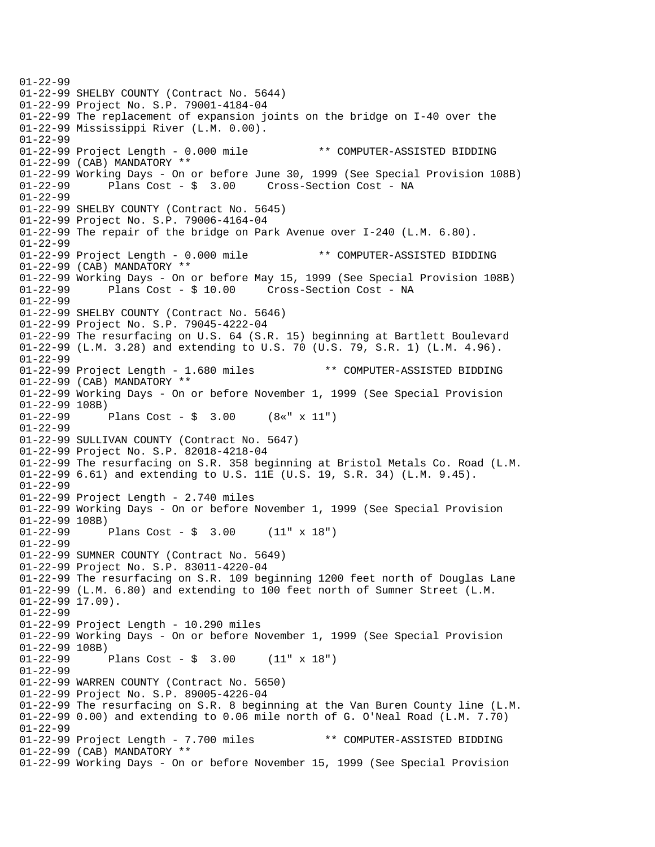01-22-99 01-22-99 SHELBY COUNTY (Contract No. 5644) 01-22-99 Project No. S.P. 79001-4184-04 01-22-99 The replacement of expansion joints on the bridge on I-40 over the 01-22-99 Mississippi River (L.M. 0.00). 01-22-99 01-22-99 Project Length - 0.000 mile \*\* COMPUTER-ASSISTED BIDDING 01-22-99 (CAB) MANDATORY \*\* 01-22-99 Working Days - On or before June 30, 1999 (See Special Provision 108B) 01-22-99 Plans Cost - \$ 3.00 Cross-Section Cost - NA 01-22-99 01-22-99 SHELBY COUNTY (Contract No. 5645) 01-22-99 Project No. S.P. 79006-4164-04 01-22-99 The repair of the bridge on Park Avenue over I-240 (L.M. 6.80). 01-22-99 01-22-99 Project Length - 0.000 mile \*\* COMPUTER-ASSISTED BIDDING 01-22-99 (CAB) MANDATORY \*\* 01-22-99 Working Days - On or before May 15, 1999 (See Special Provision 108B) 01-22-99 Plans Cost - \$ 10.00 Cross-Section Cost - NA 01-22-99 01-22-99 SHELBY COUNTY (Contract No. 5646) 01-22-99 Project No. S.P. 79045-4222-04 01-22-99 The resurfacing on U.S. 64 (S.R. 15) beginning at Bartlett Boulevard 01-22-99 (L.M. 3.28) and extending to U.S. 70 (U.S. 79, S.R. 1) (L.M. 4.96). 01-22-99 01-22-99 Project Length - 1.680 miles \*\* COMPUTER-ASSISTED BIDDING 01-22-99 (CAB) MANDATORY \*\* 01-22-99 Working Days - On or before November 1, 1999 (See Special Provision 01-22-99 108B)<br>01-22-99 1 Plans Cost -  $\frac{2}{3}$  3.00 (8«" x 11") 01-22-99 01-22-99 SULLIVAN COUNTY (Contract No. 5647) 01-22-99 Project No. S.P. 82018-4218-04 01-22-99 The resurfacing on S.R. 358 beginning at Bristol Metals Co. Road (L.M. 01-22-99 6.61) and extending to U.S. 11E (U.S. 19, S.R. 34) (L.M. 9.45). 01-22-99 01-22-99 Project Length - 2.740 miles 01-22-99 Working Days - On or before November 1, 1999 (See Special Provision 01-22-99 108B) 01-22-99 Plans Cost - \$ 3.00 (11" x 18") 01-22-99 01-22-99 SUMNER COUNTY (Contract No. 5649) 01-22-99 Project No. S.P. 83011-4220-04 01-22-99 The resurfacing on S.R. 109 beginning 1200 feet north of Douglas Lane 01-22-99 (L.M. 6.80) and extending to 100 feet north of Sumner Street (L.M.  $01-22-99$  17.09). 01-22-99 01-22-99 Project Length - 10.290 miles 01-22-99 Working Days - On or before November 1, 1999 (See Special Provision 01-22-99 108B)<br>01-22-99 <sup>1</sup> Plans Cost -  $\sin 3.00$  (11" x 18") 01-22-99 01-22-99 WARREN COUNTY (Contract No. 5650) 01-22-99 Project No. S.P. 89005-4226-04 01-22-99 The resurfacing on S.R. 8 beginning at the Van Buren County line (L.M. 01-22-99 0.00) and extending to 0.06 mile north of G. O'Neal Road (L.M. 7.70) 01-22-99 01-22-99 Project Length - 7.700 miles \*\* COMPUTER-ASSISTED BIDDING 01-22-99 (CAB) MANDATORY \*\* 01-22-99 Working Days - On or before November 15, 1999 (See Special Provision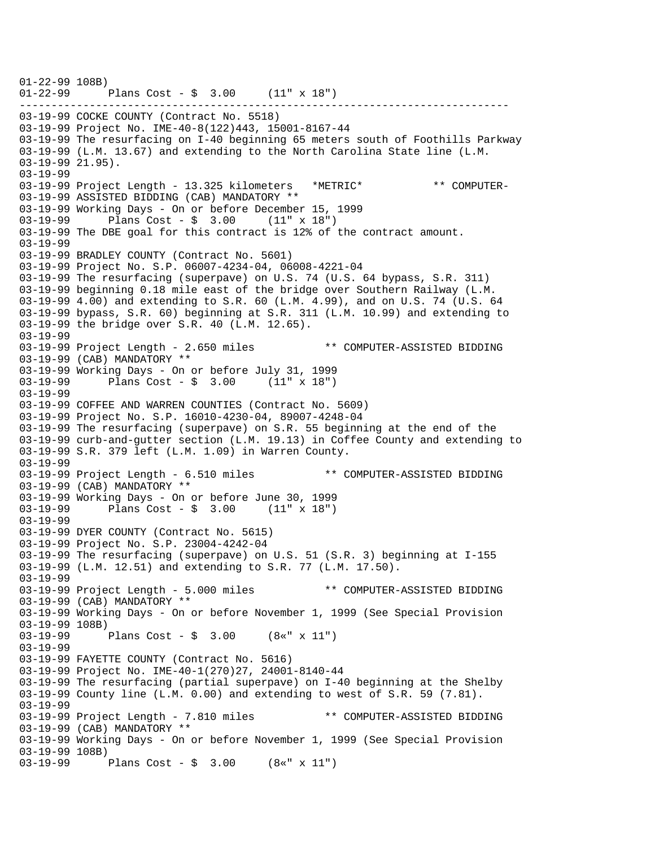----------------------------------------------------------------------------- 01-22-99 108B) 01-22-99 Plans Cost - \$ 3.00 (11" x 18") 03-19-99 COCKE COUNTY (Contract No. 5518) 03-19-99 Project No. IME-40-8(122)443, 15001-8167-44 03-19-99 The resurfacing on I-40 beginning 65 meters south of Foothills Parkway 03-19-99 (L.M. 13.67) and extending to the North Carolina State line (L.M. 03-19-99 21.95). 03-19-99 03-19-99 Project Length - 13.325 kilometers \*METRIC\* \*\* COMPUTER-03-19-99 ASSISTED BIDDING (CAB) MANDATORY \*\* 03-19-99 Working Days - On or before December 15, 1999 03-19-99 Plans Cost - \$ 3.00 (11" x 18") 03-19-99 The DBE goal for this contract is 12% of the contract amount. 03-19-99 03-19-99 BRADLEY COUNTY (Contract No. 5601) 03-19-99 Project No. S.P. 06007-4234-04, 06008-4221-04 03-19-99 The resurfacing (superpave) on U.S. 74 (U.S. 64 bypass, S.R. 311) 03-19-99 beginning 0.18 mile east of the bridge over Southern Railway (L.M. 03-19-99 4.00) and extending to S.R. 60 (L.M. 4.99), and on U.S. 74 (U.S. 64 03-19-99 bypass, S.R. 60) beginning at S.R. 311 (L.M. 10.99) and extending to 03-19-99 the bridge over S.R. 40 (L.M. 12.65). 03-19-99 03-19-99 Project Length - 2.650 miles \*\* COMPUTER-ASSISTED BIDDING 03-19-99 (CAB) MANDATORY \*\* 03-19-99 Working Days - On or before July 31, 1999 03-19-99 Plans Cost - \$ 3.00 (11" x 18") 03-19-99 03-19-99 COFFEE AND WARREN COUNTIES (Contract No. 5609) 03-19-99 Project No. S.P. 16010-4230-04, 89007-4248-04 03-19-99 The resurfacing (superpave) on S.R. 55 beginning at the end of the 03-19-99 curb-and-gutter section (L.M. 19.13) in Coffee County and extending to 03-19-99 S.R. 379 left (L.M. 1.09) in Warren County. 03-19-99 03-19-99 Project Length - 6.510 miles \*\* COMPUTER-ASSISTED BIDDING 03-19-99 (CAB) MANDATORY \*\* 03-19-99 Working Days - On or before June 30, 1999<br>03-19-99 Plans Cost - \$ 3.00 (11" x 18") Plans Cost -  $\frac{1}{2}$  3.00 (11" x 18") 03-19-99 03-19-99 DYER COUNTY (Contract No. 5615) 03-19-99 Project No. S.P. 23004-4242-04 03-19-99 The resurfacing (superpave) on U.S. 51 (S.R. 3) beginning at I-155 03-19-99 (L.M. 12.51) and extending to S.R. 77 (L.M. 17.50). 03-19-99 03-19-99 Project Length - 5.000 miles \*\* COMPUTER-ASSISTED BIDDING 03-19-99 (CAB) MANDATORY \*\* 03-19-99 Working Days - On or before November 1, 1999 (See Special Provision 03-19-99 108B) 03-19-99 Plans Cost - \$ 3.00 (8«" x 11") 03-19-99 03-19-99 FAYETTE COUNTY (Contract No. 5616) 03-19-99 Project No. IME-40-1(270)27, 24001-8140-44 03-19-99 The resurfacing (partial superpave) on I-40 beginning at the Shelby 03-19-99 County line (L.M. 0.00) and extending to west of S.R. 59 (7.81). 03-19-99 03-19-99 Project Length - 7.810 miles \*\* COMPUTER-ASSISTED BIDDING 03-19-99 (CAB) MANDATORY \*\* 03-19-99 Working Days - On or before November 1, 1999 (See Special Provision 03-19-99 108B)<br>03-19-99 1 Plans Cost -  $\frac{1}{2}$  3.00 (8«" x 11")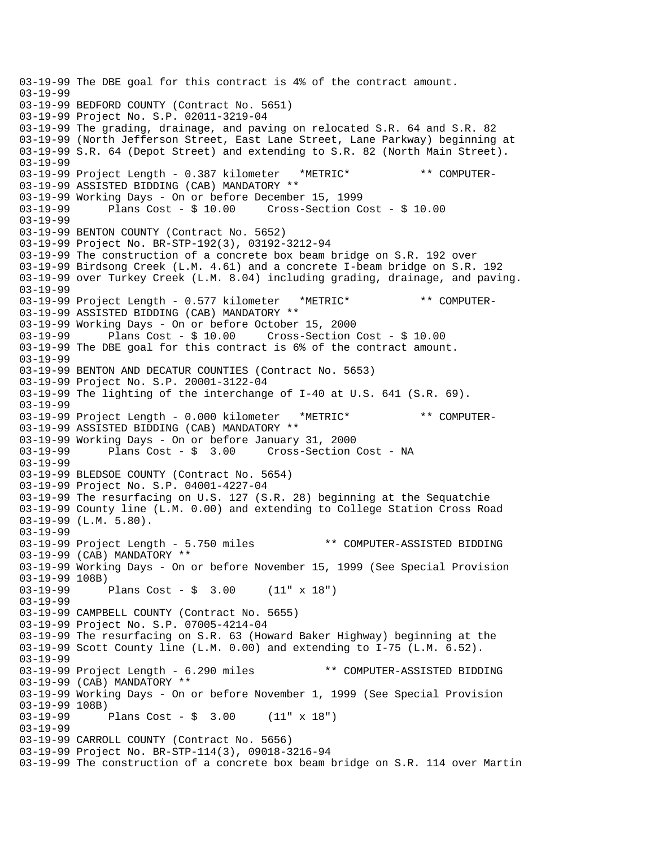03-19-99 The DBE goal for this contract is 4% of the contract amount. 03-19-99 03-19-99 BEDFORD COUNTY (Contract No. 5651) 03-19-99 Project No. S.P. 02011-3219-04 03-19-99 The grading, drainage, and paving on relocated S.R. 64 and S.R. 82 03-19-99 (North Jefferson Street, East Lane Street, Lane Parkway) beginning at 03-19-99 S.R. 64 (Depot Street) and extending to S.R. 82 (North Main Street). 03-19-99 03-19-99 Project Length - 0.387 kilometer \*METRIC\* \*\* COMPUTER-03-19-99 ASSISTED BIDDING (CAB) MANDATORY \*\* 03-19-99 Working Days - On or before December 15, 1999 03-19-99 Plans Cost - \$ 10.00 Cross-Section Cost - \$ 10.00 03-19-99 03-19-99 BENTON COUNTY (Contract No. 5652) 03-19-99 Project No. BR-STP-192(3), 03192-3212-94 03-19-99 The construction of a concrete box beam bridge on S.R. 192 over 03-19-99 Birdsong Creek (L.M. 4.61) and a concrete I-beam bridge on S.R. 192 03-19-99 over Turkey Creek (L.M. 8.04) including grading, drainage, and paving. 03-19-99 03-19-99 Project Length - 0.577 kilometer \*METRIC\* \*\* COMPUTER-03-19-99 ASSISTED BIDDING (CAB) MANDATORY \*\* 03-19-99 Working Days - On or before October 15, 2000 03-19-99 Plans Cost - \$ 10.00 Cross-Section Cost - \$ 10.00 03-19-99 The DBE goal for this contract is 6% of the contract amount. 03-19-99 03-19-99 BENTON AND DECATUR COUNTIES (Contract No. 5653) 03-19-99 Project No. S.P. 20001-3122-04 03-19-99 The lighting of the interchange of I-40 at U.S. 641 (S.R. 69). 03-19-99 03-19-99 Project Length - 0.000 kilometer \*METRIC\* \*\* COMPUTER-03-19-99 ASSISTED BIDDING (CAB) MANDATORY \*\* 03-19-99 Working Days - On or before January 31, 2000 Plans Cost - \$ 3.00 Cross-Section Cost - NA 03-19-99 03-19-99 BLEDSOE COUNTY (Contract No. 5654) 03-19-99 Project No. S.P. 04001-4227-04 03-19-99 The resurfacing on U.S. 127 (S.R. 28) beginning at the Sequatchie 03-19-99 County line (L.M. 0.00) and extending to College Station Cross Road 03-19-99 (L.M. 5.80). 03-19-99 03-19-99 Project Length - 5.750 miles \*\* COMPUTER-ASSISTED BIDDING 03-19-99 (CAB) MANDATORY \*\* 03-19-99 Working Days - On or before November 15, 1999 (See Special Provision 03-19-99 108B) Plans Cost - \$  $3.00$  (11" x 18") 03-19-99 03-19-99 CAMPBELL COUNTY (Contract No. 5655) 03-19-99 Project No. S.P. 07005-4214-04 03-19-99 The resurfacing on S.R. 63 (Howard Baker Highway) beginning at the 03-19-99 Scott County line (L.M. 0.00) and extending to I-75 (L.M. 6.52). 03-19-99 03-19-99 Project Length - 6.290 miles \*\* COMPUTER-ASSISTED BIDDING 03-19-99 (CAB) MANDATORY \*\* 03-19-99 Working Days - On or before November 1, 1999 (See Special Provision 03-19-99 108B)<br>03-19-99 Plans Cost -  $\frac{1}{2}$  3.00 (11" x 18") 03-19-99 03-19-99 CARROLL COUNTY (Contract No. 5656) 03-19-99 Project No. BR-STP-114(3), 09018-3216-94 03-19-99 The construction of a concrete box beam bridge on S.R. 114 over Martin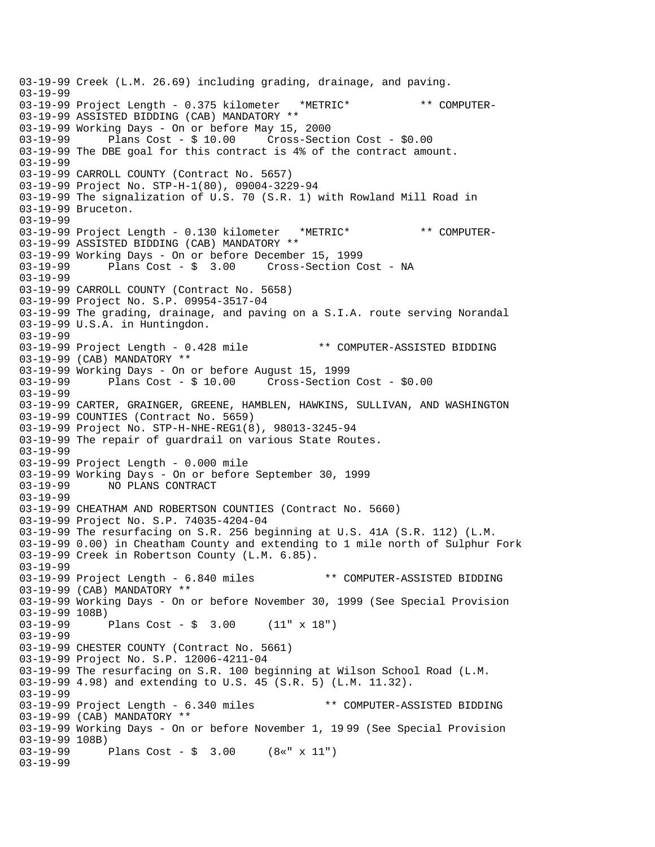03-19-99 Creek (L.M. 26.69) including grading, drainage, and paving. 03-19-99 03-19-99 Project Length - 0.375 kilometer \*METRIC\* \*\* COMPUTER-03-19-99 ASSISTED BIDDING (CAB) MANDATORY \*\* 03-19-99 Working Days - On or before May 15, 2000 03-19-99 Plans Cost - \$ 10.00 Cross-Section Cost - \$0.00 03-19-99 The DBE goal for this contract is 4% of the contract amount. 03-19-99 03-19-99 CARROLL COUNTY (Contract No. 5657) 03-19-99 Project No. STP-H-1(80), 09004-3229-94 03-19-99 The signalization of U.S. 70 (S.R. 1) with Rowland Mill Road in 03-19-99 Bruceton. 03-19-99 03-19-99 Project Length - 0.130 kilometer \*METRIC\* \*\* COMPUTER-03-19-99 ASSISTED BIDDING (CAB) MANDATORY \*\* 03-19-99 Working Days - On or before December 15, 1999<br>03-19-99 Plans Cost - \$ 3.00 Cross-Section Co Cross-Section Cost - NA 03-19-99 03-19-99 CARROLL COUNTY (Contract No. 5658) 03-19-99 Project No. S.P. 09954-3517-04 03-19-99 The grading, drainage, and paving on a S.I.A. route serving Norandal 03-19-99 U.S.A. in Huntingdon. 03-19-99 03-19-99 Project Length - 0.428 mile \*\* COMPUTER-ASSISTED BIDDING 03-19-99 (CAB) MANDATORY \*\* 03-19-99 Working Days - On or before August 15, 1999 03-19-99 Plans Cost - \$ 10.00 Cross-Section Cost - \$0.00 03-19-99 03-19-99 CARTER, GRAINGER, GREENE, HAMBLEN, HAWKINS, SULLIVAN, AND WASHINGTON 03-19-99 COUNTIES (Contract No. 5659) 03-19-99 Project No. STP-H-NHE-REG1(8), 98013-3245-94 03-19-99 The repair of guardrail on various State Routes. 03-19-99 03-19-99 Project Length - 0.000 mile 03-19-99 Working Days - On or before September 30, 1999 03-19-99 NO PLANS CONTRACT 03-19-99 03-19-99 CHEATHAM AND ROBERTSON COUNTIES (Contract No. 5660) 03-19-99 Project No. S.P. 74035-4204-04 03-19-99 The resurfacing on S.R. 256 beginning at U.S. 41A (S.R. 112) (L.M. 03-19-99 0.00) in Cheatham County and extending to 1 mile north of Sulphur Fork 03-19-99 Creek in Robertson County (L.M. 6.85). 03-19-99 03-19-99 Project Length - 6.840 miles \*\* COMPUTER-ASSISTED BIDDING 03-19-99 (CAB) MANDATORY \*\* 03-19-99 Working Days - On or before November 30, 1999 (See Special Provision 03-19-99 108B)<br>03-19-99 1 Plans Cost -  $\frac{1}{2}$  3.00 (11" x 18") 03-19-99 03-19-99 CHESTER COUNTY (Contract No. 5661) 03-19-99 Project No. S.P. 12006-4211-04 03-19-99 The resurfacing on S.R. 100 beginning at Wilson School Road (L.M. 03-19-99 4.98) and extending to U.S. 45 (S.R. 5) (L.M. 11.32). 03-19-99<br>03-19-99 Project Length - 6.340 miles \*\* COMPUTER-ASSISTED BIDDING 03-19-99 (CAB) MANDATORY \*\* 03-19-99 Working Days - On or before November 1, 19 99 (See Special Provision 03-19-99 108B)<br>03-19-99 1 Plans Cost -  $\frac{1}{2}$  3.00 (8«" x 11") 03-19-99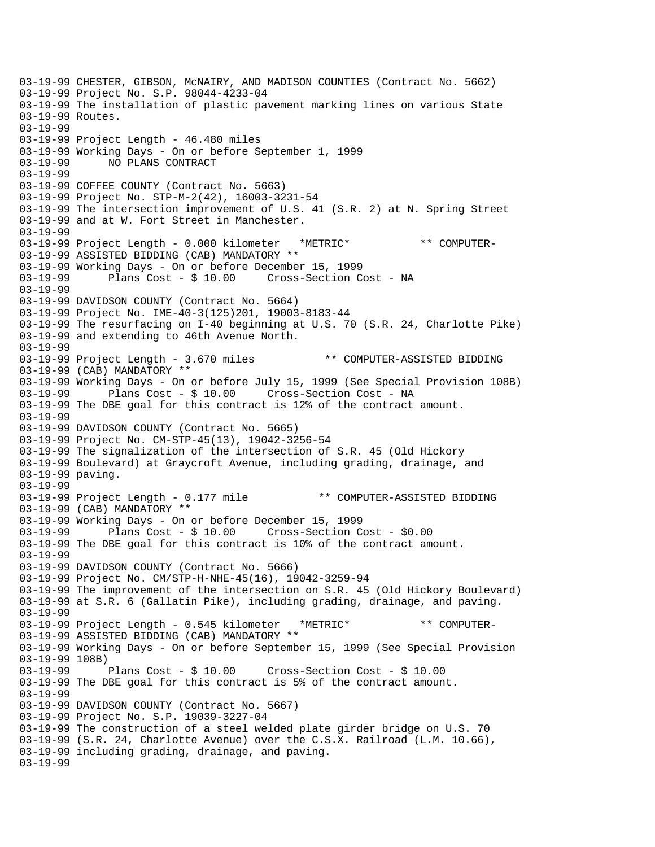03-19-99 CHESTER, GIBSON, McNAIRY, AND MADISON COUNTIES (Contract No. 5662) 03-19-99 Project No. S.P. 98044-4233-04 03-19-99 The installation of plastic pavement marking lines on various State 03-19-99 Routes. 03-19-99 03-19-99 Project Length - 46.480 miles 03-19-99 Working Days - On or before September 1, 1999 03-19-99 NO PLANS CONTRACT 03-19-99 03-19-99 COFFEE COUNTY (Contract No. 5663) 03-19-99 Project No. STP-M-2(42), 16003-3231-54 03-19-99 The intersection improvement of U.S. 41 (S.R. 2) at N. Spring Street 03-19-99 and at W. Fort Street in Manchester. 03-19-99 03-19-99 Project Length - 0.000 kilometer \*METRIC\* \*\* COMPUTER-03-19-99 ASSISTED BIDDING (CAB) MANDATORY \*\* 03-19-99 Working Days - On or before December 15, 1999 03-19-99 Plans Cost - \$ 10.00 Cross-Section Cost - NA 03-19-99 03-19-99 DAVIDSON COUNTY (Contract No. 5664) 03-19-99 Project No. IME-40-3(125)201, 19003-8183-44 03-19-99 The resurfacing on I-40 beginning at U.S. 70 (S.R. 24, Charlotte Pike) 03-19-99 and extending to 46th Avenue North. 03-19-99 03-19-99 Project Length - 3.670 miles \*\* COMPUTER-ASSISTED BIDDING 03-19-99 (CAB) MANDATORY \*\* 03-19-99 Working Days - On or before July 15, 1999 (See Special Provision 108B)<br>03-19-99 Plans Cost - \$ 10.00 Cross-Section Cost - NA Plans Cost - \$ 10.00 Cross-Section Cost - NA 03-19-99 The DBE goal for this contract is 12% of the contract amount. 03-19-99 03-19-99 DAVIDSON COUNTY (Contract No. 5665) 03-19-99 Project No. CM-STP-45(13), 19042-3256-54 03-19-99 The signalization of the intersection of S.R. 45 (Old Hickory 03-19-99 Boulevard) at Graycroft Avenue, including grading, drainage, and 03-19-99 paving. 03-19-99 03-19-99 Project Length - 0.177 mile \*\* COMPUTER-ASSISTED BIDDING 03-19-99 (CAB) MANDATORY \*\* 03-19-99 Working Days - On or before December 15, 1999 03-19-99 Plans Cost - \$ 10.00 Cross-Section Cost - \$0.00 03-19-99 The DBE goal for this contract is 10% of the contract amount. 03-19-99 03-19-99 DAVIDSON COUNTY (Contract No. 5666) 03-19-99 Project No. CM/STP-H-NHE-45(16), 19042-3259-94 03-19-99 The improvement of the intersection on S.R. 45 (Old Hickory Boulevard) 03-19-99 at S.R. 6 (Gallatin Pike), including grading, drainage, and paving. 03-19-99 03-19-99 Project Length - 0.545 kilometer \*METRIC\* \*\* COMPUTER-03-19-99 ASSISTED BIDDING (CAB) MANDATORY \*\* 03-19-99 Working Days - On or before September 15, 1999 (See Special Provision 03-19-99 108B) 03-19-99 Plans Cost - \$ 10.00 Cross-Section Cost - \$ 10.00 03-19-99 The DBE goal for this contract is 5% of the contract amount. 03-19-99 03-19-99 DAVIDSON COUNTY (Contract No. 5667) 03-19-99 Project No. S.P. 19039-3227-04 03-19-99 The construction of a steel welded plate girder bridge on U.S. 70 03-19-99 (S.R. 24, Charlotte Avenue) over the C.S.X. Railroad (L.M. 10.66), 03-19-99 including grading, drainage, and paving. 03-19-99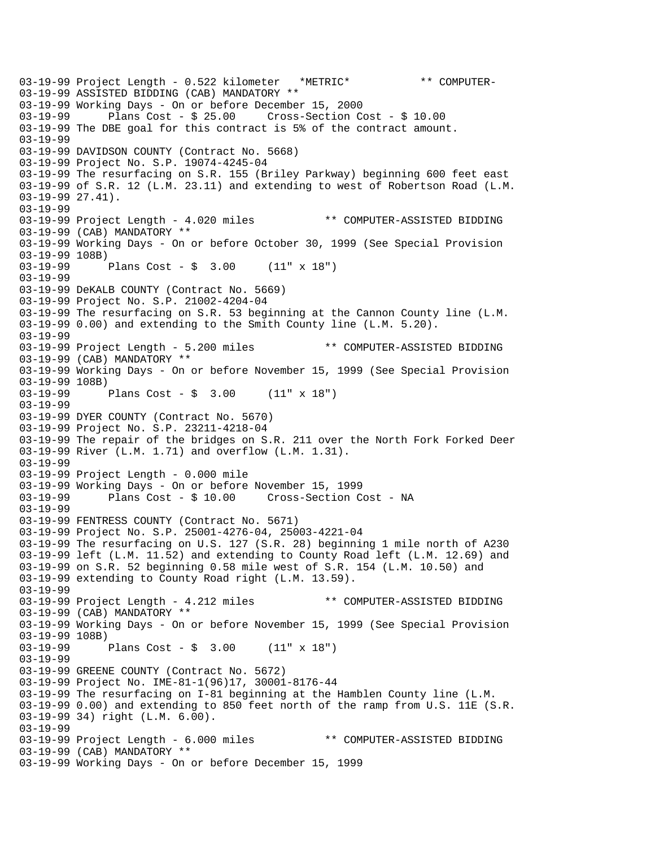03-19-99 Project Length - 0.522 kilometer \*METRIC\* \*\* COMPUTER-03-19-99 ASSISTED BIDDING (CAB) MANDATORY \*\* 03-19-99 Working Days - On or before December 15, 2000 03-19-99 Plans Cost - \$ 25.00 Cross-Section Cost - \$ 10.00 03-19-99 The DBE goal for this contract is 5% of the contract amount. 03-19-99 03-19-99 DAVIDSON COUNTY (Contract No. 5668) 03-19-99 Project No. S.P. 19074-4245-04 03-19-99 The resurfacing on S.R. 155 (Briley Parkway) beginning 600 feet east 03-19-99 of S.R. 12 (L.M. 23.11) and extending to west of Robertson Road (L.M. 03-19-99 27.41). 03-19-99 03-19-99 Project Length - 4.020 miles \*\* COMPUTER-ASSISTED BIDDING 03-19-99 (CAB) MANDATORY \*\* 03-19-99 Working Days - On or before October 30, 1999 (See Special Provision 03-19-99 108B)<br>03-19-99 1 Plans Cost -  $\frac{1}{2}$  3.00 (11" x 18") 03-19-99 03-19-99 DeKALB COUNTY (Contract No. 5669) 03-19-99 Project No. S.P. 21002-4204-04 03-19-99 The resurfacing on S.R. 53 beginning at the Cannon County line (L.M. 03-19-99 0.00) and extending to the Smith County line (L.M. 5.20). 03-19-99 03-19-99 Project Length - 5.200 miles \*\* COMPUTER-ASSISTED BIDDING 03-19-99 (CAB) MANDATORY \*\* 03-19-99 Working Days - On or before November 15, 1999 (See Special Provision 03-19-99 108B)<br>03-19-99 1 Plans Cost -  $\frac{1}{5}$  3.00 (11" x 18") 03-19-99 03-19-99 DYER COUNTY (Contract No. 5670) 03-19-99 Project No. S.P. 23211-4218-04 03-19-99 The repair of the bridges on S.R. 211 over the North Fork Forked Deer 03-19-99 River (L.M. 1.71) and overflow (L.M. 1.31). 03-19-99 03-19-99 Project Length - 0.000 mile 03-19-99 Working Days - On or before November 15, 1999 03-19-99 Plans Cost - \$ 10.00 Cross-Section Cost - NA 03-19-99 03-19-99 FENTRESS COUNTY (Contract No. 5671) 03-19-99 Project No. S.P. 25001-4276-04, 25003-4221-04 03-19-99 The resurfacing on U.S. 127 (S.R. 28) beginning 1 mile north of A230 03-19-99 left (L.M. 11.52) and extending to County Road left (L.M. 12.69) and 03-19-99 on S.R. 52 beginning 0.58 mile west of S.R. 154 (L.M. 10.50) and 03-19-99 extending to County Road right (L.M. 13.59). 03-19-99 03-19-99 Project Length - 4.212 miles \*\* COMPUTER-ASSISTED BIDDING 03-19-99 (CAB) MANDATORY \*\* 03-19-99 Working Days - On or before November 15, 1999 (See Special Provision 03-19-99 108B)<br>03-19-99 1 Plans Cost - \$ 3.00 (11" x 18") 03-19-99 03-19-99 GREENE COUNTY (Contract No. 5672) 03-19-99 Project No. IME-81-1(96)17, 30001-8176-44 03-19-99 The resurfacing on I-81 beginning at the Hamblen County line (L.M. 03-19-99 0.00) and extending to 850 feet north of the ramp from U.S. 11E (S.R. 03-19-99 34) right (L.M. 6.00). 03-19-99 03-19-99 Project Length - 6.000 miles \*\* COMPUTER-ASSISTED BIDDING 03-19-99 (CAB) MANDATORY \*\* 03-19-99 Working Days - On or before December 15, 1999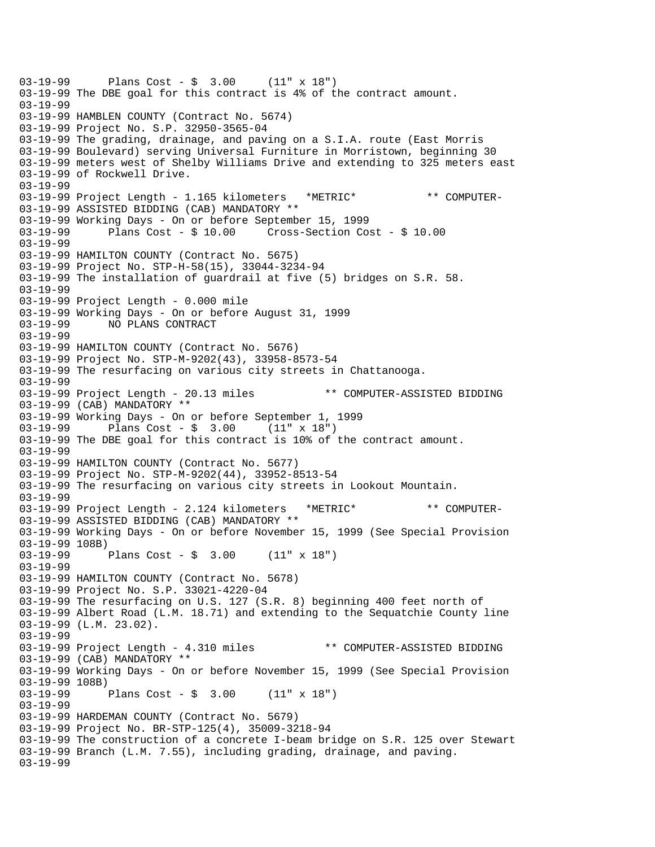```
03-19-99 Plans Cost - $ 3.00 (11" x 18") 
03-19-99 The DBE goal for this contract is 4% of the contract amount. 
03-19-99 
03-19-99 HAMBLEN COUNTY (Contract No. 5674) 
03-19-99 Project No. S.P. 32950-3565-04 
03-19-99 The grading, drainage, and paving on a S.I.A. route (East Morris 
03-19-99 Boulevard) serving Universal Furniture in Morristown, beginning 30 
03-19-99 meters west of Shelby Williams Drive and extending to 325 meters east 
03-19-99 of Rockwell Drive. 
03-19-99 
03-19-99 Project Length - 1.165 kilometers *METRIC* ** COMPUTER-
03-19-99 ASSISTED BIDDING (CAB) MANDATORY ** 
03-19-99 Working Days - On or before September 15, 1999 
03-19-99 Plans Cost - $ 10.00 Cross-Section Cost - $ 10.00 
03-19-99 
03-19-99 HAMILTON COUNTY (Contract No. 5675) 
03-19-99 Project No. STP-H-58(15), 33044-3234-94 
03-19-99 The installation of guardrail at five (5) bridges on S.R. 58. 
03-19-99 
03-19-99 Project Length - 0.000 mile 
03-19-99 Working Days - On or before August 31, 1999 
             NO PLANS CONTRACT
03-19-99 
03-19-99 HAMILTON COUNTY (Contract No. 5676) 
03-19-99 Project No. STP-M-9202(43), 33958-8573-54 
03-19-99 The resurfacing on various city streets in Chattanooga. 
03-19-99 
03-19-99 Project Length - 20.13 miles ** COMPUTER-ASSISTED BIDDING
03-19-99 (CAB) MANDATORY ** 
03-19-99 Working Days - On or before September 1, 1999 
03-19-99 Plans Cost - $ 3.00 (11" x 18") 
03-19-99 The DBE goal for this contract is 10% of the contract amount. 
03-19-99 
03-19-99 HAMILTON COUNTY (Contract No. 5677) 
03-19-99 Project No. STP-M-9202(44), 33952-8513-54 
03-19-99 The resurfacing on various city streets in Lookout Mountain. 
03-19-99 
03-19-99 Project Length - 2.124 kilometers *METRIC* ** COMPUTER-
03-19-99 ASSISTED BIDDING (CAB) MANDATORY ** 
03-19-99 Working Days - On or before November 15, 1999 (See Special Provision 
03-19-99 108B) 
03-19-99 Plans Cost - $ 3.00 (11" x 18") 
03-19-99 
03-19-99 HAMILTON COUNTY (Contract No. 5678) 
03-19-99 Project No. S.P. 33021-4220-04 
03-19-99 The resurfacing on U.S. 127 (S.R. 8) beginning 400 feet north of 
03-19-99 Albert Road (L.M. 18.71) and extending to the Sequatchie County line 
03-19-99 (L.M. 23.02). 
03-19-99 
03-19-99 Project Length - 4.310 miles ** COMPUTER-ASSISTED BIDDING
03-19-99 (CAB) MANDATORY ** 
03-19-99 Working Days - On or before November 15, 1999 (See Special Provision 
03-19-99 108B) 
03-19-99 Plans Cost - $ 3.00 (11" x 18") 
03-19-99 
03-19-99 HARDEMAN COUNTY (Contract No. 5679) 
03-19-99 Project No. BR-STP-125(4), 35009-3218-94 
03-19-99 The construction of a concrete I-beam bridge on S.R. 125 over Stewart 
03-19-99 Branch (L.M. 7.55), including grading, drainage, and paving. 
03-19-99
```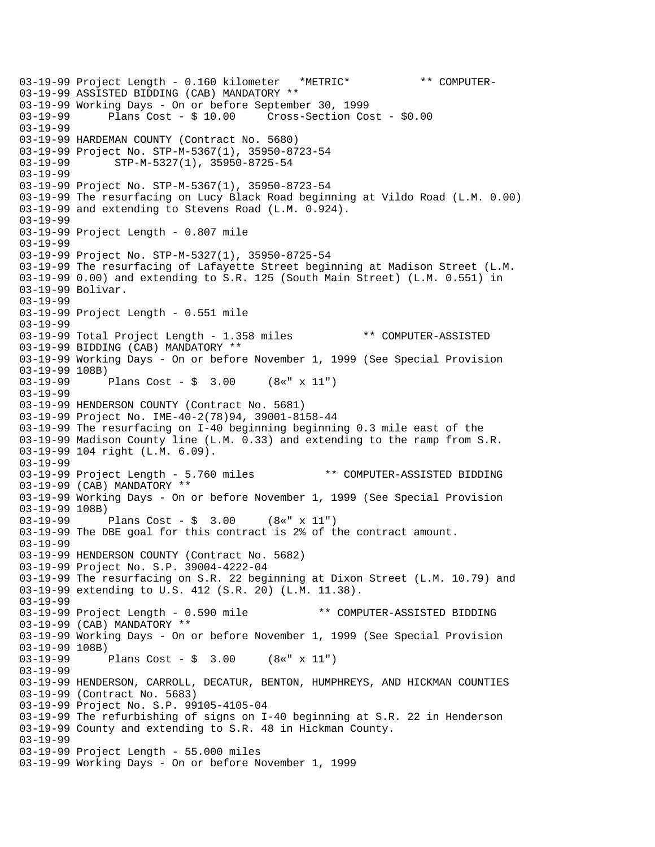03-19-99 Project Length - 0.160 kilometer \*METRIC\* \*\* COMPUTER-03-19-99 ASSISTED BIDDING (CAB) MANDATORY \*\* 03-19-99 Working Days - On or before September 30, 1999 03-19-99 Plans Cost - \$ 10.00 Cross-Section Cost - \$0.00 03-19-99 03-19-99 HARDEMAN COUNTY (Contract No. 5680) 03-19-99 Project No. STP-M-5367(1), 35950-8723-54 03-19-99 STP-M-5327(1), 35950-8725-54 03-19-99 03-19-99 Project No. STP-M-5367(1), 35950-8723-54 03-19-99 The resurfacing on Lucy Black Road beginning at Vildo Road (L.M. 0.00) 03-19-99 and extending to Stevens Road (L.M. 0.924). 03-19-99 03-19-99 Project Length - 0.807 mile 03-19-99 03-19-99 Project No. STP-M-5327(1), 35950-8725-54 03-19-99 The resurfacing of Lafayette Street beginning at Madison Street (L.M. 03-19-99 0.00) and extending to S.R. 125 (South Main Street) (L.M. 0.551) in 03-19-99 Bolivar. 03-19-99 03-19-99 Project Length - 0.551 mile 03-19-99 03-19-99 Total Project Length - 1.358 miles \*\* COMPUTER-ASSISTED 03-19-99 BIDDING (CAB) MANDATORY \*\* 03-19-99 Working Days - On or before November 1, 1999 (See Special Provision 03-19-99 108B) 03-19-99 Plans Cost - \$ 3.00 (8«" x 11") 03-19-99 03-19-99 HENDERSON COUNTY (Contract No. 5681) 03-19-99 Project No. IME-40-2(78)94, 39001-8158-44 03-19-99 The resurfacing on I-40 beginning beginning 0.3 mile east of the 03-19-99 Madison County line (L.M. 0.33) and extending to the ramp from S.R. 03-19-99 104 right (L.M. 6.09). 03-19-99 03-19-99 Project Length - 5.760 miles \*\* COMPUTER-ASSISTED BIDDING 03-19-99 (CAB) MANDATORY \*\* 03-19-99 Working Days - On or before November 1, 1999 (See Special Provision 03-19-99 108B) 03-19-99 Plans Cost - \$ 3.00 (8«" x 11") 03-19-99 The DBE goal for this contract is 2% of the contract amount. 03-19-99 03-19-99 HENDERSON COUNTY (Contract No. 5682) 03-19-99 Project No. S.P. 39004-4222-04 03-19-99 The resurfacing on S.R. 22 beginning at Dixon Street (L.M. 10.79) and 03-19-99 extending to U.S. 412 (S.R. 20) (L.M. 11.38). 03-19-99 03-19-99 Project Length - 0.590 mile \*\* COMPUTER-ASSISTED BIDDING 03-19-99 (CAB) MANDATORY \*\* 03-19-99 Working Days - On or before November 1, 1999 (See Special Provision 03-19-99 108B)<br>03-19-99 1 Plans Cost -  $$ 3.00$  (8«" x 11") 03-19-99 03-19-99 HENDERSON, CARROLL, DECATUR, BENTON, HUMPHREYS, AND HICKMAN COUNTIES 03-19-99 (Contract No. 5683) 03-19-99 Project No. S.P. 99105-4105-04 03-19-99 The refurbishing of signs on I-40 beginning at S.R. 22 in Henderson 03-19-99 County and extending to S.R. 48 in Hickman County. 03-19-99 03-19-99 Project Length - 55.000 miles 03-19-99 Working Days - On or before November 1, 1999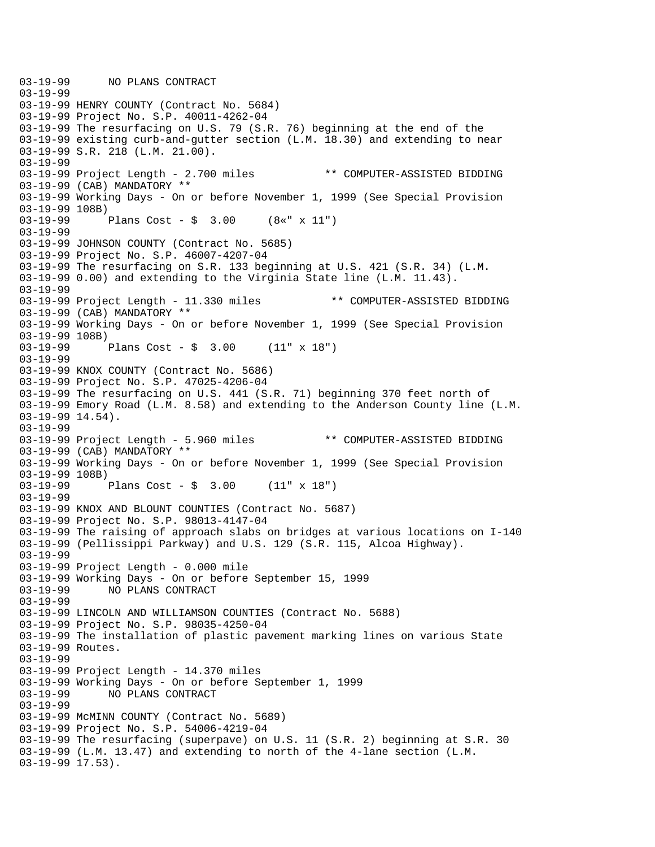03-19-99 NO PLANS CONTRACT 03-19-99 03-19-99 HENRY COUNTY (Contract No. 5684) 03-19-99 Project No. S.P. 40011-4262-04 03-19-99 The resurfacing on U.S. 79 (S.R. 76) beginning at the end of the 03-19-99 existing curb-and-gutter section (L.M. 18.30) and extending to near 03-19-99 S.R. 218 (L.M. 21.00). 03-19-99 03-19-99 Project Length - 2.700 miles \*\* COMPUTER-ASSISTED BIDDING 03-19-99 (CAB) MANDATORY \*\* 03-19-99 Working Days - On or before November 1, 1999 (See Special Provision 03-19-99 108B) 03-19-99 Plans Cost - \$ 3.00 (8«" x 11") 03-19-99 03-19-99 JOHNSON COUNTY (Contract No. 5685) 03-19-99 Project No. S.P. 46007-4207-04 03-19-99 The resurfacing on S.R. 133 beginning at U.S. 421 (S.R. 34) (L.M. 03-19-99 0.00) and extending to the Virginia State line (L.M. 11.43). 03-19-99 03-19-99 Project Length - 11.330 miles \*\* COMPUTER-ASSISTED BIDDING 03-19-99 (CAB) MANDATORY \*\* 03-19-99 Working Days - On or before November 1, 1999 (See Special Provision 03-19-99 108B) 03-19-99 Plans Cost - \$ 3.00 (11" x 18") 03-19-99 03-19-99 KNOX COUNTY (Contract No. 5686) 03-19-99 Project No. S.P. 47025-4206-04 03-19-99 The resurfacing on U.S. 441 (S.R. 71) beginning 370 feet north of 03-19-99 Emory Road (L.M. 8.58) and extending to the Anderson County line (L.M. 03-19-99 14.54). 03-19-99 03-19-99 Project Length - 5.960 miles \*\* COMPUTER-ASSISTED BIDDING 03-19-99 (CAB) MANDATORY \*\* 03-19-99 Working Days - On or before November 1, 1999 (See Special Provision  $03-19-99$  108B)<br>03-19-99 Plans Cost -  $\frac{1}{2}$  3.00 (11" x 18") 03-19-99 03-19-99 KNOX AND BLOUNT COUNTIES (Contract No. 5687) 03-19-99 Project No. S.P. 98013-4147-04 03-19-99 The raising of approach slabs on bridges at various locations on I-140 03-19-99 (Pellissippi Parkway) and U.S. 129 (S.R. 115, Alcoa Highway). 03-19-99 03-19-99 Project Length - 0.000 mile 03-19-99 Working Days - On or before September 15, 1999<br>03-19-99 NO PLANS CONTRACT 03-19-99 NO PLANS CONTRACT 03-19-99 03-19-99 LINCOLN AND WILLIAMSON COUNTIES (Contract No. 5688) 03-19-99 Project No. S.P. 98035-4250-04 03-19-99 The installation of plastic pavement marking lines on various State 03-19-99 Routes. 03-19-99 03-19-99 Project Length - 14.370 miles 03-19-99 Working Days - On or before September 1, 1999 03-19-99 NO PLANS CONTRACT 03-19-99 03-19-99 McMINN COUNTY (Contract No. 5689) 03-19-99 Project No. S.P. 54006-4219-04 03-19-99 The resurfacing (superpave) on U.S. 11 (S.R. 2) beginning at S.R. 30 03-19-99 (L.M. 13.47) and extending to north of the 4-lane section (L.M. 03-19-99 17.53).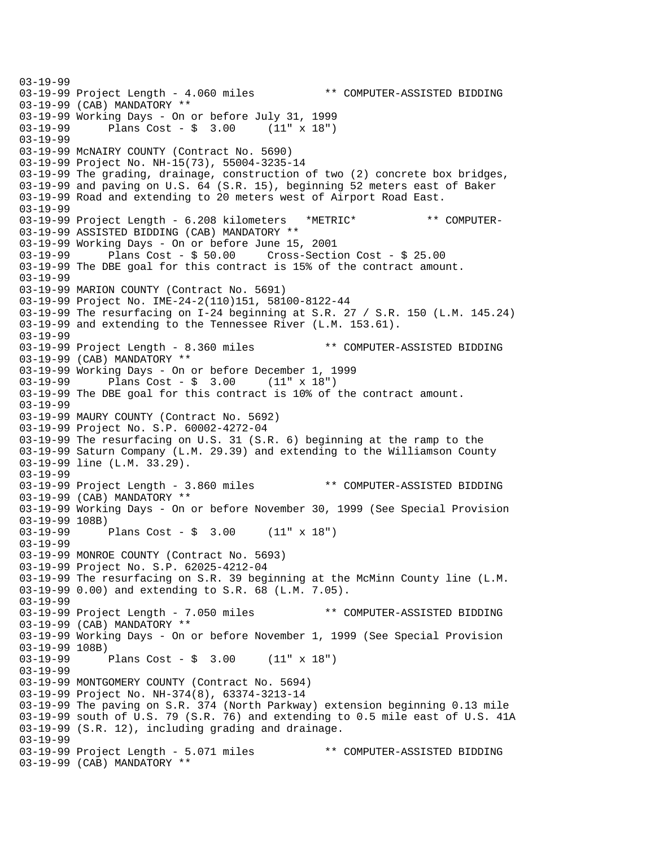03-19-99 03-19-99 Project Length - 4.060 miles \*\* COMPUTER-ASSISTED BIDDING 03-19-99 (CAB) MANDATORY \*\* 03-19-99 Working Days - On or before July 31, 1999 Plans  $Cost - $ 3.00$ 03-19-99 03-19-99 McNAIRY COUNTY (Contract No. 5690) 03-19-99 Project No. NH-15(73), 55004-3235-14 03-19-99 The grading, drainage, construction of two (2) concrete box bridges, 03-19-99 and paving on U.S. 64 (S.R. 15), beginning 52 meters east of Baker 03-19-99 Road and extending to 20 meters west of Airport Road East. 03-19-99 03-19-99 Project Length - 6.208 kilometers \*METRIC\* \*\* COMPUTER-03-19-99 ASSISTED BIDDING (CAB) MANDATORY \*\* 03-19-99 Working Days - On or before June 15, 2001 Plans Cost -  $$50.00$  Cross-Section Cost -  $$25.00$ 03-19-99 The DBE goal for this contract is 15% of the contract amount. 03-19-99 03-19-99 MARION COUNTY (Contract No. 5691) 03-19-99 Project No. IME-24-2(110)151, 58100-8122-44 03-19-99 The resurfacing on I-24 beginning at S.R. 27 / S.R. 150 (L.M. 145.24) 03-19-99 and extending to the Tennessee River (L.M. 153.61). 03-19-99 03-19-99 Project Length - 8.360 miles \*\* COMPUTER-ASSISTED BIDDING 03-19-99 (CAB) MANDATORY \*\* 03-19-99 Working Days - On or before December 1, 1999<br>03-19-99 Plans Cost - \$ 3.00 (11" x 18") Plans  $Cost - $ 3.00 (11" x 18")$ 03-19-99 The DBE goal for this contract is 10% of the contract amount. 03-19-99 03-19-99 MAURY COUNTY (Contract No. 5692) 03-19-99 Project No. S.P. 60002-4272-04 03-19-99 The resurfacing on U.S. 31 (S.R. 6) beginning at the ramp to the 03-19-99 Saturn Company (L.M. 29.39) and extending to the Williamson County 03-19-99 line (L.M. 33.29). 03-19-99 03-19-99 Project Length - 3.860 miles \*\* COMPUTER-ASSISTED BIDDING 03-19-99 (CAB) MANDATORY \*\* 03-19-99 Working Days - On or before November 30, 1999 (See Special Provision 03-19-99 108B)<br>03-19-99 1 Plans Cost -  $\frac{1}{2}$  3.00 (11" x 18") 03-19-99 03-19-99 MONROE COUNTY (Contract No. 5693) 03-19-99 Project No. S.P. 62025-4212-04 03-19-99 The resurfacing on S.R. 39 beginning at the McMinn County line (L.M. 03-19-99 0.00) and extending to S.R. 68 (L.M. 7.05). 03-19-99 03-19-99 Project Length - 7.050 miles \*\* COMPUTER-ASSISTED BIDDING 03-19-99 (CAB) MANDATORY \*\* 03-19-99 Working Days - On or before November 1, 1999 (See Special Provision 03-19-99 108B)<br>03-19-99 I Plans Cost -  $\frac{1}{2}$  3.00 (11" x 18") 03-19-99 03-19-99 MONTGOMERY COUNTY (Contract No. 5694) 03-19-99 Project No. NH-374(8), 63374-3213-14 03-19-99 The paving on S.R. 374 (North Parkway) extension beginning 0.13 mile 03-19-99 south of U.S. 79 (S.R. 76) and extending to 0.5 mile east of U.S. 41A 03-19-99 (S.R. 12), including grading and drainage. 03-19-99 03-19-99 Project Length - 5.071 miles \*\* COMPUTER-ASSISTED BIDDING 03-19-99 (CAB) MANDATORY \*\*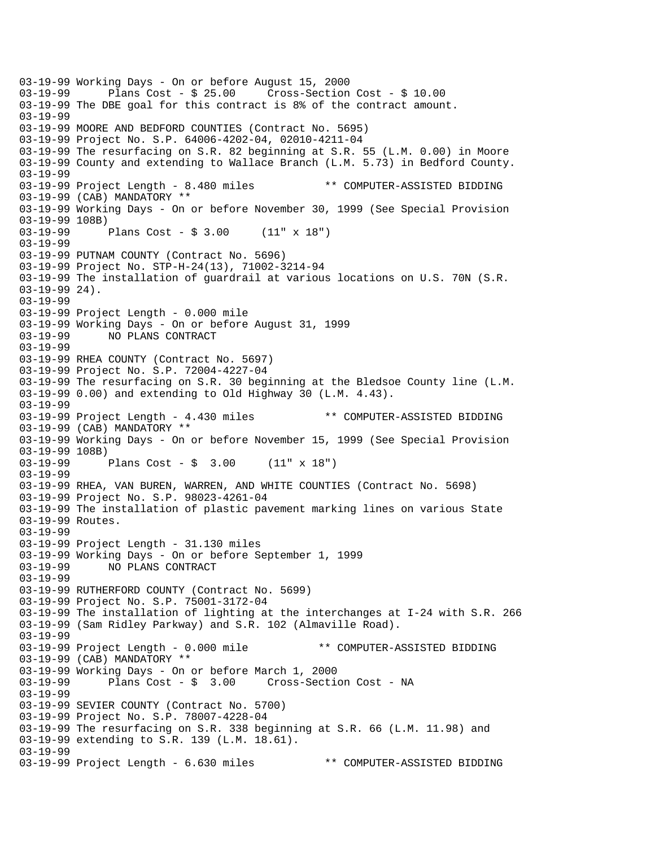03-19-99 Working Days - On or before August 15, 2000 Plans  $Cost - $ 25.00$  Cross-Section Cost -  $$ 10.00$ 03-19-99 The DBE goal for this contract is 8% of the contract amount. 03-19-99 03-19-99 MOORE AND BEDFORD COUNTIES (Contract No. 5695) 03-19-99 Project No. S.P. 64006-4202-04, 02010-4211-04 03-19-99 The resurfacing on S.R. 82 beginning at S.R. 55 (L.M. 0.00) in Moore 03-19-99 County and extending to Wallace Branch (L.M. 5.73) in Bedford County. 03-19-99 03-19-99 Project Length - 8.480 miles \*\* COMPUTER-ASSISTED BIDDING 03-19-99 (CAB) MANDATORY \*\* 03-19-99 Working Days - On or before November 30, 1999 (See Special Provision 03-19-99 108B) 03-19-99 Plans Cost - \$ 3.00 (11" x 18") 03-19-99 03-19-99 PUTNAM COUNTY (Contract No. 5696) 03-19-99 Project No. STP-H-24(13), 71002-3214-94 03-19-99 The installation of guardrail at various locations on U.S. 70N (S.R. 03-19-99 24). 03-19-99 03-19-99 Project Length - 0.000 mile 03-19-99 Working Days - On or before August 31, 1999 NO PLANS CONTRACT 03-19-99 03-19-99 RHEA COUNTY (Contract No. 5697) 03-19-99 Project No. S.P. 72004-4227-04 03-19-99 The resurfacing on S.R. 30 beginning at the Bledsoe County line (L.M. 03-19-99 0.00) and extending to Old Highway 30 (L.M. 4.43). 03-19-99 03-19-99 Project Length - 4.430 miles \*\* COMPUTER-ASSISTED BIDDING 03-19-99 (CAB) MANDATORY \*\* 03-19-99 Working Days - On or before November 15, 1999 (See Special Provision 03-19-99 108B) 03-19-99 Plans Cost - \$ 3.00 (11" x 18") 03-19-99 03-19-99 RHEA, VAN BUREN, WARREN, AND WHITE COUNTIES (Contract No. 5698) 03-19-99 Project No. S.P. 98023-4261-04 03-19-99 The installation of plastic pavement marking lines on various State 03-19-99 Routes. 03-19-99 03-19-99 Project Length - 31.130 miles 03-19-99 Working Days - On or before September 1, 1999 03-19-99 NO PLANS CONTRACT 03-19-99 03-19-99 RUTHERFORD COUNTY (Contract No. 5699) 03-19-99 Project No. S.P. 75001-3172-04 03-19-99 The installation of lighting at the interchanges at I-24 with S.R. 266 03-19-99 (Sam Ridley Parkway) and S.R. 102 (Almaville Road). 03-19-99 03-19-99 Project Length - 0.000 mile \*\* COMPUTER-ASSISTED BIDDING 03-19-99 (CAB) MANDATORY \*\* 03-19-99 Working Days - On or before March 1, 2000 03-19-99 Plans Cost - \$ 3.00 Cross-Section Cost - NA 03-19-99 03-19-99 SEVIER COUNTY (Contract No. 5700) 03-19-99 Project No. S.P. 78007-4228-04 03-19-99 The resurfacing on S.R. 338 beginning at S.R. 66 (L.M. 11.98) and 03-19-99 extending to S.R. 139 (L.M. 18.61). 03-19-99 03-19-99 Project Length - 6.630 miles \*\* COMPUTER-ASSISTED BIDDING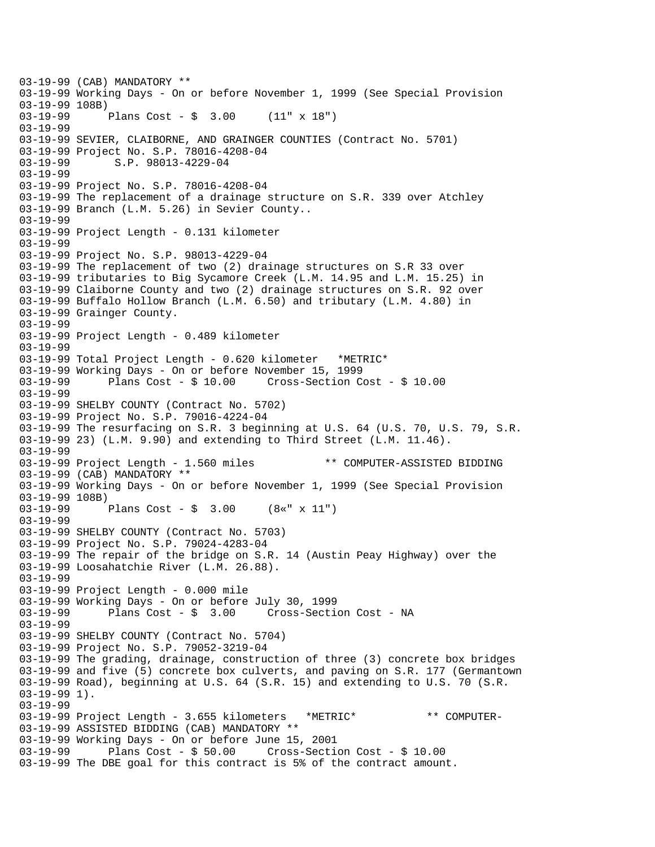03-19-99 (CAB) MANDATORY \*\* 03-19-99 Working Days - On or before November 1, 1999 (See Special Provision 03-19-99 108B) 03-19-99 Plans Cost - \$ 3.00 (11" x 18") 03-19-99 03-19-99 SEVIER, CLAIBORNE, AND GRAINGER COUNTIES (Contract No. 5701) 03-19-99 Project No. S.P. 78016-4208-04 03-19-99 S.P. 98013-4229-04 03-19-99 03-19-99 Project No. S.P. 78016-4208-04 03-19-99 The replacement of a drainage structure on S.R. 339 over Atchley 03-19-99 Branch (L.M. 5.26) in Sevier County.. 03-19-99 03-19-99 Project Length - 0.131 kilometer 03-19-99 03-19-99 Project No. S.P. 98013-4229-04 03-19-99 The replacement of two (2) drainage structures on S.R 33 over 03-19-99 tributaries to Big Sycamore Creek (L.M. 14.95 and L.M. 15.25) in 03-19-99 Claiborne County and two (2) drainage structures on S.R. 92 over 03-19-99 Buffalo Hollow Branch (L.M. 6.50) and tributary (L.M. 4.80) in 03-19-99 Grainger County. 03-19-99 03-19-99 Project Length - 0.489 kilometer 03-19-99 03-19-99 Total Project Length - 0.620 kilometer \*METRIC\* 03-19-99 Working Days - On or before November 15, 1999 03-19-99 Plans Cost - \$ 10.00 Cross-Section Cost - \$ 10.00 03-19-99 03-19-99 SHELBY COUNTY (Contract No. 5702) 03-19-99 Project No. S.P. 79016-4224-04 03-19-99 The resurfacing on S.R. 3 beginning at U.S. 64 (U.S. 70, U.S. 79, S.R. 03-19-99 23) (L.M. 9.90) and extending to Third Street (L.M. 11.46). 03-19-99 03-19-99 Project Length - 1.560 miles \*\* COMPUTER-ASSISTED BIDDING 03-19-99 (CAB) MANDATORY \*\* 03-19-99 Working Days - On or before November 1, 1999 (See Special Provision 03-19-99 108B)<br>03-19-99 Plans Cost -  $\frac{1}{5}$  3.00 (8«" x 11") 03-19-99 03-19-99 SHELBY COUNTY (Contract No. 5703) 03-19-99 Project No. S.P. 79024-4283-04 03-19-99 The repair of the bridge on S.R. 14 (Austin Peay Highway) over the 03-19-99 Loosahatchie River (L.M. 26.88). 03-19-99 03-19-99 Project Length - 0.000 mile 03-19-99 Working Days - On or before July 30, 1999 03-19-99 Plans Cost - \$ 3.00 Cross-Section Cost - NA 03-19-99 03-19-99 SHELBY COUNTY (Contract No. 5704) 03-19-99 Project No. S.P. 79052-3219-04 03-19-99 The grading, drainage, construction of three (3) concrete box bridges 03-19-99 and five (5) concrete box culverts, and paving on S.R. 177 (Germantown 03-19-99 Road), beginning at U.S. 64 (S.R. 15) and extending to U.S. 70 (S.R. 03-19-99 1). 03-19-99 03-19-99 Project Length - 3.655 kilometers \*METRIC\* \*\* COMPUTER-03-19-99 ASSISTED BIDDING (CAB) MANDATORY \*\* 03-19-99 Working Days - On or before June 15, 2001  $Cross-Section Cost - $ 10.00$ 03-19-99 The DBE goal for this contract is 5% of the contract amount.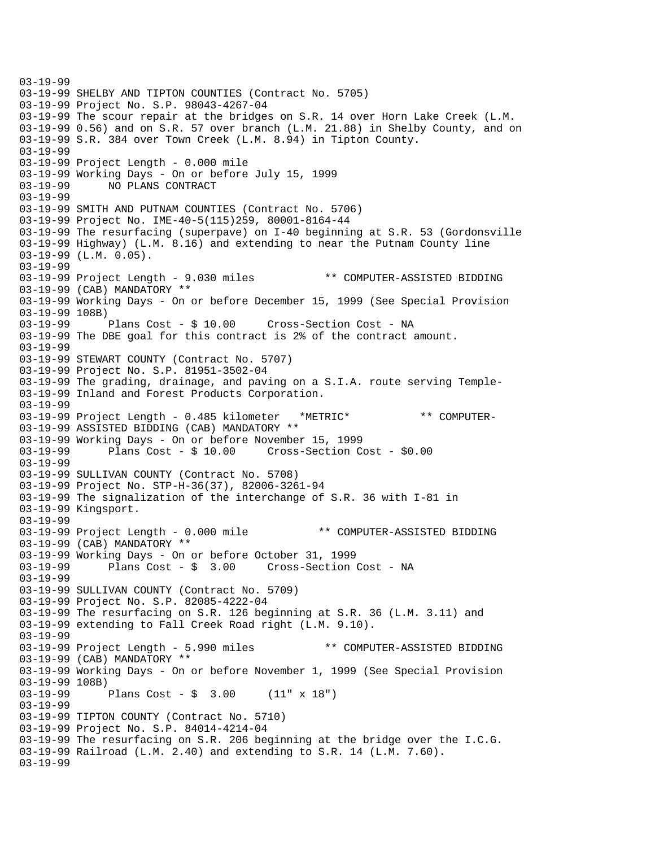03-19-99 03-19-99 SHELBY AND TIPTON COUNTIES (Contract No. 5705) 03-19-99 Project No. S.P. 98043-4267-04 03-19-99 The scour repair at the bridges on S.R. 14 over Horn Lake Creek (L.M. 03-19-99 0.56) and on S.R. 57 over branch (L.M. 21.88) in Shelby County, and on 03-19-99 S.R. 384 over Town Creek (L.M. 8.94) in Tipton County. 03-19-99 03-19-99 Project Length - 0.000 mile 03-19-99 Working Days - On or before July 15, 1999 03-19-99 NO PLANS CONTRACT 03-19-99 03-19-99 SMITH AND PUTNAM COUNTIES (Contract No. 5706) 03-19-99 Project No. IME-40-5(115)259, 80001-8164-44 03-19-99 The resurfacing (superpave) on I-40 beginning at S.R. 53 (Gordonsville 03-19-99 Highway) (L.M. 8.16) and extending to near the Putnam County line 03-19-99 (L.M. 0.05). 03-19-99 03-19-99 Project Length - 9.030 miles \*\* COMPUTER-ASSISTED BIDDING 03-19-99 (CAB) MANDATORY \*\* 03-19-99 Working Days - On or before December 15, 1999 (See Special Provision 03-19-99 108B)<br>03-19-99 Plans Cost - \$ 10.00 Cross-Section Cost - NA 03-19-99 The DBE goal for this contract is 2% of the contract amount. 03-19-99 03-19-99 STEWART COUNTY (Contract No. 5707) 03-19-99 Project No. S.P. 81951-3502-04 03-19-99 The grading, drainage, and paving on a S.I.A. route serving Temple-03-19-99 Inland and Forest Products Corporation. 03-19-99 03-19-99 Project Length - 0.485 kilometer \*METRIC\* \*\* COMPUTER-03-19-99 ASSISTED BIDDING (CAB) MANDATORY \*\* 03-19-99 Working Days - On or before November 15, 1999 Cross-Section Cost - \$0.00 03-19-99 03-19-99 SULLIVAN COUNTY (Contract No. 5708) 03-19-99 Project No. STP-H-36(37), 82006-3261-94 03-19-99 The signalization of the interchange of S.R. 36 with I-81 in 03-19-99 Kingsport. 03-19-99 03-19-99 Project Length - 0.000 mile \*\* COMPUTER-ASSISTED BIDDING 03-19-99 (CAB) MANDATORY \*\* 03-19-99 Working Days - On or before October 31, 1999 03-19-99 Plans Cost - \$ 3.00 Cross-Section Cost - NA 03-19-99 03-19-99 SULLIVAN COUNTY (Contract No. 5709) 03-19-99 Project No. S.P. 82085-4222-04 03-19-99 The resurfacing on S.R. 126 beginning at S.R. 36 (L.M. 3.11) and 03-19-99 extending to Fall Creek Road right (L.M. 9.10). 03-19-99 03-19-99 Project Length - 5.990 miles \*\* COMPUTER-ASSISTED BIDDING 03-19-99 (CAB) MANDATORY \*\* 03-19-99 Working Days - On or before November 1, 1999 (See Special Provision 03-19-99 108B) 03-19-99 Plans Cost - \$ 3.00 (11" x 18") 03-19-99 03-19-99 TIPTON COUNTY (Contract No. 5710) 03-19-99 Project No. S.P. 84014-4214-04 03-19-99 The resurfacing on S.R. 206 beginning at the bridge over the I.C.G. 03-19-99 Railroad (L.M. 2.40) and extending to S.R. 14 (L.M. 7.60). 03-19-99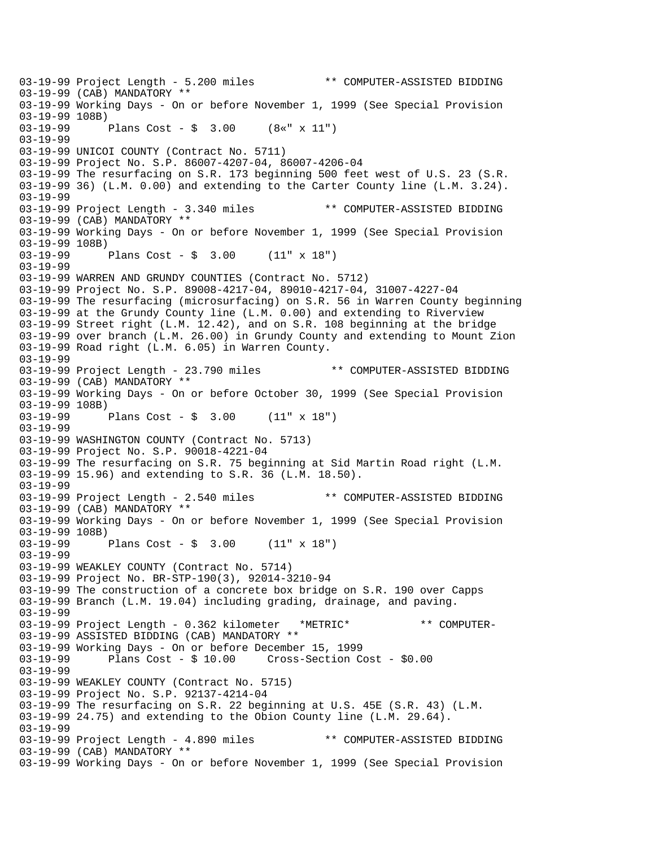03-19-99 Project Length - 5.200 miles \*\* COMPUTER-ASSISTED BIDDING 03-19-99 (CAB) MANDATORY \*\* 03-19-99 Working Days - On or before November 1, 1999 (See Special Provision 03-19-99 108B)<br>03-19-99 1 Plans Cost - \$ 3.00 (8«" x 11") 03-19-99 03-19-99 UNICOI COUNTY (Contract No. 5711) 03-19-99 Project No. S.P. 86007-4207-04, 86007-4206-04 03-19-99 The resurfacing on S.R. 173 beginning 500 feet west of U.S. 23 (S.R. 03-19-99 36) (L.M. 0.00) and extending to the Carter County line (L.M. 3.24). 03-19-99 03-19-99 Project Length - 3.340 miles \*\* COMPUTER-ASSISTED BIDDING 03-19-99 (CAB) MANDATORY \*\* 03-19-99 Working Days - On or before November 1, 1999 (See Special Provision  $03-19-99$  108B)<br> $03-19-99$  1 Plans Cost -  $\sin 3.00$  (11" x 18") 03-19-99 03-19-99 WARREN AND GRUNDY COUNTIES (Contract No. 5712) 03-19-99 Project No. S.P. 89008-4217-04, 89010-4217-04, 31007-4227-04 03-19-99 The resurfacing (microsurfacing) on S.R. 56 in Warren County beginning 03-19-99 at the Grundy County line (L.M. 0.00) and extending to Riverview 03-19-99 Street right (L.M. 12.42), and on S.R. 108 beginning at the bridge 03-19-99 over branch (L.M. 26.00) in Grundy County and extending to Mount Zion 03-19-99 Road right (L.M. 6.05) in Warren County. 03-19-99 03-19-99 Project Length - 23.790 miles \*\* COMPUTER-ASSISTED BIDDING 03-19-99 (CAB) MANDATORY \*\* 03-19-99 Working Days - On or before October 30, 1999 (See Special Provision 03-19-99 108B)<br>03-19-99 Plans Cost -  $\frac{1}{2}$  3.00 (11" x 18") 03-19-99 03-19-99 WASHINGTON COUNTY (Contract No. 5713) 03-19-99 Project No. S.P. 90018-4221-04 03-19-99 The resurfacing on S.R. 75 beginning at Sid Martin Road right (L.M. 03-19-99 15.96) and extending to S.R. 36 (L.M. 18.50). 03-19-99 03-19-99 Project Length - 2.540 miles \*\* COMPUTER-ASSISTED BIDDING 03-19-99 (CAB) MANDATORY \*\* 03-19-99 Working Days - On or before November 1, 1999 (See Special Provision 03-19-99 108B)<br>03-19-99 Plans Cost -  $\sin 3.00$  (11" x 18") 03-19-99 03-19-99 WEAKLEY COUNTY (Contract No. 5714) 03-19-99 Project No. BR-STP-190(3), 92014-3210-94 03-19-99 The construction of a concrete box bridge on S.R. 190 over Capps 03-19-99 Branch (L.M. 19.04) including grading, drainage, and paving. 03-19-99 03-19-99 Project Length - 0.362 kilometer \*METRIC\* \*\* COMPUTER-03-19-99 ASSISTED BIDDING (CAB) MANDATORY \*\* 03-19-99 Working Days - On or before December 15, 1999<br>03-19-99 Plans Cost - \$ 10.00 Cross-Section Co Plans  $Cost - $ 10.00$  Cross-Section Cost -  $$0.00$ 03-19-99 03-19-99 WEAKLEY COUNTY (Contract No. 5715) 03-19-99 Project No. S.P. 92137-4214-04 03-19-99 The resurfacing on S.R. 22 beginning at U.S. 45E (S.R. 43) (L.M. 03-19-99 24.75) and extending to the Obion County line (L.M. 29.64). 03-19-99 03-19-99 Project Length - 4.890 miles \*\* COMPUTER-ASSISTED BIDDING 03-19-99 (CAB) MANDATORY \*\* 03-19-99 Working Days - On or before November 1, 1999 (See Special Provision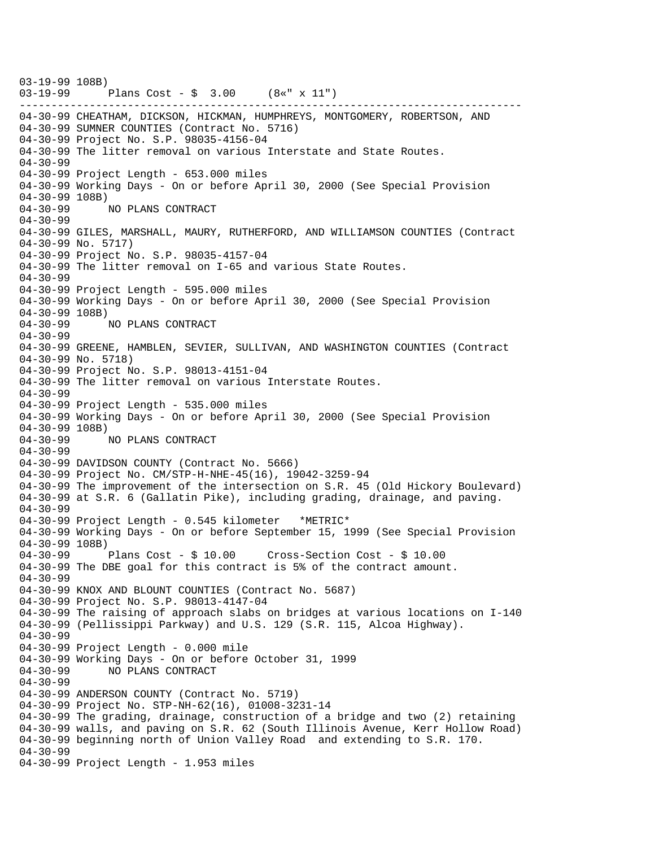------------------------------------------------------------------------------- 03-19-99 108B) 03-19-99 Plans Cost - \$ 3.00 (8«" x 11") 04-30-99 CHEATHAM, DICKSON, HICKMAN, HUMPHREYS, MONTGOMERY, ROBERTSON, AND 04-30-99 SUMNER COUNTIES (Contract No. 5716) 04-30-99 Project No. S.P. 98035-4156-04 04-30-99 The litter removal on various Interstate and State Routes. 04-30-99 04-30-99 Project Length - 653.000 miles 04-30-99 Working Days - On or before April 30, 2000 (See Special Provision 04-30-99 108B) 04-30-99 NO PLANS CONTRACT  $04 - 30 - 99$ 04-30-99 GILES, MARSHALL, MAURY, RUTHERFORD, AND WILLIAMSON COUNTIES (Contract 04-30-99 No. 5717) 04-30-99 Project No. S.P. 98035-4157-04 04-30-99 The litter removal on I-65 and various State Routes. 04-30-99 04-30-99 Project Length - 595.000 miles 04-30-99 Working Days - On or before April 30, 2000 (See Special Provision 04-30-99 108B) 04-30-99 NO PLANS CONTRACT 04-30-99 04-30-99 GREENE, HAMBLEN, SEVIER, SULLIVAN, AND WASHINGTON COUNTIES (Contract 04-30-99 No. 5718) 04-30-99 Project No. S.P. 98013-4151-04 04-30-99 The litter removal on various Interstate Routes. 04-30-99 04-30-99 Project Length - 535.000 miles 04-30-99 Working Days - On or before April 30, 2000 (See Special Provision 04-30-99 108B) 04-30-99 NO PLANS CONTRACT 04-30-99 04-30-99 DAVIDSON COUNTY (Contract No. 5666) 04-30-99 Project No. CM/STP-H-NHE-45(16), 19042-3259-94 04-30-99 The improvement of the intersection on S.R. 45 (Old Hickory Boulevard) 04-30-99 at S.R. 6 (Gallatin Pike), including grading, drainage, and paving. 04-30-99 04-30-99 Project Length - 0.545 kilometer \*METRIC\* 04-30-99 Working Days - On or before September 15, 1999 (See Special Provision 04-30-99 108B) 04-30-99 Plans Cost - \$ 10.00 Cross-Section Cost - \$ 10.00 04-30-99 The DBE goal for this contract is 5% of the contract amount.  $04 - 30 - 99$ 04-30-99 KNOX AND BLOUNT COUNTIES (Contract No. 5687) 04-30-99 Project No. S.P. 98013-4147-04 04-30-99 The raising of approach slabs on bridges at various locations on I-140 04-30-99 (Pellissippi Parkway) and U.S. 129 (S.R. 115, Alcoa Highway). 04-30-99 04-30-99 Project Length - 0.000 mile 04-30-99 Working Days - On or before October 31, 1999 04-30-99 NO PLANS CONTRACT 04-30-99 04-30-99 ANDERSON COUNTY (Contract No. 5719) 04-30-99 Project No. STP-NH-62(16), 01008-3231-14 04-30-99 The grading, drainage, construction of a bridge and two (2) retaining 04-30-99 walls, and paving on S.R. 62 (South Illinois Avenue, Kerr Hollow Road) 04-30-99 beginning north of Union Valley Road and extending to S.R. 170. 04-30-99 04-30-99 Project Length - 1.953 miles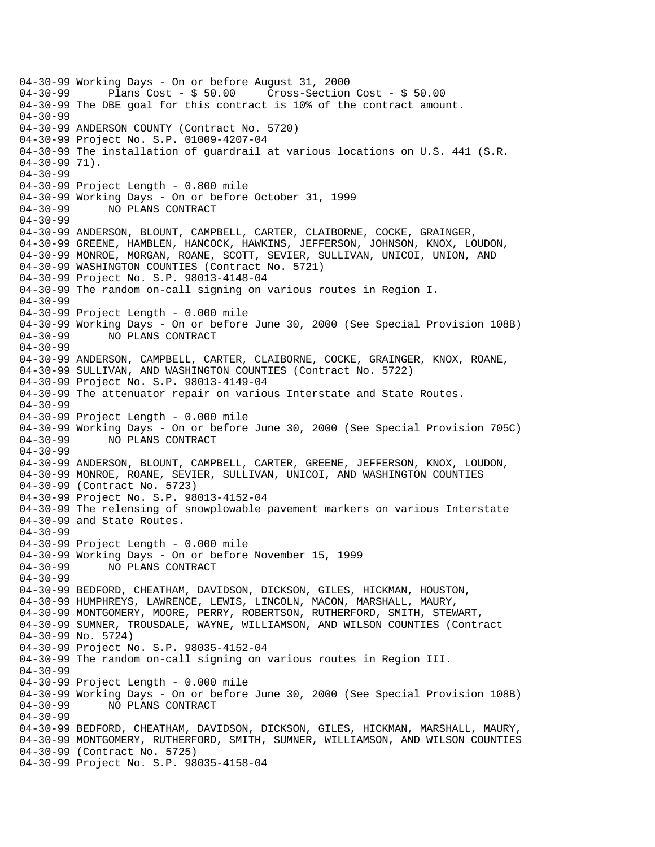04-30-99 Working Days - On or before August 31, 2000 Plans  $Cost - $ 50.00$  Cross-Section Cost - \$ 50.00 04-30-99 The DBE goal for this contract is 10% of the contract amount. 04-30-99 04-30-99 ANDERSON COUNTY (Contract No. 5720) 04-30-99 Project No. S.P. 01009-4207-04 04-30-99 The installation of guardrail at various locations on U.S. 441 (S.R. 04-30-99 71). 04-30-99 04-30-99 Project Length - 0.800 mile 04-30-99 Working Days - On or before October 31, 1999 04-30-99 NO PLANS CONTRACT  $04 - 30 - 99$ 04-30-99 ANDERSON, BLOUNT, CAMPBELL, CARTER, CLAIBORNE, COCKE, GRAINGER, 04-30-99 GREENE, HAMBLEN, HANCOCK, HAWKINS, JEFFERSON, JOHNSON, KNOX, LOUDON, 04-30-99 MONROE, MORGAN, ROANE, SCOTT, SEVIER, SULLIVAN, UNICOI, UNION, AND 04-30-99 WASHINGTON COUNTIES (Contract No. 5721) 04-30-99 Project No. S.P. 98013-4148-04 04-30-99 The random on-call signing on various routes in Region I. 04-30-99 04-30-99 Project Length - 0.000 mile 04-30-99 Working Days - On or before June 30, 2000 (See Special Provision 108B)<br>04-30-99 NO PLANS CONTRACT NO PLANS CONTRACT 04-30-99 04-30-99 ANDERSON, CAMPBELL, CARTER, CLAIBORNE, COCKE, GRAINGER, KNOX, ROANE, 04-30-99 SULLIVAN, AND WASHINGTON COUNTIES (Contract No. 5722) 04-30-99 Project No. S.P. 98013-4149-04 04-30-99 The attenuator repair on various Interstate and State Routes. 04-30-99 04-30-99 Project Length - 0.000 mile 04-30-99 Working Days - On or before June 30, 2000 (See Special Provision 705C) 04-30-99 NO PLANS CONTRACT 04-30-99 04-30-99 ANDERSON, BLOUNT, CAMPBELL, CARTER, GREENE, JEFFERSON, KNOX, LOUDON, 04-30-99 MONROE, ROANE, SEVIER, SULLIVAN, UNICOI, AND WASHINGTON COUNTIES 04-30-99 (Contract No. 5723) 04-30-99 Project No. S.P. 98013-4152-04 04-30-99 The relensing of snowplowable pavement markers on various Interstate 04-30-99 and State Routes. 04-30-99 04-30-99 Project Length - 0.000 mile 04-30-99 Working Days - On or before November 15, 1999 04-30-99 NO PLANS CONTRACT 04-30-99 04-30-99 BEDFORD, CHEATHAM, DAVIDSON, DICKSON, GILES, HICKMAN, HOUSTON, 04-30-99 HUMPHREYS, LAWRENCE, LEWIS, LINCOLN, MACON, MARSHALL, MAURY, 04-30-99 MONTGOMERY, MOORE, PERRY, ROBERTSON, RUTHERFORD, SMITH, STEWART, 04-30-99 SUMNER, TROUSDALE, WAYNE, WILLIAMSON, AND WILSON COUNTIES (Contract 04-30-99 No. 5724) 04-30-99 Project No. S.P. 98035-4152-04 04-30-99 The random on-call signing on various routes in Region III. 04-30-99 04-30-99 Project Length - 0.000 mile 04-30-99 Working Days - On or before June 30, 2000 (See Special Provision 108B)<br>04-30-99 NO PLANS CONTRACT NO PLANS CONTRACT 04-30-99 04-30-99 BEDFORD, CHEATHAM, DAVIDSON, DICKSON, GILES, HICKMAN, MARSHALL, MAURY, 04-30-99 MONTGOMERY, RUTHERFORD, SMITH, SUMNER, WILLIAMSON, AND WILSON COUNTIES 04-30-99 (Contract No. 5725) 04-30-99 Project No. S.P. 98035-4158-04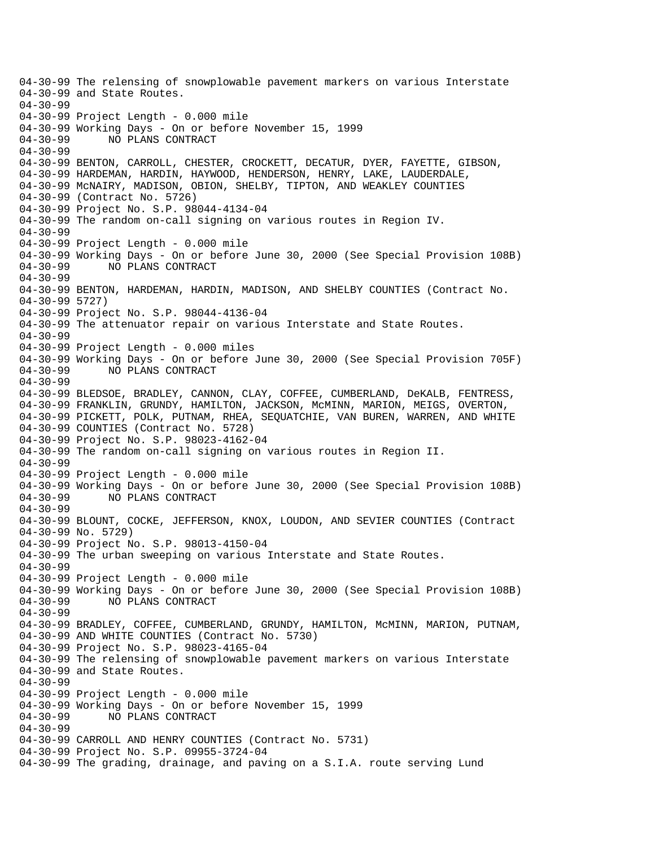04-30-99 The relensing of snowplowable pavement markers on various Interstate 04-30-99 and State Routes. 04-30-99 04-30-99 Project Length - 0.000 mile 04-30-99 Working Days - On or before November 15, 1999 04-30-99 NO PLANS CONTRACT 04-30-99 04-30-99 BENTON, CARROLL, CHESTER, CROCKETT, DECATUR, DYER, FAYETTE, GIBSON, 04-30-99 HARDEMAN, HARDIN, HAYWOOD, HENDERSON, HENRY, LAKE, LAUDERDALE, 04-30-99 McNAIRY, MADISON, OBION, SHELBY, TIPTON, AND WEAKLEY COUNTIES 04-30-99 (Contract No. 5726) 04-30-99 Project No. S.P. 98044-4134-04 04-30-99 The random on-call signing on various routes in Region IV. 04-30-99 04-30-99 Project Length - 0.000 mile 04-30-99 Working Days - On or before June 30, 2000 (See Special Provision 108B)<br>04-30-99 NO PLANS CONTRACT NO PLANS CONTRACT 04-30-99 04-30-99 BENTON, HARDEMAN, HARDIN, MADISON, AND SHELBY COUNTIES (Contract No. 04-30-99 5727) 04-30-99 Project No. S.P. 98044-4136-04 04-30-99 The attenuator repair on various Interstate and State Routes. 04-30-99 04-30-99 Project Length - 0.000 miles 04-30-99 Working Days - On or before June 30, 2000 (See Special Provision 705F)<br>04-30-99 NO PLANS CONTRACT NO PLANS CONTRACT 04-30-99 04-30-99 BLEDSOE, BRADLEY, CANNON, CLAY, COFFEE, CUMBERLAND, DeKALB, FENTRESS, 04-30-99 FRANKLIN, GRUNDY, HAMILTON, JACKSON, McMINN, MARION, MEIGS, OVERTON, 04-30-99 PICKETT, POLK, PUTNAM, RHEA, SEQUATCHIE, VAN BUREN, WARREN, AND WHITE 04-30-99 COUNTIES (Contract No. 5728) 04-30-99 Project No. S.P. 98023-4162-04 04-30-99 The random on-call signing on various routes in Region II. 04-30-99 04-30-99 Project Length - 0.000 mile 04-30-99 Working Days - On or before June 30, 2000 (See Special Provision 108B) 04-30-99 NO PLANS CONTRACT 04-30-99 04-30-99 BLOUNT, COCKE, JEFFERSON, KNOX, LOUDON, AND SEVIER COUNTIES (Contract 04-30-99 No. 5729) 04-30-99 Project No. S.P. 98013-4150-04 04-30-99 The urban sweeping on various Interstate and State Routes. 04-30-99 04-30-99 Project Length - 0.000 mile 04-30-99 Working Days - On or before June 30, 2000 (See Special Provision 108B) 04-30-99 NO PLANS CONTRACT 04-30-99 04-30-99 BRADLEY, COFFEE, CUMBERLAND, GRUNDY, HAMILTON, McMINN, MARION, PUTNAM, 04-30-99 AND WHITE COUNTIES (Contract No. 5730) 04-30-99 Project No. S.P. 98023-4165-04 04-30-99 The relensing of snowplowable pavement markers on various Interstate 04-30-99 and State Routes. 04-30-99 04-30-99 Project Length - 0.000 mile 04-30-99 Working Days - On or before November 15, 1999 NO PLANS CONTRACT 04-30-99 04-30-99 CARROLL AND HENRY COUNTIES (Contract No. 5731) 04-30-99 Project No. S.P. 09955-3724-04 04-30-99 The grading, drainage, and paving on a S.I.A. route serving Lund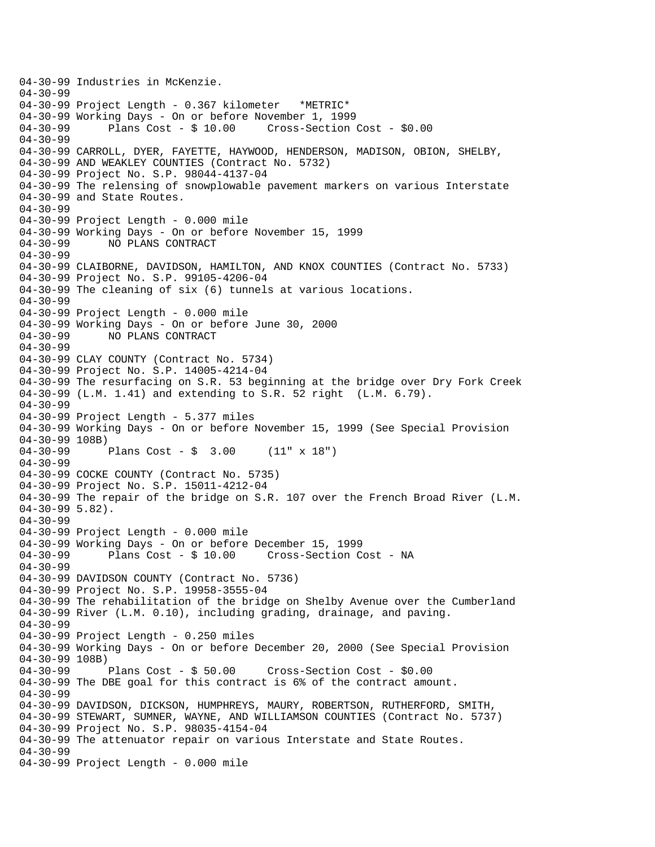04-30-99 Industries in McKenzie. 04-30-99 04-30-99 Project Length - 0.367 kilometer \*METRIC\* 04-30-99 Working Days - On or before November 1, 1999<br>04-30-99 Plans Cost - \$ 10.00 Cross-Section Plans  $Cost - $ 10.00$  Cross-Section Cost -  $$0.00$ 04-30-99 04-30-99 CARROLL, DYER, FAYETTE, HAYWOOD, HENDERSON, MADISON, OBION, SHELBY, 04-30-99 AND WEAKLEY COUNTIES (Contract No. 5732) 04-30-99 Project No. S.P. 98044-4137-04 04-30-99 The relensing of snowplowable pavement markers on various Interstate 04-30-99 and State Routes. 04-30-99 04-30-99 Project Length - 0.000 mile 04-30-99 Working Days - On or before November 15, 1999<br>04-30-99 NO PLANS CONTRACT NO PLANS CONTRACT 04-30-99 04-30-99 CLAIBORNE, DAVIDSON, HAMILTON, AND KNOX COUNTIES (Contract No. 5733) 04-30-99 Project No. S.P. 99105-4206-04 04-30-99 The cleaning of six (6) tunnels at various locations. 04-30-99 04-30-99 Project Length - 0.000 mile 04-30-99 Working Days - On or before June 30, 2000 04-30-99 NO PLANS CONTRACT 04-30-99 04-30-99 CLAY COUNTY (Contract No. 5734) 04-30-99 Project No. S.P. 14005-4214-04 04-30-99 The resurfacing on S.R. 53 beginning at the bridge over Dry Fork Creek 04-30-99 (L.M. 1.41) and extending to S.R. 52 right (L.M. 6.79). 04-30-99 04-30-99 Project Length - 5.377 miles 04-30-99 Working Days - On or before November 15, 1999 (See Special Provision 04-30-99 108B)<br>04-30-99 Plans Cost -  $\frac{1}{2}$  3.00 (11" x 18") 04-30-99 04-30-99 COCKE COUNTY (Contract No. 5735) 04-30-99 Project No. S.P. 15011-4212-04 04-30-99 The repair of the bridge on S.R. 107 over the French Broad River (L.M. 04-30-99 5.82). 04-30-99 04-30-99 Project Length - 0.000 mile 04-30-99 Working Days - On or before December 15, 1999 04-30-99 Plans Cost - \$ 10.00 Cross-Section Cost - NA 04-30-99 04-30-99 DAVIDSON COUNTY (Contract No. 5736) 04-30-99 Project No. S.P. 19958-3555-04 04-30-99 The rehabilitation of the bridge on Shelby Avenue over the Cumberland 04-30-99 River (L.M. 0.10), including grading, drainage, and paving. 04-30-99 04-30-99 Project Length - 0.250 miles 04-30-99 Working Days - On or before December 20, 2000 (See Special Provision 04-30-99 108B) 04-30-99 Plans Cost - \$ 50.00 Cross-Section Cost - \$0.00 04-30-99 The DBE goal for this contract is 6% of the contract amount. 04-30-99 04-30-99 DAVIDSON, DICKSON, HUMPHREYS, MAURY, ROBERTSON, RUTHERFORD, SMITH, 04-30-99 STEWART, SUMNER, WAYNE, AND WILLIAMSON COUNTIES (Contract No. 5737) 04-30-99 Project No. S.P. 98035-4154-04 04-30-99 The attenuator repair on various Interstate and State Routes. 04-30-99 04-30-99 Project Length - 0.000 mile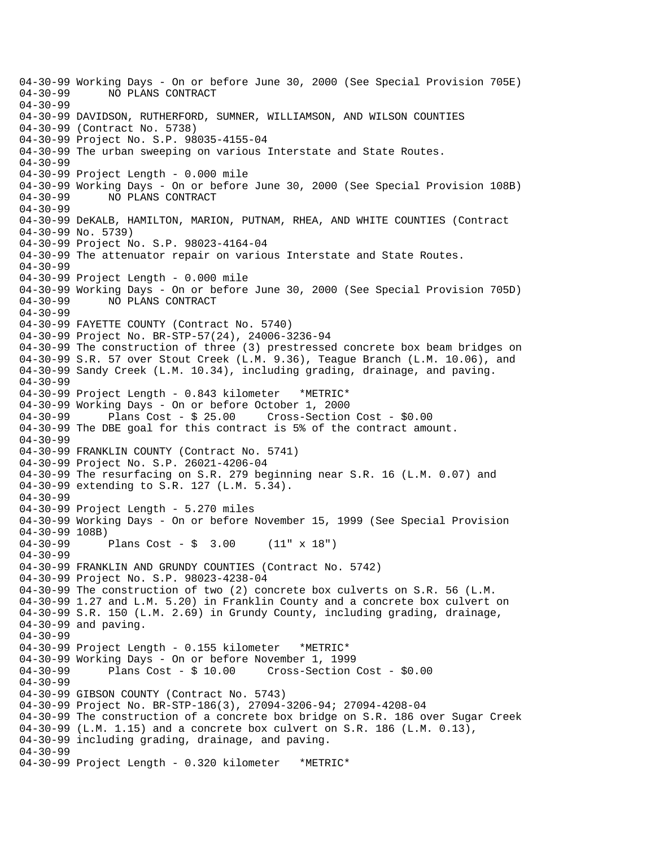04-30-99 Working Days - On or before June 30, 2000 (See Special Provision 705E)<br>04-30-99 NO PLANS CONTRACT NO PLANS CONTRACT 04-30-99 04-30-99 DAVIDSON, RUTHERFORD, SUMNER, WILLIAMSON, AND WILSON COUNTIES 04-30-99 (Contract No. 5738) 04-30-99 Project No. S.P. 98035-4155-04 04-30-99 The urban sweeping on various Interstate and State Routes. 04-30-99 04-30-99 Project Length - 0.000 mile 04-30-99 Working Days - On or before June 30, 2000 (See Special Provision 108B) 04-30-99 NO PLANS CONTRACT 04-30-99 04-30-99 DeKALB, HAMILTON, MARION, PUTNAM, RHEA, AND WHITE COUNTIES (Contract 04-30-99 No. 5739) 04-30-99 Project No. S.P. 98023-4164-04 04-30-99 The attenuator repair on various Interstate and State Routes. 04-30-99 04-30-99 Project Length - 0.000 mile 04-30-99 Working Days - On or before June 30, 2000 (See Special Provision 705D) 04-30-99 NO PLANS CONTRACT 04-30-99 04-30-99 FAYETTE COUNTY (Contract No. 5740) 04-30-99 Project No. BR-STP-57(24), 24006-3236-94 04-30-99 The construction of three (3) prestressed concrete box beam bridges on 04-30-99 S.R. 57 over Stout Creek (L.M. 9.36), Teague Branch (L.M. 10.06), and 04-30-99 Sandy Creek (L.M. 10.34), including grading, drainage, and paving. 04-30-99 04-30-99 Project Length - 0.843 kilometer \*METRIC\* 04-30-99 Working Days - On or before October 1, 2000 04-30-99 Plans Cost - \$ 25.00 Cross-Section Cost - \$0.00 04-30-99 The DBE goal for this contract is 5% of the contract amount. 04-30-99 04-30-99 FRANKLIN COUNTY (Contract No. 5741) 04-30-99 Project No. S.P. 26021-4206-04 04-30-99 The resurfacing on S.R. 279 beginning near S.R. 16 (L.M. 0.07) and 04-30-99 extending to S.R. 127 (L.M. 5.34). 04-30-99 04-30-99 Project Length - 5.270 miles 04-30-99 Working Days - On or before November 15, 1999 (See Special Provision 04-30-99 108B) 04-30-99 Plans Cost - \$ 3.00 (11" x 18") 04-30-99 04-30-99 FRANKLIN AND GRUNDY COUNTIES (Contract No. 5742) 04-30-99 Project No. S.P. 98023-4238-04 04-30-99 The construction of two (2) concrete box culverts on S.R. 56 (L.M. 04-30-99 1.27 and L.M. 5.20) in Franklin County and a concrete box culvert on 04-30-99 S.R. 150 (L.M. 2.69) in Grundy County, including grading, drainage, 04-30-99 and paving. 04-30-99 04-30-99 Project Length - 0.155 kilometer \*METRIC\* 04-30-99 Working Days - On or before November 1, 1999 04-30-99 Plans Cost - \$ 10.00 Cross-Section Cost - \$0.00 04-30-99 04-30-99 GIBSON COUNTY (Contract No. 5743) 04-30-99 Project No. BR-STP-186(3), 27094-3206-94; 27094-4208-04 04-30-99 The construction of a concrete box bridge on S.R. 186 over Sugar Creek 04-30-99 (L.M. 1.15) and a concrete box culvert on S.R. 186 (L.M. 0.13), 04-30-99 including grading, drainage, and paving. 04-30-99 04-30-99 Project Length - 0.320 kilometer \*METRIC\*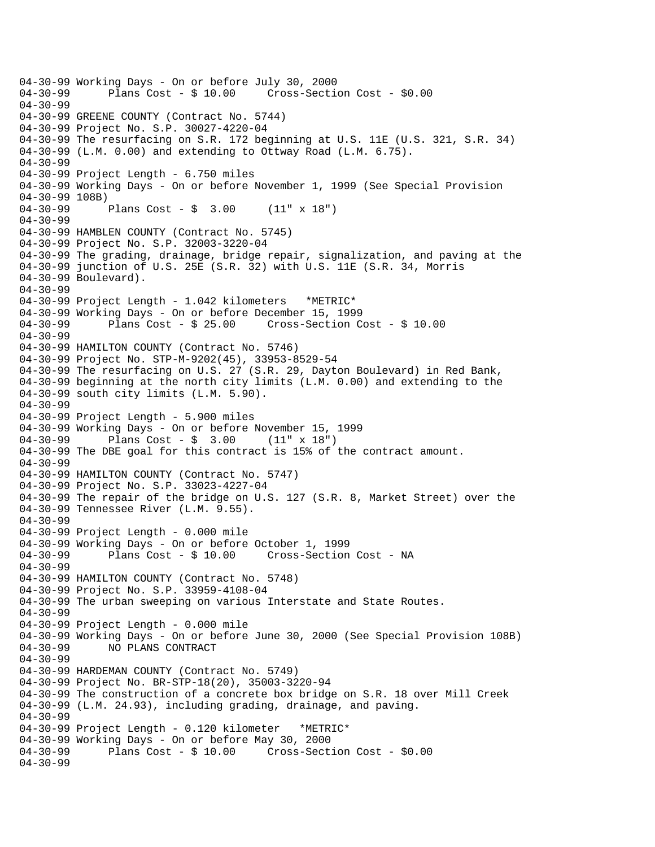```
04-30-99 Working Days - On or before July 30, 2000 
              Plans Cost - $ 10.00 Cross-Section Cost - $0.0004-30-99 
04-30-99 GREENE COUNTY (Contract No. 5744) 
04-30-99 Project No. S.P. 30027-4220-04 
04-30-99 The resurfacing on S.R. 172 beginning at U.S. 11E (U.S. 321, S.R. 34) 
04-30-99 (L.M. 0.00) and extending to Ottway Road (L.M. 6.75). 
04-30-99 
04-30-99 Project Length - 6.750 miles 
04-30-99 Working Days - On or before November 1, 1999 (See Special Provision 
04-30-99 108B) 
04-30-99 Plans Cost - $ 3.00 (11" x 18") 
04-30-99 
04-30-99 HAMBLEN COUNTY (Contract No. 5745) 
04-30-99 Project No. S.P. 32003-3220-04 
04-30-99 The grading, drainage, bridge repair, signalization, and paving at the 
04-30-99 junction of U.S. 25E (S.R. 32) with U.S. 11E (S.R. 34, Morris 
04-30-99 Boulevard). 
04-30-99 
04-30-99 Project Length - 1.042 kilometers *METRIC* 
04-30-99 Working Days - On or before December 15, 1999 
              Plans Cost - $ 25.00 Cross-Section Cost - $ 10.0004-30-99 
04-30-99 HAMILTON COUNTY (Contract No. 5746) 
04-30-99 Project No. STP-M-9202(45), 33953-8529-54 
04-30-99 The resurfacing on U.S. 27 (S.R. 29, Dayton Boulevard) in Red Bank, 
04-30-99 beginning at the north city limits (L.M. 0.00) and extending to the 
04-30-99 south city limits (L.M. 5.90). 
04-30-99 
04-30-99 Project Length - 5.900 miles 
04-30-99 Working Days - On or before November 15, 1999 
04-30-99 Plans Cost - $ 3.00 (11" x 18") 
04-30-99 The DBE goal for this contract is 15% of the contract amount. 
04-30-99 
04-30-99 HAMILTON COUNTY (Contract No. 5747) 
04-30-99 Project No. S.P. 33023-4227-04 
04-30-99 The repair of the bridge on U.S. 127 (S.R. 8, Market Street) over the 
04-30-99 Tennessee River (L.M. 9.55). 
04-30-99 
04-30-99 Project Length - 0.000 mile 
04-30-99 Working Days - On or before October 1, 1999 
04-30-99 Plans Cost - $ 10.00 Cross-Section Cost - NA 
04-30-99 
04-30-99 HAMILTON COUNTY (Contract No. 5748) 
04-30-99 Project No. S.P. 33959-4108-04 
04-30-99 The urban sweeping on various Interstate and State Routes. 
04-30-99 
04-30-99 Project Length - 0.000 mile 
04-30-99 Working Days - On or before June 30, 2000 (See Special Provision 108B)<br>04-30-99     NO PLANS CONTRACT
              NO PLANS CONTRACT
04-30-99 
04-30-99 HARDEMAN COUNTY (Contract No. 5749) 
04-30-99 Project No. BR-STP-18(20), 35003-3220-94 
04-30-99 The construction of a concrete box bridge on S.R. 18 over Mill Creek 
04-30-99 (L.M. 24.93), including grading, drainage, and paving. 
04-30-99 
04-30-99 Project Length - 0.120 kilometer *METRIC* 
04-30-99 Working Days - On or before May 30, 2000<br>04-30-99 Plans Cost - $ 10.00 Cross-Sect
              Plans Cost - $ 10.00 Cross-Section Cost - $0.0004-30-99
```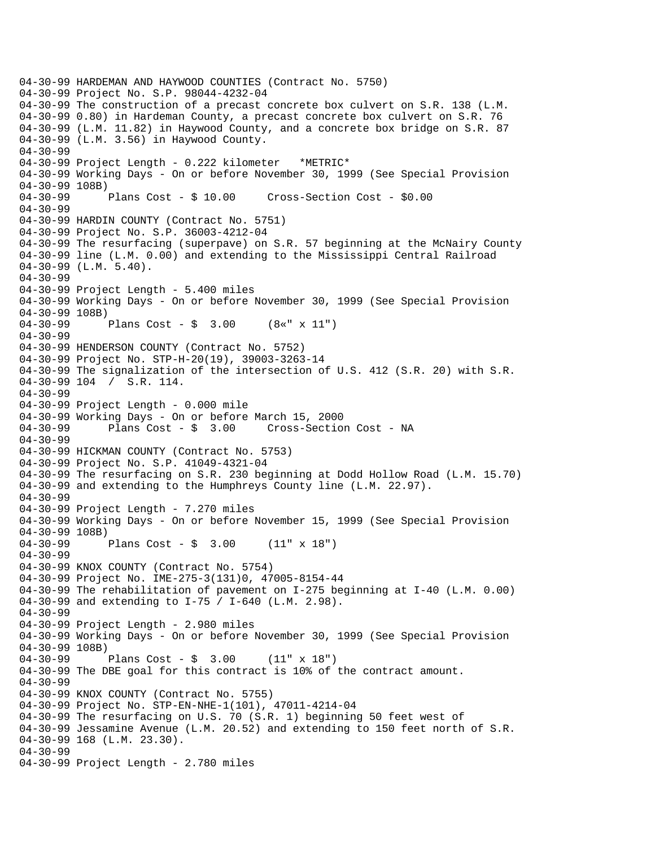04-30-99 HARDEMAN AND HAYWOOD COUNTIES (Contract No. 5750) 04-30-99 Project No. S.P. 98044-4232-04 04-30-99 The construction of a precast concrete box culvert on S.R. 138 (L.M. 04-30-99 0.80) in Hardeman County, a precast concrete box culvert on S.R. 76 04-30-99 (L.M. 11.82) in Haywood County, and a concrete box bridge on S.R. 87 04-30-99 (L.M. 3.56) in Haywood County. 04-30-99 04-30-99 Project Length - 0.222 kilometer \*METRIC\* 04-30-99 Working Days - On or before November 30, 1999 (See Special Provision 04-30-99 108B) 04-30-99 Plans Cost - \$ 10.00 Cross-Section Cost - \$0.00 04-30-99 04-30-99 HARDIN COUNTY (Contract No. 5751) 04-30-99 Project No. S.P. 36003-4212-04 04-30-99 The resurfacing (superpave) on S.R. 57 beginning at the McNairy County 04-30-99 line (L.M. 0.00) and extending to the Mississippi Central Railroad 04-30-99 (L.M. 5.40). 04-30-99 04-30-99 Project Length - 5.400 miles 04-30-99 Working Days - On or before November 30, 1999 (See Special Provision 04-30-99 108B)<br>04-30-99 Plans Cost -  $\frac{1}{2}$  3.00 (8«" x 11") 04-30-99 04-30-99 HENDERSON COUNTY (Contract No. 5752) 04-30-99 Project No. STP-H-20(19), 39003-3263-14 04-30-99 The signalization of the intersection of U.S. 412 (S.R. 20) with S.R. 04-30-99 104 / S.R. 114. 04-30-99 04-30-99 Project Length - 0.000 mile 04-30-99 Working Days - On or before March 15, 2000 04-30-99 Plans Cost - \$ 3.00 Cross-Section Cost - NA 04-30-99 04-30-99 HICKMAN COUNTY (Contract No. 5753) 04-30-99 Project No. S.P. 41049-4321-04 04-30-99 The resurfacing on S.R. 230 beginning at Dodd Hollow Road (L.M. 15.70) 04-30-99 and extending to the Humphreys County line (L.M. 22.97). 04-30-99 04-30-99 Project Length - 7.270 miles 04-30-99 Working Days - On or before November 15, 1999 (See Special Provision 04-30-99 108B) 04-30-99 Plans Cost - \$ 3.00 (11" x 18") 04-30-99 04-30-99 KNOX COUNTY (Contract No. 5754) 04-30-99 Project No. IME-275-3(131)0, 47005-8154-44 04-30-99 The rehabilitation of pavement on I-275 beginning at I-40 (L.M. 0.00) 04-30-99 and extending to I-75 / I-640 (L.M. 2.98). 04-30-99 04-30-99 Project Length - 2.980 miles 04-30-99 Working Days - On or before November 30, 1999 (See Special Provision 04-30-99 108B)<br>04-30-99 Plans Cost -  $\frac{1}{2}$  3.00 (11" x 18") 04-30-99 The DBE goal for this contract is 10% of the contract amount. 04-30-99 04-30-99 KNOX COUNTY (Contract No. 5755) 04-30-99 Project No. STP-EN-NHE-1(101), 47011-4214-04 04-30-99 The resurfacing on U.S. 70 (S.R. 1) beginning 50 feet west of 04-30-99 Jessamine Avenue (L.M. 20.52) and extending to 150 feet north of S.R. 04-30-99 168 (L.M. 23.30). 04-30-99 04-30-99 Project Length - 2.780 miles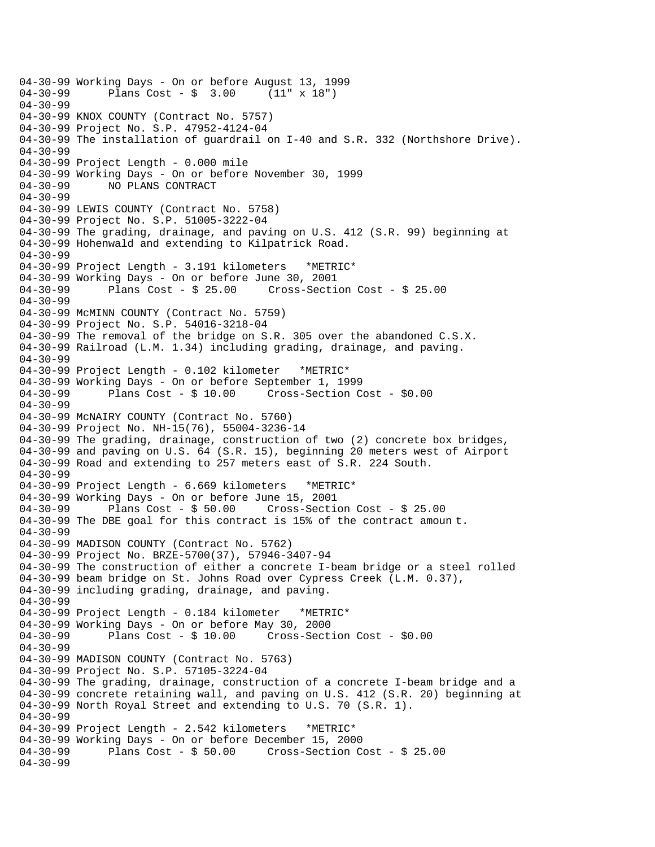```
04-30-99 Working Days - On or before August 13, 1999<br>04-30-99       Plans Cost - $  3.00     (11" x 18")
              Plans Cost - $ 3.0004-30-99 
04-30-99 KNOX COUNTY (Contract No. 5757) 
04-30-99 Project No. S.P. 47952-4124-04 
04-30-99 The installation of guardrail on I-40 and S.R. 332 (Northshore Drive). 
04-30-99 
04-30-99 Project Length - 0.000 mile 
04-30-99 Working Days - On or before November 30, 1999 
04-30-99 NO PLANS CONTRACT 
04-30-99 
04-30-99 LEWIS COUNTY (Contract No. 5758) 
04-30-99 Project No. S.P. 51005-3222-04 
04-30-99 The grading, drainage, and paving on U.S. 412 (S.R. 99) beginning at 
04-30-99 Hohenwald and extending to Kilpatrick Road. 
04-30-99 
04-30-99 Project Length - 3.191 kilometers *METRIC* 
04-30-99 Working Days - On or before June 30, 2001 
04-30-99 Plans Cost - $ 25.00 Cross-Section Cost - $ 25.00 
04-30-99 
04-30-99 McMINN COUNTY (Contract No. 5759) 
04-30-99 Project No. S.P. 54016-3218-04 
04-30-99 The removal of the bridge on S.R. 305 over the abandoned C.S.X. 
04-30-99 Railroad (L.M. 1.34) including grading, drainage, and paving. 
04-30-99 
04-30-99 Project Length - 0.102 kilometer *METRIC* 
04-30-99 Working Days - On or before September 1, 1999 
             Plans Cost - $ 10.00 Cross-Section Cost - $0.0004-30-99 
04-30-99 McNAIRY COUNTY (Contract No. 5760) 
04-30-99 Project No. NH-15(76), 55004-3236-14 
04-30-99 The grading, drainage, construction of two (2) concrete box bridges, 
04-30-99 and paving on U.S. 64 (S.R. 15), beginning 20 meters west of Airport 
04-30-99 Road and extending to 257 meters east of S.R. 224 South. 
04-30-99 
04-30-99 Project Length - 6.669 kilometers *METRIC* 
04-30-99 Working Days - On or before June 15, 2001 
04-30-99 Plans Cost - $ 50.00 Cross-Section Cost - $ 25.00 
04-30-99 The DBE goal for this contract is 15% of the contract amoun t. 
04-30-99 
04-30-99 MADISON COUNTY (Contract No. 5762) 
04-30-99 Project No. BRZE-5700(37), 57946-3407-94 
04-30-99 The construction of either a concrete I-beam bridge or a steel rolled 
04-30-99 beam bridge on St. Johns Road over Cypress Creek (L.M. 0.37), 
04-30-99 including grading, drainage, and paving. 
04-30-99 
04-30-99 Project Length - 0.184 kilometer *METRIC* 
04-30-99 Working Days - On or before May 30, 2000 
              Plans Cost - $ 10.00 Cross-Section Cost - $0.0004-30-99 
04-30-99 MADISON COUNTY (Contract No. 5763) 
04-30-99 Project No. S.P. 57105-3224-04 
04-30-99 The grading, drainage, construction of a concrete I-beam bridge and a 
04-30-99 concrete retaining wall, and paving on U.S. 412 (S.R. 20) beginning at 
04-30-99 North Royal Street and extending to U.S. 70 (S.R. 1). 
04-30-99 
04-30-99 Project Length - 2.542 kilometers *METRIC* 
04-30-99 Working Days - On or before December 15, 2000 
              Plans Cost - $50.00 Cross-Section Cost - $25.0004-30-99
```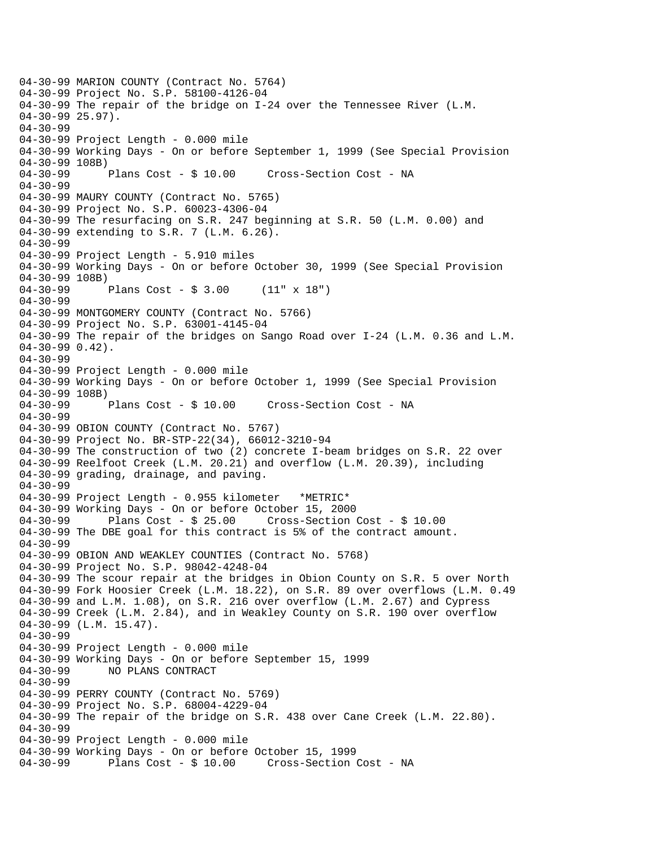04-30-99 MARION COUNTY (Contract No. 5764) 04-30-99 Project No. S.P. 58100-4126-04 04-30-99 The repair of the bridge on I-24 over the Tennessee River (L.M.  $04-30-99$  25.97). 04-30-99 04-30-99 Project Length - 0.000 mile 04-30-99 Working Days - On or before September 1, 1999 (See Special Provision 04-30-99 108B) 04-30-99 Plans Cost - \$ 10.00 Cross-Section Cost - NA 04-30-99 04-30-99 MAURY COUNTY (Contract No. 5765) 04-30-99 Project No. S.P. 60023-4306-04 04-30-99 The resurfacing on S.R. 247 beginning at S.R. 50 (L.M. 0.00) and 04-30-99 extending to S.R. 7 (L.M. 6.26). 04-30-99 04-30-99 Project Length - 5.910 miles 04-30-99 Working Days - On or before October 30, 1999 (See Special Provision 04-30-99 108B) 04-30-99 Plans Cost - \$ 3.00 (11" x 18") 04-30-99 04-30-99 MONTGOMERY COUNTY (Contract No. 5766) 04-30-99 Project No. S.P. 63001-4145-04 04-30-99 The repair of the bridges on Sango Road over I-24 (L.M. 0.36 and L.M. 04-30-99 0.42). 04-30-99 04-30-99 Project Length - 0.000 mile 04-30-99 Working Days - On or before October 1, 1999 (See Special Provision 04-30-99 108B) 04-30-99 Plans Cost - \$ 10.00 Cross-Section Cost - NA 04-30-99 04-30-99 OBION COUNTY (Contract No. 5767) 04-30-99 Project No. BR-STP-22(34), 66012-3210-94 04-30-99 The construction of two (2) concrete I-beam bridges on S.R. 22 over 04-30-99 Reelfoot Creek (L.M. 20.21) and overflow (L.M. 20.39), including 04-30-99 grading, drainage, and paving. 04-30-99 04-30-99 Project Length - 0.955 kilometer \*METRIC\* 04-30-99 Working Days - On or before October 15, 2000 04-30-99 Plans Cost - \$ 25.00 Cross-Section Cost - \$ 10.00 04-30-99 The DBE goal for this contract is 5% of the contract amount. 04-30-99 04-30-99 OBION AND WEAKLEY COUNTIES (Contract No. 5768) 04-30-99 Project No. S.P. 98042-4248-04 04-30-99 The scour repair at the bridges in Obion County on S.R. 5 over North 04-30-99 Fork Hoosier Creek (L.M. 18.22), on S.R. 89 over overflows (L.M. 0.49 04-30-99 and L.M. 1.08), on S.R. 216 over overflow (L.M. 2.67) and Cypress 04-30-99 Creek (L.M. 2.84), and in Weakley County on S.R. 190 over overflow 04-30-99 (L.M. 15.47). 04-30-99 04-30-99 Project Length - 0.000 mile 04-30-99 Working Days - On or before September 15, 1999 04-30-99 NO PLANS CONTRACT 04-30-99 04-30-99 PERRY COUNTY (Contract No. 5769) 04-30-99 Project No. S.P. 68004-4229-04 04-30-99 The repair of the bridge on S.R. 438 over Cane Creek (L.M. 22.80). 04-30-99 04-30-99 Project Length - 0.000 mile 04-30-99 Working Days - On or before October 15, 1999 04-30-99 Plans Cost - \$ 10.00 Cross-Section Cost - NA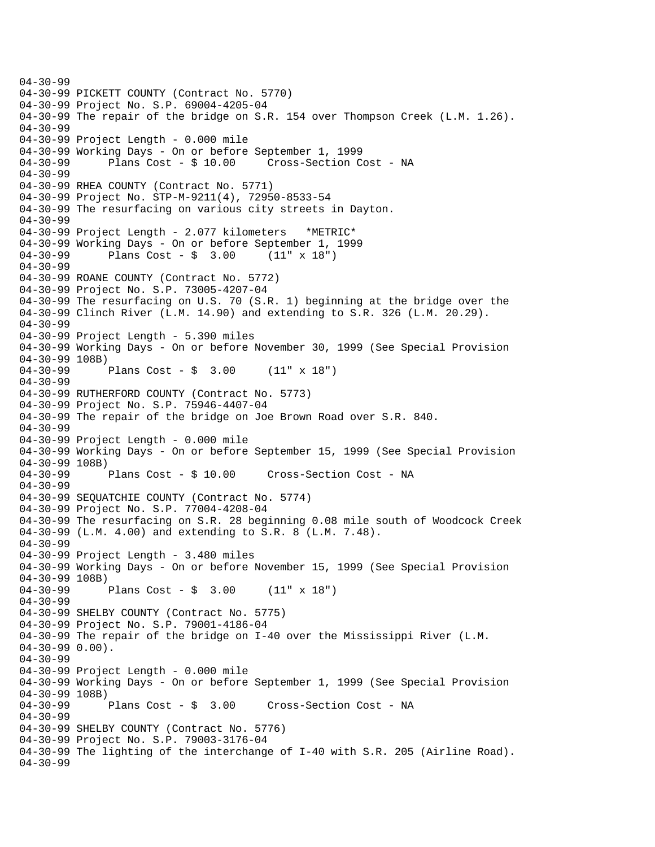04-30-99 04-30-99 PICKETT COUNTY (Contract No. 5770) 04-30-99 Project No. S.P. 69004-4205-04 04-30-99 The repair of the bridge on S.R. 154 over Thompson Creek (L.M. 1.26). 04-30-99 04-30-99 Project Length - 0.000 mile 04-30-99 Working Days - On or before September 1, 1999 04-30-99 Plans Cost - \$ 10.00 Cross-Section Cost - NA 04-30-99 04-30-99 RHEA COUNTY (Contract No. 5771) 04-30-99 Project No. STP-M-9211(4), 72950-8533-54 04-30-99 The resurfacing on various city streets in Dayton. 04-30-99 04-30-99 Project Length - 2.077 kilometers \*METRIC\* 04-30-99 Working Days - On or before September 1, 1999<br>04-30-99 Plans Cost - \$ 3.00 (11" x 18") Plans Cost -  $\frac{1}{2}$  3.00 (11" x 18") 04-30-99 04-30-99 ROANE COUNTY (Contract No. 5772) 04-30-99 Project No. S.P. 73005-4207-04 04-30-99 The resurfacing on U.S. 70 (S.R. 1) beginning at the bridge over the 04-30-99 Clinch River (L.M. 14.90) and extending to S.R. 326 (L.M. 20.29). 04-30-99 04-30-99 Project Length - 5.390 miles 04-30-99 Working Days - On or before November 30, 1999 (See Special Provision  $04-30-99$  108B)<br> $04-30-99$ Plans Cost -  $\frac{1}{2}$  3.00 (11" x 18") 04-30-99 04-30-99 RUTHERFORD COUNTY (Contract No. 5773) 04-30-99 Project No. S.P. 75946-4407-04 04-30-99 The repair of the bridge on Joe Brown Road over S.R. 840. 04-30-99 04-30-99 Project Length - 0.000 mile 04-30-99 Working Days - On or before September 15, 1999 (See Special Provision 04-30-99 108B)<br>04-30-99 Plans Cost - \$ 10.00 Cross-Section Cost - NA 04-30-99 04-30-99 SEQUATCHIE COUNTY (Contract No. 5774) 04-30-99 Project No. S.P. 77004-4208-04 04-30-99 The resurfacing on S.R. 28 beginning 0.08 mile south of Woodcock Creek 04-30-99 (L.M. 4.00) and extending to S.R. 8 (L.M. 7.48).  $04 - 30 - 99$ 04-30-99 Project Length - 3.480 miles 04-30-99 Working Days - On or before November 15, 1999 (See Special Provision 04-30-99 108B) 04-30-99 Plans Cost - \$ 3.00 (11" x 18") 04-30-99 04-30-99 SHELBY COUNTY (Contract No. 5775) 04-30-99 Project No. S.P. 79001-4186-04 04-30-99 The repair of the bridge on I-40 over the Mississippi River (L.M. 04-30-99 0.00). 04-30-99 04-30-99 Project Length - 0.000 mile 04-30-99 Working Days - On or before September 1, 1999 (See Special Provision 04-30-99 108B)<br>04-30-99 Plans Cost - \$ 3.00 Cross-Section Cost - NA 04-30-99 04-30-99 SHELBY COUNTY (Contract No. 5776) 04-30-99 Project No. S.P. 79003-3176-04 04-30-99 The lighting of the interchange of I-40 with S.R. 205 (Airline Road). 04-30-99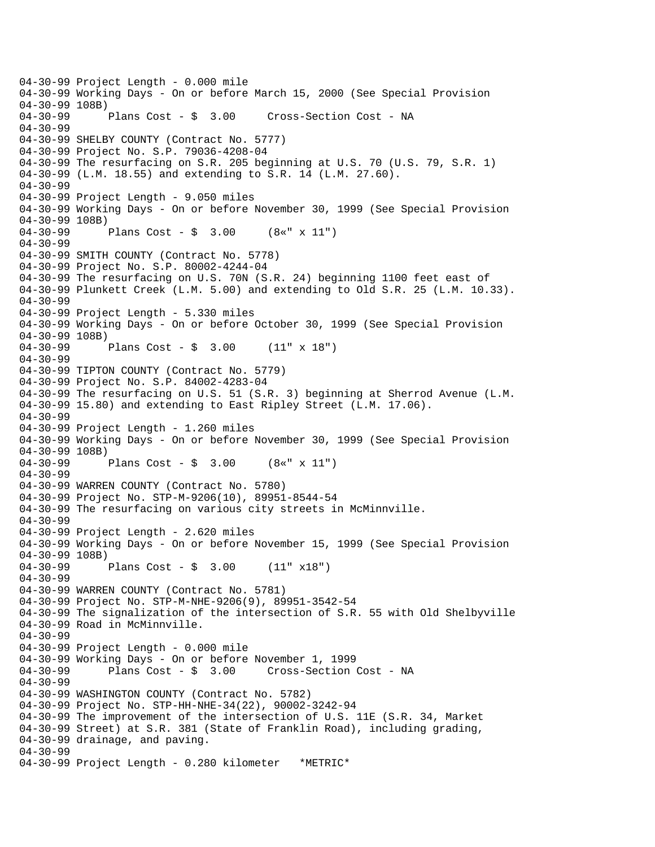04-30-99 Project Length - 0.000 mile 04-30-99 Working Days - On or before March 15, 2000 (See Special Provision 04-30-99 108B) 04-30-99 Plans Cost - \$ 3.00 Cross-Section Cost - NA 04-30-99 04-30-99 SHELBY COUNTY (Contract No. 5777) 04-30-99 Project No. S.P. 79036-4208-04 04-30-99 The resurfacing on S.R. 205 beginning at U.S. 70 (U.S. 79, S.R. 1) 04-30-99 (L.M. 18.55) and extending to S.R. 14 (L.M. 27.60). 04-30-99 04-30-99 Project Length - 9.050 miles 04-30-99 Working Days - On or before November 30, 1999 (See Special Provision 04-30-99 108B) 04-30-99 Plans Cost - \$ 3.00 (8«" x 11") 04-30-99 04-30-99 SMITH COUNTY (Contract No. 5778) 04-30-99 Project No. S.P. 80002-4244-04 04-30-99 The resurfacing on U.S. 70N (S.R. 24) beginning 1100 feet east of 04-30-99 Plunkett Creek (L.M. 5.00) and extending to Old S.R. 25 (L.M. 10.33). 04-30-99 04-30-99 Project Length - 5.330 miles 04-30-99 Working Days - On or before October 30, 1999 (See Special Provision 04-30-99 108B) 04-30-99 Plans Cost - \$ 3.00 (11" x 18") 04-30-99 04-30-99 TIPTON COUNTY (Contract No. 5779) 04-30-99 Project No. S.P. 84002-4283-04 04-30-99 The resurfacing on U.S. 51 (S.R. 3) beginning at Sherrod Avenue (L.M. 04-30-99 15.80) and extending to East Ripley Street (L.M. 17.06). 04-30-99 04-30-99 Project Length - 1.260 miles 04-30-99 Working Days - On or before November 30, 1999 (See Special Provision 04-30-99 108B) 04-30-99 Plans Cost - \$ 3.00 (8«" x 11") 04-30-99 04-30-99 WARREN COUNTY (Contract No. 5780) 04-30-99 Project No. STP-M-9206(10), 89951-8544-54 04-30-99 The resurfacing on various city streets in McMinnville. 04-30-99 04-30-99 Project Length - 2.620 miles 04-30-99 Working Days - On or before November 15, 1999 (See Special Provision 04-30-99 108B) 04-30-99 Plans Cost - \$ 3.00 (11" x18") 04-30-99 04-30-99 WARREN COUNTY (Contract No. 5781) 04-30-99 Project No. STP-M-NHE-9206(9), 89951-3542-54 04-30-99 The signalization of the intersection of S.R. 55 with Old Shelbyville 04-30-99 Road in McMinnville. 04-30-99 04-30-99 Project Length - 0.000 mile 04-30-99 Working Days - On or before November 1, 1999 04-30-99 Plans Cost - \$ 3.00 Cross-Section Cost - NA 04-30-99 04-30-99 WASHINGTON COUNTY (Contract No. 5782) 04-30-99 Project No. STP-HH-NHE-34(22), 90002-3242-94 04-30-99 The improvement of the intersection of U.S. 11E (S.R. 34, Market 04-30-99 Street) at S.R. 381 (State of Franklin Road), including grading, 04-30-99 drainage, and paving. 04-30-99 04-30-99 Project Length - 0.280 kilometer \*METRIC\*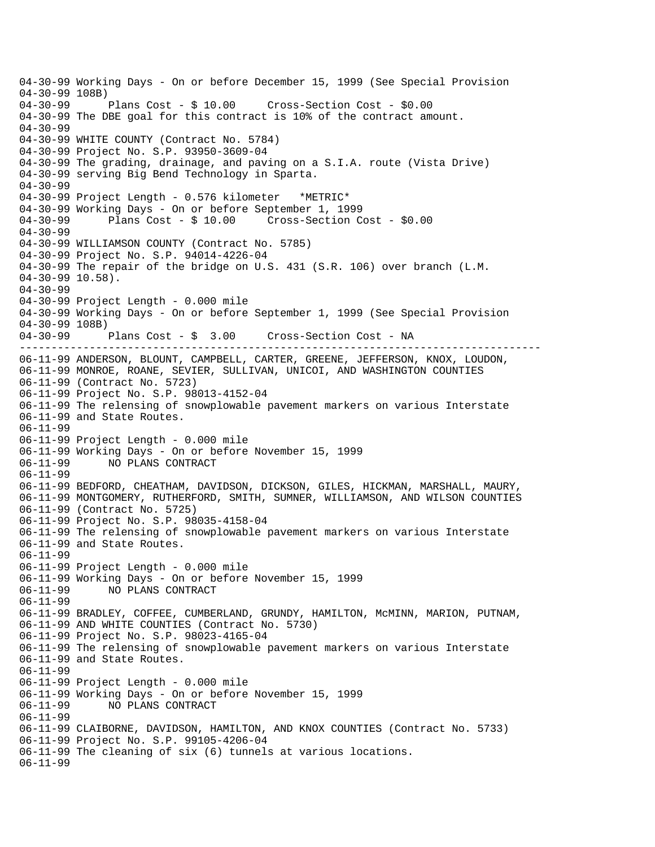---------------------------------------------------------------------------------- 04-30-99 Working Days - On or before December 15, 1999 (See Special Provision 04-30-99 108B)<br>04-30-99 Plans Cost - \$ 10.00 Cross-Section Cost - \$0.00 04-30-99 The DBE goal for this contract is 10% of the contract amount. 04-30-99 04-30-99 WHITE COUNTY (Contract No. 5784) 04-30-99 Project No. S.P. 93950-3609-04 04-30-99 The grading, drainage, and paving on a S.I.A. route (Vista Drive) 04-30-99 serving Big Bend Technology in Sparta. 04-30-99 04-30-99 Project Length - 0.576 kilometer \*METRIC\* 04-30-99 Working Days - On or before September 1, 1999 04-30-99 Plans Cost - \$ 10.00 Cross-Section Cost - \$0.00 04-30-99 04-30-99 WILLIAMSON COUNTY (Contract No. 5785) 04-30-99 Project No. S.P. 94014-4226-04 04-30-99 The repair of the bridge on U.S. 431 (S.R. 106) over branch (L.M. 04-30-99 10.58). 04-30-99 04-30-99 Project Length - 0.000 mile 04-30-99 Working Days - On or before September 1, 1999 (See Special Provision 04-30-99 108B) 04-30-99 Plans Cost - \$ 3.00 Cross-Section Cost - NA 06-11-99 ANDERSON, BLOUNT, CAMPBELL, CARTER, GREENE, JEFFERSON, KNOX, LOUDON, 06-11-99 MONROE, ROANE, SEVIER, SULLIVAN, UNICOI, AND WASHINGTON COUNTIES 06-11-99 (Contract No. 5723) 06-11-99 Project No. S.P. 98013-4152-04 06-11-99 The relensing of snowplowable pavement markers on various Interstate 06-11-99 and State Routes. 06-11-99 06-11-99 Project Length - 0.000 mile 06-11-99 Working Days - On or before November 15, 1999 06-11-99 NO PLANS CONTRACT 06-11-99 06-11-99 BEDFORD, CHEATHAM, DAVIDSON, DICKSON, GILES, HICKMAN, MARSHALL, MAURY, 06-11-99 MONTGOMERY, RUTHERFORD, SMITH, SUMNER, WILLIAMSON, AND WILSON COUNTIES 06-11-99 (Contract No. 5725) 06-11-99 Project No. S.P. 98035-4158-04 06-11-99 The relensing of snowplowable pavement markers on various Interstate 06-11-99 and State Routes. 06-11-99 06-11-99 Project Length - 0.000 mile 06-11-99 Working Days - On or before November 15, 1999 06-11-99 NO PLANS CONTRACT 06-11-99 06-11-99 BRADLEY, COFFEE, CUMBERLAND, GRUNDY, HAMILTON, McMINN, MARION, PUTNAM, 06-11-99 AND WHITE COUNTIES (Contract No. 5730) 06-11-99 Project No. S.P. 98023-4165-04 06-11-99 The relensing of snowplowable pavement markers on various Interstate 06-11-99 and State Routes. 06-11-99 06-11-99 Project Length - 0.000 mile 06-11-99 Working Days - On or before November 15, 1999 NO PLANS CONTRACT 06-11-99 06-11-99 CLAIBORNE, DAVIDSON, HAMILTON, AND KNOX COUNTIES (Contract No. 5733) 06-11-99 Project No. S.P. 99105-4206-04 06-11-99 The cleaning of six (6) tunnels at various locations. 06-11-99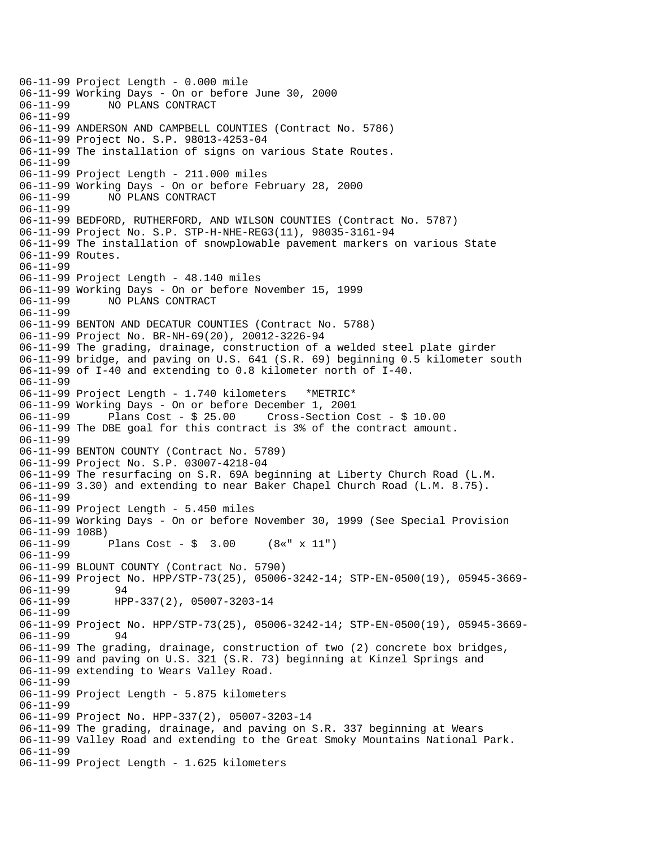```
06-11-99 Project Length - 0.000 mile 
06-11-99 Working Days - On or before June 30, 2000 
              NO PLANS CONTRACT
06-11-99 
06-11-99 ANDERSON AND CAMPBELL COUNTIES (Contract No. 5786) 
06-11-99 Project No. S.P. 98013-4253-04 
06-11-99 The installation of signs on various State Routes. 
06-11-99 
06-11-99 Project Length - 211.000 miles 
06-11-99 Working Days - On or before February 28, 2000 
06-11-99 NO PLANS CONTRACT 
06-11-99 
06-11-99 BEDFORD, RUTHERFORD, AND WILSON COUNTIES (Contract No. 5787) 
06-11-99 Project No. S.P. STP-H-NHE-REG3(11), 98035-3161-94 
06-11-99 The installation of snowplowable pavement markers on various State 
06-11-99 Routes. 
06-11-99 
06-11-99 Project Length - 48.140 miles 
06-11-99 Working Days - On or before November 15, 1999 
06-11-99 NO PLANS CONTRACT 
06-11-99 
06-11-99 BENTON AND DECATUR COUNTIES (Contract No. 5788) 
06-11-99 Project No. BR-NH-69(20), 20012-3226-94 
06-11-99 The grading, drainage, construction of a welded steel plate girder 
06-11-99 bridge, and paving on U.S. 641 (S.R. 69) beginning 0.5 kilometer south 
06-11-99 of I-40 and extending to 0.8 kilometer north of I-40. 
06-11-99 
06-11-99 Project Length - 1.740 kilometers *METRIC* 
06-11-99 Working Days - On or before December 1, 2001 
06-11-99 Plans Cost - $ 25.00 Cross-Section Cost - $ 10.00 
06-11-99 The DBE goal for this contract is 3% of the contract amount. 
06-11-99 
06-11-99 BENTON COUNTY (Contract No. 5789) 
06-11-99 Project No. S.P. 03007-4218-04 
06-11-99 The resurfacing on S.R. 69A beginning at Liberty Church Road (L.M. 
06-11-99 3.30) and extending to near Baker Chapel Church Road (L.M. 8.75). 
06-11-99 
06-11-99 Project Length - 5.450 miles 
06-11-99 Working Days - On or before November 30, 1999 (See Special Provision 
06-11-99 108B) 
06-11-99 Plans Cost - $ 3.00 (8«" x 11") 
06-11-99 
06-11-99 BLOUNT COUNTY (Contract No. 5790) 
06-11-99 Project No. HPP/STP-73(25), 05006-3242-14; STP-EN-0500(19), 05945-3669-<br>06-11-99 94
06 - 11 - 9906-11-99 HPP-337(2), 05007-3203-14 
06-11-99 
06-11-99 Project No. HPP/STP-73(25), 05006-3242-14; STP-EN-0500(19), 05945-3669-<br>06-11-99 94
06 - 11 - 9906-11-99 The grading, drainage, construction of two (2) concrete box bridges, 
06-11-99 and paving on U.S. 321 (S.R. 73) beginning at Kinzel Springs and 
06-11-99 extending to Wears Valley Road. 
06-11-99 
06-11-99 Project Length - 5.875 kilometers 
06-11-99 
06-11-99 Project No. HPP-337(2), 05007-3203-14 
06-11-99 The grading, drainage, and paving on S.R. 337 beginning at Wears 
06-11-99 Valley Road and extending to the Great Smoky Mountains National Park. 
06-11-99 
06-11-99 Project Length - 1.625 kilometers
```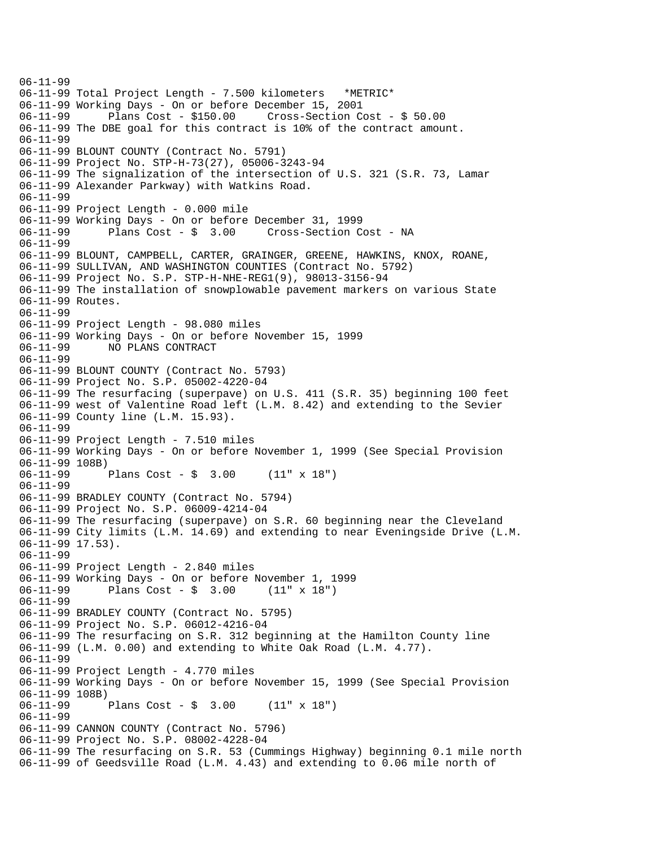06-11-99 06-11-99 Total Project Length - 7.500 kilometers \*METRIC\* 06-11-99 Working Days - On or before December 15, 2001 06-11-99 Plans Cost - \$150.00 Cross-Section Cost - \$ 50.00 06-11-99 The DBE goal for this contract is 10% of the contract amount. 06-11-99 06-11-99 BLOUNT COUNTY (Contract No. 5791) 06-11-99 Project No. STP-H-73(27), 05006-3243-94 06-11-99 The signalization of the intersection of U.S. 321 (S.R. 73, Lamar 06-11-99 Alexander Parkway) with Watkins Road. 06-11-99 06-11-99 Project Length - 0.000 mile 06-11-99 Working Days - On or before December 31, 1999 06-11-99 Plans Cost - \$ 3.00 Cross-Section Cost - NA 06-11-99 06-11-99 BLOUNT, CAMPBELL, CARTER, GRAINGER, GREENE, HAWKINS, KNOX, ROANE, 06-11-99 SULLIVAN, AND WASHINGTON COUNTIES (Contract No. 5792) 06-11-99 Project No. S.P. STP-H-NHE-REG1(9), 98013-3156-94 06-11-99 The installation of snowplowable pavement markers on various State 06-11-99 Routes. 06-11-99 06-11-99 Project Length - 98.080 miles 06-11-99 Working Days - On or before November 15, 1999 06-11-99 NO PLANS CONTRACT 06-11-99 06-11-99 BLOUNT COUNTY (Contract No. 5793) 06-11-99 Project No. S.P. 05002-4220-04 06-11-99 The resurfacing (superpave) on U.S. 411 (S.R. 35) beginning 100 feet 06-11-99 west of Valentine Road left (L.M. 8.42) and extending to the Sevier 06-11-99 County line (L.M. 15.93). 06-11-99 06-11-99 Project Length - 7.510 miles 06-11-99 Working Days - On or before November 1, 1999 (See Special Provision 06-11-99 108B)<br>06-11-99 Plans Cost -  $\frac{1}{2}$  3.00 (11" x 18") 06-11-99 06-11-99 BRADLEY COUNTY (Contract No. 5794) 06-11-99 Project No. S.P. 06009-4214-04 06-11-99 The resurfacing (superpave) on S.R. 60 beginning near the Cleveland 06-11-99 City limits (L.M. 14.69) and extending to near Eveningside Drive (L.M. 06-11-99 17.53). 06-11-99 06-11-99 Project Length - 2.840 miles 06-11-99 Working Days - On or before November 1, 1999 06-11-99 Plans Cost - \$ 3.00 (11" x 18") 06-11-99 06-11-99 BRADLEY COUNTY (Contract No. 5795) 06-11-99 Project No. S.P. 06012-4216-04 06-11-99 The resurfacing on S.R. 312 beginning at the Hamilton County line 06-11-99 (L.M. 0.00) and extending to White Oak Road (L.M. 4.77). 06-11-99 06-11-99 Project Length - 4.770 miles 06-11-99 Working Days - On or before November 15, 1999 (See Special Provision 06-11-99 108B)<br>06-11-99 Plans Cost -  $\frac{1}{2}$  3.00 (11" x 18") 06-11-99 06-11-99 CANNON COUNTY (Contract No. 5796) 06-11-99 Project No. S.P. 08002-4228-04 06-11-99 The resurfacing on S.R. 53 (Cummings Highway) beginning 0.1 mile north 06-11-99 of Geedsville Road (L.M. 4.43) and extending to 0.06 mile north of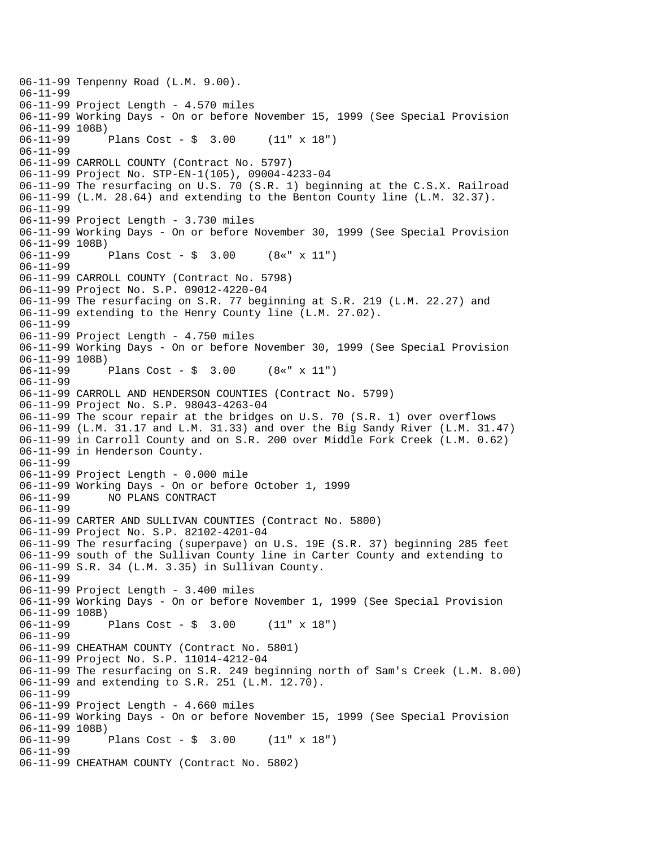06-11-99 Tenpenny Road (L.M. 9.00). 06-11-99 06-11-99 Project Length - 4.570 miles 06-11-99 Working Days - On or before November 15, 1999 (See Special Provision 06-11-99 108B) 06-11-99 Plans Cost - \$ 3.00 (11" x 18") 06-11-99 06-11-99 CARROLL COUNTY (Contract No. 5797) 06-11-99 Project No. STP-EN-1(105), 09004-4233-04 06-11-99 The resurfacing on U.S. 70 (S.R. 1) beginning at the C.S.X. Railroad 06-11-99 (L.M. 28.64) and extending to the Benton County line (L.M. 32.37). 06-11-99 06-11-99 Project Length - 3.730 miles 06-11-99 Working Days - On or before November 30, 1999 (See Special Provision 06-11-99 108B)<br>06-11-99 Plans Cost -  $\sin 3.00$  (8«" x 11") 06-11-99 06-11-99 CARROLL COUNTY (Contract No. 5798) 06-11-99 Project No. S.P. 09012-4220-04 06-11-99 The resurfacing on S.R. 77 beginning at S.R. 219 (L.M. 22.27) and 06-11-99 extending to the Henry County line (L.M. 27.02). 06-11-99 06-11-99 Project Length - 4.750 miles 06-11-99 Working Days - On or before November 30, 1999 (See Special Provision 06-11-99 108B)<br>06-11-99 Plans Cost -  $\frac{1}{2}$  3.00 (8«" x 11") 06-11-99 06-11-99 CARROLL AND HENDERSON COUNTIES (Contract No. 5799) 06-11-99 Project No. S.P. 98043-4263-04 06-11-99 The scour repair at the bridges on U.S. 70 (S.R. 1) over overflows 06-11-99 (L.M. 31.17 and L.M. 31.33) and over the Big Sandy River (L.M. 31.47) 06-11-99 in Carroll County and on S.R. 200 over Middle Fork Creek (L.M. 0.62) 06-11-99 in Henderson County. 06-11-99 06-11-99 Project Length - 0.000 mile 06-11-99 Working Days - On or before October 1, 1999 06-11-99 NO PLANS CONTRACT 06-11-99 06-11-99 CARTER AND SULLIVAN COUNTIES (Contract No. 5800) 06-11-99 Project No. S.P. 82102-4201-04 06-11-99 The resurfacing (superpave) on U.S. 19E (S.R. 37) beginning 285 feet 06-11-99 south of the Sullivan County line in Carter County and extending to 06-11-99 S.R. 34 (L.M. 3.35) in Sullivan County. 06-11-99 06-11-99 Project Length - 3.400 miles 06-11-99 Working Days - On or before November 1, 1999 (See Special Provision 06-11-99 108B)<br>06-11-99 Plans Cost -  $\frac{1}{2}$  3.00 (11" x 18") 06-11-99 06-11-99 CHEATHAM COUNTY (Contract No. 5801) 06-11-99 Project No. S.P. 11014-4212-04 06-11-99 The resurfacing on S.R. 249 beginning north of Sam's Creek (L.M. 8.00) 06-11-99 and extending to S.R. 251 (L.M. 12.70). 06-11-99 06-11-99 Project Length - 4.660 miles 06-11-99 Working Days - On or before November 15, 1999 (See Special Provision 06-11-99 108B)<br>06-11-99 Plans Cost -  $\frac{1}{2}$  3.00 (11" x 18") 06-11-99 06-11-99 CHEATHAM COUNTY (Contract No. 5802)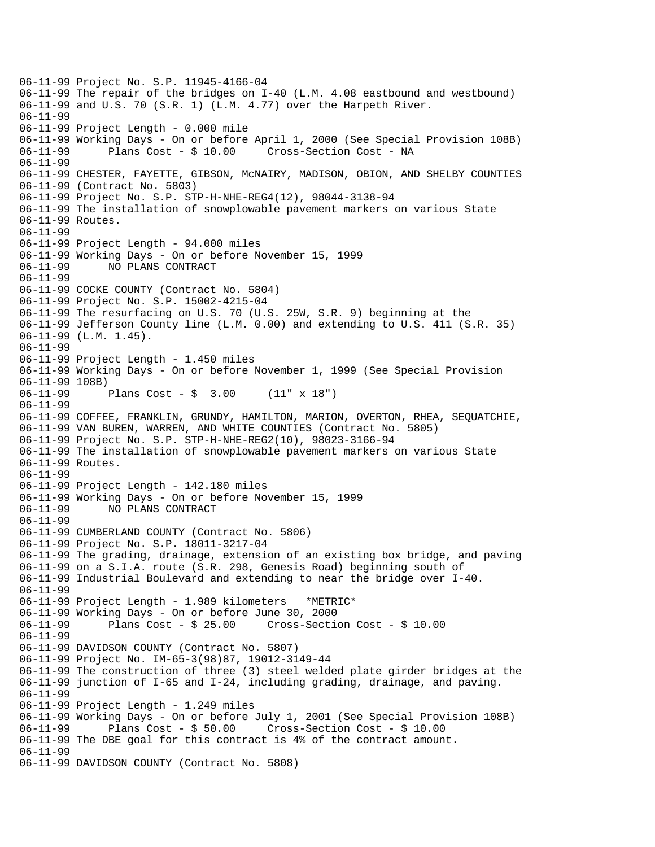06-11-99 Project No. S.P. 11945-4166-04 06-11-99 The repair of the bridges on I-40 (L.M. 4.08 eastbound and westbound) 06-11-99 and U.S. 70 (S.R. 1) (L.M. 4.77) over the Harpeth River. 06-11-99 06-11-99 Project Length - 0.000 mile 06-11-99 Working Days - On or before April 1, 2000 (See Special Provision 108B) 06-11-99 Plans Cost - \$ 10.00 Cross-Section Cost - NA 06-11-99 06-11-99 CHESTER, FAYETTE, GIBSON, McNAIRY, MADISON, OBION, AND SHELBY COUNTIES 06-11-99 (Contract No. 5803) 06-11-99 Project No. S.P. STP-H-NHE-REG4(12), 98044-3138-94 06-11-99 The installation of snowplowable pavement markers on various State 06-11-99 Routes. 06-11-99 06-11-99 Project Length - 94.000 miles 06-11-99 Working Days - On or before November 15, 1999 NO PLANS CONTRACT 06-11-99 06-11-99 COCKE COUNTY (Contract No. 5804) 06-11-99 Project No. S.P. 15002-4215-04 06-11-99 The resurfacing on U.S. 70 (U.S. 25W, S.R. 9) beginning at the 06-11-99 Jefferson County line (L.M. 0.00) and extending to U.S. 411 (S.R. 35) 06-11-99 (L.M. 1.45). 06-11-99 06-11-99 Project Length - 1.450 miles 06-11-99 Working Days - On or before November 1, 1999 (See Special Provision 06-11-99 108B)<br>06-11-99 Plans Cost -  $\frac{1}{9}$  3.00 (11" x 18") 06-11-99 06-11-99 COFFEE, FRANKLIN, GRUNDY, HAMILTON, MARION, OVERTON, RHEA, SEQUATCHIE, 06-11-99 VAN BUREN, WARREN, AND WHITE COUNTIES (Contract No. 5805) 06-11-99 Project No. S.P. STP-H-NHE-REG2(10), 98023-3166-94 06-11-99 The installation of snowplowable pavement markers on various State 06-11-99 Routes. 06-11-99 06-11-99 Project Length - 142.180 miles 06-11-99 Working Days - On or before November 15, 1999 NO PLANS CONTRACT 06-11-99 06-11-99 CUMBERLAND COUNTY (Contract No. 5806) 06-11-99 Project No. S.P. 18011-3217-04 06-11-99 The grading, drainage, extension of an existing box bridge, and paving 06-11-99 on a S.I.A. route (S.R. 298, Genesis Road) beginning south of 06-11-99 Industrial Boulevard and extending to near the bridge over I-40. 06-11-99 06-11-99 Project Length - 1.989 kilometers \*METRIC\* 06-11-99 Working Days - On or before June 30, 2000 06-11-99 Plans Cost - \$ 25.00 Cross-Section Cost - \$ 10.00 06-11-99 06-11-99 DAVIDSON COUNTY (Contract No. 5807) 06-11-99 Project No. IM-65-3(98)87, 19012-3149-44 06-11-99 The construction of three (3) steel welded plate girder bridges at the 06-11-99 junction of I-65 and I-24, including grading, drainage, and paving. 06-11-99 06-11-99 Project Length - 1.249 miles 06-11-99 Working Days - On or before July 1, 2001 (See Special Provision 108B) 06-11-99 Plans Cost - \$ 50.00 Cross-Section Cost - \$ 10.00 06-11-99 The DBE goal for this contract is 4% of the contract amount. 06-11-99 06-11-99 DAVIDSON COUNTY (Contract No. 5808)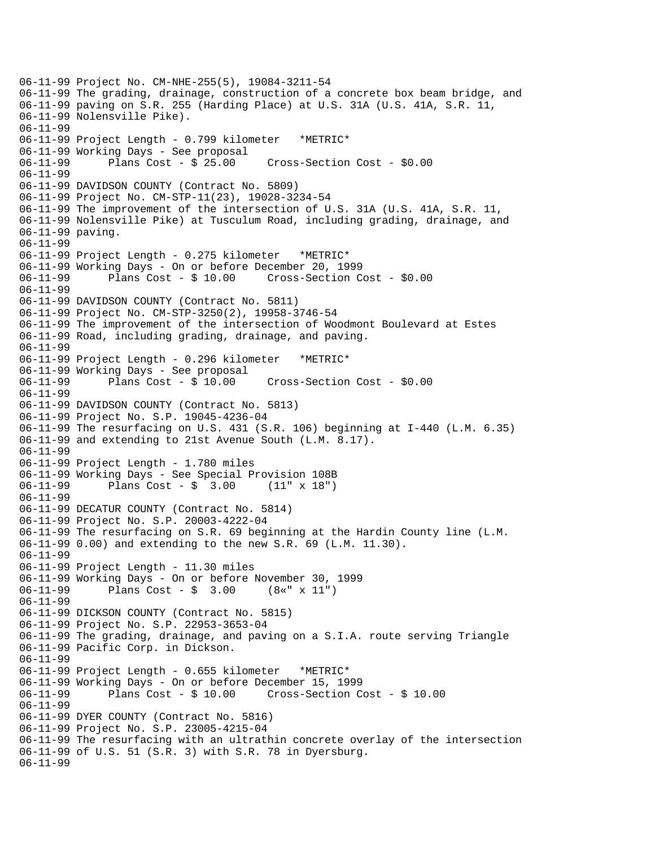```
06-11-99 Project No. CM-NHE-255(5), 19084-3211-54 
06-11-99 The grading, drainage, construction of a concrete box beam bridge, and 
06-11-99 paving on S.R. 255 (Harding Place) at U.S. 31A (U.S. 41A, S.R. 11, 
06-11-99 Nolensville Pike). 
06-11-99 
06-11-99 Project Length - 0.799 kilometer *METRIC* 
06-11-99 Working Days - See proposal<br>06-11-99        Plans Cost - $ 25.00
06-11-99 Plans Cost - $ 25.00 Cross-Section Cost - $0.00 
06-11-99 
06-11-99 DAVIDSON COUNTY (Contract No. 5809) 
06-11-99 Project No. CM-STP-11(23), 19028-3234-54 
06-11-99 The improvement of the intersection of U.S. 31A (U.S. 41A, S.R. 11, 
06-11-99 Nolensville Pike) at Tusculum Road, including grading, drainage, and 
06-11-99 paving. 
06-11-99 
06-11-99 Project Length - 0.275 kilometer *METRIC* 
06-11-99 Working Days - On or before December 20, 1999 
06-11-99 Plans Cost - $ 10.00 Cross-Section Cost - $0.00 
06-11-99 
06-11-99 DAVIDSON COUNTY (Contract No. 5811) 
06-11-99 Project No. CM-STP-3250(2), 19958-3746-54 
06-11-99 The improvement of the intersection of Woodmont Boulevard at Estes 
06-11-99 Road, including grading, drainage, and paving. 
06-11-99 
06-11-99 Project Length - 0.296 kilometer *METRIC* 
06-11-99 Working Days - See proposal 
06-11-99 Plans Cost - $ 10.00 Cross-Section Cost - $0.00 
06-11-99 
06-11-99 DAVIDSON COUNTY (Contract No. 5813) 
06-11-99 Project No. S.P. 19045-4236-04 
06-11-99 The resurfacing on U.S. 431 (S.R. 106) beginning at I-440 (L.M. 6.35) 
06-11-99 and extending to 21st Avenue South (L.M. 8.17). 
06-11-99 
06-11-99 Project Length - 1.780 miles 
06-11-99 Working Days - See Special Provision 108B 
06-11-99 Plans Cost - $ 3.00 (11" x 18") 
06-11-99 
06-11-99 DECATUR COUNTY (Contract No. 5814) 
06-11-99 Project No. S.P. 20003-4222-04 
06-11-99 The resurfacing on S.R. 69 beginning at the Hardin County line (L.M. 
06-11-99 0.00) and extending to the new S.R. 69 (L.M. 11.30). 
06-11-99 
06-11-99 Project Length - 11.30 miles 
06-11-99 Working Days - On or before November 30, 1999 
06-11-99 Plans Cost - $ 3.00 (8«" x 11") 
06-11-99 
06-11-99 DICKSON COUNTY (Contract No. 5815) 
06-11-99 Project No. S.P. 22953-3653-04 
06-11-99 The grading, drainage, and paving on a S.I.A. route serving Triangle 
06-11-99 Pacific Corp. in Dickson. 
06-11-99 
06-11-99 Project Length - 0.655 kilometer *METRIC* 
06-11-99 Working Days - On or before December 15, 1999 
06-11-99 Plans Cost - $ 10.00 Cross-Section Cost - $ 10.00 
06-11-99 
06-11-99 DYER COUNTY (Contract No. 5816) 
06-11-99 Project No. S.P. 23005-4215-04 
06-11-99 The resurfacing with an ultrathin concrete overlay of the intersection 
06-11-99 of U.S. 51 (S.R. 3) with S.R. 78 in Dyersburg. 
06-11-99
```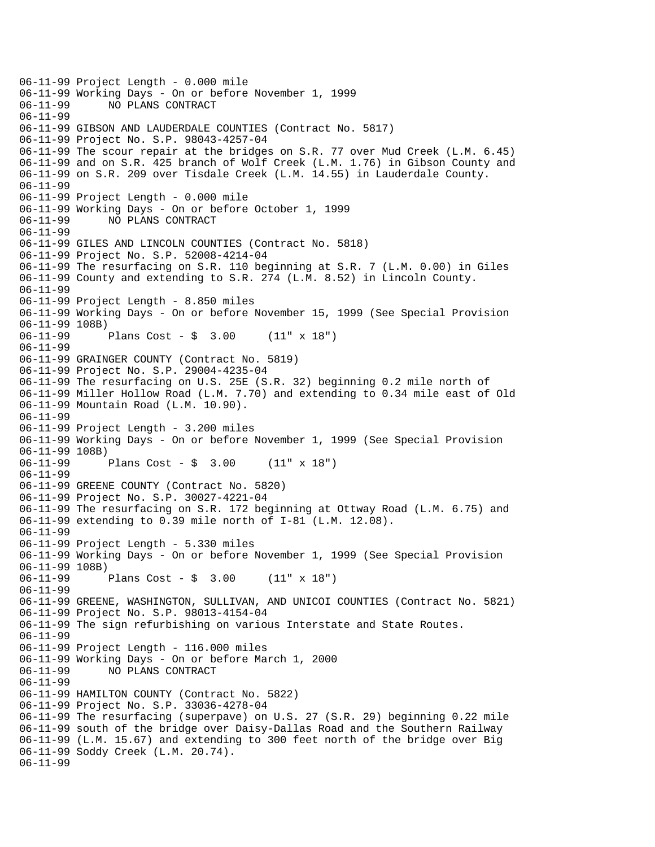06-11-99 Project Length - 0.000 mile 06-11-99 Working Days - On or before November 1, 1999 NO PLANS CONTRACT 06-11-99 06-11-99 GIBSON AND LAUDERDALE COUNTIES (Contract No. 5817) 06-11-99 Project No. S.P. 98043-4257-04 06-11-99 The scour repair at the bridges on S.R. 77 over Mud Creek (L.M. 6.45) 06-11-99 and on S.R. 425 branch of Wolf Creek (L.M. 1.76) in Gibson County and 06-11-99 on S.R. 209 over Tisdale Creek (L.M. 14.55) in Lauderdale County. 06-11-99 06-11-99 Project Length - 0.000 mile 06-11-99 Working Days - On or before October 1, 1999 06-11-99 NO PLANS CONTRACT 06-11-99 06-11-99 GILES AND LINCOLN COUNTIES (Contract No. 5818) 06-11-99 Project No. S.P. 52008-4214-04 06-11-99 The resurfacing on S.R. 110 beginning at S.R. 7 (L.M. 0.00) in Giles 06-11-99 County and extending to S.R. 274 (L.M. 8.52) in Lincoln County. 06-11-99 06-11-99 Project Length - 8.850 miles 06-11-99 Working Days - On or before November 15, 1999 (See Special Provision 06-11-99 108B)<br>06-11-99 Plans Cost -  $\frac{1}{2}$  3.00 (11" x 18") 06-11-99 06-11-99 GRAINGER COUNTY (Contract No. 5819) 06-11-99 Project No. S.P. 29004-4235-04 06-11-99 The resurfacing on U.S. 25E (S.R. 32) beginning 0.2 mile north of 06-11-99 Miller Hollow Road (L.M. 7.70) and extending to 0.34 mile east of Old 06-11-99 Mountain Road (L.M. 10.90). 06-11-99 06-11-99 Project Length - 3.200 miles 06-11-99 Working Days - On or before November 1, 1999 (See Special Provision 06-11-99 108B) 06-11-99 Plans Cost - \$ 3.00 (11" x 18") 06-11-99 06-11-99 GREENE COUNTY (Contract No. 5820) 06-11-99 Project No. S.P. 30027-4221-04 06-11-99 The resurfacing on S.R. 172 beginning at Ottway Road (L.M. 6.75) and 06-11-99 extending to 0.39 mile north of I-81 (L.M. 12.08). 06-11-99 06-11-99 Project Length - 5.330 miles 06-11-99 Working Days - On or before November 1, 1999 (See Special Provision 06-11-99 108B) 06-11-99 Plans Cost - \$ 3.00 (11" x 18") 06-11-99 06-11-99 GREENE, WASHINGTON, SULLIVAN, AND UNICOI COUNTIES (Contract No. 5821) 06-11-99 Project No. S.P. 98013-4154-04 06-11-99 The sign refurbishing on various Interstate and State Routes. 06-11-99 06-11-99 Project Length - 116.000 miles 06-11-99 Working Days - On or before March 1, 2000 06-11-99 NO PLANS CONTRACT 06-11-99 06-11-99 HAMILTON COUNTY (Contract No. 5822) 06-11-99 Project No. S.P. 33036-4278-04 06-11-99 The resurfacing (superpave) on U.S. 27 (S.R. 29) beginning 0.22 mile 06-11-99 south of the bridge over Daisy-Dallas Road and the Southern Railway 06-11-99 (L.M. 15.67) and extending to 300 feet north of the bridge over Big 06-11-99 Soddy Creek (L.M. 20.74). 06-11-99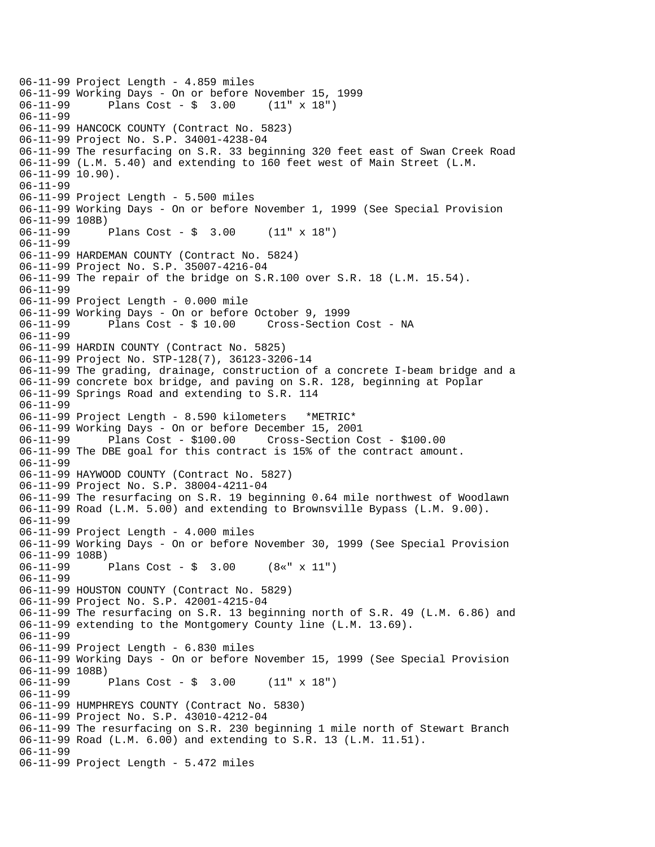```
06-11-99 Project Length - 4.859 miles 
06-11-99 Working Days - On or before November 15, 1999<br>06-11-99       Plans Cost - $ 3.00   (11" x 18")
              Plans Cost - $ 3.0006-11-99 
06-11-99 HANCOCK COUNTY (Contract No. 5823) 
06-11-99 Project No. S.P. 34001-4238-04 
06-11-99 The resurfacing on S.R. 33 beginning 320 feet east of Swan Creek Road 
06-11-99 (L.M. 5.40) and extending to 160 feet west of Main Street (L.M. 
06-11-99 10.90). 
06-11-99 
06-11-99 Project Length - 5.500 miles 
06-11-99 Working Days - On or before November 1, 1999 (See Special Provision 
06-11-99 108B) 
06-11-99 Plans Cost - $ 3.00 (11" x 18") 
06-11-99 
06-11-99 HARDEMAN COUNTY (Contract No. 5824) 
06-11-99 Project No. S.P. 35007-4216-04 
06-11-99 The repair of the bridge on S.R.100 over S.R. 18 (L.M. 15.54). 
06-11-99 
06-11-99 Project Length - 0.000 mile 
06-11-99 Working Days - On or before October 9, 1999 
              Plans Cost - $ 10.00 Cross-Section Cost - NA
06-11-99 
06-11-99 HARDIN COUNTY (Contract No. 5825) 
06-11-99 Project No. STP-128(7), 36123-3206-14 
06-11-99 The grading, drainage, construction of a concrete I-beam bridge and a 
06-11-99 concrete box bridge, and paving on S.R. 128, beginning at Poplar 
06-11-99 Springs Road and extending to S.R. 114 
06-11-99 
06-11-99 Project Length - 8.590 kilometers *METRIC* 
06-11-99 Working Days - On or before December 15, 2001 
06-11-99 Plans Cost - $100.00 Cross-Section Cost - $100.00 
06-11-99 The DBE goal for this contract is 15% of the contract amount. 
06-11-99 
06-11-99 HAYWOOD COUNTY (Contract No. 5827) 
06-11-99 Project No. S.P. 38004-4211-04 
06-11-99 The resurfacing on S.R. 19 beginning 0.64 mile northwest of Woodlawn 
06-11-99 Road (L.M. 5.00) and extending to Brownsville Bypass (L.M. 9.00). 
06-11-99 
06-11-99 Project Length - 4.000 miles 
06-11-99 Working Days - On or before November 30, 1999 (See Special Provision 
06-11-99 108B) 
06-11-99 Plans Cost - $ 3.00 (8«" x 11") 
06-11-99 
06-11-99 HOUSTON COUNTY (Contract No. 5829) 
06-11-99 Project No. S.P. 42001-4215-04 
06-11-99 The resurfacing on S.R. 13 beginning north of S.R. 49 (L.M. 6.86) and 
06-11-99 extending to the Montgomery County line (L.M. 13.69). 
06-11-99 
06-11-99 Project Length - 6.830 miles 
06-11-99 Working Days - On or before November 15, 1999 (See Special Provision 
06-11-99 108B) 
06-11-99 Plans Cost - $ 3.00 (11" x 18") 
06-11-99 
06-11-99 HUMPHREYS COUNTY (Contract No. 5830) 
06-11-99 Project No. S.P. 43010-4212-04 
06-11-99 The resurfacing on S.R. 230 beginning 1 mile north of Stewart Branch 
06-11-99 Road (L.M. 6.00) and extending to S.R. 13 (L.M. 11.51). 
06-11-99 
06-11-99 Project Length - 5.472 miles
```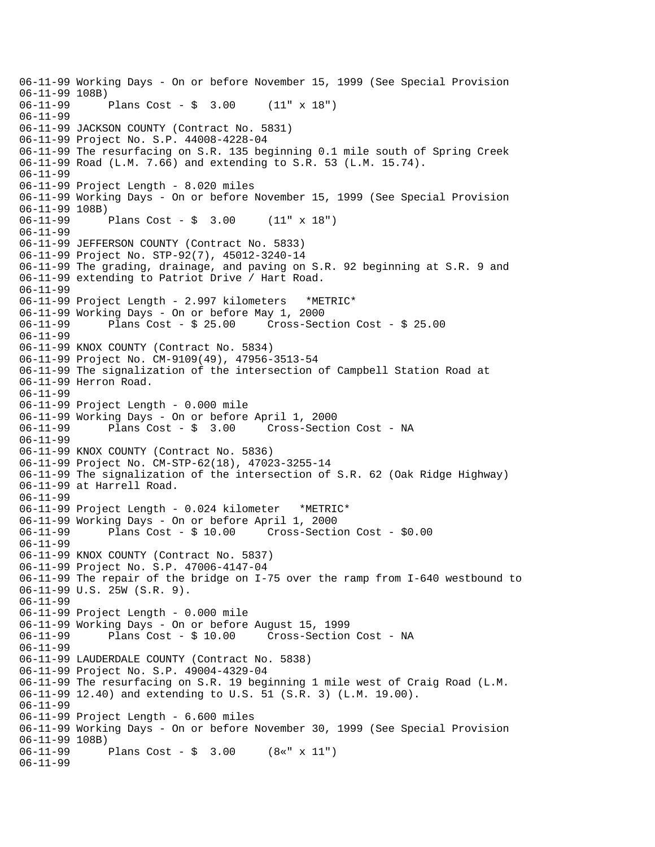06-11-99 Working Days - On or before November 15, 1999 (See Special Provision  $06-11-99$  108B)<br> $06-11-99$ Plans Cost -  $\sin 3.00$  (11" x 18") 06-11-99 06-11-99 JACKSON COUNTY (Contract No. 5831) 06-11-99 Project No. S.P. 44008-4228-04 06-11-99 The resurfacing on S.R. 135 beginning 0.1 mile south of Spring Creek 06-11-99 Road (L.M. 7.66) and extending to S.R. 53 (L.M. 15.74). 06-11-99 06-11-99 Project Length - 8.020 miles 06-11-99 Working Days - On or before November 15, 1999 (See Special Provision 06-11-99 108B) 06-11-99 Plans Cost - \$ 3.00 (11" x 18") 06-11-99 06-11-99 JEFFERSON COUNTY (Contract No. 5833) 06-11-99 Project No. STP-92(7), 45012-3240-14 06-11-99 The grading, drainage, and paving on S.R. 92 beginning at S.R. 9 and 06-11-99 extending to Patriot Drive / Hart Road. 06-11-99 06-11-99 Project Length - 2.997 kilometers \*METRIC\* 06-11-99 Working Days - On or before May 1, 2000 06-11-99 Plans Cost - \$ 25.00 Cross-Section Cost - \$ 25.00 06-11-99 06-11-99 KNOX COUNTY (Contract No. 5834) 06-11-99 Project No. CM-9109(49), 47956-3513-54 06-11-99 The signalization of the intersection of Campbell Station Road at 06-11-99 Herron Road. 06-11-99 06-11-99 Project Length - 0.000 mile 06-11-99 Working Days - On or before April 1, 2000 06-11-99 Plans Cost - \$ 3.00 Cross-Section Cost - NA 06-11-99 06-11-99 KNOX COUNTY (Contract No. 5836) 06-11-99 Project No. CM-STP-62(18), 47023-3255-14 06-11-99 The signalization of the intersection of S.R. 62 (Oak Ridge Highway) 06-11-99 at Harrell Road. 06-11-99 06-11-99 Project Length - 0.024 kilometer \*METRIC\* 06-11-99 Working Days - On or before April 1, 2000 06-11-99 Plans Cost - \$ 10.00 Cross-Section Cost - \$0.00 06-11-99 06-11-99 KNOX COUNTY (Contract No. 5837) 06-11-99 Project No. S.P. 47006-4147-04 06-11-99 The repair of the bridge on I-75 over the ramp from I-640 westbound to 06-11-99 U.S. 25W (S.R. 9). 06-11-99 06-11-99 Project Length - 0.000 mile 06-11-99 Working Days - On or before August 15, 1999 06-11-99 Plans Cost - \$ 10.00 Cross-Section Cost - NA 06-11-99 06-11-99 LAUDERDALE COUNTY (Contract No. 5838) 06-11-99 Project No. S.P. 49004-4329-04 06-11-99 The resurfacing on S.R. 19 beginning 1 mile west of Craig Road (L.M. 06-11-99 12.40) and extending to U.S. 51 (S.R. 3) (L.M. 19.00). 06-11-99 06-11-99 Project Length - 6.600 miles 06-11-99 Working Days - On or before November 30, 1999 (See Special Provision 06-11-99 108B)<br>06-11-99 Plans Cost -  $\frac{1}{2}$  3.00 (8«" x 11") 06-11-99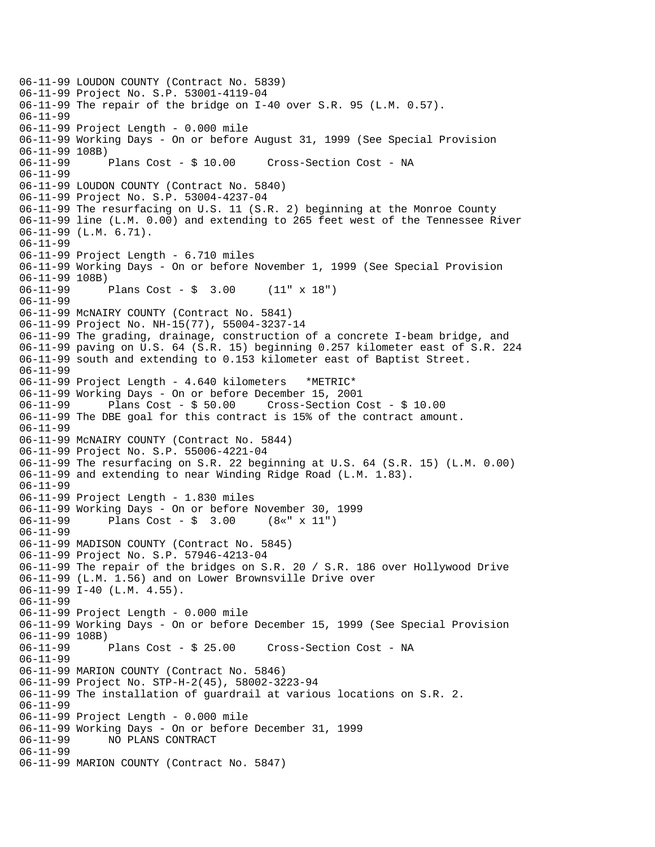06-11-99 LOUDON COUNTY (Contract No. 5839) 06-11-99 Project No. S.P. 53001-4119-04 06-11-99 The repair of the bridge on I-40 over S.R. 95 (L.M. 0.57). 06-11-99 06-11-99 Project Length - 0.000 mile 06-11-99 Working Days - On or before August 31, 1999 (See Special Provision 06-11-99 108B) 06-11-99 Plans Cost - \$ 10.00 Cross-Section Cost - NA 06-11-99 06-11-99 LOUDON COUNTY (Contract No. 5840) 06-11-99 Project No. S.P. 53004-4237-04 06-11-99 The resurfacing on U.S. 11 (S.R. 2) beginning at the Monroe County 06-11-99 line (L.M. 0.00) and extending to 265 feet west of the Tennessee River 06-11-99 (L.M. 6.71). 06-11-99 06-11-99 Project Length - 6.710 miles 06-11-99 Working Days - On or before November 1, 1999 (See Special Provision 06-11-99 108B) 06-11-99 Plans Cost - \$ 3.00 (11" x 18") 06-11-99 06-11-99 McNAIRY COUNTY (Contract No. 5841) 06-11-99 Project No. NH-15(77), 55004-3237-14 06-11-99 The grading, drainage, construction of a concrete I-beam bridge, and 06-11-99 paving on U.S. 64 (S.R. 15) beginning 0.257 kilometer east of S.R. 224 06-11-99 south and extending to 0.153 kilometer east of Baptist Street. 06-11-99 06-11-99 Project Length - 4.640 kilometers \*METRIC\* 06-11-99 Working Days - On or before December 15, 2001 06-11-99 Plans Cost - \$ 50.00 Cross-Section Cost - \$ 10.00 06-11-99 The DBE goal for this contract is 15% of the contract amount. 06-11-99 06-11-99 McNAIRY COUNTY (Contract No. 5844) 06-11-99 Project No. S.P. 55006-4221-04 06-11-99 The resurfacing on S.R. 22 beginning at U.S. 64 (S.R. 15) (L.M. 0.00) 06-11-99 and extending to near Winding Ridge Road (L.M. 1.83). 06-11-99 06-11-99 Project Length - 1.830 miles 06-11-99 Working Days - On or before November 30, 1999 06-11-99 Plans Cost - \$ 3.00 (8«" x 11") 06-11-99 06-11-99 MADISON COUNTY (Contract No. 5845) 06-11-99 Project No. S.P. 57946-4213-04 06-11-99 The repair of the bridges on S.R. 20 / S.R. 186 over Hollywood Drive 06-11-99 (L.M. 1.56) and on Lower Brownsville Drive over 06-11-99 I-40 (L.M. 4.55). 06-11-99 06-11-99 Project Length - 0.000 mile 06-11-99 Working Days - On or before December 15, 1999 (See Special Provision 06-11-99 108B)<br>06-11-99 Plans Cost - \$ 25.00 Cross-Section Cost - NA 06-11-99 06-11-99 MARION COUNTY (Contract No. 5846) 06-11-99 Project No. STP-H-2(45), 58002-3223-94 06-11-99 The installation of guardrail at various locations on S.R. 2. 06-11-99 06-11-99 Project Length - 0.000 mile 06-11-99 Working Days - On or before December 31, 1999 06-11-99 NO PLANS CONTRACT 06-11-99 06-11-99 MARION COUNTY (Contract No. 5847)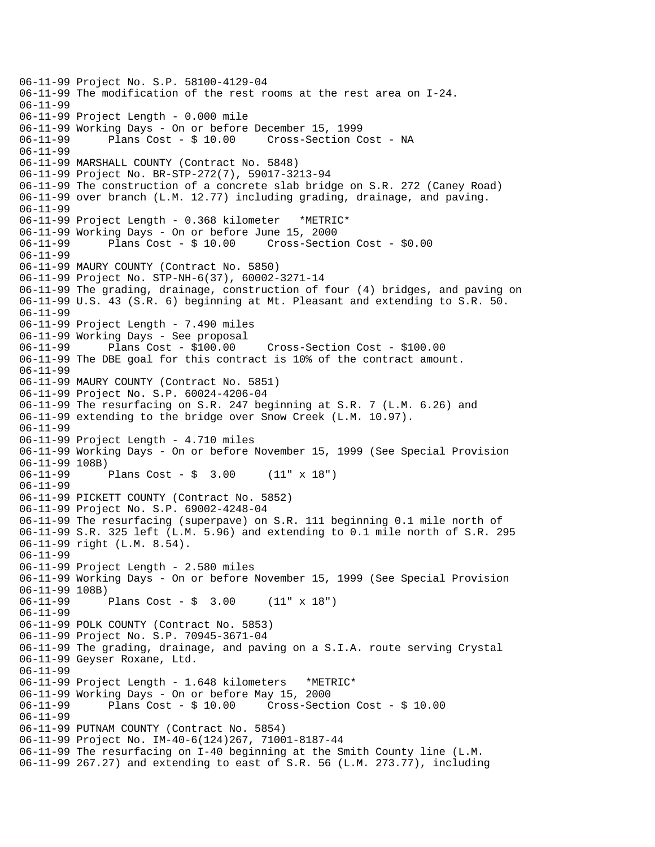06-11-99 Project No. S.P. 58100-4129-04 06-11-99 The modification of the rest rooms at the rest area on I-24. 06-11-99 06-11-99 Project Length - 0.000 mile 06-11-99 Working Days - On or before December 15, 1999 06-11-99 Plans Cost - \$ 10.00 Cross-Section Cost - NA 06-11-99 06-11-99 MARSHALL COUNTY (Contract No. 5848) 06-11-99 Project No. BR-STP-272(7), 59017-3213-94 06-11-99 The construction of a concrete slab bridge on S.R. 272 (Caney Road) 06-11-99 over branch (L.M. 12.77) including grading, drainage, and paving. 06-11-99 06-11-99 Project Length - 0.368 kilometer \*METRIC\* 06-11-99 Working Days - On or before June 15, 2000 06-11-99 Plans Cost - \$ 10.00 Cross-Section Cost - \$0.00 06-11-99 06-11-99 MAURY COUNTY (Contract No. 5850) 06-11-99 Project No. STP-NH-6(37), 60002-3271-14 06-11-99 The grading, drainage, construction of four (4) bridges, and paving on 06-11-99 U.S. 43 (S.R. 6) beginning at Mt. Pleasant and extending to S.R. 50. 06-11-99 06-11-99 Project Length - 7.490 miles 06-11-99 Working Days - See proposal 06-11-99 Plans Cost - \$100.00 Cross-Section Cost - \$100.00 06-11-99 The DBE goal for this contract is 10% of the contract amount. 06-11-99 06-11-99 MAURY COUNTY (Contract No. 5851) 06-11-99 Project No. S.P. 60024-4206-04 06-11-99 The resurfacing on S.R. 247 beginning at S.R. 7 (L.M. 6.26) and 06-11-99 extending to the bridge over Snow Creek (L.M. 10.97). 06-11-99 06-11-99 Project Length - 4.710 miles 06-11-99 Working Days - On or before November 15, 1999 (See Special Provision 06-11-99 108B)<br>06-11-99 Plans Cost -  $\frac{1}{2}$  3.00 (11" x 18") 06-11-99 06-11-99 PICKETT COUNTY (Contract No. 5852) 06-11-99 Project No. S.P. 69002-4248-04 06-11-99 The resurfacing (superpave) on S.R. 111 beginning 0.1 mile north of 06-11-99 S.R. 325 left (L.M. 5.96) and extending to 0.1 mile north of S.R. 295 06-11-99 right (L.M. 8.54). 06-11-99 06-11-99 Project Length - 2.580 miles 06-11-99 Working Days - On or before November 15, 1999 (See Special Provision 06-11-99 108B) 06-11-99 Plans Cost - \$ 3.00 (11" x 18") 06-11-99 06-11-99 POLK COUNTY (Contract No. 5853) 06-11-99 Project No. S.P. 70945-3671-04 06-11-99 The grading, drainage, and paving on a S.I.A. route serving Crystal 06-11-99 Geyser Roxane, Ltd. 06-11-99 06-11-99 Project Length - 1.648 kilometers \*METRIC\* 06-11-99 Working Days - On or before May 15, 2000 06-11-99 Plans Cost - \$ 10.00 Cross-Section Cost - \$ 10.00 06-11-99 06-11-99 PUTNAM COUNTY (Contract No. 5854) 06-11-99 Project No. IM-40-6(124)267, 71001-8187-44 06-11-99 The resurfacing on I-40 beginning at the Smith County line (L.M. 06-11-99 267.27) and extending to east of S.R. 56 (L.M. 273.77), including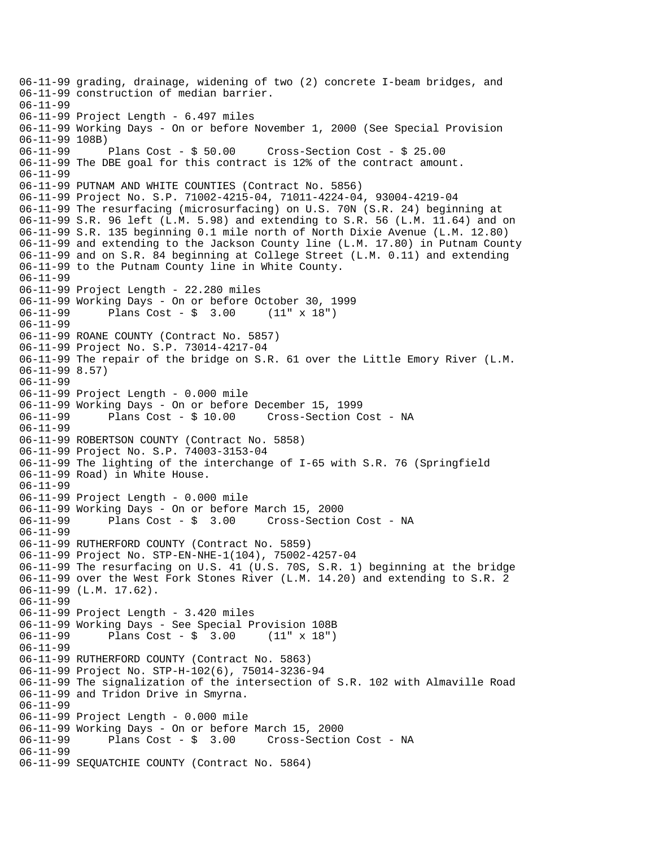```
06-11-99 grading, drainage, widening of two (2) concrete I-beam bridges, and 
06-11-99 construction of median barrier. 
06-11-99 
06-11-99 Project Length - 6.497 miles 
06-11-99 Working Days - On or before November 1, 2000 (See Special Provision 
06-11-99 108B)<br>06-11-99     Plans Cost - $ 50.00
06-11-99 Plans Cost - $ 50.00 Cross-Section Cost - $ 25.00 
06-11-99 The DBE goal for this contract is 12% of the contract amount. 
06-11-99 
06-11-99 PUTNAM AND WHITE COUNTIES (Contract No. 5856) 
06-11-99 Project No. S.P. 71002-4215-04, 71011-4224-04, 93004-4219-04 
06-11-99 The resurfacing (microsurfacing) on U.S. 70N (S.R. 24) beginning at 
06-11-99 S.R. 96 left (L.M. 5.98) and extending to S.R. 56 (L.M. 11.64) and on 
06-11-99 S.R. 135 beginning 0.1 mile north of North Dixie Avenue (L.M. 12.80) 
06-11-99 and extending to the Jackson County line (L.M. 17.80) in Putnam County 
06-11-99 and on S.R. 84 beginning at College Street (L.M. 0.11) and extending 
06-11-99 to the Putnam County line in White County. 
06-11-99 
06-11-99 Project Length - 22.280 miles 
06-11-99 Working Days - On or before October 30, 1999 
06-11-99 Plans Cost - $ 3.00 (11" x 18") 
06-11-99 
06-11-99 ROANE COUNTY (Contract No. 5857) 
06-11-99 Project No. S.P. 73014-4217-04 
06-11-99 The repair of the bridge on S.R. 61 over the Little Emory River (L.M. 
06-11-99 8.57) 
06-11-99 
06-11-99 Project Length - 0.000 mile 
06-11-99 Working Days - On or before December 15, 1999 
06-11-99 Plans Cost - $ 10.00 Cross-Section Cost - NA 
06-11-99 
06-11-99 ROBERTSON COUNTY (Contract No. 5858) 
06-11-99 Project No. S.P. 74003-3153-04 
06-11-99 The lighting of the interchange of I-65 with S.R. 76 (Springfield 
06-11-99 Road) in White House. 
06-11-99 
06-11-99 Project Length - 0.000 mile 
06-11-99 Working Days - On or before March 15, 2000 
06-11-99 Plans Cost - $ 3.00 Cross-Section Cost - NA 
06-11-99 
06-11-99 RUTHERFORD COUNTY (Contract No. 5859) 
06-11-99 Project No. STP-EN-NHE-1(104), 75002-4257-04 
06-11-99 The resurfacing on U.S. 41 (U.S. 70S, S.R. 1) beginning at the bridge 
06-11-99 over the West Fork Stones River (L.M. 14.20) and extending to S.R. 2 
06-11-99 (L.M. 17.62). 
06-11-99 
06-11-99 Project Length - 3.420 miles 
06-11-99 Working Days - See Special Provision 108B<br>06-11-99       Plans Cost - $ 3.00     (11" x 18")
              Plans Cost - \frac{1}{2} 3.00 (11" x 18")
06-11-99 
06-11-99 RUTHERFORD COUNTY (Contract No. 5863) 
06-11-99 Project No. STP-H-102(6), 75014-3236-94 
06-11-99 The signalization of the intersection of S.R. 102 with Almaville Road 
06-11-99 and Tridon Drive in Smyrna. 
06-11-99 
06-11-99 Project Length - 0.000 mile 
06-11-99 Working Days - On or before March 15, 2000 
                                      Cross-Section Cost - NA
06-11-99 
06-11-99 SEQUATCHIE COUNTY (Contract No. 5864)
```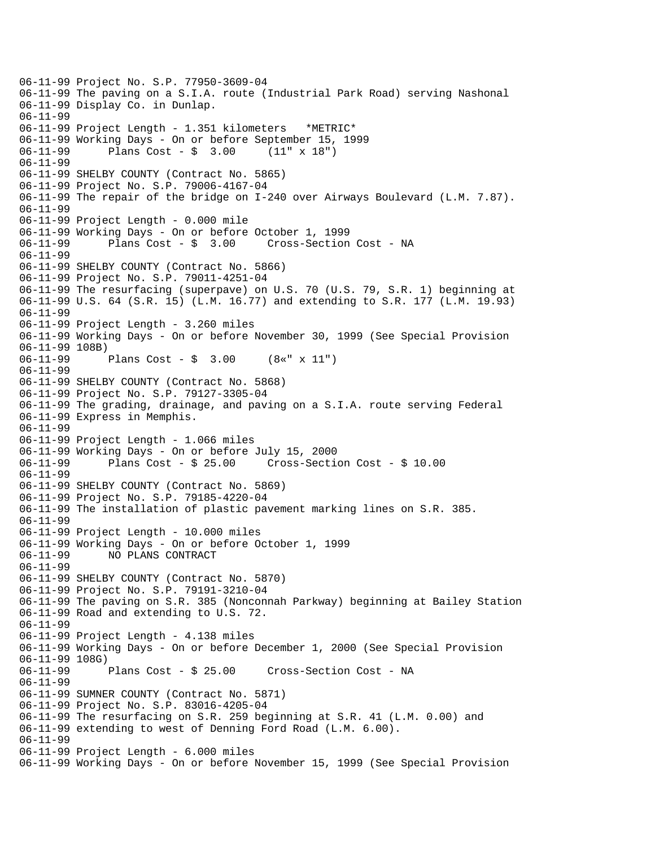06-11-99 Project No. S.P. 77950-3609-04 06-11-99 The paving on a S.I.A. route (Industrial Park Road) serving Nashonal 06-11-99 Display Co. in Dunlap. 06-11-99 06-11-99 Project Length - 1.351 kilometers \*METRIC\* 06-11-99 Working Days - On or before September 15, 1999 06-11-99 Plans Cost - \$ 3.00 (11" x 18") 06-11-99 06-11-99 SHELBY COUNTY (Contract No. 5865) 06-11-99 Project No. S.P. 79006-4167-04 06-11-99 The repair of the bridge on I-240 over Airways Boulevard (L.M. 7.87). 06-11-99 06-11-99 Project Length - 0.000 mile 06-11-99 Working Days - On or before October 1, 1999 06-11-99 Plans Cost - \$ 3.00 Cross-Section Cost - NA 06-11-99 06-11-99 SHELBY COUNTY (Contract No. 5866) 06-11-99 Project No. S.P. 79011-4251-04 06-11-99 The resurfacing (superpave) on U.S. 70 (U.S. 79, S.R. 1) beginning at 06-11-99 U.S. 64 (S.R. 15) (L.M. 16.77) and extending to S.R. 177 (L.M. 19.93) 06-11-99 06-11-99 Project Length - 3.260 miles 06-11-99 Working Days - On or before November 30, 1999 (See Special Provision 06-11-99 108B)<br>06-11-99 Plans Cost -  $\frac{1}{2}$  3.00 (8«" x 11") 06-11-99 06-11-99 SHELBY COUNTY (Contract No. 5868) 06-11-99 Project No. S.P. 79127-3305-04 06-11-99 The grading, drainage, and paving on a S.I.A. route serving Federal 06-11-99 Express in Memphis. 06-11-99 06-11-99 Project Length - 1.066 miles 06-11-99 Working Days - On or before July 15, 2000 06-11-99 Plans Cost - \$ 25.00 Cross-Section Cost - \$ 10.00 06-11-99 06-11-99 SHELBY COUNTY (Contract No. 5869) 06-11-99 Project No. S.P. 79185-4220-04 06-11-99 The installation of plastic pavement marking lines on S.R. 385. 06-11-99 06-11-99 Project Length - 10.000 miles 06-11-99 Working Days - On or before October 1, 1999 06-11-99 NO PLANS CONTRACT 06-11-99 06-11-99 SHELBY COUNTY (Contract No. 5870) 06-11-99 Project No. S.P. 79191-3210-04 06-11-99 The paving on S.R. 385 (Nonconnah Parkway) beginning at Bailey Station 06-11-99 Road and extending to U.S. 72. 06-11-99 06-11-99 Project Length - 4.138 miles 06-11-99 Working Days - On or before December 1, 2000 (See Special Provision 06-11-99 108G) 06-11-99 Plans Cost - \$ 25.00 Cross-Section Cost - NA 06-11-99 06-11-99 SUMNER COUNTY (Contract No. 5871) 06-11-99 Project No. S.P. 83016-4205-04 06-11-99 The resurfacing on S.R. 259 beginning at S.R. 41 (L.M. 0.00) and 06-11-99 extending to west of Denning Ford Road (L.M. 6.00). 06-11-99 06-11-99 Project Length - 6.000 miles 06-11-99 Working Days - On or before November 15, 1999 (See Special Provision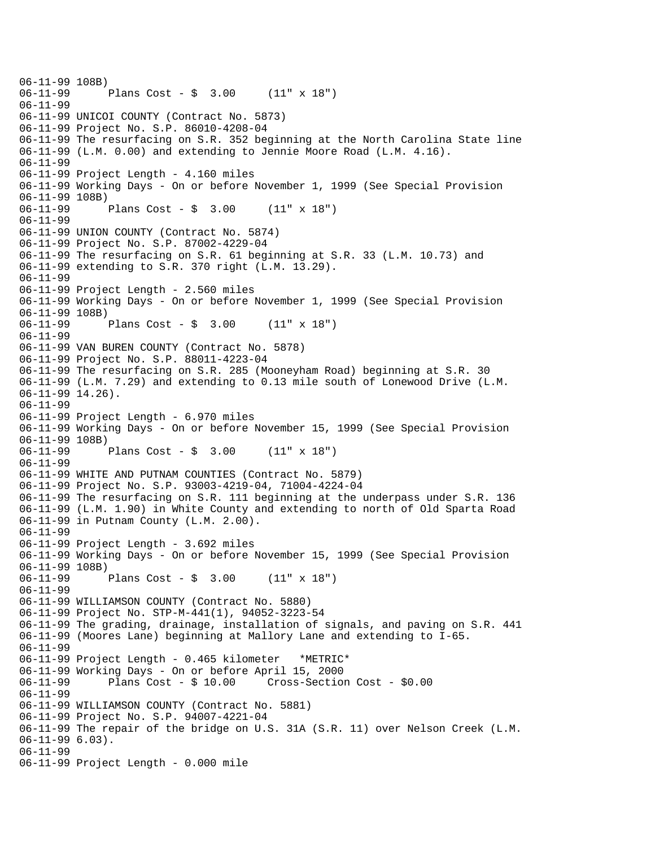```
06-11-99 108B)<br>06-11-99
              Plans Cost - \sin 3.00 (11" x 18")
06-11-99 
06-11-99 UNICOI COUNTY (Contract No. 5873) 
06-11-99 Project No. S.P. 86010-4208-04 
06-11-99 The resurfacing on S.R. 352 beginning at the North Carolina State line 
06-11-99 (L.M. 0.00) and extending to Jennie Moore Road (L.M. 4.16). 
06-11-99 
06-11-99 Project Length - 4.160 miles 
06-11-99 Working Days - On or before November 1, 1999 (See Special Provision 
06-11-99 108B) 
06-11-99 Plans Cost - $ 3.00 (11" x 18") 
06-11-99 
06-11-99 UNION COUNTY (Contract No. 5874) 
06-11-99 Project No. S.P. 87002-4229-04 
06-11-99 The resurfacing on S.R. 61 beginning at S.R. 33 (L.M. 10.73) and 
06-11-99 extending to S.R. 370 right (L.M. 13.29). 
06-11-99 
06-11-99 Project Length - 2.560 miles 
06-11-99 Working Days - On or before November 1, 1999 (See Special Provision 
06-11-99 108B)<br>06-11-99
              Plans Cost - \frac{1}{2} 3.00 (11" x 18")
06-11-99 
06-11-99 VAN BUREN COUNTY (Contract No. 5878) 
06-11-99 Project No. S.P. 88011-4223-04 
06-11-99 The resurfacing on S.R. 285 (Mooneyham Road) beginning at S.R. 30 
06-11-99 (L.M. 7.29) and extending to 0.13 mile south of Lonewood Drive (L.M. 
06-11-99 14.26). 
06-11-99 
06-11-99 Project Length - 6.970 miles 
06-11-99 Working Days - On or before November 15, 1999 (See Special Provision 
06-11-99 108B)<br>06-11-99
              Plans Cost - \frac{1}{2} 3.00 (11" x 18")
06-11-99 
06-11-99 WHITE AND PUTNAM COUNTIES (Contract No. 5879) 
06-11-99 Project No. S.P. 93003-4219-04, 71004-4224-04 
06-11-99 The resurfacing on S.R. 111 beginning at the underpass under S.R. 136 
06-11-99 (L.M. 1.90) in White County and extending to north of Old Sparta Road 
06-11-99 in Putnam County (L.M. 2.00). 
06-11-99 
06-11-99 Project Length - 3.692 miles 
06-11-99 Working Days - On or before November 15, 1999 (See Special Provision 
06-11-99 108B) 
06-11-99 Plans Cost - $ 3.00 (11" x 18") 
06-11-99 
06-11-99 WILLIAMSON COUNTY (Contract No. 5880) 
06-11-99 Project No. STP-M-441(1), 94052-3223-54 
06-11-99 The grading, drainage, installation of signals, and paving on S.R. 441 
06-11-99 (Moores Lane) beginning at Mallory Lane and extending to I-65. 
06-11-99 
06-11-99 Project Length - 0.465 kilometer *METRIC* 
06-11-99 Working Days - On or before April 15, 2000 
06-11-99 Plans Cost - $ 10.00 Cross-Section Cost - $0.00 
06-11-99 
06-11-99 WILLIAMSON COUNTY (Contract No. 5881) 
06-11-99 Project No. S.P. 94007-4221-04 
06-11-99 The repair of the bridge on U.S. 31A (S.R. 11) over Nelson Creek (L.M. 
06-11-99 6.03). 
06-11-99 
06-11-99 Project Length - 0.000 mile
```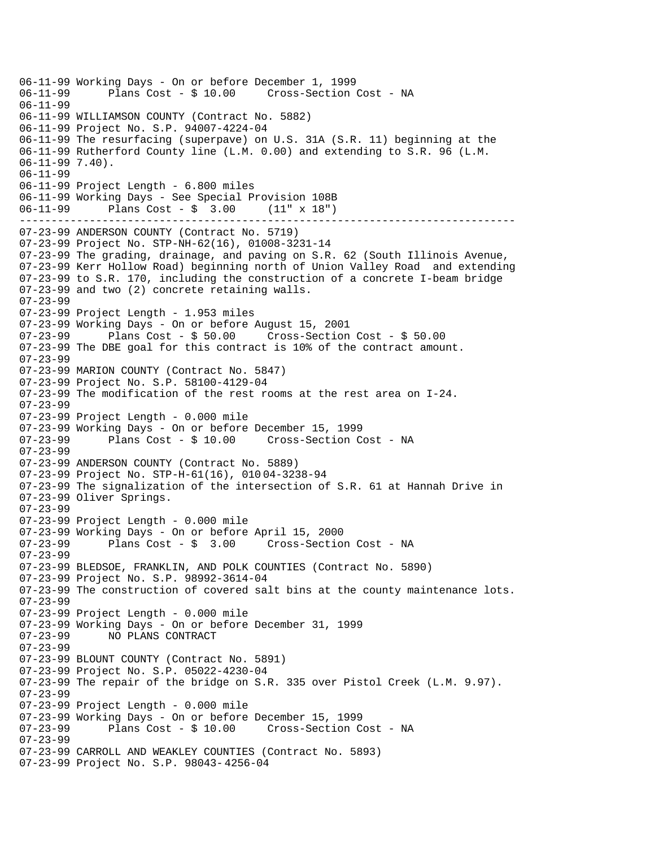------------------------------------------------------------------------------ 06-11-99 Working Days - On or before December 1, 1999 Plans Cost - \$ 10.00 Cross-Section Cost - NA 06-11-99 06-11-99 WILLIAMSON COUNTY (Contract No. 5882) 06-11-99 Project No. S.P. 94007-4224-04 06-11-99 The resurfacing (superpave) on U.S. 31A (S.R. 11) beginning at the 06-11-99 Rutherford County line (L.M. 0.00) and extending to S.R. 96 (L.M. 06-11-99 7.40). 06-11-99 06-11-99 Project Length - 6.800 miles 06-11-99 Working Days - See Special Provision 108B 06-11-99 Plans Cost - \$ 3.00 (11" x 18") 07-23-99 ANDERSON COUNTY (Contract No. 5719) 07-23-99 Project No. STP-NH-62(16), 01008-3231-14 07-23-99 The grading, drainage, and paving on S.R. 62 (South Illinois Avenue, 07-23-99 Kerr Hollow Road) beginning north of Union Valley Road and extending 07-23-99 to S.R. 170, including the construction of a concrete I-beam bridge 07-23-99 and two (2) concrete retaining walls. 07-23-99 07-23-99 Project Length - 1.953 miles 07-23-99 Working Days - On or before August 15, 2001 Plans  $Cost - $ 50.00$  Cross-Section Cost - \$ 50.00 07-23-99 The DBE goal for this contract is 10% of the contract amount. 07-23-99 07-23-99 MARION COUNTY (Contract No. 5847) 07-23-99 Project No. S.P. 58100-4129-04 07-23-99 The modification of the rest rooms at the rest area on I-24. 07-23-99 07-23-99 Project Length - 0.000 mile 07-23-99 Working Days - On or before December 15, 1999 Plans Cost - \$ 10.00 Cross-Section Cost - NA 07-23-99 07-23-99 ANDERSON COUNTY (Contract No. 5889) 07-23-99 Project No. STP-H-61(16), 010 04-3238-94 07-23-99 The signalization of the intersection of S.R. 61 at Hannah Drive in 07-23-99 Oliver Springs. 07-23-99 07-23-99 Project Length - 0.000 mile 07-23-99 Working Days - On or before April 15, 2000 Plans Cost - \$ 3.00 Cross-Section Cost - NA 07-23-99 07-23-99 BLEDSOE, FRANKLIN, AND POLK COUNTIES (Contract No. 5890) 07-23-99 Project No. S.P. 98992-3614-04 07-23-99 The construction of covered salt bins at the county maintenance lots. 07-23-99 07-23-99 Project Length - 0.000 mile 07-23-99 Working Days - On or before December 31, 1999 NO PLANS CONTRACT 07-23-99 07-23-99 BLOUNT COUNTY (Contract No. 5891) 07-23-99 Project No. S.P. 05022-4230-04 07-23-99 The repair of the bridge on S.R. 335 over Pistol Creek (L.M. 9.97). 07-23-99 07-23-99 Project Length - 0.000 mile 07-23-99 Working Days - On or before December 15, 1999 07-23-99 Plans Cost - \$ 10.00 Cross-Section Cost - NA 07-23-99 07-23-99 CARROLL AND WEAKLEY COUNTIES (Contract No. 5893) 07-23-99 Project No. S.P. 98043- 4256-04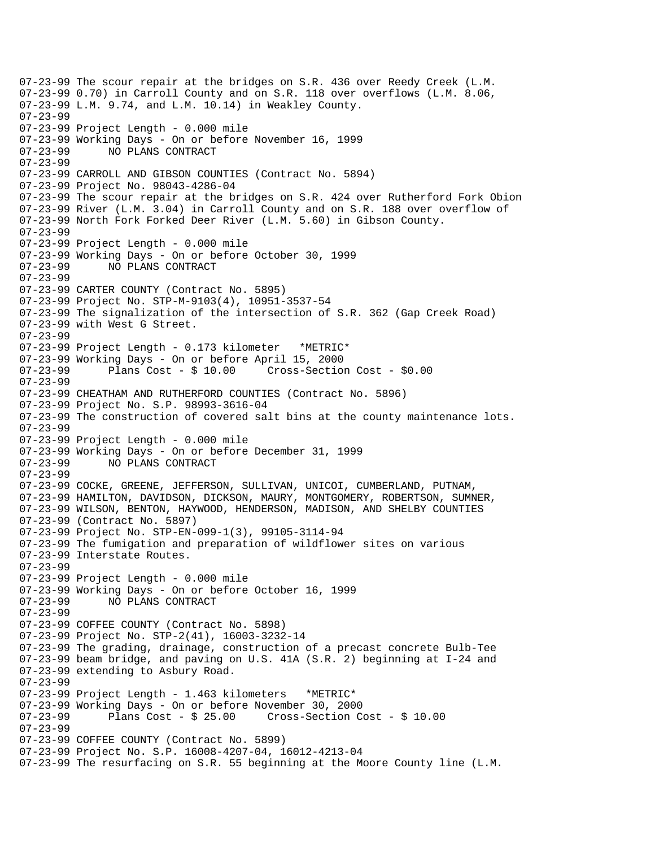07-23-99 The scour repair at the bridges on S.R. 436 over Reedy Creek (L.M. 07-23-99 0.70) in Carroll County and on S.R. 118 over overflows (L.M. 8.06, 07-23-99 L.M. 9.74, and L.M. 10.14) in Weakley County. 07-23-99 07-23-99 Project Length - 0.000 mile 07-23-99 Working Days - On or before November 16, 1999 07-23-99 NO PLANS CONTRACT 07-23-99 07-23-99 CARROLL AND GIBSON COUNTIES (Contract No. 5894) 07-23-99 Project No. 98043-4286-04 07-23-99 The scour repair at the bridges on S.R. 424 over Rutherford Fork Obion 07-23-99 River (L.M. 3.04) in Carroll County and on S.R. 188 over overflow of 07-23-99 North Fork Forked Deer River (L.M. 5.60) in Gibson County. 07-23-99 07-23-99 Project Length - 0.000 mile 07-23-99 Working Days - On or before October 30, 1999 NO PLANS CONTRACT 07-23-99 07-23-99 CARTER COUNTY (Contract No. 5895) 07-23-99 Project No. STP-M-9103(4), 10951-3537-54 07-23-99 The signalization of the intersection of S.R. 362 (Gap Creek Road) 07-23-99 with West G Street. 07-23-99 07-23-99 Project Length - 0.173 kilometer \*METRIC\* 07-23-99 Working Days - On or before April 15, 2000 Cross-Section Cost - \$0.00 07-23-99 07-23-99 CHEATHAM AND RUTHERFORD COUNTIES (Contract No. 5896) 07-23-99 Project No. S.P. 98993-3616-04 07-23-99 The construction of covered salt bins at the county maintenance lots. 07-23-99 07-23-99 Project Length - 0.000 mile 07-23-99 Working Days - On or before December 31, 1999 07-23-99 NO PLANS CONTRACT 07-23-99 07-23-99 COCKE, GREENE, JEFFERSON, SULLIVAN, UNICOI, CUMBERLAND, PUTNAM, 07-23-99 HAMILTON, DAVIDSON, DICKSON, MAURY, MONTGOMERY, ROBERTSON, SUMNER, 07-23-99 WILSON, BENTON, HAYWOOD, HENDERSON, MADISON, AND SHELBY COUNTIES 07-23-99 (Contract No. 5897) 07-23-99 Project No. STP-EN-099-1(3), 99105-3114-94 07-23-99 The fumigation and preparation of wildflower sites on various 07-23-99 Interstate Routes. 07-23-99 07-23-99 Project Length - 0.000 mile 07-23-99 Working Days - On or before October 16, 1999 07-23-99 NO PLANS CONTRACT 07-23-99 07-23-99 COFFEE COUNTY (Contract No. 5898) 07-23-99 Project No. STP-2(41), 16003-3232-14 07-23-99 The grading, drainage, construction of a precast concrete Bulb-Tee 07-23-99 beam bridge, and paving on U.S. 41A (S.R. 2) beginning at I-24 and 07-23-99 extending to Asbury Road. 07-23-99 07-23-99 Project Length - 1.463 kilometers \*METRIC\* 07-23-99 Working Days - On or before November 30, 2000  $Cross-Section Cost - $ 10.00$ 07-23-99 07-23-99 COFFEE COUNTY (Contract No. 5899) 07-23-99 Project No. S.P. 16008-4207-04, 16012-4213-04 07-23-99 The resurfacing on S.R. 55 beginning at the Moore County line (L.M.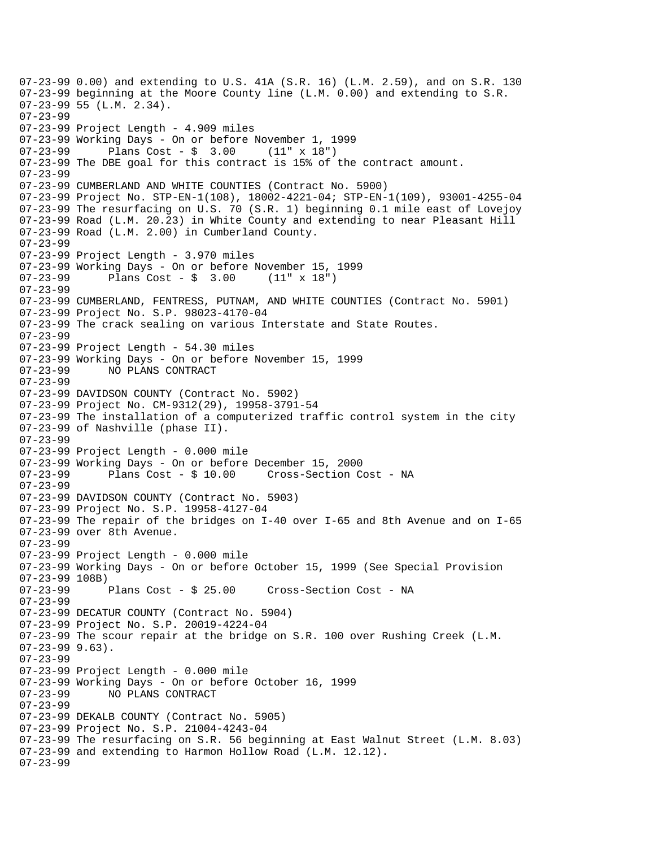07-23-99 0.00) and extending to U.S. 41A (S.R. 16) (L.M. 2.59), and on S.R. 130 07-23-99 beginning at the Moore County line (L.M. 0.00) and extending to S.R. 07-23-99 55 (L.M. 2.34). 07-23-99 07-23-99 Project Length - 4.909 miles 07-23-99 Working Days - On or before November 1, 1999 07-23-99 Plans Cost - \$ 3.00 (11" x 18") 07-23-99 The DBE goal for this contract is 15% of the contract amount. 07-23-99 07-23-99 CUMBERLAND AND WHITE COUNTIES (Contract No. 5900) 07-23-99 Project No. STP-EN-1(108), 18002-4221-04; STP-EN-1(109), 93001-4255-04 07-23-99 The resurfacing on U.S. 70 (S.R. 1) beginning 0.1 mile east of Lovejoy 07-23-99 Road (L.M. 20.23) in White County and extending to near Pleasant Hill 07-23-99 Road (L.M. 2.00) in Cumberland County. 07-23-99 07-23-99 Project Length - 3.970 miles 07-23-99 Working Days - On or before November 15, 1999 07-23-99 Plans Cost - \$ 3.00 (11" x 18") 07-23-99 07-23-99 CUMBERLAND, FENTRESS, PUTNAM, AND WHITE COUNTIES (Contract No. 5901) 07-23-99 Project No. S.P. 98023-4170-04 07-23-99 The crack sealing on various Interstate and State Routes. 07-23-99 07-23-99 Project Length - 54.30 miles 07-23-99 Working Days - On or before November 15, 1999 07-23-99 NO PLANS CONTRACT 07-23-99 07-23-99 DAVIDSON COUNTY (Contract No. 5902) 07-23-99 Project No. CM-9312(29), 19958-3791-54 07-23-99 The installation of a computerized traffic control system in the city 07-23-99 of Nashville (phase II). 07-23-99 07-23-99 Project Length - 0.000 mile 07-23-99 Working Days - On or before December 15, 2000 Cross-Section Cost - NA 07-23-99 07-23-99 DAVIDSON COUNTY (Contract No. 5903) 07-23-99 Project No. S.P. 19958-4127-04 07-23-99 The repair of the bridges on I-40 over I-65 and 8th Avenue and on I-65 07-23-99 over 8th Avenue. 07-23-99 07-23-99 Project Length - 0.000 mile 07-23-99 Working Days - On or before October 15, 1999 (See Special Provision 07-23-99 108B) Plans Cost - \$ 25.00 Cross-Section Cost - NA 07-23-99 07-23-99 DECATUR COUNTY (Contract No. 5904) 07-23-99 Project No. S.P. 20019-4224-04 07-23-99 The scour repair at the bridge on S.R. 100 over Rushing Creek (L.M. 07-23-99 9.63). 07-23-99 07-23-99 Project Length - 0.000 mile 07-23-99 Working Days - On or before October 16, 1999 07-23-99 NO PLANS CONTRACT 07-23-99 07-23-99 DEKALB COUNTY (Contract No. 5905) 07-23-99 Project No. S.P. 21004-4243-04 07-23-99 The resurfacing on S.R. 56 beginning at East Walnut Street (L.M. 8.03) 07-23-99 and extending to Harmon Hollow Road (L.M. 12.12). 07-23-99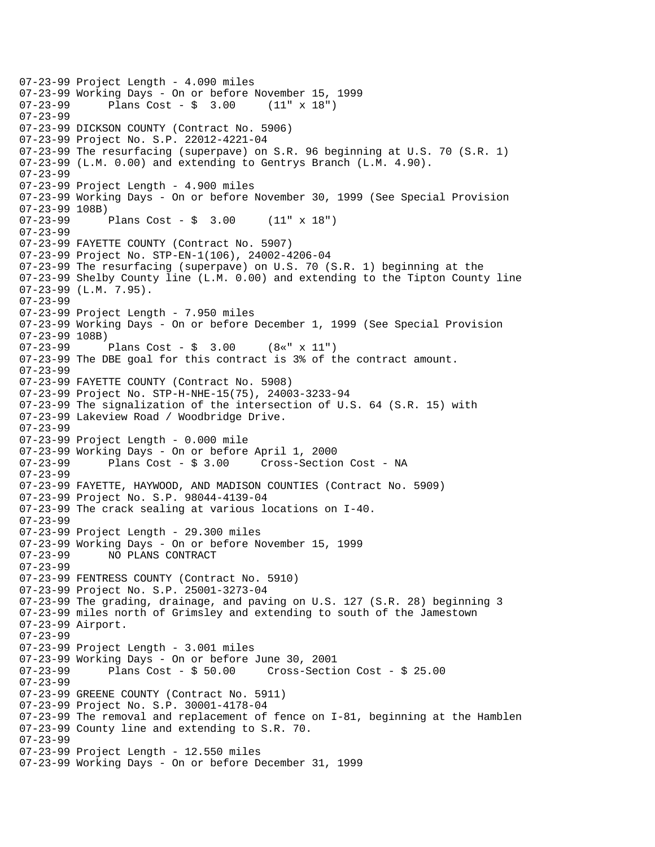07-23-99 Project Length - 4.090 miles 07-23-99 Working Days - On or before November 15, 1999<br>07-23-99 Plans Cost - \$ 3.00 (11" x 18") Plans  $Cost - $ 3.00$ 07-23-99 07-23-99 DICKSON COUNTY (Contract No. 5906) 07-23-99 Project No. S.P. 22012-4221-04 07-23-99 The resurfacing (superpave) on S.R. 96 beginning at U.S. 70 (S.R. 1) 07-23-99 (L.M. 0.00) and extending to Gentrys Branch (L.M. 4.90). 07-23-99 07-23-99 Project Length - 4.900 miles 07-23-99 Working Days - On or before November 30, 1999 (See Special Provision 07-23-99 108B) 07-23-99 Plans Cost - \$ 3.00 (11" x 18") 07-23-99 07-23-99 FAYETTE COUNTY (Contract No. 5907) 07-23-99 Project No. STP-EN-1(106), 24002-4206-04 07-23-99 The resurfacing (superpave) on U.S. 70 (S.R. 1) beginning at the 07-23-99 Shelby County line (L.M. 0.00) and extending to the Tipton County line 07-23-99 (L.M. 7.95). 07-23-99 07-23-99 Project Length - 7.950 miles 07-23-99 Working Days - On or before December 1, 1999 (See Special Provision 07-23-99 108B) 07-23-99 Plans Cost - \$ 3.00 (8«" x 11") 07-23-99 The DBE goal for this contract is 3% of the contract amount. 07-23-99 07-23-99 FAYETTE COUNTY (Contract No. 5908) 07-23-99 Project No. STP-H-NHE-15(75), 24003-3233-94 07-23-99 The signalization of the intersection of U.S. 64 (S.R. 15) with 07-23-99 Lakeview Road / Woodbridge Drive. 07-23-99 07-23-99 Project Length - 0.000 mile 07-23-99 Working Days - On or before April 1, 2000 07-23-99 Plans Cost - \$ 3.00 Cross-Section Cost - NA 07-23-99 07-23-99 FAYETTE, HAYWOOD, AND MADISON COUNTIES (Contract No. 5909) 07-23-99 Project No. S.P. 98044-4139-04 07-23-99 The crack sealing at various locations on I-40. 07-23-99 07-23-99 Project Length - 29.300 miles 07-23-99 Working Days - On or before November 15, 1999 07-23-99 NO PLANS CONTRACT 07-23-99 07-23-99 FENTRESS COUNTY (Contract No. 5910) 07-23-99 Project No. S.P. 25001-3273-04 07-23-99 The grading, drainage, and paving on U.S. 127 (S.R. 28) beginning 3 07-23-99 miles north of Grimsley and extending to south of the Jamestown 07-23-99 Airport. 07-23-99 07-23-99 Project Length - 3.001 miles 07-23-99 Working Days - On or before June 30, 2001 07-23-99 Plans Cost - \$ 50.00 Cross-Section Cost - \$ 25.00 07-23-99 07-23-99 GREENE COUNTY (Contract No. 5911) 07-23-99 Project No. S.P. 30001-4178-04 07-23-99 The removal and replacement of fence on I-81, beginning at the Hamblen 07-23-99 County line and extending to S.R. 70. 07-23-99 07-23-99 Project Length - 12.550 miles 07-23-99 Working Days - On or before December 31, 1999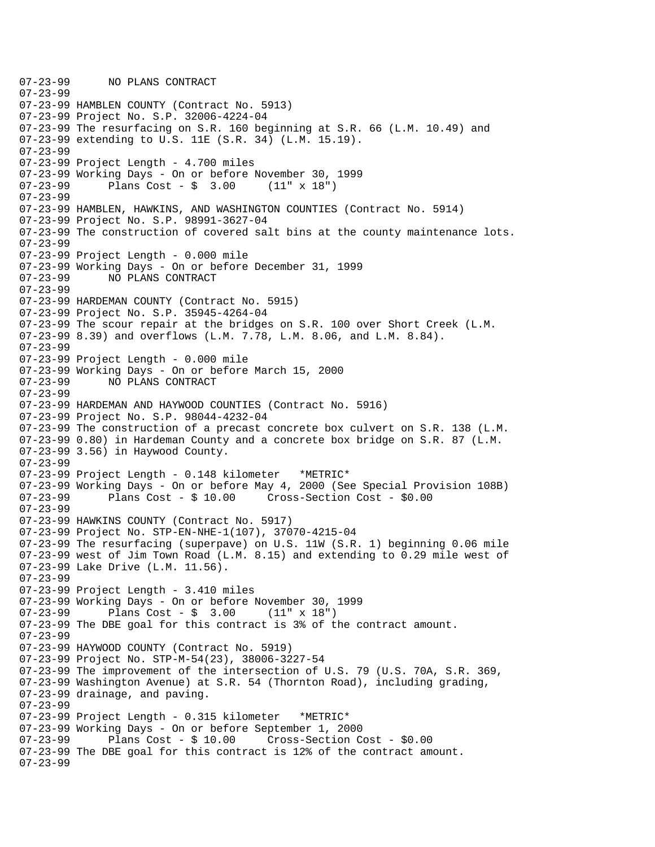07-23-99 NO PLANS CONTRACT 07-23-99 07-23-99 HAMBLEN COUNTY (Contract No. 5913) 07-23-99 Project No. S.P. 32006-4224-04 07-23-99 The resurfacing on S.R. 160 beginning at S.R. 66 (L.M. 10.49) and 07-23-99 extending to U.S. 11E (S.R. 34) (L.M. 15.19). 07-23-99 07-23-99 Project Length - 4.700 miles 07-23-99 Working Days - On or before November 30, 1999 07-23-99 Plans Cost - \$ 3.00 (11" x 18") 07-23-99 07-23-99 HAMBLEN, HAWKINS, AND WASHINGTON COUNTIES (Contract No. 5914) 07-23-99 Project No. S.P. 98991-3627-04 07-23-99 The construction of covered salt bins at the county maintenance lots. 07-23-99 07-23-99 Project Length - 0.000 mile 07-23-99 Working Days - On or before December 31, 1999 07-23-99 NO PLANS CONTRACT 07-23-99 07-23-99 HARDEMAN COUNTY (Contract No. 5915) 07-23-99 Project No. S.P. 35945-4264-04 07-23-99 The scour repair at the bridges on S.R. 100 over Short Creek (L.M. 07-23-99 8.39) and overflows (L.M. 7.78, L.M. 8.06, and L.M. 8.84). 07-23-99 07-23-99 Project Length - 0.000 mile 07-23-99 Working Days - On or before March 15, 2000 07-23-99 NO PLANS CONTRACT 07-23-99 07-23-99 HARDEMAN AND HAYWOOD COUNTIES (Contract No. 5916) 07-23-99 Project No. S.P. 98044-4232-04 07-23-99 The construction of a precast concrete box culvert on S.R. 138 (L.M. 07-23-99 0.80) in Hardeman County and a concrete box bridge on S.R. 87 (L.M. 07-23-99 3.56) in Haywood County. 07-23-99 07-23-99 Project Length - 0.148 kilometer \*METRIC\* 07-23-99 Working Days - On or before May 4, 2000 (See Special Provision 108B) 07-23-99 Plans Cost - \$ 10.00 Cross-Section Cost - \$0.00 07-23-99 07-23-99 HAWKINS COUNTY (Contract No. 5917) 07-23-99 Project No. STP-EN-NHE-1(107), 37070-4215-04 07-23-99 The resurfacing (superpave) on U.S. 11W (S.R. 1) beginning 0.06 mile 07-23-99 west of Jim Town Road (L.M. 8.15) and extending to 0.29 mile west of 07-23-99 Lake Drive (L.M. 11.56). 07-23-99 07-23-99 Project Length - 3.410 miles 07-23-99 Working Days - On or before November 30, 1999 07-23-99 Plans Cost - \$ 3.00 (11" x 18") 07-23-99 The DBE goal for this contract is 3% of the contract amount. 07-23-99 07-23-99 HAYWOOD COUNTY (Contract No. 5919) 07-23-99 Project No. STP-M-54(23), 38006-3227-54 07-23-99 The improvement of the intersection of U.S. 79 (U.S. 70A, S.R. 369, 07-23-99 Washington Avenue) at S.R. 54 (Thornton Road), including grading, 07-23-99 drainage, and paving. 07-23-99 07-23-99 Project Length - 0.315 kilometer \*METRIC\* 07-23-99 Working Days - On or before September 1, 2000 Plans  $Cost - $ 10.00$  Cross-Section Cost -  $$0.00$ 07-23-99 The DBE goal for this contract is 12% of the contract amount. 07-23-99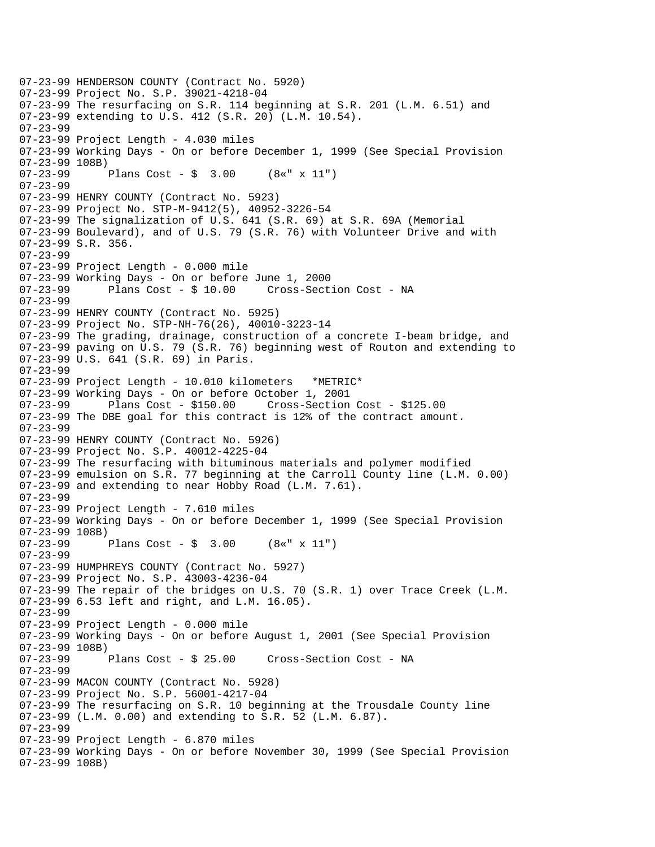```
07-23-99 HENDERSON COUNTY (Contract No. 5920) 
07-23-99 Project No. S.P. 39021-4218-04 
07-23-99 The resurfacing on S.R. 114 beginning at S.R. 201 (L.M. 6.51) and 
07-23-99 extending to U.S. 412 (S.R. 20) (L.M. 10.54). 
07-23-99 
07-23-99 Project Length - 4.030 miles 
07-23-99 Working Days - On or before December 1, 1999 (See Special Provision 
07-23-99 108B) 
07-23-99 Plans Cost - $ 3.00 (8«" x 11") 
07-23-99 
07-23-99 HENRY COUNTY (Contract No. 5923) 
07-23-99 Project No. STP-M-9412(5), 40952-3226-54 
07-23-99 The signalization of U.S. 641 (S.R. 69) at S.R. 69A (Memorial 
07-23-99 Boulevard), and of U.S. 79 (S.R. 76) with Volunteer Drive and with 
07-23-99 S.R. 356. 
07-23-99 
07-23-99 Project Length - 0.000 mile 
07-23-99 Working Days - On or before June 1, 2000 
07-23-99 Plans Cost - $ 10.00 Cross-Section Cost - NA 
07-23-99 
07-23-99 HENRY COUNTY (Contract No. 5925) 
07-23-99 Project No. STP-NH-76(26), 40010-3223-14 
07-23-99 The grading, drainage, construction of a concrete I-beam bridge, and 
07-23-99 paving on U.S. 79 (S.R. 76) beginning west of Routon and extending to 
07-23-99 U.S. 641 (S.R. 69) in Paris. 
07-23-99 
07-23-99 Project Length - 10.010 kilometers *METRIC* 
07-23-99 Working Days - On or before October 1, 2001 
07-23-99 Plans Cost - $150.00 Cross-Section Cost - $125.00 
07-23-99 The DBE goal for this contract is 12% of the contract amount. 
07-23-99 
07-23-99 HENRY COUNTY (Contract No. 5926) 
07-23-99 Project No. S.P. 40012-4225-04 
07-23-99 The resurfacing with bituminous materials and polymer modified 
07-23-99 emulsion on S.R. 77 beginning at the Carroll County line (L.M. 0.00) 
07-23-99 and extending to near Hobby Road (L.M. 7.61). 
07-23-99 
07-23-99 Project Length - 7.610 miles 
07-23-99 Working Days - On or before December 1, 1999 (See Special Provision 
07-23-99 108B) 
07-23-99 Plans Cost - $ 3.00 (8«" x 11") 
07-23-99 
07-23-99 HUMPHREYS COUNTY (Contract No. 5927) 
07-23-99 Project No. S.P. 43003-4236-04 
07-23-99 The repair of the bridges on U.S. 70 (S.R. 1) over Trace Creek (L.M. 
07-23-99 6.53 left and right, and L.M. 16.05). 
07-23-99 
07-23-99 Project Length - 0.000 mile 
07-23-99 Working Days - On or before August 1, 2001 (See Special Provision 
07-23-99 108B)<br>07-23-99
              Plans Cost - $ 25.00 Cross-Section Cost - NA
07-23-99 
07-23-99 MACON COUNTY (Contract No. 5928) 
07-23-99 Project No. S.P. 56001-4217-04 
07-23-99 The resurfacing on S.R. 10 beginning at the Trousdale County line 
07-23-99 (L.M. 0.00) and extending to S.R. 52 (L.M. 6.87). 
07-23-99 
07-23-99 Project Length - 6.870 miles 
07-23-99 Working Days - On or before November 30, 1999 (See Special Provision 
07-23-99 108B)
```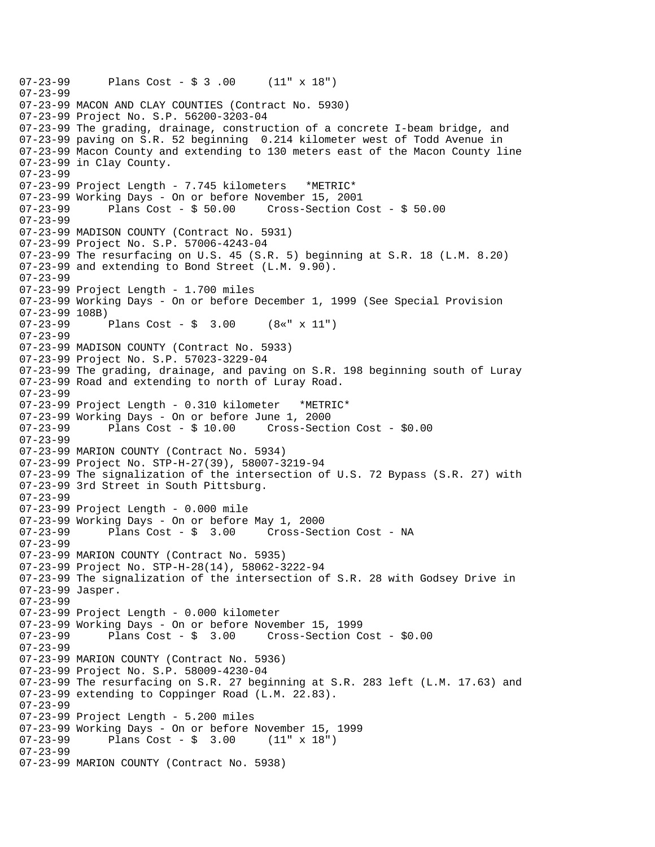07-23-99 Plans Cost - \$ 3 .00 (11" x 18") 07-23-99 07-23-99 MACON AND CLAY COUNTIES (Contract No. 5930) 07-23-99 Project No. S.P. 56200-3203-04 07-23-99 The grading, drainage, construction of a concrete I-beam bridge, and 07-23-99 paving on S.R. 52 beginning 0.214 kilometer west of Todd Avenue in 07-23-99 Macon County and extending to 130 meters east of the Macon County line 07-23-99 in Clay County. 07-23-99 07-23-99 Project Length - 7.745 kilometers \*METRIC\* 07-23-99 Working Days - On or before November 15, 2001 07-23-99 Plans Cost - \$ 50.00 Cross-Section Cost - \$ 50.00 07-23-99 07-23-99 MADISON COUNTY (Contract No. 5931) 07-23-99 Project No. S.P. 57006-4243-04 07-23-99 The resurfacing on U.S. 45 (S.R. 5) beginning at S.R. 18 (L.M. 8.20) 07-23-99 and extending to Bond Street (L.M. 9.90). 07-23-99 07-23-99 Project Length - 1.700 miles 07-23-99 Working Days - On or before December 1, 1999 (See Special Provision 07-23-99 108B) Plans Cost -  $\sin 3.00$  (8«" x 11") 07-23-99 07-23-99 MADISON COUNTY (Contract No. 5933) 07-23-99 Project No. S.P. 57023-3229-04 07-23-99 The grading, drainage, and paving on S.R. 198 beginning south of Luray 07-23-99 Road and extending to north of Luray Road. 07-23-99 07-23-99 Project Length - 0.310 kilometer \*METRIC\* 07-23-99 Working Days - On or before June 1, 2000<br>07-23-99 Plans Cost - \$ 10.00 Cross-Sect 07-23-99 Plans Cost - \$ 10.00 Cross-Section Cost - \$0.00 07-23-99 07-23-99 MARION COUNTY (Contract No. 5934) 07-23-99 Project No. STP-H-27(39), 58007-3219-94 07-23-99 The signalization of the intersection of U.S. 72 Bypass (S.R. 27) with 07-23-99 3rd Street in South Pittsburg. 07-23-99 07-23-99 Project Length - 0.000 mile 07-23-99 Working Days - On or before May 1, 2000 07-23-99 Plans Cost - \$ 3.00 Cross-Section Cost - NA 07-23-99 07-23-99 MARION COUNTY (Contract No. 5935) 07-23-99 Project No. STP-H-28(14), 58062-3222-94 07-23-99 The signalization of the intersection of S.R. 28 with Godsey Drive in 07-23-99 Jasper. 07-23-99 07-23-99 Project Length - 0.000 kilometer 07-23-99 Working Days - On or before November 15, 1999 Plans  $Cost - $ 3.00$  Cross-Section Cost -  $$0.00$ 07-23-99 07-23-99 MARION COUNTY (Contract No. 5936) 07-23-99 Project No. S.P. 58009-4230-04 07-23-99 The resurfacing on S.R. 27 beginning at S.R. 283 left (L.M. 17.63) and 07-23-99 extending to Coppinger Road (L.M. 22.83). 07-23-99 07-23-99 Project Length - 5.200 miles 07-23-99 Working Days - On or before November 15, 1999<br>07-23-99 Plans Cost - \$ 3.00 (11" x 18") Plans  $Cost - $ 3.00$ 07-23-99 07-23-99 MARION COUNTY (Contract No. 5938)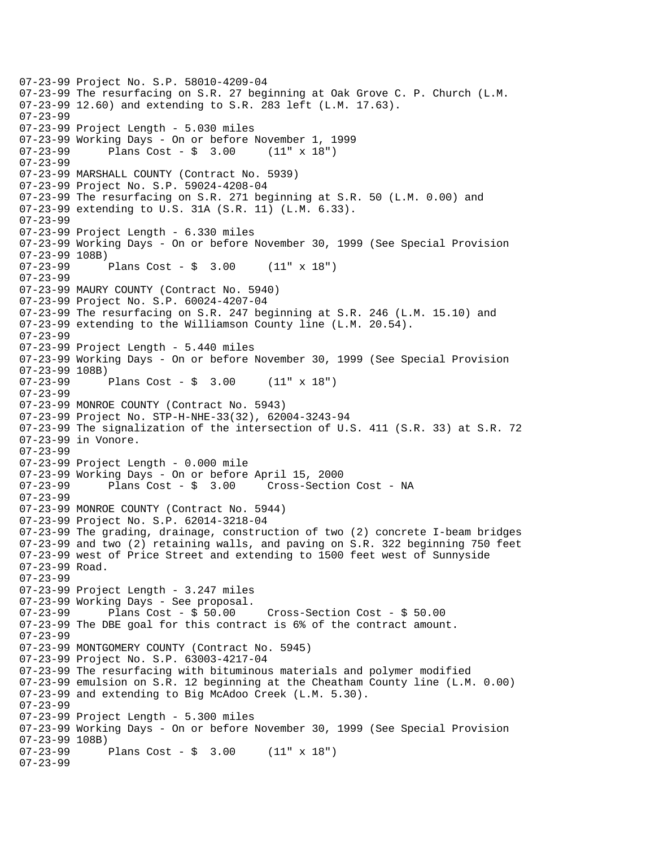07-23-99 Project No. S.P. 58010-4209-04 07-23-99 The resurfacing on S.R. 27 beginning at Oak Grove C. P. Church (L.M. 07-23-99 12.60) and extending to S.R. 283 left (L.M. 17.63). 07-23-99 07-23-99 Project Length - 5.030 miles 07-23-99 Working Days - On or before November 1, 1999 07-23-99 Plans Cost - \$ 3.00 (11" x 18") 07-23-99 07-23-99 MARSHALL COUNTY (Contract No. 5939) 07-23-99 Project No. S.P. 59024-4208-04 07-23-99 The resurfacing on S.R. 271 beginning at S.R. 50 (L.M. 0.00) and 07-23-99 extending to U.S. 31A (S.R. 11) (L.M. 6.33). 07-23-99 07-23-99 Project Length - 6.330 miles 07-23-99 Working Days - On or before November 30, 1999 (See Special Provision 07-23-99 108B)<br>07-23-99 Plans Cost -  $\frac{1}{2}$  3.00 (11" x 18") 07-23-99 07-23-99 MAURY COUNTY (Contract No. 5940) 07-23-99 Project No. S.P. 60024-4207-04 07-23-99 The resurfacing on S.R. 247 beginning at S.R. 246 (L.M. 15.10) and 07-23-99 extending to the Williamson County line (L.M. 20.54). 07-23-99 07-23-99 Project Length - 5.440 miles 07-23-99 Working Days - On or before November 30, 1999 (See Special Provision 07-23-99 108B)<br>07-23-99 Plans Cost -  $\frac{1}{2}$  3.00 (11" x 18") 07-23-99 07-23-99 MONROE COUNTY (Contract No. 5943) 07-23-99 Project No. STP-H-NHE-33(32), 62004-3243-94 07-23-99 The signalization of the intersection of U.S. 411 (S.R. 33) at S.R. 72 07-23-99 in Vonore. 07-23-99 07-23-99 Project Length - 0.000 mile 07-23-99 Working Days - On or before April 15, 2000 07-23-99 Plans Cost - \$ 3.00 Cross-Section Cost - NA 07-23-99 07-23-99 MONROE COUNTY (Contract No. 5944) 07-23-99 Project No. S.P. 62014-3218-04 07-23-99 The grading, drainage, construction of two (2) concrete I-beam bridges 07-23-99 and two (2) retaining walls, and paving on S.R. 322 beginning 750 feet 07-23-99 west of Price Street and extending to 1500 feet west of Sunnyside 07-23-99 Road. 07-23-99 07-23-99 Project Length - 3.247 miles 07-23-99 Working Days - See proposal. 07-23-99 Plans Cost - \$ 50.00 Cross-Section Cost - \$ 50.00 07-23-99 The DBE goal for this contract is 6% of the contract amount. 07-23-99 07-23-99 MONTGOMERY COUNTY (Contract No. 5945) 07-23-99 Project No. S.P. 63003-4217-04 07-23-99 The resurfacing with bituminous materials and polymer modified 07-23-99 emulsion on S.R. 12 beginning at the Cheatham County line (L.M. 0.00) 07-23-99 and extending to Big McAdoo Creek (L.M. 5.30). 07-23-99 07-23-99 Project Length - 5.300 miles 07-23-99 Working Days - On or before November 30, 1999 (See Special Provision 07-23-99 108B)<br>07-23-99 Plans Cost -  $\frac{1}{2}$  3.00 (11" x 18") 07-23-99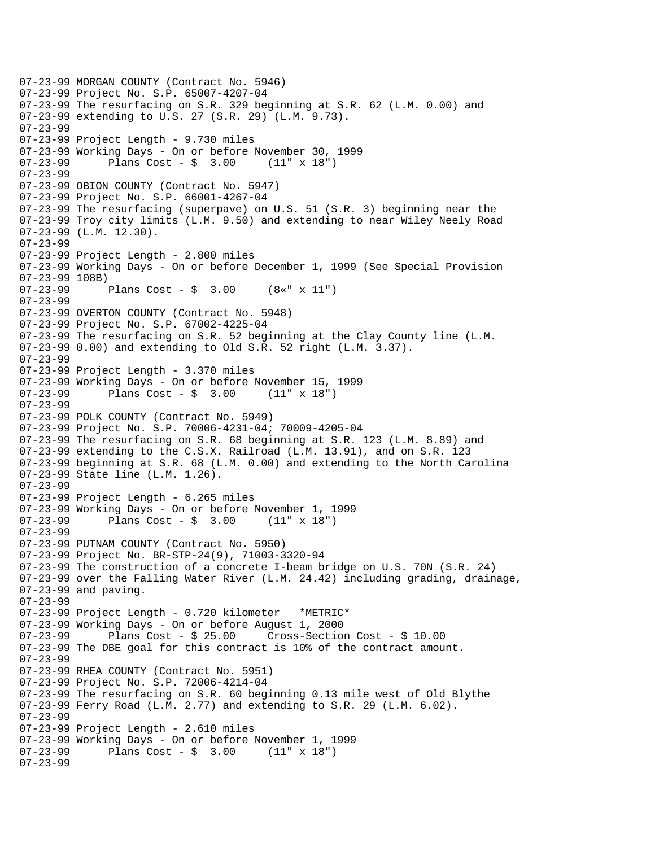```
07-23-99 MORGAN COUNTY (Contract No. 5946) 
07-23-99 Project No. S.P. 65007-4207-04 
07-23-99 The resurfacing on S.R. 329 beginning at S.R. 62 (L.M. 0.00) and 
07-23-99 extending to U.S. 27 (S.R. 29) (L.M. 9.73). 
07-23-99 
07-23-99 Project Length - 9.730 miles 
07-23-99 Working Days - On or before November 30, 1999 
07-23-99 Plans Cost - $ 3.00 (11" x 18") 
07-23-99 
07-23-99 OBION COUNTY (Contract No. 5947) 
07-23-99 Project No. S.P. 66001-4267-04 
07-23-99 The resurfacing (superpave) on U.S. 51 (S.R. 3) beginning near the 
07-23-99 Troy city limits (L.M. 9.50) and extending to near Wiley Neely Road 
07-23-99 (L.M. 12.30). 
07-23-99 
07-23-99 Project Length - 2.800 miles 
07-23-99 Working Days - On or before December 1, 1999 (See Special Provision 
07-23-99 108B) 
07-23-99 Plans Cost - $ 3.00 (8«" x 11") 
07-23-99 
07-23-99 OVERTON COUNTY (Contract No. 5948) 
07-23-99 Project No. S.P. 67002-4225-04 
07-23-99 The resurfacing on S.R. 52 beginning at the Clay County line (L.M. 
07-23-99 0.00) and extending to Old S.R. 52 right (L.M. 3.37). 
07-23-99 
07-23-99 Project Length - 3.370 miles 
07-23-99 Working Days - On or before November 15, 1999<br>07-23-99 Plans Cost - \frac{1}{2} 3.00 (11" x 18")
             Plans Cost - \frac{1}{2} 3.00 (11" x 18")
07-23-99 
07-23-99 POLK COUNTY (Contract No. 5949) 
07-23-99 Project No. S.P. 70006-4231-04; 70009-4205-04 
07-23-99 The resurfacing on S.R. 68 beginning at S.R. 123 (L.M. 8.89) and 
07-23-99 extending to the C.S.X. Railroad (L.M. 13.91), and on S.R. 123 
07-23-99 beginning at S.R. 68 (L.M. 0.00) and extending to the North Carolina 
07-23-99 State line (L.M. 1.26). 
07-23-99 
07-23-99 Project Length - 6.265 miles 
07-23-99 Working Days - On or before November 1, 1999 
07-23-99 Plans Cost - $ 3.00 (11" x 18") 
07-23-99 
07-23-99 PUTNAM COUNTY (Contract No. 5950) 
07-23-99 Project No. BR-STP-24(9), 71003-3320-94 
07-23-99 The construction of a concrete I-beam bridge on U.S. 70N (S.R. 24) 
07-23-99 over the Falling Water River (L.M. 24.42) including grading, drainage, 
07-23-99 and paving. 
07-23-99 
07-23-99 Project Length - 0.720 kilometer *METRIC* 
07-23-99 Working Days - On or before August 1, 2000 
07-23-99 Plans Cost - $ 25.00 Cross-Section Cost - $ 10.00 
07-23-99 The DBE goal for this contract is 10% of the contract amount. 
07-23-99 
07-23-99 RHEA COUNTY (Contract No. 5951) 
07-23-99 Project No. S.P. 72006-4214-04 
07-23-99 The resurfacing on S.R. 60 beginning 0.13 mile west of Old Blythe 
07-23-99 Ferry Road (L.M. 2.77) and extending to S.R. 29 (L.M. 6.02). 
07-23-99 
07-23-99 Project Length - 2.610 miles 
07-23-99 Working Days - On or before November 1, 1999 
07-23-99 Plans Cost - $ 3.00 (11" x 18") 
07-23-99
```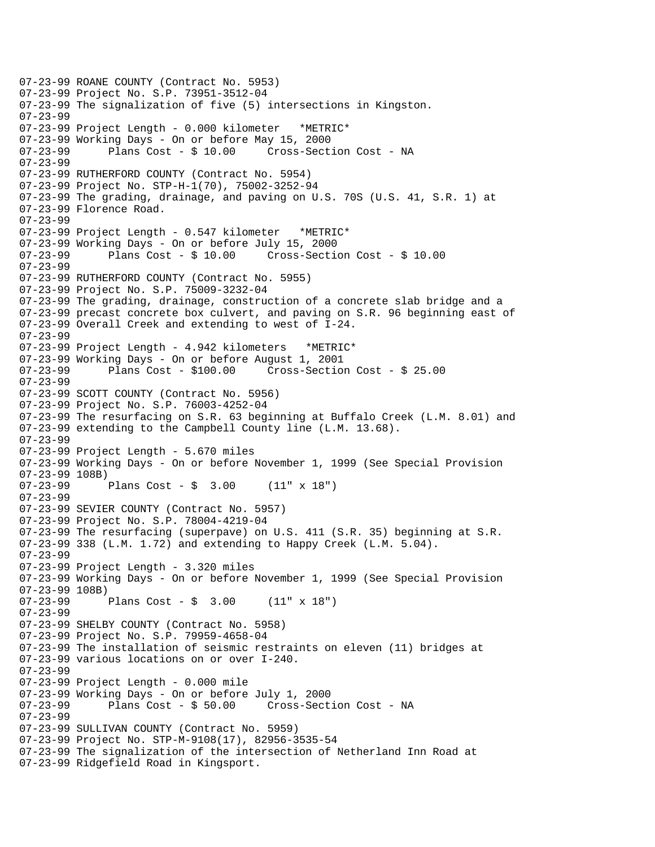07-23-99 ROANE COUNTY (Contract No. 5953) 07-23-99 Project No. S.P. 73951-3512-04 07-23-99 The signalization of five (5) intersections in Kingston. 07-23-99 07-23-99 Project Length - 0.000 kilometer \*METRIC\* 07-23-99 Working Days - On or before May 15, 2000 07-23-99 Plans Cost - \$ 10.00 Cross-Section Cost - NA 07-23-99 07-23-99 RUTHERFORD COUNTY (Contract No. 5954) 07-23-99 Project No. STP-H-1(70), 75002-3252-94 07-23-99 The grading, drainage, and paving on U.S. 70S (U.S. 41, S.R. 1) at 07-23-99 Florence Road. 07-23-99 07-23-99 Project Length - 0.547 kilometer \*METRIC\* 07-23-99 Working Days - On or before July 15, 2000 07-23-99 Plans Cost - \$ 10.00 Cross-Section Cost - \$ 10.00 07-23-99 07-23-99 RUTHERFORD COUNTY (Contract No. 5955) 07-23-99 Project No. S.P. 75009-3232-04 07-23-99 The grading, drainage, construction of a concrete slab bridge and a 07-23-99 precast concrete box culvert, and paving on S.R. 96 beginning east of 07-23-99 Overall Creek and extending to west of I-24. 07-23-99 07-23-99 Project Length - 4.942 kilometers \*METRIC\* 07-23-99 Working Days - On or before August 1, 2001 07-23-99 Plans Cost - \$100.00 Cross-Section Cost - \$ 25.00 07-23-99 07-23-99 SCOTT COUNTY (Contract No. 5956) 07-23-99 Project No. S.P. 76003-4252-04 07-23-99 The resurfacing on S.R. 63 beginning at Buffalo Creek (L.M. 8.01) and 07-23-99 extending to the Campbell County line (L.M. 13.68). 07-23-99 07-23-99 Project Length - 5.670 miles 07-23-99 Working Days - On or before November 1, 1999 (See Special Provision 07-23-99 108B) 07-23-99 Plans Cost - \$ 3.00 (11" x 18") 07-23-99 07-23-99 SEVIER COUNTY (Contract No. 5957) 07-23-99 Project No. S.P. 78004-4219-04 07-23-99 The resurfacing (superpave) on U.S. 411 (S.R. 35) beginning at S.R. 07-23-99 338 (L.M. 1.72) and extending to Happy Creek (L.M. 5.04). 07-23-99 07-23-99 Project Length - 3.320 miles 07-23-99 Working Days - On or before November 1, 1999 (See Special Provision 07-23-99 108B) 07-23-99 Plans Cost - \$ 3.00 (11" x 18") 07-23-99 07-23-99 SHELBY COUNTY (Contract No. 5958) 07-23-99 Project No. S.P. 79959-4658-04 07-23-99 The installation of seismic restraints on eleven (11) bridges at 07-23-99 various locations on or over I-240. 07-23-99 07-23-99 Project Length - 0.000 mile 07-23-99 Working Days - On or before July 1, 2000 Cross-Section Cost - NA 07-23-99 07-23-99 SULLIVAN COUNTY (Contract No. 5959) 07-23-99 Project No. STP-M-9108(17), 82956-3535-54 07-23-99 The signalization of the intersection of Netherland Inn Road at 07-23-99 Ridgefield Road in Kingsport.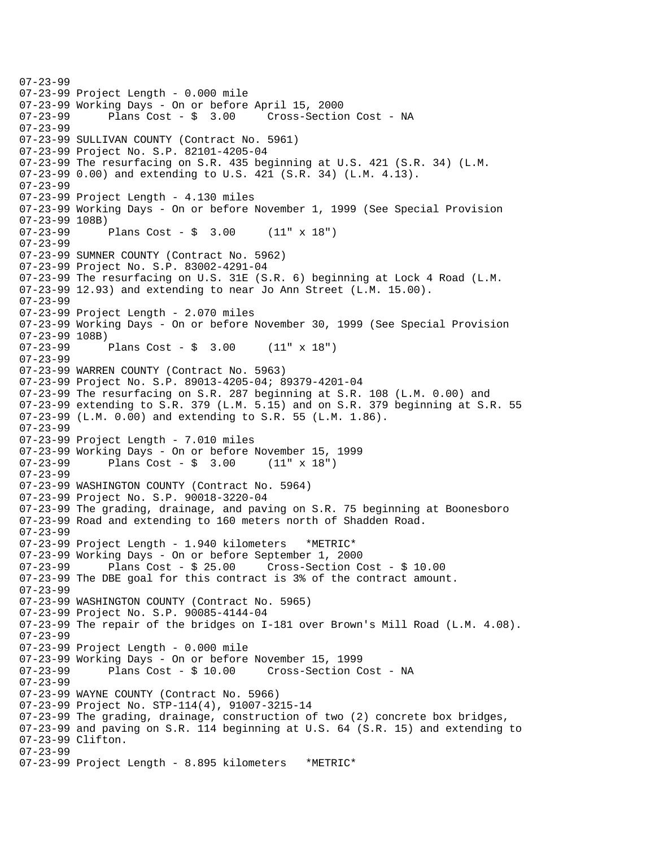07-23-99 07-23-99 Project Length - 0.000 mile 07-23-99 Working Days - On or before April 15, 2000 07-23-99 Plans Cost - \$ 3.00 Cross-Section Cost - NA 07-23-99 07-23-99 SULLIVAN COUNTY (Contract No. 5961) 07-23-99 Project No. S.P. 82101-4205-04 07-23-99 The resurfacing on S.R. 435 beginning at U.S. 421 (S.R. 34) (L.M. 07-23-99 0.00) and extending to U.S. 421 (S.R. 34) (L.M. 4.13). 07-23-99 07-23-99 Project Length - 4.130 miles 07-23-99 Working Days - On or before November 1, 1999 (See Special Provision 07-23-99 108B) 07-23-99 Plans Cost - \$ 3.00 (11" x 18") 07-23-99 07-23-99 SUMNER COUNTY (Contract No. 5962) 07-23-99 Project No. S.P. 83002-4291-04 07-23-99 The resurfacing on U.S. 31E (S.R. 6) beginning at Lock 4 Road (L.M. 07-23-99 12.93) and extending to near Jo Ann Street (L.M. 15.00). 07-23-99 07-23-99 Project Length - 2.070 miles 07-23-99 Working Days - On or before November 30, 1999 (See Special Provision 07-23-99 108B) 07-23-99 Plans Cost - \$ 3.00 (11" x 18") 07-23-99 07-23-99 WARREN COUNTY (Contract No. 5963) 07-23-99 Project No. S.P. 89013-4205-04; 89379-4201-04 07-23-99 The resurfacing on S.R. 287 beginning at S.R. 108 (L.M. 0.00) and 07-23-99 extending to S.R. 379 (L.M. 5.15) and on S.R. 379 beginning at S.R. 55 07-23-99 (L.M. 0.00) and extending to S.R. 55 (L.M. 1.86). 07-23-99 07-23-99 Project Length - 7.010 miles 07-23-99 Working Days - On or before November 15, 1999 07-23-99 Plans Cost - \$ 3.00 (11" x 18") 07-23-99 07-23-99 WASHINGTON COUNTY (Contract No. 5964) 07-23-99 Project No. S.P. 90018-3220-04 07-23-99 The grading, drainage, and paving on S.R. 75 beginning at Boonesboro 07-23-99 Road and extending to 160 meters north of Shadden Road. 07-23-99 07-23-99 Project Length - 1.940 kilometers \*METRIC\* 07-23-99 Working Days - On or before September 1, 2000 07-23-99 Plans Cost - \$ 25.00 Cross-Section Cost - \$ 10.00 07-23-99 The DBE goal for this contract is 3% of the contract amount. 07-23-99 07-23-99 WASHINGTON COUNTY (Contract No. 5965) 07-23-99 Project No. S.P. 90085-4144-04 07-23-99 The repair of the bridges on I-181 over Brown's Mill Road (L.M. 4.08). 07-23-99 07-23-99 Project Length - 0.000 mile 07-23-99 Working Days - On or before November 15, 1999 07-23-99 Plans Cost - \$ 10.00 Cross-Section Cost - NA 07-23-99 07-23-99 WAYNE COUNTY (Contract No. 5966) 07-23-99 Project No. STP-114(4), 91007-3215-14 07-23-99 The grading, drainage, construction of two (2) concrete box bridges, 07-23-99 and paving on S.R. 114 beginning at U.S. 64 (S.R. 15) and extending to 07-23-99 Clifton. 07-23-99 07-23-99 Project Length - 8.895 kilometers \*METRIC\*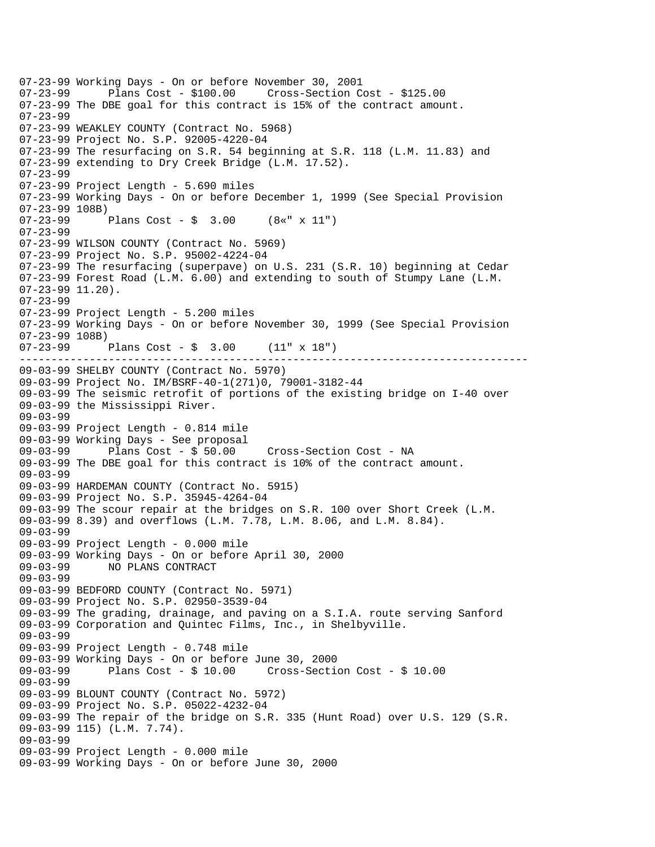-------------------------------------------------------------------------------- 07-23-99 Working Days - On or before November 30, 2001 Plans Cost - \$100.00 Cross-Section Cost - \$125.00 07-23-99 The DBE goal for this contract is 15% of the contract amount. 07-23-99 07-23-99 WEAKLEY COUNTY (Contract No. 5968) 07-23-99 Project No. S.P. 92005-4220-04 07-23-99 The resurfacing on S.R. 54 beginning at S.R. 118 (L.M. 11.83) and 07-23-99 extending to Dry Creek Bridge (L.M. 17.52). 07-23-99 07-23-99 Project Length - 5.690 miles 07-23-99 Working Days - On or before December 1, 1999 (See Special Provision 07-23-99 108B) 07-23-99 Plans Cost - \$ 3.00 (8«" x 11") 07-23-99 07-23-99 WILSON COUNTY (Contract No. 5969) 07-23-99 Project No. S.P. 95002-4224-04 07-23-99 The resurfacing (superpave) on U.S. 231 (S.R. 10) beginning at Cedar 07-23-99 Forest Road (L.M. 6.00) and extending to south of Stumpy Lane (L.M. 07-23-99 11.20). 07-23-99 07-23-99 Project Length - 5.200 miles 07-23-99 Working Days - On or before November 30, 1999 (See Special Provision 07-23-99 108B) 07-23-99 Plans Cost - \$ 3.00 (11" x 18") 09-03-99 SHELBY COUNTY (Contract No. 5970) 09-03-99 Project No. IM/BSRF-40-1(271)0, 79001-3182-44 09-03-99 The seismic retrofit of portions of the existing bridge on I-40 over 09-03-99 the Mississippi River. 09-03-99 09-03-99 Project Length - 0.814 mile 09-03-99 Working Days - See proposal<br>09-03-99 Plans Cost - \$ 50.00 Plans Cost - \$ 50.00 Cross-Section Cost - NA 09-03-99 The DBE goal for this contract is 10% of the contract amount. 09-03-99 09-03-99 HARDEMAN COUNTY (Contract No. 5915) 09-03-99 Project No. S.P. 35945-4264-04 09-03-99 The scour repair at the bridges on S.R. 100 over Short Creek (L.M. 09-03-99 8.39) and overflows (L.M. 7.78, L.M. 8.06, and L.M. 8.84). 09-03-99 09-03-99 Project Length - 0.000 mile 09-03-99 Working Days - On or before April 30, 2000 09-03-99 NO PLANS CONTRACT 09-03-99 09-03-99 BEDFORD COUNTY (Contract No. 5971) 09-03-99 Project No. S.P. 02950-3539-04 09-03-99 The grading, drainage, and paving on a S.I.A. route serving Sanford 09-03-99 Corporation and Quintec Films, Inc., in Shelbyville. 09-03-99 09-03-99 Project Length - 0.748 mile 09-03-99 Working Days - On or before June 30, 2000 09-03-99 Plans Cost - \$ 10.00 Cross-Section Cost - \$ 10.00 09-03-99 09-03-99 BLOUNT COUNTY (Contract No. 5972) 09-03-99 Project No. S.P. 05022-4232-04 09-03-99 The repair of the bridge on S.R. 335 (Hunt Road) over U.S. 129 (S.R. 09-03-99 115) (L.M. 7.74). 09-03-99 09-03-99 Project Length - 0.000 mile 09-03-99 Working Days - On or before June 30, 2000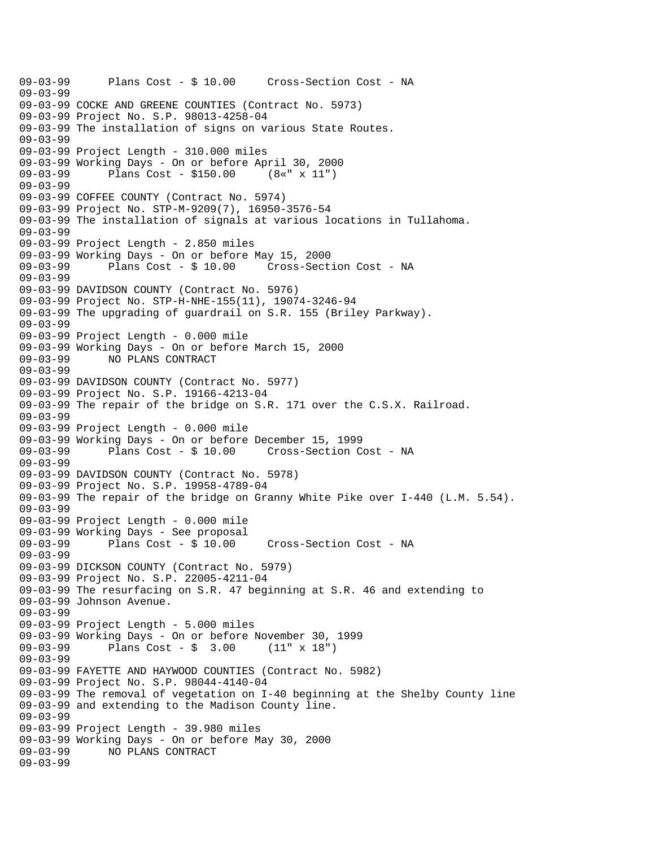09-03-99 Plans Cost - \$ 10.00 Cross-Section Cost - NA 09-03-99 09-03-99 COCKE AND GREENE COUNTIES (Contract No. 5973) 09-03-99 Project No. S.P. 98013-4258-04 09-03-99 The installation of signs on various State Routes. 09-03-99 09-03-99 Project Length - 310.000 miles 09-03-99 Working Days - On or before April 30, 2000 09-03-99 Plans Cost - \$150.00 (8«" x 11") 09-03-99 09-03-99 COFFEE COUNTY (Contract No. 5974) 09-03-99 Project No. STP-M-9209(7), 16950-3576-54 09-03-99 The installation of signals at various locations in Tullahoma. 09-03-99 09-03-99 Project Length - 2.850 miles 09-03-99 Working Days - On or before May 15, 2000 Cross-Section Cost - NA 09-03-99 09-03-99 DAVIDSON COUNTY (Contract No. 5976) 09-03-99 Project No. STP-H-NHE-155(11), 19074-3246-94 09-03-99 The upgrading of guardrail on S.R. 155 (Briley Parkway). 09-03-99 09-03-99 Project Length - 0.000 mile 09-03-99 Working Days - On or before March 15, 2000 09-03-99 NO PLANS CONTRACT 09-03-99 09-03-99 DAVIDSON COUNTY (Contract No. 5977) 09-03-99 Project No. S.P. 19166-4213-04 09-03-99 The repair of the bridge on S.R. 171 over the C.S.X. Railroad. 09-03-99 09-03-99 Project Length - 0.000 mile 09-03-99 Working Days - On or before December 15, 1999 Cross-Section Cost - NA 09-03-99 09-03-99 DAVIDSON COUNTY (Contract No. 5978) 09-03-99 Project No. S.P. 19958-4789-04 09-03-99 The repair of the bridge on Granny White Pike over I-440 (L.M. 5.54). 09-03-99 09-03-99 Project Length - 0.000 mile 09-03-99 Working Days - See proposal 09-03-99 Plans Cost - \$ 10.00 Cross-Section Cost - NA 09-03-99 09-03-99 DICKSON COUNTY (Contract No. 5979) 09-03-99 Project No. S.P. 22005-4211-04 09-03-99 The resurfacing on S.R. 47 beginning at S.R. 46 and extending to 09-03-99 Johnson Avenue. 09-03-99 09-03-99 Project Length - 5.000 miles 09-03-99 Working Days - On or before November 30, 1999 09-03-99 Plans Cost - \$ 3.00 (11" x 18") 09-03-99 09-03-99 FAYETTE AND HAYWOOD COUNTIES (Contract No. 5982) 09-03-99 Project No. S.P. 98044-4140-04 09-03-99 The removal of vegetation on I-40 beginning at the Shelby County line 09-03-99 and extending to the Madison County line. 09-03-99 09-03-99 Project Length - 39.980 miles 09-03-99 Working Days - On or before May 30, 2000 09-03-99 NO PLANS CONTRACT 09-03-99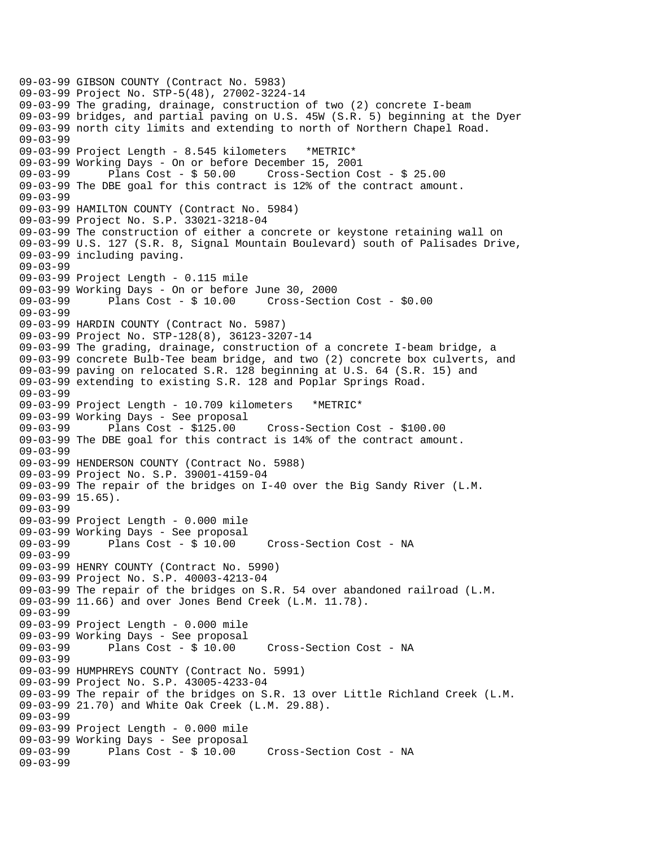```
09-03-99 GIBSON COUNTY (Contract No. 5983) 
09-03-99 Project No. STP-5(48), 27002-3224-14 
09-03-99 The grading, drainage, construction of two (2) concrete I-beam 
09-03-99 bridges, and partial paving on U.S. 45W (S.R. 5) beginning at the Dyer 
09-03-99 north city limits and extending to north of Northern Chapel Road. 
09-03-99 
09-03-99 Project Length - 8.545 kilometers *METRIC* 
09-03-99 Working Days - On or before December 15, 2001 
09-03-99 Plans Cost - $ 50.00 Cross-Section Cost - $ 25.00 
09-03-99 The DBE goal for this contract is 12% of the contract amount. 
09-03-99 
09-03-99 HAMILTON COUNTY (Contract No. 5984) 
09-03-99 Project No. S.P. 33021-3218-04 
09-03-99 The construction of either a concrete or keystone retaining wall on 
09-03-99 U.S. 127 (S.R. 8, Signal Mountain Boulevard) south of Palisades Drive, 
09-03-99 including paving. 
09-03-99 
09-03-99 Project Length - 0.115 mile 
09-03-99 Working Days - On or before June 30, 2000 
09-03-99 Plans Cost - $ 10.00 Cross-Section Cost - $0.00 
09-03-99 
09-03-99 HARDIN COUNTY (Contract No. 5987) 
09-03-99 Project No. STP-128(8), 36123-3207-14 
09-03-99 The grading, drainage, construction of a concrete I-beam bridge, a 
09-03-99 concrete Bulb-Tee beam bridge, and two (2) concrete box culverts, and 
09-03-99 paving on relocated S.R. 128 beginning at U.S. 64 (S.R. 15) and 
09-03-99 extending to existing S.R. 128 and Poplar Springs Road. 
09-03-99 
09-03-99 Project Length - 10.709 kilometers *METRIC* 
09-03-99 Working Days - See proposal<br>09-03-99       Plans Cost - $125.00
09-03-99 Plans Cost - $125.00 Cross-Section Cost - $100.00 
09-03-99 The DBE goal for this contract is 14% of the contract amount. 
09-03-99 
09-03-99 HENDERSON COUNTY (Contract No. 5988) 
09-03-99 Project No. S.P. 39001-4159-04 
09-03-99 The repair of the bridges on I-40 over the Big Sandy River (L.M. 
09-03-99 15.65). 
09-03-99 
09-03-99 Project Length - 0.000 mile 
09-03-99 Working Days - See proposal 
09-03-99 Plans Cost - $ 10.00 Cross-Section Cost - NA 
09-03-99 
09-03-99 HENRY COUNTY (Contract No. 5990) 
09-03-99 Project No. S.P. 40003-4213-04 
09-03-99 The repair of the bridges on S.R. 54 over abandoned railroad (L.M. 
09-03-99 11.66) and over Jones Bend Creek (L.M. 11.78). 
09-03-99 
09-03-99 Project Length - 0.000 mile 
09-03-99 Working Days - See proposal<br>09-03-99 Plans Cost - $ 10.00
09-03-99 Plans Cost - $ 10.00 Cross-Section Cost - NA 
09-03-99 
09-03-99 HUMPHREYS COUNTY (Contract No. 5991) 
09-03-99 Project No. S.P. 43005-4233-04 
09-03-99 The repair of the bridges on S.R. 13 over Little Richland Creek (L.M. 
09-03-99 21.70) and White Oak Creek (L.M. 29.88). 
09-03-99 
09-03-99 Project Length - 0.000 mile 
09-03-99 Working Days - See proposal<br>09-03-99       Plans Cost - $ 10.00
              Plans Cost - $ 10.00 Cross-Section Cost - NA
09-03-99
```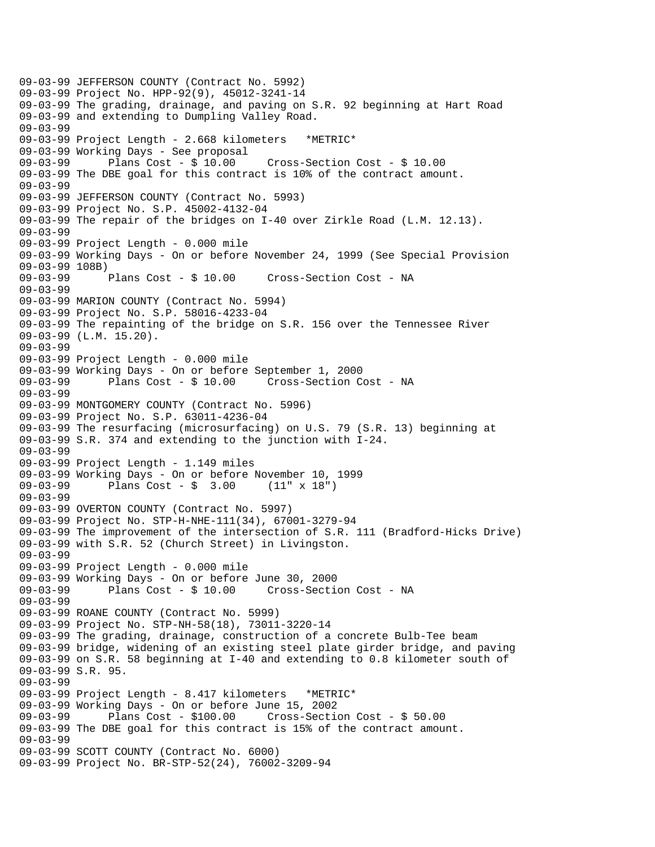09-03-99 JEFFERSON COUNTY (Contract No. 5992) 09-03-99 Project No. HPP-92(9), 45012-3241-14 09-03-99 The grading, drainage, and paving on S.R. 92 beginning at Hart Road 09-03-99 and extending to Dumpling Valley Road. 09-03-99 09-03-99 Project Length - 2.668 kilometers \*METRIC\* 09-03-99 Working Days - See proposal 09-03-99 Plans Cost - \$ 10.00 Cross-Section Cost - \$ 10.00 09-03-99 The DBE goal for this contract is 10% of the contract amount. 09-03-99 09-03-99 JEFFERSON COUNTY (Contract No. 5993) 09-03-99 Project No. S.P. 45002-4132-04 09-03-99 The repair of the bridges on I-40 over Zirkle Road (L.M. 12.13). 09-03-99 09-03-99 Project Length - 0.000 mile 09-03-99 Working Days - On or before November 24, 1999 (See Special Provision 09-03-99 108B)<br>09-03-99 Plans Cost - \$ 10.00 09-03-99 Plans Cost - \$ 10.00 Cross-Section Cost - NA 09-03-99 09-03-99 MARION COUNTY (Contract No. 5994) 09-03-99 Project No. S.P. 58016-4233-04 09-03-99 The repainting of the bridge on S.R. 156 over the Tennessee River 09-03-99 (L.M. 15.20). 09-03-99 09-03-99 Project Length - 0.000 mile 09-03-99 Working Days - On or before September 1, 2000 09-03-99 Plans Cost - \$ 10.00 Cross-Section Cost - NA 09-03-99 09-03-99 MONTGOMERY COUNTY (Contract No. 5996) 09-03-99 Project No. S.P. 63011-4236-04 09-03-99 The resurfacing (microsurfacing) on U.S. 79 (S.R. 13) beginning at 09-03-99 S.R. 374 and extending to the junction with I-24. 09-03-99 09-03-99 Project Length - 1.149 miles 09-03-99 Working Days - On or before November 10, 1999 09-03-99 Plans Cost - \$ 3.00 (11" x 18") 09-03-99 09-03-99 OVERTON COUNTY (Contract No. 5997) 09-03-99 Project No. STP-H-NHE-111(34), 67001-3279-94 09-03-99 The improvement of the intersection of S.R. 111 (Bradford-Hicks Drive) 09-03-99 with S.R. 52 (Church Street) in Livingston. 09-03-99 09-03-99 Project Length - 0.000 mile 09-03-99 Working Days - On or before June 30, 2000 09-03-99 Plans Cost - \$ 10.00 Cross-Section Cost - NA 09-03-99 09-03-99 ROANE COUNTY (Contract No. 5999) 09-03-99 Project No. STP-NH-58(18), 73011-3220-14 09-03-99 The grading, drainage, construction of a concrete Bulb-Tee beam 09-03-99 bridge, widening of an existing steel plate girder bridge, and paving 09-03-99 on S.R. 58 beginning at I-40 and extending to 0.8 kilometer south of 09-03-99 S.R. 95. 09-03-99 09-03-99 Project Length - 8.417 kilometers \*METRIC\* 09-03-99 Working Days - On or before June 15, 2002 09-03-99 Plans Cost - \$100.00 Cross-Section Cost - \$ 50.00 09-03-99 The DBE goal for this contract is 15% of the contract amount. 09-03-99 09-03-99 SCOTT COUNTY (Contract No. 6000) 09-03-99 Project No. BR-STP-52(24), 76002-3209-94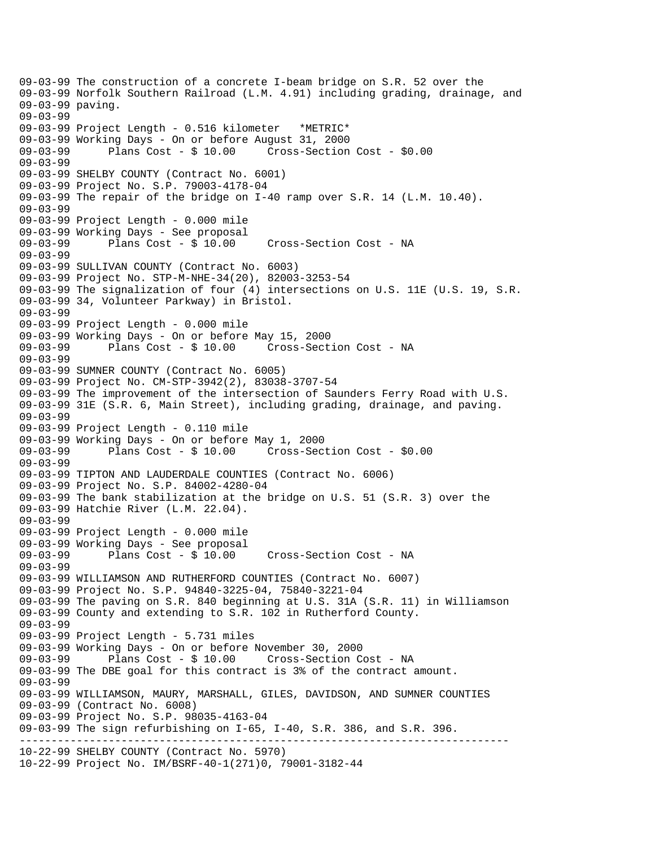----------------------------------------------------------------------------- 09-03-99 The construction of a concrete I-beam bridge on S.R. 52 over the 09-03-99 Norfolk Southern Railroad (L.M. 4.91) including grading, drainage, and 09-03-99 paving. 09-03-99 09-03-99 Project Length - 0.516 kilometer \*METRIC\* 09-03-99 Working Days - On or before August 31, 2000 09-03-99 Plans Cost - \$ 10.00 Cross-Section Cost - \$0.00 09-03-99 09-03-99 SHELBY COUNTY (Contract No. 6001) 09-03-99 Project No. S.P. 79003-4178-04 09-03-99 The repair of the bridge on I-40 ramp over S.R. 14 (L.M. 10.40). 09-03-99 09-03-99 Project Length - 0.000 mile 09-03-99 Working Days - See proposal Plans Cost - \$ 10.00 Cross-Section Cost - NA 09-03-99 09-03-99 SULLIVAN COUNTY (Contract No. 6003) 09-03-99 Project No. STP-M-NHE-34(20), 82003-3253-54 09-03-99 The signalization of four (4) intersections on U.S. 11E (U.S. 19, S.R. 09-03-99 34, Volunteer Parkway) in Bristol. 09-03-99 09-03-99 Project Length - 0.000 mile 09-03-99 Working Days - On or before May 15, 2000 09-03-99 Plans Cost - \$ 10.00 Cross-Section Cost - NA 09-03-99 09-03-99 SUMNER COUNTY (Contract No. 6005) 09-03-99 Project No. CM-STP-3942(2), 83038-3707-54 09-03-99 The improvement of the intersection of Saunders Ferry Road with U.S. 09-03-99 31E (S.R. 6, Main Street), including grading, drainage, and paving. 09-03-99 09-03-99 Project Length - 0.110 mile 09-03-99 Working Days - On or before May 1, 2000 Plans  $Cost - $ 10.00$  Cross-Section Cost -  $$0.00$ 09-03-99 09-03-99 TIPTON AND LAUDERDALE COUNTIES (Contract No. 6006) 09-03-99 Project No. S.P. 84002-4280-04 09-03-99 The bank stabilization at the bridge on U.S. 51 (S.R. 3) over the 09-03-99 Hatchie River (L.M. 22.04). 09-03-99 09-03-99 Project Length - 0.000 mile 09-03-99 Working Days - See proposal 09-03-99 Plans Cost - \$ 10.00 Cross-Section Cost - NA 09-03-99 09-03-99 WILLIAMSON AND RUTHERFORD COUNTIES (Contract No. 6007) 09-03-99 Project No. S.P. 94840-3225-04, 75840-3221-04 09-03-99 The paving on S.R. 840 beginning at U.S. 31A (S.R. 11) in Williamson 09-03-99 County and extending to S.R. 102 in Rutherford County. 09-03-99 09-03-99 Project Length - 5.731 miles 09-03-99 Working Days - On or before November 30, 2000 09-03-99 Plans Cost - \$ 10.00 Cross-Section Cost - NA 09-03-99 The DBE goal for this contract is 3% of the contract amount. 09-03-99 09-03-99 WILLIAMSON, MAURY, MARSHALL, GILES, DAVIDSON, AND SUMNER COUNTIES 09-03-99 (Contract No. 6008) 09-03-99 Project No. S.P. 98035-4163-04 09-03-99 The sign refurbishing on I-65, I-40, S.R. 386, and S.R. 396. 10-22-99 SHELBY COUNTY (Contract No. 5970) 10-22-99 Project No. IM/BSRF-40-1(271)0, 79001-3182-44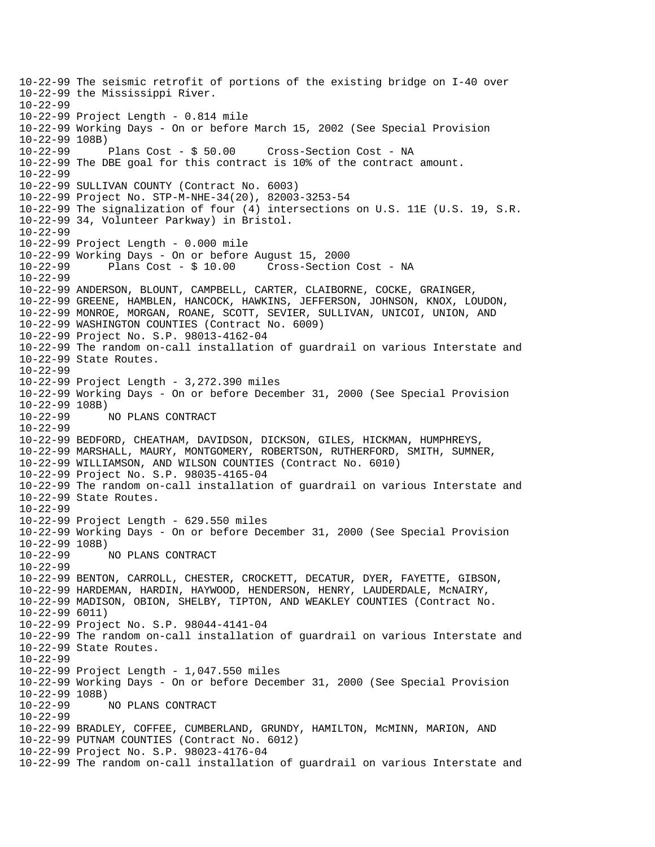10-22-99 The seismic retrofit of portions of the existing bridge on I-40 over 10-22-99 the Mississippi River. 10-22-99 10-22-99 Project Length - 0.814 mile 10-22-99 Working Days - On or before March 15, 2002 (See Special Provision 10-22-99 108B) 10-22-99 Plans Cost - \$ 50.00 Cross-Section Cost - NA 10-22-99 The DBE goal for this contract is 10% of the contract amount. 10-22-99 10-22-99 SULLIVAN COUNTY (Contract No. 6003) 10-22-99 Project No. STP-M-NHE-34(20), 82003-3253-54 10-22-99 The signalization of four (4) intersections on U.S. 11E (U.S. 19, S.R. 10-22-99 34, Volunteer Parkway) in Bristol. 10-22-99 10-22-99 Project Length - 0.000 mile 10-22-99 Working Days - On or before August 15, 2000 Cross-Section Cost - NA 10-22-99 10-22-99 ANDERSON, BLOUNT, CAMPBELL, CARTER, CLAIBORNE, COCKE, GRAINGER, 10-22-99 GREENE, HAMBLEN, HANCOCK, HAWKINS, JEFFERSON, JOHNSON, KNOX, LOUDON, 10-22-99 MONROE, MORGAN, ROANE, SCOTT, SEVIER, SULLIVAN, UNICOI, UNION, AND 10-22-99 WASHINGTON COUNTIES (Contract No. 6009) 10-22-99 Project No. S.P. 98013-4162-04 10-22-99 The random on-call installation of guardrail on various Interstate and 10-22-99 State Routes.  $10 - 22 - 99$ 10-22-99 Project Length - 3,272.390 miles 10-22-99 Working Days - On or before December 31, 2000 (See Special Provision 10-22-99 108B) 10-22-99 NO PLANS CONTRACT 10-22-99 10-22-99 BEDFORD, CHEATHAM, DAVIDSON, DICKSON, GILES, HICKMAN, HUMPHREYS, 10-22-99 MARSHALL, MAURY, MONTGOMERY, ROBERTSON, RUTHERFORD, SMITH, SUMNER, 10-22-99 WILLIAMSON, AND WILSON COUNTIES (Contract No. 6010) 10-22-99 Project No. S.P. 98035-4165-04 10-22-99 The random on-call installation of guardrail on various Interstate and 10-22-99 State Routes. 10-22-99 10-22-99 Project Length - 629.550 miles 10-22-99 Working Days - On or before December 31, 2000 (See Special Provision 10-22-99 108B) 10-22-99 NO PLANS CONTRACT 10-22-99 10-22-99 BENTON, CARROLL, CHESTER, CROCKETT, DECATUR, DYER, FAYETTE, GIBSON, 10-22-99 HARDEMAN, HARDIN, HAYWOOD, HENDERSON, HENRY, LAUDERDALE, McNAIRY, 10-22-99 MADISON, OBION, SHELBY, TIPTON, AND WEAKLEY COUNTIES (Contract No. 10-22-99 6011) 10-22-99 Project No. S.P. 98044-4141-04 10-22-99 The random on-call installation of guardrail on various Interstate and 10-22-99 State Routes. 10-22-99 10-22-99 Project Length - 1,047.550 miles 10-22-99 Working Days - On or before December 31, 2000 (See Special Provision 10-22-99 108B)<br>10-22-99 10-22-99 NO PLANS CONTRACT 10-22-99 10-22-99 BRADLEY, COFFEE, CUMBERLAND, GRUNDY, HAMILTON, McMINN, MARION, AND 10-22-99 PUTNAM COUNTIES (Contract No. 6012) 10-22-99 Project No. S.P. 98023-4176-04 10-22-99 The random on-call installation of guardrail on various Interstate and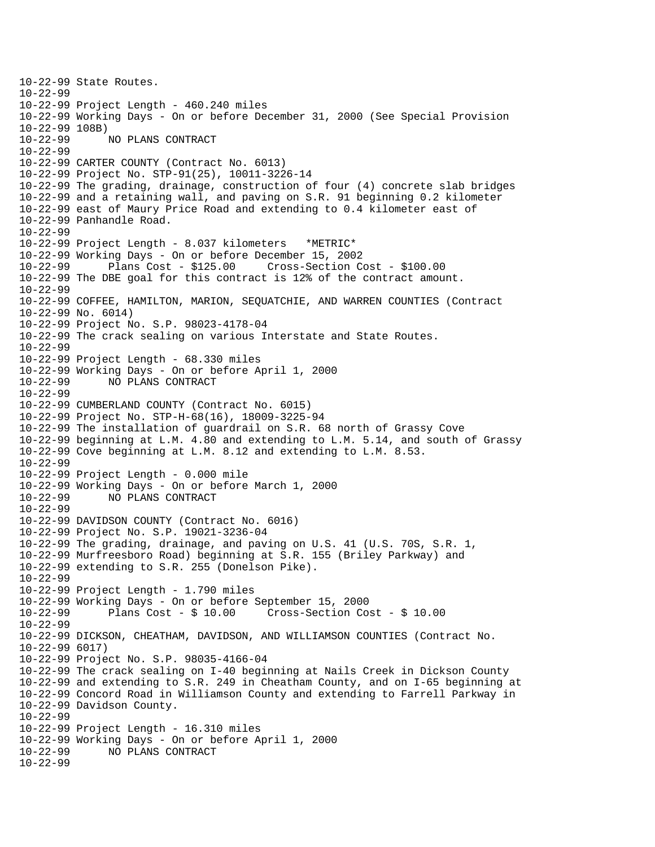10-22-99 State Routes. 10-22-99 10-22-99 Project Length - 460.240 miles 10-22-99 Working Days - On or before December 31, 2000 (See Special Provision 10-22-99 108B) 10-22-99 NO PLANS CONTRACT 10-22-99 10-22-99 CARTER COUNTY (Contract No. 6013) 10-22-99 Project No. STP-91(25), 10011-3226-14 10-22-99 The grading, drainage, construction of four (4) concrete slab bridges 10-22-99 and a retaining wall, and paving on S.R. 91 beginning 0.2 kilometer 10-22-99 east of Maury Price Road and extending to 0.4 kilometer east of 10-22-99 Panhandle Road. 10-22-99 10-22-99 Project Length - 8.037 kilometers \*METRIC\* 10-22-99 Working Days - On or before December 15, 2002 10-22-99 Plans Cost - \$125.00 Cross-Section Cost - \$100.00 10-22-99 The DBE goal for this contract is 12% of the contract amount. 10-22-99 10-22-99 COFFEE, HAMILTON, MARION, SEQUATCHIE, AND WARREN COUNTIES (Contract 10-22-99 No. 6014) 10-22-99 Project No. S.P. 98023-4178-04 10-22-99 The crack sealing on various Interstate and State Routes. 10-22-99 10-22-99 Project Length - 68.330 miles 10-22-99 Working Days - On or before April 1, 2000 10-22-99 NO PLANS CONTRACT 10-22-99 10-22-99 CUMBERLAND COUNTY (Contract No. 6015) 10-22-99 Project No. STP-H-68(16), 18009-3225-94 10-22-99 The installation of guardrail on S.R. 68 north of Grassy Cove 10-22-99 beginning at L.M. 4.80 and extending to L.M. 5.14, and south of Grassy 10-22-99 Cove beginning at L.M. 8.12 and extending to L.M. 8.53. 10-22-99 10-22-99 Project Length - 0.000 mile 10-22-99 Working Days - On or before March 1, 2000 10-22-99 NO PLANS CONTRACT 10-22-99 10-22-99 DAVIDSON COUNTY (Contract No. 6016) 10-22-99 Project No. S.P. 19021-3236-04 10-22-99 The grading, drainage, and paving on U.S. 41 (U.S. 70S, S.R. 1, 10-22-99 Murfreesboro Road) beginning at S.R. 155 (Briley Parkway) and 10-22-99 extending to S.R. 255 (Donelson Pike). 10-22-99 10-22-99 Project Length - 1.790 miles 10-22-99 Working Days - On or before September 15, 2000 10-22-99 Plans Cost - \$ 10.00 Cross-Section Cost - \$ 10.00 10-22-99 10-22-99 DICKSON, CHEATHAM, DAVIDSON, AND WILLIAMSON COUNTIES (Contract No. 10-22-99 6017) 10-22-99 Project No. S.P. 98035-4166-04 10-22-99 The crack sealing on I-40 beginning at Nails Creek in Dickson County 10-22-99 and extending to S.R. 249 in Cheatham County, and on I-65 beginning at 10-22-99 Concord Road in Williamson County and extending to Farrell Parkway in 10-22-99 Davidson County. 10-22-99 10-22-99 Project Length - 16.310 miles 10-22-99 Working Days - On or before April 1, 2000 10-22-99 NO PLANS CONTRACT 10-22-99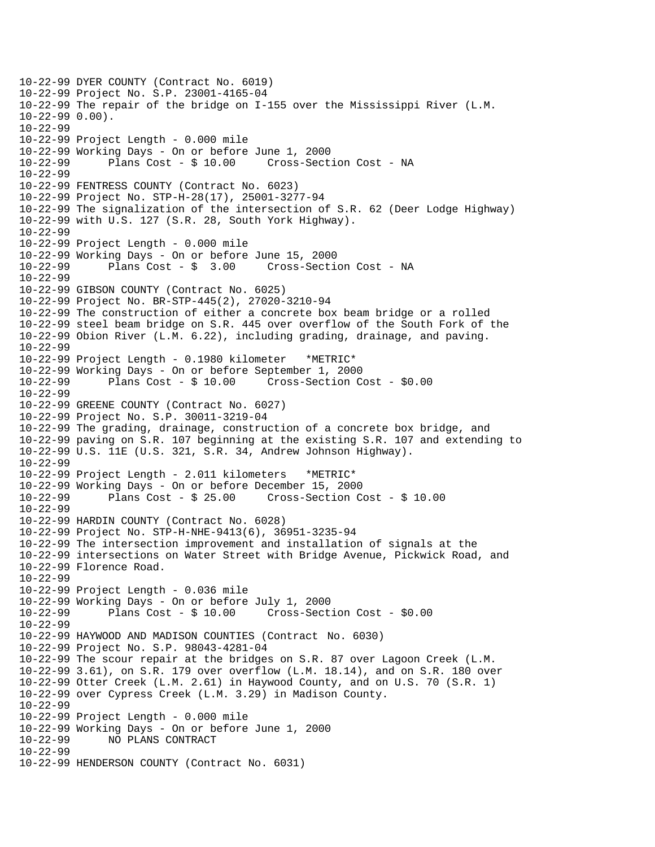10-22-99 DYER COUNTY (Contract No. 6019) 10-22-99 Project No. S.P. 23001-4165-04 10-22-99 The repair of the bridge on I-155 over the Mississippi River (L.M. 10-22-99 0.00). 10-22-99 10-22-99 Project Length - 0.000 mile 10-22-99 Working Days - On or before June 1, 2000 10-22-99 Plans Cost - \$ 10.00 Cross-Section Cost - NA 10-22-99 10-22-99 FENTRESS COUNTY (Contract No. 6023) 10-22-99 Project No. STP-H-28(17), 25001-3277-94 10-22-99 The signalization of the intersection of S.R. 62 (Deer Lodge Highway) 10-22-99 with U.S. 127 (S.R. 28, South York Highway). 10-22-99 10-22-99 Project Length - 0.000 mile 10-22-99 Working Days - On or before June 15, 2000 Plans  $Cost - $ 3.00$  Cross-Section Cost - NA 10-22-99 10-22-99 GIBSON COUNTY (Contract No. 6025) 10-22-99 Project No. BR-STP-445(2), 27020-3210-94 10-22-99 The construction of either a concrete box beam bridge or a rolled 10-22-99 steel beam bridge on S.R. 445 over overflow of the South Fork of the 10-22-99 Obion River (L.M. 6.22), including grading, drainage, and paving. 10-22-99 10-22-99 Project Length - 0.1980 kilometer \*METRIC\* 10-22-99 Working Days - On or before September 1, 2000 10-22-99 Plans Cost - \$ 10.00 Cross-Section Cost - \$0.00 10-22-99 10-22-99 GREENE COUNTY (Contract No. 6027) 10-22-99 Project No. S.P. 30011-3219-04 10-22-99 The grading, drainage, construction of a concrete box bridge, and 10-22-99 paving on S.R. 107 beginning at the existing S.R. 107 and extending to 10-22-99 U.S. 11E (U.S. 321, S.R. 34, Andrew Johnson Highway). 10-22-99 10-22-99 Project Length - 2.011 kilometers \*METRIC\* 10-22-99 Working Days - On or before December 15, 2000 10-22-99 Plans Cost - \$ 25.00 Cross-Section Cost - \$ 10.00 10-22-99 10-22-99 HARDIN COUNTY (Contract No. 6028) 10-22-99 Project No. STP-H-NHE-9413(6), 36951-3235-94 10-22-99 The intersection improvement and installation of signals at the 10-22-99 intersections on Water Street with Bridge Avenue, Pickwick Road, and 10-22-99 Florence Road. 10-22-99 10-22-99 Project Length - 0.036 mile 10-22-99 Working Days - On or before July 1, 2000 10-22-99 Plans Cost - \$ 10.00 Cross-Section Cost - \$0.00 10-22-99 10-22-99 HAYWOOD AND MADISON COUNTIES (Contract No. 6030) 10-22-99 Project No. S.P. 98043-4281-04 10-22-99 The scour repair at the bridges on S.R. 87 over Lagoon Creek (L.M. 10-22-99 3.61), on S.R. 179 over overflow (L.M. 18.14), and on S.R. 180 over 10-22-99 Otter Creek (L.M. 2.61) in Haywood County, and on U.S. 70 (S.R. 1) 10-22-99 over Cypress Creek (L.M. 3.29) in Madison County. 10-22-99 10-22-99 Project Length - 0.000 mile 10-22-99 Working Days - On or before June 1, 2000 10-22-99 NO PLANS CONTRACT 10-22-99 10-22-99 HENDERSON COUNTY (Contract No. 6031)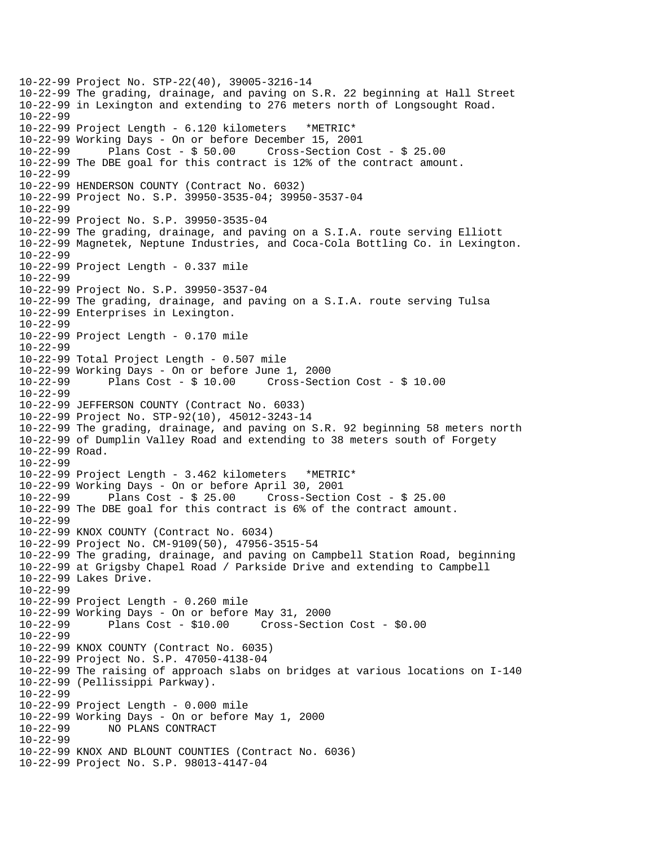10-22-99 Project No. STP-22(40), 39005-3216-14 10-22-99 The grading, drainage, and paving on S.R. 22 beginning at Hall Street 10-22-99 in Lexington and extending to 276 meters north of Longsought Road. 10-22-99 10-22-99 Project Length - 6.120 kilometers \*METRIC\* 10-22-99 Working Days - On or before December 15, 2001 10-22-99 Plans Cost - \$ 50.00 Cross-Section Cost - \$ 25.00 10-22-99 The DBE goal for this contract is 12% of the contract amount. 10-22-99 10-22-99 HENDERSON COUNTY (Contract No. 6032) 10-22-99 Project No. S.P. 39950-3535-04; 39950-3537-04 10-22-99 10-22-99 Project No. S.P. 39950-3535-04 10-22-99 The grading, drainage, and paving on a S.I.A. route serving Elliott 10-22-99 Magnetek, Neptune Industries, and Coca-Cola Bottling Co. in Lexington. 10-22-99 10-22-99 Project Length - 0.337 mile 10-22-99 10-22-99 Project No. S.P. 39950-3537-04 10-22-99 The grading, drainage, and paving on a S.I.A. route serving Tulsa 10-22-99 Enterprises in Lexington. 10-22-99 10-22-99 Project Length - 0.170 mile 10-22-99 10-22-99 Total Project Length - 0.507 mile 10-22-99 Working Days - On or before June 1, 2000 10-22-99 Plans Cost - \$ 10.00 Cross-Section Cost - \$ 10.00 10-22-99 10-22-99 JEFFERSON COUNTY (Contract No. 6033) 10-22-99 Project No. STP-92(10), 45012-3243-14 10-22-99 The grading, drainage, and paving on S.R. 92 beginning 58 meters north 10-22-99 of Dumplin Valley Road and extending to 38 meters south of Forgety 10-22-99 Road. 10-22-99 10-22-99 Project Length - 3.462 kilometers \*METRIC\* 10-22-99 Working Days - On or before April 30, 2001 10-22-99 Plans Cost - \$ 25.00 Cross-Section Cost - \$ 25.00 10-22-99 The DBE goal for this contract is 6% of the contract amount. 10-22-99 10-22-99 KNOX COUNTY (Contract No. 6034) 10-22-99 Project No. CM-9109(50), 47956-3515-54 10-22-99 The grading, drainage, and paving on Campbell Station Road, beginning 10-22-99 at Grigsby Chapel Road / Parkside Drive and extending to Campbell 10-22-99 Lakes Drive. 10-22-99 10-22-99 Project Length - 0.260 mile 10-22-99 Working Days - On or before May 31, 2000 10-22-99 Plans Cost - \$10.00 Cross-Section Cost - \$0.00 10-22-99 10-22-99 KNOX COUNTY (Contract No. 6035) 10-22-99 Project No. S.P. 47050-4138-04 10-22-99 The raising of approach slabs on bridges at various locations on I-140 10-22-99 (Pellissippi Parkway). 10-22-99 10-22-99 Project Length - 0.000 mile 10-22-99 Working Days - On or before May 1, 2000 10-22-99 NO PLANS CONTRACT 10-22-99 10-22-99 KNOX AND BLOUNT COUNTIES (Contract No. 6036) 10-22-99 Project No. S.P. 98013-4147-04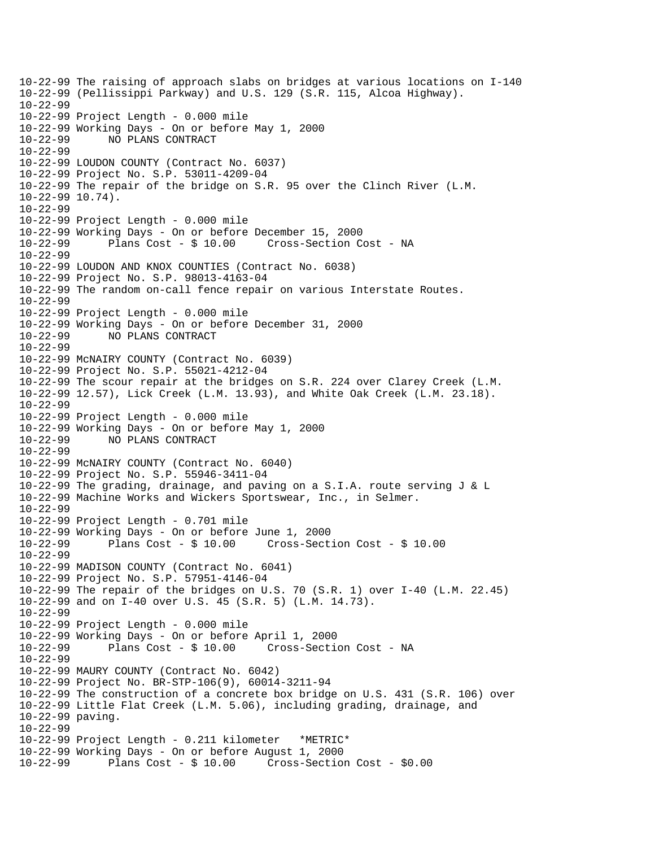```
10-22-99 The raising of approach slabs on bridges at various locations on I-140 
10-22-99 (Pellissippi Parkway) and U.S. 129 (S.R. 115, Alcoa Highway). 
10-22-99 
10-22-99 Project Length - 0.000 mile 
10-22-99 Working Days - On or before May 1, 2000 
10-22-99 NO PLANS CONTRACT 
10-22-99 
10-22-99 LOUDON COUNTY (Contract No. 6037) 
10-22-99 Project No. S.P. 53011-4209-04 
10-22-99 The repair of the bridge on S.R. 95 over the Clinch River (L.M. 
10-22-99 10.74). 
10-22-99 
10-22-99 Project Length - 0.000 mile 
10-22-99 Working Days - On or before December 15, 2000 
              Plans Cost - $ 10.00 Cross-Section Cost - NA
10-22-99 
10-22-99 LOUDON AND KNOX COUNTIES (Contract No. 6038) 
10-22-99 Project No. S.P. 98013-4163-04 
10-22-99 The random on-call fence repair on various Interstate Routes. 
10-22-99 
10-22-99 Project Length - 0.000 mile 
10-22-99 Working Days - On or before December 31, 2000 
10-22-99 NO PLANS CONTRACT 
10-22-99 
10-22-99 McNAIRY COUNTY (Contract No. 6039) 
10-22-99 Project No. S.P. 55021-4212-04 
10-22-99 The scour repair at the bridges on S.R. 224 over Clarey Creek (L.M. 
10-22-99 12.57), Lick Creek (L.M. 13.93), and White Oak Creek (L.M. 23.18). 
10-22-99 
10-22-99 Project Length - 0.000 mile 
10-22-99 Working Days - On or before May 1, 2000 
10-22-99 NO PLANS CONTRACT 
10-22-99 
10-22-99 McNAIRY COUNTY (Contract No. 6040) 
10-22-99 Project No. S.P. 55946-3411-04 
10-22-99 The grading, drainage, and paving on a S.I.A. route serving J & L 
10-22-99 Machine Works and Wickers Sportswear, Inc., in Selmer. 
10-22-99 
10-22-99 Project Length - 0.701 mile 
10-22-99 Working Days - On or before June 1, 2000 
10-22-99 Plans Cost - $ 10.00 Cross-Section Cost - $ 10.00 
10-22-99 
10-22-99 MADISON COUNTY (Contract No. 6041) 
10-22-99 Project No. S.P. 57951-4146-04 
10-22-99 The repair of the bridges on U.S. 70 (S.R. 1) over I-40 (L.M. 22.45) 
10-22-99 and on I-40 over U.S. 45 (S.R. 5) (L.M. 14.73). 
10-22-99 
10-22-99 Project Length - 0.000 mile 
10-22-99 Working Days - On or before April 1, 2000 
                                      Cross-Section Cost - NA
10-22-99 
10-22-99 MAURY COUNTY (Contract No. 6042) 
10-22-99 Project No. BR-STP-106(9), 60014-3211-94 
10-22-99 The construction of a concrete box bridge on U.S. 431 (S.R. 106) over 
10-22-99 Little Flat Creek (L.M. 5.06), including grading, drainage, and 
10-22-99 paving. 
10-22-99 
10-22-99 Project Length - 0.211 kilometer *METRIC* 
10-22-99 Working Days - On or before August 1, 2000 
10-22-99 Plans Cost - $ 10.00 Cross-Section Cost - $0.00
```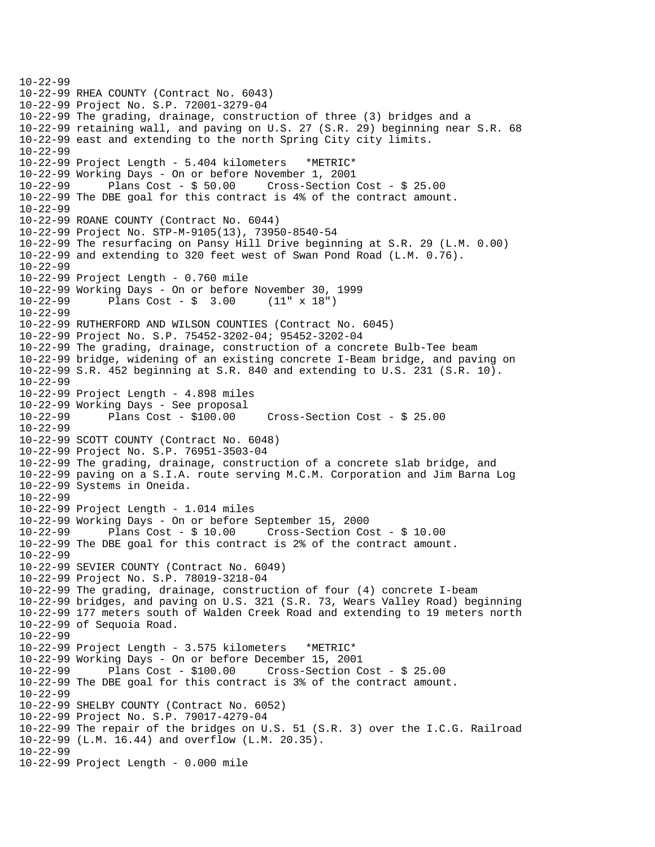```
10-22-99 
10-22-99 RHEA COUNTY (Contract No. 6043) 
10-22-99 Project No. S.P. 72001-3279-04 
10-22-99 The grading, drainage, construction of three (3) bridges and a 
10-22-99 retaining wall, and paving on U.S. 27 (S.R. 29) beginning near S.R. 68 
10-22-99 east and extending to the north Spring City city limits. 
10-22-99 
10-22-99 Project Length - 5.404 kilometers *METRIC* 
10-22-99 Working Days - On or before November 1, 2001 
10-22-99 Plans Cost - $ 50.00 Cross-Section Cost - $ 25.00 
10-22-99 The DBE goal for this contract is 4% of the contract amount. 
10-22-99 
10-22-99 ROANE COUNTY (Contract No. 6044) 
10-22-99 Project No. STP-M-9105(13), 73950-8540-54 
10-22-99 The resurfacing on Pansy Hill Drive beginning at S.R. 29 (L.M. 0.00) 
10-22-99 and extending to 320 feet west of Swan Pond Road (L.M. 0.76). 
10-22-99 
10-22-99 Project Length - 0.760 mile 
10-22-99 Working Days - On or before November 30, 1999 
10-22-99 Plans Cost - $ 3.00 (11" x 18") 
10-22-99 
10-22-99 RUTHERFORD AND WILSON COUNTIES (Contract No. 6045) 
10-22-99 Project No. S.P. 75452-3202-04; 95452-3202-04 
10-22-99 The grading, drainage, construction of a concrete Bulb-Tee beam 
10-22-99 bridge, widening of an existing concrete I-Beam bridge, and paving on 
10-22-99 S.R. 452 beginning at S.R. 840 and extending to U.S. 231 (S.R. 10). 
10-22-99 
10-22-99 Project Length - 4.898 miles 
10-22-99 Working Days - See proposal 
10-22-99 Plans Cost - $100.00 Cross-Section Cost - $ 25.00 
10-22-99 
10-22-99 SCOTT COUNTY (Contract No. 6048) 
10-22-99 Project No. S.P. 76951-3503-04 
10-22-99 The grading, drainage, construction of a concrete slab bridge, and 
10-22-99 paving on a S.I.A. route serving M.C.M. Corporation and Jim Barna Log 
10-22-99 Systems in Oneida. 
10-22-99 
10-22-99 Project Length - 1.014 miles 
10-22-99 Working Days - On or before September 15, 2000 
10-22-99 Plans Cost - $ 10.00 Cross-Section Cost - $ 10.00 
10-22-99 The DBE goal for this contract is 2% of the contract amount. 
10-22-99 
10-22-99 SEVIER COUNTY (Contract No. 6049) 
10-22-99 Project No. S.P. 78019-3218-04 
10-22-99 The grading, drainage, construction of four (4) concrete I-beam 
10-22-99 bridges, and paving on U.S. 321 (S.R. 73, Wears Valley Road) beginning 
10-22-99 177 meters south of Walden Creek Road and extending to 19 meters north 
10-22-99 of Sequoia Road. 
10-22-99 
10-22-99 Project Length - 3.575 kilometers *METRIC* 
10-22-99 Working Days - On or before December 15, 2001 
10-22-99 Plans Cost - $100.00 Cross-Section Cost - $ 25.00 
10-22-99 The DBE goal for this contract is 3% of the contract amount. 
10-22-99 
10-22-99 SHELBY COUNTY (Contract No. 6052) 
10-22-99 Project No. S.P. 79017-4279-04 
10-22-99 The repair of the bridges on U.S. 51 (S.R. 3) over the I.C.G. Railroad 
10-22-99 (L.M. 16.44) and overflow (L.M. 20.35). 
10-22-99 
10-22-99 Project Length - 0.000 mile
```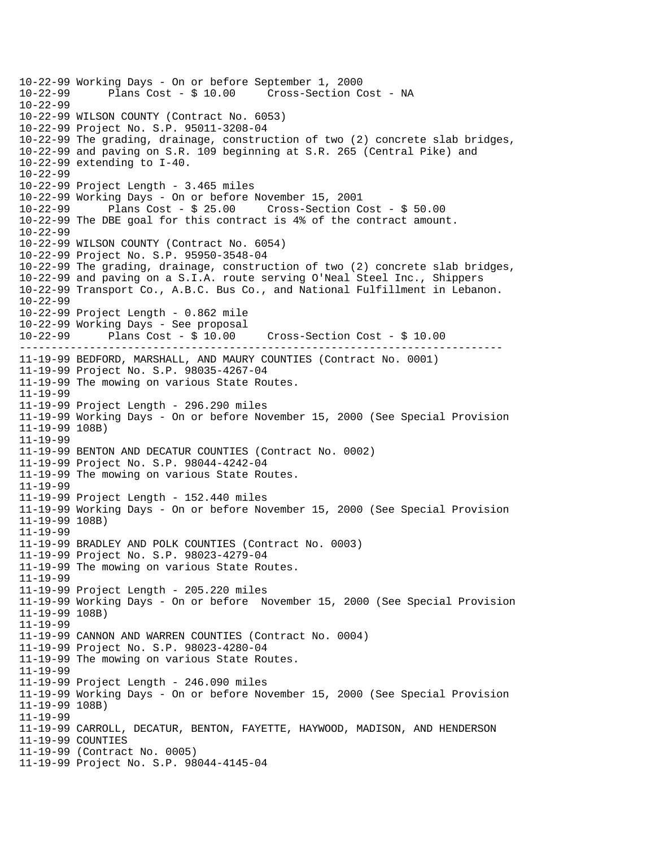```
----------------------------------------------------------------------------
10-22-99 Working Days - On or before September 1, 2000 
             Plans Cost - $ 10.00 Cross-Section Cost - NA
10-22-99 
10-22-99 WILSON COUNTY (Contract No. 6053) 
10-22-99 Project No. S.P. 95011-3208-04 
10-22-99 The grading, drainage, construction of two (2) concrete slab bridges, 
10-22-99 and paving on S.R. 109 beginning at S.R. 265 (Central Pike) and 
10-22-99 extending to I-40. 
10-22-99 
10-22-99 Project Length - 3.465 miles 
10-22-99 Working Days - On or before November 15, 2001 
10-22-99 Plans Cost - $ 25.00 Cross-Section Cost - $ 50.00 
10-22-99 The DBE goal for this contract is 4% of the contract amount. 
10-22-99 
10-22-99 WILSON COUNTY (Contract No. 6054) 
10-22-99 Project No. S.P. 95950-3548-04 
10-22-99 The grading, drainage, construction of two (2) concrete slab bridges, 
10-22-99 and paving on a S.I.A. route serving O'Neal Steel Inc., Shippers 
10-22-99 Transport Co., A.B.C. Bus Co., and National Fulfillment in Lebanon. 
10-22-99 
10-22-99 Project Length - 0.862 mile 
10-22-99 Working Days - See proposal 
10-22-99 Plans Cost - $ 10.00 Cross-Section Cost - $ 10.00 
11-19-99 BEDFORD, MARSHALL, AND MAURY COUNTIES (Contract No. 0001) 
11-19-99 Project No. S.P. 98035-4267-04 
11-19-99 The mowing on various State Routes. 
11-19-99 
11-19-99 Project Length - 296.290 miles 
11-19-99 Working Days - On or before November 15, 2000 (See Special Provision 
11-19-99 108B) 
11-19-99 
11-19-99 BENTON AND DECATUR COUNTIES (Contract No. 0002) 
11-19-99 Project No. S.P. 98044-4242-04 
11-19-99 The mowing on various State Routes. 
11-19-99 
11-19-99 Project Length - 152.440 miles 
11-19-99 Working Days - On or before November 15, 2000 (See Special Provision 
11-19-99 108B) 
11-19-99 
11-19-99 BRADLEY AND POLK COUNTIES (Contract No. 0003) 
11-19-99 Project No. S.P. 98023-4279-04 
11-19-99 The mowing on various State Routes. 
11-19-99 
11-19-99 Project Length - 205.220 miles 
11-19-99 Working Days - On or before November 15, 2000 (See Special Provision 
11-19-99 108B) 
11-19-99 
11-19-99 CANNON AND WARREN COUNTIES (Contract No. 0004) 
11-19-99 Project No. S.P. 98023-4280-04 
11-19-99 The mowing on various State Routes. 
11-19-99 
11-19-99 Project Length - 246.090 miles 
11-19-99 Working Days - On or before November 15, 2000 (See Special Provision 
11-19-99 108B) 
11-19-99 
11-19-99 CARROLL, DECATUR, BENTON, FAYETTE, HAYWOOD, MADISON, AND HENDERSON 
11-19-99 COUNTIES 
11-19-99 (Contract No. 0005) 
11-19-99 Project No. S.P. 98044-4145-04
```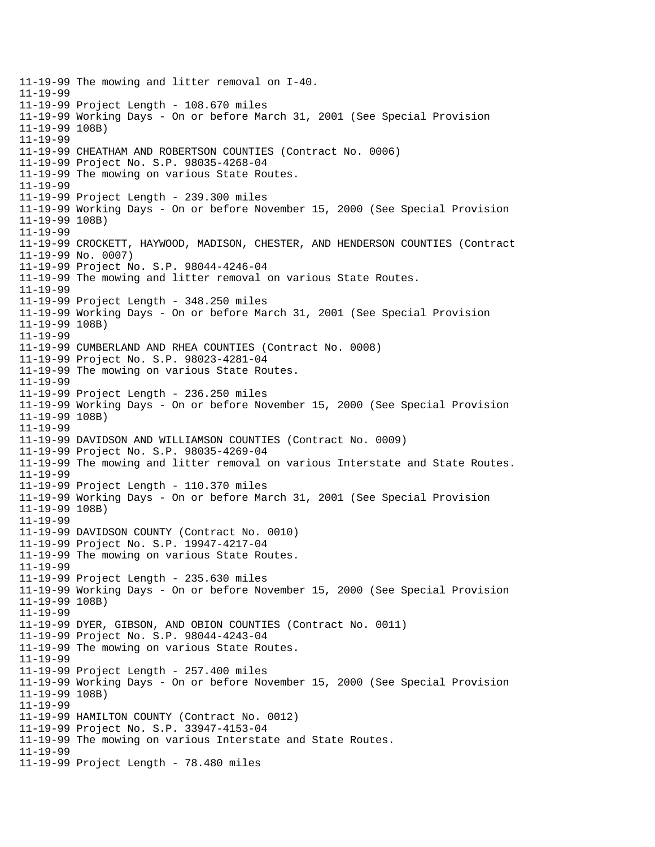11-19-99 The mowing and litter removal on I-40. 11-19-99 11-19-99 Project Length - 108.670 miles 11-19-99 Working Days - On or before March 31, 2001 (See Special Provision 11-19-99 108B) 11-19-99 11-19-99 CHEATHAM AND ROBERTSON COUNTIES (Contract No. 0006) 11-19-99 Project No. S.P. 98035-4268-04 11-19-99 The mowing on various State Routes. 11-19-99 11-19-99 Project Length - 239.300 miles 11-19-99 Working Days - On or before November 15, 2000 (See Special Provision 11-19-99 108B) 11-19-99 11-19-99 CROCKETT, HAYWOOD, MADISON, CHESTER, AND HENDERSON COUNTIES (Contract 11-19-99 No. 0007) 11-19-99 Project No. S.P. 98044-4246-04 11-19-99 The mowing and litter removal on various State Routes. 11-19-99 11-19-99 Project Length - 348.250 miles 11-19-99 Working Days - On or before March 31, 2001 (See Special Provision 11-19-99 108B) 11-19-99 11-19-99 CUMBERLAND AND RHEA COUNTIES (Contract No. 0008) 11-19-99 Project No. S.P. 98023-4281-04 11-19-99 The mowing on various State Routes. 11-19-99 11-19-99 Project Length - 236.250 miles 11-19-99 Working Days - On or before November 15, 2000 (See Special Provision 11-19-99 108B) 11-19-99 11-19-99 DAVIDSON AND WILLIAMSON COUNTIES (Contract No. 0009) 11-19-99 Project No. S.P. 98035-4269-04 11-19-99 The mowing and litter removal on various Interstate and State Routes. 11-19-99 11-19-99 Project Length - 110.370 miles 11-19-99 Working Days - On or before March 31, 2001 (See Special Provision 11-19-99 108B) 11-19-99 11-19-99 DAVIDSON COUNTY (Contract No. 0010) 11-19-99 Project No. S.P. 19947-4217-04 11-19-99 The mowing on various State Routes. 11-19-99 11-19-99 Project Length - 235.630 miles 11-19-99 Working Days - On or before November 15, 2000 (See Special Provision 11-19-99 108B) 11-19-99 11-19-99 DYER, GIBSON, AND OBION COUNTIES (Contract No. 0011) 11-19-99 Project No. S.P. 98044-4243-04 11-19-99 The mowing on various State Routes. 11-19-99 11-19-99 Project Length - 257.400 miles 11-19-99 Working Days - On or before November 15, 2000 (See Special Provision 11-19-99 108B) 11-19-99 11-19-99 HAMILTON COUNTY (Contract No. 0012) 11-19-99 Project No. S.P. 33947-4153-04 11-19-99 The mowing on various Interstate and State Routes. 11-19-99 11-19-99 Project Length - 78.480 miles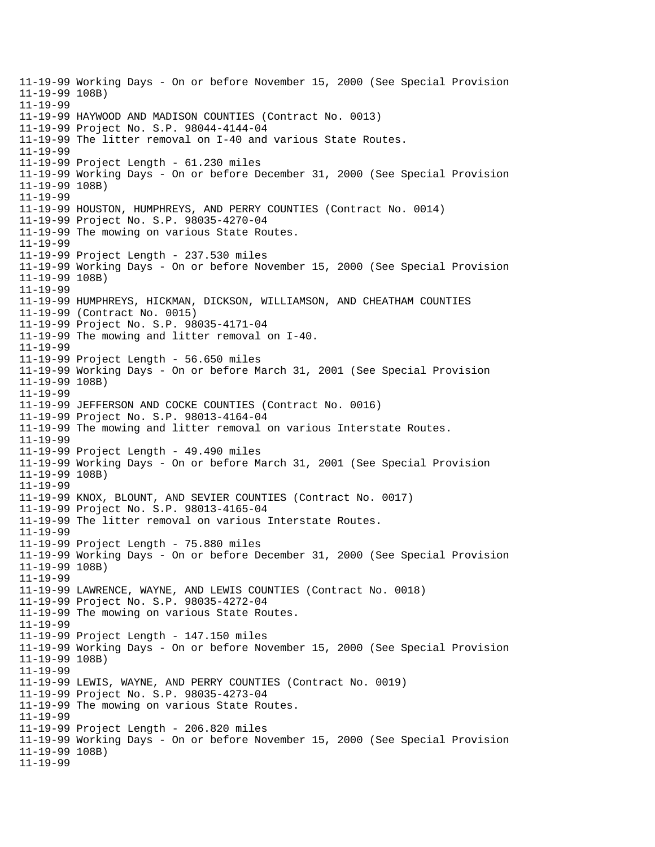11-19-99 Working Days - On or before November 15, 2000 (See Special Provision 11-19-99 108B) 11-19-99 11-19-99 HAYWOOD AND MADISON COUNTIES (Contract No. 0013) 11-19-99 Project No. S.P. 98044-4144-04 11-19-99 The litter removal on I-40 and various State Routes. 11-19-99 11-19-99 Project Length - 61.230 miles 11-19-99 Working Days - On or before December 31, 2000 (See Special Provision 11-19-99 108B) 11-19-99 11-19-99 HOUSTON, HUMPHREYS, AND PERRY COUNTIES (Contract No. 0014) 11-19-99 Project No. S.P. 98035-4270-04 11-19-99 The mowing on various State Routes. 11-19-99 11-19-99 Project Length - 237.530 miles 11-19-99 Working Days - On or before November 15, 2000 (See Special Provision 11-19-99 108B) 11-19-99 11-19-99 HUMPHREYS, HICKMAN, DICKSON, WILLIAMSON, AND CHEATHAM COUNTIES 11-19-99 (Contract No. 0015) 11-19-99 Project No. S.P. 98035-4171-04 11-19-99 The mowing and litter removal on I-40. 11-19-99 11-19-99 Project Length - 56.650 miles 11-19-99 Working Days - On or before March 31, 2001 (See Special Provision 11-19-99 108B) 11-19-99 11-19-99 JEFFERSON AND COCKE COUNTIES (Contract No. 0016) 11-19-99 Project No. S.P. 98013-4164-04 11-19-99 The mowing and litter removal on various Interstate Routes. 11-19-99 11-19-99 Project Length - 49.490 miles 11-19-99 Working Days - On or before March 31, 2001 (See Special Provision 11-19-99 108B) 11-19-99 11-19-99 KNOX, BLOUNT, AND SEVIER COUNTIES (Contract No. 0017) 11-19-99 Project No. S.P. 98013-4165-04 11-19-99 The litter removal on various Interstate Routes. 11-19-99 11-19-99 Project Length - 75.880 miles 11-19-99 Working Days - On or before December 31, 2000 (See Special Provision 11-19-99 108B) 11-19-99 11-19-99 LAWRENCE, WAYNE, AND LEWIS COUNTIES (Contract No. 0018) 11-19-99 Project No. S.P. 98035-4272-04 11-19-99 The mowing on various State Routes. 11-19-99 11-19-99 Project Length - 147.150 miles 11-19-99 Working Days - On or before November 15, 2000 (See Special Provision 11-19-99 108B) 11-19-99 11-19-99 LEWIS, WAYNE, AND PERRY COUNTIES (Contract No. 0019) 11-19-99 Project No. S.P. 98035-4273-04 11-19-99 The mowing on various State Routes. 11-19-99 11-19-99 Project Length - 206.820 miles 11-19-99 Working Days - On or before November 15, 2000 (See Special Provision 11-19-99 108B) 11-19-99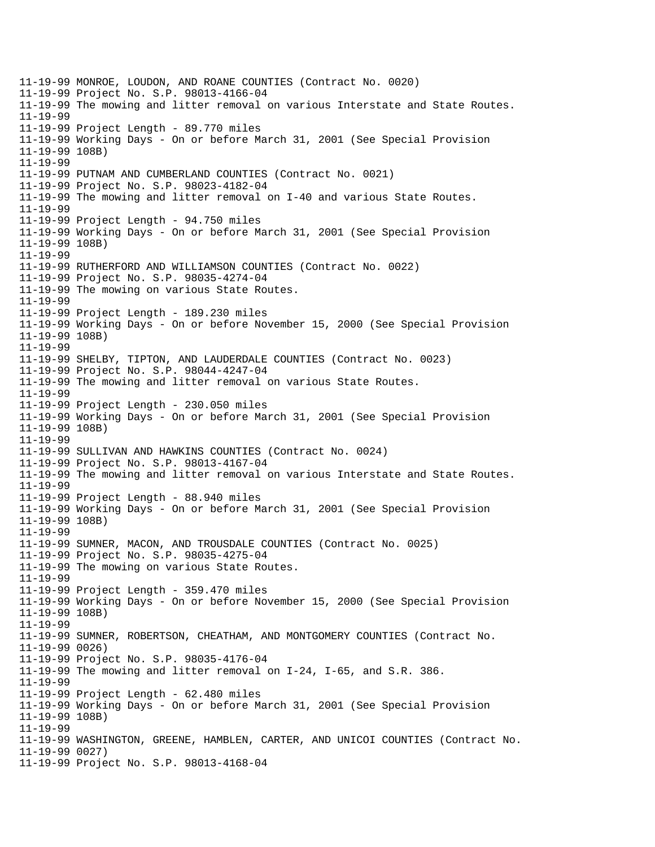11-19-99 MONROE, LOUDON, AND ROANE COUNTIES (Contract No. 0020) 11-19-99 Project No. S.P. 98013-4166-04 11-19-99 The mowing and litter removal on various Interstate and State Routes. 11-19-99 11-19-99 Project Length - 89.770 miles 11-19-99 Working Days - On or before March 31, 2001 (See Special Provision 11-19-99 108B) 11-19-99 11-19-99 PUTNAM AND CUMBERLAND COUNTIES (Contract No. 0021) 11-19-99 Project No. S.P. 98023-4182-04 11-19-99 The mowing and litter removal on I-40 and various State Routes. 11-19-99 11-19-99 Project Length - 94.750 miles 11-19-99 Working Days - On or before March 31, 2001 (See Special Provision 11-19-99 108B) 11-19-99 11-19-99 RUTHERFORD AND WILLIAMSON COUNTIES (Contract No. 0022) 11-19-99 Project No. S.P. 98035-4274-04 11-19-99 The mowing on various State Routes. 11-19-99 11-19-99 Project Length - 189.230 miles 11-19-99 Working Days - On or before November 15, 2000 (See Special Provision 11-19-99 108B) 11-19-99 11-19-99 SHELBY, TIPTON, AND LAUDERDALE COUNTIES (Contract No. 0023) 11-19-99 Project No. S.P. 98044-4247-04 11-19-99 The mowing and litter removal on various State Routes. 11-19-99 11-19-99 Project Length - 230.050 miles 11-19-99 Working Days - On or before March 31, 2001 (See Special Provision 11-19-99 108B) 11-19-99 11-19-99 SULLIVAN AND HAWKINS COUNTIES (Contract No. 0024) 11-19-99 Project No. S.P. 98013-4167-04 11-19-99 The mowing and litter removal on various Interstate and State Routes. 11-19-99 11-19-99 Project Length - 88.940 miles 11-19-99 Working Days - On or before March 31, 2001 (See Special Provision 11-19-99 108B) 11-19-99 11-19-99 SUMNER, MACON, AND TROUSDALE COUNTIES (Contract No. 0025) 11-19-99 Project No. S.P. 98035-4275-04 11-19-99 The mowing on various State Routes. 11-19-99 11-19-99 Project Length - 359.470 miles 11-19-99 Working Days - On or before November 15, 2000 (See Special Provision 11-19-99 108B) 11-19-99 11-19-99 SUMNER, ROBERTSON, CHEATHAM, AND MONTGOMERY COUNTIES (Contract No. 11-19-99 0026) 11-19-99 Project No. S.P. 98035-4176-04 11-19-99 The mowing and litter removal on I-24, I-65, and S.R. 386. 11-19-99 11-19-99 Project Length - 62.480 miles 11-19-99 Working Days - On or before March 31, 2001 (See Special Provision 11-19-99 108B) 11-19-99 11-19-99 WASHINGTON, GREENE, HAMBLEN, CARTER, AND UNICOI COUNTIES (Contract No. 11-19-99 0027) 11-19-99 Project No. S.P. 98013-4168-04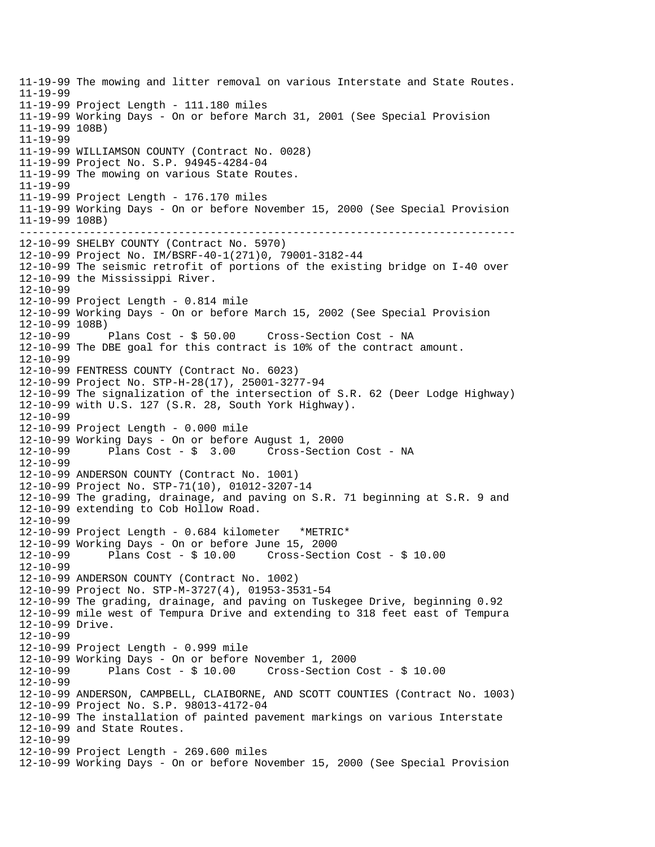------------------------------------------------------------------------------ 11-19-99 The mowing and litter removal on various Interstate and State Routes. 11-19-99 11-19-99 Project Length - 111.180 miles 11-19-99 Working Days - On or before March 31, 2001 (See Special Provision 11-19-99 108B) 11-19-99 11-19-99 WILLIAMSON COUNTY (Contract No. 0028) 11-19-99 Project No. S.P. 94945-4284-04 11-19-99 The mowing on various State Routes. 11-19-99 11-19-99 Project Length - 176.170 miles 11-19-99 Working Days - On or before November 15, 2000 (See Special Provision 11-19-99 108B) 12-10-99 SHELBY COUNTY (Contract No. 5970) 12-10-99 Project No. IM/BSRF-40-1(271)0, 79001-3182-44 12-10-99 The seismic retrofit of portions of the existing bridge on I-40 over 12-10-99 the Mississippi River. 12-10-99 12-10-99 Project Length - 0.814 mile 12-10-99 Working Days - On or before March 15, 2002 (See Special Provision 12-10-99 108B)<br>12-10-99 Plans Cost - \$ 50.00 12-10-99 Plans Cost - \$ 50.00 Cross-Section Cost - NA 12-10-99 The DBE goal for this contract is 10% of the contract amount. 12-10-99 12-10-99 FENTRESS COUNTY (Contract No. 6023) 12-10-99 Project No. STP-H-28(17), 25001-3277-94 12-10-99 The signalization of the intersection of S.R. 62 (Deer Lodge Highway) 12-10-99 with U.S. 127 (S.R. 28, South York Highway). 12-10-99 12-10-99 Project Length - 0.000 mile 12-10-99 Working Days - On or before August 1, 2000 Plans  $Cost - $ 3.00$  Cross-Section Cost - NA 12-10-99 12-10-99 ANDERSON COUNTY (Contract No. 1001) 12-10-99 Project No. STP-71(10), 01012-3207-14 12-10-99 The grading, drainage, and paving on S.R. 71 beginning at S.R. 9 and 12-10-99 extending to Cob Hollow Road. 12-10-99 12-10-99 Project Length - 0.684 kilometer \*METRIC\* 12-10-99 Working Days - On or before June 15, 2000 12-10-99 Plans Cost - \$ 10.00 Cross-Section Cost - \$ 10.00 12-10-99 12-10-99 ANDERSON COUNTY (Contract No. 1002) 12-10-99 Project No. STP-M-3727(4), 01953-3531-54 12-10-99 The grading, drainage, and paving on Tuskegee Drive, beginning 0.92 12-10-99 mile west of Tempura Drive and extending to 318 feet east of Tempura 12-10-99 Drive. 12-10-99 12-10-99 Project Length - 0.999 mile 12-10-99 Working Days - On or before November 1, 2000 12-10-99 Plans Cost - \$ 10.00 Cross-Section Cost - \$ 10.00 12-10-99 12-10-99 ANDERSON, CAMPBELL, CLAIBORNE, AND SCOTT COUNTIES (Contract No. 1003) 12-10-99 Project No. S.P. 98013-4172-04 12-10-99 The installation of painted pavement markings on various Interstate 12-10-99 and State Routes. 12-10-99 12-10-99 Project Length - 269.600 miles 12-10-99 Working Days - On or before November 15, 2000 (See Special Provision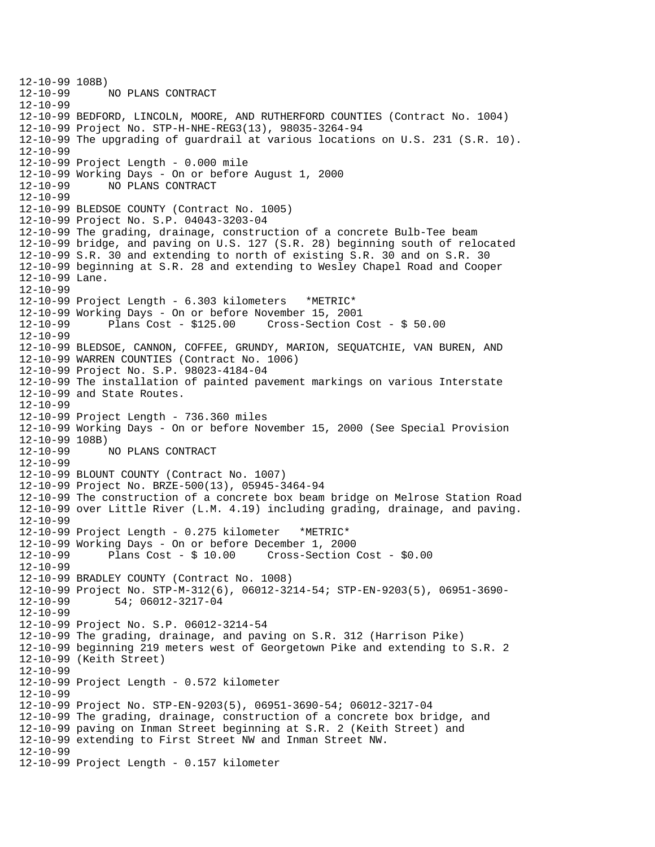```
12-10-99 108B)<br>12-10-99
             12-10-99 NO PLANS CONTRACT 
12-10-99 
12-10-99 BEDFORD, LINCOLN, MOORE, AND RUTHERFORD COUNTIES (Contract No. 1004) 
12-10-99 Project No. STP-H-NHE-REG3(13), 98035-3264-94 
12-10-99 The upgrading of guardrail at various locations on U.S. 231 (S.R. 10). 
12-10-99 
12-10-99 Project Length - 0.000 mile 
12-10-99 Working Days - On or before August 1, 2000 
12-10-99 NO PLANS CONTRACT 
12-10-99 
12-10-99 BLEDSOE COUNTY (Contract No. 1005) 
12-10-99 Project No. S.P. 04043-3203-04 
12-10-99 The grading, drainage, construction of a concrete Bulb-Tee beam 
12-10-99 bridge, and paving on U.S. 127 (S.R. 28) beginning south of relocated 
12-10-99 S.R. 30 and extending to north of existing S.R. 30 and on S.R. 30 
12-10-99 beginning at S.R. 28 and extending to Wesley Chapel Road and Cooper 
12-10-99 Lane. 
12-10-99 
12-10-99 Project Length - 6.303 kilometers *METRIC* 
12-10-99 Working Days - On or before November 15, 2001 
              Plans Cost - $125.00 Cross-Section Cost - $50.0012-10-99 
12-10-99 BLEDSOE, CANNON, COFFEE, GRUNDY, MARION, SEQUATCHIE, VAN BUREN, AND 
12-10-99 WARREN COUNTIES (Contract No. 1006) 
12-10-99 Project No. S.P. 98023-4184-04 
12-10-99 The installation of painted pavement markings on various Interstate 
12-10-99 and State Routes. 
12-10-99 
12-10-99 Project Length - 736.360 miles 
12-10-99 Working Days - On or before November 15, 2000 (See Special Provision 
12-10-99 108B) 
              NO PLANS CONTRACT
12-10-99 
12-10-99 BLOUNT COUNTY (Contract No. 1007) 
12-10-99 Project No. BRZE-500(13), 05945-3464-94 
12-10-99 The construction of a concrete box beam bridge on Melrose Station Road 
12-10-99 over Little River (L.M. 4.19) including grading, drainage, and paving. 
12-10-99 
12-10-99 Project Length - 0.275 kilometer *METRIC* 
12-10-99 Working Days - On or before December 1, 2000 
12-10-99 Plans Cost - $ 10.00 Cross-Section Cost - $0.00 
12-10-99 
12-10-99 BRADLEY COUNTY (Contract No. 1008) 
12-10-99 Project No. STP-M-312(6), 06012-3214-54; STP-EN-9203(5), 06951-3690
12-10-99 54; 06012-3217-04 
12-10-99 
12-10-99 Project No. S.P. 06012-3214-54 
12-10-99 The grading, drainage, and paving on S.R. 312 (Harrison Pike) 
12-10-99 beginning 219 meters west of Georgetown Pike and extending to S.R. 2 
12-10-99 (Keith Street) 
12-10-99 
12-10-99 Project Length - 0.572 kilometer 
12-10-99 
12-10-99 Project No. STP-EN-9203(5), 06951-3690-54; 06012-3217-04 
12-10-99 The grading, drainage, construction of a concrete box bridge, and 
12-10-99 paving on Inman Street beginning at S.R. 2 (Keith Street) and 
12-10-99 extending to First Street NW and Inman Street NW. 
12-10-99 
12-10-99 Project Length - 0.157 kilometer
```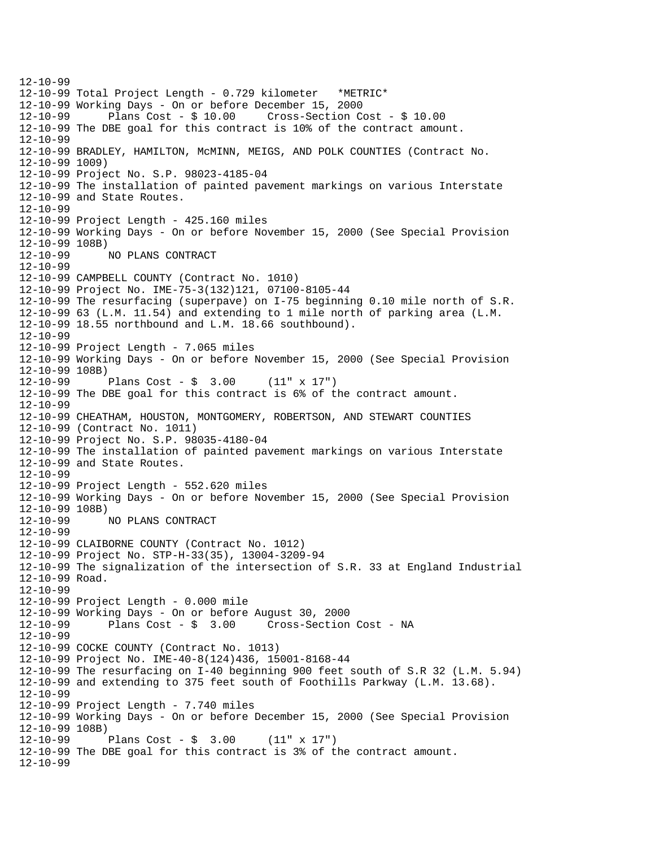12-10-99 12-10-99 Total Project Length - 0.729 kilometer \*METRIC\* 12-10-99 Working Days - On or before December 15, 2000 12-10-99 Plans Cost - \$ 10.00 Cross-Section Cost - \$ 10.00 12-10-99 The DBE goal for this contract is 10% of the contract amount. 12-10-99 12-10-99 BRADLEY, HAMILTON, McMINN, MEIGS, AND POLK COUNTIES (Contract No. 12-10-99 1009) 12-10-99 Project No. S.P. 98023-4185-04 12-10-99 The installation of painted pavement markings on various Interstate 12-10-99 and State Routes. 12-10-99 12-10-99 Project Length - 425.160 miles 12-10-99 Working Days - On or before November 15, 2000 (See Special Provision 12-10-99 108B) 12-10-99 NO PLANS CONTRACT 12-10-99 12-10-99 CAMPBELL COUNTY (Contract No. 1010) 12-10-99 Project No. IME-75-3(132)121, 07100-8105-44 12-10-99 The resurfacing (superpave) on I-75 beginning 0.10 mile north of S.R. 12-10-99 63 (L.M. 11.54) and extending to 1 mile north of parking area (L.M. 12-10-99 18.55 northbound and L.M. 18.66 southbound). 12-10-99 12-10-99 Project Length - 7.065 miles 12-10-99 Working Days - On or before November 15, 2000 (See Special Provision 12-10-99 108B) 12-10-99 Plans Cost - \$ 3.00 (11" x 17") 12-10-99 The DBE goal for this contract is 6% of the contract amount. 12-10-99 12-10-99 CHEATHAM, HOUSTON, MONTGOMERY, ROBERTSON, AND STEWART COUNTIES 12-10-99 (Contract No. 1011) 12-10-99 Project No. S.P. 98035-4180-04 12-10-99 The installation of painted pavement markings on various Interstate 12-10-99 and State Routes. 12-10-99 12-10-99 Project Length - 552.620 miles 12-10-99 Working Days - On or before November 15, 2000 (See Special Provision 12-10-99 108B) 12-10-99 NO PLANS CONTRACT 12-10-99 12-10-99 CLAIBORNE COUNTY (Contract No. 1012) 12-10-99 Project No. STP-H-33(35), 13004-3209-94 12-10-99 The signalization of the intersection of S.R. 33 at England Industrial 12-10-99 Road. 12-10-99 12-10-99 Project Length - 0.000 mile 12-10-99 Working Days - On or before August 30, 2000 Cross-Section Cost - NA 12-10-99 12-10-99 COCKE COUNTY (Contract No. 1013) 12-10-99 Project No. IME-40-8(124)436, 15001-8168-44 12-10-99 The resurfacing on I-40 beginning 900 feet south of S.R 32 (L.M. 5.94) 12-10-99 and extending to 375 feet south of Foothills Parkway (L.M. 13.68). 12-10-99 12-10-99 Project Length - 7.740 miles 12-10-99 Working Days - On or before December 15, 2000 (See Special Provision 12-10-99 108B) Plans  $Cost - $ 3.00 (11" x 17")$ 12-10-99 The DBE goal for this contract is 3% of the contract amount. 12-10-99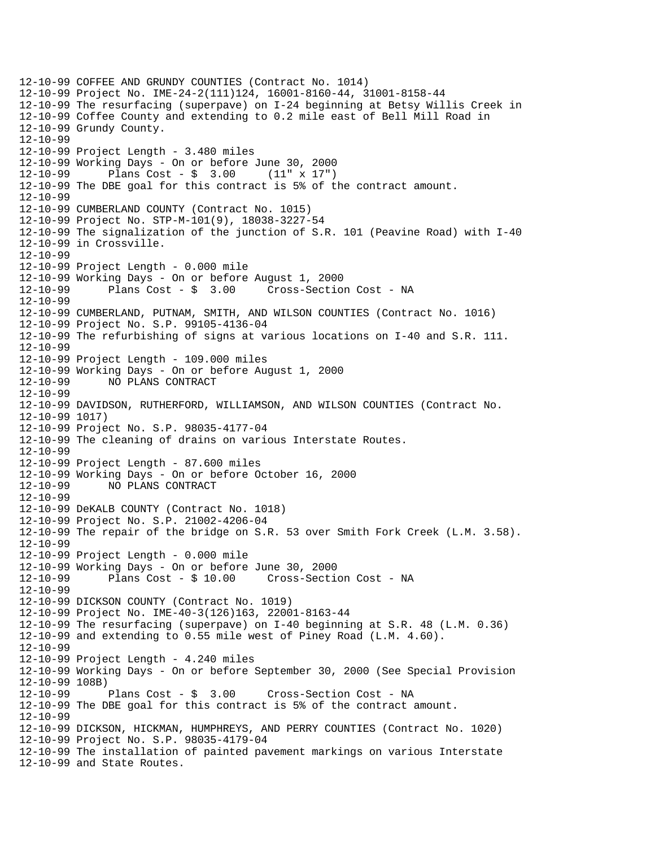```
12-10-99 COFFEE AND GRUNDY COUNTIES (Contract No. 1014) 
12-10-99 Project No. IME-24-2(111)124, 16001-8160-44, 31001-8158-44 
12-10-99 The resurfacing (superpave) on I-24 beginning at Betsy Willis Creek in 
12-10-99 Coffee County and extending to 0.2 mile east of Bell Mill Road in 
12-10-99 Grundy County. 
12-10-99 
12-10-99 Project Length - 3.480 miles 
12-10-99 Working Days - On or before June 30, 2000 
12-10-99 Plans Cost - $ 3.00 (11" x 17") 
12-10-99 The DBE goal for this contract is 5% of the contract amount. 
12-10-99 
12-10-99 CUMBERLAND COUNTY (Contract No. 1015) 
12-10-99 Project No. STP-M-101(9), 18038-3227-54 
12-10-99 The signalization of the junction of S.R. 101 (Peavine Road) with I-40 
12-10-99 in Crossville. 
12-10-99 
12-10-99 Project Length - 0.000 mile 
12-10-99 Working Days - On or before August 1, 2000 
12-10-99 Plans Cost - $ 3.00 Cross-Section Cost - NA 
12-10-99 
12-10-99 CUMBERLAND, PUTNAM, SMITH, AND WILSON COUNTIES (Contract No. 1016) 
12-10-99 Project No. S.P. 99105-4136-04 
12-10-99 The refurbishing of signs at various locations on I-40 and S.R. 111. 
12-10-99 
12-10-99 Project Length - 109.000 miles 
12-10-99 Working Days - On or before August 1, 2000 
12-10-99 NO PLANS CONTRACT 
12-10-99 
12-10-99 DAVIDSON, RUTHERFORD, WILLIAMSON, AND WILSON COUNTIES (Contract No. 
12-10-99 1017) 
12-10-99 Project No. S.P. 98035-4177-04 
12-10-99 The cleaning of drains on various Interstate Routes. 
12-10-99 
12-10-99 Project Length - 87.600 miles 
12-10-99 Working Days - On or before October 16, 2000 
12-10-99 NO PLANS CONTRACT 
12-10-99 
12-10-99 DeKALB COUNTY (Contract No. 1018) 
12-10-99 Project No. S.P. 21002-4206-04 
12-10-99 The repair of the bridge on S.R. 53 over Smith Fork Creek (L.M. 3.58). 
12-10-99 
12-10-99 Project Length - 0.000 mile 
12-10-99 Working Days - On or before June 30, 2000 
12-10-99 Plans Cost - $ 10.00 Cross-Section Cost - NA 
12-10-99 
12-10-99 DICKSON COUNTY (Contract No. 1019) 
12-10-99 Project No. IME-40-3(126)163, 22001-8163-44 
12-10-99 The resurfacing (superpave) on I-40 beginning at S.R. 48 (L.M. 0.36) 
12-10-99 and extending to 0.55 mile west of Piney Road (L.M. 4.60). 
12-10-99 
12-10-99 Project Length - 4.240 miles 
12-10-99 Working Days - On or before September 30, 2000 (See Special Provision 
12-10-99 108B)<br>12-10-99        Plans Cost - $  3.00
12-10-99 Plans Cost - $ 3.00 Cross-Section Cost - NA 
12-10-99 The DBE goal for this contract is 5% of the contract amount. 
12-10-99 
12-10-99 DICKSON, HICKMAN, HUMPHREYS, AND PERRY COUNTIES (Contract No. 1020) 
12-10-99 Project No. S.P. 98035-4179-04 
12-10-99 The installation of painted pavement markings on various Interstate 
12-10-99 and State Routes.
```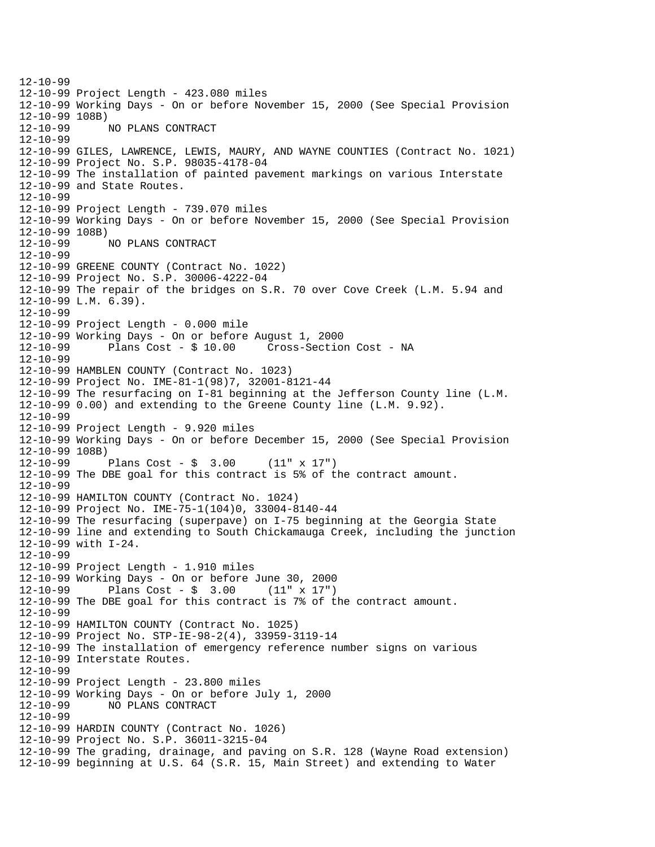12-10-99 12-10-99 Project Length - 423.080 miles 12-10-99 Working Days - On or before November 15, 2000 (See Special Provision 12-10-99 108B)<br>12-10-99 12-10-99 NO PLANS CONTRACT 12-10-99 12-10-99 GILES, LAWRENCE, LEWIS, MAURY, AND WAYNE COUNTIES (Contract No. 1021) 12-10-99 Project No. S.P. 98035-4178-04 12-10-99 The installation of painted pavement markings on various Interstate 12-10-99 and State Routes. 12-10-99 12-10-99 Project Length - 739.070 miles 12-10-99 Working Days - On or before November 15, 2000 (See Special Provision 12-10-99 108B) 12-10-99 NO PLANS CONTRACT 12-10-99 12-10-99 GREENE COUNTY (Contract No. 1022) 12-10-99 Project No. S.P. 30006-4222-04 12-10-99 The repair of the bridges on S.R. 70 over Cove Creek (L.M. 5.94 and 12-10-99 L.M. 6.39). 12-10-99 12-10-99 Project Length - 0.000 mile 12-10-99 Working Days - On or before August 1, 2000 12-10-99 Plans Cost - \$ 10.00 Cross-Section Cost - NA 12-10-99 12-10-99 HAMBLEN COUNTY (Contract No. 1023) 12-10-99 Project No. IME-81-1(98)7, 32001-8121-44 12-10-99 The resurfacing on I-81 beginning at the Jefferson County line (L.M. 12-10-99 0.00) and extending to the Greene County line (L.M. 9.92). 12-10-99 12-10-99 Project Length - 9.920 miles 12-10-99 Working Days - On or before December 15, 2000 (See Special Provision 12-10-99 108B) 12-10-99 Plans Cost - \$ 3.00 (11" x 17") 12-10-99 The DBE goal for this contract is 5% of the contract amount. 12-10-99 12-10-99 HAMILTON COUNTY (Contract No. 1024) 12-10-99 Project No. IME-75-1(104)0, 33004-8140-44 12-10-99 The resurfacing (superpave) on I-75 beginning at the Georgia State 12-10-99 line and extending to South Chickamauga Creek, including the junction 12-10-99 with I-24. 12-10-99 12-10-99 Project Length - 1.910 miles 12-10-99 Working Days - On or before June 30, 2000 12-10-99 Plans Cost - \$ 3.00 (11" x 17") 12-10-99 The DBE goal for this contract is 7% of the contract amount. 12-10-99 12-10-99 HAMILTON COUNTY (Contract No. 1025) 12-10-99 Project No. STP-IE-98-2(4), 33959-3119-14 12-10-99 The installation of emergency reference number signs on various 12-10-99 Interstate Routes. 12-10-99 12-10-99 Project Length - 23.800 miles 12-10-99 Working Days - On or before July 1, 2000 12-10-99 NO PLANS CONTRACT 12-10-99 12-10-99 HARDIN COUNTY (Contract No. 1026) 12-10-99 Project No. S.P. 36011-3215-04 12-10-99 The grading, drainage, and paving on S.R. 128 (Wayne Road extension) 12-10-99 beginning at U.S. 64 (S.R. 15, Main Street) and extending to Water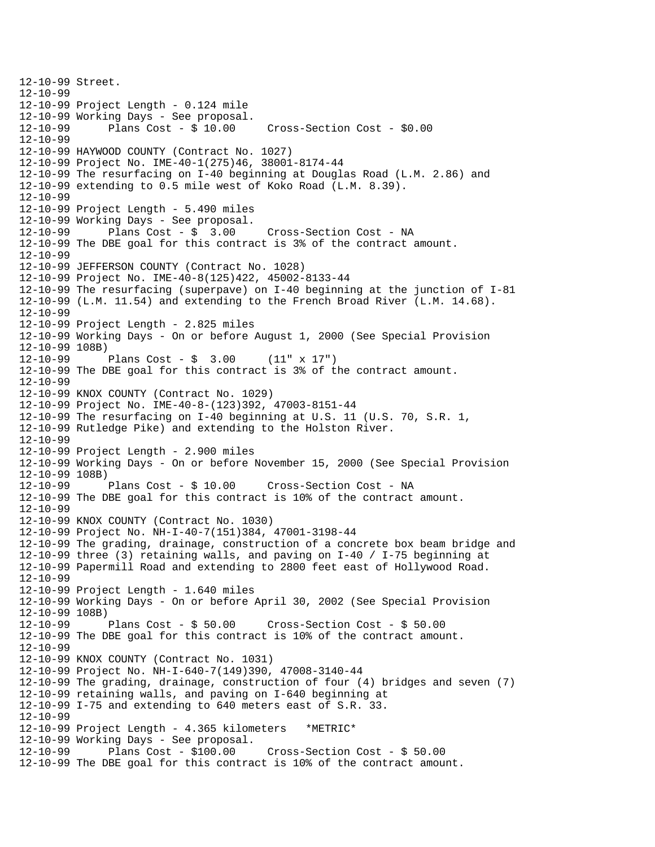12-10-99 Street. 12-10-99 12-10-99 Project Length - 0.124 mile 12-10-99 Working Days - See proposal. Cross-Section Cost - \$0.00 12-10-99 12-10-99 HAYWOOD COUNTY (Contract No. 1027) 12-10-99 Project No. IME-40-1(275)46, 38001-8174-44 12-10-99 The resurfacing on I-40 beginning at Douglas Road (L.M. 2.86) and 12-10-99 extending to 0.5 mile west of Koko Road (L.M. 8.39). 12-10-99 12-10-99 Project Length - 5.490 miles 12-10-99 Working Days - See proposal. 12-10-99 Plans Cost - \$ 3.00 Cross-Section Cost - NA 12-10-99 The DBE goal for this contract is 3% of the contract amount. 12-10-99 12-10-99 JEFFERSON COUNTY (Contract No. 1028) 12-10-99 Project No. IME-40-8(125)422, 45002-8133-44 12-10-99 The resurfacing (superpave) on I-40 beginning at the junction of I-81 12-10-99 (L.M. 11.54) and extending to the French Broad River (L.M. 14.68). 12-10-99 12-10-99 Project Length - 2.825 miles 12-10-99 Working Days - On or before August 1, 2000 (See Special Provision 12-10-99 108B)<br>12-10-99 1 Plans Cost -  $\frac{1}{2}$  3.00 (11" x 17") 12-10-99 The DBE goal for this contract is 3% of the contract amount. 12-10-99 12-10-99 KNOX COUNTY (Contract No. 1029) 12-10-99 Project No. IME-40-8-(123)392, 47003-8151-44 12-10-99 The resurfacing on I-40 beginning at U.S. 11 (U.S. 70, S.R. 1, 12-10-99 Rutledge Pike) and extending to the Holston River. 12-10-99 12-10-99 Project Length - 2.900 miles 12-10-99 Working Days - On or before November 15, 2000 (See Special Provision 12-10-99 108B) 12-10-99 Plans Cost - \$ 10.00 Cross-Section Cost - NA 12-10-99 The DBE goal for this contract is 10% of the contract amount. 12-10-99 12-10-99 KNOX COUNTY (Contract No. 1030) 12-10-99 Project No. NH-I-40-7(151)384, 47001-3198-44 12-10-99 The grading, drainage, construction of a concrete box beam bridge and 12-10-99 three (3) retaining walls, and paving on I-40 / I-75 beginning at 12-10-99 Papermill Road and extending to 2800 feet east of Hollywood Road. 12-10-99 12-10-99 Project Length - 1.640 miles 12-10-99 Working Days - On or before April 30, 2002 (See Special Provision 12-10-99 108B)<br>12-10-99 Plans Cost - \$ 50.00 12-10-99 Plans Cost - \$ 50.00 Cross-Section Cost - \$ 50.00 12-10-99 The DBE goal for this contract is 10% of the contract amount. 12-10-99 12-10-99 KNOX COUNTY (Contract No. 1031) 12-10-99 Project No. NH-I-640-7(149)390, 47008-3140-44 12-10-99 The grading, drainage, construction of four (4) bridges and seven (7) 12-10-99 retaining walls, and paving on I-640 beginning at 12-10-99 I-75 and extending to 640 meters east of S.R. 33. 12-10-99 12-10-99 Project Length - 4.365 kilometers \*METRIC\* 12-10-99 Working Days - See proposal.  $Cross-Section Cost - $ 50.00$ 12-10-99 The DBE goal for this contract is 10% of the contract amount.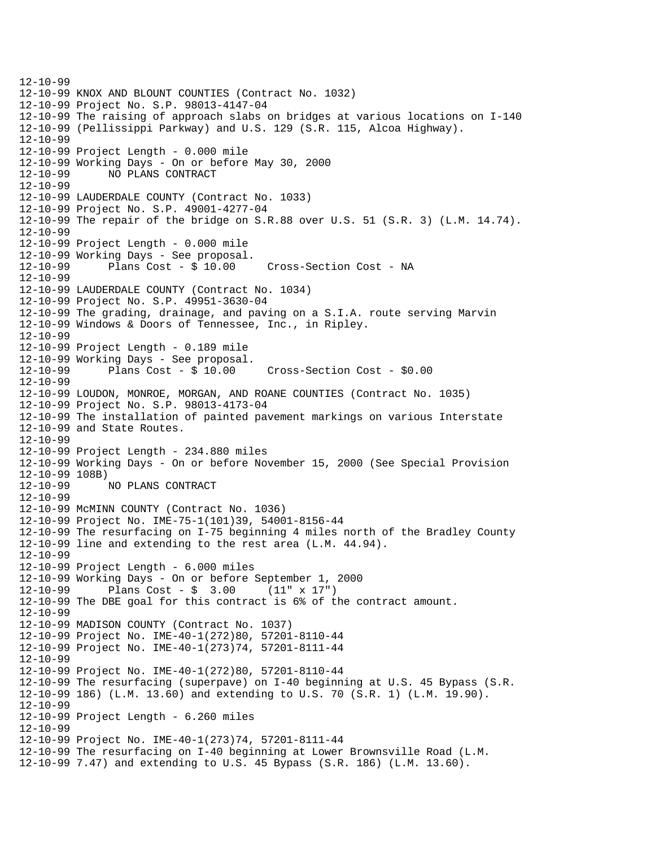12-10-99 12-10-99 KNOX AND BLOUNT COUNTIES (Contract No. 1032) 12-10-99 Project No. S.P. 98013-4147-04 12-10-99 The raising of approach slabs on bridges at various locations on I-140 12-10-99 (Pellissippi Parkway) and U.S. 129 (S.R. 115, Alcoa Highway). 12-10-99 12-10-99 Project Length - 0.000 mile 12-10-99 Working Days - On or before May 30, 2000 12-10-99 NO PLANS CONTRACT 12-10-99 12-10-99 LAUDERDALE COUNTY (Contract No. 1033) 12-10-99 Project No. S.P. 49001-4277-04 12-10-99 The repair of the bridge on S.R.88 over U.S. 51 (S.R. 3) (L.M. 14.74). 12-10-99 12-10-99 Project Length - 0.000 mile  $12-10-99$  Working Days - See proposal.<br> $12-10-99$  Plans Cost - \$ 10.00 12-10-99 Plans Cost - \$ 10.00 Cross-Section Cost - NA 12-10-99 12-10-99 LAUDERDALE COUNTY (Contract No. 1034) 12-10-99 Project No. S.P. 49951-3630-04 12-10-99 The grading, drainage, and paving on a S.I.A. route serving Marvin 12-10-99 Windows & Doors of Tennessee, Inc., in Ripley. 12-10-99 12-10-99 Project Length - 0.189 mile  $12-10-99$  Working Days - See proposal.<br> $12-10-99$  Plans Cost - \$ 10.00 12-10-99 Plans Cost - \$ 10.00 Cross-Section Cost - \$0.00 12-10-99 12-10-99 LOUDON, MONROE, MORGAN, AND ROANE COUNTIES (Contract No. 1035) 12-10-99 Project No. S.P. 98013-4173-04 12-10-99 The installation of painted pavement markings on various Interstate 12-10-99 and State Routes. 12-10-99 12-10-99 Project Length - 234.880 miles 12-10-99 Working Days - On or before November 15, 2000 (See Special Provision 12-10-99 108B) 12-10-99 NO PLANS CONTRACT 12-10-99 12-10-99 McMINN COUNTY (Contract No. 1036) 12-10-99 Project No. IME-75-1(101)39, 54001-8156-44 12-10-99 The resurfacing on I-75 beginning 4 miles north of the Bradley County 12-10-99 line and extending to the rest area (L.M. 44.94). 12-10-99 12-10-99 Project Length - 6.000 miles 12-10-99 Working Days - On or before September 1, 2000 12-10-99 Plans Cost - \$ 3.00 (11" x 17") 12-10-99 The DBE goal for this contract is 6% of the contract amount. 12-10-99 12-10-99 MADISON COUNTY (Contract No. 1037) 12-10-99 Project No. IME-40-1(272)80, 57201-8110-44 12-10-99 Project No. IME-40-1(273)74, 57201-8111-44 12-10-99 12-10-99 Project No. IME-40-1(272)80, 57201-8110-44 12-10-99 The resurfacing (superpave) on I-40 beginning at U.S. 45 Bypass (S.R. 12-10-99 186) (L.M. 13.60) and extending to U.S. 70 (S.R. 1) (L.M. 19.90). 12-10-99 12-10-99 Project Length - 6.260 miles 12-10-99 12-10-99 Project No. IME-40-1(273)74, 57201-8111-44 12-10-99 The resurfacing on I-40 beginning at Lower Brownsville Road (L.M. 12-10-99 7.47) and extending to U.S. 45 Bypass (S.R. 186) (L.M. 13.60).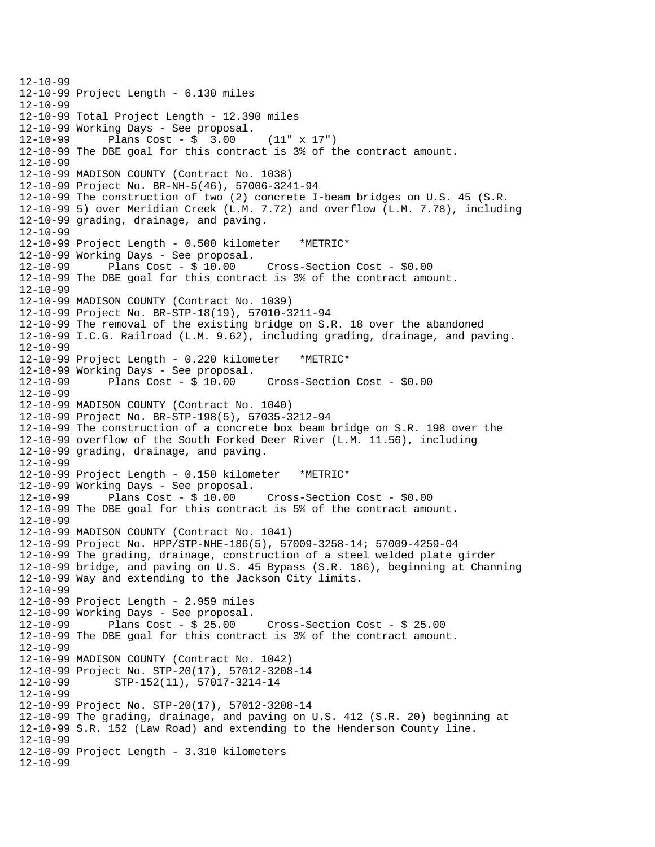12-10-99 12-10-99 Project Length - 6.130 miles 12-10-99 12-10-99 Total Project Length - 12.390 miles 12-10-99 Working Days - See proposal. 12-10-99 Plans Cost - \$ 3.00 (11" x 17") 12-10-99 The DBE goal for this contract is 3% of the contract amount. 12-10-99 12-10-99 MADISON COUNTY (Contract No. 1038) 12-10-99 Project No. BR-NH-5(46), 57006-3241-94 12-10-99 The construction of two (2) concrete I-beam bridges on U.S. 45 (S.R. 12-10-99 5) over Meridian Creek (L.M. 7.72) and overflow (L.M. 7.78), including 12-10-99 grading, drainage, and paving. 12-10-99 12-10-99 Project Length - 0.500 kilometer \*METRIC\* 12-10-99 Working Days - See proposal. 12-10-99 Plans Cost - \$ 10.00 Cross-Section Cost - \$0.00 12-10-99 The DBE goal for this contract is 3% of the contract amount. 12-10-99 12-10-99 MADISON COUNTY (Contract No. 1039) 12-10-99 Project No. BR-STP-18(19), 57010-3211-94 12-10-99 The removal of the existing bridge on S.R. 18 over the abandoned 12-10-99 I.C.G. Railroad (L.M. 9.62), including grading, drainage, and paving. 12-10-99 12-10-99 Project Length - 0.220 kilometer \*METRIC\* 12-10-99 Working Days - See proposal. 12-10-99 Plans Cost - \$ 10.00 Cross-Section Cost - \$0.00 12-10-99 12-10-99 MADISON COUNTY (Contract No. 1040) 12-10-99 Project No. BR-STP-198(5), 57035-3212-94 12-10-99 The construction of a concrete box beam bridge on S.R. 198 over the 12-10-99 overflow of the South Forked Deer River (L.M. 11.56), including 12-10-99 grading, drainage, and paving. 12-10-99 12-10-99 Project Length - 0.150 kilometer \*METRIC\* 12-10-99 Working Days - See proposal. 12-10-99 Plans Cost - \$ 10.00 Cross-Section Cost - \$0.00 12-10-99 The DBE goal for this contract is 5% of the contract amount. 12-10-99 12-10-99 MADISON COUNTY (Contract No. 1041) 12-10-99 Project No. HPP/STP-NHE-186(5), 57009-3258-14; 57009-4259-04 12-10-99 The grading, drainage, construction of a steel welded plate girder 12-10-99 bridge, and paving on U.S. 45 Bypass (S.R. 186), beginning at Channing 12-10-99 Way and extending to the Jackson City limits. 12-10-99 12-10-99 Project Length - 2.959 miles  $12-10-99$  Working Days - See proposal.<br> $12-10-99$  Plans Cost - \$ 25.00 12-10-99 Plans Cost - \$ 25.00 Cross-Section Cost - \$ 25.00 12-10-99 The DBE goal for this contract is 3% of the contract amount. 12-10-99 12-10-99 MADISON COUNTY (Contract No. 1042) 12-10-99 Project No. STP-20(17), 57012-3208-14 12-10-99 STP-152(11), 57017-3214-14 12-10-99 12-10-99 Project No. STP-20(17), 57012-3208-14 12-10-99 The grading, drainage, and paving on U.S. 412 (S.R. 20) beginning at 12-10-99 S.R. 152 (Law Road) and extending to the Henderson County line. 12-10-99 12-10-99 Project Length - 3.310 kilometers 12-10-99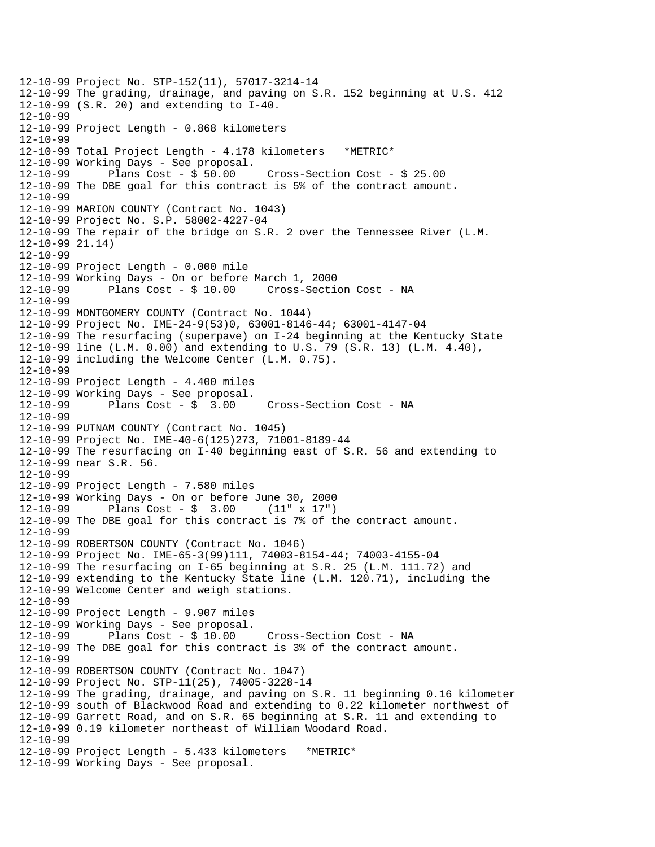12-10-99 Project No. STP-152(11), 57017-3214-14 12-10-99 The grading, drainage, and paving on S.R. 152 beginning at U.S. 412 12-10-99 (S.R. 20) and extending to I-40. 12-10-99 12-10-99 Project Length - 0.868 kilometers 12-10-99 12-10-99 Total Project Length - 4.178 kilometers \*METRIC\* 12-10-99 Working Days - See proposal. 12-10-99 Plans Cost - \$ 50.00 Cross-Section Cost - \$ 25.00 12-10-99 The DBE goal for this contract is 5% of the contract amount. 12-10-99 12-10-99 MARION COUNTY (Contract No. 1043) 12-10-99 Project No. S.P. 58002-4227-04 12-10-99 The repair of the bridge on S.R. 2 over the Tennessee River (L.M. 12-10-99 21.14) 12-10-99 12-10-99 Project Length - 0.000 mile 12-10-99 Working Days - On or before March 1, 2000 12-10-99 Plans Cost - \$ 10.00 Cross-Section Cost - NA 12-10-99 12-10-99 MONTGOMERY COUNTY (Contract No. 1044) 12-10-99 Project No. IME-24-9(53)0, 63001-8146-44; 63001-4147-04 12-10-99 The resurfacing (superpave) on I-24 beginning at the Kentucky State 12-10-99 line (L.M. 0.00) and extending to U.S. 79 (S.R. 13) (L.M. 4.40), 12-10-99 including the Welcome Center (L.M. 0.75). 12-10-99 12-10-99 Project Length - 4.400 miles 12-10-99 Working Days - See proposal. 12-10-99 Plans Cost - \$ 3.00 Cross-Section Cost - NA 12-10-99 12-10-99 PUTNAM COUNTY (Contract No. 1045) 12-10-99 Project No. IME-40-6(125)273, 71001-8189-44 12-10-99 The resurfacing on I-40 beginning east of S.R. 56 and extending to 12-10-99 near S.R. 56. 12-10-99 12-10-99 Project Length - 7.580 miles 12-10-99 Working Days - On or before June 30, 2000 12-10-99 Plans Cost - \$ 3.00 (11" x 17") 12-10-99 The DBE goal for this contract is 7% of the contract amount. 12-10-99 12-10-99 ROBERTSON COUNTY (Contract No. 1046) 12-10-99 Project No. IME-65-3(99)111, 74003-8154-44; 74003-4155-04 12-10-99 The resurfacing on I-65 beginning at S.R. 25 (L.M. 111.72) and 12-10-99 extending to the Kentucky State line (L.M. 120.71), including the 12-10-99 Welcome Center and weigh stations. 12-10-99 12-10-99 Project Length - 9.907 miles 12-10-99 Working Days - See proposal. 12-10-99 Plans Cost - \$ 10.00 Cross-Section Cost - NA 12-10-99 The DBE goal for this contract is 3% of the contract amount. 12-10-99 12-10-99 ROBERTSON COUNTY (Contract No. 1047) 12-10-99 Project No. STP-11(25), 74005-3228-14 12-10-99 The grading, drainage, and paving on S.R. 11 beginning 0.16 kilometer 12-10-99 south of Blackwood Road and extending to 0.22 kilometer northwest of 12-10-99 Garrett Road, and on S.R. 65 beginning at S.R. 11 and extending to 12-10-99 0.19 kilometer northeast of William Woodard Road. 12-10-99 12-10-99 Project Length - 5.433 kilometers \*METRIC\* 12-10-99 Working Days - See proposal.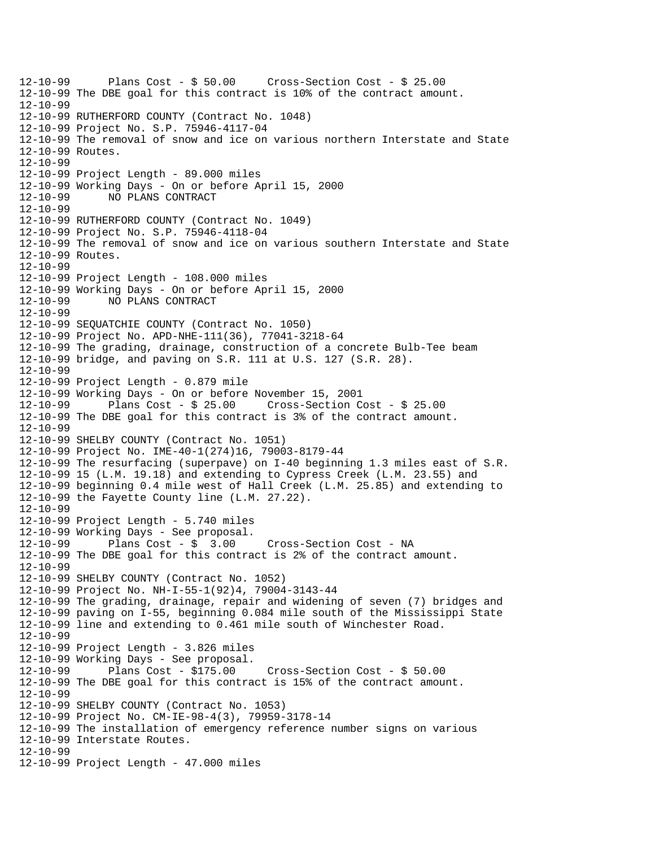12-10-99 Plans Cost - \$ 50.00 Cross-Section Cost - \$ 25.00 12-10-99 The DBE goal for this contract is 10% of the contract amount. 12-10-99 12-10-99 RUTHERFORD COUNTY (Contract No. 1048) 12-10-99 Project No. S.P. 75946-4117-04 12-10-99 The removal of snow and ice on various northern Interstate and State 12-10-99 Routes. 12-10-99 12-10-99 Project Length - 89.000 miles 12-10-99 Working Days - On or before April 15, 2000 12-10-99 NO PLANS CONTRACT 12-10-99 12-10-99 RUTHERFORD COUNTY (Contract No. 1049) 12-10-99 Project No. S.P. 75946-4118-04 12-10-99 The removal of snow and ice on various southern Interstate and State 12-10-99 Routes. 12-10-99 12-10-99 Project Length - 108.000 miles 12-10-99 Working Days - On or before April 15, 2000 12-10-99 NO PLANS CONTRACT 12-10-99 12-10-99 SEQUATCHIE COUNTY (Contract No. 1050) 12-10-99 Project No. APD-NHE-111(36), 77041-3218-64 12-10-99 The grading, drainage, construction of a concrete Bulb-Tee beam 12-10-99 bridge, and paving on S.R. 111 at U.S. 127 (S.R. 28). 12-10-99 12-10-99 Project Length - 0.879 mile 12-10-99 Working Days - On or before November 15, 2001 12-10-99 Plans Cost - \$ 25.00 Cross-Section Cost - \$ 25.00 12-10-99 The DBE goal for this contract is 3% of the contract amount. 12-10-99 12-10-99 SHELBY COUNTY (Contract No. 1051) 12-10-99 Project No. IME-40-1(274)16, 79003-8179-44 12-10-99 The resurfacing (superpave) on I-40 beginning 1.3 miles east of S.R. 12-10-99 15 (L.M. 19.18) and extending to Cypress Creek (L.M. 23.55) and 12-10-99 beginning 0.4 mile west of Hall Creek (L.M. 25.85) and extending to 12-10-99 the Fayette County line (L.M. 27.22). 12-10-99 12-10-99 Project Length - 5.740 miles 12-10-99 Working Days - See proposal. 12-10-99 Plans Cost - \$ 3.00 Cross-Section Cost - NA 12-10-99 The DBE goal for this contract is 2% of the contract amount. 12-10-99 12-10-99 SHELBY COUNTY (Contract No. 1052) 12-10-99 Project No. NH-I-55-1(92)4, 79004-3143-44 12-10-99 The grading, drainage, repair and widening of seven (7) bridges and 12-10-99 paving on I-55, beginning 0.084 mile south of the Mississippi State 12-10-99 line and extending to 0.461 mile south of Winchester Road. 12-10-99 12-10-99 Project Length - 3.826 miles 12-10-99 Working Days - See proposal. 12-10-99 Plans Cost - \$175.00 Cross-Section Cost - \$ 50.00 12-10-99 The DBE goal for this contract is 15% of the contract amount. 12-10-99 12-10-99 SHELBY COUNTY (Contract No. 1053) 12-10-99 Project No. CM-IE-98-4(3), 79959-3178-14 12-10-99 The installation of emergency reference number signs on various 12-10-99 Interstate Routes. 12-10-99 12-10-99 Project Length - 47.000 miles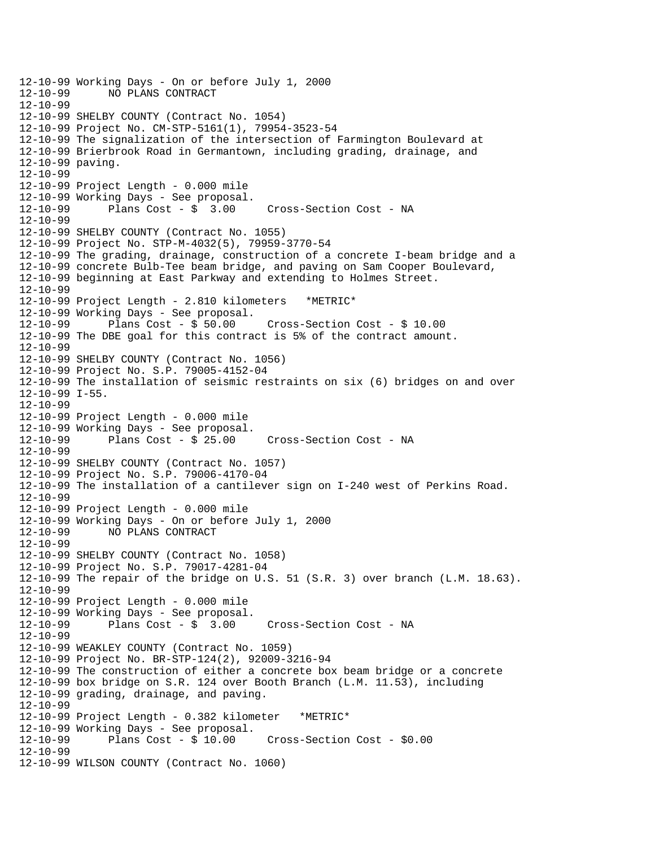```
12-10-99 Working Days - On or before July 1, 2000 
              12-10-99 NO PLANS CONTRACT 
12-10-99 
12-10-99 SHELBY COUNTY (Contract No. 1054) 
12-10-99 Project No. CM-STP-5161(1), 79954-3523-54 
12-10-99 The signalization of the intersection of Farmington Boulevard at 
12-10-99 Brierbrook Road in Germantown, including grading, drainage, and 
12-10-99 paving. 
12-10-99 
12-10-99 Project Length - 0.000 mile 
12-10-99 Working Days - See proposal. 
12-10-99 Plans Cost - $ 3.00 Cross-Section Cost - NA 
12-10-99 
12-10-99 SHELBY COUNTY (Contract No. 1055) 
12-10-99 Project No. STP-M-4032(5), 79959-3770-54 
12-10-99 The grading, drainage, construction of a concrete I-beam bridge and a 
12-10-99 concrete Bulb-Tee beam bridge, and paving on Sam Cooper Boulevard, 
12-10-99 beginning at East Parkway and extending to Holmes Street. 
12-10-99 
12-10-99 Project Length - 2.810 kilometers *METRIC* 
12-10-99 Working Days - See proposal.<br>12-10-99 Plans Cost - $ 50.00
12-10-99 Plans Cost - $ 50.00 Cross-Section Cost - $ 10.00 
12-10-99 The DBE goal for this contract is 5% of the contract amount. 
12-10-99 
12-10-99 SHELBY COUNTY (Contract No. 1056) 
12-10-99 Project No. S.P. 79005-4152-04 
12-10-99 The installation of seismic restraints on six (6) bridges on and over 
12-10-99 I-55. 
12-10-99 
12-10-99 Project Length - 0.000 mile 
12-10-99 Working Days - See proposal. 
12-10-99 Plans Cost - $ 25.00 Cross-Section Cost - NA 
12-10-99 
12-10-99 SHELBY COUNTY (Contract No. 1057) 
12-10-99 Project No. S.P. 79006-4170-04 
12-10-99 The installation of a cantilever sign on I-240 west of Perkins Road. 
12-10-99 
12-10-99 Project Length - 0.000 mile 
12-10-99 Working Days - On or before July 1, 2000 
12-10-99 NO PLANS CONTRACT 
12-10-99 
12-10-99 SHELBY COUNTY (Contract No. 1058) 
12-10-99 Project No. S.P. 79017-4281-04 
12-10-99 The repair of the bridge on U.S. 51 (S.R. 3) over branch (L.M. 18.63). 
12-10-99 
12-10-99 Project Length - 0.000 mile 
12-10-99 Working Days - See proposal.<br>12-10-99 Plans Cost - $ 3.00
12-10-99 Plans Cost - $ 3.00 Cross-Section Cost - NA 
12-10-99 
12-10-99 WEAKLEY COUNTY (Contract No. 1059) 
12-10-99 Project No. BR-STP-124(2), 92009-3216-94 
12-10-99 The construction of either a concrete box beam bridge or a concrete 
12-10-99 box bridge on S.R. 124 over Booth Branch (L.M. 11.53), including 
12-10-99 grading, drainage, and paving. 
12-10-99 
12-10-99 Project Length - 0.382 kilometer *METRIC* 
12-10-99 Working Days - See proposal. 
                                       12-10-99 Plans Cost - $ 10.00 Cross-Section Cost - $0.00 
12-10-99 
12-10-99 WILSON COUNTY (Contract No. 1060)
```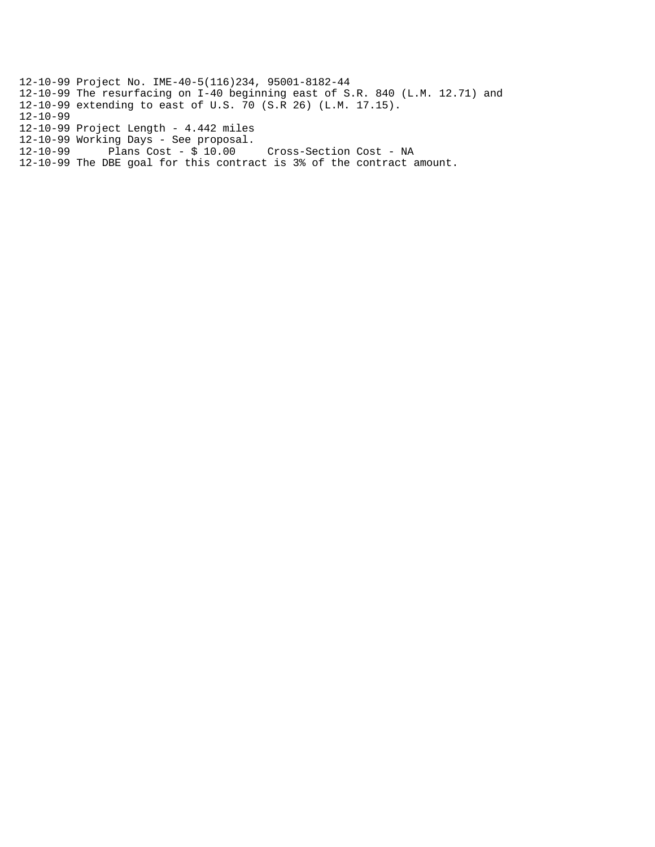12-10-99 Project No. IME-40-5(116)234, 95001-8182-44 12-10-99 The resurfacing on I-40 beginning east of S.R. 840 (L.M. 12.71) and 12-10-99 extending to east of U.S. 70 (S.R 26) (L.M. 17.15). 12-10-99 12-10-99 Project Length - 4.442 miles 12-10-99 Working Days - See proposal. 12-10-99 Plans Cost - \$ 10.00 Cross-Section Cost - NA

12-10-99 The DBE goal for this contract is 3% of the contract amount.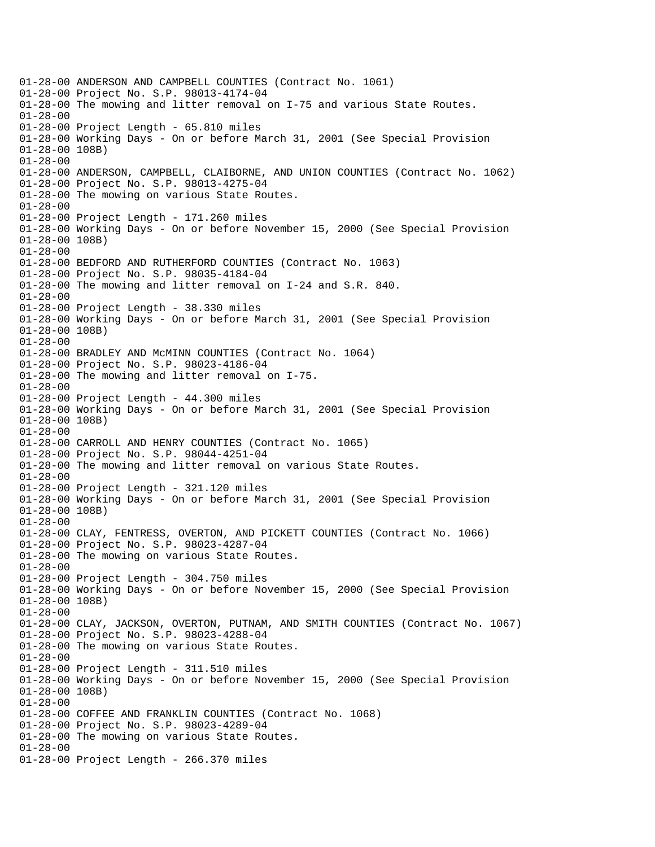01-28-00 ANDERSON AND CAMPBELL COUNTIES (Contract No. 1061) 01-28-00 Project No. S.P. 98013-4174-04 01-28-00 The mowing and litter removal on I-75 and various State Routes. 01-28-00 01-28-00 Project Length - 65.810 miles 01-28-00 Working Days - On or before March 31, 2001 (See Special Provision 01-28-00 108B) 01-28-00 01-28-00 ANDERSON, CAMPBELL, CLAIBORNE, AND UNION COUNTIES (Contract No. 1062) 01-28-00 Project No. S.P. 98013-4275-04 01-28-00 The mowing on various State Routes. 01-28-00 01-28-00 Project Length - 171.260 miles 01-28-00 Working Days - On or before November 15, 2000 (See Special Provision 01-28-00 108B) 01-28-00 01-28-00 BEDFORD AND RUTHERFORD COUNTIES (Contract No. 1063) 01-28-00 Project No. S.P. 98035-4184-04 01-28-00 The mowing and litter removal on I-24 and S.R. 840. 01-28-00 01-28-00 Project Length - 38.330 miles 01-28-00 Working Days - On or before March 31, 2001 (See Special Provision 01-28-00 108B) 01-28-00 01-28-00 BRADLEY AND McMINN COUNTIES (Contract No. 1064) 01-28-00 Project No. S.P. 98023-4186-04 01-28-00 The mowing and litter removal on I-75. 01-28-00 01-28-00 Project Length - 44.300 miles 01-28-00 Working Days - On or before March 31, 2001 (See Special Provision 01-28-00 108B) 01-28-00 01-28-00 CARROLL AND HENRY COUNTIES (Contract No. 1065) 01-28-00 Project No. S.P. 98044-4251-04 01-28-00 The mowing and litter removal on various State Routes. 01-28-00 01-28-00 Project Length - 321.120 miles 01-28-00 Working Days - On or before March 31, 2001 (See Special Provision 01-28-00 108B) 01-28-00 01-28-00 CLAY, FENTRESS, OVERTON, AND PICKETT COUNTIES (Contract No. 1066) 01-28-00 Project No. S.P. 98023-4287-04 01-28-00 The mowing on various State Routes. 01-28-00 01-28-00 Project Length - 304.750 miles 01-28-00 Working Days - On or before November 15, 2000 (See Special Provision 01-28-00 108B) 01-28-00 01-28-00 CLAY, JACKSON, OVERTON, PUTNAM, AND SMITH COUNTIES (Contract No. 1067) 01-28-00 Project No. S.P. 98023-4288-04 01-28-00 The mowing on various State Routes. 01-28-00 01-28-00 Project Length - 311.510 miles 01-28-00 Working Days - On or before November 15, 2000 (See Special Provision 01-28-00 108B) 01-28-00 01-28-00 COFFEE AND FRANKLIN COUNTIES (Contract No. 1068) 01-28-00 Project No. S.P. 98023-4289-04 01-28-00 The mowing on various State Routes. 01-28-00 01-28-00 Project Length - 266.370 miles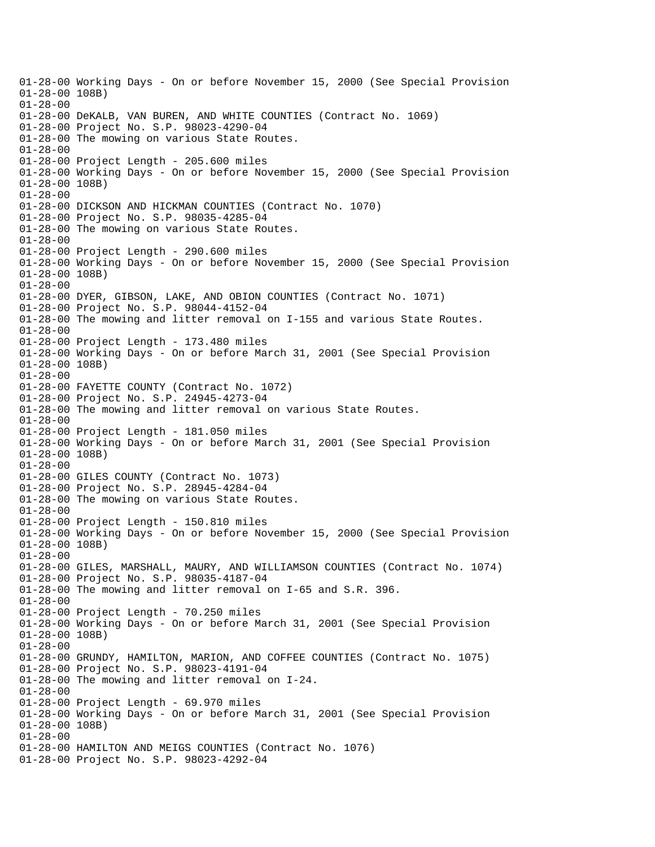01-28-00 Working Days - On or before November 15, 2000 (See Special Provision 01-28-00 108B) 01-28-00 01-28-00 DeKALB, VAN BUREN, AND WHITE COUNTIES (Contract No. 1069) 01-28-00 Project No. S.P. 98023-4290-04 01-28-00 The mowing on various State Routes. 01-28-00 01-28-00 Project Length - 205.600 miles 01-28-00 Working Days - On or before November 15, 2000 (See Special Provision 01-28-00 108B) 01-28-00 01-28-00 DICKSON AND HICKMAN COUNTIES (Contract No. 1070) 01-28-00 Project No. S.P. 98035-4285-04 01-28-00 The mowing on various State Routes. 01-28-00 01-28-00 Project Length - 290.600 miles 01-28-00 Working Days - On or before November 15, 2000 (See Special Provision 01-28-00 108B) 01-28-00 01-28-00 DYER, GIBSON, LAKE, AND OBION COUNTIES (Contract No. 1071) 01-28-00 Project No. S.P. 98044-4152-04 01-28-00 The mowing and litter removal on I-155 and various State Routes. 01-28-00 01-28-00 Project Length - 173.480 miles 01-28-00 Working Days - On or before March 31, 2001 (See Special Provision 01-28-00 108B) 01-28-00 01-28-00 FAYETTE COUNTY (Contract No. 1072) 01-28-00 Project No. S.P. 24945-4273-04 01-28-00 The mowing and litter removal on various State Routes. 01-28-00 01-28-00 Project Length - 181.050 miles 01-28-00 Working Days - On or before March 31, 2001 (See Special Provision 01-28-00 108B) 01-28-00 01-28-00 GILES COUNTY (Contract No. 1073) 01-28-00 Project No. S.P. 28945-4284-04 01-28-00 The mowing on various State Routes. 01-28-00 01-28-00 Project Length - 150.810 miles 01-28-00 Working Days - On or before November 15, 2000 (See Special Provision 01-28-00 108B) 01-28-00 01-28-00 GILES, MARSHALL, MAURY, AND WILLIAMSON COUNTIES (Contract No. 1074) 01-28-00 Project No. S.P. 98035-4187-04 01-28-00 The mowing and litter removal on I-65 and S.R. 396. 01-28-00 01-28-00 Project Length - 70.250 miles 01-28-00 Working Days - On or before March 31, 2001 (See Special Provision 01-28-00 108B) 01-28-00 01-28-00 GRUNDY, HAMILTON, MARION, AND COFFEE COUNTIES (Contract No. 1075) 01-28-00 Project No. S.P. 98023-4191-04 01-28-00 The mowing and litter removal on I-24. 01-28-00 01-28-00 Project Length - 69.970 miles 01-28-00 Working Days - On or before March 31, 2001 (See Special Provision 01-28-00 108B) 01-28-00 01-28-00 HAMILTON AND MEIGS COUNTIES (Contract No. 1076) 01-28-00 Project No. S.P. 98023-4292-04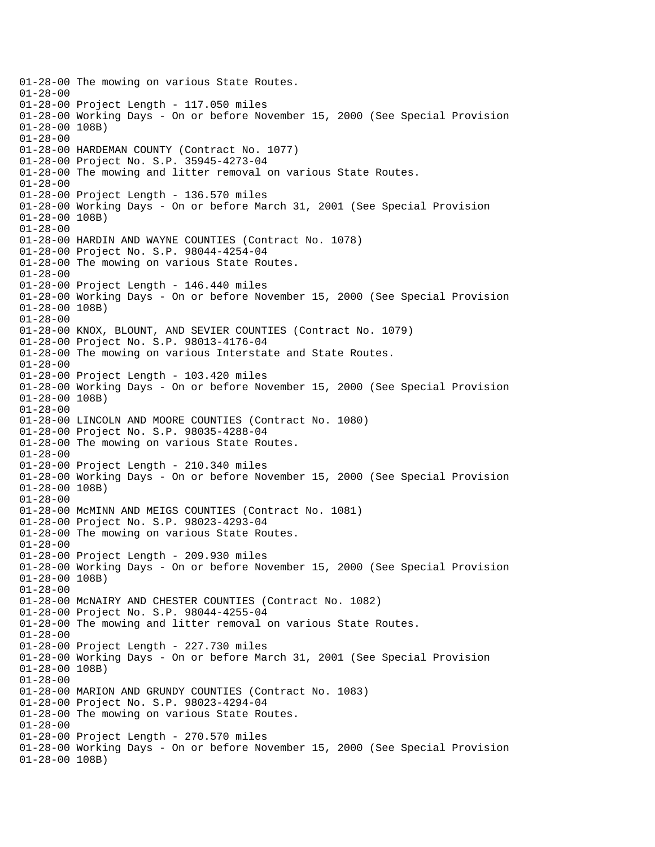01-28-00 The mowing on various State Routes. 01-28-00 01-28-00 Project Length - 117.050 miles 01-28-00 Working Days - On or before November 15, 2000 (See Special Provision 01-28-00 108B) 01-28-00 01-28-00 HARDEMAN COUNTY (Contract No. 1077) 01-28-00 Project No. S.P. 35945-4273-04 01-28-00 The mowing and litter removal on various State Routes. 01-28-00 01-28-00 Project Length - 136.570 miles 01-28-00 Working Days - On or before March 31, 2001 (See Special Provision 01-28-00 108B) 01-28-00 01-28-00 HARDIN AND WAYNE COUNTIES (Contract No. 1078) 01-28-00 Project No. S.P. 98044-4254-04 01-28-00 The mowing on various State Routes. 01-28-00 01-28-00 Project Length - 146.440 miles 01-28-00 Working Days - On or before November 15, 2000 (See Special Provision 01-28-00 108B) 01-28-00 01-28-00 KNOX, BLOUNT, AND SEVIER COUNTIES (Contract No. 1079) 01-28-00 Project No. S.P. 98013-4176-04 01-28-00 The mowing on various Interstate and State Routes. 01-28-00 01-28-00 Project Length - 103.420 miles 01-28-00 Working Days - On or before November 15, 2000 (See Special Provision 01-28-00 108B) 01-28-00 01-28-00 LINCOLN AND MOORE COUNTIES (Contract No. 1080) 01-28-00 Project No. S.P. 98035-4288-04 01-28-00 The mowing on various State Routes. 01-28-00 01-28-00 Project Length - 210.340 miles 01-28-00 Working Days - On or before November 15, 2000 (See Special Provision 01-28-00 108B) 01-28-00 01-28-00 McMINN AND MEIGS COUNTIES (Contract No. 1081) 01-28-00 Project No. S.P. 98023-4293-04 01-28-00 The mowing on various State Routes. 01-28-00 01-28-00 Project Length - 209.930 miles 01-28-00 Working Days - On or before November 15, 2000 (See Special Provision 01-28-00 108B) 01-28-00 01-28-00 McNAIRY AND CHESTER COUNTIES (Contract No. 1082) 01-28-00 Project No. S.P. 98044-4255-04 01-28-00 The mowing and litter removal on various State Routes. 01-28-00 01-28-00 Project Length - 227.730 miles 01-28-00 Working Days - On or before March 31, 2001 (See Special Provision 01-28-00 108B) 01-28-00 01-28-00 MARION AND GRUNDY COUNTIES (Contract No. 1083) 01-28-00 Project No. S.P. 98023-4294-04 01-28-00 The mowing on various State Routes. 01-28-00 01-28-00 Project Length - 270.570 miles 01-28-00 Working Days - On or before November 15, 2000 (See Special Provision 01-28-00 108B)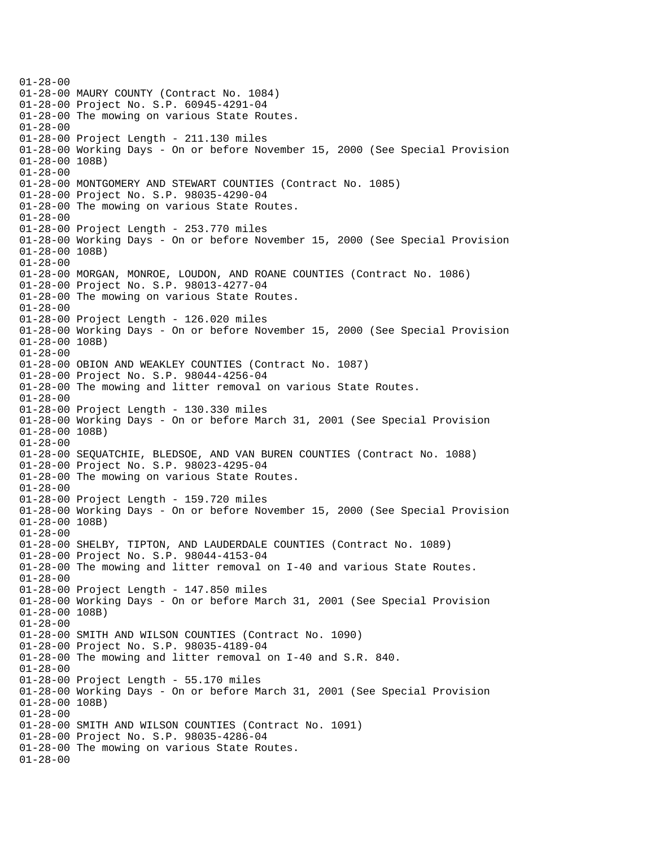$01 - 28 - 00$ 01-28-00 MAURY COUNTY (Contract No. 1084) 01-28-00 Project No. S.P. 60945-4291-04 01-28-00 The mowing on various State Routes. 01-28-00 01-28-00 Project Length - 211.130 miles 01-28-00 Working Days - On or before November 15, 2000 (See Special Provision 01-28-00 108B) 01-28-00 01-28-00 MONTGOMERY AND STEWART COUNTIES (Contract No. 1085) 01-28-00 Project No. S.P. 98035-4290-04 01-28-00 The mowing on various State Routes. 01-28-00 01-28-00 Project Length - 253.770 miles 01-28-00 Working Days - On or before November 15, 2000 (See Special Provision 01-28-00 108B) 01-28-00 01-28-00 MORGAN, MONROE, LOUDON, AND ROANE COUNTIES (Contract No. 1086) 01-28-00 Project No. S.P. 98013-4277-04 01-28-00 The mowing on various State Routes. 01-28-00 01-28-00 Project Length - 126.020 miles 01-28-00 Working Days - On or before November 15, 2000 (See Special Provision 01-28-00 108B) 01-28-00 01-28-00 OBION AND WEAKLEY COUNTIES (Contract No. 1087) 01-28-00 Project No. S.P. 98044-4256-04 01-28-00 The mowing and litter removal on various State Routes. 01-28-00 01-28-00 Project Length - 130.330 miles 01-28-00 Working Days - On or before March 31, 2001 (See Special Provision 01-28-00 108B) 01-28-00 01-28-00 SEQUATCHIE, BLEDSOE, AND VAN BUREN COUNTIES (Contract No. 1088) 01-28-00 Project No. S.P. 98023-4295-04 01-28-00 The mowing on various State Routes. 01-28-00 01-28-00 Project Length - 159.720 miles 01-28-00 Working Days - On or before November 15, 2000 (See Special Provision 01-28-00 108B) 01-28-00 01-28-00 SHELBY, TIPTON, AND LAUDERDALE COUNTIES (Contract No. 1089) 01-28-00 Project No. S.P. 98044-4153-04 01-28-00 The mowing and litter removal on I-40 and various State Routes. 01-28-00 01-28-00 Project Length - 147.850 miles 01-28-00 Working Days - On or before March 31, 2001 (See Special Provision 01-28-00 108B) 01-28-00 01-28-00 SMITH AND WILSON COUNTIES (Contract No. 1090) 01-28-00 Project No. S.P. 98035-4189-04 01-28-00 The mowing and litter removal on I-40 and S.R. 840.  $01 - 28 - 00$ 01-28-00 Project Length - 55.170 miles 01-28-00 Working Days - On or before March 31, 2001 (See Special Provision 01-28-00 108B) 01-28-00 01-28-00 SMITH AND WILSON COUNTIES (Contract No. 1091) 01-28-00 Project No. S.P. 98035-4286-04 01-28-00 The mowing on various State Routes. 01-28-00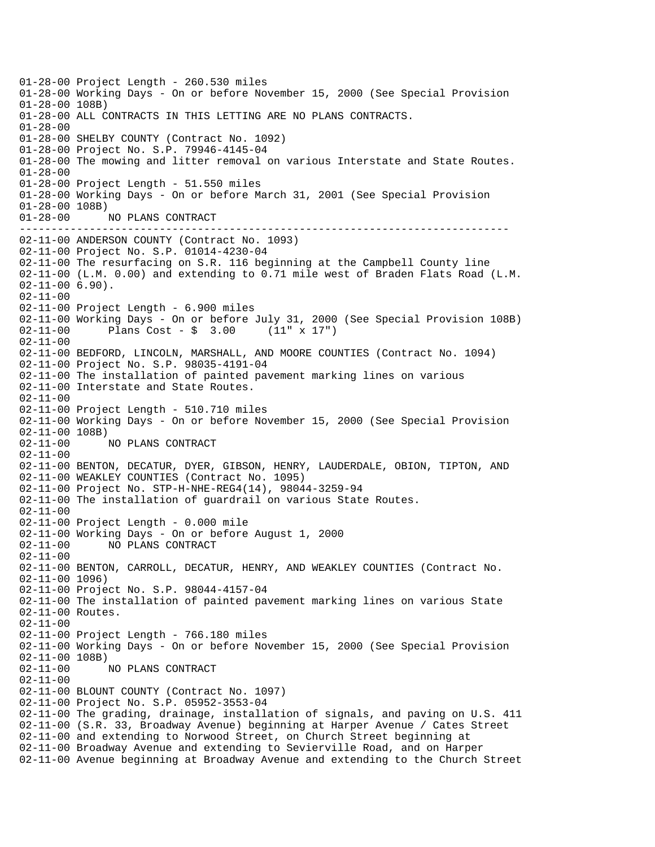----------------------------------------------------------------------------- 01-28-00 Project Length - 260.530 miles 01-28-00 Working Days - On or before November 15, 2000 (See Special Provision 01-28-00 108B) 01-28-00 ALL CONTRACTS IN THIS LETTING ARE NO PLANS CONTRACTS. 01-28-00 01-28-00 SHELBY COUNTY (Contract No. 1092) 01-28-00 Project No. S.P. 79946-4145-04 01-28-00 The mowing and litter removal on various Interstate and State Routes. 01-28-00 01-28-00 Project Length - 51.550 miles 01-28-00 Working Days - On or before March 31, 2001 (See Special Provision 01-28-00 108B) 01-28-00 NO PLANS CONTRACT 02-11-00 ANDERSON COUNTY (Contract No. 1093) 02-11-00 Project No. S.P. 01014-4230-04 02-11-00 The resurfacing on S.R. 116 beginning at the Campbell County line 02-11-00 (L.M. 0.00) and extending to 0.71 mile west of Braden Flats Road (L.M. 02-11-00 6.90). 02-11-00 02-11-00 Project Length - 6.900 miles 02-11-00 Working Days - On or before July 31, 2000 (See Special Provision 108B)<br>02-11-00 Plans Cost - \$ 3.00 (11" x 17")  $02 - 11 - 00$  Plans Cost - \$ 3.00 02-11-00 02-11-00 BEDFORD, LINCOLN, MARSHALL, AND MOORE COUNTIES (Contract No. 1094) 02-11-00 Project No. S.P. 98035-4191-04 02-11-00 The installation of painted pavement marking lines on various 02-11-00 Interstate and State Routes. 02-11-00 02-11-00 Project Length - 510.710 miles 02-11-00 Working Days - On or before November 15, 2000 (See Special Provision 02-11-00 108B) 02-11-00 NO PLANS CONTRACT 02-11-00 02-11-00 BENTON, DECATUR, DYER, GIBSON, HENRY, LAUDERDALE, OBION, TIPTON, AND 02-11-00 WEAKLEY COUNTIES (Contract No. 1095) 02-11-00 Project No. STP-H-NHE-REG4(14), 98044-3259-94 02-11-00 The installation of guardrail on various State Routes. 02-11-00 02-11-00 Project Length - 0.000 mile 02-11-00 Working Days - On or before August 1, 2000<br>02-11-00 NO PLANS CONTRACT 02-11-00 NO PLANS CONTRACT 02-11-00 02-11-00 BENTON, CARROLL, DECATUR, HENRY, AND WEAKLEY COUNTIES (Contract No. 02-11-00 1096) 02-11-00 Project No. S.P. 98044-4157-04 02-11-00 The installation of painted pavement marking lines on various State 02-11-00 Routes. 02-11-00 02-11-00 Project Length - 766.180 miles 02-11-00 Working Days - On or before November 15, 2000 (See Special Provision  $02-11-00$  108B)<br> $02-11-00$  1 02-11-00 NO PLANS CONTRACT 02-11-00 02-11-00 BLOUNT COUNTY (Contract No. 1097) 02-11-00 Project No. S.P. 05952-3553-04 02-11-00 The grading, drainage, installation of signals, and paving on U.S. 411 02-11-00 (S.R. 33, Broadway Avenue) beginning at Harper Avenue / Cates Street 02-11-00 and extending to Norwood Street, on Church Street beginning at 02-11-00 Broadway Avenue and extending to Sevierville Road, and on Harper 02-11-00 Avenue beginning at Broadway Avenue and extending to the Church Street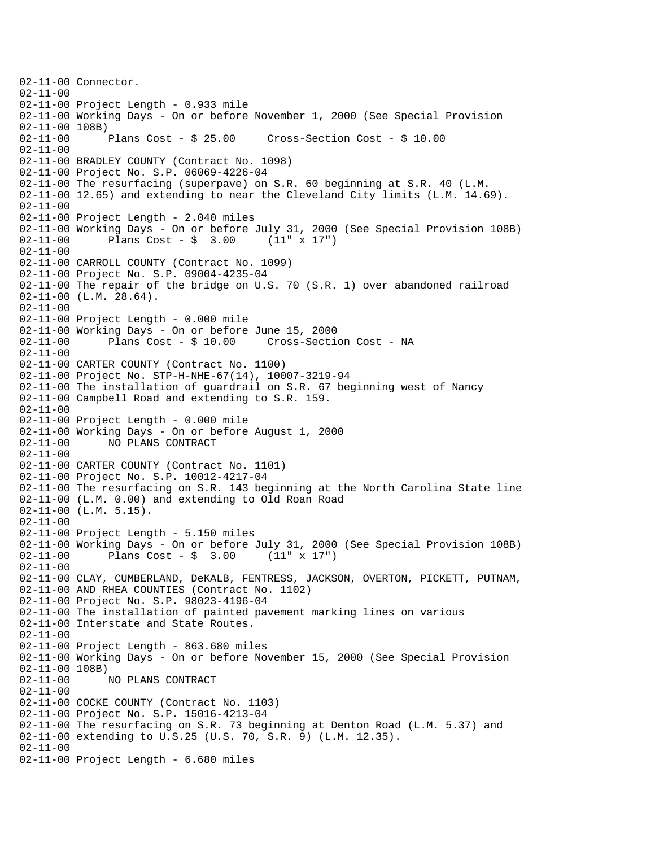02-11-00 Connector.  $02 - 11 - 00$ 02-11-00 Project Length - 0.933 mile 02-11-00 Working Days - On or before November 1, 2000 (See Special Provision 02-11-00 108B)<br>02-11-00 Plans Cost - \$ 25.00 02-11-00 Plans Cost - \$ 25.00 Cross-Section Cost - \$ 10.00 02-11-00 02-11-00 BRADLEY COUNTY (Contract No. 1098) 02-11-00 Project No. S.P. 06069-4226-04 02-11-00 The resurfacing (superpave) on S.R. 60 beginning at S.R. 40 (L.M. 02-11-00 12.65) and extending to near the Cleveland City limits (L.M. 14.69). 02-11-00 02-11-00 Project Length - 2.040 miles 02-11-00 Working Days - On or before July 31, 2000 (See Special Provision 108B)<br>02-11-00 Plans Cost - \$ 3.00 (11" x 17")  $02 - 11 - 00$  Plans Cost - \$ 3.00 02-11-00 02-11-00 CARROLL COUNTY (Contract No. 1099) 02-11-00 Project No. S.P. 09004-4235-04 02-11-00 The repair of the bridge on U.S. 70 (S.R. 1) over abandoned railroad  $02 - 11 - 00$  (L.M. 28.64). 02-11-00 02-11-00 Project Length - 0.000 mile 02-11-00 Working Days - On or before June 15, 2000 02-11-00 Plans Cost - \$ 10.00 Cross-Section Cost - NA 02-11-00 02-11-00 CARTER COUNTY (Contract No. 1100) 02-11-00 Project No. STP-H-NHE-67(14), 10007-3219-94 02-11-00 The installation of guardrail on S.R. 67 beginning west of Nancy 02-11-00 Campbell Road and extending to S.R. 159. 02-11-00 02-11-00 Project Length - 0.000 mile 02-11-00 Working Days - On or before August 1, 2000 02-11-00 NO PLANS CONTRACT 02-11-00 02-11-00 CARTER COUNTY (Contract No. 1101) 02-11-00 Project No. S.P. 10012-4217-04 02-11-00 The resurfacing on S.R. 143 beginning at the North Carolina State line 02-11-00 (L.M. 0.00) and extending to Old Roan Road  $02-11-00$  (L.M.  $5.15$ ). 02-11-00 02-11-00 Project Length - 5.150 miles 02-11-00 Working Days - On or before July 31, 2000 (See Special Provision 108B) 02-11-00 Plans Cost - \$ 3.00 (11" x 17") 02-11-00 02-11-00 CLAY, CUMBERLAND, DeKALB, FENTRESS, JACKSON, OVERTON, PICKETT, PUTNAM, 02-11-00 AND RHEA COUNTIES (Contract No. 1102) 02-11-00 Project No. S.P. 98023-4196-04 02-11-00 The installation of painted pavement marking lines on various 02-11-00 Interstate and State Routes. 02-11-00 02-11-00 Project Length - 863.680 miles 02-11-00 Working Days - On or before November 15, 2000 (See Special Provision 02-11-00 108B) 02-11-00 NO PLANS CONTRACT 02-11-00 02-11-00 COCKE COUNTY (Contract No. 1103) 02-11-00 Project No. S.P. 15016-4213-04 02-11-00 The resurfacing on S.R. 73 beginning at Denton Road (L.M. 5.37) and 02-11-00 extending to U.S.25 (U.S. 70, S.R. 9) (L.M. 12.35). 02-11-00 02-11-00 Project Length - 6.680 miles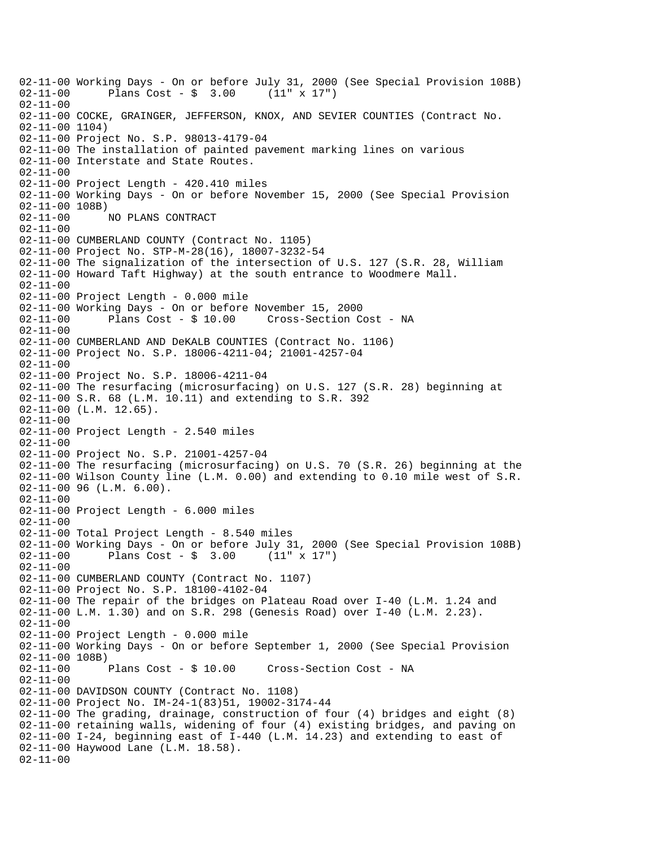02-11-00 Working Days - On or before July 31, 2000 (See Special Provision 108B)<br>02-11-00 Plans Cost - \$ 3.00 (11" x 17") Plans  $Cost - $ 3.00$ 02-11-00 02-11-00 COCKE, GRAINGER, JEFFERSON, KNOX, AND SEVIER COUNTIES (Contract No. 02-11-00 1104) 02-11-00 Project No. S.P. 98013-4179-04 02-11-00 The installation of painted pavement marking lines on various 02-11-00 Interstate and State Routes. 02-11-00 02-11-00 Project Length - 420.410 miles 02-11-00 Working Days - On or before November 15, 2000 (See Special Provision 02-11-00 108B)<br>02-11-00 NO PLANS CONTRACT 02-11-00 02-11-00 CUMBERLAND COUNTY (Contract No. 1105) 02-11-00 Project No. STP-M-28(16), 18007-3232-54 02-11-00 The signalization of the intersection of U.S. 127 (S.R. 28, William 02-11-00 Howard Taft Highway) at the south entrance to Woodmere Mall. 02-11-00 02-11-00 Project Length - 0.000 mile 02-11-00 Working Days - On or before November 15, 2000 02-11-00 Plans Cost - \$ 10.00 Cross-Section Cost - NA 02-11-00 02-11-00 CUMBERLAND AND DeKALB COUNTIES (Contract No. 1106) 02-11-00 Project No. S.P. 18006-4211-04; 21001-4257-04 02-11-00 02-11-00 Project No. S.P. 18006-4211-04 02-11-00 The resurfacing (microsurfacing) on U.S. 127 (S.R. 28) beginning at 02-11-00 S.R. 68 (L.M. 10.11) and extending to S.R. 392  $02 - 11 - 00$  (L.M. 12.65). 02-11-00 02-11-00 Project Length - 2.540 miles 02-11-00 02-11-00 Project No. S.P. 21001-4257-04 02-11-00 The resurfacing (microsurfacing) on U.S. 70 (S.R. 26) beginning at the 02-11-00 Wilson County line (L.M. 0.00) and extending to 0.10 mile west of S.R. 02-11-00 96 (L.M. 6.00). 02-11-00 02-11-00 Project Length - 6.000 miles 02-11-00 02-11-00 Total Project Length - 8.540 miles 02-11-00 Working Days - On or before July 31, 2000 (See Special Provision 108B) 02-11-00 Plans Cost - \$ 3.00 (11" x 17") 02-11-00 02-11-00 CUMBERLAND COUNTY (Contract No. 1107) 02-11-00 Project No. S.P. 18100-4102-04 02-11-00 The repair of the bridges on Plateau Road over I-40 (L.M. 1.24 and 02-11-00 L.M. 1.30) and on S.R. 298 (Genesis Road) over I-40 (L.M. 2.23). 02-11-00 02-11-00 Project Length - 0.000 mile 02-11-00 Working Days - On or before September 1, 2000 (See Special Provision 02-11-00 108B)<br>02-11-00 Plans Cost - \$ 10.00 Cross-Section Cost - NA 02-11-00 02-11-00 DAVIDSON COUNTY (Contract No. 1108) 02-11-00 Project No. IM-24-1(83)51, 19002-3174-44 02-11-00 The grading, drainage, construction of four (4) bridges and eight (8) 02-11-00 retaining walls, widening of four (4) existing bridges, and paving on 02-11-00 I-24, beginning east of I-440 (L.M. 14.23) and extending to east of 02-11-00 Haywood Lane (L.M. 18.58). 02-11-00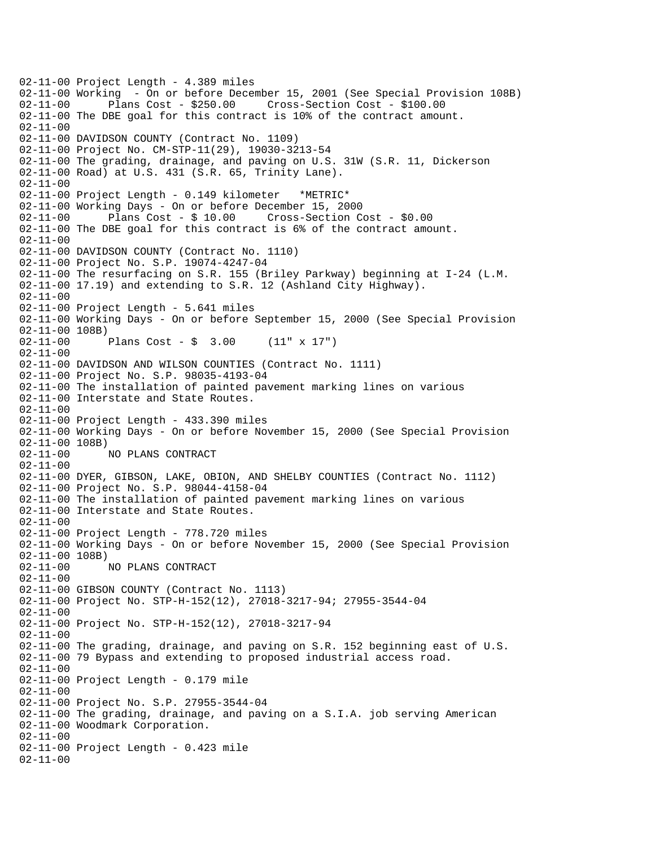02-11-00 Project Length - 4.389 miles 02-11-00 Working - On or before December 15, 2001 (See Special Provision 108B) 02-11-00 Plans Cost - \$250.00 Cross-Section Cost - \$100.00 02-11-00 The DBE goal for this contract is 10% of the contract amount. 02-11-00 02-11-00 DAVIDSON COUNTY (Contract No. 1109) 02-11-00 Project No. CM-STP-11(29), 19030-3213-54 02-11-00 The grading, drainage, and paving on U.S. 31W (S.R. 11, Dickerson 02-11-00 Road) at U.S. 431 (S.R. 65, Trinity Lane). 02-11-00 02-11-00 Project Length - 0.149 kilometer \*METRIC\* 02-11-00 Working Days - On or before December 15, 2000 02-11-00 Plans Cost - \$ 10.00 Cross-Section Cost - \$0.00 02-11-00 The DBE goal for this contract is 6% of the contract amount. 02-11-00 02-11-00 DAVIDSON COUNTY (Contract No. 1110) 02-11-00 Project No. S.P. 19074-4247-04 02-11-00 The resurfacing on S.R. 155 (Briley Parkway) beginning at I-24 (L.M. 02-11-00 17.19) and extending to S.R. 12 (Ashland City Highway). 02-11-00 02-11-00 Project Length - 5.641 miles 02-11-00 Working Days - On or before September 15, 2000 (See Special Provision 02-11-00 108B) 02-11-00 Plans Cost - \$ 3.00 (11" x 17") 02-11-00 02-11-00 DAVIDSON AND WILSON COUNTIES (Contract No. 1111) 02-11-00 Project No. S.P. 98035-4193-04 02-11-00 The installation of painted pavement marking lines on various 02-11-00 Interstate and State Routes. 02-11-00 02-11-00 Project Length - 433.390 miles 02-11-00 Working Days - On or before November 15, 2000 (See Special Provision 02-11-00 108B) 02-11-00 NO PLANS CONTRACT 02-11-00 02-11-00 DYER, GIBSON, LAKE, OBION, AND SHELBY COUNTIES (Contract No. 1112) 02-11-00 Project No. S.P. 98044-4158-04 02-11-00 The installation of painted pavement marking lines on various 02-11-00 Interstate and State Routes.  $02 - 11 - 00$ 02-11-00 Project Length - 778.720 miles 02-11-00 Working Days - On or before November 15, 2000 (See Special Provision 02-11-00 108B) 02-11-00 NO PLANS CONTRACT 02-11-00 02-11-00 GIBSON COUNTY (Contract No. 1113) 02-11-00 Project No. STP-H-152(12), 27018-3217-94; 27955-3544-04 02-11-00 02-11-00 Project No. STP-H-152(12), 27018-3217-94 02-11-00 02-11-00 The grading, drainage, and paving on S.R. 152 beginning east of U.S. 02-11-00 79 Bypass and extending to proposed industrial access road.  $02 - 11 - 00$ 02-11-00 Project Length - 0.179 mile 02-11-00 02-11-00 Project No. S.P. 27955-3544-04 02-11-00 The grading, drainage, and paving on a S.I.A. job serving American 02-11-00 Woodmark Corporation. 02-11-00 02-11-00 Project Length - 0.423 mile 02-11-00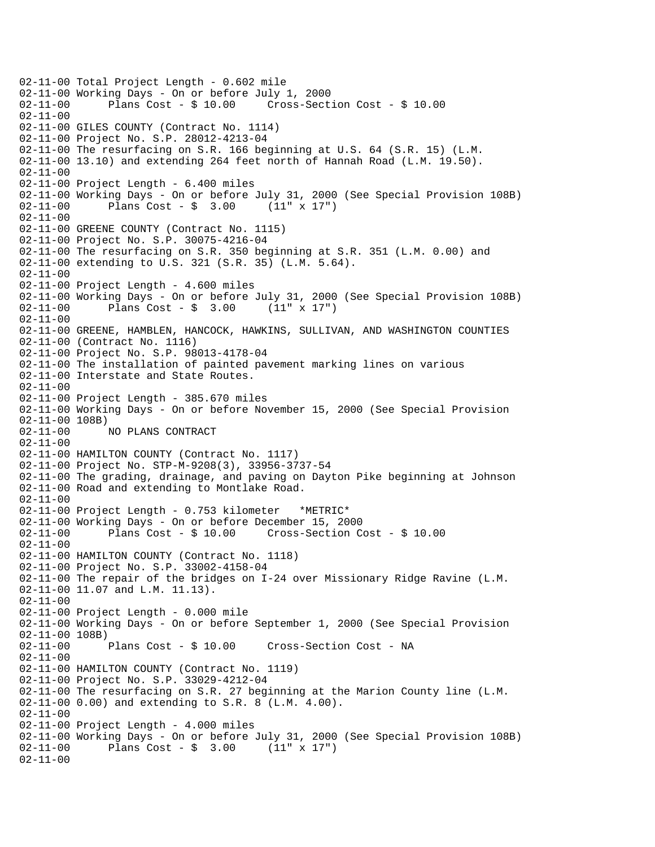02-11-00 Total Project Length - 0.602 mile 02-11-00 Working Days - On or before July 1, 2000 02-11-00 Plans Cost - \$ 10.00 Cross-Section Cost - \$ 10.00 02-11-00 02-11-00 GILES COUNTY (Contract No. 1114) 02-11-00 Project No. S.P. 28012-4213-04 02-11-00 The resurfacing on S.R. 166 beginning at U.S. 64 (S.R. 15) (L.M. 02-11-00 13.10) and extending 264 feet north of Hannah Road (L.M. 19.50). 02-11-00 02-11-00 Project Length - 6.400 miles 02-11-00 Working Days - On or before July 31, 2000 (See Special Provision 108B)<br>02-11-00 Plans Cost - \$ 3.00 (11" x 17") Plans Cost -  $\frac{1}{2}$  3.00 (11" x 17") 02-11-00 02-11-00 GREENE COUNTY (Contract No. 1115) 02-11-00 Project No. S.P. 30075-4216-04 02-11-00 The resurfacing on S.R. 350 beginning at S.R. 351 (L.M. 0.00) and 02-11-00 extending to U.S. 321 (S.R. 35) (L.M. 5.64). 02-11-00 02-11-00 Project Length - 4.600 miles 02-11-00 Working Days - On or before July 31, 2000 (See Special Provision 108B) 02-11-00 Plans Cost - \$ 3.00 (11" x 17") 02-11-00 02-11-00 GREENE, HAMBLEN, HANCOCK, HAWKINS, SULLIVAN, AND WASHINGTON COUNTIES 02-11-00 (Contract No. 1116) 02-11-00 Project No. S.P. 98013-4178-04 02-11-00 The installation of painted pavement marking lines on various 02-11-00 Interstate and State Routes. 02-11-00 02-11-00 Project Length - 385.670 miles 02-11-00 Working Days - On or before November 15, 2000 (See Special Provision 02-11-00 108B) 02-11-00 NO PLANS CONTRACT 02-11-00 02-11-00 HAMILTON COUNTY (Contract No. 1117) 02-11-00 Project No. STP-M-9208(3), 33956-3737-54 02-11-00 The grading, drainage, and paving on Dayton Pike beginning at Johnson 02-11-00 Road and extending to Montlake Road. 02-11-00 02-11-00 Project Length - 0.753 kilometer \*METRIC\* 02-11-00 Working Days - On or before December 15, 2000 Plans  $Cost - $ 10.00$  Cross-Section Cost - \$ 10.00 02-11-00 02-11-00 HAMILTON COUNTY (Contract No. 1118) 02-11-00 Project No. S.P. 33002-4158-04 02-11-00 The repair of the bridges on I-24 over Missionary Ridge Ravine (L.M. 02-11-00 11.07 and L.M. 11.13). 02-11-00 02-11-00 Project Length - 0.000 mile 02-11-00 Working Days - On or before September 1, 2000 (See Special Provision 02-11-00 108B)<br>02-11-00 Plans Cost - \$ 10.00 Cross-Section Cost - NA 02-11-00 02-11-00 HAMILTON COUNTY (Contract No. 1119) 02-11-00 Project No. S.P. 33029-4212-04 02-11-00 The resurfacing on S.R. 27 beginning at the Marion County line (L.M. 02-11-00 0.00) and extending to S.R. 8 (L.M. 4.00). 02-11-00 02-11-00 Project Length - 4.000 miles 02-11-00 Working Days - On or before July 31, 2000 (See Special Provision 108B) 02-11-00 Plans Cost - \$ 3.00 (11" x 17") 02-11-00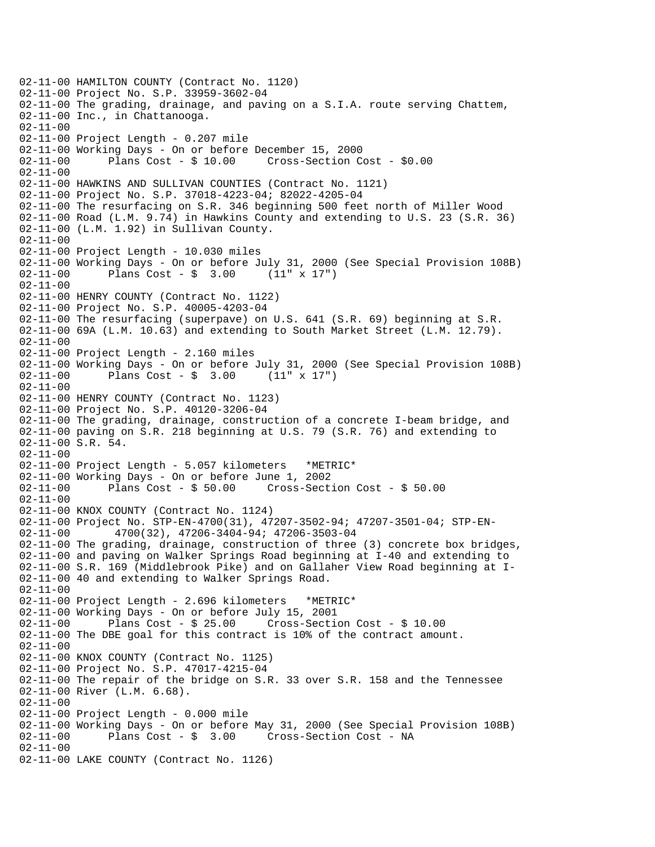02-11-00 HAMILTON COUNTY (Contract No. 1120) 02-11-00 Project No. S.P. 33959-3602-04 02-11-00 The grading, drainage, and paving on a S.I.A. route serving Chattem, 02-11-00 Inc., in Chattanooga. 02-11-00 02-11-00 Project Length - 0.207 mile 02-11-00 Working Days - On or before December 15, 2000 02-11-00 Plans Cost - \$ 10.00 Cross-Section Cost - \$0.00 02-11-00 02-11-00 HAWKINS AND SULLIVAN COUNTIES (Contract No. 1121) 02-11-00 Project No. S.P. 37018-4223-04; 82022-4205-04 02-11-00 The resurfacing on S.R. 346 beginning 500 feet north of Miller Wood 02-11-00 Road (L.M. 9.74) in Hawkins County and extending to U.S. 23 (S.R. 36) 02-11-00 (L.M. 1.92) in Sullivan County. 02-11-00 02-11-00 Project Length - 10.030 miles 02-11-00 Working Days - On or before July 31, 2000 (See Special Provision 108B) 02-11-00 Plans Cost - \$ 3.00 (11" x 17") 02-11-00 02-11-00 HENRY COUNTY (Contract No. 1122) 02-11-00 Project No. S.P. 40005-4203-04 02-11-00 The resurfacing (superpave) on U.S. 641 (S.R. 69) beginning at S.R. 02-11-00 69A (L.M. 10.63) and extending to South Market Street (L.M. 12.79). 02-11-00 02-11-00 Project Length - 2.160 miles 02-11-00 Working Days - On or before July 31, 2000 (See Special Provision 108B)<br>02-11-00 Plans Cost - \$ 3.00 (11" x 17") Plans  $Cost - $ 3.00$ 02-11-00 02-11-00 HENRY COUNTY (Contract No. 1123) 02-11-00 Project No. S.P. 40120-3206-04 02-11-00 The grading, drainage, construction of a concrete I-beam bridge, and 02-11-00 paving on S.R. 218 beginning at U.S. 79 (S.R. 76) and extending to 02-11-00 S.R. 54. 02-11-00 02-11-00 Project Length - 5.057 kilometers \*METRIC\* 02-11-00 Working Days - On or before June 1, 2002 02-11-00 Plans Cost - \$ 50.00 Cross-Section Cost - \$ 50.00 02-11-00 02-11-00 KNOX COUNTY (Contract No. 1124) 02-11-00 Project No. STP-EN-4700(31), 47207-3502-94; 47207-3501-04; STP-EN-02-11-00 4700(32), 47206-3404-94; 47206-3503-04 02-11-00 The grading, drainage, construction of three (3) concrete box bridges, 02-11-00 and paving on Walker Springs Road beginning at I-40 and extending to 02-11-00 S.R. 169 (Middlebrook Pike) and on Gallaher View Road beginning at I-02-11-00 40 and extending to Walker Springs Road. 02-11-00 02-11-00 Project Length - 2.696 kilometers \*METRIC\* 02-11-00 Working Days - On or before July 15, 2001 02-11-00 Plans Cost - \$ 25.00 Cross-Section Cost - \$ 10.00 02-11-00 The DBE goal for this contract is 10% of the contract amount. 02-11-00 02-11-00 KNOX COUNTY (Contract No. 1125) 02-11-00 Project No. S.P. 47017-4215-04 02-11-00 The repair of the bridge on S.R. 33 over S.R. 158 and the Tennessee 02-11-00 River (L.M. 6.68). 02-11-00 02-11-00 Project Length - 0.000 mile 02-11-00 Working Days - On or before May 31, 2000 (See Special Provision 108B) 02-11-00 Plans Cost - \$ 3.00 Cross-Section Cost - NA 02-11-00 02-11-00 LAKE COUNTY (Contract No. 1126)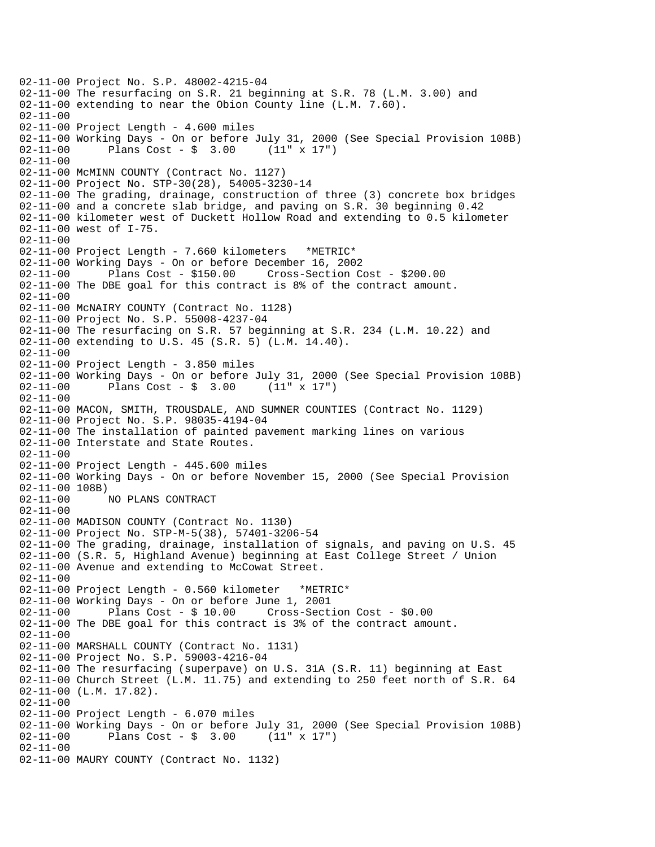02-11-00 Project No. S.P. 48002-4215-04 02-11-00 The resurfacing on S.R. 21 beginning at S.R. 78 (L.M. 3.00) and 02-11-00 extending to near the Obion County line (L.M. 7.60). 02-11-00 02-11-00 Project Length - 4.600 miles 02-11-00 Working Days - On or before July 31, 2000 (See Special Provision 108B) 02-11-00 Plans Cost - \$ 3.00 (11" x 17") 02-11-00 02-11-00 McMINN COUNTY (Contract No. 1127) 02-11-00 Project No. STP-30(28), 54005-3230-14 02-11-00 The grading, drainage, construction of three (3) concrete box bridges 02-11-00 and a concrete slab bridge, and paving on S.R. 30 beginning 0.42 02-11-00 kilometer west of Duckett Hollow Road and extending to 0.5 kilometer 02-11-00 west of I-75. 02-11-00 02-11-00 Project Length - 7.660 kilometers \*METRIC\* 02-11-00 Working Days - On or before December 16, 2002 02-11-00 Plans Cost - \$150.00 Cross-Section Cost - \$200.00 02-11-00 The DBE goal for this contract is 8% of the contract amount. 02-11-00 02-11-00 McNAIRY COUNTY (Contract No. 1128) 02-11-00 Project No. S.P. 55008-4237-04 02-11-00 The resurfacing on S.R. 57 beginning at S.R. 234 (L.M. 10.22) and 02-11-00 extending to U.S. 45 (S.R. 5) (L.M. 14.40). 02-11-00 02-11-00 Project Length - 3.850 miles 02-11-00 Working Days - On or before July 31, 2000 (See Special Provision 108B)<br>02-11-00 Plans Cost - \$ 3.00 (11" x 17") Plans  $Cost - $ 3.00$ 02-11-00 02-11-00 MACON, SMITH, TROUSDALE, AND SUMNER COUNTIES (Contract No. 1129) 02-11-00 Project No. S.P. 98035-4194-04 02-11-00 The installation of painted pavement marking lines on various 02-11-00 Interstate and State Routes. 02-11-00 02-11-00 Project Length - 445.600 miles 02-11-00 Working Days - On or before November 15, 2000 (See Special Provision 02-11-00 108B) 02-11-00 NO PLANS CONTRACT  $02 - 11 - 00$ 02-11-00 MADISON COUNTY (Contract No. 1130) 02-11-00 Project No. STP-M-5(38), 57401-3206-54 02-11-00 The grading, drainage, installation of signals, and paving on U.S. 45 02-11-00 (S.R. 5, Highland Avenue) beginning at East College Street / Union 02-11-00 Avenue and extending to McCowat Street. 02-11-00 02-11-00 Project Length - 0.560 kilometer \*METRIC\* 02-11-00 Working Days - On or before June 1, 2001 02-11-00 Plans Cost - \$ 10.00 Cross-Section Cost - \$0.00 02-11-00 The DBE goal for this contract is 3% of the contract amount. 02-11-00 02-11-00 MARSHALL COUNTY (Contract No. 1131) 02-11-00 Project No. S.P. 59003-4216-04 02-11-00 The resurfacing (superpave) on U.S. 31A (S.R. 11) beginning at East 02-11-00 Church Street (L.M. 11.75) and extending to 250 feet north of S.R. 64 02-11-00 (L.M. 17.82). 02-11-00 02-11-00 Project Length - 6.070 miles 02-11-00 Working Days - On or before July 31, 2000 (See Special Provision 108B) 02-11-00 Plans Cost - \$ 3.00 (11" x 17") 02-11-00 02-11-00 MAURY COUNTY (Contract No. 1132)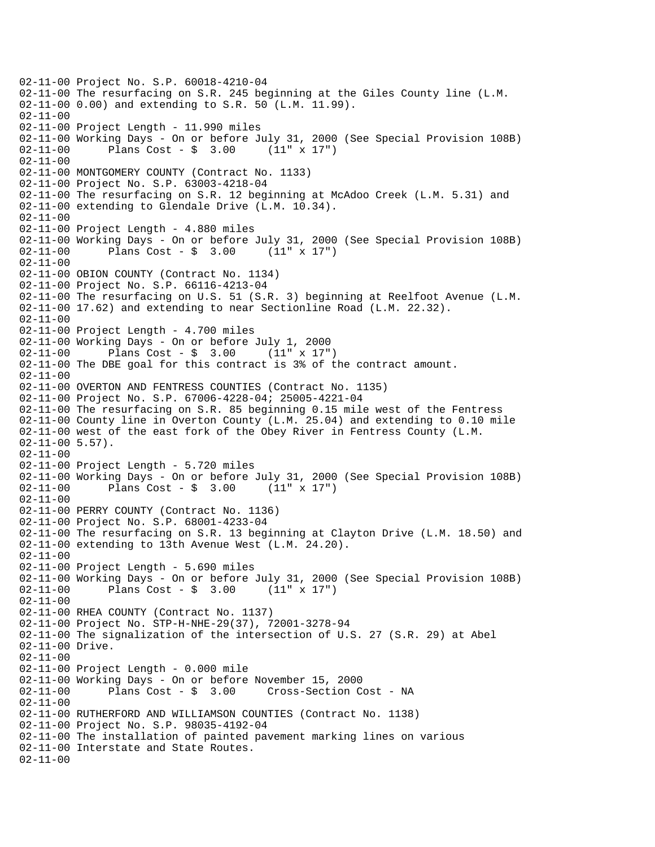02-11-00 Project No. S.P. 60018-4210-04 02-11-00 The resurfacing on S.R. 245 beginning at the Giles County line (L.M. 02-11-00 0.00) and extending to S.R. 50 (L.M. 11.99). 02-11-00 02-11-00 Project Length - 11.990 miles 02-11-00 Working Days - On or before July 31, 2000 (See Special Provision 108B) 02-11-00 Plans Cost - \$ 3.00 (11" x 17") 02-11-00 02-11-00 MONTGOMERY COUNTY (Contract No. 1133) 02-11-00 Project No. S.P. 63003-4218-04 02-11-00 The resurfacing on S.R. 12 beginning at McAdoo Creek (L.M. 5.31) and 02-11-00 extending to Glendale Drive (L.M. 10.34). 02-11-00 02-11-00 Project Length - 4.880 miles 02-11-00 Working Days - On or before July 31, 2000 (See Special Provision 108B) 02-11-00 Plans Cost - \$ 3.00 (11" x 17") 02-11-00 02-11-00 OBION COUNTY (Contract No. 1134) 02-11-00 Project No. S.P. 66116-4213-04 02-11-00 The resurfacing on U.S. 51 (S.R. 3) beginning at Reelfoot Avenue (L.M. 02-11-00 17.62) and extending to near Sectionline Road (L.M. 22.32). 02-11-00 02-11-00 Project Length - 4.700 miles 02-11-00 Working Days - On or before July 1, 2000 02-11-00 Plans Cost - \$ 3.00 (11" x 17") 02-11-00 The DBE goal for this contract is 3% of the contract amount.  $02 - 11 - 00$ 02-11-00 OVERTON AND FENTRESS COUNTIES (Contract No. 1135) 02-11-00 Project No. S.P. 67006-4228-04; 25005-4221-04 02-11-00 The resurfacing on S.R. 85 beginning 0.15 mile west of the Fentress 02-11-00 County line in Overton County (L.M. 25.04) and extending to 0.10 mile 02-11-00 west of the east fork of the Obey River in Fentress County (L.M.  $02 - 11 - 00$  5.57). 02-11-00 02-11-00 Project Length - 5.720 miles 02-11-00 Working Days - On or before July 31, 2000 (See Special Provision 108B)<br>02-11-00 Plans Cost - \$ 3.00 (11" x 17")  $02 - 11 - 00$  Plans Cost - \$ 3.00 02-11-00 02-11-00 PERRY COUNTY (Contract No. 1136) 02-11-00 Project No. S.P. 68001-4233-04 02-11-00 The resurfacing on S.R. 13 beginning at Clayton Drive (L.M. 18.50) and 02-11-00 extending to 13th Avenue West (L.M. 24.20). 02-11-00 02-11-00 Project Length - 5.690 miles 02-11-00 Working Days - On or before July 31, 2000 (See Special Provision 108B) 02-11-00 Plans Cost - \$ 3.00 (11" x 17") 02-11-00 02-11-00 RHEA COUNTY (Contract No. 1137) 02-11-00 Project No. STP-H-NHE-29(37), 72001-3278-94 02-11-00 The signalization of the intersection of U.S. 27 (S.R. 29) at Abel 02-11-00 Drive. 02-11-00 02-11-00 Project Length - 0.000 mile 02-11-00 Working Days - On or before November 15, 2000 02-11-00 Plans Cost - \$ 3.00 Cross-Section Cost - NA 02-11-00 02-11-00 RUTHERFORD AND WILLIAMSON COUNTIES (Contract No. 1138) 02-11-00 Project No. S.P. 98035-4192-04 02-11-00 The installation of painted pavement marking lines on various 02-11-00 Interstate and State Routes. 02-11-00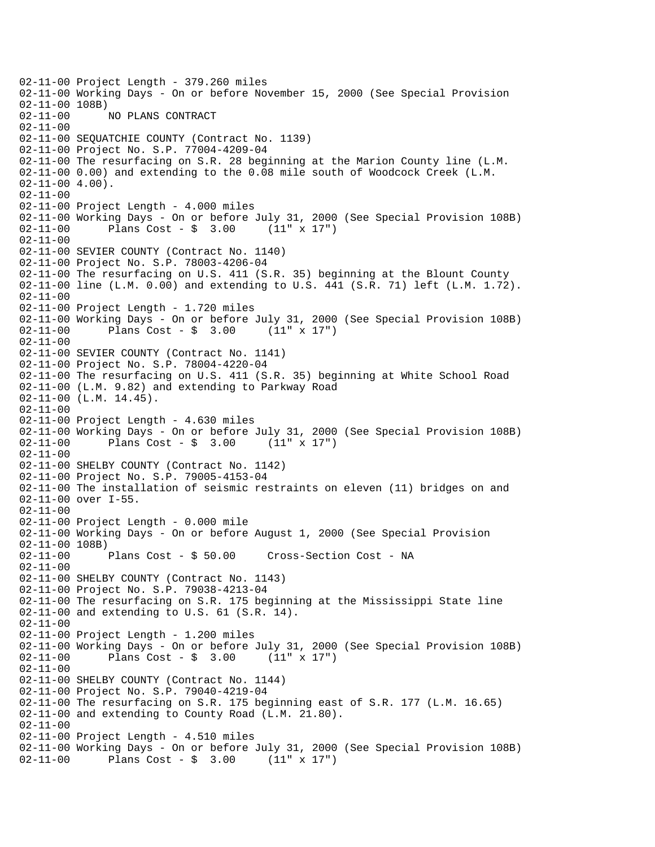02-11-00 Project Length - 379.260 miles 02-11-00 Working Days - On or before November 15, 2000 (See Special Provision 02-11-00 108B)<br>02-11-00 1 02-11-00 NO PLANS CONTRACT 02-11-00 02-11-00 SEQUATCHIE COUNTY (Contract No. 1139) 02-11-00 Project No. S.P. 77004-4209-04 02-11-00 The resurfacing on S.R. 28 beginning at the Marion County line (L.M. 02-11-00 0.00) and extending to the 0.08 mile south of Woodcock Creek (L.M.  $02 - 11 - 00$  4.00). 02-11-00 02-11-00 Project Length - 4.000 miles 02-11-00 Working Days - On or before July 31, 2000 (See Special Provision 108B)<br>02-11-00 Plans Cost - \$ 3.00 (11" x 17") Plans  $Cost - $ 3.00$ 02-11-00 02-11-00 SEVIER COUNTY (Contract No. 1140) 02-11-00 Project No. S.P. 78003-4206-04 02-11-00 The resurfacing on U.S. 411 (S.R. 35) beginning at the Blount County 02-11-00 line (L.M. 0.00) and extending to U.S. 441 (S.R. 71) left (L.M. 1.72). 02-11-00 02-11-00 Project Length - 1.720 miles 02-11-00 Working Days - On or before July 31, 2000 (See Special Provision 108B)<br>02-11-00 Plans Cost - \$ 3.00 (11" x 17")  $02 - 11 - 00$  Plans Cost - \$ 3.00 02-11-00 02-11-00 SEVIER COUNTY (Contract No. 1141) 02-11-00 Project No. S.P. 78004-4220-04 02-11-00 The resurfacing on U.S. 411 (S.R. 35) beginning at White School Road 02-11-00 (L.M. 9.82) and extending to Parkway Road 02-11-00 (L.M. 14.45). 02-11-00 02-11-00 Project Length - 4.630 miles 02-11-00 Working Days - On or before July 31, 2000 (See Special Provision 108B) 02-11-00 Plans Cost - \$ 3.00 (11" x 17") 02-11-00 02-11-00 SHELBY COUNTY (Contract No. 1142) 02-11-00 Project No. S.P. 79005-4153-04 02-11-00 The installation of seismic restraints on eleven (11) bridges on and 02-11-00 over I-55. 02-11-00 02-11-00 Project Length - 0.000 mile 02-11-00 Working Days - On or before August 1, 2000 (See Special Provision 02-11-00 108B) 02-11-00 Plans Cost - \$ 50.00 Cross-Section Cost - NA 02-11-00 02-11-00 SHELBY COUNTY (Contract No. 1143) 02-11-00 Project No. S.P. 79038-4213-04 02-11-00 The resurfacing on S.R. 175 beginning at the Mississippi State line 02-11-00 and extending to U.S. 61 (S.R. 14). 02-11-00 02-11-00 Project Length - 1.200 miles 02-11-00 Working Days - On or before July 31, 2000 (See Special Provision 108B)<br>02-11-00 Plans Cost - \$ 3.00 (11" x 17") Plans  $Cost - $ 3.00$  $02 - 11 - 00$ 02-11-00 SHELBY COUNTY (Contract No. 1144) 02-11-00 Project No. S.P. 79040-4219-04 02-11-00 The resurfacing on S.R. 175 beginning east of S.R. 177 (L.M. 16.65) 02-11-00 and extending to County Road (L.M. 21.80). 02-11-00 02-11-00 Project Length - 4.510 miles 02-11-00 Working Days - On or before July 31, 2000 (See Special Provision 108B) 02-11-00 Plans Cost - \$ 3.00 (11" x 17")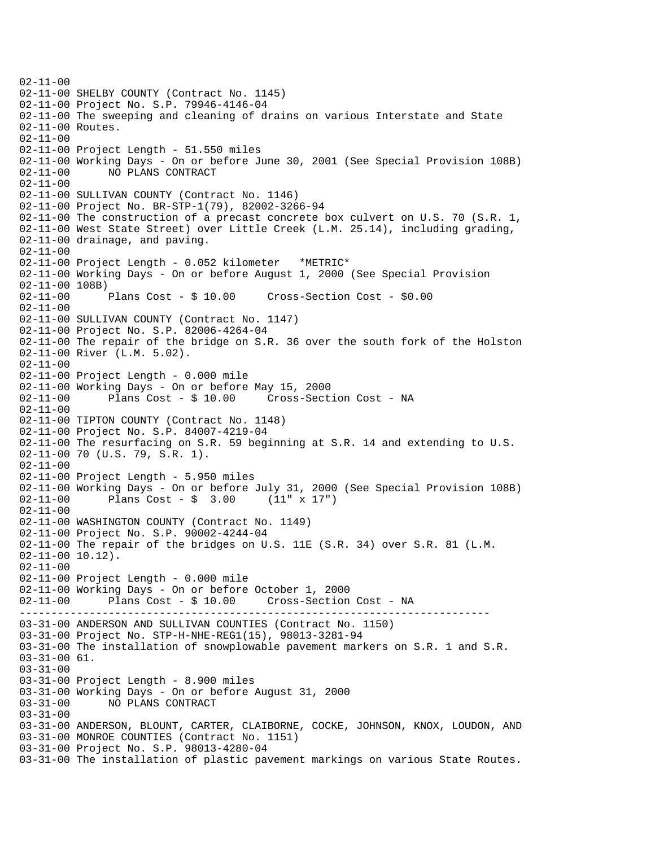--------------------------------------------------------------------------  $02 - 11 - 00$ 02-11-00 SHELBY COUNTY (Contract No. 1145) 02-11-00 Project No. S.P. 79946-4146-04 02-11-00 The sweeping and cleaning of drains on various Interstate and State 02-11-00 Routes. 02-11-00 02-11-00 Project Length - 51.550 miles 02-11-00 Working Days - On or before June 30, 2001 (See Special Provision 108B) 02-11-00 NO PLANS CONTRACT 02-11-00 02-11-00 SULLIVAN COUNTY (Contract No. 1146) 02-11-00 Project No. BR-STP-1(79), 82002-3266-94 02-11-00 The construction of a precast concrete box culvert on U.S. 70 (S.R. 1, 02-11-00 West State Street) over Little Creek (L.M. 25.14), including grading, 02-11-00 drainage, and paving. 02-11-00 02-11-00 Project Length - 0.052 kilometer \*METRIC\* 02-11-00 Working Days - On or before August 1, 2000 (See Special Provision 02-11-00 108B) 02-11-00 Plans Cost - \$ 10.00 Cross-Section Cost - \$0.00 02-11-00 02-11-00 SULLIVAN COUNTY (Contract No. 1147) 02-11-00 Project No. S.P. 82006-4264-04 02-11-00 The repair of the bridge on S.R. 36 over the south fork of the Holston 02-11-00 River (L.M. 5.02). 02-11-00 02-11-00 Project Length - 0.000 mile 02-11-00 Working Days - On or before May 15, 2000 02-11-00 Plans Cost - \$ 10.00 Cross-Section Cost - NA 02-11-00 02-11-00 TIPTON COUNTY (Contract No. 1148) 02-11-00 Project No. S.P. 84007-4219-04 02-11-00 The resurfacing on S.R. 59 beginning at S.R. 14 and extending to U.S. 02-11-00 70 (U.S. 79, S.R. 1). 02-11-00 02-11-00 Project Length - 5.950 miles 02-11-00 Working Days - On or before July 31, 2000 (See Special Provision 108B)<br>02-11-00 Plans Cost - \$ 3.00 (11" x 17") Plans Cost -  $\frac{1}{2}$  3.00 (11" x 17")  $02 - 11 - 00$ 02-11-00 WASHINGTON COUNTY (Contract No. 1149) 02-11-00 Project No. S.P. 90002-4244-04 02-11-00 The repair of the bridges on U.S. 11E (S.R. 34) over S.R. 81 (L.M. 02-11-00 10.12). 02-11-00 02-11-00 Project Length - 0.000 mile 02-11-00 Working Days - On or before October 1, 2000 02-11-00 Plans Cost - \$ 10.00 Cross-Section Cost - NA 03-31-00 ANDERSON AND SULLIVAN COUNTIES (Contract No. 1150) 03-31-00 Project No. STP-H-NHE-REG1(15), 98013-3281-94 03-31-00 The installation of snowplowable pavement markers on S.R. 1 and S.R. 03-31-00 61. 03-31-00 03-31-00 Project Length - 8.900 miles 03-31-00 Working Days - On or before August 31, 2000 03-31-00 NO PLANS CONTRACT 03-31-00 03-31-00 ANDERSON, BLOUNT, CARTER, CLAIBORNE, COCKE, JOHNSON, KNOX, LOUDON, AND 03-31-00 MONROE COUNTIES (Contract No. 1151) 03-31-00 Project No. S.P. 98013-4280-04 03-31-00 The installation of plastic pavement markings on various State Routes.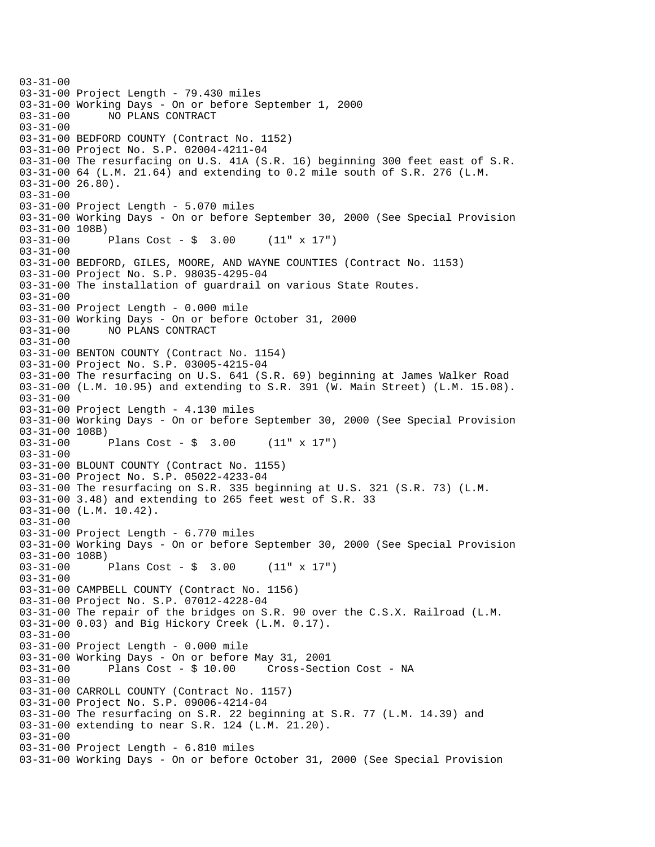$03 - 31 - 00$ 03-31-00 Project Length - 79.430 miles 03-31-00 Working Days - On or before September 1, 2000 NO PLANS CONTRACT 03-31-00 03-31-00 BEDFORD COUNTY (Contract No. 1152) 03-31-00 Project No. S.P. 02004-4211-04 03-31-00 The resurfacing on U.S. 41A (S.R. 16) beginning 300 feet east of S.R. 03-31-00 64 (L.M. 21.64) and extending to 0.2 mile south of S.R. 276 (L.M. 03-31-00 26.80). 03-31-00 03-31-00 Project Length - 5.070 miles 03-31-00 Working Days - On or before September 30, 2000 (See Special Provision 03-31-00 108B) 03-31-00 Plans Cost - \$ 3.00 (11" x 17") 03-31-00 03-31-00 BEDFORD, GILES, MOORE, AND WAYNE COUNTIES (Contract No. 1153) 03-31-00 Project No. S.P. 98035-4295-04 03-31-00 The installation of guardrail on various State Routes. 03-31-00 03-31-00 Project Length - 0.000 mile 03-31-00 Working Days - On or before October 31, 2000 03-31-00 NO PLANS CONTRACT 03-31-00 03-31-00 BENTON COUNTY (Contract No. 1154) 03-31-00 Project No. S.P. 03005-4215-04 03-31-00 The resurfacing on U.S. 641 (S.R. 69) beginning at James Walker Road 03-31-00 (L.M. 10.95) and extending to S.R. 391 (W. Main Street) (L.M. 15.08). 03-31-00 03-31-00 Project Length - 4.130 miles 03-31-00 Working Days - On or before September 30, 2000 (See Special Provision 03-31-00 108B) 03-31-00 Plans Cost - \$ 3.00 (11" x 17") 03-31-00 03-31-00 BLOUNT COUNTY (Contract No. 1155) 03-31-00 Project No. S.P. 05022-4233-04 03-31-00 The resurfacing on S.R. 335 beginning at U.S. 321 (S.R. 73) (L.M. 03-31-00 3.48) and extending to 265 feet west of S.R. 33 03-31-00 (L.M. 10.42). 03-31-00 03-31-00 Project Length - 6.770 miles 03-31-00 Working Days - On or before September 30, 2000 (See Special Provision 03-31-00 108B) 03-31-00 Plans Cost - \$ 3.00 (11" x 17") 03-31-00 03-31-00 CAMPBELL COUNTY (Contract No. 1156) 03-31-00 Project No. S.P. 07012-4228-04 03-31-00 The repair of the bridges on S.R. 90 over the C.S.X. Railroad (L.M. 03-31-00 0.03) and Big Hickory Creek (L.M. 0.17). 03-31-00 03-31-00 Project Length - 0.000 mile 03-31-00 Working Days - On or before May 31, 2001 03-31-00 Plans Cost - \$ 10.00 Cross-Section Cost - NA 03-31-00 03-31-00 CARROLL COUNTY (Contract No. 1157) 03-31-00 Project No. S.P. 09006-4214-04 03-31-00 The resurfacing on S.R. 22 beginning at S.R. 77 (L.M. 14.39) and 03-31-00 extending to near S.R. 124 (L.M. 21.20). 03-31-00 03-31-00 Project Length - 6.810 miles 03-31-00 Working Days - On or before October 31, 2000 (See Special Provision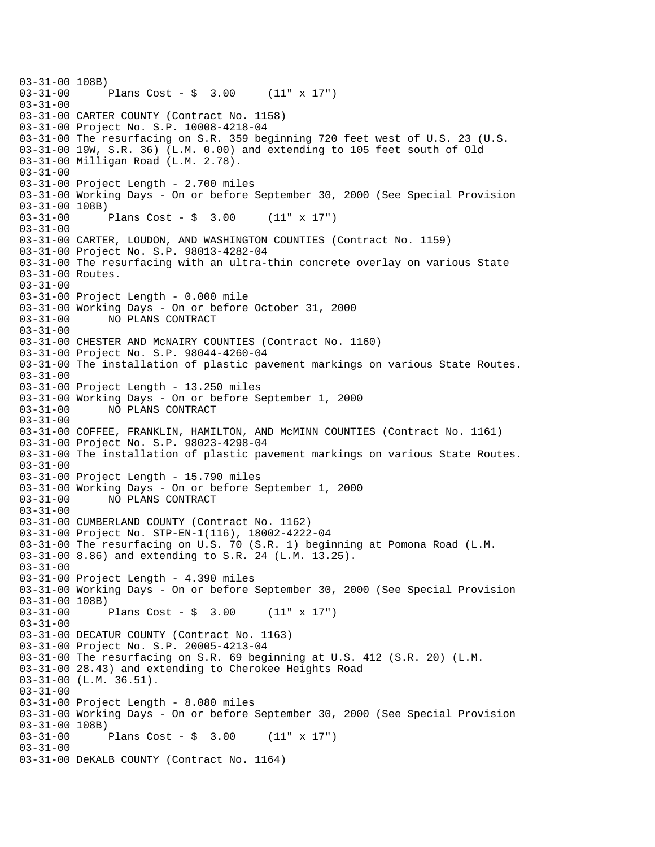```
03-31-00 108B)<br>03-31-00
              Plans Cost - \sin 3.00 (11" x 17")
03-31-00 
03-31-00 CARTER COUNTY (Contract No. 1158) 
03-31-00 Project No. S.P. 10008-4218-04 
03-31-00 The resurfacing on S.R. 359 beginning 720 feet west of U.S. 23 (U.S. 
03-31-00 19W, S.R. 36) (L.M. 0.00) and extending to 105 feet south of Old 
03-31-00 Milligan Road (L.M. 2.78). 
03-31-00 
03-31-00 Project Length - 2.700 miles 
03-31-00 Working Days - On or before September 30, 2000 (See Special Provision 
03-31-00 108B) 
03-31-00 Plans Cost - $ 3.00 (11" x 17") 
03-31-00 
03-31-00 CARTER, LOUDON, AND WASHINGTON COUNTIES (Contract No. 1159) 
03-31-00 Project No. S.P. 98013-4282-04 
03-31-00 The resurfacing with an ultra-thin concrete overlay on various State 
03-31-00 Routes. 
03-31-00 
03-31-00 Project Length - 0.000 mile 
03-31-00 Working Days - On or before October 31, 2000 
03-31-00 NO PLANS CONTRACT 
03-31-00 
03-31-00 CHESTER AND McNAIRY COUNTIES (Contract No. 1160) 
03-31-00 Project No. S.P. 98044-4260-04 
03-31-00 The installation of plastic pavement markings on various State Routes. 
03-31-00 
03-31-00 Project Length - 13.250 miles 
03-31-00 Working Days - On or before September 1, 2000 
03-31-00 NO PLANS CONTRACT 
03-31-00 
03-31-00 COFFEE, FRANKLIN, HAMILTON, AND McMINN COUNTIES (Contract No. 1161) 
03-31-00 Project No. S.P. 98023-4298-04 
03-31-00 The installation of plastic pavement markings on various State Routes. 
03-31-00 
03-31-00 Project Length - 15.790 miles 
03-31-00 Working Days - On or before September 1, 2000 
              03-31-00 NO PLANS CONTRACT 
03 - 31 - 0003-31-00 CUMBERLAND COUNTY (Contract No. 1162) 
03-31-00 Project No. STP-EN-1(116), 18002-4222-04 
03-31-00 The resurfacing on U.S. 70 (S.R. 1) beginning at Pomona Road (L.M. 
03-31-00 8.86) and extending to S.R. 24 (L.M. 13.25). 
03-31-00 
03-31-00 Project Length - 4.390 miles 
03-31-00 Working Days - On or before September 30, 2000 (See Special Provision 
03-31-00 108B)<br>03-31-00 1
              Plans Cost - \frac{1}{2} 3.00 (11" x 17")
03-31-00 
03-31-00 DECATUR COUNTY (Contract No. 1163) 
03-31-00 Project No. S.P. 20005-4213-04 
03-31-00 The resurfacing on S.R. 69 beginning at U.S. 412 (S.R. 20) (L.M. 
03-31-00 28.43) and extending to Cherokee Heights Road 
03-31-00 (L.M. 36.51). 
03-31-00 
03-31-00 Project Length - 8.080 miles 
03-31-00 Working Days - On or before September 30, 2000 (See Special Provision 
03-31-00 108B) 
03-31-00 Plans Cost - $ 3.00 (11" x 17") 
03-31-00 
03-31-00 DeKALB COUNTY (Contract No. 1164)
```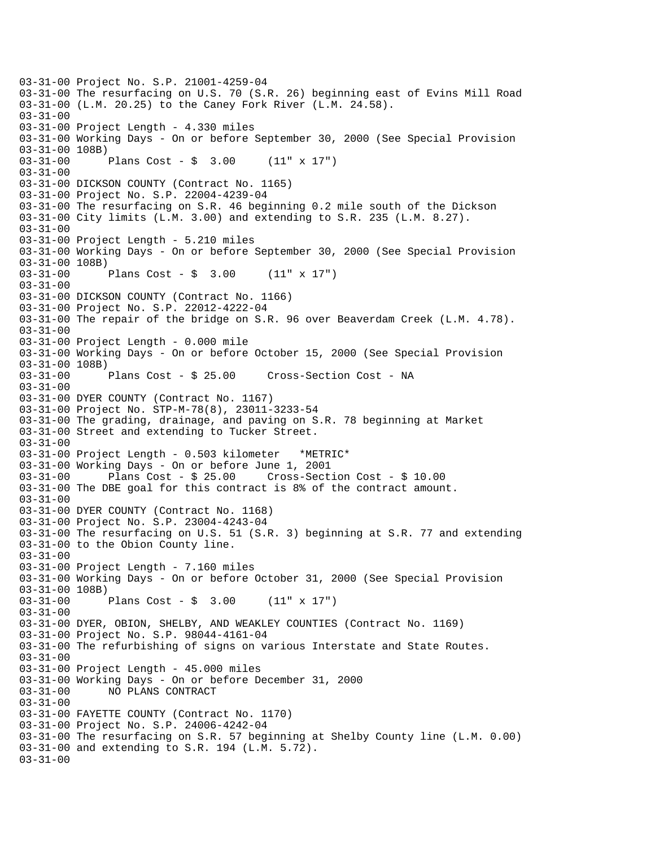03-31-00 Project No. S.P. 21001-4259-04 03-31-00 The resurfacing on U.S. 70 (S.R. 26) beginning east of Evins Mill Road 03-31-00 (L.M. 20.25) to the Caney Fork River (L.M. 24.58). 03-31-00 03-31-00 Project Length - 4.330 miles 03-31-00 Working Days - On or before September 30, 2000 (See Special Provision 03-31-00 108B) 03-31-00 Plans Cost - \$ 3.00 (11" x 17") 03-31-00 03-31-00 DICKSON COUNTY (Contract No. 1165) 03-31-00 Project No. S.P. 22004-4239-04 03-31-00 The resurfacing on S.R. 46 beginning 0.2 mile south of the Dickson 03-31-00 City limits (L.M. 3.00) and extending to S.R. 235 (L.M. 8.27). 03-31-00 03-31-00 Project Length - 5.210 miles 03-31-00 Working Days - On or before September 30, 2000 (See Special Provision 03-31-00 108B) 03-31-00 Plans Cost - \$ 3.00 (11" x 17") 03-31-00 03-31-00 DICKSON COUNTY (Contract No. 1166) 03-31-00 Project No. S.P. 22012-4222-04 03-31-00 The repair of the bridge on S.R. 96 over Beaverdam Creek (L.M. 4.78). 03-31-00 03-31-00 Project Length - 0.000 mile 03-31-00 Working Days - On or before October 15, 2000 (See Special Provision 03-31-00 108B)<br>03-31-00 Plans Cost - \$ 25.00 Cross-Section Cost - NA 03-31-00 03-31-00 DYER COUNTY (Contract No. 1167) 03-31-00 Project No. STP-M-78(8), 23011-3233-54 03-31-00 The grading, drainage, and paving on S.R. 78 beginning at Market 03-31-00 Street and extending to Tucker Street. 03-31-00 03-31-00 Project Length - 0.503 kilometer \*METRIC\* 03-31-00 Working Days - On or before June 1, 2001 03-31-00 Plans Cost - \$ 25.00 Cross-Section Cost - \$ 10.00 03-31-00 The DBE goal for this contract is 8% of the contract amount. 03-31-00 03-31-00 DYER COUNTY (Contract No. 1168) 03-31-00 Project No. S.P. 23004-4243-04 03-31-00 The resurfacing on U.S. 51 (S.R. 3) beginning at S.R. 77 and extending 03-31-00 to the Obion County line. 03-31-00 03-31-00 Project Length - 7.160 miles 03-31-00 Working Days - On or before October 31, 2000 (See Special Provision 03-31-00 108B) 03-31-00 Plans Cost - \$ 3.00 (11" x 17") 03-31-00 03-31-00 DYER, OBION, SHELBY, AND WEAKLEY COUNTIES (Contract No. 1169) 03-31-00 Project No. S.P. 98044-4161-04 03-31-00 The refurbishing of signs on various Interstate and State Routes. 03-31-00 03-31-00 Project Length - 45.000 miles 03-31-00 Working Days - On or before December 31, 2000 03-31-00 NO PLANS CONTRACT 03-31-00 03-31-00 FAYETTE COUNTY (Contract No. 1170) 03-31-00 Project No. S.P. 24006-4242-04 03-31-00 The resurfacing on S.R. 57 beginning at Shelby County line (L.M. 0.00) 03-31-00 and extending to S.R. 194 (L.M. 5.72). 03-31-00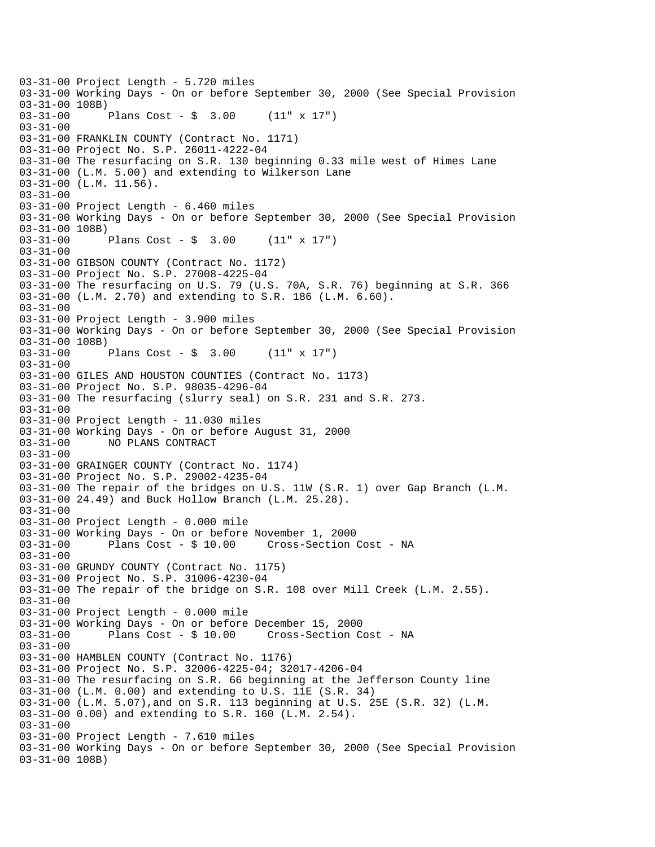03-31-00 Project Length - 5.720 miles 03-31-00 Working Days - On or before September 30, 2000 (See Special Provision 03-31-00 108B)<br>03-31-00 1 Plans Cost -  $\frac{1}{2}$  3.00 (11" x 17") 03-31-00 03-31-00 FRANKLIN COUNTY (Contract No. 1171) 03-31-00 Project No. S.P. 26011-4222-04 03-31-00 The resurfacing on S.R. 130 beginning 0.33 mile west of Himes Lane 03-31-00 (L.M. 5.00) and extending to Wilkerson Lane 03-31-00 (L.M. 11.56). 03-31-00 03-31-00 Project Length - 6.460 miles 03-31-00 Working Days - On or before September 30, 2000 (See Special Provision 03-31-00 108B)<br>03-31-00 Plans Cost -  $\sin 3.00$  (11" x 17") 03-31-00 03-31-00 GIBSON COUNTY (Contract No. 1172) 03-31-00 Project No. S.P. 27008-4225-04 03-31-00 The resurfacing on U.S. 79 (U.S. 70A, S.R. 76) beginning at S.R. 366 03-31-00 (L.M. 2.70) and extending to S.R. 186 (L.M. 6.60). 03-31-00 03-31-00 Project Length - 3.900 miles 03-31-00 Working Days - On or before September 30, 2000 (See Special Provision 03-31-00 108B) 03-31-00 Plans Cost - \$ 3.00 (11" x 17") 03-31-00 03-31-00 GILES AND HOUSTON COUNTIES (Contract No. 1173) 03-31-00 Project No. S.P. 98035-4296-04 03-31-00 The resurfacing (slurry seal) on S.R. 231 and S.R. 273. 03-31-00 03-31-00 Project Length - 11.030 miles 03-31-00 Working Days - On or before August 31, 2000 03-31-00 NO PLANS CONTRACT 03-31-00 03-31-00 GRAINGER COUNTY (Contract No. 1174) 03-31-00 Project No. S.P. 29002-4235-04 03-31-00 The repair of the bridges on U.S. 11W (S.R. 1) over Gap Branch (L.M. 03-31-00 24.49) and Buck Hollow Branch (L.M. 25.28). 03-31-00 03-31-00 Project Length - 0.000 mile 03-31-00 Working Days - On or before November 1, 2000 03-31-00 Plans Cost - \$ 10.00 Cross-Section Cost - NA 03-31-00 03-31-00 GRUNDY COUNTY (Contract No. 1175) 03-31-00 Project No. S.P. 31006-4230-04 03-31-00 The repair of the bridge on S.R. 108 over Mill Creek (L.M. 2.55). 03-31-00 03-31-00 Project Length - 0.000 mile 03-31-00 Working Days - On or before December 15, 2000 03-31-00 Plans Cost - \$ 10.00 Cross-Section Cost - NA 03-31-00 03-31-00 HAMBLEN COUNTY (Contract No. 1176) 03-31-00 Project No. S.P. 32006-4225-04; 32017-4206-04 03-31-00 The resurfacing on S.R. 66 beginning at the Jefferson County line 03-31-00 (L.M. 0.00) and extending to U.S. 11E (S.R. 34) 03-31-00 (L.M. 5.07),and on S.R. 113 beginning at U.S. 25E (S.R. 32) (L.M. 03-31-00 0.00) and extending to S.R. 160 (L.M. 2.54). 03-31-00 03-31-00 Project Length - 7.610 miles 03-31-00 Working Days - On or before September 30, 2000 (See Special Provision 03-31-00 108B)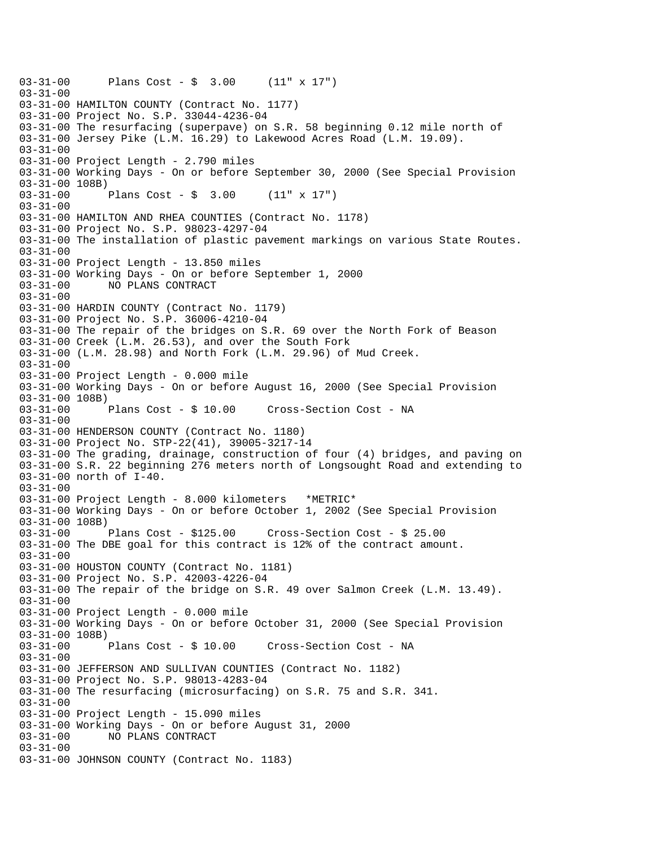```
03-31-00 Plans Cost - $ 3.00 (11" x 17") 
03 - 31 - 0003-31-00 HAMILTON COUNTY (Contract No. 1177) 
03-31-00 Project No. S.P. 33044-4236-04 
03-31-00 The resurfacing (superpave) on S.R. 58 beginning 0.12 mile north of 
03-31-00 Jersey Pike (L.M. 16.29) to Lakewood Acres Road (L.M. 19.09). 
03-31-00 
03-31-00 Project Length - 2.790 miles 
03-31-00 Working Days - On or before September 30, 2000 (See Special Provision 
03-31-00 108B) 
03-31-00 Plans Cost - $ 3.00 (11" x 17") 
03-31-00 
03-31-00 HAMILTON AND RHEA COUNTIES (Contract No. 1178) 
03-31-00 Project No. S.P. 98023-4297-04 
03-31-00 The installation of plastic pavement markings on various State Routes. 
03-31-00 
03-31-00 Project Length - 13.850 miles 
03-31-00 Working Days - On or before September 1, 2000 
03-31-00 NO PLANS CONTRACT 
03-31-00 
03-31-00 HARDIN COUNTY (Contract No. 1179) 
03-31-00 Project No. S.P. 36006-4210-04 
03-31-00 The repair of the bridges on S.R. 69 over the North Fork of Beason 
03-31-00 Creek (L.M. 26.53), and over the South Fork 
03-31-00 (L.M. 28.98) and North Fork (L.M. 29.96) of Mud Creek. 
03-31-00 
03-31-00 Project Length - 0.000 mile 
03-31-00 Working Days - On or before August 16, 2000 (See Special Provision 
03-31-00 108B) 
03-31-00 Plans Cost - $ 10.00 Cross-Section Cost - NA 
03-31-00 
03-31-00 HENDERSON COUNTY (Contract No. 1180) 
03-31-00 Project No. STP-22(41), 39005-3217-14 
03-31-00 The grading, drainage, construction of four (4) bridges, and paving on 
03-31-00 S.R. 22 beginning 276 meters north of Longsought Road and extending to 
03-31-00 north of I-40. 
03-31-00 
03-31-00 Project Length - 8.000 kilometers *METRIC* 
03-31-00 Working Days - On or before October 1, 2002 (See Special Provision 
03-31-00 108B) 
03-31-00 Plans Cost - $125.00 Cross-Section Cost - $ 25.00 
03-31-00 The DBE goal for this contract is 12% of the contract amount. 
03-31-00 
03-31-00 HOUSTON COUNTY (Contract No. 1181) 
03-31-00 Project No. S.P. 42003-4226-04 
03-31-00 The repair of the bridge on S.R. 49 over Salmon Creek (L.M. 13.49). 
03-31-00 
03-31-00 Project Length - 0.000 mile 
03-31-00 Working Days - On or before October 31, 2000 (See Special Provision 
03-31-00 108B)<br>03-31-00 Plans Cost - $ 10.00
03-31-00 Plans Cost - $ 10.00 Cross-Section Cost - NA 
03-31-00 
03-31-00 JEFFERSON AND SULLIVAN COUNTIES (Contract No. 1182) 
03-31-00 Project No. S.P. 98013-4283-04 
03-31-00 The resurfacing (microsurfacing) on S.R. 75 and S.R. 341. 
03-31-00 
03-31-00 Project Length - 15.090 miles 
03-31-00 Working Days - On or before August 31, 2000 
03-31-00 NO PLANS CONTRACT 
03-31-00 
03-31-00 JOHNSON COUNTY (Contract No. 1183)
```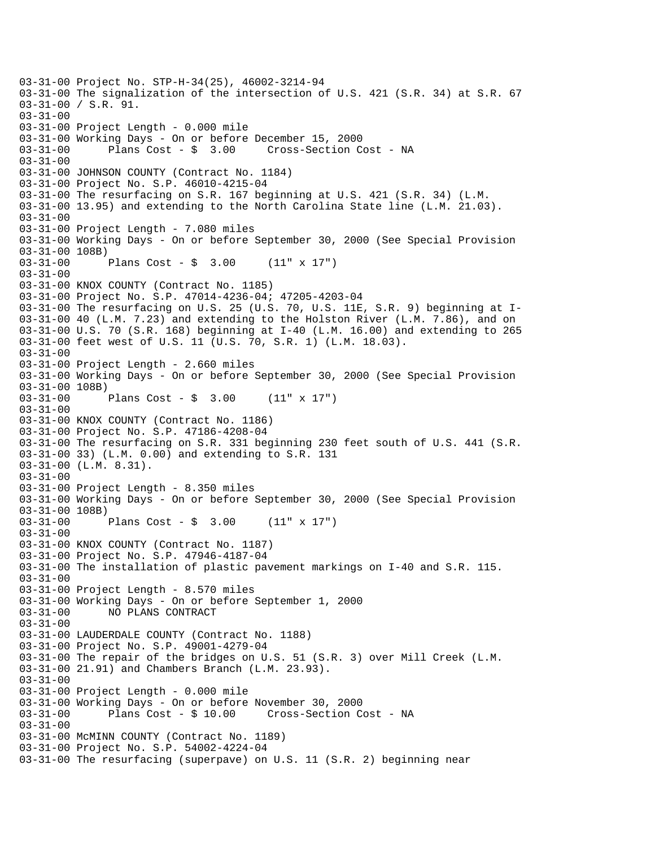03-31-00 Project No. STP-H-34(25), 46002-3214-94 03-31-00 The signalization of the intersection of U.S. 421 (S.R. 34) at S.R. 67 03-31-00 / S.R. 91. 03-31-00 03-31-00 Project Length - 0.000 mile 03-31-00 Working Days - On or before December 15, 2000 03-31-00 Plans Cost - \$ 3.00 Cross-Section Cost - NA 03-31-00 03-31-00 JOHNSON COUNTY (Contract No. 1184) 03-31-00 Project No. S.P. 46010-4215-04 03-31-00 The resurfacing on S.R. 167 beginning at U.S. 421 (S.R. 34) (L.M. 03-31-00 13.95) and extending to the North Carolina State line (L.M. 21.03). 03-31-00 03-31-00 Project Length - 7.080 miles 03-31-00 Working Days - On or before September 30, 2000 (See Special Provision 03-31-00 108B)<br>03-31-00 Plans Cost -  $\frac{1}{2}$  3.00 (11" x 17") 03-31-00 03-31-00 KNOX COUNTY (Contract No. 1185) 03-31-00 Project No. S.P. 47014-4236-04; 47205-4203-04 03-31-00 The resurfacing on U.S. 25 (U.S. 70, U.S. 11E, S.R. 9) beginning at I-03-31-00 40 (L.M. 7.23) and extending to the Holston River (L.M. 7.86), and on 03-31-00 U.S. 70 (S.R. 168) beginning at I-40 (L.M. 16.00) and extending to 265 03-31-00 feet west of U.S. 11 (U.S. 70, S.R. 1) (L.M. 18.03). 03-31-00 03-31-00 Project Length - 2.660 miles 03-31-00 Working Days - On or before September 30, 2000 (See Special Provision 03-31-00 108B) 03-31-00 Plans Cost - \$ 3.00 (11" x 17") 03-31-00 03-31-00 KNOX COUNTY (Contract No. 1186) 03-31-00 Project No. S.P. 47186-4208-04 03-31-00 The resurfacing on S.R. 331 beginning 230 feet south of U.S. 441 (S.R. 03-31-00 33) (L.M. 0.00) and extending to S.R. 131 03-31-00 (L.M. 8.31). 03-31-00 03-31-00 Project Length - 8.350 miles 03-31-00 Working Days - On or before September 30, 2000 (See Special Provision 03-31-00 108B)<br>03-31-00 Plans Cost -  $\sin 3.00$  (11" x 17") 03-31-00 03-31-00 KNOX COUNTY (Contract No. 1187) 03-31-00 Project No. S.P. 47946-4187-04 03-31-00 The installation of plastic pavement markings on I-40 and S.R. 115. 03-31-00 03-31-00 Project Length - 8.570 miles 03-31-00 Working Days - On or before September 1, 2000 03-31-00 NO PLANS CONTRACT 03-31-00 03-31-00 LAUDERDALE COUNTY (Contract No. 1188) 03-31-00 Project No. S.P. 49001-4279-04 03-31-00 The repair of the bridges on U.S. 51 (S.R. 3) over Mill Creek (L.M. 03-31-00 21.91) and Chambers Branch (L.M. 23.93). 03-31-00 03-31-00 Project Length - 0.000 mile 03-31-00 Working Days - On or before November 30, 2000 03-31-00 Plans Cost - \$ 10.00 Cross-Section Cost - NA 03-31-00 03-31-00 McMINN COUNTY (Contract No. 1189) 03-31-00 Project No. S.P. 54002-4224-04 03-31-00 The resurfacing (superpave) on U.S. 11 (S.R. 2) beginning near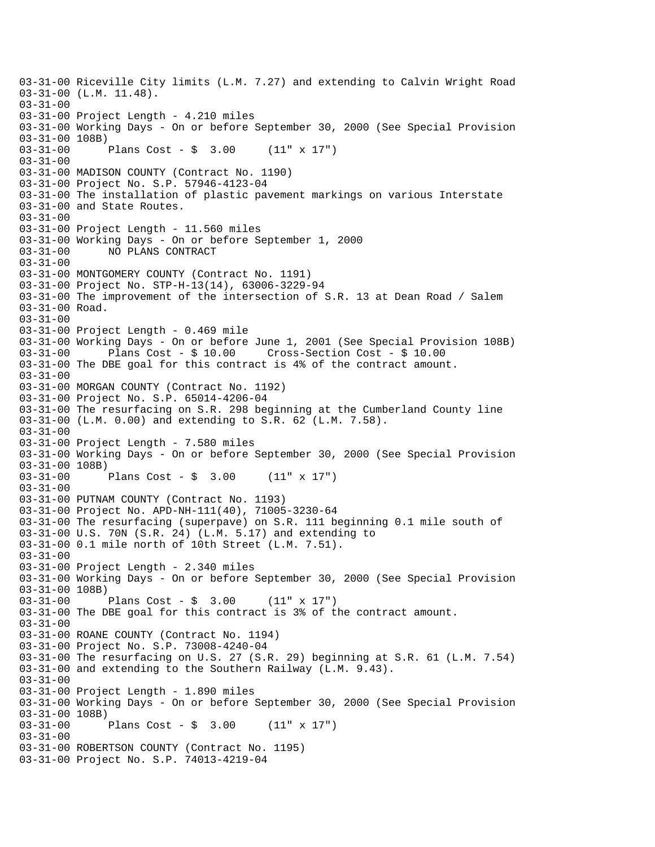03-31-00 Riceville City limits (L.M. 7.27) and extending to Calvin Wright Road 03-31-00 (L.M. 11.48). 03-31-00 03-31-00 Project Length - 4.210 miles 03-31-00 Working Days - On or before September 30, 2000 (See Special Provision 03-31-00 108B) 03-31-00 Plans Cost - \$ 3.00 (11" x 17") 03-31-00 03-31-00 MADISON COUNTY (Contract No. 1190) 03-31-00 Project No. S.P. 57946-4123-04 03-31-00 The installation of plastic pavement markings on various Interstate 03-31-00 and State Routes. 03-31-00 03-31-00 Project Length - 11.560 miles 03-31-00 Working Days - On or before September 1, 2000 03-31-00 NO PLANS CONTRACT 03-31-00 03-31-00 MONTGOMERY COUNTY (Contract No. 1191) 03-31-00 Project No. STP-H-13(14), 63006-3229-94 03-31-00 The improvement of the intersection of S.R. 13 at Dean Road / Salem 03-31-00 Road. 03-31-00 03-31-00 Project Length - 0.469 mile 03-31-00 Working Days - On or before June 1, 2001 (See Special Provision 108B)<br>03-31-00 Plans Cost - \$ 10.00 Cross-Section Cost - \$ 10.00 03-31-00 Plans Cost - \$ 10.00 Cross-Section Cost - \$ 10.00 03-31-00 The DBE goal for this contract is 4% of the contract amount.  $03 - 31 - 00$ 03-31-00 MORGAN COUNTY (Contract No. 1192) 03-31-00 Project No. S.P. 65014-4206-04 03-31-00 The resurfacing on S.R. 298 beginning at the Cumberland County line 03-31-00 (L.M. 0.00) and extending to S.R. 62 (L.M. 7.58). 03-31-00 03-31-00 Project Length - 7.580 miles 03-31-00 Working Days - On or before September 30, 2000 (See Special Provision 03-31-00 108B)<br>03-31-00 1 Plans Cost -  $\frac{1}{2}$  3.00 (11" x 17") 03-31-00 03-31-00 PUTNAM COUNTY (Contract No. 1193) 03-31-00 Project No. APD-NH-111(40), 71005-3230-64 03-31-00 The resurfacing (superpave) on S.R. 111 beginning 0.1 mile south of 03-31-00 U.S. 70N (S.R. 24) (L.M. 5.17) and extending to 03-31-00 0.1 mile north of 10th Street (L.M. 7.51). 03-31-00 03-31-00 Project Length - 2.340 miles 03-31-00 Working Days - On or before September 30, 2000 (See Special Provision 03-31-00 108B) 03-31-00 Plans Cost - \$ 3.00 (11" x 17") 03-31-00 The DBE goal for this contract is 3% of the contract amount. 03-31-00 03-31-00 ROANE COUNTY (Contract No. 1194) 03-31-00 Project No. S.P. 73008-4240-04 03-31-00 The resurfacing on U.S. 27 (S.R. 29) beginning at S.R. 61 (L.M. 7.54) 03-31-00 and extending to the Southern Railway (L.M. 9.43). 03-31-00 03-31-00 Project Length - 1.890 miles 03-31-00 Working Days - On or before September 30, 2000 (See Special Provision 03-31-00 108B) 03-31-00 Plans Cost - \$ 3.00 (11" x 17") 03-31-00 03-31-00 ROBERTSON COUNTY (Contract No. 1195) 03-31-00 Project No. S.P. 74013-4219-04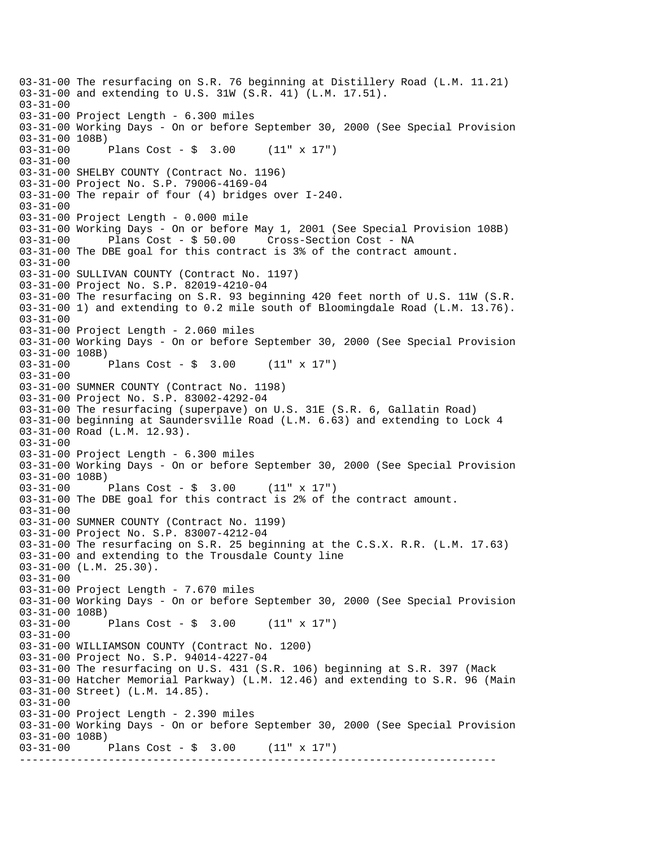--------------------------------------------------------------------------- 03-31-00 The resurfacing on S.R. 76 beginning at Distillery Road (L.M. 11.21) 03-31-00 and extending to U.S. 31W (S.R. 41) (L.M. 17.51). 03-31-00 03-31-00 Project Length - 6.300 miles 03-31-00 Working Days - On or before September 30, 2000 (See Special Provision 03-31-00 108B) 03-31-00 Plans Cost - \$ 3.00 (11" x 17") 03-31-00 03-31-00 SHELBY COUNTY (Contract No. 1196) 03-31-00 Project No. S.P. 79006-4169-04 03-31-00 The repair of four (4) bridges over I-240. 03-31-00 03-31-00 Project Length - 0.000 mile 03-31-00 Working Days - On or before May 1, 2001 (See Special Provision 108B) 03-31-00 Plans Cost - \$ 50.00 Cross-Section Cost - NA 03-31-00 The DBE goal for this contract is 3% of the contract amount. 03-31-00 03-31-00 SULLIVAN COUNTY (Contract No. 1197) 03-31-00 Project No. S.P. 82019-4210-04 03-31-00 The resurfacing on S.R. 93 beginning 420 feet north of U.S. 11W (S.R. 03-31-00 1) and extending to 0.2 mile south of Bloomingdale Road (L.M. 13.76). 03-31-00 03-31-00 Project Length - 2.060 miles 03-31-00 Working Days - On or before September 30, 2000 (See Special Provision 03-31-00 108B)<br>03-31-00 1 Plans Cost -  $\sin 3.00$  (11" x 17")  $03 - 31 - 00$ 03-31-00 SUMNER COUNTY (Contract No. 1198) 03-31-00 Project No. S.P. 83002-4292-04 03-31-00 The resurfacing (superpave) on U.S. 31E (S.R. 6, Gallatin Road) 03-31-00 beginning at Saundersville Road (L.M. 6.63) and extending to Lock 4 03-31-00 Road (L.M. 12.93). 03-31-00 03-31-00 Project Length - 6.300 miles 03-31-00 Working Days - On or before September 30, 2000 (See Special Provision 03-31-00 108B) 03-31-00 Plans Cost - \$ 3.00 (11" x 17") 03-31-00 The DBE goal for this contract is 2% of the contract amount.  $03 - 31 - 00$ 03-31-00 SUMNER COUNTY (Contract No. 1199) 03-31-00 Project No. S.P. 83007-4212-04 03-31-00 The resurfacing on S.R. 25 beginning at the C.S.X. R.R. (L.M. 17.63) 03-31-00 and extending to the Trousdale County line 03-31-00 (L.M. 25.30). 03-31-00 03-31-00 Project Length - 7.670 miles 03-31-00 Working Days - On or before September 30, 2000 (See Special Provision 03-31-00 108B) 03-31-00 Plans Cost - \$ 3.00 (11" x 17") 03-31-00 03-31-00 WILLIAMSON COUNTY (Contract No. 1200) 03-31-00 Project No. S.P. 94014-4227-04 03-31-00 The resurfacing on U.S. 431 (S.R. 106) beginning at S.R. 397 (Mack 03-31-00 Hatcher Memorial Parkway) (L.M. 12.46) and extending to S.R. 96 (Main 03-31-00 Street) (L.M. 14.85). 03-31-00 03-31-00 Project Length - 2.390 miles 03-31-00 Working Days - On or before September 30, 2000 (See Special Provision 03-31-00 108B) 03-31-00 Plans Cost - \$ 3.00 (11" x 17")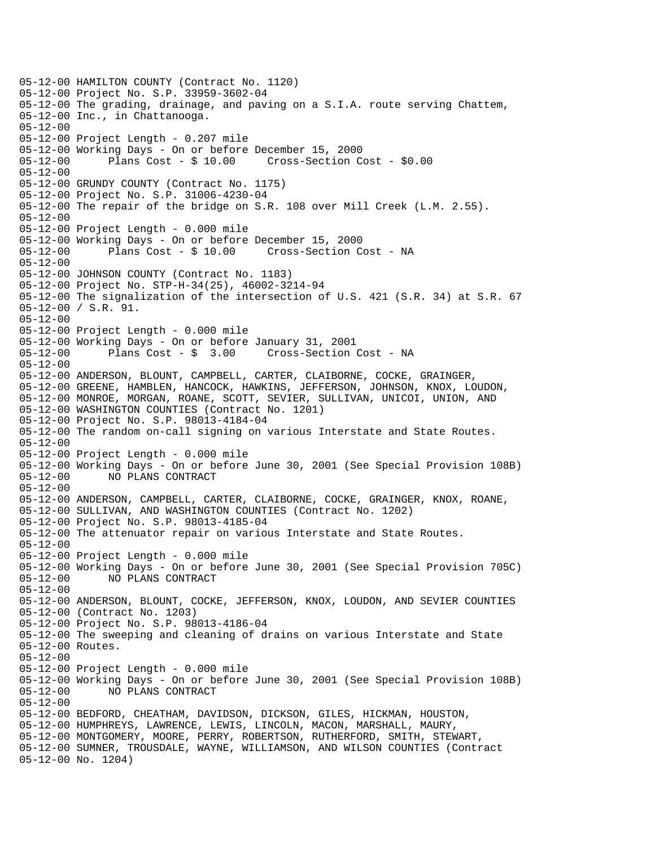05-12-00 HAMILTON COUNTY (Contract No. 1120) 05-12-00 Project No. S.P. 33959-3602-04 05-12-00 The grading, drainage, and paving on a S.I.A. route serving Chattem, 05-12-00 Inc., in Chattanooga. 05-12-00 05-12-00 Project Length - 0.207 mile 05-12-00 Working Days - On or before December 15, 2000 05-12-00 Plans Cost - \$ 10.00 Cross-Section Cost - \$0.00 05-12-00 05-12-00 GRUNDY COUNTY (Contract No. 1175) 05-12-00 Project No. S.P. 31006-4230-04 05-12-00 The repair of the bridge on S.R. 108 over Mill Creek (L.M. 2.55).  $05 - 12 - 00$ 05-12-00 Project Length - 0.000 mile 05-12-00 Working Days - On or before December 15, 2000 05-12-00 Plans Cost - \$ 10.00 Cross-Section Cost - NA 05-12-00 05-12-00 JOHNSON COUNTY (Contract No. 1183) 05-12-00 Project No. STP-H-34(25), 46002-3214-94 05-12-00 The signalization of the intersection of U.S. 421 (S.R. 34) at S.R. 67 05-12-00 / S.R. 91. 05-12-00 05-12-00 Project Length - 0.000 mile 05-12-00 Working Days - On or before January 31, 2001 Cross-Section Cost - NA 05-12-00 05-12-00 ANDERSON, BLOUNT, CAMPBELL, CARTER, CLAIBORNE, COCKE, GRAINGER, 05-12-00 GREENE, HAMBLEN, HANCOCK, HAWKINS, JEFFERSON, JOHNSON, KNOX, LOUDON, 05-12-00 MONROE, MORGAN, ROANE, SCOTT, SEVIER, SULLIVAN, UNICOI, UNION, AND 05-12-00 WASHINGTON COUNTIES (Contract No. 1201) 05-12-00 Project No. S.P. 98013-4184-04 05-12-00 The random on-call signing on various Interstate and State Routes. 05-12-00 05-12-00 Project Length - 0.000 mile 05-12-00 Working Days - On or before June 30, 2001 (See Special Provision 108B) 05-12-00 NO PLANS CONTRACT 05-12-00 05-12-00 ANDERSON, CAMPBELL, CARTER, CLAIBORNE, COCKE, GRAINGER, KNOX, ROANE, 05-12-00 SULLIVAN, AND WASHINGTON COUNTIES (Contract No. 1202) 05-12-00 Project No. S.P. 98013-4185-04 05-12-00 The attenuator repair on various Interstate and State Routes. 05-12-00 05-12-00 Project Length - 0.000 mile 05-12-00 Working Days - On or before June 30, 2001 (See Special Provision 705C) 05-12-00 NO PLANS CONTRACT 05-12-00 05-12-00 ANDERSON, BLOUNT, COCKE, JEFFERSON, KNOX, LOUDON, AND SEVIER COUNTIES 05-12-00 (Contract No. 1203) 05-12-00 Project No. S.P. 98013-4186-04 05-12-00 The sweeping and cleaning of drains on various Interstate and State 05-12-00 Routes. 05-12-00 05-12-00 Project Length - 0.000 mile 05-12-00 Working Days - On or before June 30, 2001 (See Special Provision 108B) 05-12-00 NO PLANS CONTRACT 05-12-00 05-12-00 BEDFORD, CHEATHAM, DAVIDSON, DICKSON, GILES, HICKMAN, HOUSTON, 05-12-00 HUMPHREYS, LAWRENCE, LEWIS, LINCOLN, MACON, MARSHALL, MAURY, 05-12-00 MONTGOMERY, MOORE, PERRY, ROBERTSON, RUTHERFORD, SMITH, STEWART, 05-12-00 SUMNER, TROUSDALE, WAYNE, WILLIAMSON, AND WILSON COUNTIES (Contract 05-12-00 No. 1204)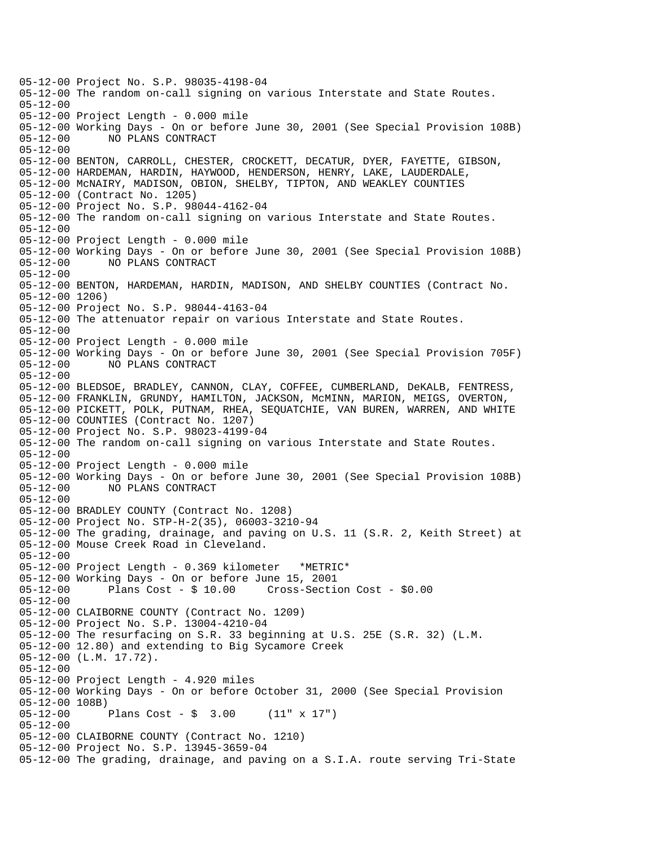05-12-00 Project No. S.P. 98035-4198-04 05-12-00 The random on-call signing on various Interstate and State Routes. 05-12-00 05-12-00 Project Length - 0.000 mile 05-12-00 Working Days - On or before June 30, 2001 (See Special Provision 108B) 05-12-00 NO PLANS CONTRACT 05-12-00 05-12-00 BENTON, CARROLL, CHESTER, CROCKETT, DECATUR, DYER, FAYETTE, GIBSON, 05-12-00 HARDEMAN, HARDIN, HAYWOOD, HENDERSON, HENRY, LAKE, LAUDERDALE, 05-12-00 McNAIRY, MADISON, OBION, SHELBY, TIPTON, AND WEAKLEY COUNTIES 05-12-00 (Contract No. 1205) 05-12-00 Project No. S.P. 98044-4162-04 05-12-00 The random on-call signing on various Interstate and State Routes. 05-12-00 05-12-00 Project Length - 0.000 mile 05-12-00 Working Days - On or before June 30, 2001 (See Special Provision 108B) 05-12-00 NO PLANS CONTRACT 05-12-00 05-12-00 BENTON, HARDEMAN, HARDIN, MADISON, AND SHELBY COUNTIES (Contract No. 05-12-00 1206) 05-12-00 Project No. S.P. 98044-4163-04 05-12-00 The attenuator repair on various Interstate and State Routes. 05-12-00 05-12-00 Project Length - 0.000 mile 05-12-00 Working Days - On or before June 30, 2001 (See Special Provision 705F) 05-12-00 NO PLANS CONTRACT 05-12-00 05-12-00 BLEDSOE, BRADLEY, CANNON, CLAY, COFFEE, CUMBERLAND, DeKALB, FENTRESS, 05-12-00 FRANKLIN, GRUNDY, HAMILTON, JACKSON, McMINN, MARION, MEIGS, OVERTON, 05-12-00 PICKETT, POLK, PUTNAM, RHEA, SEQUATCHIE, VAN BUREN, WARREN, AND WHITE 05-12-00 COUNTIES (Contract No. 1207) 05-12-00 Project No. S.P. 98023-4199-04 05-12-00 The random on-call signing on various Interstate and State Routes. 05-12-00 05-12-00 Project Length - 0.000 mile 05-12-00 Working Days - On or before June 30, 2001 (See Special Provision 108B) 05-12-00 NO PLANS CONTRACT 05-12-00 05-12-00 BRADLEY COUNTY (Contract No. 1208) 05-12-00 Project No. STP-H-2(35), 06003-3210-94 05-12-00 The grading, drainage, and paving on U.S. 11 (S.R. 2, Keith Street) at 05-12-00 Mouse Creek Road in Cleveland. 05-12-00 05-12-00 Project Length - 0.369 kilometer \*METRIC\* 05-12-00 Working Days - On or before June 15, 2001 05-12-00 Plans Cost - \$ 10.00 Cross-Section Cost - \$0.00 05-12-00 05-12-00 CLAIBORNE COUNTY (Contract No. 1209) 05-12-00 Project No. S.P. 13004-4210-04 05-12-00 The resurfacing on S.R. 33 beginning at U.S. 25E (S.R. 32) (L.M. 05-12-00 12.80) and extending to Big Sycamore Creek 05-12-00 (L.M. 17.72). 05-12-00 05-12-00 Project Length - 4.920 miles 05-12-00 Working Days - On or before October 31, 2000 (See Special Provision 05-12-00 108B) 05-12-00 Plans Cost - \$ 3.00 (11" x 17") 05-12-00 05-12-00 CLAIBORNE COUNTY (Contract No. 1210) 05-12-00 Project No. S.P. 13945-3659-04 05-12-00 The grading, drainage, and paving on a S.I.A. route serving Tri-State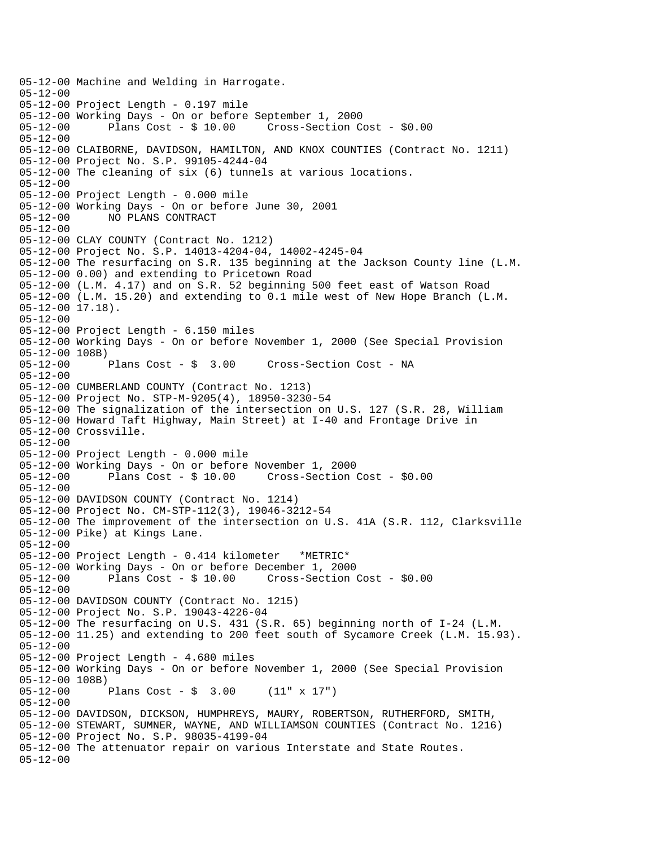05-12-00 Machine and Welding in Harrogate. 05-12-00 05-12-00 Project Length - 0.197 mile 05-12-00 Working Days - On or before September 1, 2000 05-12-00 Plans Cost - \$ 10.00 Cross-Section Cost - \$0.00 05-12-00 05-12-00 CLAIBORNE, DAVIDSON, HAMILTON, AND KNOX COUNTIES (Contract No. 1211) 05-12-00 Project No. S.P. 99105-4244-04 05-12-00 The cleaning of six (6) tunnels at various locations. 05-12-00 05-12-00 Project Length - 0.000 mile 05-12-00 Working Days - On or before June 30, 2001 05-12-00 NO PLANS CONTRACT 05-12-00 05-12-00 CLAY COUNTY (Contract No. 1212) 05-12-00 Project No. S.P. 14013-4204-04, 14002-4245-04 05-12-00 The resurfacing on S.R. 135 beginning at the Jackson County line (L.M. 05-12-00 0.00) and extending to Pricetown Road 05-12-00 (L.M. 4.17) and on S.R. 52 beginning 500 feet east of Watson Road 05-12-00 (L.M. 15.20) and extending to 0.1 mile west of New Hope Branch (L.M. 05-12-00 17.18). 05-12-00 05-12-00 Project Length - 6.150 miles 05-12-00 Working Days - On or before November 1, 2000 (See Special Provision 05-12-00 108B)<br>05-12-00 Plans Cost - \$ 3.00 Cross-Section Cost - NA 05-12-00 05-12-00 CUMBERLAND COUNTY (Contract No. 1213) 05-12-00 Project No. STP-M-9205(4), 18950-3230-54 05-12-00 The signalization of the intersection on U.S. 127 (S.R. 28, William 05-12-00 Howard Taft Highway, Main Street) at I-40 and Frontage Drive in 05-12-00 Crossville. 05-12-00 05-12-00 Project Length - 0.000 mile 05-12-00 Working Days - On or before November 1, 2000 Plans  $Cost - $ 10.00$  Cross-Section Cost -  $$0.00$ 05-12-00 05-12-00 DAVIDSON COUNTY (Contract No. 1214) 05-12-00 Project No. CM-STP-112(3), 19046-3212-54 05-12-00 The improvement of the intersection on U.S. 41A (S.R. 112, Clarksville 05-12-00 Pike) at Kings Lane. 05-12-00 05-12-00 Project Length - 0.414 kilometer \*METRIC\* 05-12-00 Working Days - On or before December 1, 2000 05-12-00 Plans Cost - \$ 10.00 Cross-Section Cost - \$0.00 05-12-00 05-12-00 DAVIDSON COUNTY (Contract No. 1215) 05-12-00 Project No. S.P. 19043-4226-04 05-12-00 The resurfacing on U.S. 431 (S.R. 65) beginning north of I-24 (L.M. 05-12-00 11.25) and extending to 200 feet south of Sycamore Creek (L.M. 15.93). 05-12-00 05-12-00 Project Length - 4.680 miles 05-12-00 Working Days - On or before November 1, 2000 (See Special Provision 05-12-00 108B) 05-12-00 Plans Cost - \$ 3.00 (11" x 17") 05-12-00 05-12-00 DAVIDSON, DICKSON, HUMPHREYS, MAURY, ROBERTSON, RUTHERFORD, SMITH, 05-12-00 STEWART, SUMNER, WAYNE, AND WILLIAMSON COUNTIES (Contract No. 1216) 05-12-00 Project No. S.P. 98035-4199-04 05-12-00 The attenuator repair on various Interstate and State Routes. 05-12-00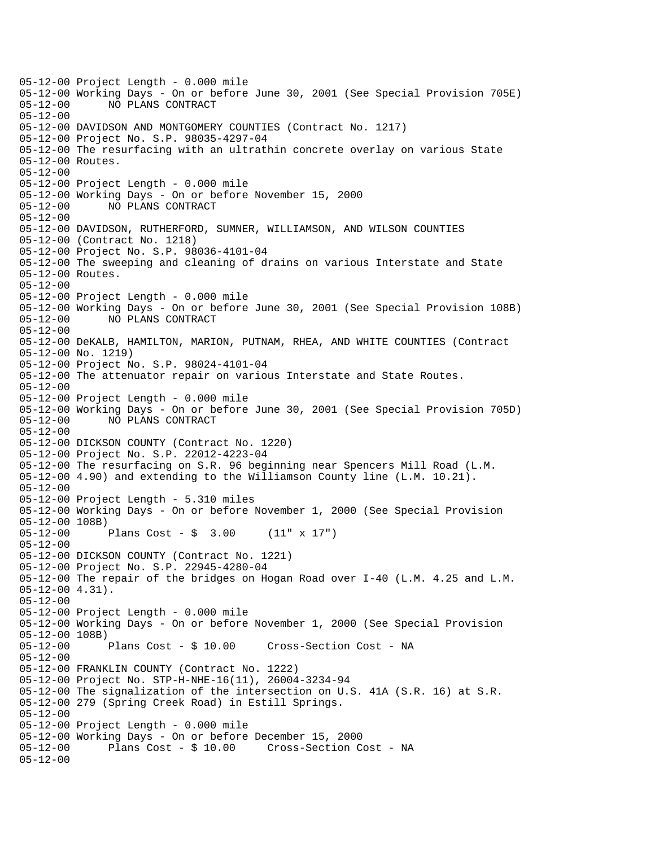05-12-00 Project Length - 0.000 mile 05-12-00 Working Days - On or before June 30, 2001 (See Special Provision 705E) 05-12-00 NO PLANS CONTRACT 05-12-00 05-12-00 DAVIDSON AND MONTGOMERY COUNTIES (Contract No. 1217) 05-12-00 Project No. S.P. 98035-4297-04 05-12-00 The resurfacing with an ultrathin concrete overlay on various State 05-12-00 Routes. 05-12-00 05-12-00 Project Length - 0.000 mile 05-12-00 Working Days - On or before November 15, 2000 05-12-00 NO PLANS CONTRACT 05-12-00 05-12-00 DAVIDSON, RUTHERFORD, SUMNER, WILLIAMSON, AND WILSON COUNTIES 05-12-00 (Contract No. 1218) 05-12-00 Project No. S.P. 98036-4101-04 05-12-00 The sweeping and cleaning of drains on various Interstate and State 05-12-00 Routes. 05-12-00 05-12-00 Project Length - 0.000 mile 05-12-00 Working Days - On or before June 30, 2001 (See Special Provision 108B) 05-12-00 NO PLANS CONTRACT 05-12-00 05-12-00 DeKALB, HAMILTON, MARION, PUTNAM, RHEA, AND WHITE COUNTIES (Contract 05-12-00 No. 1219) 05-12-00 Project No. S.P. 98024-4101-04 05-12-00 The attenuator repair on various Interstate and State Routes. 05-12-00 05-12-00 Project Length - 0.000 mile 05-12-00 Working Days - On or before June 30, 2001 (See Special Provision 705D) 05-12-00 NO PLANS CONTRACT 05-12-00 05-12-00 DICKSON COUNTY (Contract No. 1220) 05-12-00 Project No. S.P. 22012-4223-04 05-12-00 The resurfacing on S.R. 96 beginning near Spencers Mill Road (L.M. 05-12-00 4.90) and extending to the Williamson County line (L.M. 10.21). 05-12-00 05-12-00 Project Length - 5.310 miles 05-12-00 Working Days - On or before November 1, 2000 (See Special Provision 05-12-00 108B) 05-12-00 Plans Cost - \$ 3.00 (11" x 17") 05-12-00 05-12-00 DICKSON COUNTY (Contract No. 1221) 05-12-00 Project No. S.P. 22945-4280-04 05-12-00 The repair of the bridges on Hogan Road over I-40 (L.M. 4.25 and L.M. 05-12-00 4.31). 05-12-00 05-12-00 Project Length - 0.000 mile 05-12-00 Working Days - On or before November 1, 2000 (See Special Provision 05-12-00 108B)<br>05-12-00 Plans Cost - \$ 10.00 Cross-Section Cost - NA 05-12-00 05-12-00 FRANKLIN COUNTY (Contract No. 1222) 05-12-00 Project No. STP-H-NHE-16(11), 26004-3234-94 05-12-00 The signalization of the intersection on U.S. 41A (S.R. 16) at S.R. 05-12-00 279 (Spring Creek Road) in Estill Springs. 05-12-00 05-12-00 Project Length - 0.000 mile 05-12-00 Working Days - On or before December 15, 2000 05-12-00 Plans Cost - \$ 10.00 Cross-Section Cost - NA 05-12-00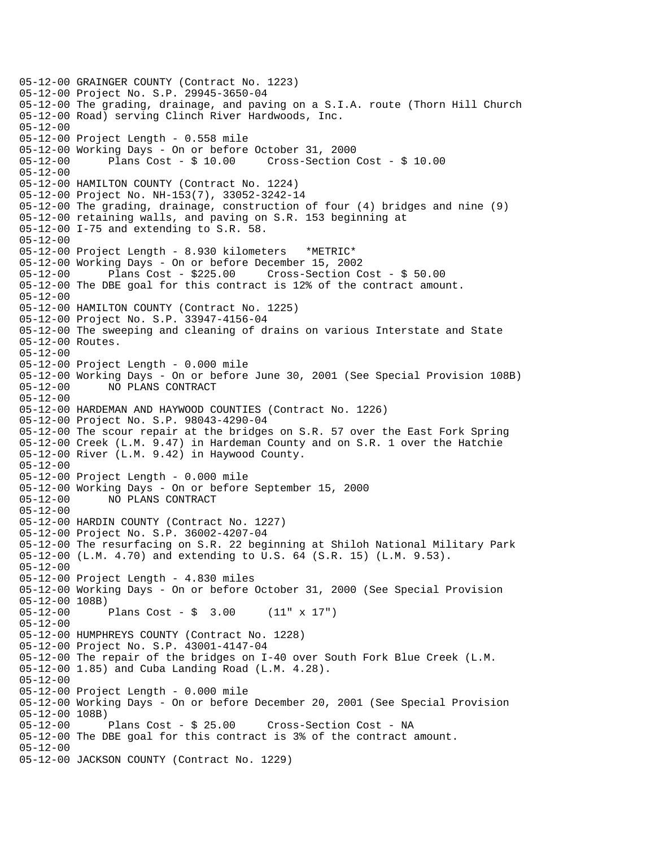05-12-00 GRAINGER COUNTY (Contract No. 1223) 05-12-00 Project No. S.P. 29945-3650-04 05-12-00 The grading, drainage, and paving on a S.I.A. route (Thorn Hill Church 05-12-00 Road) serving Clinch River Hardwoods, Inc. 05-12-00 05-12-00 Project Length - 0.558 mile 05-12-00 Working Days - On or before October 31, 2000 05-12-00 Plans Cost - \$ 10.00 Cross-Section Cost - \$ 10.00 05-12-00 05-12-00 HAMILTON COUNTY (Contract No. 1224) 05-12-00 Project No. NH-153(7), 33052-3242-14 05-12-00 The grading, drainage, construction of four (4) bridges and nine (9) 05-12-00 retaining walls, and paving on S.R. 153 beginning at 05-12-00 I-75 and extending to S.R. 58. 05-12-00 05-12-00 Project Length - 8.930 kilometers \*METRIC\* 05-12-00 Working Days - On or before December 15, 2002 05-12-00 Plans Cost - \$225.00 Cross-Section Cost - \$ 50.00 05-12-00 The DBE goal for this contract is 12% of the contract amount. 05-12-00 05-12-00 HAMILTON COUNTY (Contract No. 1225) 05-12-00 Project No. S.P. 33947-4156-04 05-12-00 The sweeping and cleaning of drains on various Interstate and State 05-12-00 Routes. 05-12-00 05-12-00 Project Length - 0.000 mile 05-12-00 Working Days - On or before June 30, 2001 (See Special Provision 108B) 05-12-00 NO PLANS CONTRACT 05-12-00 05-12-00 HARDEMAN AND HAYWOOD COUNTIES (Contract No. 1226) 05-12-00 Project No. S.P. 98043-4290-04 05-12-00 The scour repair at the bridges on S.R. 57 over the East Fork Spring 05-12-00 Creek (L.M. 9.47) in Hardeman County and on S.R. 1 over the Hatchie 05-12-00 River (L.M. 9.42) in Haywood County. 05-12-00 05-12-00 Project Length - 0.000 mile 05-12-00 Working Days - On or before September 15, 2000 05-12-00 NO PLANS CONTRACT 05-12-00 05-12-00 HARDIN COUNTY (Contract No. 1227) 05-12-00 Project No. S.P. 36002-4207-04 05-12-00 The resurfacing on S.R. 22 beginning at Shiloh National Military Park 05-12-00 (L.M. 4.70) and extending to U.S. 64 (S.R. 15) (L.M. 9.53). 05-12-00 05-12-00 Project Length - 4.830 miles 05-12-00 Working Days - On or before October 31, 2000 (See Special Provision 05-12-00 108B)<br>05-12-00 1 Plans Cost -  $$3.00$  (11" x 17") 05-12-00 05-12-00 HUMPHREYS COUNTY (Contract No. 1228) 05-12-00 Project No. S.P. 43001-4147-04 05-12-00 The repair of the bridges on I-40 over South Fork Blue Creek (L.M. 05-12-00 1.85) and Cuba Landing Road (L.M. 4.28). 05-12-00 05-12-00 Project Length - 0.000 mile 05-12-00 Working Days - On or before December 20, 2001 (See Special Provision 05-12-00 108B)<br>05-12-00 Plans Cost - \$ 25.00 05-12-00 Plans Cost - \$ 25.00 Cross-Section Cost - NA 05-12-00 The DBE goal for this contract is 3% of the contract amount. 05-12-00 05-12-00 JACKSON COUNTY (Contract No. 1229)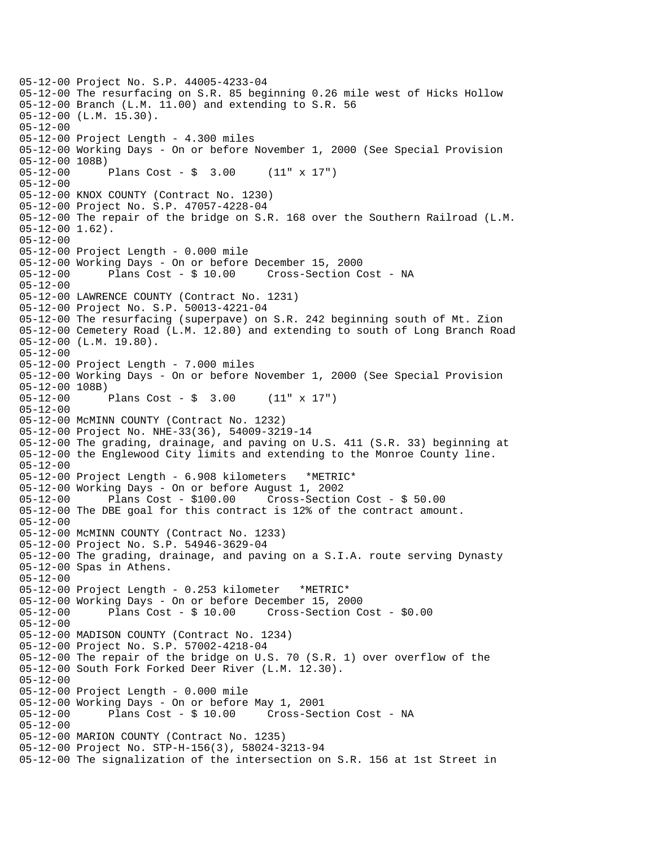05-12-00 Project No. S.P. 44005-4233-04 05-12-00 The resurfacing on S.R. 85 beginning 0.26 mile west of Hicks Hollow 05-12-00 Branch (L.M. 11.00) and extending to S.R. 56 05-12-00 (L.M. 15.30). 05-12-00 05-12-00 Project Length - 4.300 miles 05-12-00 Working Days - On or before November 1, 2000 (See Special Provision 05-12-00 108B) 05-12-00 Plans Cost - \$ 3.00 (11" x 17") 05-12-00 05-12-00 KNOX COUNTY (Contract No. 1230) 05-12-00 Project No. S.P. 47057-4228-04 05-12-00 The repair of the bridge on S.R. 168 over the Southern Railroad (L.M. 05-12-00 1.62). 05-12-00 05-12-00 Project Length - 0.000 mile 05-12-00 Working Days - On or before December 15, 2000 05-12-00 Plans Cost - \$ 10.00 Cross-Section Cost - NA 05-12-00 05-12-00 LAWRENCE COUNTY (Contract No. 1231) 05-12-00 Project No. S.P. 50013-4221-04 05-12-00 The resurfacing (superpave) on S.R. 242 beginning south of Mt. Zion 05-12-00 Cemetery Road (L.M. 12.80) and extending to south of Long Branch Road 05-12-00 (L.M. 19.80). 05-12-00 05-12-00 Project Length - 7.000 miles 05-12-00 Working Days - On or before November 1, 2000 (See Special Provision 05-12-00 108B) 05-12-00 Plans Cost - \$ 3.00 (11" x 17") 05-12-00 05-12-00 McMINN COUNTY (Contract No. 1232) 05-12-00 Project No. NHE-33(36), 54009-3219-14 05-12-00 The grading, drainage, and paving on U.S. 411 (S.R. 33) beginning at 05-12-00 the Englewood City limits and extending to the Monroe County line. 05-12-00 05-12-00 Project Length - 6.908 kilometers \*METRIC\* 05-12-00 Working Days - On or before August 1, 2002 05-12-00 Plans Cost - \$100.00 Cross-Section Cost - \$ 50.00 05-12-00 The DBE goal for this contract is 12% of the contract amount. 05-12-00 05-12-00 McMINN COUNTY (Contract No. 1233) 05-12-00 Project No. S.P. 54946-3629-04 05-12-00 The grading, drainage, and paving on a S.I.A. route serving Dynasty 05-12-00 Spas in Athens. 05-12-00 05-12-00 Project Length - 0.253 kilometer \*METRIC\* 05-12-00 Working Days - On or before December 15, 2000 Plans  $Cost - $ 10.00$  Cross-Section Cost -  $$0.00$ 05-12-00 05-12-00 MADISON COUNTY (Contract No. 1234) 05-12-00 Project No. S.P. 57002-4218-04 05-12-00 The repair of the bridge on U.S. 70 (S.R. 1) over overflow of the 05-12-00 South Fork Forked Deer River (L.M. 12.30). 05-12-00 05-12-00 Project Length - 0.000 mile 05-12-00 Working Days - On or before May 1, 2001 05-12-00 Plans Cost - \$ 10.00 Cross-Section Cost - NA 05-12-00 05-12-00 MARION COUNTY (Contract No. 1235) 05-12-00 Project No. STP-H-156(3), 58024-3213-94 05-12-00 The signalization of the intersection on S.R. 156 at 1st Street in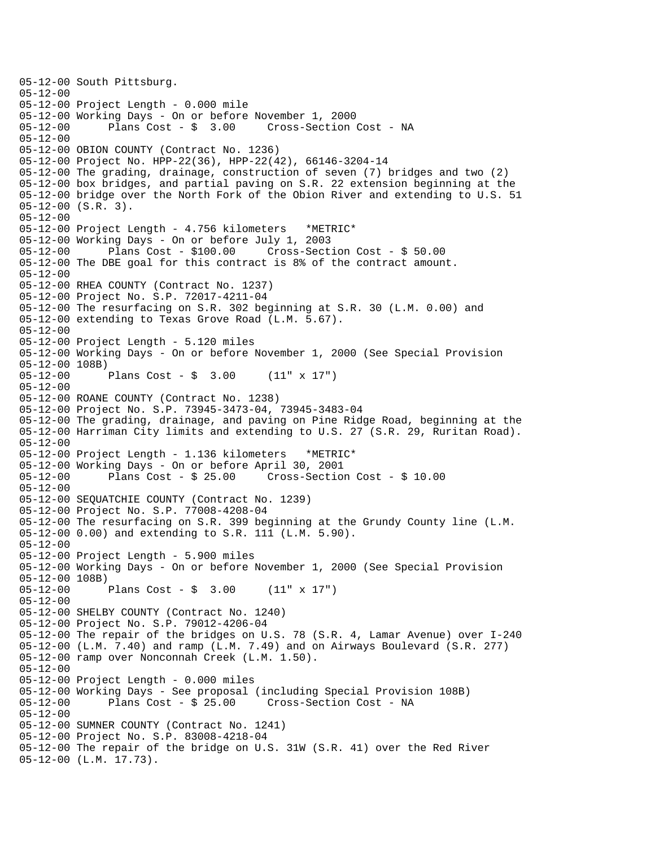05-12-00 South Pittsburg. 05-12-00 05-12-00 Project Length - 0.000 mile 05-12-00 Working Days - On or before November 1, 2000 05-12-00 Plans Cost - \$ 3.00 Cross-Section Cost - NA 05-12-00 05-12-00 OBION COUNTY (Contract No. 1236) 05-12-00 Project No. HPP-22(36), HPP-22(42), 66146-3204-14 05-12-00 The grading, drainage, construction of seven (7) bridges and two (2) 05-12-00 box bridges, and partial paving on S.R. 22 extension beginning at the 05-12-00 bridge over the North Fork of the Obion River and extending to U.S. 51 05-12-00 (S.R. 3). 05-12-00 05-12-00 Project Length - 4.756 kilometers \*METRIC\* 05-12-00 Working Days - On or before July 1, 2003 05-12-00 Plans Cost - \$100.00 Cross-Section Cost - \$ 50.00 05-12-00 The DBE goal for this contract is 8% of the contract amount. 05-12-00 05-12-00 RHEA COUNTY (Contract No. 1237) 05-12-00 Project No. S.P. 72017-4211-04 05-12-00 The resurfacing on S.R. 302 beginning at S.R. 30 (L.M. 0.00) and 05-12-00 extending to Texas Grove Road (L.M. 5.67). 05-12-00 05-12-00 Project Length - 5.120 miles 05-12-00 Working Days - On or before November 1, 2000 (See Special Provision 05-12-00 108B)<br>05-12-00 Plans Cost -  $\sin 3.00$  (11" x 17") 05-12-00 05-12-00 ROANE COUNTY (Contract No. 1238) 05-12-00 Project No. S.P. 73945-3473-04, 73945-3483-04 05-12-00 The grading, drainage, and paving on Pine Ridge Road, beginning at the 05-12-00 Harriman City limits and extending to U.S. 27 (S.R. 29, Ruritan Road). 05-12-00 05-12-00 Project Length - 1.136 kilometers \*METRIC\* 05-12-00 Working Days - On or before April 30, 2001 05-12-00 Plans Cost - \$ 25.00 Cross-Section Cost - \$ 10.00 05-12-00 05-12-00 SEQUATCHIE COUNTY (Contract No. 1239) 05-12-00 Project No. S.P. 77008-4208-04 05-12-00 The resurfacing on S.R. 399 beginning at the Grundy County line (L.M. 05-12-00 0.00) and extending to S.R. 111 (L.M. 5.90). 05-12-00 05-12-00 Project Length - 5.900 miles 05-12-00 Working Days - On or before November 1, 2000 (See Special Provision 05-12-00 108B)<br>05-12-00 l Plans Cost -  $$ 3.00$  (11" x 17") 05-12-00 05-12-00 SHELBY COUNTY (Contract No. 1240) 05-12-00 Project No. S.P. 79012-4206-04 05-12-00 The repair of the bridges on U.S. 78 (S.R. 4, Lamar Avenue) over I-240 05-12-00 (L.M. 7.40) and ramp (L.M. 7.49) and on Airways Boulevard (S.R. 277) 05-12-00 ramp over Nonconnah Creek (L.M. 1.50). 05-12-00 05-12-00 Project Length - 0.000 miles 05-12-00 Working Days - See proposal (including Special Provision 108B) 05-12-00 Plans Cost - \$ 25.00 Cross-Section Cost - NA 05-12-00 05-12-00 SUMNER COUNTY (Contract No. 1241) 05-12-00 Project No. S.P. 83008-4218-04 05-12-00 The repair of the bridge on U.S. 31W (S.R. 41) over the Red River 05-12-00 (L.M. 17.73).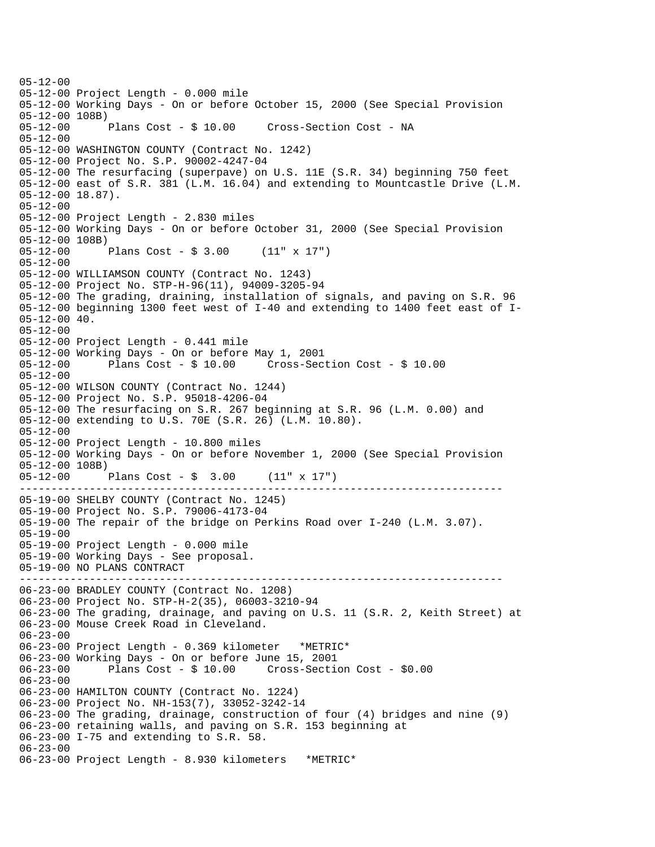---------------------------------------------------------------------------- ---------------------------------------------------------------------------- 05-12-00 05-12-00 Project Length - 0.000 mile 05-12-00 Working Days - On or before October 15, 2000 (See Special Provision 05-12-00 108B) 05-12-00 Plans Cost - \$ 10.00 Cross-Section Cost - NA 05-12-00 05-12-00 WASHINGTON COUNTY (Contract No. 1242) 05-12-00 Project No. S.P. 90002-4247-04 05-12-00 The resurfacing (superpave) on U.S. 11E (S.R. 34) beginning 750 feet 05-12-00 east of S.R. 381 (L.M. 16.04) and extending to Mountcastle Drive (L.M. 05-12-00 18.87). 05-12-00 05-12-00 Project Length - 2.830 miles 05-12-00 Working Days - On or before October 31, 2000 (See Special Provision 05-12-00 108B) 05-12-00 Plans Cost - \$ 3.00 (11" x 17") 05-12-00 05-12-00 WILLIAMSON COUNTY (Contract No. 1243) 05-12-00 Project No. STP-H-96(11), 94009-3205-94 05-12-00 The grading, draining, installation of signals, and paving on S.R. 96 05-12-00 beginning 1300 feet west of I-40 and extending to 1400 feet east of I-05-12-00 40. 05-12-00 05-12-00 Project Length - 0.441 mile 05-12-00 Working Days - On or before May 1, 2001 05-12-00 Plans Cost - \$ 10.00 Cross-Section Cost - \$ 10.00 05-12-00 05-12-00 WILSON COUNTY (Contract No. 1244) 05-12-00 Project No. S.P. 95018-4206-04 05-12-00 The resurfacing on S.R. 267 beginning at S.R. 96 (L.M. 0.00) and 05-12-00 extending to U.S. 70E (S.R. 26) (L.M. 10.80). 05-12-00 05-12-00 Project Length - 10.800 miles 05-12-00 Working Days - On or before November 1, 2000 (See Special Provision 05-12-00 108B) 05-12-00 Plans Cost - \$ 3.00 (11" x 17") 05-19-00 SHELBY COUNTY (Contract No. 1245) 05-19-00 Project No. S.P. 79006-4173-04 05-19-00 The repair of the bridge on Perkins Road over I-240 (L.M. 3.07). 05-19-00 05-19-00 Project Length - 0.000 mile 05-19-00 Working Days - See proposal. 05-19-00 NO PLANS CONTRACT 06-23-00 BRADLEY COUNTY (Contract No. 1208) 06-23-00 Project No. STP-H-2(35), 06003-3210-94 06-23-00 The grading, drainage, and paving on U.S. 11 (S.R. 2, Keith Street) at 06-23-00 Mouse Creek Road in Cleveland. 06-23-00 06-23-00 Project Length - 0.369 kilometer \*METRIC\* 06-23-00 Working Days - On or before June 15, 2001 06-23-00 Plans Cost - \$ 10.00 Cross-Section Cost - \$0.00 06-23-00 06-23-00 HAMILTON COUNTY (Contract No. 1224) 06-23-00 Project No. NH-153(7), 33052-3242-14 06-23-00 The grading, drainage, construction of four (4) bridges and nine (9) 06-23-00 retaining walls, and paving on S.R. 153 beginning at 06-23-00 I-75 and extending to S.R. 58. 06-23-00 06-23-00 Project Length - 8.930 kilometers \*METRIC\*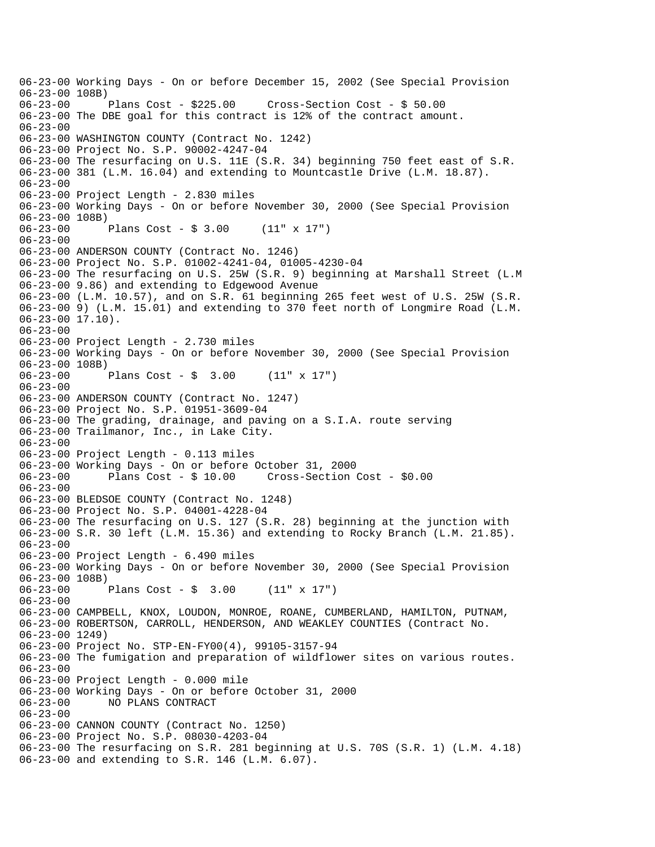06-23-00 Working Days - On or before December 15, 2002 (See Special Provision 06-23-00 108B) 06-23-00 Plans Cost - \$225.00 Cross-Section Cost - \$ 50.00 06-23-00 The DBE goal for this contract is 12% of the contract amount. 06-23-00 06-23-00 WASHINGTON COUNTY (Contract No. 1242) 06-23-00 Project No. S.P. 90002-4247-04 06-23-00 The resurfacing on U.S. 11E (S.R. 34) beginning 750 feet east of S.R. 06-23-00 381 (L.M. 16.04) and extending to Mountcastle Drive (L.M. 18.87). 06-23-00 06-23-00 Project Length - 2.830 miles 06-23-00 Working Days - On or before November 30, 2000 (See Special Provision 06-23-00 108B)<br>06-23-00 Plans Cost -  $$3.00$  (11" x 17") 06-23-00 06-23-00 ANDERSON COUNTY (Contract No. 1246) 06-23-00 Project No. S.P. 01002-4241-04, 01005-4230-04 06-23-00 The resurfacing on U.S. 25W (S.R. 9) beginning at Marshall Street (L.M 06-23-00 9.86) and extending to Edgewood Avenue 06-23-00 (L.M. 10.57), and on S.R. 61 beginning 265 feet west of U.S. 25W (S.R. 06-23-00 9) (L.M. 15.01) and extending to 370 feet north of Longmire Road (L.M. 06-23-00 17.10). 06-23-00 06-23-00 Project Length - 2.730 miles 06-23-00 Working Days - On or before November 30, 2000 (See Special Provision  $06-23-00$  108B)<br> $06-23-00$ Plans Cost -  $\sin 3.00$  (11" x 17") 06-23-00 06-23-00 ANDERSON COUNTY (Contract No. 1247) 06-23-00 Project No. S.P. 01951-3609-04 06-23-00 The grading, drainage, and paving on a S.I.A. route serving 06-23-00 Trailmanor, Inc., in Lake City. 06-23-00 06-23-00 Project Length - 0.113 miles 06-23-00 Working Days - On or before October 31, 2000 06-23-00 Plans Cost - \$ 10.00 Cross-Section Cost - \$0.00 06-23-00 06-23-00 BLEDSOE COUNTY (Contract No. 1248) 06-23-00 Project No. S.P. 04001-4228-04 06-23-00 The resurfacing on U.S. 127 (S.R. 28) beginning at the junction with 06-23-00 S.R. 30 left (L.M. 15.36) and extending to Rocky Branch (L.M. 21.85). 06-23-00 06-23-00 Project Length - 6.490 miles 06-23-00 Working Days - On or before November 30, 2000 (See Special Provision 06-23-00 108B) 06-23-00 Plans Cost - \$ 3.00 (11" x 17") 06-23-00 06-23-00 CAMPBELL, KNOX, LOUDON, MONROE, ROANE, CUMBERLAND, HAMILTON, PUTNAM, 06-23-00 ROBERTSON, CARROLL, HENDERSON, AND WEAKLEY COUNTIES (Contract No. 06-23-00 1249) 06-23-00 Project No. STP-EN-FY00(4), 99105-3157-94 06-23-00 The fumigation and preparation of wildflower sites on various routes. 06-23-00 06-23-00 Project Length - 0.000 mile 06-23-00 Working Days - On or before October 31, 2000 06-23-00 NO PLANS CONTRACT 06-23-00 06-23-00 CANNON COUNTY (Contract No. 1250) 06-23-00 Project No. S.P. 08030-4203-04 06-23-00 The resurfacing on S.R. 281 beginning at U.S. 70S (S.R. 1) (L.M. 4.18) 06-23-00 and extending to S.R. 146 (L.M. 6.07).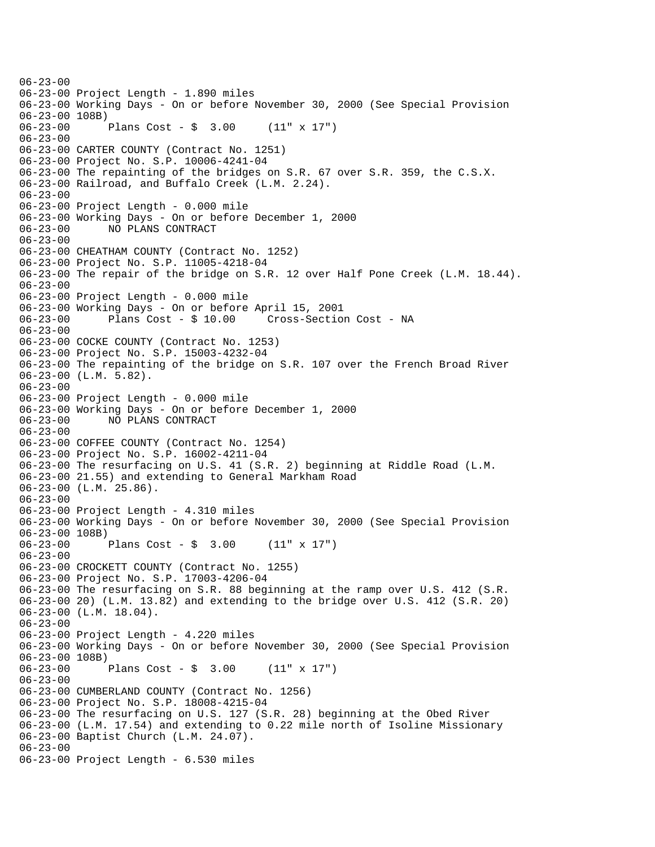$06 - 23 - 00$ 06-23-00 Project Length - 1.890 miles 06-23-00 Working Days - On or before November 30, 2000 (See Special Provision 06-23-00 108B)<br>06-23-00 Plans Cost -  $\frac{1}{2}$  3.00 (11" x 17") 06-23-00 06-23-00 CARTER COUNTY (Contract No. 1251) 06-23-00 Project No. S.P. 10006-4241-04 06-23-00 The repainting of the bridges on S.R. 67 over S.R. 359, the C.S.X. 06-23-00 Railroad, and Buffalo Creek (L.M. 2.24). 06-23-00 06-23-00 Project Length - 0.000 mile 06-23-00 Working Days - On or before December 1, 2000 06-23-00 NO PLANS CONTRACT 06-23-00 06-23-00 CHEATHAM COUNTY (Contract No. 1252) 06-23-00 Project No. S.P. 11005-4218-04 06-23-00 The repair of the bridge on S.R. 12 over Half Pone Creek (L.M. 18.44). 06-23-00 06-23-00 Project Length - 0.000 mile 06-23-00 Working Days - On or before April 15, 2001 06-23-00 Plans Cost - \$ 10.00 Cross-Section Cost - NA 06-23-00 06-23-00 COCKE COUNTY (Contract No. 1253) 06-23-00 Project No. S.P. 15003-4232-04 06-23-00 The repainting of the bridge on S.R. 107 over the French Broad River 06-23-00 (L.M. 5.82). 06-23-00 06-23-00 Project Length - 0.000 mile 06-23-00 Working Days - On or before December 1, 2000 06-23-00 NO PLANS CONTRACT 06-23-00 06-23-00 COFFEE COUNTY (Contract No. 1254) 06-23-00 Project No. S.P. 16002-4211-04 06-23-00 The resurfacing on U.S. 41 (S.R. 2) beginning at Riddle Road (L.M. 06-23-00 21.55) and extending to General Markham Road 06-23-00 (L.M. 25.86). 06-23-00 06-23-00 Project Length - 4.310 miles 06-23-00 Working Days - On or before November 30, 2000 (See Special Provision 06-23-00 108B) 06-23-00 Plans Cost - \$ 3.00 (11" x 17") 06-23-00 06-23-00 CROCKETT COUNTY (Contract No. 1255) 06-23-00 Project No. S.P. 17003-4206-04 06-23-00 The resurfacing on S.R. 88 beginning at the ramp over U.S. 412 (S.R. 06-23-00 20) (L.M. 13.82) and extending to the bridge over U.S. 412 (S.R. 20) 06-23-00 (L.M. 18.04). 06-23-00 06-23-00 Project Length - 4.220 miles 06-23-00 Working Days - On or before November 30, 2000 (See Special Provision 06-23-00 108B)<br>06-23-00 Plans Cost -  $\sin 3.00$  (11" x 17") 06-23-00 06-23-00 CUMBERLAND COUNTY (Contract No. 1256) 06-23-00 Project No. S.P. 18008-4215-04 06-23-00 The resurfacing on U.S. 127 (S.R. 28) beginning at the Obed River 06-23-00 (L.M. 17.54) and extending to 0.22 mile north of Isoline Missionary 06-23-00 Baptist Church (L.M. 24.07). 06-23-00 06-23-00 Project Length - 6.530 miles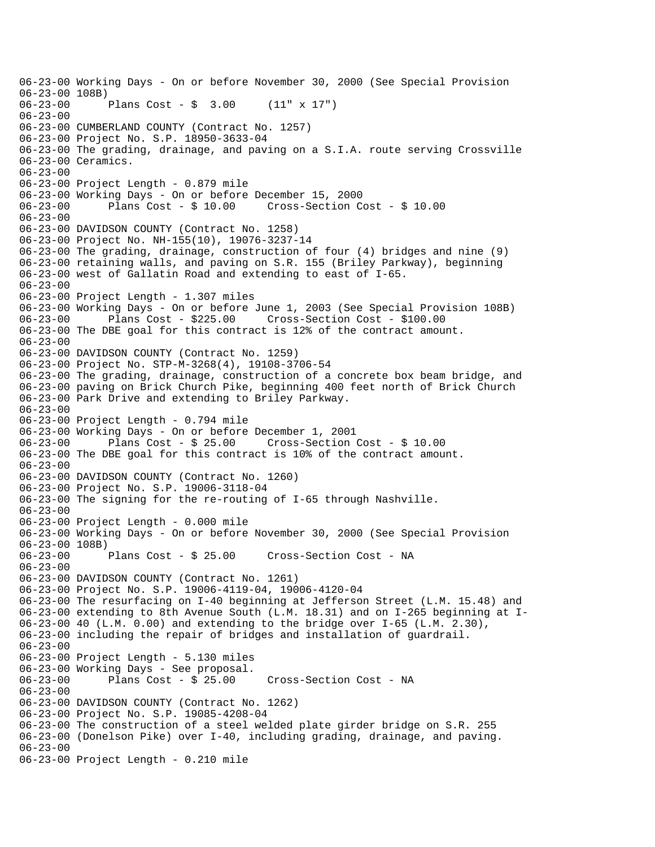06-23-00 Working Days - On or before November 30, 2000 (See Special Provision 06-23-00 108B) 06-23-00 Plans Cost - \$ 3.00 (11" x 17") 06-23-00 06-23-00 CUMBERLAND COUNTY (Contract No. 1257) 06-23-00 Project No. S.P. 18950-3633-04 06-23-00 The grading, drainage, and paving on a S.I.A. route serving Crossville 06-23-00 Ceramics. 06-23-00 06-23-00 Project Length - 0.879 mile 06-23-00 Working Days - On or before December 15, 2000 Plans  $Cost - $ 10.00$  Cross-Section Cost - \$ 10.00  $06 - 23 - 00$ 06-23-00 DAVIDSON COUNTY (Contract No. 1258) 06-23-00 Project No. NH-155(10), 19076-3237-14 06-23-00 The grading, drainage, construction of four (4) bridges and nine (9) 06-23-00 retaining walls, and paving on S.R. 155 (Briley Parkway), beginning 06-23-00 west of Gallatin Road and extending to east of I-65. 06-23-00 06-23-00 Project Length - 1.307 miles 06-23-00 Working Days - On or before June 1, 2003 (See Special Provision 108B) 06-23-00 Plans Cost - \$225.00 Cross-Section Cost - \$100.00 06-23-00 The DBE goal for this contract is 12% of the contract amount. 06-23-00 06-23-00 DAVIDSON COUNTY (Contract No. 1259) 06-23-00 Project No. STP-M-3268(4), 19108-3706-54 06-23-00 The grading, drainage, construction of a concrete box beam bridge, and 06-23-00 paving on Brick Church Pike, beginning 400 feet north of Brick Church 06-23-00 Park Drive and extending to Briley Parkway. 06-23-00 06-23-00 Project Length - 0.794 mile 06-23-00 Working Days - On or before December 1, 2001 06-23-00 Plans Cost - \$ 25.00 Cross-Section Cost - \$ 10.00 06-23-00 The DBE goal for this contract is 10% of the contract amount. 06-23-00 06-23-00 DAVIDSON COUNTY (Contract No. 1260) 06-23-00 Project No. S.P. 19006-3118-04 06-23-00 The signing for the re-routing of I-65 through Nashville.  $06 - 23 - 00$ 06-23-00 Project Length - 0.000 mile 06-23-00 Working Days - On or before November 30, 2000 (See Special Provision 06-23-00 108B) 06-23-00 Plans Cost - \$ 25.00 Cross-Section Cost - NA 06-23-00 06-23-00 DAVIDSON COUNTY (Contract No. 1261) 06-23-00 Project No. S.P. 19006-4119-04, 19006-4120-04 06-23-00 The resurfacing on I-40 beginning at Jefferson Street (L.M. 15.48) and 06-23-00 extending to 8th Avenue South (L.M. 18.31) and on I-265 beginning at I-06-23-00 40 (L.M. 0.00) and extending to the bridge over I-65 (L.M. 2.30), 06-23-00 including the repair of bridges and installation of guardrail. 06-23-00 06-23-00 Project Length - 5.130 miles 06-23-00 Working Days - See proposal. 06-23-00 Plans Cost - \$ 25.00 Cross-Section Cost - NA 06-23-00 06-23-00 DAVIDSON COUNTY (Contract No. 1262) 06-23-00 Project No. S.P. 19085-4208-04 06-23-00 The construction of a steel welded plate girder bridge on S.R. 255 06-23-00 (Donelson Pike) over I-40, including grading, drainage, and paving. 06-23-00 06-23-00 Project Length - 0.210 mile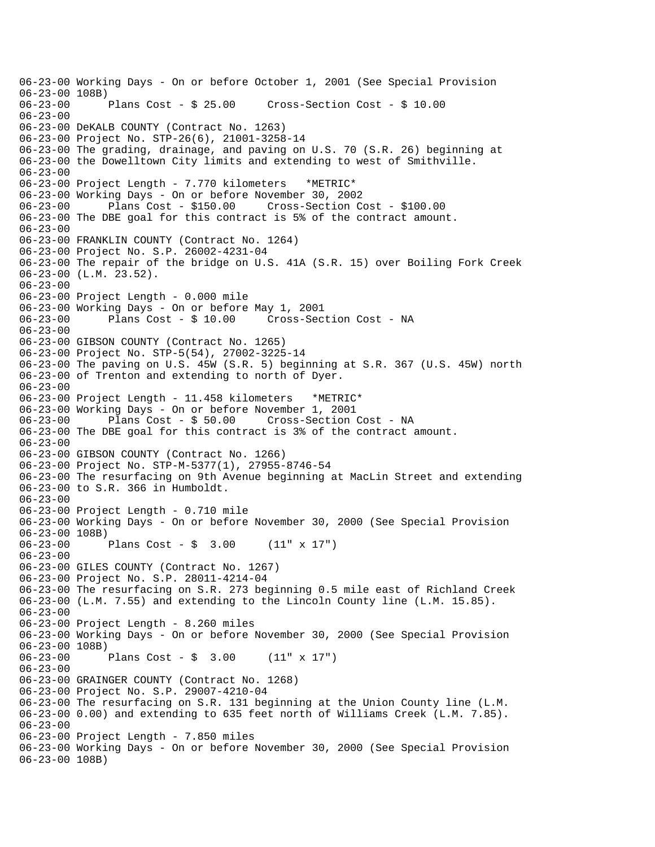06-23-00 Working Days - On or before October 1, 2001 (See Special Provision 06-23-00 108B) 06-23-00 Plans Cost - \$ 25.00 Cross-Section Cost - \$ 10.00 06-23-00 06-23-00 DeKALB COUNTY (Contract No. 1263) 06-23-00 Project No. STP-26(6), 21001-3258-14 06-23-00 The grading, drainage, and paving on U.S. 70 (S.R. 26) beginning at 06-23-00 the Dowelltown City limits and extending to west of Smithville. 06-23-00 06-23-00 Project Length - 7.770 kilometers \*METRIC\* 06-23-00 Working Days - On or before November 30, 2002 06-23-00 Plans Cost - \$150.00 Cross-Section Cost - \$100.00 06-23-00 The DBE goal for this contract is 5% of the contract amount.  $06 - 23 - 00$ 06-23-00 FRANKLIN COUNTY (Contract No. 1264) 06-23-00 Project No. S.P. 26002-4231-04 06-23-00 The repair of the bridge on U.S. 41A (S.R. 15) over Boiling Fork Creek 06-23-00 (L.M. 23.52). 06-23-00 06-23-00 Project Length - 0.000 mile 06-23-00 Working Days - On or before May 1, 2001 06-23-00 Plans Cost - \$ 10.00 Cross-Section Cost - NA 06-23-00 06-23-00 GIBSON COUNTY (Contract No. 1265) 06-23-00 Project No. STP-5(54), 27002-3225-14 06-23-00 The paving on U.S. 45W (S.R. 5) beginning at S.R. 367 (U.S. 45W) north 06-23-00 of Trenton and extending to north of Dyer. 06-23-00 06-23-00 Project Length - 11.458 kilometers \*METRIC\* 06-23-00 Working Days - On or before November 1, 2001 06-23-00 Plans Cost - \$ 50.00 Cross-Section Cost - NA 06-23-00 The DBE goal for this contract is 3% of the contract amount. 06-23-00 06-23-00 GIBSON COUNTY (Contract No. 1266) 06-23-00 Project No. STP-M-5377(1), 27955-8746-54 06-23-00 The resurfacing on 9th Avenue beginning at MacLin Street and extending 06-23-00 to S.R. 366 in Humboldt. 06-23-00 06-23-00 Project Length - 0.710 mile 06-23-00 Working Days - On or before November 30, 2000 (See Special Provision 06-23-00 108B) 06-23-00 Plans Cost - \$ 3.00 (11" x 17") 06-23-00 06-23-00 GILES COUNTY (Contract No. 1267) 06-23-00 Project No. S.P. 28011-4214-04 06-23-00 The resurfacing on S.R. 273 beginning 0.5 mile east of Richland Creek 06-23-00 (L.M. 7.55) and extending to the Lincoln County line (L.M. 15.85). 06-23-00 06-23-00 Project Length - 8.260 miles 06-23-00 Working Days - On or before November 30, 2000 (See Special Provision 06-23-00 108B)<br>06-23-00 1 Plans Cost -  $\sin 3.00$  (11" x 17")  $06 - 23 - 00$ 06-23-00 GRAINGER COUNTY (Contract No. 1268) 06-23-00 Project No. S.P. 29007-4210-04 06-23-00 The resurfacing on S.R. 131 beginning at the Union County line (L.M. 06-23-00 0.00) and extending to 635 feet north of Williams Creek (L.M. 7.85). 06-23-00 06-23-00 Project Length - 7.850 miles 06-23-00 Working Days - On or before November 30, 2000 (See Special Provision 06-23-00 108B)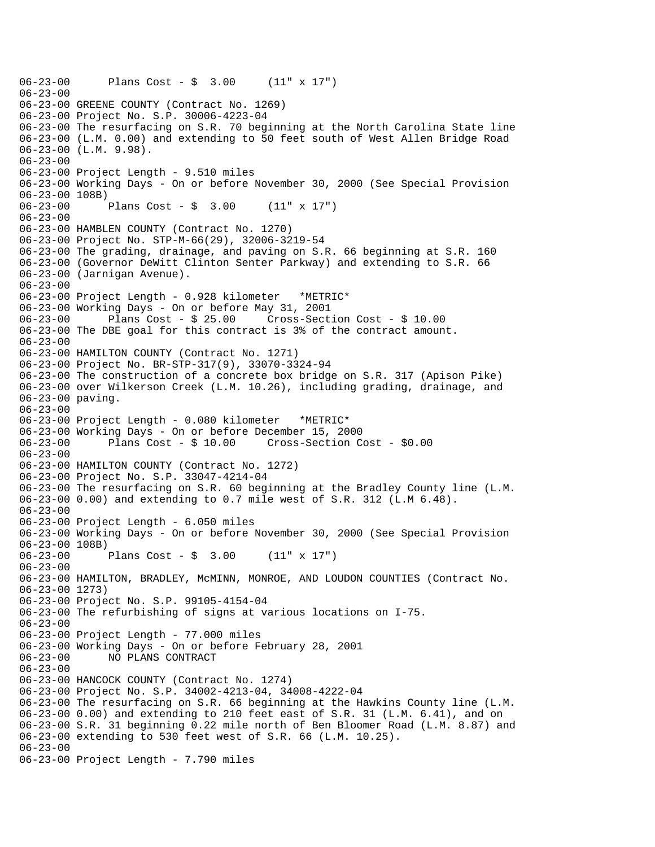06-23-00 Plans Cost - \$ 3.00 (11" x 17")  $06 - 23 - 00$ 06-23-00 GREENE COUNTY (Contract No. 1269) 06-23-00 Project No. S.P. 30006-4223-04 06-23-00 The resurfacing on S.R. 70 beginning at the North Carolina State line 06-23-00 (L.M. 0.00) and extending to 50 feet south of West Allen Bridge Road 06-23-00 (L.M. 9.98). 06-23-00 06-23-00 Project Length - 9.510 miles 06-23-00 Working Days - On or before November 30, 2000 (See Special Provision 06-23-00 108B)<br>06-23-00 1 Plans Cost -  $$3.00$  (11" x 17") 06-23-00 06-23-00 HAMBLEN COUNTY (Contract No. 1270) 06-23-00 Project No. STP-M-66(29), 32006-3219-54 06-23-00 The grading, drainage, and paving on S.R. 66 beginning at S.R. 160 06-23-00 (Governor DeWitt Clinton Senter Parkway) and extending to S.R. 66 06-23-00 (Jarnigan Avenue). 06-23-00 06-23-00 Project Length - 0.928 kilometer \*METRIC\* 06-23-00 Working Days - On or before May 31, 2001 06-23-00 Plans Cost - \$ 25.00 Cross-Section Cost - \$ 10.00 06-23-00 The DBE goal for this contract is 3% of the contract amount. 06-23-00 06-23-00 HAMILTON COUNTY (Contract No. 1271) 06-23-00 Project No. BR-STP-317(9), 33070-3324-94 06-23-00 The construction of a concrete box bridge on S.R. 317 (Apison Pike) 06-23-00 over Wilkerson Creek (L.M. 10.26), including grading, drainage, and 06-23-00 paving. 06-23-00 06-23-00 Project Length - 0.080 kilometer \*METRIC\* 06-23-00 Working Days - On or before December 15, 2000 06-23-00 Plans Cost - \$ 10.00 Cross-Section Cost - \$0.00 06-23-00 06-23-00 HAMILTON COUNTY (Contract No. 1272) 06-23-00 Project No. S.P. 33047-4214-04 06-23-00 The resurfacing on S.R. 60 beginning at the Bradley County line (L.M. 06-23-00 0.00) and extending to 0.7 mile west of S.R. 312 (L.M 6.48).  $06 - 23 - 00$ 06-23-00 Project Length - 6.050 miles 06-23-00 Working Days - On or before November 30, 2000 (See Special Provision 06-23-00 108B) 06-23-00 Plans Cost - \$ 3.00 (11" x 17") 06-23-00 06-23-00 HAMILTON, BRADLEY, McMINN, MONROE, AND LOUDON COUNTIES (Contract No. 06-23-00 1273) 06-23-00 Project No. S.P. 99105-4154-04 06-23-00 The refurbishing of signs at various locations on I-75. 06-23-00 06-23-00 Project Length - 77.000 miles 06-23-00 Working Days - On or before February 28, 2001 06-23-00 NO PLANS CONTRACT  $06 - 23 - 00$ 06-23-00 HANCOCK COUNTY (Contract No. 1274) 06-23-00 Project No. S.P. 34002-4213-04, 34008-4222-04 06-23-00 The resurfacing on S.R. 66 beginning at the Hawkins County line (L.M. 06-23-00 0.00) and extending to 210 feet east of S.R. 31 (L.M. 6.41), and on 06-23-00 S.R. 31 beginning 0.22 mile north of Ben Bloomer Road (L.M. 8.87) and 06-23-00 extending to 530 feet west of S.R. 66 (L.M. 10.25). 06-23-00 06-23-00 Project Length - 7.790 miles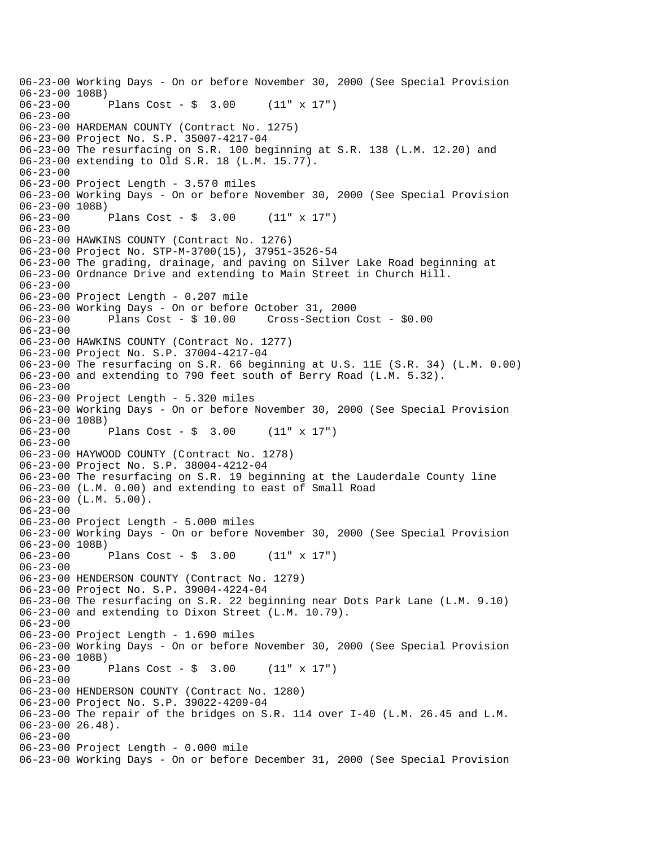06-23-00 Working Days - On or before November 30, 2000 (See Special Provision 06-23-00 108B) 06-23-00 Plans Cost - \$ 3.00 (11" x 17") 06-23-00 06-23-00 HARDEMAN COUNTY (Contract No. 1275) 06-23-00 Project No. S.P. 35007-4217-04 06-23-00 The resurfacing on S.R. 100 beginning at S.R. 138 (L.M. 12.20) and 06-23-00 extending to Old S.R. 18 (L.M. 15.77). 06-23-00 06-23-00 Project Length - 3.570 miles 06-23-00 Working Days - On or before November 30, 2000 (See Special Provision 06-23-00 108B)<br>06-23-00 Plans Cost -  $\sin 3.00$  (11" x 17") 06-23-00 06-23-00 HAWKINS COUNTY (Contract No. 1276) 06-23-00 Project No. STP-M-3700(15), 37951-3526-54 06-23-00 The grading, drainage, and paving on Silver Lake Road beginning at 06-23-00 Ordnance Drive and extending to Main Street in Church Hill. 06-23-00 06-23-00 Project Length - 0.207 mile 06-23-00 Working Days - On or before October 31, 2000 06-23-00 Plans Cost - \$ 10.00 Cross-Section Cost - \$0.00 06-23-00 06-23-00 HAWKINS COUNTY (Contract No. 1277) 06-23-00 Project No. S.P. 37004-4217-04 06-23-00 The resurfacing on S.R. 66 beginning at U.S. 11E (S.R. 34) (L.M. 0.00) 06-23-00 and extending to 790 feet south of Berry Road (L.M. 5.32). 06-23-00 06-23-00 Project Length - 5.320 miles 06-23-00 Working Days - On or before November 30, 2000 (See Special Provision 06-23-00 108B) 06-23-00 Plans Cost - \$ 3.00 (11" x 17") 06-23-00 06-23-00 HAYWOOD COUNTY (Contract No. 1278) 06-23-00 Project No. S.P. 38004-4212-04 06-23-00 The resurfacing on S.R. 19 beginning at the Lauderdale County line 06-23-00 (L.M. 0.00) and extending to east of Small Road 06-23-00 (L.M. 5.00). 06-23-00 06-23-00 Project Length - 5.000 miles 06-23-00 Working Days - On or before November 30, 2000 (See Special Provision 06-23-00 108B) 06-23-00 Plans Cost - \$ 3.00 (11" x 17") 06-23-00 06-23-00 HENDERSON COUNTY (Contract No. 1279) 06-23-00 Project No. S.P. 39004-4224-04 06-23-00 The resurfacing on S.R. 22 beginning near Dots Park Lane (L.M. 9.10) 06-23-00 and extending to Dixon Street (L.M. 10.79). 06-23-00 06-23-00 Project Length - 1.690 miles 06-23-00 Working Days - On or before November 30, 2000 (See Special Provision 06-23-00 108B)<br>06-23-00 Plans Cost -  $\sin 3.00$  (11" x 17") 06-23-00 06-23-00 HENDERSON COUNTY (Contract No. 1280) 06-23-00 Project No. S.P. 39022-4209-04 06-23-00 The repair of the bridges on S.R. 114 over I-40 (L.M. 26.45 and L.M. 06-23-00 26.48). 06-23-00 06-23-00 Project Length - 0.000 mile 06-23-00 Working Days - On or before December 31, 2000 (See Special Provision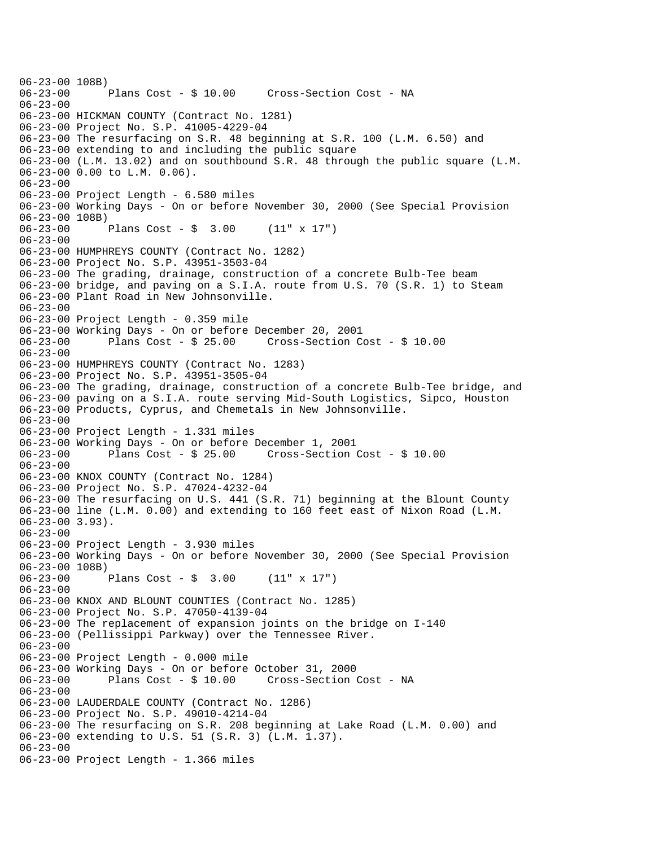06-23-00 108B)<br>06-23-00 Plans Cost - \$ 10.00 Cross-Section Cost - NA 06-23-00 06-23-00 HICKMAN COUNTY (Contract No. 1281) 06-23-00 Project No. S.P. 41005-4229-04 06-23-00 The resurfacing on S.R. 48 beginning at S.R. 100 (L.M. 6.50) and 06-23-00 extending to and including the public square 06-23-00 (L.M. 13.02) and on southbound S.R. 48 through the public square (L.M. 06-23-00 0.00 to L.M. 0.06). 06-23-00 06-23-00 Project Length - 6.580 miles 06-23-00 Working Days - On or before November 30, 2000 (See Special Provision 06-23-00 108B)<br>06-23-00 1 Plans Cost -  $\sin 3.00$  (11" x 17") 06-23-00 06-23-00 HUMPHREYS COUNTY (Contract No. 1282) 06-23-00 Project No. S.P. 43951-3503-04 06-23-00 The grading, drainage, construction of a concrete Bulb-Tee beam 06-23-00 bridge, and paving on a S.I.A. route from U.S. 70 (S.R. 1) to Steam 06-23-00 Plant Road in New Johnsonville. 06-23-00 06-23-00 Project Length - 0.359 mile 06-23-00 Working Days - On or before December 20, 2001 Plans  $Cost - $ 25.00$  Cross-Section Cost -  $$ 10.00$ 06-23-00 06-23-00 HUMPHREYS COUNTY (Contract No. 1283) 06-23-00 Project No. S.P. 43951-3505-04 06-23-00 The grading, drainage, construction of a concrete Bulb-Tee bridge, and 06-23-00 paving on a S.I.A. route serving Mid-South Logistics, Sipco, Houston 06-23-00 Products, Cyprus, and Chemetals in New Johnsonville. 06-23-00 06-23-00 Project Length - 1.331 miles 06-23-00 Working Days - On or before December 1, 2001 06-23-00 Plans Cost - \$ 25.00 Cross-Section Cost - \$ 10.00 06-23-00 06-23-00 KNOX COUNTY (Contract No. 1284) 06-23-00 Project No. S.P. 47024-4232-04 06-23-00 The resurfacing on U.S. 441 (S.R. 71) beginning at the Blount County 06-23-00 line (L.M. 0.00) and extending to 160 feet east of Nixon Road (L.M. 06-23-00 3.93). 06-23-00 06-23-00 Project Length - 3.930 miles 06-23-00 Working Days - On or before November 30, 2000 (See Special Provision 06-23-00 108B) 06-23-00 Plans Cost - \$ 3.00 (11" x 17") 06-23-00 06-23-00 KNOX AND BLOUNT COUNTIES (Contract No. 1285) 06-23-00 Project No. S.P. 47050-4139-04 06-23-00 The replacement of expansion joints on the bridge on I-140 06-23-00 (Pellissippi Parkway) over the Tennessee River. 06-23-00 06-23-00 Project Length - 0.000 mile 06-23-00 Working Days - On or before October 31, 2000 06-23-00 Plans Cost - \$ 10.00 Cross-Section Cost - NA 06-23-00 06-23-00 LAUDERDALE COUNTY (Contract No. 1286) 06-23-00 Project No. S.P. 49010-4214-04 06-23-00 The resurfacing on S.R. 208 beginning at Lake Road (L.M. 0.00) and 06-23-00 extending to U.S. 51 (S.R. 3) (L.M. 1.37). 06-23-00 06-23-00 Project Length - 1.366 miles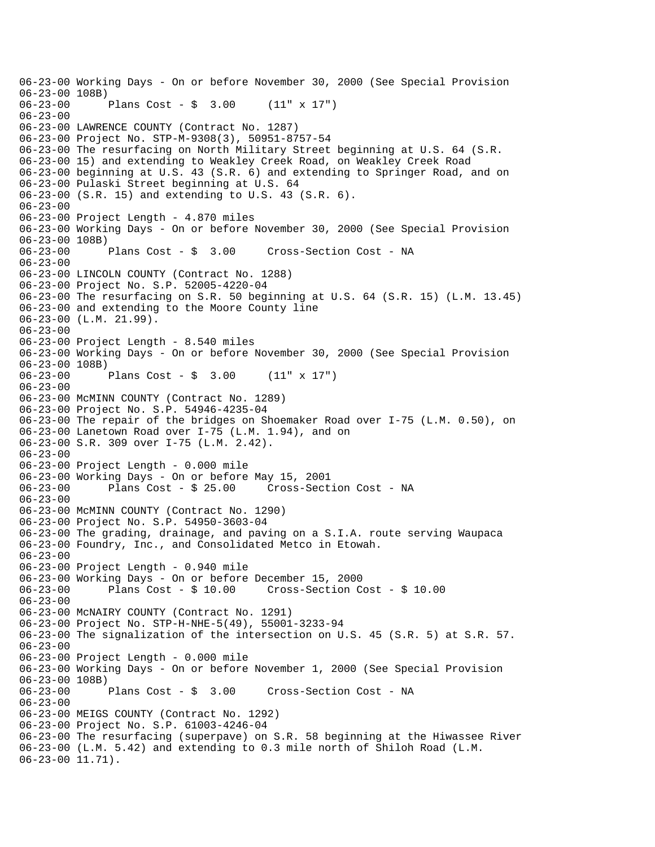06-23-00 Working Days - On or before November 30, 2000 (See Special Provision 06-23-00 108B) 06-23-00 Plans Cost - \$ 3.00 (11" x 17") 06-23-00 06-23-00 LAWRENCE COUNTY (Contract No. 1287) 06-23-00 Project No. STP-M-9308(3), 50951-8757-54 06-23-00 The resurfacing on North Military Street beginning at U.S. 64 (S.R. 06-23-00 15) and extending to Weakley Creek Road, on Weakley Creek Road 06-23-00 beginning at U.S. 43 (S.R. 6) and extending to Springer Road, and on 06-23-00 Pulaski Street beginning at U.S. 64 06-23-00 (S.R. 15) and extending to U.S. 43 (S.R. 6). 06-23-00 06-23-00 Project Length - 4.870 miles 06-23-00 Working Days - On or before November 30, 2000 (See Special Provision 06-23-00 108B) 06-23-00 Plans Cost - \$ 3.00 Cross-Section Cost - NA 06-23-00 06-23-00 LINCOLN COUNTY (Contract No. 1288) 06-23-00 Project No. S.P. 52005-4220-04 06-23-00 The resurfacing on S.R. 50 beginning at U.S. 64 (S.R. 15) (L.M. 13.45) 06-23-00 and extending to the Moore County line 06-23-00 (L.M. 21.99). 06-23-00 06-23-00 Project Length - 8.540 miles 06-23-00 Working Days - On or before November 30, 2000 (See Special Provision 06-23-00 108B)<br>06-23-00 Plans Cost -  $\sin 3.00$  (11" x 17") 06-23-00 06-23-00 McMINN COUNTY (Contract No. 1289) 06-23-00 Project No. S.P. 54946-4235-04 06-23-00 The repair of the bridges on Shoemaker Road over I-75 (L.M. 0.50), on 06-23-00 Lanetown Road over I-75 (L.M. 1.94), and on 06-23-00 S.R. 309 over I-75 (L.M. 2.42). 06-23-00 06-23-00 Project Length - 0.000 mile 06-23-00 Working Days - On or before May 15, 2001 Cross-Section Cost - NA 06-23-00 06-23-00 McMINN COUNTY (Contract No. 1290) 06-23-00 Project No. S.P. 54950-3603-04 06-23-00 The grading, drainage, and paving on a S.I.A. route serving Waupaca 06-23-00 Foundry, Inc., and Consolidated Metco in Etowah. 06-23-00 06-23-00 Project Length - 0.940 mile 06-23-00 Working Days - On or before December 15, 2000 06-23-00 Plans Cost - \$ 10.00 Cross-Section Cost - \$ 10.00 06-23-00 06-23-00 McNAIRY COUNTY (Contract No. 1291) 06-23-00 Project No. STP-H-NHE-5(49), 55001-3233-94 06-23-00 The signalization of the intersection on U.S. 45 (S.R. 5) at S.R. 57. 06-23-00 06-23-00 Project Length - 0.000 mile 06-23-00 Working Days - On or before November 1, 2000 (See Special Provision 06-23-00 108B) 06-23-00 Plans Cost - \$ 3.00 Cross-Section Cost - NA 06-23-00 06-23-00 MEIGS COUNTY (Contract No. 1292) 06-23-00 Project No. S.P. 61003-4246-04 06-23-00 The resurfacing (superpave) on S.R. 58 beginning at the Hiwassee River 06-23-00 (L.M. 5.42) and extending to 0.3 mile north of Shiloh Road (L.M. 06-23-00 11.71).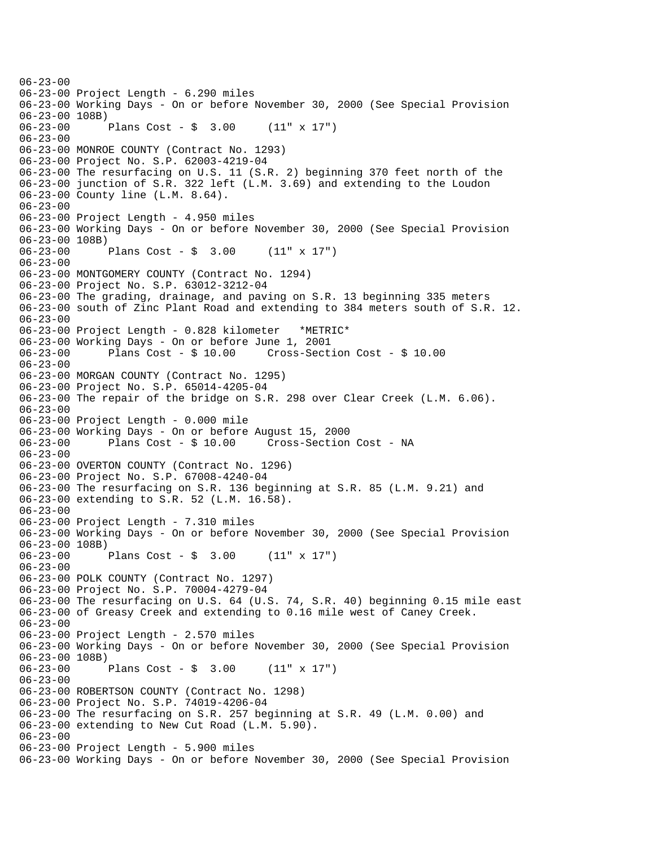$06 - 23 - 00$ 06-23-00 Project Length - 6.290 miles 06-23-00 Working Days - On or before November 30, 2000 (See Special Provision 06-23-00 108B)<br>06-23-00 Plans Cost -  $\frac{1}{2}$  3.00 (11" x 17") 06-23-00 06-23-00 MONROE COUNTY (Contract No. 1293) 06-23-00 Project No. S.P. 62003-4219-04 06-23-00 The resurfacing on U.S. 11 (S.R. 2) beginning 370 feet north of the 06-23-00 junction of S.R. 322 left (L.M. 3.69) and extending to the Loudon 06-23-00 County line (L.M. 8.64). 06-23-00 06-23-00 Project Length - 4.950 miles 06-23-00 Working Days - On or before November 30, 2000 (See Special Provision 06-23-00 108B) 06-23-00 Plans Cost - \$ 3.00 (11" x 17") 06-23-00 06-23-00 MONTGOMERY COUNTY (Contract No. 1294) 06-23-00 Project No. S.P. 63012-3212-04 06-23-00 The grading, drainage, and paving on S.R. 13 beginning 335 meters 06-23-00 south of Zinc Plant Road and extending to 384 meters south of S.R. 12. 06-23-00 06-23-00 Project Length - 0.828 kilometer \*METRIC\* 06-23-00 Working Days - On or before June 1, 2001 06-23-00 Plans Cost - \$ 10.00 Cross-Section Cost - \$ 10.00 06-23-00 06-23-00 MORGAN COUNTY (Contract No. 1295) 06-23-00 Project No. S.P. 65014-4205-04 06-23-00 The repair of the bridge on S.R. 298 over Clear Creek (L.M. 6.06). 06-23-00 06-23-00 Project Length - 0.000 mile 06-23-00 Working Days - On or before August 15, 2000 06-23-00 Plans Cost - \$ 10.00 Cross-Section Cost - NA 06-23-00 06-23-00 OVERTON COUNTY (Contract No. 1296) 06-23-00 Project No. S.P. 67008-4240-04 06-23-00 The resurfacing on S.R. 136 beginning at S.R. 85 (L.M. 9.21) and 06-23-00 extending to S.R. 52 (L.M. 16.58). 06-23-00 06-23-00 Project Length - 7.310 miles 06-23-00 Working Days - On or before November 30, 2000 (See Special Provision 06-23-00 108B) 06-23-00 Plans Cost - \$ 3.00 (11" x 17") 06-23-00 06-23-00 POLK COUNTY (Contract No. 1297) 06-23-00 Project No. S.P. 70004-4279-04 06-23-00 The resurfacing on U.S. 64 (U.S. 74, S.R. 40) beginning 0.15 mile east 06-23-00 of Greasy Creek and extending to 0.16 mile west of Caney Creek. 06-23-00 06-23-00 Project Length - 2.570 miles 06-23-00 Working Days - On or before November 30, 2000 (See Special Provision 06-23-00 108B)<br>06-23-00 Plans Cost -  $\sin 3.00$  (11" x 17") 06-23-00 06-23-00 ROBERTSON COUNTY (Contract No. 1298) 06-23-00 Project No. S.P. 74019-4206-04 06-23-00 The resurfacing on S.R. 257 beginning at S.R. 49 (L.M. 0.00) and 06-23-00 extending to New Cut Road (L.M. 5.90). 06-23-00 06-23-00 Project Length - 5.900 miles 06-23-00 Working Days - On or before November 30, 2000 (See Special Provision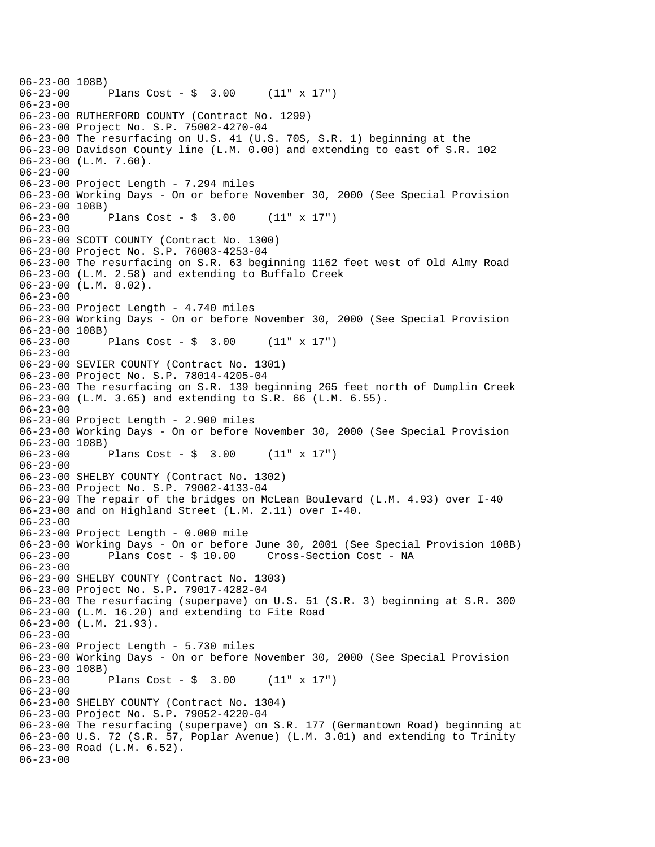```
06-23-00 108B)<br>06-23-00
              Plans Cost - \sin 3.00 (11" x 17")
06-23-00 
06-23-00 RUTHERFORD COUNTY (Contract No. 1299) 
06-23-00 Project No. S.P. 75002-4270-04 
06-23-00 The resurfacing on U.S. 41 (U.S. 70S, S.R. 1) beginning at the 
06-23-00 Davidson County line (L.M. 0.00) and extending to east of S.R. 102 
06-23-00 (L.M. 7.60). 
06-23-00 
06-23-00 Project Length - 7.294 miles 
06-23-00 Working Days - On or before November 30, 2000 (See Special Provision 
06-23-00 108B)<br>06-23-00
              Plans Cost - \sin 3.00 (11" x 17")
06 - 23 - 0006-23-00 SCOTT COUNTY (Contract No. 1300) 
06-23-00 Project No. S.P. 76003-4253-04 
06-23-00 The resurfacing on S.R. 63 beginning 1162 feet west of Old Almy Road 
06-23-00 (L.M. 2.58) and extending to Buffalo Creek 
06-23-00 (L.M. 8.02). 
06-23-00 
06-23-00 Project Length - 4.740 miles 
06-23-00 Working Days - On or before November 30, 2000 (See Special Provision 
06-23-00 108B)<br>06-23-00 1
              Plans Cost - $3.00 (11" x 17")
06-23-00 
06-23-00 SEVIER COUNTY (Contract No. 1301) 
06-23-00 Project No. S.P. 78014-4205-04 
06-23-00 The resurfacing on S.R. 139 beginning 265 feet north of Dumplin Creek 
06-23-00 (L.M. 3.65) and extending to S.R. 66 (L.M. 6.55). 
06-23-00 
06-23-00 Project Length - 2.900 miles 
06-23-00 Working Days - On or before November 30, 2000 (See Special Provision 
06-23-00 108B)<br>06-23-00 1
              Plans Cost - $3.00 (11" x 17")
06-23-00 
06-23-00 SHELBY COUNTY (Contract No. 1302) 
06-23-00 Project No. S.P. 79002-4133-04 
06-23-00 The repair of the bridges on McLean Boulevard (L.M. 4.93) over I-40 
06-23-00 and on Highland Street (L.M. 2.11) over I-40. 
06-23-00 
06-23-00 Project Length - 0.000 mile 
06-23-00 Working Days - On or before June 30, 2001 (See Special Provision 108B) 
06-23-00 Plans Cost - $ 10.00 Cross-Section Cost - NA 
06-23-00 
06-23-00 SHELBY COUNTY (Contract No. 1303) 
06-23-00 Project No. S.P. 79017-4282-04 
06-23-00 The resurfacing (superpave) on U.S. 51 (S.R. 3) beginning at S.R. 300 
06-23-00 (L.M. 16.20) and extending to Fite Road 
06-23-00 (L.M. 21.93). 
06-23-00 
06-23-00 Project Length - 5.730 miles 
06-23-00 Working Days - On or before November 30, 2000 (See Special Provision 
06-23-00 108B) 
06-23-00 Plans Cost - $ 3.00 (11" x 17") 
06-23-00 
06-23-00 SHELBY COUNTY (Contract No. 1304) 
06-23-00 Project No. S.P. 79052-4220-04 
06-23-00 The resurfacing (superpave) on S.R. 177 (Germantown Road) beginning at 
06-23-00 U.S. 72 (S.R. 57, Poplar Avenue) (L.M. 3.01) and extending to Trinity 
06-23-00 Road (L.M. 6.52). 
06-23-00
```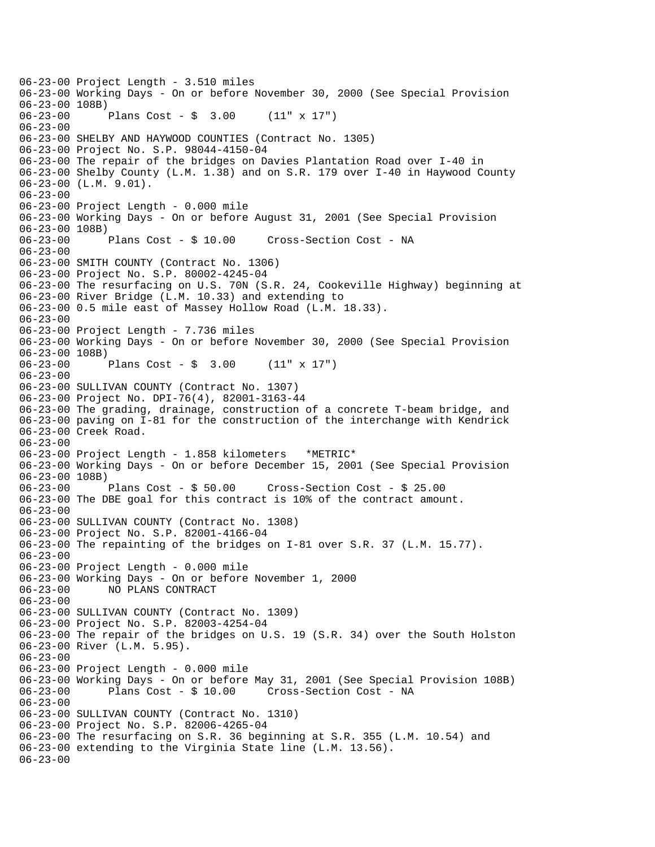06-23-00 Project Length - 3.510 miles 06-23-00 Working Days - On or before November 30, 2000 (See Special Provision 06-23-00 108B)<br>06-23-00 1 Plans Cost -  $\frac{1}{2}$  3.00 (11" x 17") 06-23-00 06-23-00 SHELBY AND HAYWOOD COUNTIES (Contract No. 1305) 06-23-00 Project No. S.P. 98044-4150-04 06-23-00 The repair of the bridges on Davies Plantation Road over I-40 in 06-23-00 Shelby County (L.M. 1.38) and on S.R. 179 over I-40 in Haywood County 06-23-00 (L.M. 9.01). 06-23-00 06-23-00 Project Length - 0.000 mile 06-23-00 Working Days - On or before August 31, 2001 (See Special Provision 06-23-00 108B)<br>06-23-00 Plans Cost - \$ 10.00 Cross-Section Cost - NA 06-23-00 06-23-00 SMITH COUNTY (Contract No. 1306) 06-23-00 Project No. S.P. 80002-4245-04 06-23-00 The resurfacing on U.S. 70N (S.R. 24, Cookeville Highway) beginning at 06-23-00 River Bridge (L.M. 10.33) and extending to 06-23-00 0.5 mile east of Massey Hollow Road (L.M. 18.33). 06-23-00 06-23-00 Project Length - 7.736 miles 06-23-00 Working Days - On or before November 30, 2000 (See Special Provision 06-23-00 108B)<br>06-23-00 1 Plans Cost -  $\sin 3.00$  (11" x 17")  $06 - 23 - 00$ 06-23-00 SULLIVAN COUNTY (Contract No. 1307) 06-23-00 Project No. DPI-76(4), 82001-3163-44 06-23-00 The grading, drainage, construction of a concrete T-beam bridge, and 06-23-00 paving on I-81 for the construction of the interchange with Kendrick 06-23-00 Creek Road. 06-23-00 06-23-00 Project Length - 1.858 kilometers \*METRIC\* 06-23-00 Working Days - On or before December 15, 2001 (See Special Provision 06-23-00 108B)<br>06-23-00 Plans Cost - \$ 50.00 06-23-00 Plans Cost - \$ 50.00 Cross-Section Cost - \$ 25.00 06-23-00 The DBE goal for this contract is 10% of the contract amount.  $06 - 23 - 00$ 06-23-00 SULLIVAN COUNTY (Contract No. 1308) 06-23-00 Project No. S.P. 82001-4166-04 06-23-00 The repainting of the bridges on I-81 over S.R. 37 (L.M. 15.77). 06-23-00 06-23-00 Project Length - 0.000 mile 06-23-00 Working Days - On or before November 1, 2000 06-23-00 NO PLANS CONTRACT 06-23-00 06-23-00 SULLIVAN COUNTY (Contract No. 1309) 06-23-00 Project No. S.P. 82003-4254-04 06-23-00 The repair of the bridges on U.S. 19 (S.R. 34) over the South Holston 06-23-00 River (L.M. 5.95). 06-23-00 06-23-00 Project Length - 0.000 mile 06-23-00 Working Days - On or before May 31, 2001 (See Special Provision 108B) 06-23-00 Plans Cost - \$ 10.00 Cross-Section Cost - NA 06-23-00 06-23-00 SULLIVAN COUNTY (Contract No. 1310) 06-23-00 Project No. S.P. 82006-4265-04 06-23-00 The resurfacing on S.R. 36 beginning at S.R. 355 (L.M. 10.54) and 06-23-00 extending to the Virginia State line (L.M. 13.56). 06-23-00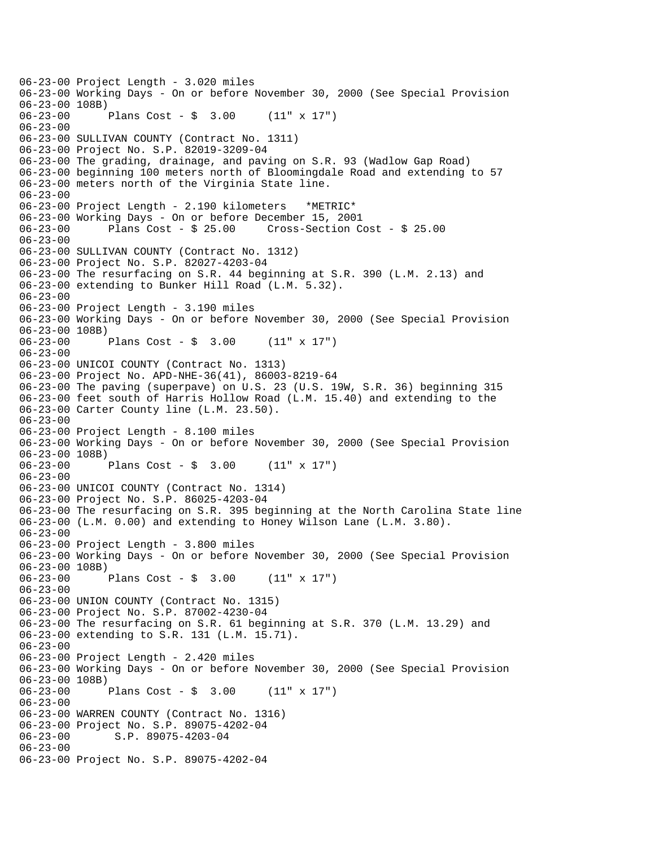06-23-00 Project Length - 3.020 miles 06-23-00 Working Days - On or before November 30, 2000 (See Special Provision 06-23-00 108B)<br>06-23-00 1 Plans Cost -  $\frac{1}{2}$  3.00 (11" x 17") 06-23-00 06-23-00 SULLIVAN COUNTY (Contract No. 1311) 06-23-00 Project No. S.P. 82019-3209-04 06-23-00 The grading, drainage, and paving on S.R. 93 (Wadlow Gap Road) 06-23-00 beginning 100 meters north of Bloomingdale Road and extending to 57 06-23-00 meters north of the Virginia State line. 06-23-00 06-23-00 Project Length - 2.190 kilometers \*METRIC\* 06-23-00 Working Days - On or before December 15, 2001 06-23-00 Plans Cost - \$ 25.00 Cross-Section Cost - \$ 25.00 06-23-00 06-23-00 SULLIVAN COUNTY (Contract No. 1312) 06-23-00 Project No. S.P. 82027-4203-04 06-23-00 The resurfacing on S.R. 44 beginning at S.R. 390 (L.M. 2.13) and 06-23-00 extending to Bunker Hill Road (L.M. 5.32). 06-23-00 06-23-00 Project Length - 3.190 miles 06-23-00 Working Days - On or before November 30, 2000 (See Special Provision 06-23-00 108B)<br>06-23-00 Plans Cost -  $\frac{1}{2}$  3.00 (11" x 17") 06-23-00 06-23-00 UNICOI COUNTY (Contract No. 1313) 06-23-00 Project No. APD-NHE-36(41), 86003-8219-64 06-23-00 The paving (superpave) on U.S. 23 (U.S. 19W, S.R. 36) beginning 315 06-23-00 feet south of Harris Hollow Road (L.M. 15.40) and extending to the 06-23-00 Carter County line (L.M. 23.50). 06-23-00 06-23-00 Project Length - 8.100 miles 06-23-00 Working Days - On or before November 30, 2000 (See Special Provision 06-23-00 108B) 06-23-00 Plans Cost - \$ 3.00 (11" x 17") 06-23-00 06-23-00 UNICOI COUNTY (Contract No. 1314) 06-23-00 Project No. S.P. 86025-4203-04 06-23-00 The resurfacing on S.R. 395 beginning at the North Carolina State line 06-23-00 (L.M. 0.00) and extending to Honey Wilson Lane (L.M. 3.80). 06-23-00 06-23-00 Project Length - 3.800 miles 06-23-00 Working Days - On or before November 30, 2000 (See Special Provision 06-23-00 108B) 06-23-00 Plans Cost - \$ 3.00 (11" x 17") 06-23-00 06-23-00 UNION COUNTY (Contract No. 1315) 06-23-00 Project No. S.P. 87002-4230-04 06-23-00 The resurfacing on S.R. 61 beginning at S.R. 370 (L.M. 13.29) and 06-23-00 extending to S.R. 131 (L.M. 15.71). 06-23-00 06-23-00 Project Length - 2.420 miles 06-23-00 Working Days - On or before November 30, 2000 (See Special Provision 06-23-00 108B) 06-23-00 Plans Cost - \$ 3.00 (11" x 17") 06-23-00 06-23-00 WARREN COUNTY (Contract No. 1316) 06-23-00 Project No. S.P. 89075-4202-04 06-23-00 S.P. 89075-4203-04 06-23-00 06-23-00 Project No. S.P. 89075-4202-04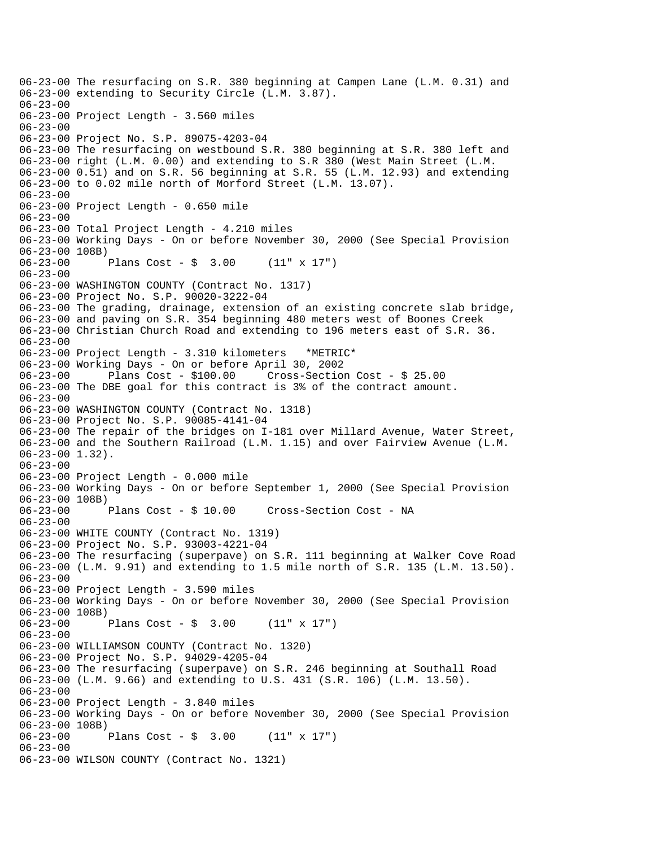06-23-00 The resurfacing on S.R. 380 beginning at Campen Lane (L.M. 0.31) and 06-23-00 extending to Security Circle (L.M. 3.87). 06-23-00 06-23-00 Project Length - 3.560 miles 06-23-00 06-23-00 Project No. S.P. 89075-4203-04 06-23-00 The resurfacing on westbound S.R. 380 beginning at S.R. 380 left and 06-23-00 right (L.M. 0.00) and extending to S.R 380 (West Main Street (L.M. 06-23-00 0.51) and on S.R. 56 beginning at S.R. 55 (L.M. 12.93) and extending 06-23-00 to 0.02 mile north of Morford Street (L.M. 13.07). 06-23-00 06-23-00 Project Length - 0.650 mile 06-23-00 06-23-00 Total Project Length - 4.210 miles 06-23-00 Working Days - On or before November 30, 2000 (See Special Provision 06-23-00 108B)<br>06-23-00 1 Plans Cost -  $\frac{1}{2}$  3.00 (11" x 17") 06-23-00 06-23-00 WASHINGTON COUNTY (Contract No. 1317) 06-23-00 Project No. S.P. 90020-3222-04 06-23-00 The grading, drainage, extension of an existing concrete slab bridge, 06-23-00 and paving on S.R. 354 beginning 480 meters west of Boones Creek 06-23-00 Christian Church Road and extending to 196 meters east of S.R. 36. 06-23-00 06-23-00 Project Length - 3.310 kilometers \*METRIC\* 06-23-00 Working Days - On or before April 30, 2002 06-23-00 Plans Cost - \$100.00 Cross-Section Cost - \$ 25.00 06-23-00 The DBE goal for this contract is 3% of the contract amount. 06-23-00 06-23-00 WASHINGTON COUNTY (Contract No. 1318) 06-23-00 Project No. S.P. 90085-4141-04 06-23-00 The repair of the bridges on I-181 over Millard Avenue, Water Street, 06-23-00 and the Southern Railroad (L.M. 1.15) and over Fairview Avenue (L.M. 06-23-00 1.32). 06-23-00 06-23-00 Project Length - 0.000 mile 06-23-00 Working Days - On or before September 1, 2000 (See Special Provision 06-23-00 108B)<br>06-23-00 Plans Cost - \$ 10.00 Cross-Section Cost - NA  $06 - 23 - 00$ 06-23-00 WHITE COUNTY (Contract No. 1319) 06-23-00 Project No. S.P. 93003-4221-04 06-23-00 The resurfacing (superpave) on S.R. 111 beginning at Walker Cove Road 06-23-00 (L.M. 9.91) and extending to 1.5 mile north of S.R. 135 (L.M. 13.50). 06-23-00 06-23-00 Project Length - 3.590 miles 06-23-00 Working Days - On or before November 30, 2000 (See Special Provision 06-23-00 108B) 06-23-00 Plans Cost - \$ 3.00 (11" x 17") 06-23-00 06-23-00 WILLIAMSON COUNTY (Contract No. 1320) 06-23-00 Project No. S.P. 94029-4205-04 06-23-00 The resurfacing (superpave) on S.R. 246 beginning at Southall Road 06-23-00 (L.M. 9.66) and extending to U.S. 431 (S.R. 106) (L.M. 13.50). 06-23-00 06-23-00 Project Length - 3.840 miles 06-23-00 Working Days - On or before November 30, 2000 (See Special Provision 06-23-00 108B) 06-23-00 Plans Cost - \$ 3.00 (11" x 17") 06-23-00 06-23-00 WILSON COUNTY (Contract No. 1321)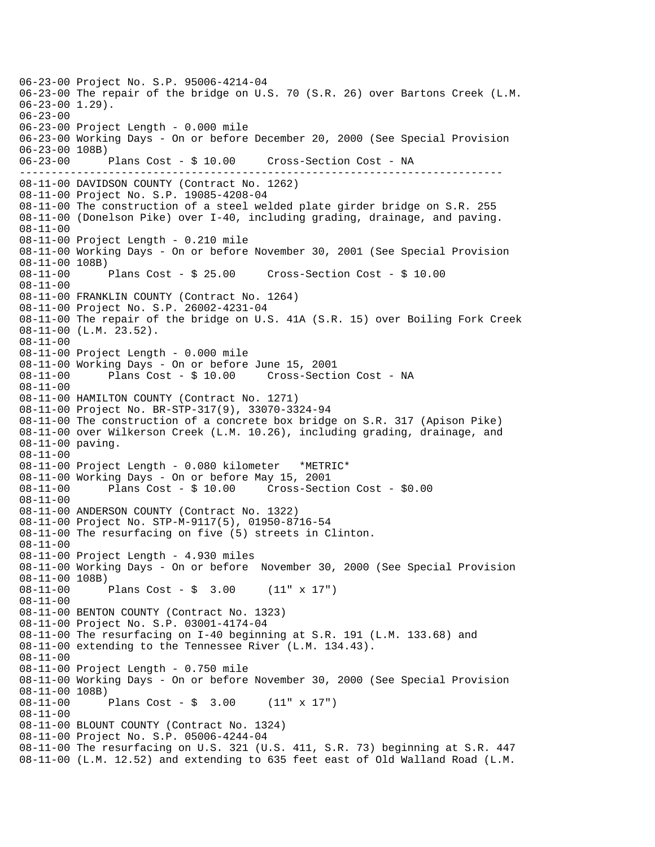---------------------------------------------------------------------------- 06-23-00 Project No. S.P. 95006-4214-04 06-23-00 The repair of the bridge on U.S. 70 (S.R. 26) over Bartons Creek (L.M. 06-23-00 1.29). 06-23-00 06-23-00 Project Length - 0.000 mile 06-23-00 Working Days - On or before December 20, 2000 (See Special Provision 06-23-00 108B) 06-23-00 Plans Cost - \$ 10.00 Cross-Section Cost - NA 08-11-00 DAVIDSON COUNTY (Contract No. 1262) 08-11-00 Project No. S.P. 19085-4208-04 08-11-00 The construction of a steel welded plate girder bridge on S.R. 255 08-11-00 (Donelson Pike) over I-40, including grading, drainage, and paving. 08-11-00 08-11-00 Project Length - 0.210 mile 08-11-00 Working Days - On or before November 30, 2001 (See Special Provision 08-11-00 108B) 08-11-00 Plans Cost - \$ 25.00 Cross-Section Cost - \$ 10.00 08-11-00 08-11-00 FRANKLIN COUNTY (Contract No. 1264) 08-11-00 Project No. S.P. 26002-4231-04 08-11-00 The repair of the bridge on U.S. 41A (S.R. 15) over Boiling Fork Creek 08-11-00 (L.M. 23.52). 08-11-00 08-11-00 Project Length - 0.000 mile 08-11-00 Working Days - On or before June 15, 2001 08-11-00 Plans Cost - \$ 10.00 Cross-Section Cost - NA 08-11-00 08-11-00 HAMILTON COUNTY (Contract No. 1271) 08-11-00 Project No. BR-STP-317(9), 33070-3324-94 08-11-00 The construction of a concrete box bridge on S.R. 317 (Apison Pike) 08-11-00 over Wilkerson Creek (L.M. 10.26), including grading, drainage, and 08-11-00 paving. 08-11-00 08-11-00 Project Length - 0.080 kilometer \*METRIC\* 08-11-00 Working Days - On or before May 15, 2001 08-11-00 Plans Cost - \$ 10.00 Cross-Section Cost - \$0.00 08-11-00 08-11-00 ANDERSON COUNTY (Contract No. 1322) 08-11-00 Project No. STP-M-9117(5), 01950-8716-54 08-11-00 The resurfacing on five (5) streets in Clinton. 08-11-00 08-11-00 Project Length - 4.930 miles 08-11-00 Working Days - On or before November 30, 2000 (See Special Provision 08-11-00 108B) 08-11-00 Plans Cost - \$ 3.00 (11" x 17") 08-11-00 08-11-00 BENTON COUNTY (Contract No. 1323) 08-11-00 Project No. S.P. 03001-4174-04 08-11-00 The resurfacing on I-40 beginning at S.R. 191 (L.M. 133.68) and 08-11-00 extending to the Tennessee River (L.M. 134.43). 08-11-00 08-11-00 Project Length - 0.750 mile 08-11-00 Working Days - On or before November 30, 2000 (See Special Provision 08-11-00 108B) 08-11-00 Plans Cost - \$ 3.00 (11" x 17") 08-11-00 08-11-00 BLOUNT COUNTY (Contract No. 1324) 08-11-00 Project No. S.P. 05006-4244-04 08-11-00 The resurfacing on U.S. 321 (U.S. 411, S.R. 73) beginning at S.R. 447 08-11-00 (L.M. 12.52) and extending to 635 feet east of Old Walland Road (L.M.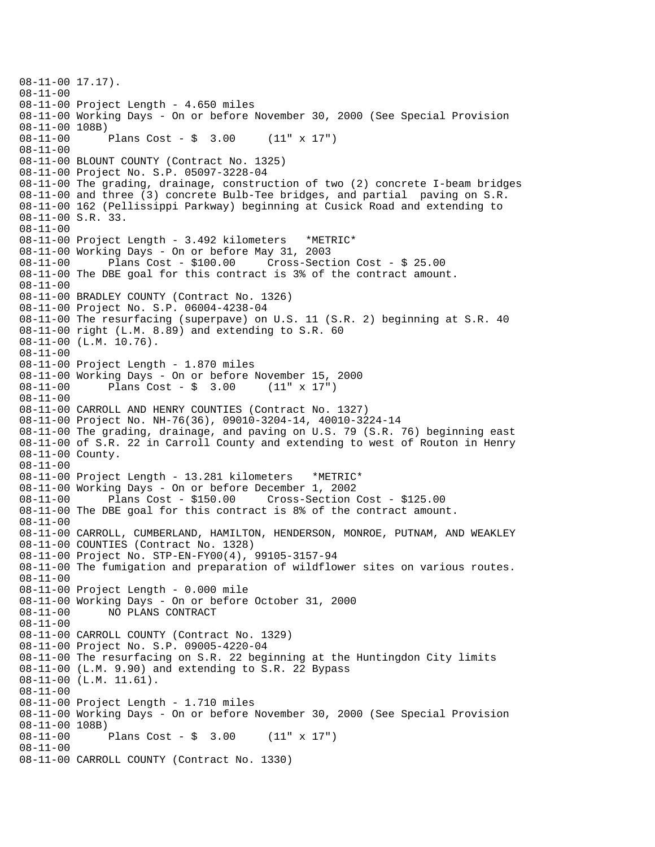```
08-11-00 17.17). 
08-11-00 
08-11-00 Project Length - 4.650 miles 
08-11-00 Working Days - On or before November 30, 2000 (See Special Provision 
08-11-00 108B) 
08-11-00 Plans Cost - $ 3.00 (11" x 17") 
08-11-00 
08-11-00 BLOUNT COUNTY (Contract No. 1325) 
08-11-00 Project No. S.P. 05097-3228-04 
08-11-00 The grading, drainage, construction of two (2) concrete I-beam bridges 
08-11-00 and three (3) concrete Bulb-Tee bridges, and partial paving on S.R. 
08-11-00 162 (Pellissippi Parkway) beginning at Cusick Road and extending to 
08-11-00 S.R. 33. 
08-11-00 
08-11-00 Project Length - 3.492 kilometers *METRIC* 
08-11-00 Working Days - On or before May 31, 2003 
              Plans Cost - $100.00 Cross-Section Cost - $25.0008-11-00 The DBE goal for this contract is 3% of the contract amount. 
08-11-00 
08-11-00 BRADLEY COUNTY (Contract No. 1326) 
08-11-00 Project No. S.P. 06004-4238-04 
08-11-00 The resurfacing (superpave) on U.S. 11 (S.R. 2) beginning at S.R. 40 
08-11-00 right (L.M. 8.89) and extending to S.R. 60 
08-11-00 (L.M. 10.76). 
08-11-00 
08-11-00 Project Length - 1.870 miles 
08-11-00 Working Days - On or before November 15, 2000<br>08-11-00 Plans Cost - $ 3.00 (11" x 17")
              Plans Cost - $ 3.0008-11-00 
08-11-00 CARROLL AND HENRY COUNTIES (Contract No. 1327) 
08-11-00 Project No. NH-76(36), 09010-3204-14, 40010-3224-14 
08-11-00 The grading, drainage, and paving on U.S. 79 (S.R. 76) beginning east 
08-11-00 of S.R. 22 in Carroll County and extending to west of Routon in Henry 
08-11-00 County. 
08-11-00 
08-11-00 Project Length - 13.281 kilometers *METRIC* 
08-11-00 Working Days - On or before December 1, 2002 
08-11-00 Plans Cost - $150.00 Cross-Section Cost - $125.00 
08-11-00 The DBE goal for this contract is 8% of the contract amount. 
08-11-00 
08-11-00 CARROLL, CUMBERLAND, HAMILTON, HENDERSON, MONROE, PUTNAM, AND WEAKLEY 
08-11-00 COUNTIES (Contract No. 1328) 
08-11-00 Project No. STP-EN-FY00(4), 99105-3157-94 
08-11-00 The fumigation and preparation of wildflower sites on various routes. 
08-11-00 
08-11-00 Project Length - 0.000 mile 
08-11-00 Working Days - On or before October 31, 2000 
08-11-00 NO PLANS CONTRACT 
08-11-00 
08-11-00 CARROLL COUNTY (Contract No. 1329) 
08-11-00 Project No. S.P. 09005-4220-04 
08-11-00 The resurfacing on S.R. 22 beginning at the Huntingdon City limits 
08-11-00 (L.M. 9.90) and extending to S.R. 22 Bypass 
08-11-00 (L.M. 11.61). 
08-11-00 
08-11-00 Project Length - 1.710 miles 
08-11-00 Working Days - On or before November 30, 2000 (See Special Provision 
08-11-00 108B) 
08-11-00 Plans Cost - $ 3.00 (11" x 17") 
08-11-00 
08-11-00 CARROLL COUNTY (Contract No. 1330)
```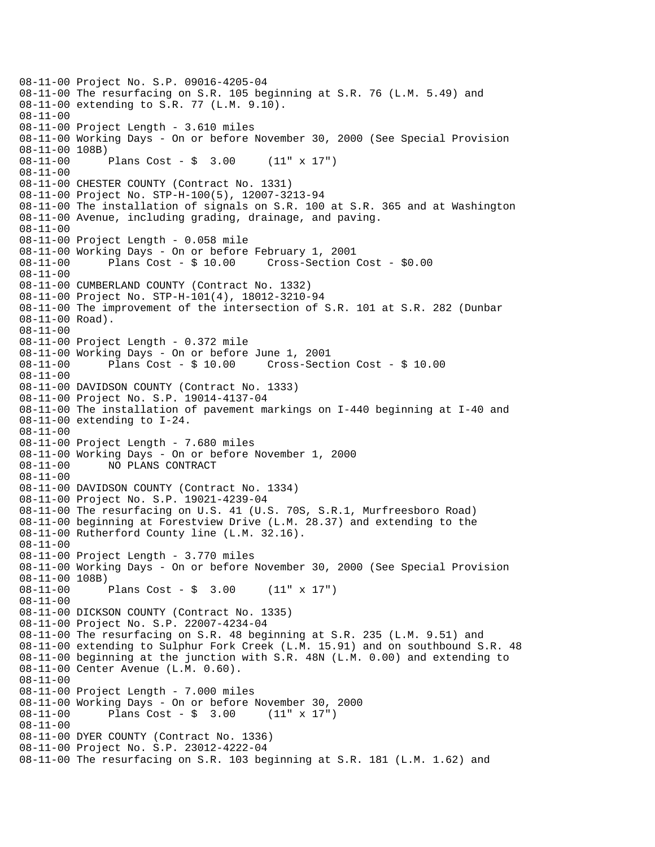08-11-00 Project No. S.P. 09016-4205-04 08-11-00 The resurfacing on S.R. 105 beginning at S.R. 76 (L.M. 5.49) and 08-11-00 extending to S.R. 77 (L.M. 9.10). 08-11-00 08-11-00 Project Length - 3.610 miles 08-11-00 Working Days - On or before November 30, 2000 (See Special Provision 08-11-00 108B) 08-11-00 Plans Cost - \$ 3.00 (11" x 17") 08-11-00 08-11-00 CHESTER COUNTY (Contract No. 1331) 08-11-00 Project No. STP-H-100(5), 12007-3213-94 08-11-00 The installation of signals on S.R. 100 at S.R. 365 and at Washington 08-11-00 Avenue, including grading, drainage, and paving. 08-11-00 08-11-00 Project Length - 0.058 mile 08-11-00 Working Days - On or before February 1, 2001 Cross-Section Cost - \$0.00 08-11-00 08-11-00 CUMBERLAND COUNTY (Contract No. 1332) 08-11-00 Project No. STP-H-101(4), 18012-3210-94 08-11-00 The improvement of the intersection of S.R. 101 at S.R. 282 (Dunbar 08-11-00 Road). 08-11-00 08-11-00 Project Length - 0.372 mile 08-11-00 Working Days - On or before June 1, 2001 08-11-00 Plans Cost - \$ 10.00 Cross-Section Cost - \$ 10.00 08-11-00 08-11-00 DAVIDSON COUNTY (Contract No. 1333) 08-11-00 Project No. S.P. 19014-4137-04 08-11-00 The installation of pavement markings on I-440 beginning at I-40 and 08-11-00 extending to I-24. 08-11-00 08-11-00 Project Length - 7.680 miles 08-11-00 Working Days - On or before November 1, 2000 08-11-00 NO PLANS CONTRACT 08-11-00 08-11-00 DAVIDSON COUNTY (Contract No. 1334) 08-11-00 Project No. S.P. 19021-4239-04 08-11-00 The resurfacing on U.S. 41 (U.S. 70S, S.R.1, Murfreesboro Road) 08-11-00 beginning at Forestview Drive (L.M. 28.37) and extending to the 08-11-00 Rutherford County line (L.M. 32.16). 08-11-00 08-11-00 Project Length - 3.770 miles 08-11-00 Working Days - On or before November 30, 2000 (See Special Provision 08-11-00 108B) 08-11-00 Plans Cost - \$ 3.00 (11" x 17") 08-11-00 08-11-00 DICKSON COUNTY (Contract No. 1335) 08-11-00 Project No. S.P. 22007-4234-04 08-11-00 The resurfacing on S.R. 48 beginning at S.R. 235 (L.M. 9.51) and 08-11-00 extending to Sulphur Fork Creek (L.M. 15.91) and on southbound S.R. 48 08-11-00 beginning at the junction with S.R. 48N (L.M. 0.00) and extending to 08-11-00 Center Avenue (L.M. 0.60). 08-11-00 08-11-00 Project Length - 7.000 miles 08-11-00 Working Days - On or before November 30, 2000 08-11-00 Plans Cost - \$ 3.00 (11" x 17") 08-11-00 08-11-00 DYER COUNTY (Contract No. 1336) 08-11-00 Project No. S.P. 23012-4222-04 08-11-00 The resurfacing on S.R. 103 beginning at S.R. 181 (L.M. 1.62) and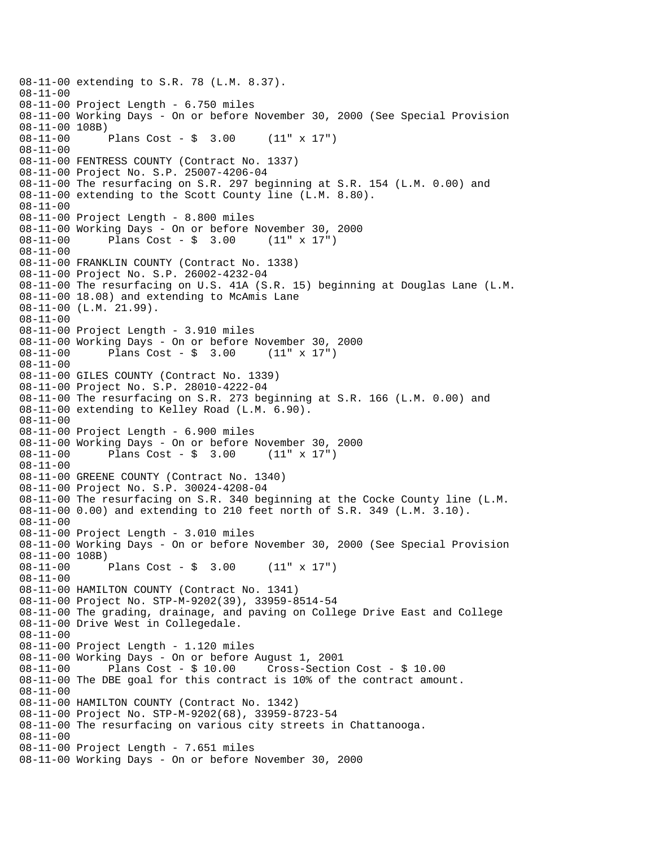```
08-11-00 extending to S.R. 78 (L.M. 8.37). 
08-11-00 
08-11-00 Project Length - 6.750 miles 
08-11-00 Working Days - On or before November 30, 2000 (See Special Provision 
08-11-00 108B) 
08-11-00 Plans Cost - $ 3.00 (11" x 17") 
08-11-00 
08-11-00 FENTRESS COUNTY (Contract No. 1337) 
08-11-00 Project No. S.P. 25007-4206-04 
08-11-00 The resurfacing on S.R. 297 beginning at S.R. 154 (L.M. 0.00) and 
08-11-00 extending to the Scott County line (L.M. 8.80). 
08-11-00 
08-11-00 Project Length - 8.800 miles 
08-11-00 Working Days - On or before November 30, 2000<br>08-11-00 Plans Cost - $ 3.00 (11" x 17")
08-11-00 Plans Cost - $ 3.00
08-11-00 
08-11-00 FRANKLIN COUNTY (Contract No. 1338) 
08-11-00 Project No. S.P. 26002-4232-04 
08-11-00 The resurfacing on U.S. 41A (S.R. 15) beginning at Douglas Lane (L.M. 
08-11-00 18.08) and extending to McAmis Lane 
08-11-00 (L.M. 21.99). 
08-11-00 
08-11-00 Project Length - 3.910 miles 
08-11-00 Working Days - On or before November 30, 2000 
08-11-00 Plans Cost - $ 3.00
08-11-00 
08-11-00 GILES COUNTY (Contract No. 1339) 
08-11-00 Project No. S.P. 28010-4222-04 
08-11-00 The resurfacing on S.R. 273 beginning at S.R. 166 (L.M. 0.00) and 
08-11-00 extending to Kelley Road (L.M. 6.90). 
08-11-00 
08-11-00 Project Length - 6.900 miles 
08-11-00 Working Days - On or before November 30, 2000 
08-11-00 Plans Cost - $ 3.00 (11" x 17") 
08-11-00 
08-11-00 GREENE COUNTY (Contract No. 1340) 
08-11-00 Project No. S.P. 30024-4208-04 
08-11-00 The resurfacing on S.R. 340 beginning at the Cocke County line (L.M. 
08-11-00 0.00) and extending to 210 feet north of S.R. 349 (L.M. 3.10). 
08-11-00 
08-11-00 Project Length - 3.010 miles 
08-11-00 Working Days - On or before November 30, 2000 (See Special Provision 
08-11-00 108B) 
08-11-00 Plans Cost - $ 3.00 (11" x 17") 
08-11-00 
08-11-00 HAMILTON COUNTY (Contract No. 1341) 
08-11-00 Project No. STP-M-9202(39), 33959-8514-54 
08-11-00 The grading, drainage, and paving on College Drive East and College 
08-11-00 Drive West in Collegedale. 
08-11-00 
08-11-00 Project Length - 1.120 miles 
08-11-00 Working Days - On or before August 1, 2001 
08-11-00 Plans Cost - $ 10.00 Cross-Section Cost - $ 10.00 
08-11-00 The DBE goal for this contract is 10% of the contract amount. 
08-11-00 
08-11-00 HAMILTON COUNTY (Contract No. 1342) 
08-11-00 Project No. STP-M-9202(68), 33959-8723-54 
08-11-00 The resurfacing on various city streets in Chattanooga. 
08-11-00 
08-11-00 Project Length - 7.651 miles 
08-11-00 Working Days - On or before November 30, 2000
```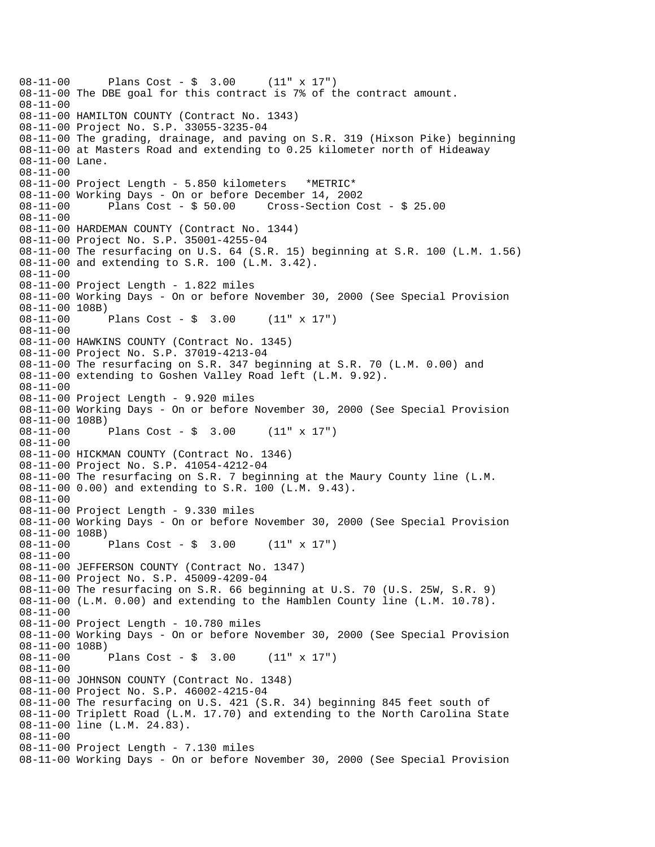```
08-11-00 Plans Cost - $ 3.00 (11" x 17") 
08-11-00 The DBE goal for this contract is 7% of the contract amount. 
08-11-00 
08-11-00 HAMILTON COUNTY (Contract No. 1343) 
08-11-00 Project No. S.P. 33055-3235-04 
08-11-00 The grading, drainage, and paving on S.R. 319 (Hixson Pike) beginning 
08-11-00 at Masters Road and extending to 0.25 kilometer north of Hideaway 
08-11-00 Lane. 
08-11-00 
08-11-00 Project Length - 5.850 kilometers *METRIC* 
08-11-00 Working Days - On or before December 14, 2002 
08-11-00 Plans Cost - $ 50.00 Cross-Section Cost - $ 25.00 
08-11-00 
08-11-00 HARDEMAN COUNTY (Contract No. 1344) 
08-11-00 Project No. S.P. 35001-4255-04 
08-11-00 The resurfacing on U.S. 64 (S.R. 15) beginning at S.R. 100 (L.M. 1.56) 
08-11-00 and extending to S.R. 100 (L.M. 3.42). 
08-11-00 
08-11-00 Project Length - 1.822 miles 
08-11-00 Working Days - On or before November 30, 2000 (See Special Provision 
08-11-00 108B) 
08-11-00 Plans Cost - $ 3.00 (11" x 17") 
08-11-00 
08-11-00 HAWKINS COUNTY (Contract No. 1345) 
08-11-00 Project No. S.P. 37019-4213-04 
08-11-00 The resurfacing on S.R. 347 beginning at S.R. 70 (L.M. 0.00) and 
08-11-00 extending to Goshen Valley Road left (L.M. 9.92). 
08-11-00 
08-11-00 Project Length - 9.920 miles 
08-11-00 Working Days - On or before November 30, 2000 (See Special Provision 
08-11-00 108B) 
08-11-00 Plans Cost - $ 3.00 (11" x 17") 
08-11-00 
08-11-00 HICKMAN COUNTY (Contract No. 1346) 
08-11-00 Project No. S.P. 41054-4212-04 
08-11-00 The resurfacing on S.R. 7 beginning at the Maury County line (L.M. 
08-11-00 0.00) and extending to S.R. 100 (L.M. 9.43). 
08-11-00 
08-11-00 Project Length - 9.330 miles 
08-11-00 Working Days - On or before November 30, 2000 (See Special Provision 
08-11-00 108B) 
08-11-00 Plans Cost - $ 3.00 (11" x 17") 
08-11-00 
08-11-00 JEFFERSON COUNTY (Contract No. 1347) 
08-11-00 Project No. S.P. 45009-4209-04 
08-11-00 The resurfacing on S.R. 66 beginning at U.S. 70 (U.S. 25W, S.R. 9) 
08-11-00 (L.M. 0.00) and extending to the Hamblen County line (L.M. 10.78). 
08-11-00 
08-11-00 Project Length - 10.780 miles 
08-11-00 Working Days - On or before November 30, 2000 (See Special Provision 
08-11-00 108B)<br>08-11-00 1
             Plans Cost - \sin 3.00 (11" x 17")
08-11-00 
08-11-00 JOHNSON COUNTY (Contract No. 1348) 
08-11-00 Project No. S.P. 46002-4215-04 
08-11-00 The resurfacing on U.S. 421 (S.R. 34) beginning 845 feet south of 
08-11-00 Triplett Road (L.M. 17.70) and extending to the North Carolina State 
08-11-00 line (L.M. 24.83). 
08-11-00 
08-11-00 Project Length - 7.130 miles 
08-11-00 Working Days - On or before November 30, 2000 (See Special Provision
```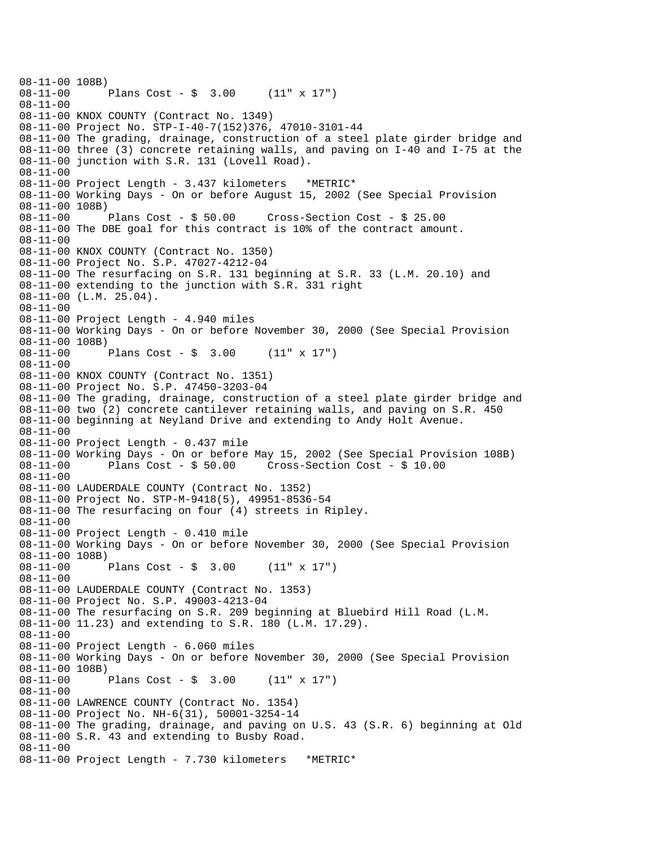08-11-00 108B)<br>08-11-00 Plans Cost -  $\sin 3.00$  (11" x 17") 08-11-00 08-11-00 KNOX COUNTY (Contract No. 1349) 08-11-00 Project No. STP-I-40-7(152)376, 47010-3101-44 08-11-00 The grading, drainage, construction of a steel plate girder bridge and 08-11-00 three (3) concrete retaining walls, and paving on I-40 and I-75 at the 08-11-00 junction with S.R. 131 (Lovell Road). 08-11-00 08-11-00 Project Length - 3.437 kilometers \*METRIC\* 08-11-00 Working Days - On or before August 15, 2002 (See Special Provision 08-11-00 108B)<br>08-11-00 Plans Cost - \$ 50.00 08-11-00 Plans Cost - \$ 50.00 Cross-Section Cost - \$ 25.00 08-11-00 The DBE goal for this contract is 10% of the contract amount. 08-11-00 08-11-00 KNOX COUNTY (Contract No. 1350) 08-11-00 Project No. S.P. 47027-4212-04 08-11-00 The resurfacing on S.R. 131 beginning at S.R. 33 (L.M. 20.10) and 08-11-00 extending to the junction with S.R. 331 right 08-11-00 (L.M. 25.04). 08-11-00 08-11-00 Project Length - 4.940 miles 08-11-00 Working Days - On or before November 30, 2000 (See Special Provision 08-11-00 108B)<br>08-11-00 Plans Cost -  $$ 3.00$  (11" x 17") 08-11-00 08-11-00 KNOX COUNTY (Contract No. 1351) 08-11-00 Project No. S.P. 47450-3203-04 08-11-00 The grading, drainage, construction of a steel plate girder bridge and 08-11-00 two (2) concrete cantilever retaining walls, and paving on S.R. 450 08-11-00 beginning at Neyland Drive and extending to Andy Holt Avenue. 08-11-00 08-11-00 Project Length - 0.437 mile 08-11-00 Working Days - On or before May 15, 2002 (See Special Provision 108B) 08-11-00 Plans Cost - \$ 50.00 Cross-Section Cost - \$ 10.00 08-11-00 08-11-00 LAUDERDALE COUNTY (Contract No. 1352) 08-11-00 Project No. STP-M-9418(5), 49951-8536-54 08-11-00 The resurfacing on four (4) streets in Ripley. 08-11-00 08-11-00 Project Length - 0.410 mile 08-11-00 Working Days - On or before November 30, 2000 (See Special Provision 08-11-00 108B) 08-11-00 Plans Cost - \$ 3.00 (11" x 17") 08-11-00 08-11-00 LAUDERDALE COUNTY (Contract No. 1353) 08-11-00 Project No. S.P. 49003-4213-04 08-11-00 The resurfacing on S.R. 209 beginning at Bluebird Hill Road (L.M. 08-11-00 11.23) and extending to S.R. 180 (L.M. 17.29). 08-11-00 08-11-00 Project Length - 6.060 miles 08-11-00 Working Days - On or before November 30, 2000 (See Special Provision 08-11-00 108B) 08-11-00 Plans Cost - \$ 3.00 (11" x 17") 08-11-00 08-11-00 LAWRENCE COUNTY (Contract No. 1354) 08-11-00 Project No. NH-6(31), 50001-3254-14 08-11-00 The grading, drainage, and paving on U.S. 43 (S.R. 6) beginning at Old 08-11-00 S.R. 43 and extending to Busby Road. 08-11-00 08-11-00 Project Length - 7.730 kilometers \*METRIC\*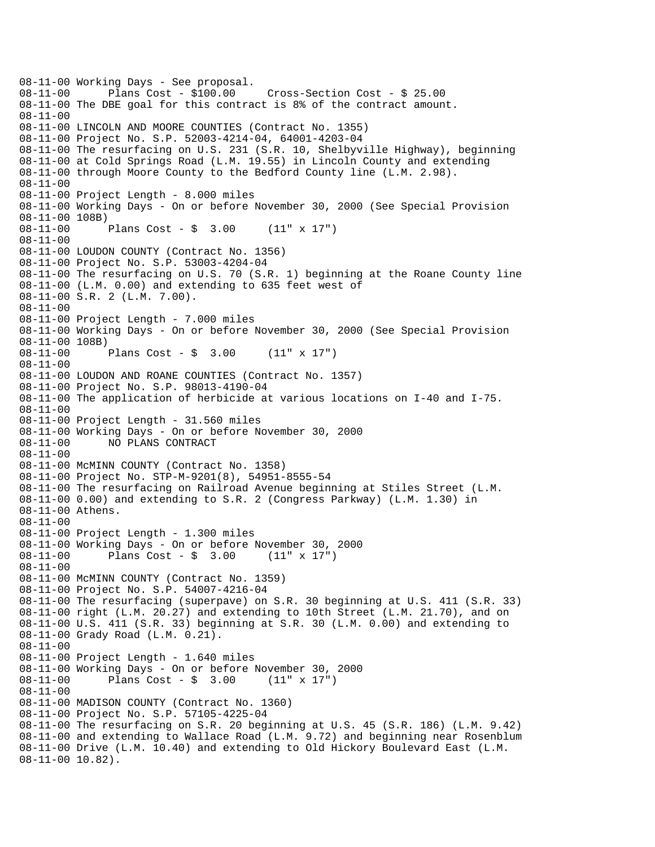08-11-00 Working Days - See proposal.<br>08-11-00 Plans Cost - \$100.00 08-11-00 Plans Cost - \$100.00 Cross-Section Cost - \$ 25.00 08-11-00 The DBE goal for this contract is 8% of the contract amount. 08-11-00 08-11-00 LINCOLN AND MOORE COUNTIES (Contract No. 1355) 08-11-00 Project No. S.P. 52003-4214-04, 64001-4203-04 08-11-00 The resurfacing on U.S. 231 (S.R. 10, Shelbyville Highway), beginning 08-11-00 at Cold Springs Road (L.M. 19.55) in Lincoln County and extending 08-11-00 through Moore County to the Bedford County line (L.M. 2.98). 08-11-00 08-11-00 Project Length - 8.000 miles 08-11-00 Working Days - On or before November 30, 2000 (See Special Provision 08-11-00 108B)<br>08-11-00 1 Plans Cost -  $\sin 3.00$  (11" x 17") 08-11-00 08-11-00 LOUDON COUNTY (Contract No. 1356) 08-11-00 Project No. S.P. 53003-4204-04 08-11-00 The resurfacing on U.S. 70 (S.R. 1) beginning at the Roane County line 08-11-00 (L.M. 0.00) and extending to 635 feet west of 08-11-00 S.R. 2 (L.M. 7.00). 08-11-00 08-11-00 Project Length - 7.000 miles 08-11-00 Working Days - On or before November 30, 2000 (See Special Provision 08-11-00 108B)<br>08-11-00 Plans Cost -  $$ 3.00$  (11" x 17") 08-11-00 08-11-00 LOUDON AND ROANE COUNTIES (Contract No. 1357) 08-11-00 Project No. S.P. 98013-4190-04 08-11-00 The application of herbicide at various locations on I-40 and I-75. 08-11-00 08-11-00 Project Length - 31.560 miles 08-11-00 Working Days - On or before November 30, 2000 08-11-00 NO PLANS CONTRACT 08-11-00 08-11-00 McMINN COUNTY (Contract No. 1358) 08-11-00 Project No. STP-M-9201(8), 54951-8555-54 08-11-00 The resurfacing on Railroad Avenue beginning at Stiles Street (L.M. 08-11-00 0.00) and extending to S.R. 2 (Congress Parkway) (L.M. 1.30) in 08-11-00 Athens. 08-11-00 08-11-00 Project Length - 1.300 miles 08-11-00 Working Days - On or before November 30, 2000 08-11-00 Plans Cost - \$ 3.00 (11" x 17") 08-11-00 08-11-00 McMINN COUNTY (Contract No. 1359) 08-11-00 Project No. S.P. 54007-4216-04 08-11-00 The resurfacing (superpave) on S.R. 30 beginning at U.S. 411 (S.R. 33) 08-11-00 right (L.M. 20.27) and extending to 10th Street (L.M. 21.70), and on 08-11-00 U.S. 411 (S.R. 33) beginning at S.R. 30 (L.M. 0.00) and extending to 08-11-00 Grady Road (L.M. 0.21). 08-11-00 08-11-00 Project Length - 1.640 miles 08-11-00 Working Days - On or before November 30, 2000 08-11-00 Plans Cost - \$ 3.00 (11" x 17") 08-11-00 08-11-00 MADISON COUNTY (Contract No. 1360) 08-11-00 Project No. S.P. 57105-4225-04 08-11-00 The resurfacing on S.R. 20 beginning at U.S. 45 (S.R. 186) (L.M. 9.42) 08-11-00 and extending to Wallace Road (L.M. 9.72) and beginning near Rosenblum 08-11-00 Drive (L.M. 10.40) and extending to Old Hickory Boulevard East (L.M. 08-11-00 10.82).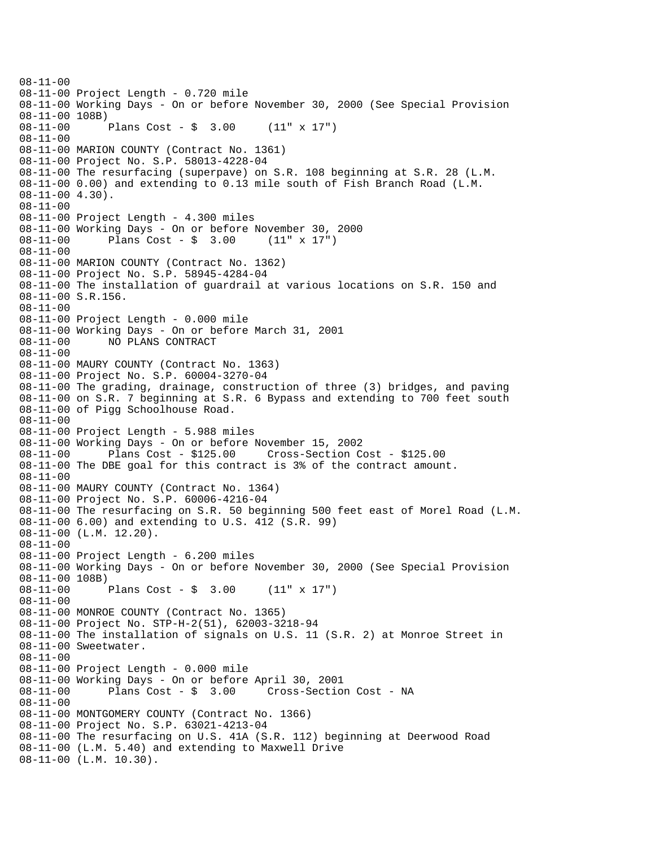08-11-00 08-11-00 Project Length - 0.720 mile 08-11-00 Working Days - On or before November 30, 2000 (See Special Provision 08-11-00 108B)<br>08-11-00 1 Plans Cost -  $\sin 3.00$  (11" x 17") 08-11-00 08-11-00 MARION COUNTY (Contract No. 1361) 08-11-00 Project No. S.P. 58013-4228-04 08-11-00 The resurfacing (superpave) on S.R. 108 beginning at S.R. 28 (L.M. 08-11-00 0.00) and extending to 0.13 mile south of Fish Branch Road (L.M. 08-11-00 4.30). 08-11-00 08-11-00 Project Length - 4.300 miles 08-11-00 Working Days - On or before November 30, 2000<br>08-11-00 Plans Cost - \$ 3.00 (11" x 17")  $08-11-00$  Plans Cost - \$ 3.00 08-11-00 08-11-00 MARION COUNTY (Contract No. 1362) 08-11-00 Project No. S.P. 58945-4284-04 08-11-00 The installation of guardrail at various locations on S.R. 150 and 08-11-00 S.R.156. 08-11-00 08-11-00 Project Length - 0.000 mile 08-11-00 Working Days - On or before March 31, 2001 08-11-00 NO PLANS CONTRACT 08-11-00 08-11-00 MAURY COUNTY (Contract No. 1363) 08-11-00 Project No. S.P. 60004-3270-04 08-11-00 The grading, drainage, construction of three (3) bridges, and paving 08-11-00 on S.R. 7 beginning at S.R. 6 Bypass and extending to 700 feet south 08-11-00 of Pigg Schoolhouse Road. 08-11-00 08-11-00 Project Length - 5.988 miles 08-11-00 Working Days - On or before November 15, 2002 08-11-00 Plans Cost - \$125.00 Cross-Section Cost - \$125.00 08-11-00 The DBE goal for this contract is 3% of the contract amount. 08-11-00 08-11-00 MAURY COUNTY (Contract No. 1364) 08-11-00 Project No. S.P. 60006-4216-04 08-11-00 The resurfacing on S.R. 50 beginning 500 feet east of Morel Road (L.M. 08-11-00 6.00) and extending to U.S. 412 (S.R. 99) 08-11-00 (L.M. 12.20). 08-11-00 08-11-00 Project Length - 6.200 miles 08-11-00 Working Days - On or before November 30, 2000 (See Special Provision 08-11-00 108B) 08-11-00 Plans Cost - \$ 3.00 (11" x 17") 08-11-00 08-11-00 MONROE COUNTY (Contract No. 1365) 08-11-00 Project No. STP-H-2(51), 62003-3218-94 08-11-00 The installation of signals on U.S. 11 (S.R. 2) at Monroe Street in 08-11-00 Sweetwater. 08-11-00 08-11-00 Project Length - 0.000 mile 08-11-00 Working Days - On or before April 30, 2001 08-11-00 Plans Cost - \$ 3.00 Cross-Section Cost - NA 08-11-00 08-11-00 MONTGOMERY COUNTY (Contract No. 1366) 08-11-00 Project No. S.P. 63021-4213-04 08-11-00 The resurfacing on U.S. 41A (S.R. 112) beginning at Deerwood Road 08-11-00 (L.M. 5.40) and extending to Maxwell Drive 08-11-00 (L.M. 10.30).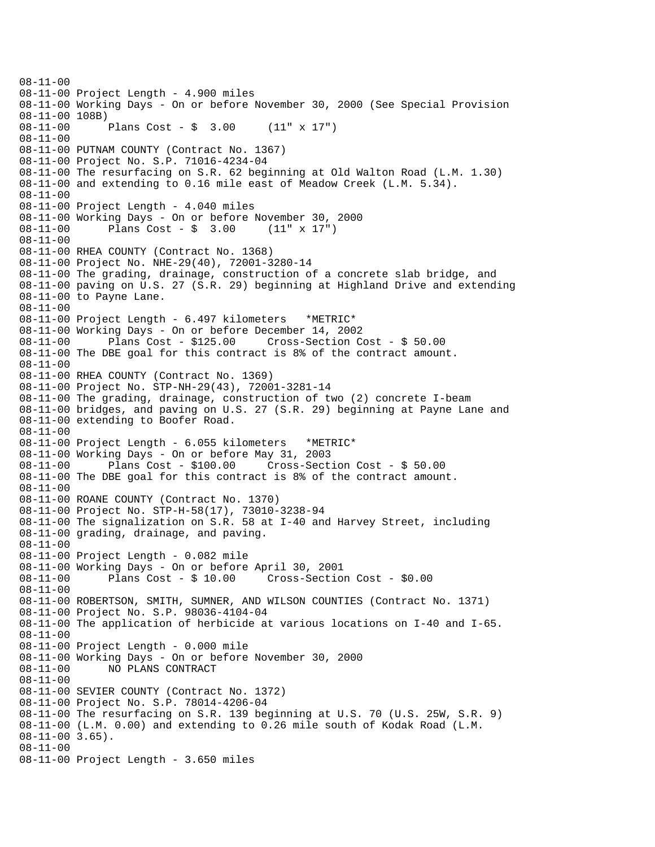08-11-00 08-11-00 Project Length - 4.900 miles 08-11-00 Working Days - On or before November 30, 2000 (See Special Provision 08-11-00 108B)<br>08-11-00 1 Plans Cost -  $\frac{1}{2}$  3.00 (11" x 17") 08-11-00 08-11-00 PUTNAM COUNTY (Contract No. 1367) 08-11-00 Project No. S.P. 71016-4234-04 08-11-00 The resurfacing on S.R. 62 beginning at Old Walton Road (L.M. 1.30) 08-11-00 and extending to 0.16 mile east of Meadow Creek (L.M. 5.34). 08-11-00 08-11-00 Project Length - 4.040 miles 08-11-00 Working Days - On or before November 30, 2000<br>08-11-00 Plans Cost - \$ 3.00 (11" x 17") Plans Cost -  $\sin 3.00$  (11" x 17") 08-11-00 08-11-00 RHEA COUNTY (Contract No. 1368) 08-11-00 Project No. NHE-29(40), 72001-3280-14 08-11-00 The grading, drainage, construction of a concrete slab bridge, and 08-11-00 paving on U.S. 27 (S.R. 29) beginning at Highland Drive and extending 08-11-00 to Payne Lane. 08-11-00 08-11-00 Project Length - 6.497 kilometers \*METRIC\* 08-11-00 Working Days - On or before December 14, 2002 08-11-00 Plans Cost - \$125.00 Cross-Section Cost - \$ 50.00 08-11-00 The DBE goal for this contract is 8% of the contract amount. 08-11-00 08-11-00 RHEA COUNTY (Contract No. 1369) 08-11-00 Project No. STP-NH-29(43), 72001-3281-14 08-11-00 The grading, drainage, construction of two (2) concrete I-beam 08-11-00 bridges, and paving on U.S. 27 (S.R. 29) beginning at Payne Lane and 08-11-00 extending to Boofer Road. 08-11-00 08-11-00 Project Length - 6.055 kilometers \*METRIC\* 08-11-00 Working Days - On or before May 31, 2003 08-11-00 Plans Cost - \$100.00 Cross-Section Cost - \$ 50.00 08-11-00 The DBE goal for this contract is 8% of the contract amount. 08-11-00 08-11-00 ROANE COUNTY (Contract No. 1370) 08-11-00 Project No. STP-H-58(17), 73010-3238-94 08-11-00 The signalization on S.R. 58 at I-40 and Harvey Street, including 08-11-00 grading, drainage, and paving. 08-11-00 08-11-00 Project Length - 0.082 mile 08-11-00 Working Days - On or before April 30, 2001 08-11-00 Plans Cost - \$ 10.00 Cross-Section Cost - \$0.00 08-11-00 08-11-00 ROBERTSON, SMITH, SUMNER, AND WILSON COUNTIES (Contract No. 1371) 08-11-00 Project No. S.P. 98036-4104-04 08-11-00 The application of herbicide at various locations on I-40 and I-65. 08-11-00 08-11-00 Project Length - 0.000 mile 08-11-00 Working Days - On or before November 30, 2000 NO PLANS CONTRACT 08-11-00 08-11-00 SEVIER COUNTY (Contract No. 1372) 08-11-00 Project No. S.P. 78014-4206-04 08-11-00 The resurfacing on S.R. 139 beginning at U.S. 70 (U.S. 25W, S.R. 9) 08-11-00 (L.M. 0.00) and extending to 0.26 mile south of Kodak Road (L.M. 08-11-00 3.65). 08-11-00 08-11-00 Project Length - 3.650 miles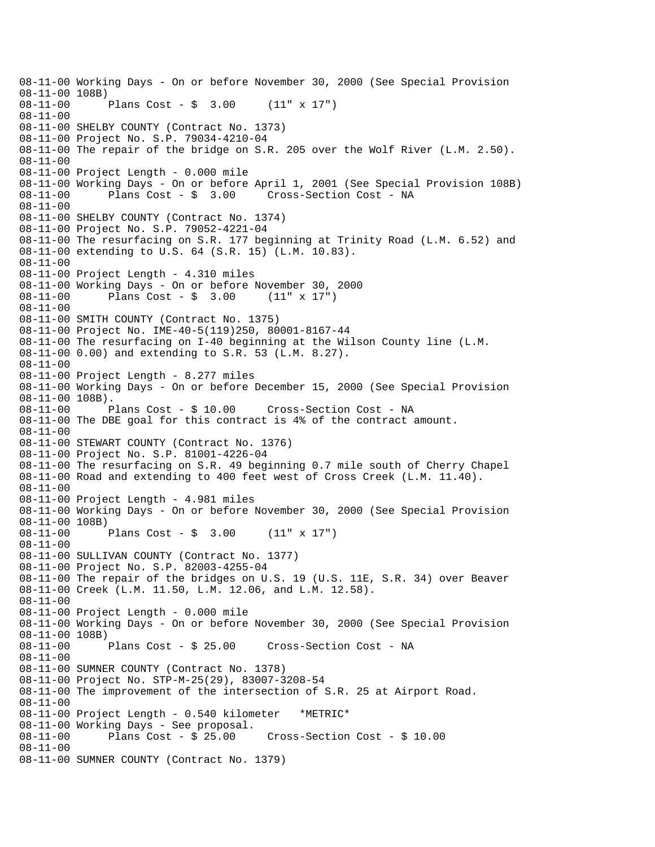08-11-00 Working Days - On or before November 30, 2000 (See Special Provision 08-11-00 108B) 08-11-00 Plans Cost - \$ 3.00 (11" x 17") 08-11-00 08-11-00 SHELBY COUNTY (Contract No. 1373) 08-11-00 Project No. S.P. 79034-4210-04 08-11-00 The repair of the bridge on S.R. 205 over the Wolf River (L.M. 2.50). 08-11-00 08-11-00 Project Length - 0.000 mile 08-11-00 Working Days - On or before April 1, 2001 (See Special Provision 108B) 08-11-00 Plans Cost - \$ 3.00 Cross-Section Cost - NA 08-11-00 08-11-00 SHELBY COUNTY (Contract No. 1374) 08-11-00 Project No. S.P. 79052-4221-04 08-11-00 The resurfacing on S.R. 177 beginning at Trinity Road (L.M. 6.52) and 08-11-00 extending to U.S. 64 (S.R. 15) (L.M. 10.83). 08-11-00 08-11-00 Project Length - 4.310 miles 08-11-00 Working Days - On or before November 30, 2000 08-11-00 Plans Cost - \$ 3.00 (11" x 17") 08-11-00 08-11-00 SMITH COUNTY (Contract No. 1375) 08-11-00 Project No. IME-40-5(119)250, 80001-8167-44 08-11-00 The resurfacing on I-40 beginning at the Wilson County line (L.M. 08-11-00 0.00) and extending to S.R. 53 (L.M. 8.27). 08-11-00 08-11-00 Project Length - 8.277 miles 08-11-00 Working Days - On or before December 15, 2000 (See Special Provision 08-11-00 108B). 08-11-00 Plans Cost - \$ 10.00 Cross-Section Cost - NA 08-11-00 The DBE goal for this contract is 4% of the contract amount. 08-11-00 08-11-00 STEWART COUNTY (Contract No. 1376) 08-11-00 Project No. S.P. 81001-4226-04 08-11-00 The resurfacing on S.R. 49 beginning 0.7 mile south of Cherry Chapel 08-11-00 Road and extending to 400 feet west of Cross Creek (L.M. 11.40). 08-11-00 08-11-00 Project Length - 4.981 miles 08-11-00 Working Days - On or before November 30, 2000 (See Special Provision 08-11-00 108B) 08-11-00 Plans Cost - \$ 3.00 (11" x 17") 08-11-00 08-11-00 SULLIVAN COUNTY (Contract No. 1377) 08-11-00 Project No. S.P. 82003-4255-04 08-11-00 The repair of the bridges on U.S. 19 (U.S. 11E, S.R. 34) over Beaver 08-11-00 Creek (L.M. 11.50, L.M. 12.06, and L.M. 12.58). 08-11-00 08-11-00 Project Length - 0.000 mile 08-11-00 Working Days - On or before November 30, 2000 (See Special Provision 08-11-00 108B)<br>08-11-00 Plans Cost - \$ 25.00 08-11-00 Plans Cost - \$ 25.00 Cross-Section Cost - NA 08-11-00 08-11-00 SUMNER COUNTY (Contract No. 1378) 08-11-00 Project No. STP-M-25(29), 83007-3208-54 08-11-00 The improvement of the intersection of S.R. 25 at Airport Road. 08-11-00 08-11-00 Project Length - 0.540 kilometer \*METRIC\* 08-11-00 Working Days - See proposal. 08-11-00 Plans Cost - \$ 25.00 Cross-Section Cost - \$ 10.00 08-11-00 08-11-00 SUMNER COUNTY (Contract No. 1379)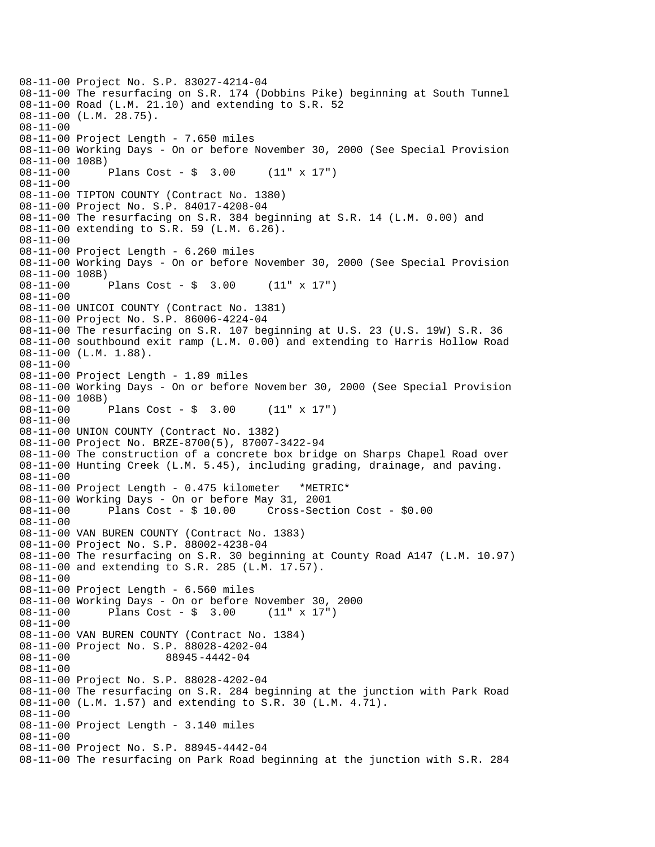08-11-00 Project No. S.P. 83027-4214-04 08-11-00 The resurfacing on S.R. 174 (Dobbins Pike) beginning at South Tunnel 08-11-00 Road (L.M. 21.10) and extending to S.R. 52 08-11-00 (L.M. 28.75). 08-11-00 08-11-00 Project Length - 7.650 miles 08-11-00 Working Days - On or before November 30, 2000 (See Special Provision 08-11-00 108B) 08-11-00 Plans Cost - \$ 3.00 (11" x 17") 08-11-00 08-11-00 TIPTON COUNTY (Contract No. 1380) 08-11-00 Project No. S.P. 84017-4208-04 08-11-00 The resurfacing on S.R. 384 beginning at S.R. 14 (L.M. 0.00) and 08-11-00 extending to S.R. 59 (L.M. 6.26). 08-11-00 08-11-00 Project Length - 6.260 miles 08-11-00 Working Days - On or before November 30, 2000 (See Special Provision 08-11-00 108B) 08-11-00 Plans Cost - \$ 3.00 (11" x 17") 08-11-00 08-11-00 UNICOI COUNTY (Contract No. 1381) 08-11-00 Project No. S.P. 86006-4224-04 08-11-00 The resurfacing on S.R. 107 beginning at U.S. 23 (U.S. 19W) S.R. 36 08-11-00 southbound exit ramp (L.M. 0.00) and extending to Harris Hollow Road 08-11-00 (L.M. 1.88). 08-11-00 08-11-00 Project Length - 1.89 miles 08-11-00 Working Days - On or before Novem ber 30, 2000 (See Special Provision 08-11-00 108B) 08-11-00 Plans Cost - \$ 3.00 (11" x 17") 08-11-00 08-11-00 UNION COUNTY (Contract No. 1382) 08-11-00 Project No. BRZE-8700(5), 87007-3422-94 08-11-00 The construction of a concrete box bridge on Sharps Chapel Road over 08-11-00 Hunting Creek (L.M. 5.45), including grading, drainage, and paving. 08-11-00 08-11-00 Project Length - 0.475 kilometer \*METRIC\* 08-11-00 Working Days - On or before May 31, 2001 08-11-00 Plans Cost - \$ 10.00 Cross-Section Cost - \$0.00 08-11-00 08-11-00 VAN BUREN COUNTY (Contract No. 1383) 08-11-00 Project No. S.P. 88002-4238-04 08-11-00 The resurfacing on S.R. 30 beginning at County Road A147 (L.M. 10.97) 08-11-00 and extending to S.R. 285 (L.M. 17.57). 08-11-00 08-11-00 Project Length - 6.560 miles 08-11-00 Working Days - On or before November 30, 2000 08-11-00 Plans Cost - \$ 3.00 (11" x 17") 08-11-00 08-11-00 VAN BUREN COUNTY (Contract No. 1384) 08-11-00 Project No. S.P. 88028-4202-04 08-11-00 88945-4442-04 08-11-00 08-11-00 Project No. S.P. 88028-4202-04 08-11-00 The resurfacing on S.R. 284 beginning at the junction with Park Road 08-11-00 (L.M. 1.57) and extending to S.R. 30 (L.M. 4.71). 08-11-00 08-11-00 Project Length - 3.140 miles 08-11-00 08-11-00 Project No. S.P. 88945-4442-04 08-11-00 The resurfacing on Park Road beginning at the junction with S.R. 284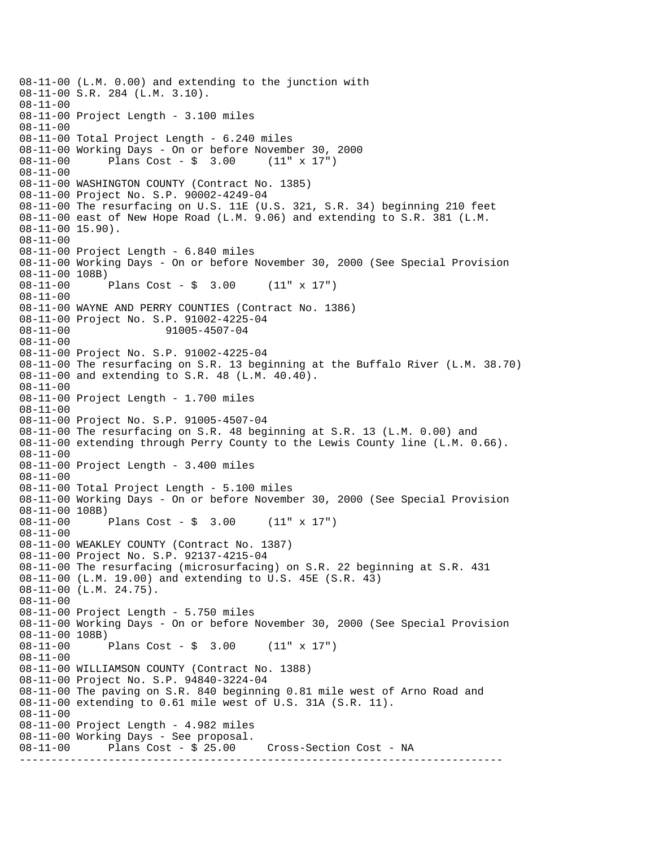---------------------------------------------------------------------------- 08-11-00 (L.M. 0.00) and extending to the junction with 08-11-00 S.R. 284 (L.M. 3.10). 08-11-00 08-11-00 Project Length - 3.100 miles 08-11-00 08-11-00 Total Project Length - 6.240 miles 08-11-00 Working Days - On or before November 30, 2000 08-11-00 Plans Cost - \$ 3.00 (11" x 17") 08-11-00 08-11-00 WASHINGTON COUNTY (Contract No. 1385) 08-11-00 Project No. S.P. 90002-4249-04 08-11-00 The resurfacing on U.S. 11E (U.S. 321, S.R. 34) beginning 210 feet 08-11-00 east of New Hope Road (L.M. 9.06) and extending to S.R. 381 (L.M. 08-11-00 15.90). 08-11-00 08-11-00 Project Length - 6.840 miles 08-11-00 Working Days - On or before November 30, 2000 (See Special Provision 08-11-00 108B) 08-11-00 Plans Cost - \$ 3.00 (11" x 17") 08-11-00 08-11-00 WAYNE AND PERRY COUNTIES (Contract No. 1386) 08-11-00 Project No. S.P. 91002-4225-04 08-11-00 91005-4507-04 08-11-00 08-11-00 Project No. S.P. 91002-4225-04 08-11-00 The resurfacing on S.R. 13 beginning at the Buffalo River (L.M. 38.70) 08-11-00 and extending to S.R. 48 (L.M. 40.40). 08-11-00 08-11-00 Project Length - 1.700 miles 08-11-00 08-11-00 Project No. S.P. 91005-4507-04 08-11-00 The resurfacing on S.R. 48 beginning at S.R. 13 (L.M. 0.00) and 08-11-00 extending through Perry County to the Lewis County line (L.M. 0.66). 08-11-00 08-11-00 Project Length - 3.400 miles 08-11-00 08-11-00 Total Project Length - 5.100 miles 08-11-00 Working Days - On or before November 30, 2000 (See Special Provision 08-11-00 108B)<br>08-11-00 1 Plans Cost -  $\sin 3.00$  (11" x 17") 08-11-00 08-11-00 WEAKLEY COUNTY (Contract No. 1387) 08-11-00 Project No. S.P. 92137-4215-04 08-11-00 The resurfacing (microsurfacing) on S.R. 22 beginning at S.R. 431 08-11-00 (L.M. 19.00) and extending to U.S. 45E (S.R. 43) 08-11-00 (L.M. 24.75). 08-11-00 08-11-00 Project Length - 5.750 miles 08-11-00 Working Days - On or before November 30, 2000 (See Special Provision 08-11-00 108B)<br>08-11-00 Plans Cost -  $$3.00$  (11" x 17") 08-11-00 08-11-00 WILLIAMSON COUNTY (Contract No. 1388) 08-11-00 Project No. S.P. 94840-3224-04 08-11-00 The paving on S.R. 840 beginning 0.81 mile west of Arno Road and 08-11-00 extending to 0.61 mile west of U.S. 31A (S.R. 11). 08-11-00 08-11-00 Project Length - 4.982 miles 08-11-00 Working Days - See proposal. 08-11-00 Plans Cost - \$ 25.00 Cross-Section Cost - NA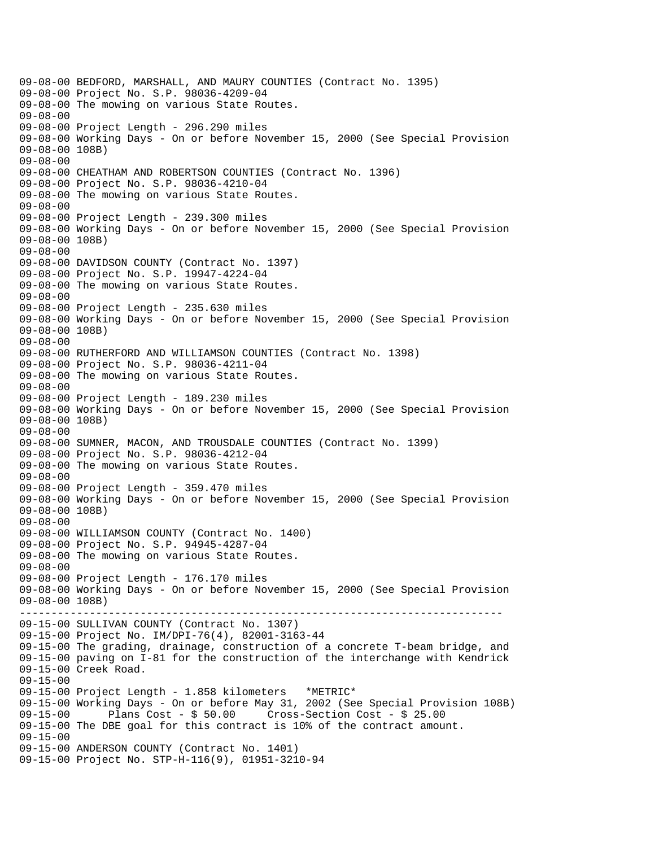---------------------------------------------------------------------------- 09-08-00 BEDFORD, MARSHALL, AND MAURY COUNTIES (Contract No. 1395) 09-08-00 Project No. S.P. 98036-4209-04 09-08-00 The mowing on various State Routes. 09-08-00 09-08-00 Project Length - 296.290 miles 09-08-00 Working Days - On or before November 15, 2000 (See Special Provision 09-08-00 108B) 09-08-00 09-08-00 CHEATHAM AND ROBERTSON COUNTIES (Contract No. 1396) 09-08-00 Project No. S.P. 98036-4210-04 09-08-00 The mowing on various State Routes. 09-08-00 09-08-00 Project Length - 239.300 miles 09-08-00 Working Days - On or before November 15, 2000 (See Special Provision 09-08-00 108B) 09-08-00 09-08-00 DAVIDSON COUNTY (Contract No. 1397) 09-08-00 Project No. S.P. 19947-4224-04 09-08-00 The mowing on various State Routes. 09-08-00 09-08-00 Project Length - 235.630 miles 09-08-00 Working Days - On or before November 15, 2000 (See Special Provision 09-08-00 108B) 09-08-00 09-08-00 RUTHERFORD AND WILLIAMSON COUNTIES (Contract No. 1398) 09-08-00 Project No. S.P. 98036-4211-04 09-08-00 The mowing on various State Routes. 09-08-00 09-08-00 Project Length - 189.230 miles 09-08-00 Working Days - On or before November 15, 2000 (See Special Provision 09-08-00 108B) 09-08-00 09-08-00 SUMNER, MACON, AND TROUSDALE COUNTIES (Contract No. 1399) 09-08-00 Project No. S.P. 98036-4212-04 09-08-00 The mowing on various State Routes. 09-08-00 09-08-00 Project Length - 359.470 miles 09-08-00 Working Days - On or before November 15, 2000 (See Special Provision 09-08-00 108B) 09-08-00 09-08-00 WILLIAMSON COUNTY (Contract No. 1400) 09-08-00 Project No. S.P. 94945-4287-04 09-08-00 The mowing on various State Routes. 09-08-00 09-08-00 Project Length - 176.170 miles 09-08-00 Working Days - On or before November 15, 2000 (See Special Provision 09-08-00 108B) 09-15-00 SULLIVAN COUNTY (Contract No. 1307) 09-15-00 Project No. IM/DPI-76(4), 82001-3163-44 09-15-00 The grading, drainage, construction of a concrete T-beam bridge, and 09-15-00 paving on I-81 for the construction of the interchange with Kendrick 09-15-00 Creek Road. 09-15-00 09-15-00 Project Length - 1.858 kilometers \*METRIC\* 09-15-00 Working Days - On or before May 31, 2002 (See Special Provision 108B) 09-15-00 Plans Cost - \$ 50.00 Cross-Section Cost - \$ 25.00 09-15-00 The DBE goal for this contract is 10% of the contract amount. 09-15-00 09-15-00 ANDERSON COUNTY (Contract No. 1401) 09-15-00 Project No. STP-H-116(9), 01951-3210-94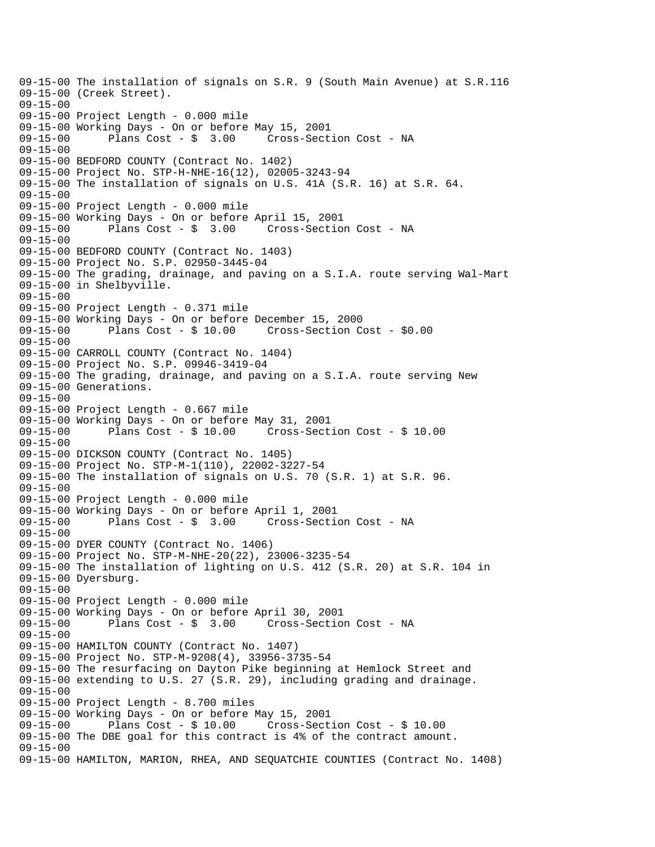09-15-00 The installation of signals on S.R. 9 (South Main Avenue) at S.R.116 09-15-00 (Creek Street). 09-15-00 09-15-00 Project Length - 0.000 mile 09-15-00 Working Days - On or before May 15, 2001 09-15-00 Plans Cost - \$ 3.00 Cross-Section Cost - NA 09-15-00 09-15-00 BEDFORD COUNTY (Contract No. 1402) 09-15-00 Project No. STP-H-NHE-16(12), 02005-3243-94 09-15-00 The installation of signals on U.S. 41A (S.R. 16) at S.R. 64. 09-15-00 09-15-00 Project Length - 0.000 mile 09-15-00 Working Days - On or before April 15, 2001 Cross-Section Cost - NA 09-15-00 09-15-00 BEDFORD COUNTY (Contract No. 1403) 09-15-00 Project No. S.P. 02950-3445-04 09-15-00 The grading, drainage, and paving on a S.I.A. route serving Wal-Mart 09-15-00 in Shelbyville. 09-15-00 09-15-00 Project Length - 0.371 mile 09-15-00 Working Days - On or before December 15, 2000 09-15-00 Plans Cost - \$ 10.00 Cross-Section Cost - \$0.00 09-15-00 09-15-00 CARROLL COUNTY (Contract No. 1404) 09-15-00 Project No. S.P. 09946-3419-04 09-15-00 The grading, drainage, and paving on a S.I.A. route serving New 09-15-00 Generations. 09-15-00 09-15-00 Project Length - 0.667 mile 09-15-00 Working Days - On or before May 31, 2001 09-15-00 Plans Cost - \$ 10.00 Cross-Section Cost - \$ 10.00 09-15-00 09-15-00 DICKSON COUNTY (Contract No. 1405) 09-15-00 Project No. STP-M-1(110), 22002-3227-54 09-15-00 The installation of signals on U.S. 70 (S.R. 1) at S.R. 96.  $09 - 15 - 00$ 09-15-00 Project Length - 0.000 mile 09-15-00 Working Days - On or before April 1, 2001 Plans Cost - \$ 3.00 Cross-Section Cost - NA 09-15-00 09-15-00 DYER COUNTY (Contract No. 1406) 09-15-00 Project No. STP-M-NHE-20(22), 23006-3235-54 09-15-00 The installation of lighting on U.S. 412 (S.R. 20) at S.R. 104 in 09-15-00 Dyersburg. 09-15-00 09-15-00 Project Length - 0.000 mile 09-15-00 Working Days - On or before April 30, 2001 09-15-00 Plans Cost - \$ 3.00 Cross-Section Cost - NA 09-15-00 09-15-00 HAMILTON COUNTY (Contract No. 1407) 09-15-00 Project No. STP-M-9208(4), 33956-3735-54 09-15-00 The resurfacing on Dayton Pike beginning at Hemlock Street and 09-15-00 extending to U.S. 27 (S.R. 29), including grading and drainage. 09-15-00 09-15-00 Project Length - 8.700 miles 09-15-00 Working Days - On or before May 15, 2001 09-15-00 Plans Cost - \$ 10.00 Cross-Section Cost - \$ 10.00 09-15-00 The DBE goal for this contract is 4% of the contract amount. 09-15-00 09-15-00 HAMILTON, MARION, RHEA, AND SEQUATCHIE COUNTIES (Contract No. 1408)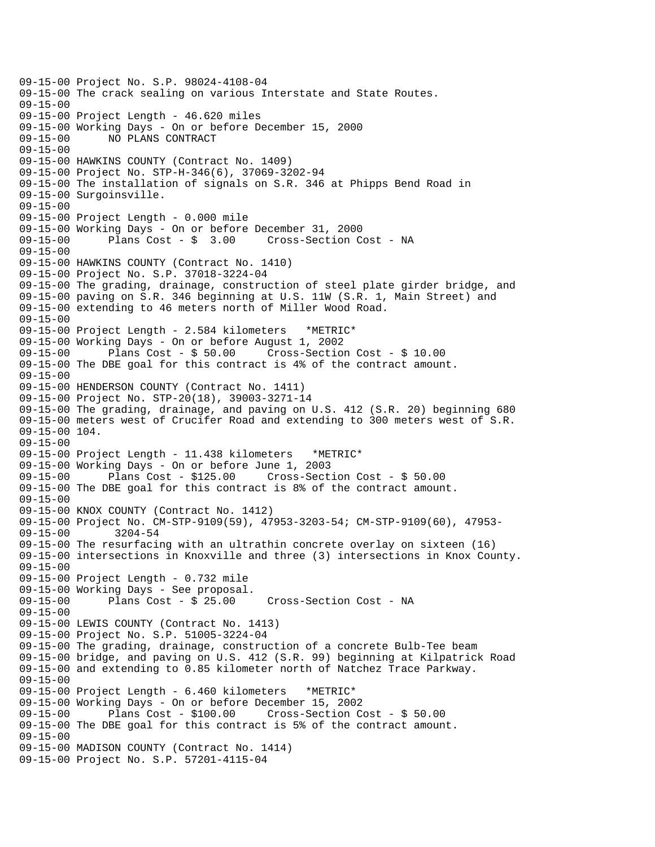09-15-00 Project No. S.P. 98024-4108-04 09-15-00 The crack sealing on various Interstate and State Routes. 09-15-00 09-15-00 Project Length - 46.620 miles 09-15-00 Working Days - On or before December 15, 2000 09-15-00 NO PLANS CONTRACT 09-15-00 09-15-00 HAWKINS COUNTY (Contract No. 1409) 09-15-00 Project No. STP-H-346(6), 37069-3202-94 09-15-00 The installation of signals on S.R. 346 at Phipps Bend Road in 09-15-00 Surgoinsville. 09-15-00 09-15-00 Project Length - 0.000 mile 09-15-00 Working Days - On or before December 31, 2000 Cross-Section Cost - NA 09-15-00 09-15-00 HAWKINS COUNTY (Contract No. 1410) 09-15-00 Project No. S.P. 37018-3224-04 09-15-00 The grading, drainage, construction of steel plate girder bridge, and 09-15-00 paving on S.R. 346 beginning at U.S. 11W (S.R. 1, Main Street) and 09-15-00 extending to 46 meters north of Miller Wood Road. 09-15-00 09-15-00 Project Length - 2.584 kilometers \*METRIC\* 09-15-00 Working Days - On or before August 1, 2002 09-15-00 Plans Cost - \$ 50.00 Cross-Section Cost - \$ 10.00 09-15-00 The DBE goal for this contract is 4% of the contract amount. 09-15-00 09-15-00 HENDERSON COUNTY (Contract No. 1411) 09-15-00 Project No. STP-20(18), 39003-3271-14 09-15-00 The grading, drainage, and paving on U.S. 412 (S.R. 20) beginning 680 09-15-00 meters west of Crucifer Road and extending to 300 meters west of S.R. 09-15-00 104. 09-15-00 09-15-00 Project Length - 11.438 kilometers \*METRIC\* 09-15-00 Working Days - On or before June 1, 2003 09-15-00 Plans Cost - \$125.00 Cross-Section Cost - \$ 50.00 09-15-00 The DBE goal for this contract is 8% of the contract amount. 09-15-00 09-15-00 KNOX COUNTY (Contract No. 1412) 09-15-00 Project No. CM-STP-9109(59), 47953-3203-54; CM-STP-9109(60), 47953-<br>09-15-00 3204-54  $09 - 15 - 00$ 09-15-00 The resurfacing with an ultrathin concrete overlay on sixteen (16) 09-15-00 intersections in Knoxville and three (3) intersections in Knox County. 09-15-00 09-15-00 Project Length - 0.732 mile  $09-15-00$  Working Days - See proposal.<br> $09-15-00$  Plans Cost - \$ 25.00 09-15-00 Plans Cost - \$ 25.00 Cross-Section Cost - NA 09-15-00 09-15-00 LEWIS COUNTY (Contract No. 1413) 09-15-00 Project No. S.P. 51005-3224-04 09-15-00 The grading, drainage, construction of a concrete Bulb-Tee beam 09-15-00 bridge, and paving on U.S. 412 (S.R. 99) beginning at Kilpatrick Road 09-15-00 and extending to 0.85 kilometer north of Natchez Trace Parkway. 09-15-00 09-15-00 Project Length - 6.460 kilometers \*METRIC\* 09-15-00 Working Days - On or before December 15, 2002 09-15-00 Plans Cost - \$100.00 Cross-Section Cost - \$ 50.00 09-15-00 The DBE goal for this contract is 5% of the contract amount. 09-15-00 09-15-00 MADISON COUNTY (Contract No. 1414) 09-15-00 Project No. S.P. 57201-4115-04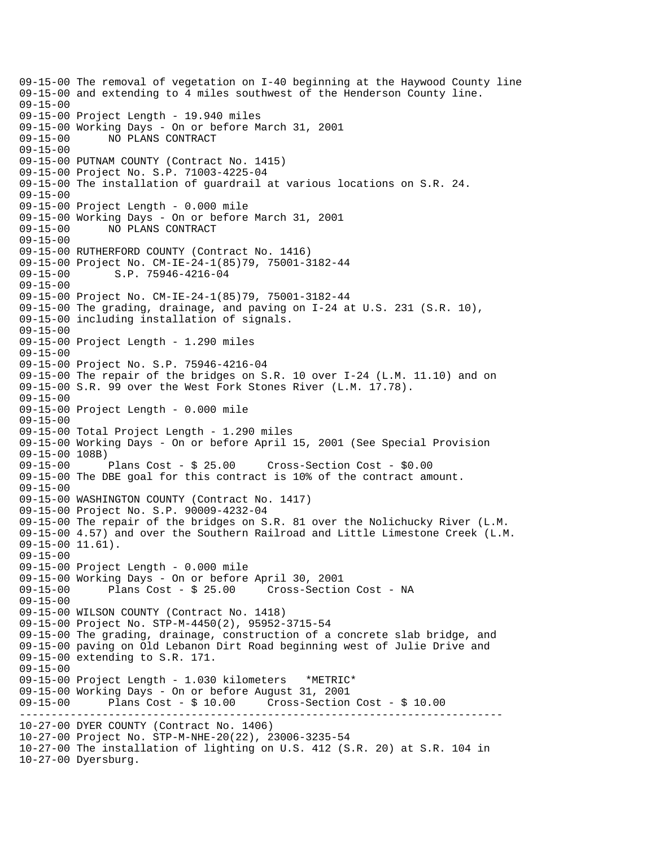---------------------------------------------------------------------------- 09-15-00 The removal of vegetation on I-40 beginning at the Haywood County line 09-15-00 and extending to 4 miles southwest of the Henderson County line. 09-15-00 09-15-00 Project Length - 19.940 miles 09-15-00 Working Days - On or before March 31, 2001 09-15-00 NO PLANS CONTRACT 09-15-00 09-15-00 PUTNAM COUNTY (Contract No. 1415) 09-15-00 Project No. S.P. 71003-4225-04 09-15-00 The installation of guardrail at various locations on S.R. 24. 09-15-00 09-15-00 Project Length - 0.000 mile 09-15-00 Working Days - On or before March 31, 2001 09-15-00 NO PLANS CONTRACT  $09 - 15 - 00$ 09-15-00 RUTHERFORD COUNTY (Contract No. 1416) 09-15-00 Project No. CM-IE-24-1(85)79, 75001-3182-44 09-15-00 S.P. 75946-4216-04 09-15-00 09-15-00 Project No. CM-IE-24-1(85)79, 75001-3182-44 09-15-00 The grading, drainage, and paving on I-24 at U.S. 231 (S.R. 10), 09-15-00 including installation of signals. 09-15-00 09-15-00 Project Length - 1.290 miles 09-15-00 09-15-00 Project No. S.P. 75946-4216-04 09-15-00 The repair of the bridges on S.R. 10 over I-24 (L.M. 11.10) and on 09-15-00 S.R. 99 over the West Fork Stones River (L.M. 17.78). 09-15-00 09-15-00 Project Length - 0.000 mile 09-15-00 09-15-00 Total Project Length - 1.290 miles 09-15-00 Working Days - On or before April 15, 2001 (See Special Provision 09-15-00 108B)<br>09-15-00 Plans Cost - \$ 25.00 09-15-00 Plans Cost - \$ 25.00 Cross-Section Cost - \$0.00 09-15-00 The DBE goal for this contract is 10% of the contract amount.  $09 - 15 - 00$ 09-15-00 WASHINGTON COUNTY (Contract No. 1417) 09-15-00 Project No. S.P. 90009-4232-04 09-15-00 The repair of the bridges on S.R. 81 over the Nolichucky River (L.M. 09-15-00 4.57) and over the Southern Railroad and Little Limestone Creek (L.M. 09-15-00 11.61). 09-15-00 09-15-00 Project Length - 0.000 mile 09-15-00 Working Days - On or before April 30, 2001 09-15-00 Plans Cost - \$ 25.00 Cross-Section Cost - NA 09-15-00 09-15-00 WILSON COUNTY (Contract No. 1418) 09-15-00 Project No. STP-M-4450(2), 95952-3715-54 09-15-00 The grading, drainage, construction of a concrete slab bridge, and 09-15-00 paving on Old Lebanon Dirt Road beginning west of Julie Drive and 09-15-00 extending to S.R. 171. 09-15-00 09-15-00 Project Length - 1.030 kilometers \*METRIC\* 09-15-00 Working Days - On or before August 31, 2001 09-15-00 Plans Cost - \$ 10.00 Cross-Section Cost - \$ 10.00 10-27-00 DYER COUNTY (Contract No. 1406) 10-27-00 Project No. STP-M-NHE-20(22), 23006-3235-54 10-27-00 The installation of lighting on U.S. 412 (S.R. 20) at S.R. 104 in 10-27-00 Dyersburg.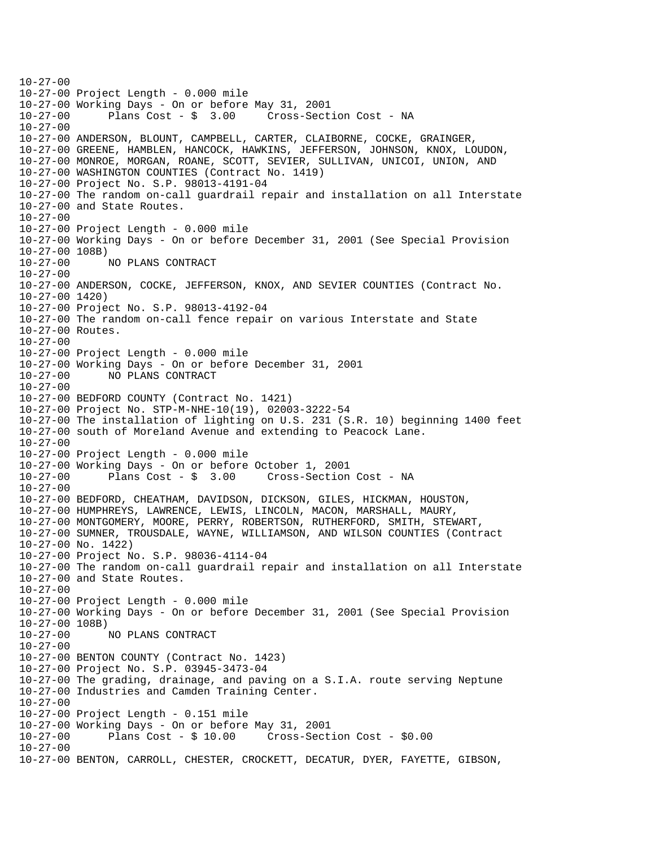$10-27-00$ 10-27-00 Project Length - 0.000 mile 10-27-00 Working Days - On or before May 31, 2001 Cross-Section Cost - NA 10-27-00 10-27-00 ANDERSON, BLOUNT, CAMPBELL, CARTER, CLAIBORNE, COCKE, GRAINGER, 10-27-00 GREENE, HAMBLEN, HANCOCK, HAWKINS, JEFFERSON, JOHNSON, KNOX, LOUDON, 10-27-00 MONROE, MORGAN, ROANE, SCOTT, SEVIER, SULLIVAN, UNICOI, UNION, AND 10-27-00 WASHINGTON COUNTIES (Contract No. 1419) 10-27-00 Project No. S.P. 98013-4191-04 10-27-00 The random on-call guardrail repair and installation on all Interstate 10-27-00 and State Routes.  $10-27-00$ 10-27-00 Project Length - 0.000 mile 10-27-00 Working Days - On or before December 31, 2001 (See Special Provision 10-27-00 108B) 10-27-00 NO PLANS CONTRACT 10-27-00 10-27-00 ANDERSON, COCKE, JEFFERSON, KNOX, AND SEVIER COUNTIES (Contract No. 10-27-00 1420) 10-27-00 Project No. S.P. 98013-4192-04 10-27-00 The random on-call fence repair on various Interstate and State 10-27-00 Routes. 10-27-00 10-27-00 Project Length - 0.000 mile 10-27-00 Working Days - On or before December 31, 2001 10-27-00 NO PLANS CONTRACT 10-27-00 10-27-00 BEDFORD COUNTY (Contract No. 1421) 10-27-00 Project No. STP-M-NHE-10(19), 02003-3222-54 10-27-00 The installation of lighting on U.S. 231 (S.R. 10) beginning 1400 feet 10-27-00 south of Moreland Avenue and extending to Peacock Lane. 10-27-00 10-27-00 Project Length - 0.000 mile 10-27-00 Working Days - On or before October 1, 2001 Cross-Section Cost - NA 10-27-00 10-27-00 BEDFORD, CHEATHAM, DAVIDSON, DICKSON, GILES, HICKMAN, HOUSTON, 10-27-00 HUMPHREYS, LAWRENCE, LEWIS, LINCOLN, MACON, MARSHALL, MAURY, 10-27-00 MONTGOMERY, MOORE, PERRY, ROBERTSON, RUTHERFORD, SMITH, STEWART, 10-27-00 SUMNER, TROUSDALE, WAYNE, WILLIAMSON, AND WILSON COUNTIES (Contract 10-27-00 No. 1422) 10-27-00 Project No. S.P. 98036-4114-04 10-27-00 The random on-call guardrail repair and installation on all Interstate 10-27-00 and State Routes. 10-27-00 10-27-00 Project Length - 0.000 mile 10-27-00 Working Days - On or before December 31, 2001 (See Special Provision 10-27-00 108B) 10-27-00 NO PLANS CONTRACT 10-27-00 10-27-00 BENTON COUNTY (Contract No. 1423) 10-27-00 Project No. S.P. 03945-3473-04 10-27-00 The grading, drainage, and paving on a S.I.A. route serving Neptune 10-27-00 Industries and Camden Training Center. 10-27-00 10-27-00 Project Length - 0.151 mile 10-27-00 Working Days - On or before May 31, 2001 10-27-00 Plans Cost - \$ 10.00 Cross-Section Cost - \$0.00 10-27-00 10-27-00 BENTON, CARROLL, CHESTER, CROCKETT, DECATUR, DYER, FAYETTE, GIBSON,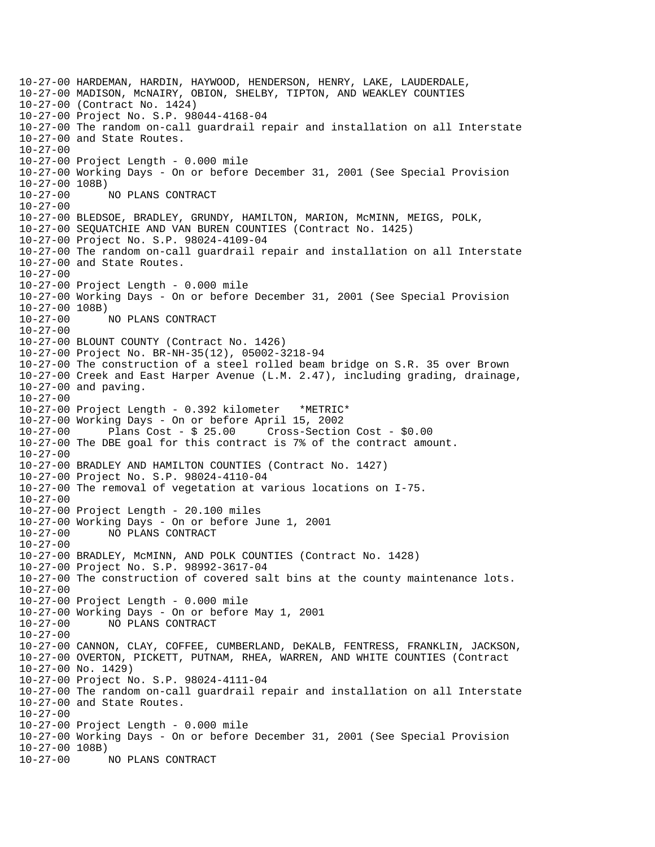10-27-00 HARDEMAN, HARDIN, HAYWOOD, HENDERSON, HENRY, LAKE, LAUDERDALE, 10-27-00 MADISON, McNAIRY, OBION, SHELBY, TIPTON, AND WEAKLEY COUNTIES 10-27-00 (Contract No. 1424) 10-27-00 Project No. S.P. 98044-4168-04 10-27-00 The random on-call guardrail repair and installation on all Interstate 10-27-00 and State Routes. 10-27-00 10-27-00 Project Length - 0.000 mile 10-27-00 Working Days - On or before December 31, 2001 (See Special Provision 10-27-00 108B) 10-27-00 NO PLANS CONTRACT 10-27-00 10-27-00 BLEDSOE, BRADLEY, GRUNDY, HAMILTON, MARION, McMINN, MEIGS, POLK, 10-27-00 SEQUATCHIE AND VAN BUREN COUNTIES (Contract No. 1425) 10-27-00 Project No. S.P. 98024-4109-04 10-27-00 The random on-call guardrail repair and installation on all Interstate 10-27-00 and State Routes. 10-27-00 10-27-00 Project Length - 0.000 mile 10-27-00 Working Days - On or before December 31, 2001 (See Special Provision 10-27-00 108B) 10-27-00 NO PLANS CONTRACT 10-27-00 10-27-00 BLOUNT COUNTY (Contract No. 1426) 10-27-00 Project No. BR-NH-35(12), 05002-3218-94 10-27-00 The construction of a steel rolled beam bridge on S.R. 35 over Brown 10-27-00 Creek and East Harper Avenue (L.M. 2.47), including grading, drainage, 10-27-00 and paving. 10-27-00 10-27-00 Project Length - 0.392 kilometer \*METRIC\* 10-27-00 Working Days - On or before April 15, 2002 10-27-00 Plans Cost - \$ 25.00 Cross-Section Cost - \$0.00 10-27-00 The DBE goal for this contract is 7% of the contract amount. 10-27-00 10-27-00 BRADLEY AND HAMILTON COUNTIES (Contract No. 1427) 10-27-00 Project No. S.P. 98024-4110-04 10-27-00 The removal of vegetation at various locations on I-75. 10-27-00 10-27-00 Project Length - 20.100 miles 10-27-00 Working Days - On or before June 1, 2001 10-27-00 NO PLANS CONTRACT 10-27-00 10-27-00 BRADLEY, McMINN, AND POLK COUNTIES (Contract No. 1428) 10-27-00 Project No. S.P. 98992-3617-04 10-27-00 The construction of covered salt bins at the county maintenance lots. 10-27-00 10-27-00 Project Length - 0.000 mile 10-27-00 Working Days - On or before May 1, 2001 10-27-00 NO PLANS CONTRACT 10-27-00 10-27-00 CANNON, CLAY, COFFEE, CUMBERLAND, DeKALB, FENTRESS, FRANKLIN, JACKSON, 10-27-00 OVERTON, PICKETT, PUTNAM, RHEA, WARREN, AND WHITE COUNTIES (Contract 10-27-00 No. 1429) 10-27-00 Project No. S.P. 98024-4111-04 10-27-00 The random on-call guardrail repair and installation on all Interstate 10-27-00 and State Routes. 10-27-00 10-27-00 Project Length - 0.000 mile 10-27-00 Working Days - On or before December 31, 2001 (See Special Provision 10-27-00 108B) 10-27-00 NO PLANS CONTRACT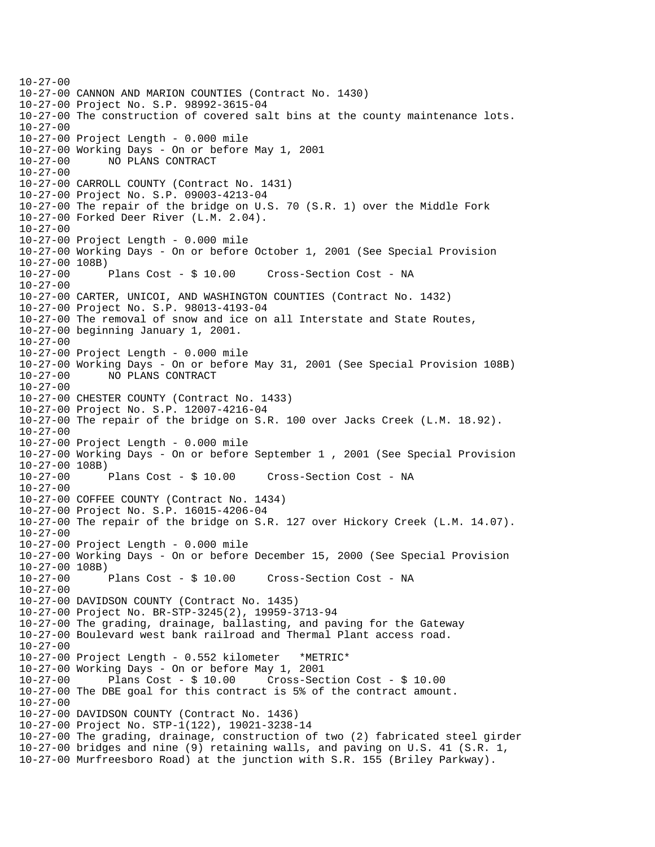$10-27-00$ 10-27-00 CANNON AND MARION COUNTIES (Contract No. 1430) 10-27-00 Project No. S.P. 98992-3615-04 10-27-00 The construction of covered salt bins at the county maintenance lots. 10-27-00 10-27-00 Project Length - 0.000 mile 10-27-00 Working Days - On or before May 1, 2001 10-27-00 NO PLANS CONTRACT 10-27-00 10-27-00 CARROLL COUNTY (Contract No. 1431) 10-27-00 Project No. S.P. 09003-4213-04 10-27-00 The repair of the bridge on U.S. 70 (S.R. 1) over the Middle Fork 10-27-00 Forked Deer River (L.M. 2.04).  $10-27-00$ 10-27-00 Project Length - 0.000 mile 10-27-00 Working Days - On or before October 1, 2001 (See Special Provision 10-27-00 108B) 10-27-00 Plans Cost - \$ 10.00 Cross-Section Cost - NA 10-27-00 10-27-00 CARTER, UNICOI, AND WASHINGTON COUNTIES (Contract No. 1432) 10-27-00 Project No. S.P. 98013-4193-04 10-27-00 The removal of snow and ice on all Interstate and State Routes, 10-27-00 beginning January 1, 2001. 10-27-00 10-27-00 Project Length - 0.000 mile 10-27-00 Working Days - On or before May 31, 2001 (See Special Provision 108B) 10-27-00 NO PLANS CONTRACT 10-27-00 10-27-00 CHESTER COUNTY (Contract No. 1433) 10-27-00 Project No. S.P. 12007-4216-04 10-27-00 The repair of the bridge on S.R. 100 over Jacks Creek (L.M. 18.92). 10-27-00 10-27-00 Project Length - 0.000 mile 10-27-00 Working Days - On or before September 1 , 2001 (See Special Provision 10-27-00 108B)<br>10-27-00 Plans Cost - \$ 10.00 Cross-Section Cost - NA 10-27-00 10-27-00 COFFEE COUNTY (Contract No. 1434) 10-27-00 Project No. S.P. 16015-4206-04 10-27-00 The repair of the bridge on S.R. 127 over Hickory Creek (L.M. 14.07). 10-27-00 10-27-00 Project Length - 0.000 mile 10-27-00 Working Days - On or before December 15, 2000 (See Special Provision 10-27-00 108B) 10-27-00 Plans Cost - \$ 10.00 Cross-Section Cost - NA 10-27-00 10-27-00 DAVIDSON COUNTY (Contract No. 1435) 10-27-00 Project No. BR-STP-3245(2), 19959-3713-94 10-27-00 The grading, drainage, ballasting, and paving for the Gateway 10-27-00 Boulevard west bank railroad and Thermal Plant access road. 10-27-00 10-27-00 Project Length - 0.552 kilometer \*METRIC\* 10-27-00 Working Days - On or before May 1, 2001 10-27-00 Plans Cost - \$ 10.00 Cross-Section Cost - \$ 10.00 10-27-00 The DBE goal for this contract is 5% of the contract amount. 10-27-00 10-27-00 DAVIDSON COUNTY (Contract No. 1436) 10-27-00 Project No. STP-1(122), 19021-3238-14 10-27-00 The grading, drainage, construction of two (2) fabricated steel girder 10-27-00 bridges and nine (9) retaining walls, and paving on U.S. 41 (S.R. 1, 10-27-00 Murfreesboro Road) at the junction with S.R. 155 (Briley Parkway).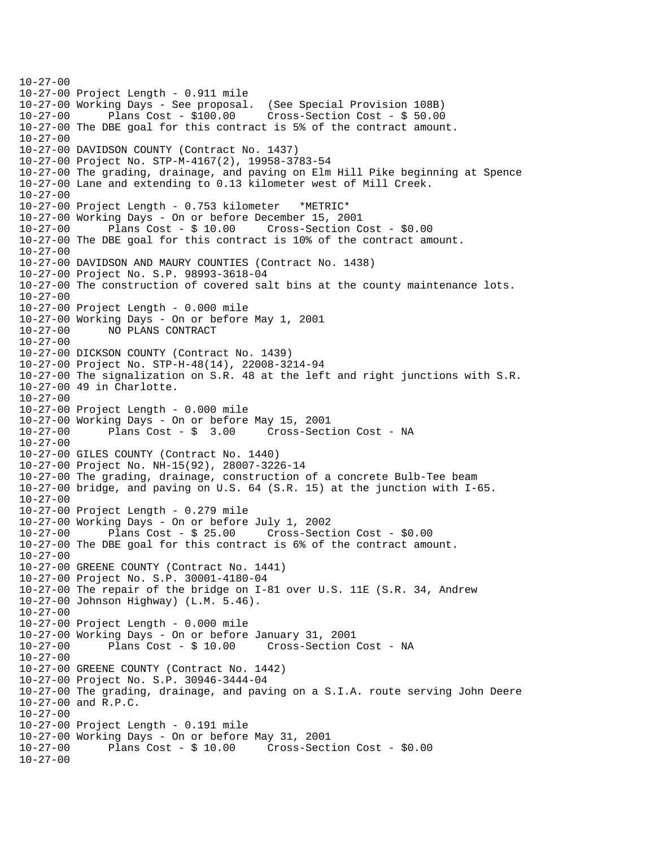$10-27-00$ 10-27-00 Project Length - 0.911 mile 10-27-00 Working Days - See proposal. (See Special Provision 108B) Plans  $Cost - $100.00$  Cross-Section Cost -  $$50.00$ 10-27-00 The DBE goal for this contract is 5% of the contract amount. 10-27-00 10-27-00 DAVIDSON COUNTY (Contract No. 1437) 10-27-00 Project No. STP-M-4167(2), 19958-3783-54 10-27-00 The grading, drainage, and paving on Elm Hill Pike beginning at Spence 10-27-00 Lane and extending to 0.13 kilometer west of Mill Creek. 10-27-00 10-27-00 Project Length - 0.753 kilometer \*METRIC\* 10-27-00 Working Days - On or before December 15, 2001 Plans  $Cost - $ 10.00$  Cross-Section Cost -  $$0.00$ 10-27-00 The DBE goal for this contract is 10% of the contract amount. 10-27-00 10-27-00 DAVIDSON AND MAURY COUNTIES (Contract No. 1438) 10-27-00 Project No. S.P. 98993-3618-04 10-27-00 The construction of covered salt bins at the county maintenance lots. 10-27-00 10-27-00 Project Length - 0.000 mile 10-27-00 Working Days - On or before May 1, 2001 10-27-00 NO PLANS CONTRACT 10-27-00 10-27-00 DICKSON COUNTY (Contract No. 1439) 10-27-00 Project No. STP-H-48(14), 22008-3214-94 10-27-00 The signalization on S.R. 48 at the left and right junctions with S.R. 10-27-00 49 in Charlotte. 10-27-00 10-27-00 Project Length - 0.000 mile 10-27-00 Working Days - On or before May 15, 2001 10-27-00 Plans Cost - \$ 3.00 Cross-Section Cost - NA 10-27-00 10-27-00 GILES COUNTY (Contract No. 1440) 10-27-00 Project No. NH-15(92), 28007-3226-14 10-27-00 The grading, drainage, construction of a concrete Bulb-Tee beam 10-27-00 bridge, and paving on U.S. 64 (S.R. 15) at the junction with I-65. 10-27-00 10-27-00 Project Length - 0.279 mile 10-27-00 Working Days - On or before July 1, 2002 10-27-00 Plans Cost - \$ 25.00 Cross-Section Cost - \$0.00 10-27-00 The DBE goal for this contract is 6% of the contract amount. 10-27-00 10-27-00 GREENE COUNTY (Contract No. 1441) 10-27-00 Project No. S.P. 30001-4180-04 10-27-00 The repair of the bridge on I-81 over U.S. 11E (S.R. 34, Andrew 10-27-00 Johnson Highway) (L.M. 5.46). 10-27-00 10-27-00 Project Length - 0.000 mile 10-27-00 Working Days - On or before January 31, 2001 Cross-Section Cost - NA  $10-27-00$ 10-27-00 GREENE COUNTY (Contract No. 1442) 10-27-00 Project No. S.P. 30946-3444-04 10-27-00 The grading, drainage, and paving on a S.I.A. route serving John Deere 10-27-00 and R.P.C. 10-27-00 10-27-00 Project Length - 0.191 mile 10-27-00 Working Days - On or before May 31, 2001 10-27-00 Plans Cost - \$ 10.00 Cross-Section Cost - \$0.00 10-27-00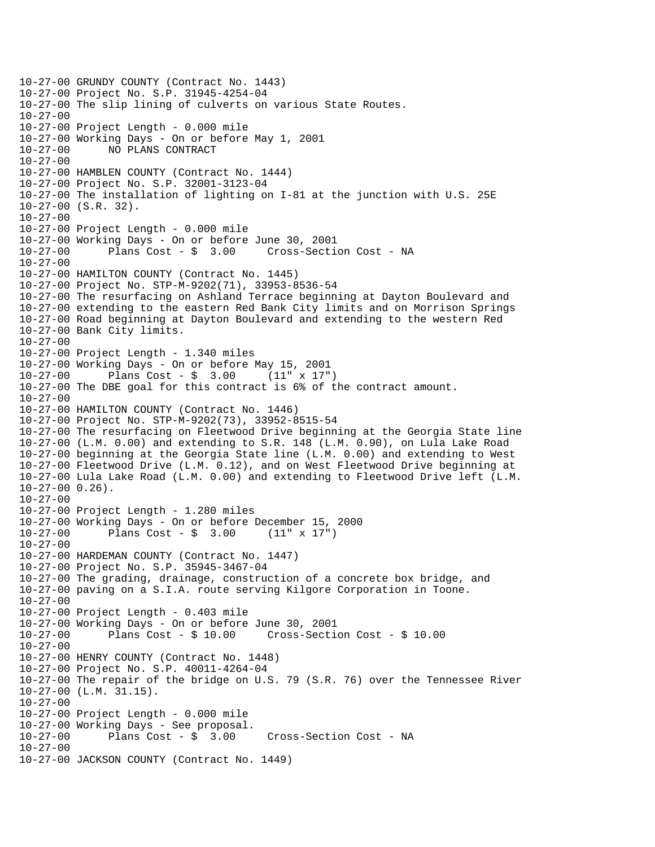10-27-00 GRUNDY COUNTY (Contract No. 1443) 10-27-00 Project No. S.P. 31945-4254-04 10-27-00 The slip lining of culverts on various State Routes. 10-27-00 10-27-00 Project Length - 0.000 mile 10-27-00 Working Days - On or before May 1, 2001 10-27-00 NO PLANS CONTRACT 10-27-00 10-27-00 HAMBLEN COUNTY (Contract No. 1444) 10-27-00 Project No. S.P. 32001-3123-04 10-27-00 The installation of lighting on I-81 at the junction with U.S. 25E 10-27-00 (S.R. 32).  $10-27-00$ 10-27-00 Project Length - 0.000 mile 10-27-00 Working Days - On or before June 30, 2001 10-27-00 Plans Cost - \$ 3.00 Cross-Section Cost - NA 10-27-00 10-27-00 HAMILTON COUNTY (Contract No. 1445) 10-27-00 Project No. STP-M-9202(71), 33953-8536-54 10-27-00 The resurfacing on Ashland Terrace beginning at Dayton Boulevard and 10-27-00 extending to the eastern Red Bank City limits and on Morrison Springs 10-27-00 Road beginning at Dayton Boulevard and extending to the western Red 10-27-00 Bank City limits. 10-27-00 10-27-00 Project Length - 1.340 miles 10-27-00 Working Days - On or before May 15, 2001 Plans Cost -  $\sin 3.00$  (11" x 17") 10-27-00 The DBE goal for this contract is 6% of the contract amount. 10-27-00 10-27-00 HAMILTON COUNTY (Contract No. 1446) 10-27-00 Project No. STP-M-9202(73), 33952-8515-54 10-27-00 The resurfacing on Fleetwood Drive beginning at the Georgia State line 10-27-00 (L.M. 0.00) and extending to S.R. 148 (L.M. 0.90), on Lula Lake Road 10-27-00 beginning at the Georgia State line (L.M. 0.00) and extending to West 10-27-00 Fleetwood Drive (L.M. 0.12), and on West Fleetwood Drive beginning at 10-27-00 Lula Lake Road (L.M. 0.00) and extending to Fleetwood Drive left (L.M. 10-27-00 0.26). 10-27-00 10-27-00 Project Length - 1.280 miles 10-27-00 Working Days - On or before December 15, 2000  $10-27-00$  Plans Cost - \$ 3.00 10-27-00 10-27-00 HARDEMAN COUNTY (Contract No. 1447) 10-27-00 Project No. S.P. 35945-3467-04 10-27-00 The grading, drainage, construction of a concrete box bridge, and 10-27-00 paving on a S.I.A. route serving Kilgore Corporation in Toone. 10-27-00 10-27-00 Project Length - 0.403 mile 10-27-00 Working Days - On or before June 30, 2001 Plans  $Cost - $ 10.00$  Cross-Section Cost -  $$ 10.00$ 10-27-00 10-27-00 HENRY COUNTY (Contract No. 1448) 10-27-00 Project No. S.P. 40011-4264-04 10-27-00 The repair of the bridge on U.S. 79 (S.R. 76) over the Tennessee River 10-27-00 (L.M. 31.15). 10-27-00 10-27-00 Project Length - 0.000 mile 10-27-00 Working Days - See proposal. 10-27-00 Plans Cost - \$ 3.00 Cross-Section Cost - NA 10-27-00 10-27-00 JACKSON COUNTY (Contract No. 1449)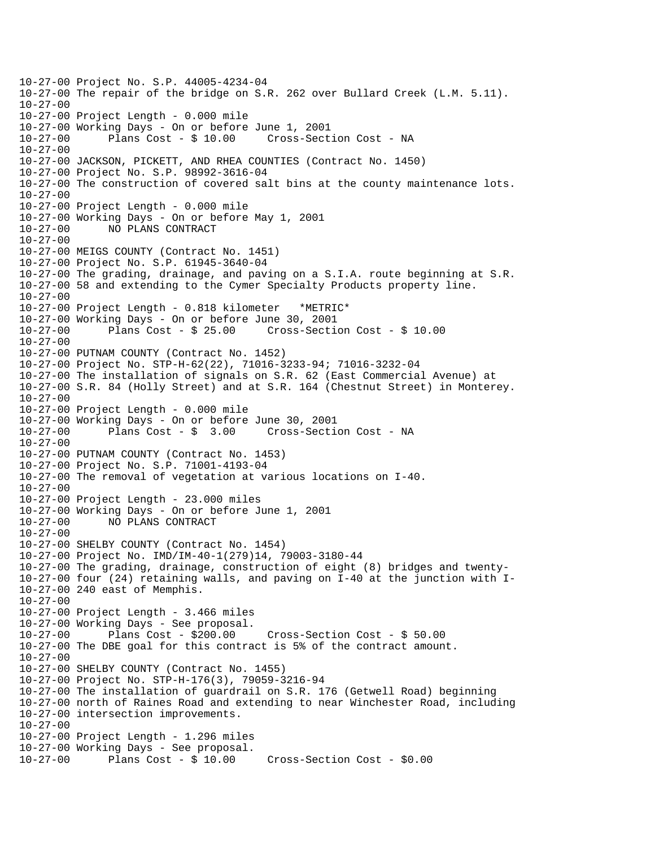10-27-00 Project No. S.P. 44005-4234-04 10-27-00 The repair of the bridge on S.R. 262 over Bullard Creek (L.M. 5.11). 10-27-00 10-27-00 Project Length - 0.000 mile 10-27-00 Working Days - On or before June 1, 2001 10-27-00 Plans Cost - \$ 10.00 Cross-Section Cost - NA 10-27-00 10-27-00 JACKSON, PICKETT, AND RHEA COUNTIES (Contract No. 1450) 10-27-00 Project No. S.P. 98992-3616-04 10-27-00 The construction of covered salt bins at the county maintenance lots. 10-27-00 10-27-00 Project Length - 0.000 mile 10-27-00 Working Days - On or before May 1, 2001 10-27-00 NO PLANS CONTRACT 10-27-00 10-27-00 MEIGS COUNTY (Contract No. 1451) 10-27-00 Project No. S.P. 61945-3640-04 10-27-00 The grading, drainage, and paving on a S.I.A. route beginning at S.R. 10-27-00 58 and extending to the Cymer Specialty Products property line. 10-27-00 10-27-00 Project Length - 0.818 kilometer \*METRIC\* 10-27-00 Working Days - On or before June 30, 2001 10-27-00 Plans Cost - \$ 25.00 Cross-Section Cost - \$ 10.00 10-27-00 10-27-00 PUTNAM COUNTY (Contract No. 1452) 10-27-00 Project No. STP-H-62(22), 71016-3233-94; 71016-3232-04 10-27-00 The installation of signals on S.R. 62 (East Commercial Avenue) at 10-27-00 S.R. 84 (Holly Street) and at S.R. 164 (Chestnut Street) in Monterey. 10-27-00 10-27-00 Project Length - 0.000 mile 10-27-00 Working Days - On or before June 30, 2001 10-27-00 Plans Cost - \$ 3.00 Cross-Section Cost - NA 10-27-00 10-27-00 PUTNAM COUNTY (Contract No. 1453) 10-27-00 Project No. S.P. 71001-4193-04 10-27-00 The removal of vegetation at various locations on I-40. 10-27-00 10-27-00 Project Length - 23.000 miles 10-27-00 Working Days - On or before June 1, 2001 10-27-00 NO PLANS CONTRACT 10-27-00 10-27-00 SHELBY COUNTY (Contract No. 1454) 10-27-00 Project No. IMD/IM-40-1(279)14, 79003-3180-44 10-27-00 The grading, drainage, construction of eight (8) bridges and twenty-10-27-00 four (24) retaining walls, and paving on I-40 at the junction with I-10-27-00 240 east of Memphis. 10-27-00 10-27-00 Project Length - 3.466 miles 10-27-00 Working Days - See proposal. Plans  $Cost - $200.00$  Cross-Section Cost -  $$50.00$ 10-27-00 The DBE goal for this contract is 5% of the contract amount.  $10-27-00$ 10-27-00 SHELBY COUNTY (Contract No. 1455) 10-27-00 Project No. STP-H-176(3), 79059-3216-94 10-27-00 The installation of guardrail on S.R. 176 (Getwell Road) beginning 10-27-00 north of Raines Road and extending to near Winchester Road, including 10-27-00 intersection improvements. 10-27-00 10-27-00 Project Length - 1.296 miles 10-27-00 Working Days - See proposal. 10-27-00 Plans Cost - \$ 10.00 Cross-Section Cost - \$0.00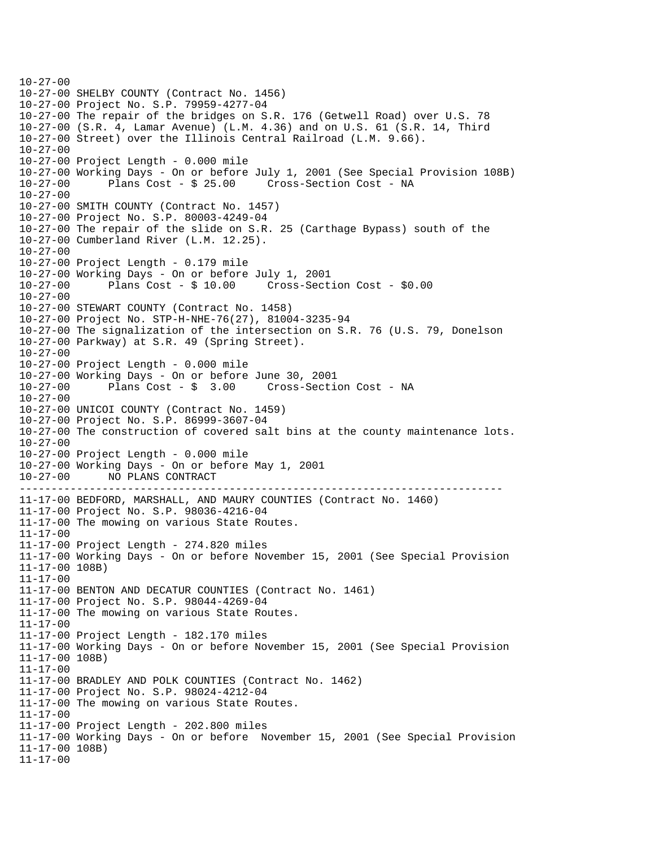```
----------------------------------------------------------------------------
10-27-0010-27-00 SHELBY COUNTY (Contract No. 1456) 
10-27-00 Project No. S.P. 79959-4277-04 
10-27-00 The repair of the bridges on S.R. 176 (Getwell Road) over U.S. 78 
10-27-00 (S.R. 4, Lamar Avenue) (L.M. 4.36) and on U.S. 61 (S.R. 14, Third 
10-27-00 Street) over the Illinois Central Railroad (L.M. 9.66). 
10-27-00 
10-27-00 Project Length - 0.000 mile 
10-27-00 Working Days - On or before July 1, 2001 (See Special Provision 108B) 
10-27-00 Plans Cost - $ 25.00 Cross-Section Cost - NA 
10-27-00 
10-27-00 SMITH COUNTY (Contract No. 1457) 
10-27-00 Project No. S.P. 80003-4249-04 
10-27-00 The repair of the slide on S.R. 25 (Carthage Bypass) south of the 
10-27-00 Cumberland River (L.M. 12.25). 
10-27-00 
10-27-00 Project Length - 0.179 mile 
10-27-00 Working Days - On or before July 1, 2001 
10-27-00 Plans Cost - $ 10.00 Cross-Section Cost - $0.00 
10-27-00 
10-27-00 STEWART COUNTY (Contract No. 1458) 
10-27-00 Project No. STP-H-NHE-76(27), 81004-3235-94 
10-27-00 The signalization of the intersection on S.R. 76 (U.S. 79, Donelson 
10-27-00 Parkway) at S.R. 49 (Spring Street). 
10-27-00 
10-27-00 Project Length - 0.000 mile 
10-27-00 Working Days - On or before June 30, 2001 
              Plans Cost - $ 3.00 Cross-Section Cost - NA
10-27-00 
10-27-00 UNICOI COUNTY (Contract No. 1459) 
10-27-00 Project No. S.P. 86999-3607-04 
10-27-00 The construction of covered salt bins at the county maintenance lots. 
10-27-00 
10-27-00 Project Length - 0.000 mile 
10-27-00 Working Days - On or before May 1, 2001 
10-27-00 NO PLANS CONTRACT 
11-17-00 BEDFORD, MARSHALL, AND MAURY COUNTIES (Contract No. 1460) 
11-17-00 Project No. S.P. 98036-4216-04 
11-17-00 The mowing on various State Routes. 
11-17-00 
11-17-00 Project Length - 274.820 miles 
11-17-00 Working Days - On or before November 15, 2001 (See Special Provision 
11-17-00 108B) 
11-17-00 
11-17-00 BENTON AND DECATUR COUNTIES (Contract No. 1461) 
11-17-00 Project No. S.P. 98044-4269-04 
11-17-00 The mowing on various State Routes. 
11-17-00 
11-17-00 Project Length - 182.170 miles 
11-17-00 Working Days - On or before November 15, 2001 (See Special Provision 
11-17-00 108B) 
11-17-00 
11-17-00 BRADLEY AND POLK COUNTIES (Contract No. 1462) 
11-17-00 Project No. S.P. 98024-4212-04 
11-17-00 The mowing on various State Routes. 
11-17-00 
11-17-00 Project Length - 202.800 miles 
11-17-00 Working Days - On or before November 15, 2001 (See Special Provision 
11-17-00 108B) 
11-17-00
```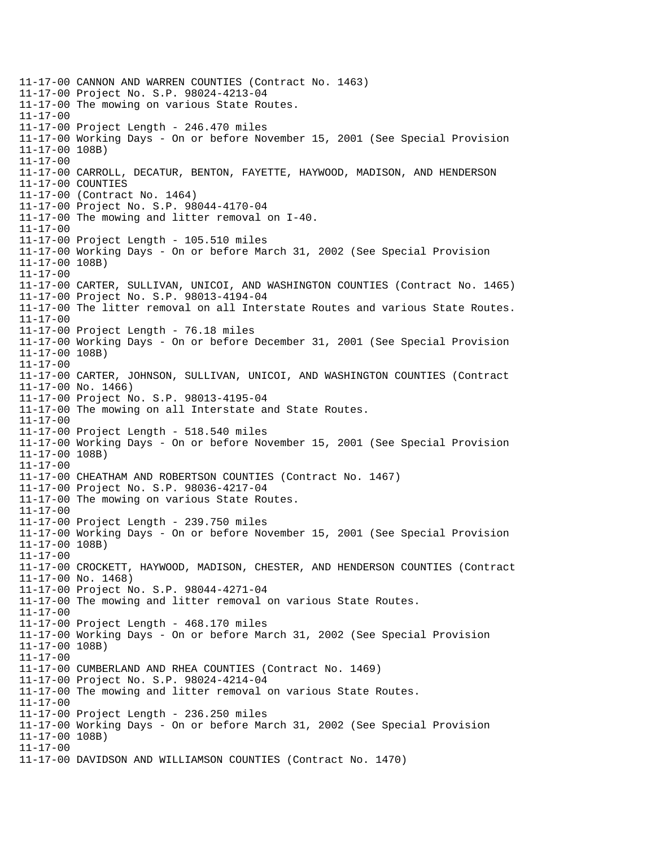11-17-00 CANNON AND WARREN COUNTIES (Contract No. 1463) 11-17-00 Project No. S.P. 98024-4213-04 11-17-00 The mowing on various State Routes. 11-17-00 11-17-00 Project Length - 246.470 miles 11-17-00 Working Days - On or before November 15, 2001 (See Special Provision 11-17-00 108B) 11-17-00 11-17-00 CARROLL, DECATUR, BENTON, FAYETTE, HAYWOOD, MADISON, AND HENDERSON 11-17-00 COUNTIES 11-17-00 (Contract No. 1464) 11-17-00 Project No. S.P. 98044-4170-04 11-17-00 The mowing and litter removal on I-40. 11-17-00 11-17-00 Project Length - 105.510 miles 11-17-00 Working Days - On or before March 31, 2002 (See Special Provision 11-17-00 108B) 11-17-00 11-17-00 CARTER, SULLIVAN, UNICOI, AND WASHINGTON COUNTIES (Contract No. 1465) 11-17-00 Project No. S.P. 98013-4194-04 11-17-00 The litter removal on all Interstate Routes and various State Routes. 11-17-00 11-17-00 Project Length - 76.18 miles 11-17-00 Working Days - On or before December 31, 2001 (See Special Provision 11-17-00 108B) 11-17-00 11-17-00 CARTER, JOHNSON, SULLIVAN, UNICOI, AND WASHINGTON COUNTIES (Contract 11-17-00 No. 1466) 11-17-00 Project No. S.P. 98013-4195-04 11-17-00 The mowing on all Interstate and State Routes. 11-17-00 11-17-00 Project Length - 518.540 miles 11-17-00 Working Days - On or before November 15, 2001 (See Special Provision 11-17-00 108B) 11-17-00 11-17-00 CHEATHAM AND ROBERTSON COUNTIES (Contract No. 1467) 11-17-00 Project No. S.P. 98036-4217-04 11-17-00 The mowing on various State Routes. 11-17-00 11-17-00 Project Length - 239.750 miles 11-17-00 Working Days - On or before November 15, 2001 (See Special Provision 11-17-00 108B) 11-17-00 11-17-00 CROCKETT, HAYWOOD, MADISON, CHESTER, AND HENDERSON COUNTIES (Contract 11-17-00 No. 1468) 11-17-00 Project No. S.P. 98044-4271-04 11-17-00 The mowing and litter removal on various State Routes. 11-17-00 11-17-00 Project Length - 468.170 miles 11-17-00 Working Days - On or before March 31, 2002 (See Special Provision 11-17-00 108B) 11-17-00 11-17-00 CUMBERLAND AND RHEA COUNTIES (Contract No. 1469) 11-17-00 Project No. S.P. 98024-4214-04 11-17-00 The mowing and litter removal on various State Routes. 11-17-00 11-17-00 Project Length - 236.250 miles 11-17-00 Working Days - On or before March 31, 2002 (See Special Provision 11-17-00 108B) 11-17-00 11-17-00 DAVIDSON AND WILLIAMSON COUNTIES (Contract No. 1470)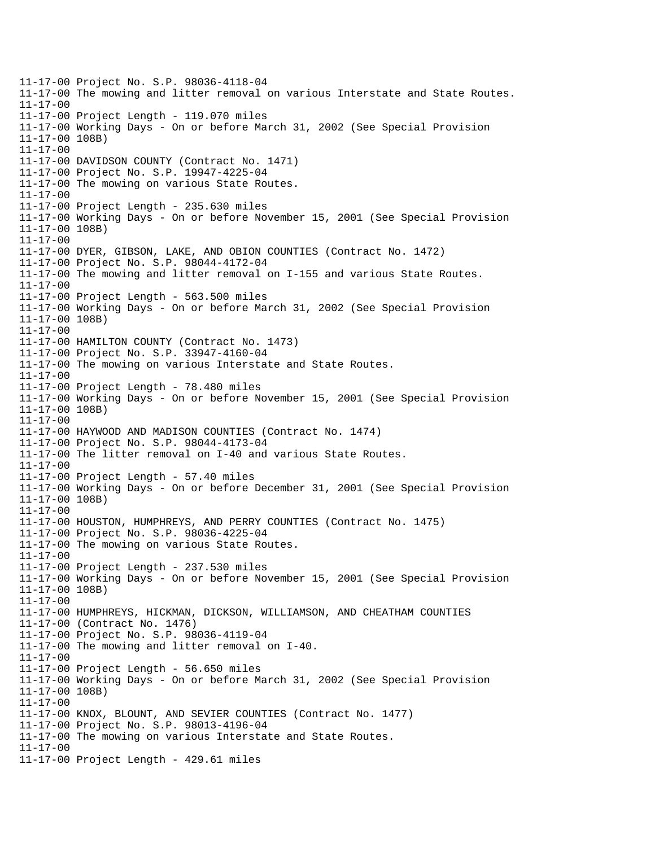11-17-00 Project No. S.P. 98036-4118-04 11-17-00 The mowing and litter removal on various Interstate and State Routes. 11-17-00 11-17-00 Project Length - 119.070 miles 11-17-00 Working Days - On or before March 31, 2002 (See Special Provision 11-17-00 108B) 11-17-00 11-17-00 DAVIDSON COUNTY (Contract No. 1471) 11-17-00 Project No. S.P. 19947-4225-04 11-17-00 The mowing on various State Routes. 11-17-00 11-17-00 Project Length - 235.630 miles 11-17-00 Working Days - On or before November 15, 2001 (See Special Provision 11-17-00 108B) 11-17-00 11-17-00 DYER, GIBSON, LAKE, AND OBION COUNTIES (Contract No. 1472) 11-17-00 Project No. S.P. 98044-4172-04 11-17-00 The mowing and litter removal on I-155 and various State Routes. 11-17-00 11-17-00 Project Length - 563.500 miles 11-17-00 Working Days - On or before March 31, 2002 (See Special Provision 11-17-00 108B) 11-17-00 11-17-00 HAMILTON COUNTY (Contract No. 1473) 11-17-00 Project No. S.P. 33947-4160-04 11-17-00 The mowing on various Interstate and State Routes. 11-17-00 11-17-00 Project Length - 78.480 miles 11-17-00 Working Days - On or before November 15, 2001 (See Special Provision 11-17-00 108B) 11-17-00 11-17-00 HAYWOOD AND MADISON COUNTIES (Contract No. 1474) 11-17-00 Project No. S.P. 98044-4173-04 11-17-00 The litter removal on I-40 and various State Routes. 11-17-00 11-17-00 Project Length - 57.40 miles 11-17-00 Working Days - On or before December 31, 2001 (See Special Provision 11-17-00 108B) 11-17-00 11-17-00 HOUSTON, HUMPHREYS, AND PERRY COUNTIES (Contract No. 1475) 11-17-00 Project No. S.P. 98036-4225-04 11-17-00 The mowing on various State Routes. 11-17-00 11-17-00 Project Length - 237.530 miles 11-17-00 Working Days - On or before November 15, 2001 (See Special Provision 11-17-00 108B) 11-17-00 11-17-00 HUMPHREYS, HICKMAN, DICKSON, WILLIAMSON, AND CHEATHAM COUNTIES 11-17-00 (Contract No. 1476) 11-17-00 Project No. S.P. 98036-4119-04 11-17-00 The mowing and litter removal on I-40. 11-17-00 11-17-00 Project Length - 56.650 miles 11-17-00 Working Days - On or before March 31, 2002 (See Special Provision 11-17-00 108B) 11-17-00 11-17-00 KNOX, BLOUNT, AND SEVIER COUNTIES (Contract No. 1477) 11-17-00 Project No. S.P. 98013-4196-04 11-17-00 The mowing on various Interstate and State Routes. 11-17-00 11-17-00 Project Length - 429.61 miles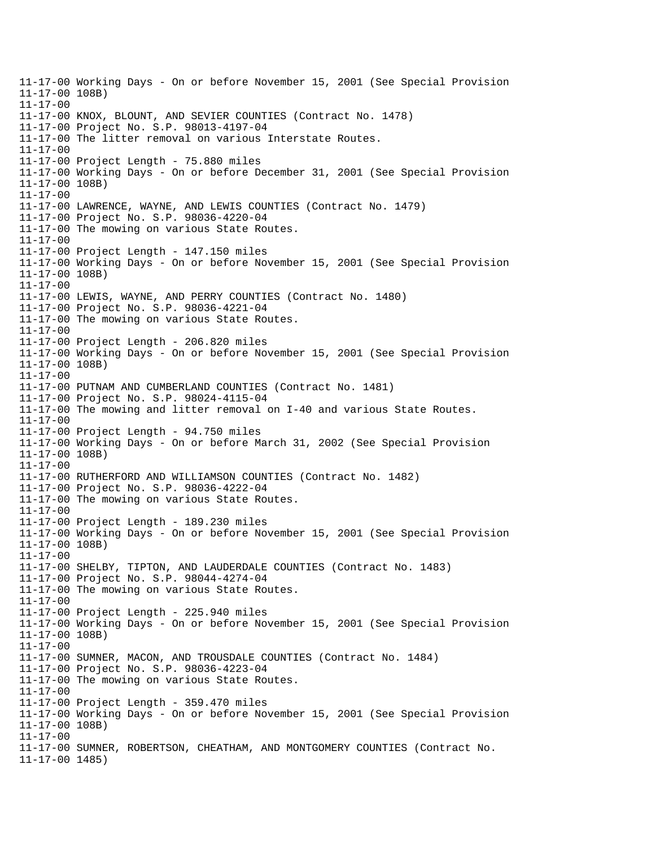11-17-00 Working Days - On or before November 15, 2001 (See Special Provision 11-17-00 108B) 11-17-00 11-17-00 KNOX, BLOUNT, AND SEVIER COUNTIES (Contract No. 1478) 11-17-00 Project No. S.P. 98013-4197-04 11-17-00 The litter removal on various Interstate Routes. 11-17-00 11-17-00 Project Length - 75.880 miles 11-17-00 Working Days - On or before December 31, 2001 (See Special Provision 11-17-00 108B) 11-17-00 11-17-00 LAWRENCE, WAYNE, AND LEWIS COUNTIES (Contract No. 1479) 11-17-00 Project No. S.P. 98036-4220-04 11-17-00 The mowing on various State Routes. 11-17-00 11-17-00 Project Length - 147.150 miles 11-17-00 Working Days - On or before November 15, 2001 (See Special Provision 11-17-00 108B) 11-17-00 11-17-00 LEWIS, WAYNE, AND PERRY COUNTIES (Contract No. 1480) 11-17-00 Project No. S.P. 98036-4221-04 11-17-00 The mowing on various State Routes. 11-17-00 11-17-00 Project Length - 206.820 miles 11-17-00 Working Days - On or before November 15, 2001 (See Special Provision 11-17-00 108B) 11-17-00 11-17-00 PUTNAM AND CUMBERLAND COUNTIES (Contract No. 1481) 11-17-00 Project No. S.P. 98024-4115-04 11-17-00 The mowing and litter removal on I-40 and various State Routes. 11-17-00 11-17-00 Project Length - 94.750 miles 11-17-00 Working Days - On or before March 31, 2002 (See Special Provision 11-17-00 108B) 11-17-00 11-17-00 RUTHERFORD AND WILLIAMSON COUNTIES (Contract No. 1482) 11-17-00 Project No. S.P. 98036-4222-04 11-17-00 The mowing on various State Routes. 11-17-00 11-17-00 Project Length - 189.230 miles 11-17-00 Working Days - On or before November 15, 2001 (See Special Provision 11-17-00 108B) 11-17-00 11-17-00 SHELBY, TIPTON, AND LAUDERDALE COUNTIES (Contract No. 1483) 11-17-00 Project No. S.P. 98044-4274-04 11-17-00 The mowing on various State Routes. 11-17-00 11-17-00 Project Length - 225.940 miles 11-17-00 Working Days - On or before November 15, 2001 (See Special Provision 11-17-00 108B) 11-17-00 11-17-00 SUMNER, MACON, AND TROUSDALE COUNTIES (Contract No. 1484) 11-17-00 Project No. S.P. 98036-4223-04 11-17-00 The mowing on various State Routes. 11-17-00 11-17-00 Project Length - 359.470 miles 11-17-00 Working Days - On or before November 15, 2001 (See Special Provision 11-17-00 108B) 11-17-00 11-17-00 SUMNER, ROBERTSON, CHEATHAM, AND MONTGOMERY COUNTIES (Contract No. 11-17-00 1485)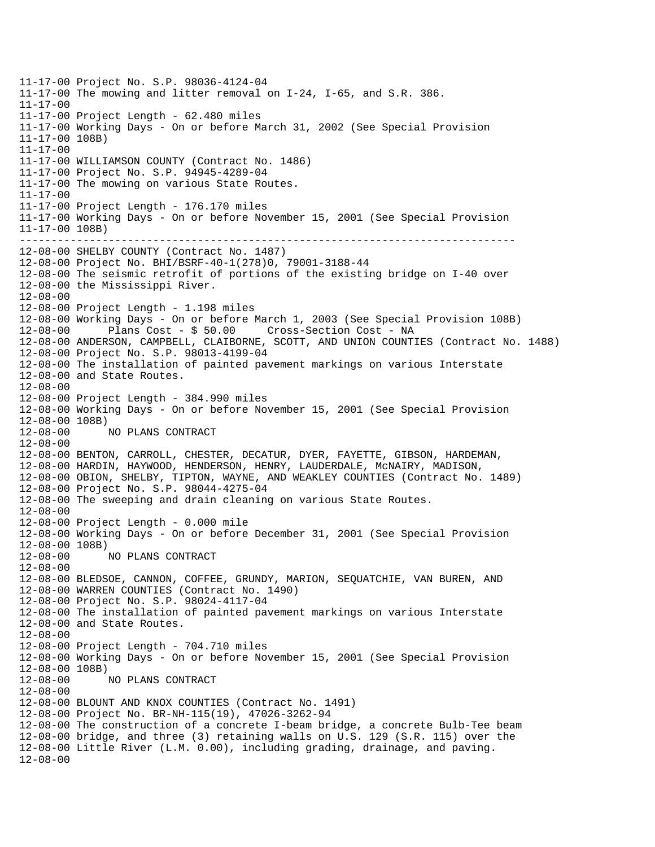------------------------------------------------------------------------------ 11-17-00 Project No. S.P. 98036-4124-04 11-17-00 The mowing and litter removal on I-24, I-65, and S.R. 386. 11-17-00 11-17-00 Project Length - 62.480 miles 11-17-00 Working Days - On or before March 31, 2002 (See Special Provision 11-17-00 108B) 11-17-00 11-17-00 WILLIAMSON COUNTY (Contract No. 1486) 11-17-00 Project No. S.P. 94945-4289-04 11-17-00 The mowing on various State Routes. 11-17-00 11-17-00 Project Length - 176.170 miles 11-17-00 Working Days - On or before November 15, 2001 (See Special Provision 11-17-00 108B) 12-08-00 SHELBY COUNTY (Contract No. 1487) 12-08-00 Project No. BHI/BSRF-40-1(278)0, 79001-3188-44 12-08-00 The seismic retrofit of portions of the existing bridge on I-40 over 12-08-00 the Mississippi River. 12-08-00 12-08-00 Project Length - 1.198 miles 12-08-00 Working Days - On or before March 1, 2003 (See Special Provision 108B) 12-08-00 Plans Cost - \$ 50.00 Cross-Section Cost - NA 12-08-00 ANDERSON, CAMPBELL, CLAIBORNE, SCOTT, AND UNION COUNTIES (Contract No. 1488) 12-08-00 Project No. S.P. 98013-4199-04 12-08-00 The installation of painted pavement markings on various Interstate 12-08-00 and State Routes. 12-08-00 12-08-00 Project Length - 384.990 miles 12-08-00 Working Days - On or before November 15, 2001 (See Special Provision 12-08-00 108B) 12-08-00 NO PLANS CONTRACT 12-08-00 12-08-00 BENTON, CARROLL, CHESTER, DECATUR, DYER, FAYETTE, GIBSON, HARDEMAN, 12-08-00 HARDIN, HAYWOOD, HENDERSON, HENRY, LAUDERDALE, McNAIRY, MADISON, 12-08-00 OBION, SHELBY, TIPTON, WAYNE, AND WEAKLEY COUNTIES (Contract No. 1489) 12-08-00 Project No. S.P. 98044-4275-04 12-08-00 The sweeping and drain cleaning on various State Routes. 12-08-00 12-08-00 Project Length - 0.000 mile 12-08-00 Working Days - On or before December 31, 2001 (See Special Provision 12-08-00 108B) 12-08-00 NO PLANS CONTRACT 12-08-00 12-08-00 BLEDSOE, CANNON, COFFEE, GRUNDY, MARION, SEQUATCHIE, VAN BUREN, AND 12-08-00 WARREN COUNTIES (Contract No. 1490) 12-08-00 Project No. S.P. 98024-4117-04 12-08-00 The installation of painted pavement markings on various Interstate 12-08-00 and State Routes. 12-08-00 12-08-00 Project Length - 704.710 miles 12-08-00 Working Days - On or before November 15, 2001 (See Special Provision 12-08-00 108B) 12-08-00 NO PLANS CONTRACT 12-08-00 12-08-00 BLOUNT AND KNOX COUNTIES (Contract No. 1491) 12-08-00 Project No. BR-NH-115(19), 47026-3262-94 12-08-00 The construction of a concrete I-beam bridge, a concrete Bulb-Tee beam 12-08-00 bridge, and three (3) retaining walls on U.S. 129 (S.R. 115) over the 12-08-00 Little River (L.M. 0.00), including grading, drainage, and paving. 12-08-00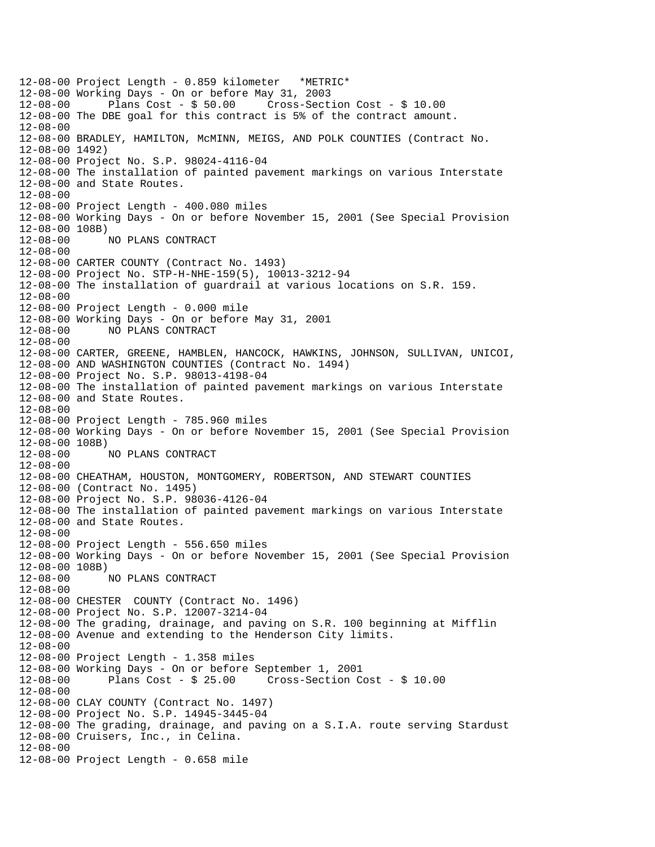12-08-00 Project Length - 0.859 kilometer \*METRIC\* 12-08-00 Working Days - On or before May 31, 2003 12-08-00 Plans Cost - \$ 50.00 Cross-Section Cost - \$ 10.00 12-08-00 The DBE goal for this contract is 5% of the contract amount. 12-08-00 12-08-00 BRADLEY, HAMILTON, McMINN, MEIGS, AND POLK COUNTIES (Contract No. 12-08-00 1492) 12-08-00 Project No. S.P. 98024-4116-04 12-08-00 The installation of painted pavement markings on various Interstate 12-08-00 and State Routes. 12-08-00 12-08-00 Project Length - 400.080 miles 12-08-00 Working Days - On or before November 15, 2001 (See Special Provision 12-08-00 108B) 12-08-00 NO PLANS CONTRACT 12-08-00 12-08-00 CARTER COUNTY (Contract No. 1493) 12-08-00 Project No. STP-H-NHE-159(5), 10013-3212-94 12-08-00 The installation of guardrail at various locations on S.R. 159. 12-08-00 12-08-00 Project Length - 0.000 mile 12-08-00 Working Days - On or before May 31, 2001 12-08-00 NO PLANS CONTRACT 12-08-00 12-08-00 CARTER, GREENE, HAMBLEN, HANCOCK, HAWKINS, JOHNSON, SULLIVAN, UNICOI, 12-08-00 AND WASHINGTON COUNTIES (Contract No. 1494) 12-08-00 Project No. S.P. 98013-4198-04 12-08-00 The installation of painted pavement markings on various Interstate 12-08-00 and State Routes. 12-08-00 12-08-00 Project Length - 785.960 miles 12-08-00 Working Days - On or before November 15, 2001 (See Special Provision 12-08-00 108B) 12-08-00 NO PLANS CONTRACT 12-08-00 12-08-00 CHEATHAM, HOUSTON, MONTGOMERY, ROBERTSON, AND STEWART COUNTIES 12-08-00 (Contract No. 1495) 12-08-00 Project No. S.P. 98036-4126-04 12-08-00 The installation of painted pavement markings on various Interstate 12-08-00 and State Routes. 12-08-00 12-08-00 Project Length - 556.650 miles 12-08-00 Working Days - On or before November 15, 2001 (See Special Provision 12-08-00 108B) 12-08-00 NO PLANS CONTRACT 12-08-00 12-08-00 CHESTER COUNTY (Contract No. 1496) 12-08-00 Project No. S.P. 12007-3214-04 12-08-00 The grading, drainage, and paving on S.R. 100 beginning at Mifflin 12-08-00 Avenue and extending to the Henderson City limits. 12-08-00 12-08-00 Project Length - 1.358 miles 12-08-00 Working Days - On or before September 1, 2001 12-08-00 Plans Cost - \$ 25.00 Cross-Section Cost - \$ 10.00 12-08-00 12-08-00 CLAY COUNTY (Contract No. 1497) 12-08-00 Project No. S.P. 14945-3445-04 12-08-00 The grading, drainage, and paving on a S.I.A. route serving Stardust 12-08-00 Cruisers, Inc., in Celina. 12-08-00 12-08-00 Project Length - 0.658 mile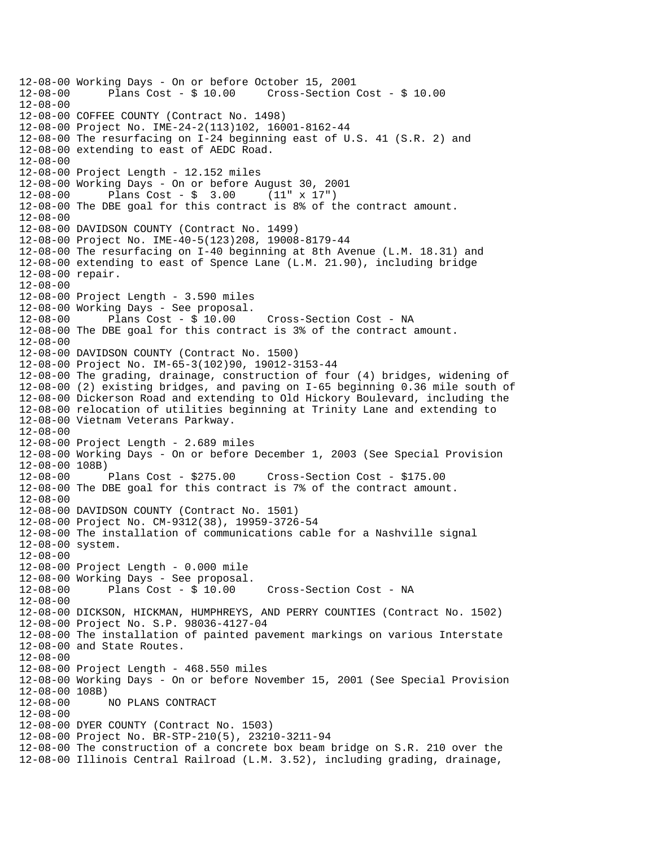12-08-00 Working Days - On or before October 15, 2001 12-08-00 Plans Cost - \$ 10.00 Cross-Section Cost - \$ 10.00 12-08-00 12-08-00 COFFEE COUNTY (Contract No. 1498) 12-08-00 Project No. IME-24-2(113)102, 16001-8162-44 12-08-00 The resurfacing on I-24 beginning east of U.S. 41 (S.R. 2) and 12-08-00 extending to east of AEDC Road. 12-08-00 12-08-00 Project Length - 12.152 miles 12-08-00 Working Days - On or before August 30, 2001 12-08-00 Plans Cost - \$ 3.00 (11" x 17") 12-08-00 The DBE goal for this contract is 8% of the contract amount. 12-08-00 12-08-00 DAVIDSON COUNTY (Contract No. 1499) 12-08-00 Project No. IME-40-5(123)208, 19008-8179-44 12-08-00 The resurfacing on I-40 beginning at 8th Avenue (L.M. 18.31) and 12-08-00 extending to east of Spence Lane (L.M. 21.90), including bridge 12-08-00 repair. 12-08-00 12-08-00 Project Length - 3.590 miles 12-08-00 Working Days - See proposal. 12-08-00 Plans Cost - \$ 10.00 Cross-Section Cost - NA 12-08-00 The DBE goal for this contract is 3% of the contract amount. 12-08-00 12-08-00 DAVIDSON COUNTY (Contract No. 1500) 12-08-00 Project No. IM-65-3(102)90, 19012-3153-44 12-08-00 The grading, drainage, construction of four (4) bridges, widening of 12-08-00 (2) existing bridges, and paving on I-65 beginning 0.36 mile south of 12-08-00 Dickerson Road and extending to Old Hickory Boulevard, including the 12-08-00 relocation of utilities beginning at Trinity Lane and extending to 12-08-00 Vietnam Veterans Parkway. 12-08-00 12-08-00 Project Length - 2.689 miles 12-08-00 Working Days - On or before December 1, 2003 (See Special Provision 12-08-00 108B)<br>12-08-00 Plans Cost - \$275.00 12-08-00 Plans Cost - \$275.00 Cross-Section Cost - \$175.00 12-08-00 The DBE goal for this contract is 7% of the contract amount. 12-08-00 12-08-00 DAVIDSON COUNTY (Contract No. 1501) 12-08-00 Project No. CM-9312(38), 19959-3726-54 12-08-00 The installation of communications cable for a Nashville signal 12-08-00 system. 12-08-00 12-08-00 Project Length - 0.000 mile 12-08-00 Working Days - See proposal. 12-08-00 Plans Cost - \$ 10.00 Cross-Section Cost - NA 12-08-00 12-08-00 DICKSON, HICKMAN, HUMPHREYS, AND PERRY COUNTIES (Contract No. 1502) 12-08-00 Project No. S.P. 98036-4127-04 12-08-00 The installation of painted pavement markings on various Interstate 12-08-00 and State Routes. 12-08-00 12-08-00 Project Length - 468.550 miles 12-08-00 Working Days - On or before November 15, 2001 (See Special Provision 12-08-00 108B) 12-08-00 NO PLANS CONTRACT 12-08-00 12-08-00 DYER COUNTY (Contract No. 1503) 12-08-00 Project No. BR-STP-210(5), 23210-3211-94 12-08-00 The construction of a concrete box beam bridge on S.R. 210 over the 12-08-00 Illinois Central Railroad (L.M. 3.52), including grading, drainage,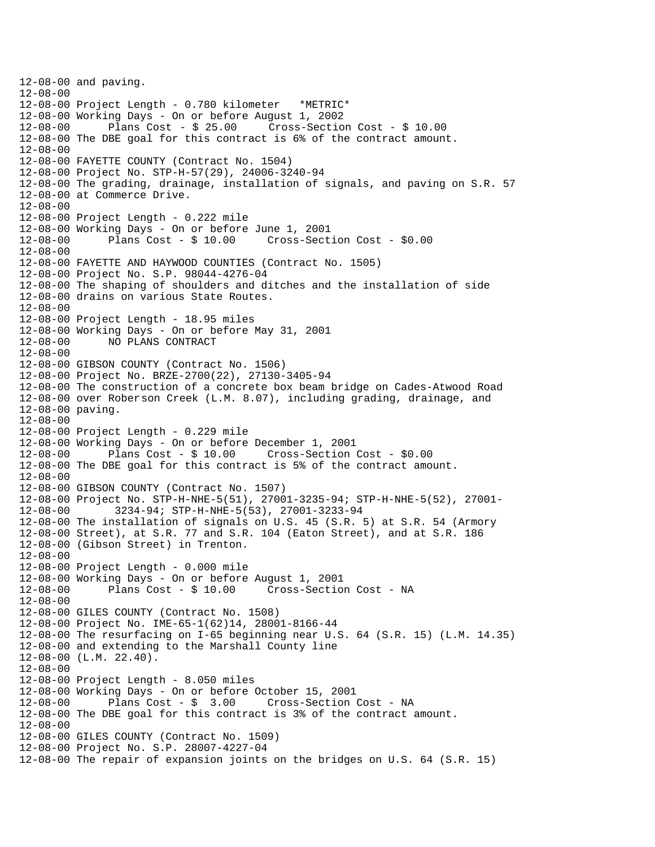```
12-08-00 and paving. 
12-08-00 
12-08-00 Project Length - 0.780 kilometer *METRIC* 
12-08-00 Working Days - On or before August 1, 2002 
12-08-00 Plans Cost - $ 25.00 Cross-Section Cost - $ 10.00 
12-08-00 The DBE goal for this contract is 6% of the contract amount. 
12-08-00 
12-08-00 FAYETTE COUNTY (Contract No. 1504) 
12-08-00 Project No. STP-H-57(29), 24006-3240-94 
12-08-00 The grading, drainage, installation of signals, and paving on S.R. 57 
12-08-00 at Commerce Drive. 
12-08-00 
12-08-00 Project Length - 0.222 mile 
12-08-00 Working Days - On or before June 1, 2001 
12-08-00 Plans Cost - $ 10.00 Cross-Section Cost - $0.00 
12-08-00 
12-08-00 FAYETTE AND HAYWOOD COUNTIES (Contract No. 1505) 
12-08-00 Project No. S.P. 98044-4276-04 
12-08-00 The shaping of shoulders and ditches and the installation of side 
12-08-00 drains on various State Routes. 
12-08-00 
12-08-00 Project Length - 18.95 miles 
12-08-00 Working Days - On or before May 31, 2001 
12-08-00 NO PLANS CONTRACT 
12-08-00 
12-08-00 GIBSON COUNTY (Contract No. 1506) 
12-08-00 Project No. BRZE-2700(22), 27130-3405-94 
12-08-00 The construction of a concrete box beam bridge on Cades-Atwood Road 
12-08-00 over Roberson Creek (L.M. 8.07), including grading, drainage, and 
12-08-00 paving. 
12-08-00 
12-08-00 Project Length - 0.229 mile 
12-08-00 Working Days - On or before December 1, 2001 
12-08-00 Plans Cost - $ 10.00 Cross-Section Cost - $0.00 
12-08-00 The DBE goal for this contract is 5% of the contract amount. 
12-08-00 
12-08-00 GIBSON COUNTY (Contract No. 1507) 
12-08-00 Project No. STP-H-NHE-5(51), 27001-3235-94; STP-H-NHE-5(52), 27001
12-08-00 3234-94; STP-H-NHE-5(53), 27001-3233-94 
12-08-00 The installation of signals on U.S. 45 (S.R. 5) at S.R. 54 (Armory 
12-08-00 Street), at S.R. 77 and S.R. 104 (Eaton Street), and at S.R. 186 
12-08-00 (Gibson Street) in Trenton. 
12-08-00 
12-08-00 Project Length - 0.000 mile 
12-08-00 Working Days - On or before August 1, 2001 
12-08-00 Plans Cost - $ 10.00 Cross-Section Cost - NA 
12-08-00 
12-08-00 GILES COUNTY (Contract No. 1508) 
12-08-00 Project No. IME-65-1(62)14, 28001-8166-44 
12-08-00 The resurfacing on I-65 beginning near U.S. 64 (S.R. 15) (L.M. 14.35) 
12-08-00 and extending to the Marshall County line 
12-08-00 (L.M. 22.40). 
12-08-00 
12-08-00 Project Length - 8.050 miles 
12-08-00 Working Days - On or before October 15, 2001 
12-08-00 Plans Cost - $ 3.00 Cross-Section Cost - NA 
12-08-00 The DBE goal for this contract is 3% of the contract amount. 
12-08-00 
12-08-00 GILES COUNTY (Contract No. 1509) 
12-08-00 Project No. S.P. 28007-4227-04 
12-08-00 The repair of expansion joints on the bridges on U.S. 64 (S.R. 15)
```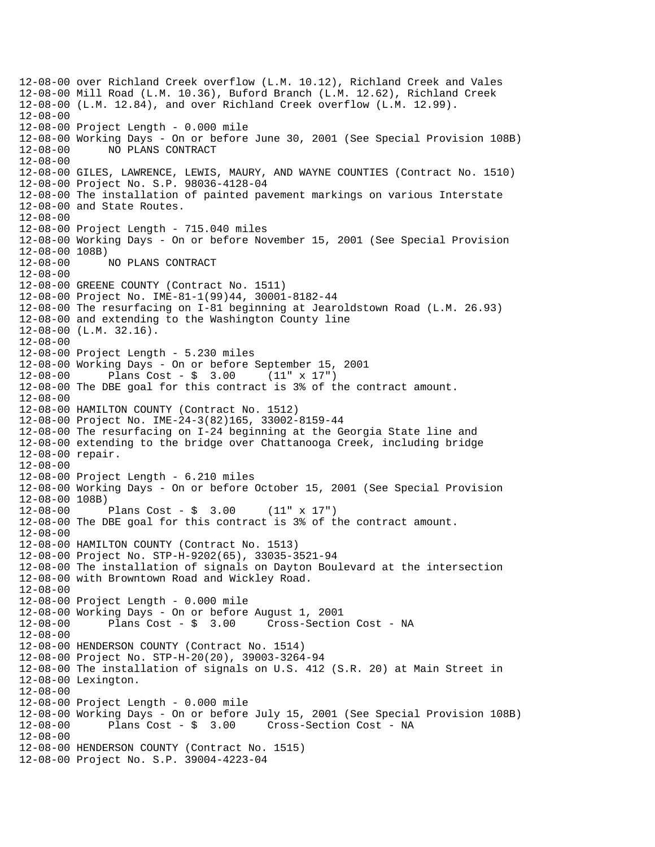12-08-00 over Richland Creek overflow (L.M. 10.12), Richland Creek and Vales 12-08-00 Mill Road (L.M. 10.36), Buford Branch (L.M. 12.62), Richland Creek 12-08-00 (L.M. 12.84), and over Richland Creek overflow (L.M. 12.99). 12-08-00 12-08-00 Project Length - 0.000 mile 12-08-00 Working Days - On or before June 30, 2001 (See Special Provision 108B) 12-08-00 NO PLANS CONTRACT 12-08-00 12-08-00 GILES, LAWRENCE, LEWIS, MAURY, AND WAYNE COUNTIES (Contract No. 1510) 12-08-00 Project No. S.P. 98036-4128-04 12-08-00 The installation of painted pavement markings on various Interstate 12-08-00 and State Routes. 12-08-00 12-08-00 Project Length - 715.040 miles 12-08-00 Working Days - On or before November 15, 2001 (See Special Provision 12-08-00 108B) NO PLANS CONTRACT 12-08-00 12-08-00 GREENE COUNTY (Contract No. 1511) 12-08-00 Project No. IME-81-1(99)44, 30001-8182-44 12-08-00 The resurfacing on I-81 beginning at Jearoldstown Road (L.M. 26.93) 12-08-00 and extending to the Washington County line 12-08-00 (L.M. 32.16). 12-08-00 12-08-00 Project Length - 5.230 miles 12-08-00 Working Days - On or before September 15, 2001 12-08-00 Plans Cost - \$ 3.00 (11" x 17") 12-08-00 The DBE goal for this contract is 3% of the contract amount. 12-08-00 12-08-00 HAMILTON COUNTY (Contract No. 1512) 12-08-00 Project No. IME-24-3(82)165, 33002-8159-44 12-08-00 The resurfacing on I-24 beginning at the Georgia State line and 12-08-00 extending to the bridge over Chattanooga Creek, including bridge 12-08-00 repair. 12-08-00 12-08-00 Project Length - 6.210 miles 12-08-00 Working Days - On or before October 15, 2001 (See Special Provision 12-08-00 108B) 12-08-00 Plans Cost - \$ 3.00 (11" x 17") 12-08-00 The DBE goal for this contract is 3% of the contract amount. 12-08-00 12-08-00 HAMILTON COUNTY (Contract No. 1513) 12-08-00 Project No. STP-H-9202(65), 33035-3521-94 12-08-00 The installation of signals on Dayton Boulevard at the intersection 12-08-00 with Browntown Road and Wickley Road. 12-08-00 12-08-00 Project Length - 0.000 mile 12-08-00 Working Days - On or before August 1, 2001 12-08-00 Plans Cost - \$ 3.00 Cross-Section Cost - NA 12-08-00 12-08-00 HENDERSON COUNTY (Contract No. 1514) 12-08-00 Project No. STP-H-20(20), 39003-3264-94 12-08-00 The installation of signals on U.S. 412 (S.R. 20) at Main Street in 12-08-00 Lexington. 12-08-00 12-08-00 Project Length - 0.000 mile 12-08-00 Working Days - On or before July 15, 2001 (See Special Provision 108B) 12-08-00 Plans Cost - \$ 3.00 Cross-Section Cost - NA 12-08-00 12-08-00 HENDERSON COUNTY (Contract No. 1515) 12-08-00 Project No. S.P. 39004-4223-04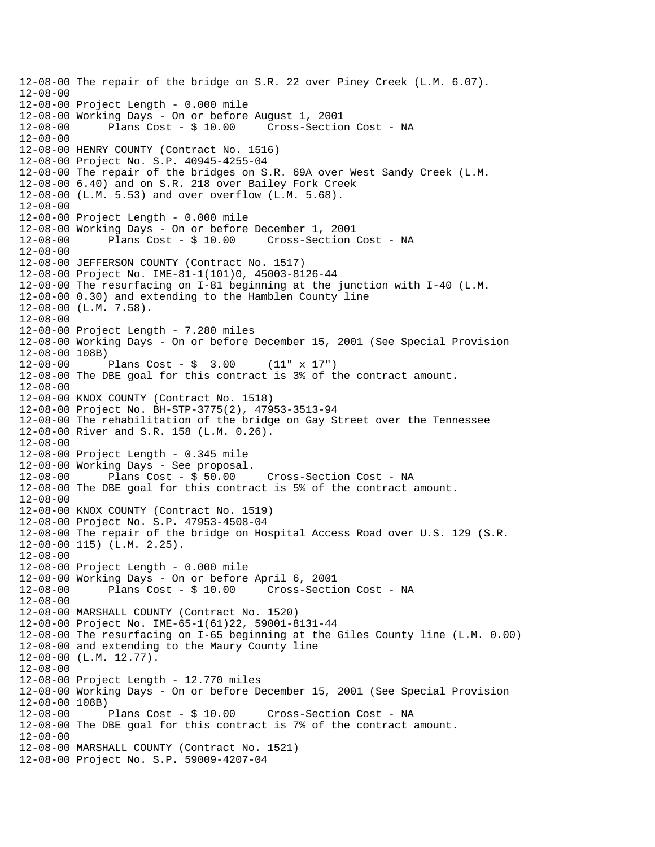```
12-08-00 The repair of the bridge on S.R. 22 over Piney Creek (L.M. 6.07). 
12-08-00 
12-08-00 Project Length - 0.000 mile 
12-08-00 Working Days - On or before August 1, 2001 
12-08-00 Plans Cost - $ 10.00 Cross-Section Cost - NA 
12-08-00 
12-08-00 HENRY COUNTY (Contract No. 1516) 
12-08-00 Project No. S.P. 40945-4255-04 
12-08-00 The repair of the bridges on S.R. 69A over West Sandy Creek (L.M. 
12-08-00 6.40) and on S.R. 218 over Bailey Fork Creek 
12-08-00 (L.M. 5.53) and over overflow (L.M. 5.68). 
12-08-00 
12-08-00 Project Length - 0.000 mile 
12-08-00 Working Days - On or before December 1, 2001 
12-08-00 Plans Cost - $ 10.00 Cross-Section Cost - NA 
12-08-00 
12-08-00 JEFFERSON COUNTY (Contract No. 1517) 
12-08-00 Project No. IME-81-1(101)0, 45003-8126-44 
12-08-00 The resurfacing on I-81 beginning at the junction with I-40 (L.M. 
12-08-00 0.30) and extending to the Hamblen County line 
12-08-00 (L.M. 7.58). 
12-08-00 
12-08-00 Project Length - 7.280 miles 
12-08-00 Working Days - On or before December 15, 2001 (See Special Provision 
12-08-00 108B) 
12-08-00 Plans Cost - $ 3.00 (11" x 17") 
12-08-00 The DBE goal for this contract is 3% of the contract amount. 
12-08-00 
12-08-00 KNOX COUNTY (Contract No. 1518) 
12-08-00 Project No. BH-STP-3775(2), 47953-3513-94 
12-08-00 The rehabilitation of the bridge on Gay Street over the Tennessee 
12-08-00 River and S.R. 158 (L.M. 0.26). 
12-08-00 
12-08-00 Project Length - 0.345 mile 
12-08-00 Working Days - See proposal. 
12-08-00 Plans Cost - $ 50.00 Cross-Section Cost - NA 
12-08-00 The DBE goal for this contract is 5% of the contract amount. 
12-08-00 
12-08-00 KNOX COUNTY (Contract No. 1519) 
12-08-00 Project No. S.P. 47953-4508-04 
12-08-00 The repair of the bridge on Hospital Access Road over U.S. 129 (S.R. 
12-08-00 115) (L.M. 2.25). 
12-08-00 
12-08-00 Project Length - 0.000 mile 
12-08-00 Working Days - On or before April 6, 2001 
12-08-00 Plans Cost - $ 10.00 Cross-Section Cost - NA 
12-08-00 
12-08-00 MARSHALL COUNTY (Contract No. 1520) 
12-08-00 Project No. IME-65-1(61)22, 59001-8131-44 
12-08-00 The resurfacing on I-65 beginning at the Giles County line (L.M. 0.00) 
12-08-00 and extending to the Maury County line 
12-08-00 (L.M. 12.77). 
12-08-00 
12-08-00 Project Length - 12.770 miles 
12-08-00 Working Days - On or before December 15, 2001 (See Special Provision 
12-08-00 108B) 
12-08-00 Plans Cost - $ 10.00 Cross-Section Cost - NA 
12-08-00 The DBE goal for this contract is 7% of the contract amount. 
12-08-00 
12-08-00 MARSHALL COUNTY (Contract No. 1521) 
12-08-00 Project No. S.P. 59009-4207-04
```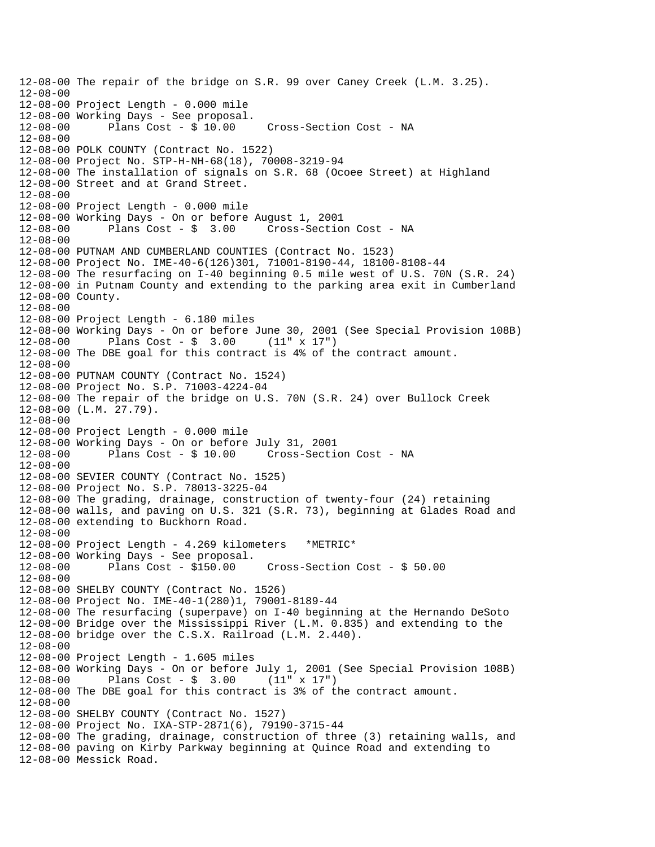12-08-00 The repair of the bridge on S.R. 99 over Caney Creek (L.M. 3.25). 12-08-00 12-08-00 Project Length - 0.000 mile 12-08-00 Working Days - See proposal. 12-08-00 Plans Cost - \$ 10.00 Cross-Section Cost - NA 12-08-00 12-08-00 POLK COUNTY (Contract No. 1522) 12-08-00 Project No. STP-H-NH-68(18), 70008-3219-94 12-08-00 The installation of signals on S.R. 68 (Ocoee Street) at Highland 12-08-00 Street and at Grand Street. 12-08-00 12-08-00 Project Length - 0.000 mile 12-08-00 Working Days - On or before August 1, 2001 Cross-Section Cost - NA 12-08-00 12-08-00 PUTNAM AND CUMBERLAND COUNTIES (Contract No. 1523) 12-08-00 Project No. IME-40-6(126)301, 71001-8190-44, 18100-8108-44 12-08-00 The resurfacing on I-40 beginning 0.5 mile west of U.S. 70N (S.R. 24) 12-08-00 in Putnam County and extending to the parking area exit in Cumberland 12-08-00 County. 12-08-00 12-08-00 Project Length - 6.180 miles 12-08-00 Working Days - On or before June 30, 2001 (See Special Provision 108B) 12-08-00 Plans Cost - \$ 3.00 (11" x 17") 12-08-00 The DBE goal for this contract is 4% of the contract amount. 12-08-00 12-08-00 PUTNAM COUNTY (Contract No. 1524) 12-08-00 Project No. S.P. 71003-4224-04 12-08-00 The repair of the bridge on U.S. 70N (S.R. 24) over Bullock Creek 12-08-00 (L.M. 27.79). 12-08-00 12-08-00 Project Length - 0.000 mile 12-08-00 Working Days - On or before July 31, 2001 12-08-00 Plans Cost - \$ 10.00 Cross-Section Cost - NA 12-08-00 12-08-00 SEVIER COUNTY (Contract No. 1525) 12-08-00 Project No. S.P. 78013-3225-04 12-08-00 The grading, drainage, construction of twenty-four (24) retaining 12-08-00 walls, and paving on U.S. 321 (S.R. 73), beginning at Glades Road and 12-08-00 extending to Buckhorn Road. 12-08-00 12-08-00 Project Length - 4.269 kilometers \*METRIC\* 12-08-00 Working Days - See proposal. 12-08-00 Plans Cost - \$150.00 Cross-Section Cost - \$ 50.00 12-08-00 12-08-00 SHELBY COUNTY (Contract No. 1526) 12-08-00 Project No. IME-40-1(280)1, 79001-8189-44 12-08-00 The resurfacing (superpave) on I-40 beginning at the Hernando DeSoto 12-08-00 Bridge over the Mississippi River (L.M. 0.835) and extending to the 12-08-00 bridge over the C.S.X. Railroad (L.M. 2.440). 12-08-00 12-08-00 Project Length - 1.605 miles 12-08-00 Working Days - On or before July 1, 2001 (See Special Provision 108B) 12-08-00 Plans Cost - \$ 3.00 (11" x 17") 12-08-00 The DBE goal for this contract is 3% of the contract amount. 12-08-00 12-08-00 SHELBY COUNTY (Contract No. 1527) 12-08-00 Project No. IXA-STP-2871(6), 79190-3715-44 12-08-00 The grading, drainage, construction of three (3) retaining walls, and 12-08-00 paving on Kirby Parkway beginning at Quince Road and extending to 12-08-00 Messick Road.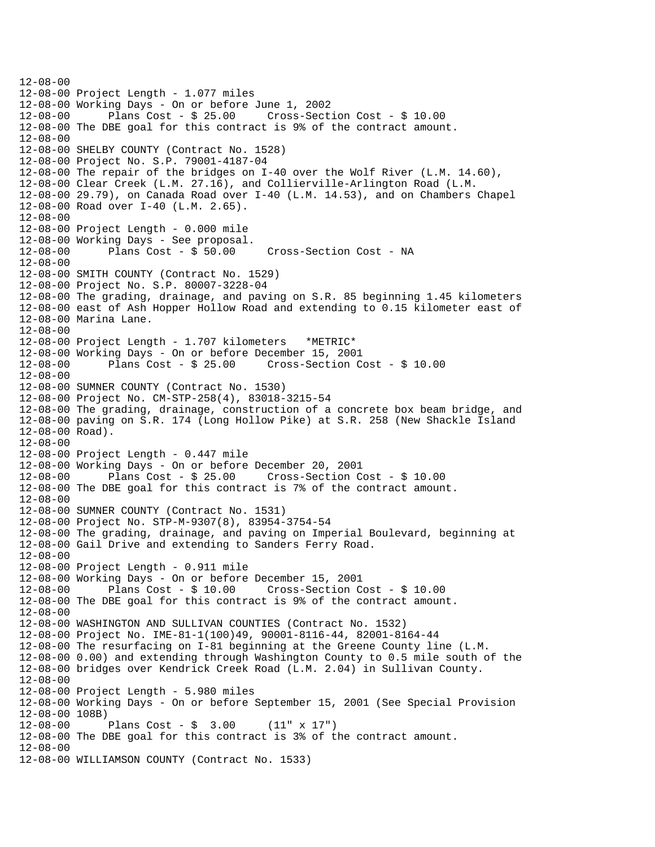$12 - 08 - 00$ 12-08-00 Project Length - 1.077 miles 12-08-00 Working Days - On or before June 1, 2002 Plans Cost -  $$25.00$  Cross-Section Cost -  $$10.00$ 12-08-00 The DBE goal for this contract is 9% of the contract amount. 12-08-00 12-08-00 SHELBY COUNTY (Contract No. 1528) 12-08-00 Project No. S.P. 79001-4187-04 12-08-00 The repair of the bridges on I-40 over the Wolf River (L.M. 14.60), 12-08-00 Clear Creek (L.M. 27.16), and Collierville-Arlington Road (L.M. 12-08-00 29.79), on Canada Road over I-40 (L.M. 14.53), and on Chambers Chapel 12-08-00 Road over I-40 (L.M. 2.65). 12-08-00 12-08-00 Project Length - 0.000 mile 12-08-00 Working Days - See proposal. 12-08-00 Plans Cost - \$ 50.00 Cross-Section Cost - NA 12-08-00 12-08-00 SMITH COUNTY (Contract No. 1529) 12-08-00 Project No. S.P. 80007-3228-04 12-08-00 The grading, drainage, and paving on S.R. 85 beginning 1.45 kilometers 12-08-00 east of Ash Hopper Hollow Road and extending to 0.15 kilometer east of 12-08-00 Marina Lane. 12-08-00 12-08-00 Project Length - 1.707 kilometers \*METRIC\* 12-08-00 Working Days - On or before December 15, 2001 12-08-00 Plans Cost - \$ 25.00 Cross-Section Cost - \$ 10.00  $12 - 08 - 00$ 12-08-00 SUMNER COUNTY (Contract No. 1530) 12-08-00 Project No. CM-STP-258(4), 83018-3215-54 12-08-00 The grading, drainage, construction of a concrete box beam bridge, and 12-08-00 paving on S.R. 174 (Long Hollow Pike) at S.R. 258 (New Shackle Island 12-08-00 Road). 12-08-00 12-08-00 Project Length - 0.447 mile 12-08-00 Working Days - On or before December 20, 2001 12-08-00 Plans Cost - \$ 25.00 Cross-Section Cost - \$ 10.00 12-08-00 The DBE goal for this contract is 7% of the contract amount. 12-08-00 12-08-00 SUMNER COUNTY (Contract No. 1531) 12-08-00 Project No. STP-M-9307(8), 83954-3754-54 12-08-00 The grading, drainage, and paving on Imperial Boulevard, beginning at 12-08-00 Gail Drive and extending to Sanders Ferry Road. 12-08-00 12-08-00 Project Length - 0.911 mile 12-08-00 Working Days - On or before December 15, 2001 12-08-00 Plans Cost - \$ 10.00 Cross-Section Cost - \$ 10.00 12-08-00 The DBE goal for this contract is 9% of the contract amount. 12-08-00 12-08-00 WASHINGTON AND SULLIVAN COUNTIES (Contract No. 1532) 12-08-00 Project No. IME-81-1(100)49, 90001-8116-44, 82001-8164-44 12-08-00 The resurfacing on I-81 beginning at the Greene County line (L.M. 12-08-00 0.00) and extending through Washington County to 0.5 mile south of the 12-08-00 bridges over Kendrick Creek Road (L.M. 2.04) in Sullivan County. 12-08-00 12-08-00 Project Length - 5.980 miles 12-08-00 Working Days - On or before September 15, 2001 (See Special Provision 12-08-00 108B) 12-08-00 Plans Cost - \$ 3.00 (11" x 17") 12-08-00 The DBE goal for this contract is 3% of the contract amount. 12-08-00 12-08-00 WILLIAMSON COUNTY (Contract No. 1533)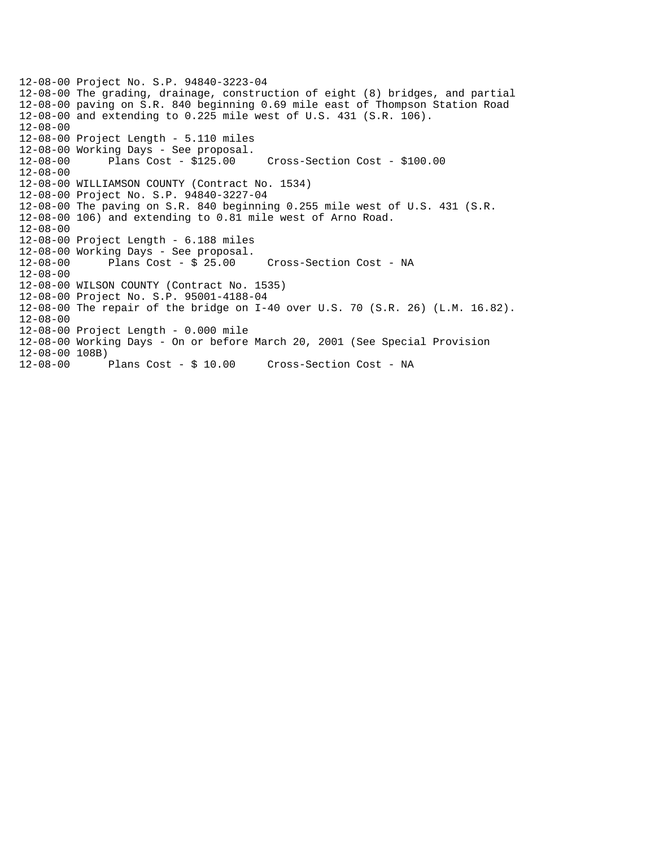12-08-00 Project No. S.P. 94840-3223-04 12-08-00 The grading, drainage, construction of eight (8) bridges, and partial 12-08-00 paving on S.R. 840 beginning 0.69 mile east of Thompson Station Road 12-08-00 and extending to 0.225 mile west of U.S. 431 (S.R. 106). 12-08-00 12-08-00 Project Length - 5.110 miles 12-08-00 Working Days - See proposal. 12-08-00 Plans Cost - \$125.00 Cross-Section Cost - \$100.00 12-08-00 12-08-00 WILLIAMSON COUNTY (Contract No. 1534) 12-08-00 Project No. S.P. 94840-3227-04 12-08-00 The paving on S.R. 840 beginning 0.255 mile west of U.S. 431 (S.R. 12-08-00 106) and extending to 0.81 mile west of Arno Road. 12-08-00 12-08-00 Project Length - 6.188 miles 12-08-00 Working Days - See proposal. Cross-Section Cost - NA 12-08-00 12-08-00 WILSON COUNTY (Contract No. 1535) 12-08-00 Project No. S.P. 95001-4188-04 12-08-00 The repair of the bridge on I-40 over U.S. 70 (S.R. 26) (L.M. 16.82). 12-08-00 12-08-00 Project Length - 0.000 mile 12-08-00 Working Days - On or before March 20, 2001 (See Special Provision 12-08-00 108B) Plans Cost - \$ 10.00 Cross-Section Cost - NA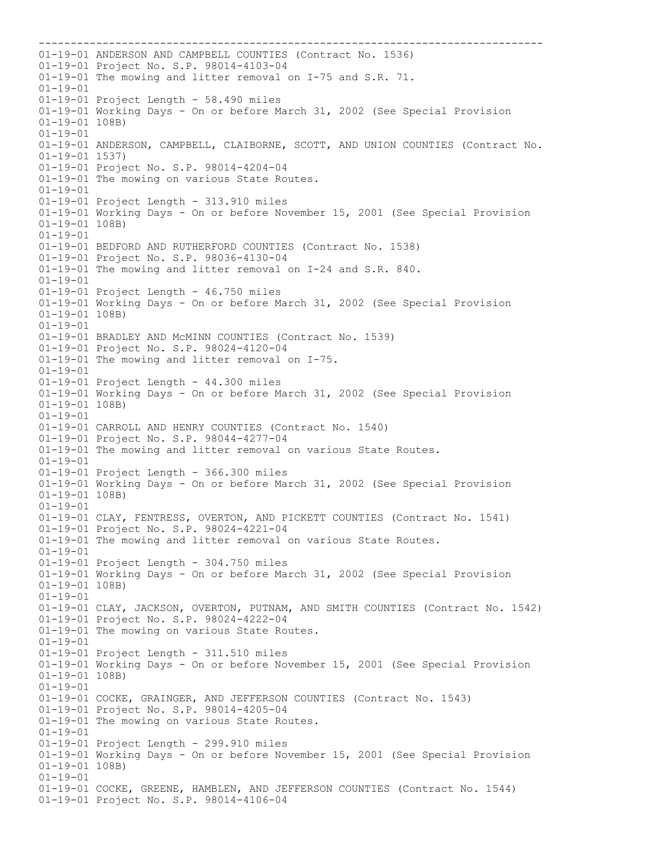01-19-01 ANDERSON AND CAMPBELL COUNTIES (Contract No. 1536) 01-19-01 Project No. S.P. 98014-4103-04 01-19-01 The mowing and litter removal on I-75 and S.R. 71. 01-19-01 01-19-01 Project Length - 58.490 miles 01-19-01 Working Days - On or before March 31, 2002 (See Special Provision 01-19-01 108B) 01-19-01 01-19-01 ANDERSON, CAMPBELL, CLAIBORNE, SCOTT, AND UNION COUNTIES (Contract No. 01-19-01 1537) 01-19-01 Project No. S.P. 98014-4204-04 01-19-01 The mowing on various State Routes. 01-19-01 01-19-01 Project Length - 313.910 miles 01-19-01 Working Days - On or before November 15, 2001 (See Special Provision 01-19-01 108B) 01-19-01 01-19-01 BEDFORD AND RUTHERFORD COUNTIES (Contract No. 1538) 01-19-01 Project No. S.P. 98036-4130-04 01-19-01 The mowing and litter removal on I-24 and S.R. 840. 01-19-01 01-19-01 Project Length - 46.750 miles 01-19-01 Working Days - On or before March 31, 2002 (See Special Provision 01-19-01 108B) 01-19-01 01-19-01 BRADLEY AND McMINN COUNTIES (Contract No. 1539) 01-19-01 Project No. S.P. 98024-4120-04 01-19-01 The mowing and litter removal on I-75. 01-19-01 01-19-01 Project Length - 44.300 miles 01-19-01 Working Days - On or before March 31, 2002 (See Special Provision 01-19-01 108B) 01-19-01 01-19-01 CARROLL AND HENRY COUNTIES (Contract No. 1540) 01-19-01 Project No. S.P. 98044-4277-04 01-19-01 The mowing and litter removal on various State Routes. 01-19-01 01-19-01 Project Length - 366.300 miles 01-19-01 Working Days - On or before March 31, 2002 (See Special Provision 01-19-01 108B) 01-19-01 01-19-01 CLAY, FENTRESS, OVERTON, AND PICKETT COUNTIES (Contract No. 1541) 01-19-01 Project No. S.P. 98024-4221-04 01-19-01 The mowing and litter removal on various State Routes. 01-19-01 01-19-01 Project Length - 304.750 miles 01-19-01 Working Days - On or before March 31, 2002 (See Special Provision 01-19-01 108B) 01-19-01 01-19-01 CLAY, JACKSON, OVERTON, PUTNAM, AND SMITH COUNTIES (Contract No. 1542) 01-19-01 Project No. S.P. 98024-4222-04 01-19-01 The mowing on various State Routes. 01-19-01 01-19-01 Project Length - 311.510 miles 01-19-01 Working Days - On or before November 15, 2001 (See Special Provision 01-19-01 108B) 01-19-01 01-19-01 COCKE, GRAINGER, AND JEFFERSON COUNTIES (Contract No. 1543) 01-19-01 Project No. S.P. 98014-4205-04 01-19-01 The mowing on various State Routes. 01-19-01 01-19-01 Project Length - 299.910 miles 01-19-01 Working Days - On or before November 15, 2001 (See Special Provision 01-19-01 108B) 01-19-01 01-19-01 COCKE, GREENE, HAMBLEN, AND JEFFERSON COUNTIES (Contract No. 1544) 01-19-01 Project No. S.P. 98014-4106-04

-------------------------------------------------------------------------------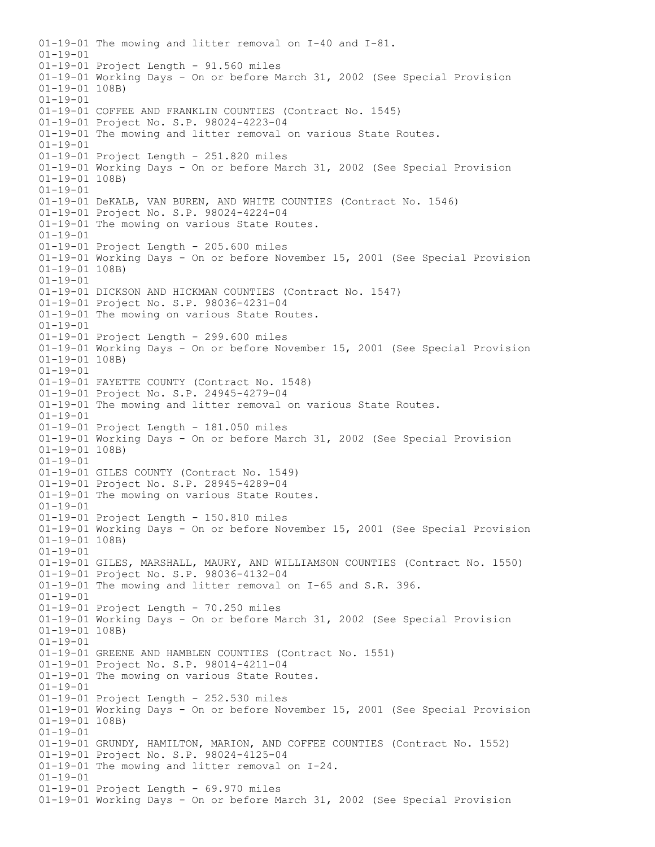01-19-01 The mowing and litter removal on I-40 and I-81.  $01 - 19 - 01$ 01-19-01 Project Length - 91.560 miles 01-19-01 Working Days - On or before March 31, 2002 (See Special Provision 01-19-01 108B) 01-19-01 01-19-01 COFFEE AND FRANKLIN COUNTIES (Contract No. 1545) 01-19-01 Project No. S.P. 98024-4223-04 01-19-01 The mowing and litter removal on various State Routes. 01-19-01 01-19-01 Project Length - 251.820 miles 01-19-01 Working Days - On or before March 31, 2002 (See Special Provision 01-19-01 108B)  $01 - 19 - 01$ 01-19-01 DeKALB, VAN BUREN, AND WHITE COUNTIES (Contract No. 1546) 01-19-01 Project No. S.P. 98024-4224-04 01-19-01 The mowing on various State Routes. 01-19-01 01-19-01 Project Length - 205.600 miles 01-19-01 Working Days - On or before November 15, 2001 (See Special Provision 01-19-01 108B) 01-19-01 01-19-01 DICKSON AND HICKMAN COUNTIES (Contract No. 1547) 01-19-01 Project No. S.P. 98036-4231-04 01-19-01 The mowing on various State Routes. 01-19-01 01-19-01 Project Length - 299.600 miles 01-19-01 Working Days - On or before November 15, 2001 (See Special Provision 01-19-01 108B) 01-19-01 01-19-01 FAYETTE COUNTY (Contract No. 1548) 01-19-01 Project No. S.P. 24945-4279-04 01-19-01 The mowing and litter removal on various State Routes. 01-19-01 01-19-01 Project Length - 181.050 miles 01-19-01 Working Days - On or before March 31, 2002 (See Special Provision 01-19-01 108B) 01-19-01 01-19-01 GILES COUNTY (Contract No. 1549) 01-19-01 Project No. S.P. 28945-4289-04 01-19-01 The mowing on various State Routes. 01-19-01 01-19-01 Project Length - 150.810 miles 01-19-01 Working Days - On or before November 15, 2001 (See Special Provision 01-19-01 108B) 01-19-01 01-19-01 GILES, MARSHALL, MAURY, AND WILLIAMSON COUNTIES (Contract No. 1550) 01-19-01 Project No. S.P. 98036-4132-04 01-19-01 The mowing and litter removal on I-65 and S.R. 396. 01-19-01 01-19-01 Project Length - 70.250 miles 01-19-01 Working Days - On or before March 31, 2002 (See Special Provision 01-19-01 108B) 01-19-01 01-19-01 GREENE AND HAMBLEN COUNTIES (Contract No. 1551) 01-19-01 Project No. S.P. 98014-4211-04 01-19-01 The mowing on various State Routes. 01-19-01 01-19-01 Project Length - 252.530 miles 01-19-01 Working Days - On or before November 15, 2001 (See Special Provision 01-19-01 108B) 01-19-01 01-19-01 GRUNDY, HAMILTON, MARION, AND COFFEE COUNTIES (Contract No. 1552) 01-19-01 Project No. S.P. 98024-4125-04 01-19-01 The mowing and litter removal on I-24. 01-19-01 01-19-01 Project Length - 69.970 miles 01-19-01 Working Days - On or before March 31, 2002 (See Special Provision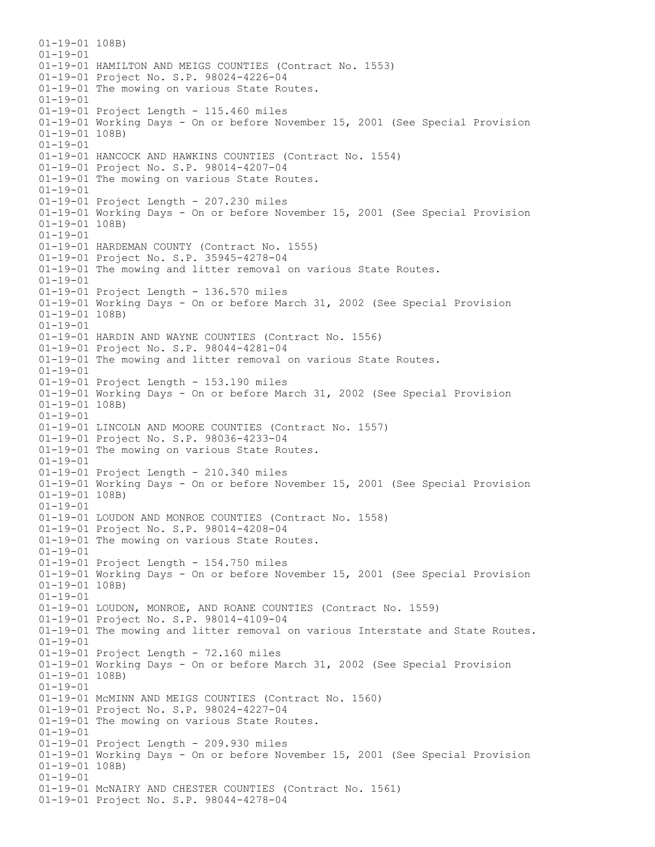01-19-01 108B)  $01 - 19 - 01$ 01-19-01 HAMILTON AND MEIGS COUNTIES (Contract No. 1553) 01-19-01 Project No. S.P. 98024-4226-04 01-19-01 The mowing on various State Routes. 01-19-01 01-19-01 Project Length - 115.460 miles 01-19-01 Working Days - On or before November 15, 2001 (See Special Provision 01-19-01 108B) 01-19-01 01-19-01 HANCOCK AND HAWKINS COUNTIES (Contract No. 1554) 01-19-01 Project No. S.P. 98014-4207-04 01-19-01 The mowing on various State Routes. 01-19-01 01-19-01 Project Length - 207.230 miles 01-19-01 Working Days - On or before November 15, 2001 (See Special Provision 01-19-01 108B) 01-19-01 01-19-01 HARDEMAN COUNTY (Contract No. 1555) 01-19-01 Project No. S.P. 35945-4278-04 01-19-01 The mowing and litter removal on various State Routes. 01-19-01 01-19-01 Project Length - 136.570 miles 01-19-01 Working Days - On or before March 31, 2002 (See Special Provision 01-19-01 108B) 01-19-01 01-19-01 HARDIN AND WAYNE COUNTIES (Contract No. 1556) 01-19-01 Project No. S.P. 98044-4281-04 01-19-01 The mowing and litter removal on various State Routes. 01-19-01 01-19-01 Project Length - 153.190 miles 01-19-01 Working Days - On or before March 31, 2002 (See Special Provision 01-19-01 108B) 01-19-01 01-19-01 LINCOLN AND MOORE COUNTIES (Contract No. 1557) 01-19-01 Project No. S.P. 98036-4233-04 01-19-01 The mowing on various State Routes. 01-19-01 01-19-01 Project Length - 210.340 miles 01-19-01 Working Days - On or before November 15, 2001 (See Special Provision 01-19-01 108B) 01-19-01 01-19-01 LOUDON AND MONROE COUNTIES (Contract No. 1558) 01-19-01 Project No. S.P. 98014-4208-04 01-19-01 The mowing on various State Routes. 01-19-01 01-19-01 Project Length - 154.750 miles 01-19-01 Working Days - On or before November 15, 2001 (See Special Provision 01-19-01 108B) 01-19-01 01-19-01 LOUDON, MONROE, AND ROANE COUNTIES (Contract No. 1559) 01-19-01 Project No. S.P. 98014-4109-04 01-19-01 The mowing and litter removal on various Interstate and State Routes. 01-19-01 01-19-01 Project Length - 72.160 miles 01-19-01 Working Days - On or before March 31, 2002 (See Special Provision 01-19-01 108B) 01-19-01 01-19-01 McMINN AND MEIGS COUNTIES (Contract No. 1560) 01-19-01 Project No. S.P. 98024-4227-04 01-19-01 The mowing on various State Routes. 01-19-01 01-19-01 Project Length - 209.930 miles 01-19-01 Working Days - On or before November 15, 2001 (See Special Provision 01-19-01 108B) 01-19-01 01-19-01 McNAIRY AND CHESTER COUNTIES (Contract No. 1561) 01-19-01 Project No. S.P. 98044-4278-04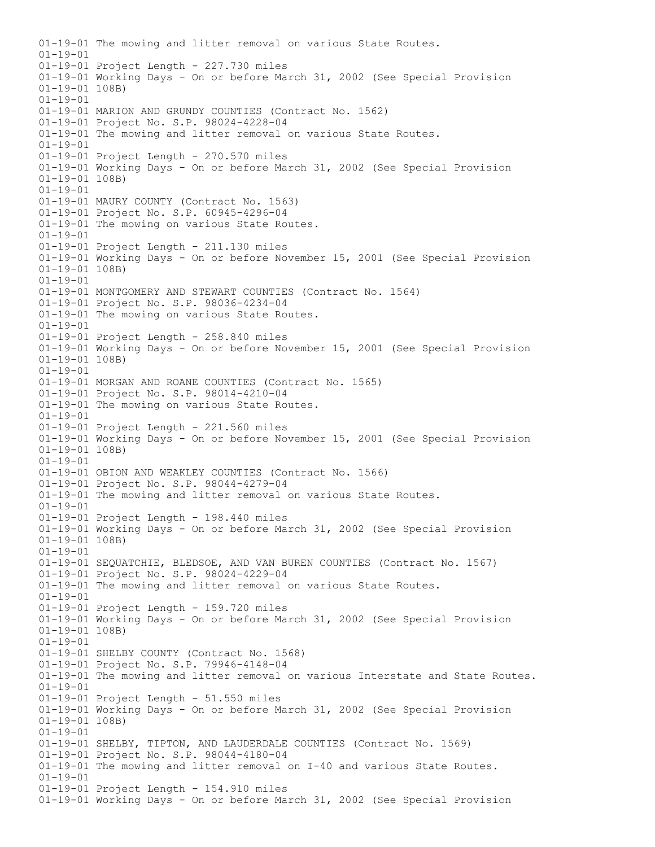01-19-01 The mowing and litter removal on various State Routes.  $01 - 19 - 01$ 01-19-01 Project Length - 227.730 miles 01-19-01 Working Days - On or before March 31, 2002 (See Special Provision 01-19-01 108B) 01-19-01 01-19-01 MARION AND GRUNDY COUNTIES (Contract No. 1562) 01-19-01 Project No. S.P. 98024-4228-04 01-19-01 The mowing and litter removal on various State Routes. 01-19-01 01-19-01 Project Length - 270.570 miles 01-19-01 Working Days - On or before March 31, 2002 (See Special Provision 01-19-01 108B) 01-19-01 01-19-01 MAURY COUNTY (Contract No. 1563) 01-19-01 Project No. S.P. 60945-4296-04 01-19-01 The mowing on various State Routes. 01-19-01 01-19-01 Project Length - 211.130 miles 01-19-01 Working Days - On or before November 15, 2001 (See Special Provision 01-19-01 108B) 01-19-01 01-19-01 MONTGOMERY AND STEWART COUNTIES (Contract No. 1564) 01-19-01 Project No. S.P. 98036-4234-04 01-19-01 The mowing on various State Routes. 01-19-01 01-19-01 Project Length - 258.840 miles 01-19-01 Working Days - On or before November 15, 2001 (See Special Provision 01-19-01 108B) 01-19-01 01-19-01 MORGAN AND ROANE COUNTIES (Contract No. 1565) 01-19-01 Project No. S.P. 98014-4210-04 01-19-01 The mowing on various State Routes. 01-19-01 01-19-01 Project Length - 221.560 miles 01-19-01 Working Days - On or before November 15, 2001 (See Special Provision 01-19-01 108B) 01-19-01 01-19-01 OBION AND WEAKLEY COUNTIES (Contract No. 1566) 01-19-01 Project No. S.P. 98044-4279-04 01-19-01 The mowing and litter removal on various State Routes. 01-19-01 01-19-01 Project Length - 198.440 miles 01-19-01 Working Days - On or before March 31, 2002 (See Special Provision 01-19-01 108B) 01-19-01 01-19-01 SEQUATCHIE, BLEDSOE, AND VAN BUREN COUNTIES (Contract No. 1567) 01-19-01 Project No. S.P. 98024-4229-04 01-19-01 The mowing and litter removal on various State Routes. 01-19-01 01-19-01 Project Length - 159.720 miles 01-19-01 Working Days - On or before March 31, 2002 (See Special Provision 01-19-01 108B) 01-19-01 01-19-01 SHELBY COUNTY (Contract No. 1568) 01-19-01 Project No. S.P. 79946-4148-04 01-19-01 The mowing and litter removal on various Interstate and State Routes. 01-19-01 01-19-01 Project Length - 51.550 miles 01-19-01 Working Days - On or before March 31, 2002 (See Special Provision 01-19-01 108B) 01-19-01 01-19-01 SHELBY, TIPTON, AND LAUDERDALE COUNTIES (Contract No. 1569) 01-19-01 Project No. S.P. 98044-4180-04 01-19-01 The mowing and litter removal on I-40 and various State Routes. 01-19-01 01-19-01 Project Length - 154.910 miles 01-19-01 Working Days - On or before March 31, 2002 (See Special Provision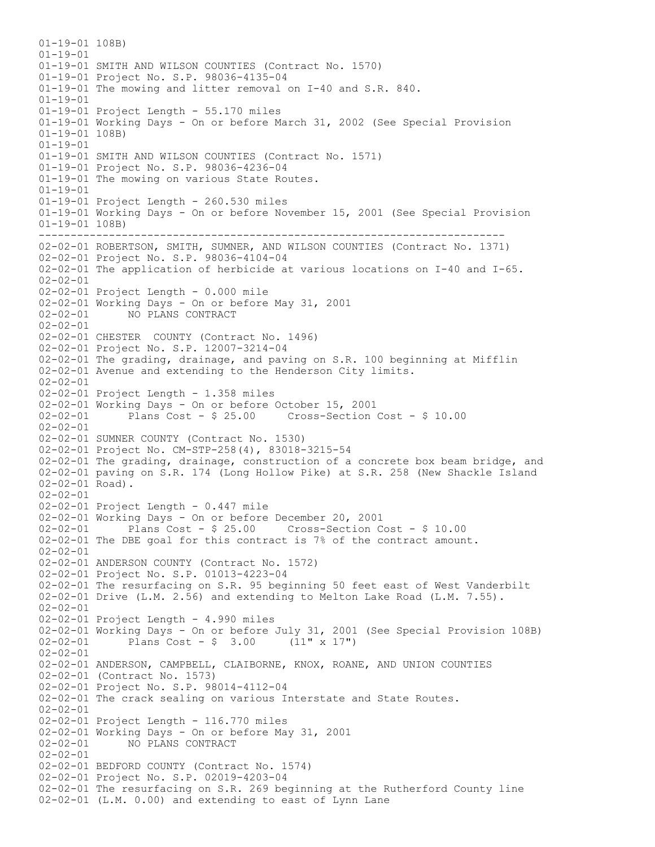------------------------------------------------------------------------- 01-19-01 108B)  $01 - 19 - 01$ 01-19-01 SMITH AND WILSON COUNTIES (Contract No. 1570) 01-19-01 Project No. S.P. 98036-4135-04 01-19-01 The mowing and litter removal on I-40 and S.R. 840. 01-19-01 01-19-01 Project Length - 55.170 miles 01-19-01 Working Days - On or before March 31, 2002 (See Special Provision 01-19-01 108B) 01-19-01 01-19-01 SMITH AND WILSON COUNTIES (Contract No. 1571) 01-19-01 Project No. S.P. 98036-4236-04 01-19-01 The mowing on various State Routes. 01-19-01 01-19-01 Project Length - 260.530 miles 01-19-01 Working Days - On or before November 15, 2001 (See Special Provision 01-19-01 108B) 02-02-01 ROBERTSON, SMITH, SUMNER, AND WILSON COUNTIES (Contract No. 1371) 02-02-01 Project No. S.P. 98036-4104-04 02-02-01 The application of herbicide at various locations on I-40 and I-65. 02-02-01 02-02-01 Project Length - 0.000 mile 02-02-01 Working Days - On or before May 31, 2001 02-02-01 NO PLANS CONTRACT  $02 - 02 - 01$ 02-02-01 CHESTER COUNTY (Contract No. 1496) 02-02-01 Project No. S.P. 12007-3214-04 02-02-01 The grading, drainage, and paving on S.R. 100 beginning at Mifflin 02-02-01 Avenue and extending to the Henderson City limits. 02-02-01 02-02-01 Project Length - 1.358 miles 02-02-01 Working Days - On or before October 15, 2001 Plans Cost -  $$25.00$  Cross-Section Cost -  $$10.00$ 02-02-01 02-02-01 SUMNER COUNTY (Contract No. 1530) 02-02-01 Project No. CM-STP-258(4), 83018-3215-54 02-02-01 The grading, drainage, construction of a concrete box beam bridge, and 02-02-01 paving on S.R. 174 (Long Hollow Pike) at S.R. 258 (New Shackle Island 02-02-01 Road). 02-02-01 02-02-01 Project Length - 0.447 mile 02-02-01 Working Days - On or before December 20, 2001 02-02-01 Plans Cost - \$ 25.00 Cross-Section Cost - \$ 10.00 02-02-01 The DBE goal for this contract is 7% of the contract amount. 02-02-01 02-02-01 ANDERSON COUNTY (Contract No. 1572) 02-02-01 Project No. S.P. 01013-4223-04 02-02-01 The resurfacing on S.R. 95 beginning 50 feet east of West Vanderbilt 02-02-01 Drive (L.M. 2.56) and extending to Melton Lake Road (L.M. 7.55).  $02 - 02 - 01$ 02-02-01 Project Length - 4.990 miles 02-02-01 Working Days - On or before July 31, 2001 (See Special Provision 108B) 02-02-01 Plans Cost - \$ 3.00 (11" x 17") 02-02-01 02-02-01 ANDERSON, CAMPBELL, CLAIBORNE, KNOX, ROANE, AND UNION COUNTIES 02-02-01 (Contract No. 1573) 02-02-01 Project No. S.P. 98014-4112-04 02-02-01 The crack sealing on various Interstate and State Routes. 02-02-01 02-02-01 Project Length - 116.770 miles 02-02-01 Working Days - On or before May 31, 2001 02-02-01 NO PLANS CONTRACT 02-02-01 02-02-01 BEDFORD COUNTY (Contract No. 1574) 02-02-01 Project No. S.P. 02019-4203-04 02-02-01 The resurfacing on S.R. 269 beginning at the Rutherford County line 02-02-01 (L.M. 0.00) and extending to east of Lynn Lane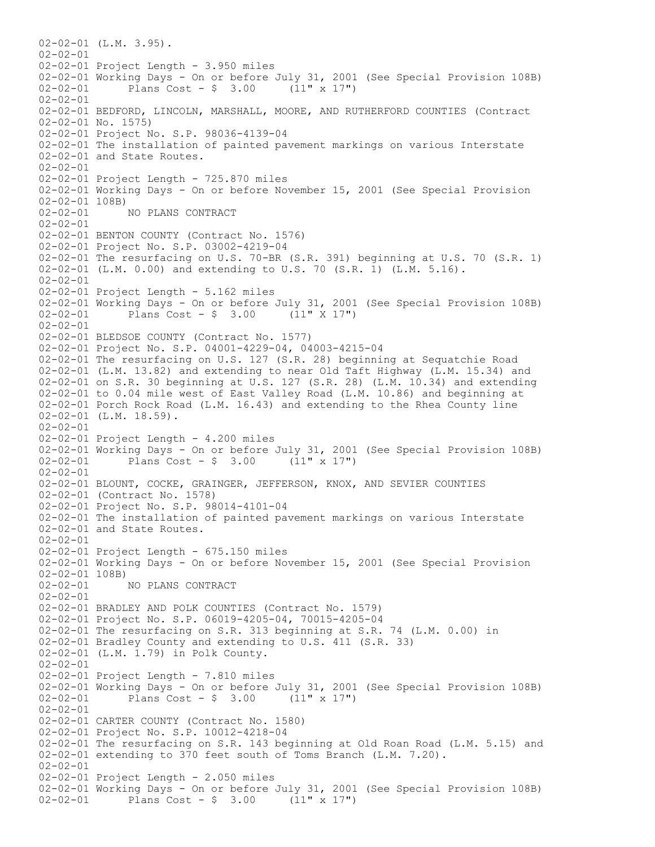02-02-01 (L.M. 3.95).  $02 - 02 - 01$ 02-02-01 Project Length - 3.950 miles 02-02-01 Working Days - On or before July 31, 2001 (See Special Provision 108B)<br>02-02-01 Plans Cost - \$ 3.00 (11" x 17")  $02 - 02 - 01$  Plans Cost - \$ 3.00 02-02-01 02-02-01 BEDFORD, LINCOLN, MARSHALL, MOORE, AND RUTHERFORD COUNTIES (Contract 02-02-01 No. 1575) 02-02-01 Project No. S.P. 98036-4139-04 02-02-01 The installation of painted pavement markings on various Interstate 02-02-01 and State Routes.  $02 - 02 - 01$ 02-02-01 Project Length - 725.870 miles 02-02-01 Working Days - On or before November 15, 2001 (See Special Provision 02-02-01 108B)<br>02-02-01 1 NO PLANS CONTRACT 02-02-01 02-02-01 BENTON COUNTY (Contract No. 1576) 02-02-01 Project No. S.P. 03002-4219-04 02-02-01 The resurfacing on U.S. 70-BR (S.R. 391) beginning at U.S. 70 (S.R. 1) 02-02-01 (L.M. 0.00) and extending to U.S. 70 (S.R. 1) (L.M. 5.16). 02-02-01 02-02-01 Project Length - 5.162 miles 02-02-01 Working Days - On or before July 31, 2001 (See Special Provision 108B)<br>02-02-01 Plans Cost - \$ 3.00 (11" X 17")  $02-02-01$  Plans Cost - \$ 3.00  $02 - 02 - 01$ 02-02-01 BLEDSOE COUNTY (Contract No. 1577) 02-02-01 Project No. S.P. 04001-4229-04, 04003-4215-04 02-02-01 The resurfacing on U.S. 127 (S.R. 28) beginning at Sequatchie Road 02-02-01 (L.M. 13.82) and extending to near Old Taft Highway (L.M. 15.34) and 02-02-01 on S.R. 30 beginning at U.S. 127 (S.R. 28) (L.M. 10.34) and extending 02-02-01 to 0.04 mile west of East Valley Road (L.M. 10.86) and beginning at 02-02-01 Porch Rock Road (L.M. 16.43) and extending to the Rhea County line 02-02-01 (L.M. 18.59). 02-02-01 02-02-01 Project Length - 4.200 miles 02-02-01 Working Days - On or before July 31, 2001 (See Special Provision 108B) 02-02-01 Plans Cost - \$ 3.00 (11" x 17")  $02 - 02 - 01$ 02-02-01 BLOUNT, COCKE, GRAINGER, JEFFERSON, KNOX, AND SEVIER COUNTIES 02-02-01 (Contract No. 1578) 02-02-01 Project No. S.P. 98014-4101-04 02-02-01 The installation of painted pavement markings on various Interstate 02-02-01 and State Routes. 02-02-01 02-02-01 Project Length - 675.150 miles 02-02-01 Working Days - On or before November 15, 2001 (See Special Provision  $02-02-01$  108B)<br>02-02-01 02-02-01 NO PLANS CONTRACT  $02 - 02 - 01$ 02-02-01 BRADLEY AND POLK COUNTIES (Contract No. 1579) 02-02-01 Project No. S.P. 06019-4205-04, 70015-4205-04 02-02-01 The resurfacing on S.R. 313 beginning at S.R. 74 (L.M. 0.00) in 02-02-01 Bradley County and extending to U.S. 411 (S.R. 33) 02-02-01 (L.M. 1.79) in Polk County. 02-02-01 02-02-01 Project Length - 7.810 miles 02-02-01 Working Days - On or before July 31, 2001 (See Special Provision 108B)<br>02-02-01 Plans Cost - \$ 3.00 (11" x 17") Plans Cost  $-$  \$ 3.00 02-02-01 02-02-01 CARTER COUNTY (Contract No. 1580) 02-02-01 Project No. S.P. 10012-4218-04 02-02-01 The resurfacing on S.R. 143 beginning at Old Roan Road (L.M. 5.15) and 02-02-01 extending to 370 feet south of Toms Branch (L.M. 7.20). 02-02-01 02-02-01 Project Length - 2.050 miles 02-02-01 Working Days - On or before July 31, 2001 (See Special Provision 108B) 02-02-01 Plans Cost - \$ 3.00 (11" x 17")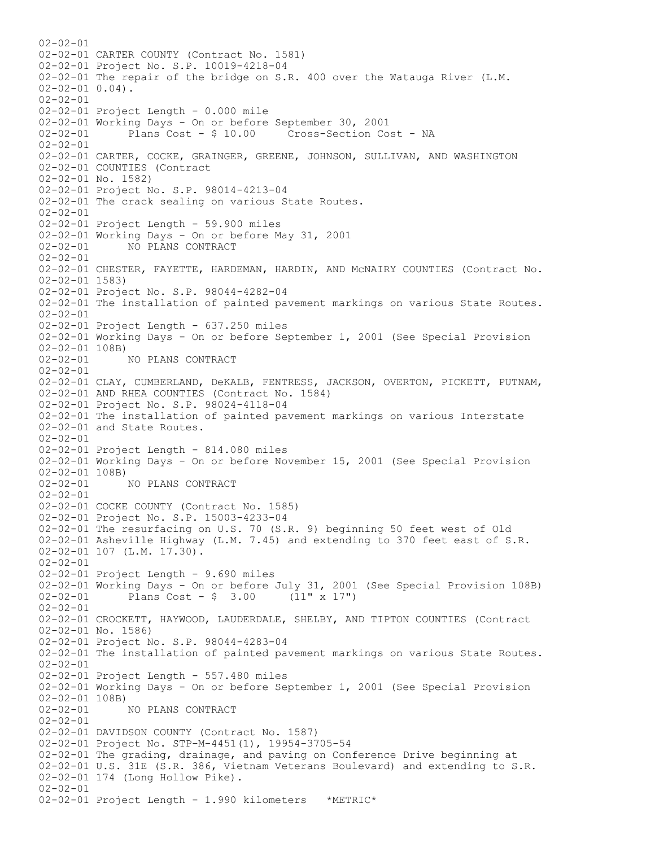$02 - 02 - 01$ 02-02-01 CARTER COUNTY (Contract No. 1581) 02-02-01 Project No. S.P. 10019-4218-04 02-02-01 The repair of the bridge on S.R. 400 over the Watauga River (L.M. 02-02-01 0.04). 02-02-01 02-02-01 Project Length - 0.000 mile 02-02-01 Working Days - On or before September 30, 2001 Plans Cost - \$ 10.00 Cross-Section Cost - NA 02-02-01 02-02-01 CARTER, COCKE, GRAINGER, GREENE, JOHNSON, SULLIVAN, AND WASHINGTON 02-02-01 COUNTIES (Contract 02-02-01 No. 1582) 02-02-01 Project No. S.P. 98014-4213-04 02-02-01 The crack sealing on various State Routes. 02-02-01 02-02-01 Project Length - 59.900 miles 02-02-01 Working Days - On or before May 31, 2001 02-02-01 NO PLANS CONTRACT 02-02-01 02-02-01 CHESTER, FAYETTE, HARDEMAN, HARDIN, AND McNAIRY COUNTIES (Contract No. 02-02-01 1583) 02-02-01 Project No. S.P. 98044-4282-04 02-02-01 The installation of painted pavement markings on various State Routes.  $02 - 02 - 01$ 02-02-01 Project Length - 637.250 miles 02-02-01 Working Days - On or before September 1, 2001 (See Special Provision 02-02-01 108B) 02-02-01 NO PLANS CONTRACT 02-02-01 02-02-01 CLAY, CUMBERLAND, DeKALB, FENTRESS, JACKSON, OVERTON, PICKETT, PUTNAM, 02-02-01 AND RHEA COUNTIES (Contract No. 1584) 02-02-01 Project No. S.P. 98024-4118-04 02-02-01 The installation of painted pavement markings on various Interstate 02-02-01 and State Routes. 02-02-01 02-02-01 Project Length - 814.080 miles 02-02-01 Working Days - On or before November 15, 2001 (See Special Provision 02-02-01 108B) 02-02-01 NO PLANS CONTRACT 02-02-01 02-02-01 COCKE COUNTY (Contract No. 1585) 02-02-01 Project No. S.P. 15003-4233-04 02-02-01 The resurfacing on U.S. 70 (S.R. 9) beginning 50 feet west of Old 02-02-01 Asheville Highway (L.M. 7.45) and extending to 370 feet east of S.R. 02-02-01 107 (L.M. 17.30). 02-02-01 02-02-01 Project Length - 9.690 miles 02-02-01 Working Days - On or before July 31, 2001 (See Special Provision 108B)<br>02-02-01 Plans Cost - \$ 3.00 (11" x 17") Plans Cost -  $$ 3.00$  (11" x 17")  $02 - 02 - 01$ 02-02-01 CROCKETT, HAYWOOD, LAUDERDALE, SHELBY, AND TIPTON COUNTIES (Contract 02-02-01 No. 1586) 02-02-01 Project No. S.P. 98044-4283-04 02-02-01 The installation of painted pavement markings on various State Routes. 02-02-01 02-02-01 Project Length - 557.480 miles 02-02-01 Working Days - On or before September 1, 2001 (See Special Provision 02-02-01 108B)<br>02-02-01 NO PLANS CONTRACT 02-02-01 02-02-01 DAVIDSON COUNTY (Contract No. 1587) 02-02-01 Project No. STP-M-4451(1), 19954-3705-54 02-02-01 The grading, drainage, and paving on Conference Drive beginning at 02-02-01 U.S. 31E (S.R. 386, Vietnam Veterans Boulevard) and extending to S.R. 02-02-01 174 (Long Hollow Pike). 02-02-01 02-02-01 Project Length - 1.990 kilometers \*METRIC\*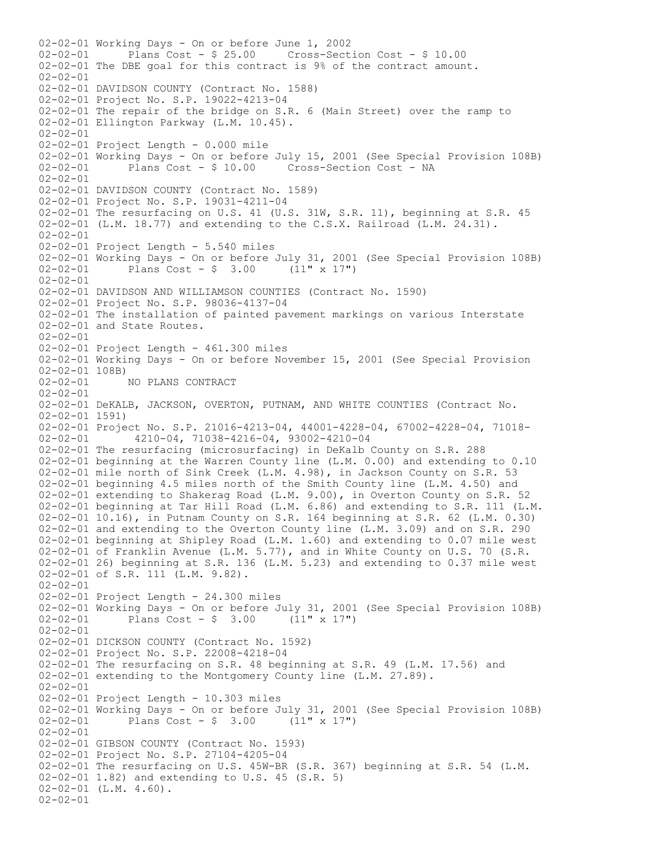02-02-01 Working Days - On or before June 1, 2002 02-02-01 Plans Cost - \$ 25.00 Cross-Section Cost - \$ 10.00 02-02-01 The DBE goal for this contract is 9% of the contract amount. 02-02-01 02-02-01 DAVIDSON COUNTY (Contract No. 1588) 02-02-01 Project No. S.P. 19022-4213-04 02-02-01 The repair of the bridge on S.R. 6 (Main Street) over the ramp to 02-02-01 Ellington Parkway (L.M. 10.45). 02-02-01 02-02-01 Project Length - 0.000 mile 02-02-01 Working Days - On or before July 15, 2001 (See Special Provision 108B) 02-02-01 Plans Cost - \$ 10.00 Cross-Section Cost - NA  $02 - 02 - 01$ 02-02-01 DAVIDSON COUNTY (Contract No. 1589) 02-02-01 Project No. S.P. 19031-4211-04 02-02-01 The resurfacing on U.S. 41 (U.S. 31W, S.R. 11), beginning at S.R. 45 02-02-01 (L.M. 18.77) and extending to the C.S.X. Railroad (L.M. 24.31). 02-02-01 02-02-01 Project Length - 5.540 miles 02-02-01 Working Days - On or before July 31, 2001 (See Special Provision 108B)<br>02-02-01 Plans Cost - \$ 3.00 (11" x 17") Plans Cost -  $\frac{1}{2}$  3.00 (11" x 17") 02-02-01 02-02-01 DAVIDSON AND WILLIAMSON COUNTIES (Contract No. 1590) 02-02-01 Project No. S.P. 98036-4137-04 02-02-01 The installation of painted pavement markings on various Interstate 02-02-01 and State Routes. 02-02-01 02-02-01 Project Length - 461.300 miles 02-02-01 Working Days - On or before November 15, 2001 (See Special Provision 02-02-01 108B)<br>02-02-01 02-02-01 NO PLANS CONTRACT  $02 - 02 - 01$ 02-02-01 DeKALB, JACKSON, OVERTON, PUTNAM, AND WHITE COUNTIES (Contract No. 02-02-01 1591) 02-02-01 Project No. S.P. 21016-4213-04, 44001-4228-04, 67002-4228-04, 71018-<br>02-02-01 4210-04, 71038-4216-04, 93002-4210-04 02-02-01 4210-04, 71038-4216-04, 93002-4210-04 02-02-01 The resurfacing (microsurfacing) in DeKalb County on S.R. 288 02-02-01 beginning at the Warren County line (L.M. 0.00) and extending to 0.10 02-02-01 mile north of Sink Creek (L.M. 4.98), in Jackson County on S.R. 53 02-02-01 beginning 4.5 miles north of the Smith County line (L.M. 4.50) and 02-02-01 extending to Shakerag Road (L.M. 9.00), in Overton County on S.R. 52 02-02-01 beginning at Tar Hill Road (L.M. 6.86) and extending to S.R. 111 (L.M. 02-02-01 10.16), in Putnam County on S.R. 164 beginning at S.R. 62 (L.M. 0.30) 02-02-01 and extending to the Overton County line (L.M. 3.09) and on S.R. 290 02-02-01 beginning at Shipley Road (L.M. 1.60) and extending to 0.07 mile west 02-02-01 of Franklin Avenue (L.M. 5.77), and in White County on U.S. 70 (S.R. 02-02-01 26) beginning at S.R. 136 (L.M. 5.23) and extending to 0.37 mile west 02-02-01 of S.R. 111 (L.M. 9.82). 02-02-01 02-02-01 Project Length - 24.300 miles 02-02-01 Working Days - On or before July 31, 2001 (See Special Provision 108B) 02-02-01 Plans Cost - \$ 3.00 (11" x 17") 02-02-01 02-02-01 DICKSON COUNTY (Contract No. 1592) 02-02-01 Project No. S.P. 22008-4218-04 02-02-01 The resurfacing on S.R. 48 beginning at S.R. 49 (L.M. 17.56) and 02-02-01 extending to the Montgomery County line (L.M. 27.89). 02-02-01 02-02-01 Project Length - 10.303 miles 02-02-01 Working Days - On or before July 31, 2001 (See Special Provision 108B)<br>02-02-01 Plans Cost - \$ 3.00 (11" x 17") Plans Cost -  $\frac{1}{2}$  3.00 (11" x 17") 02-02-01 02-02-01 GIBSON COUNTY (Contract No. 1593) 02-02-01 Project No. S.P. 27104-4205-04 02-02-01 The resurfacing on U.S. 45W-BR (S.R. 367) beginning at S.R. 54 (L.M. 02-02-01 1.82) and extending to U.S. 45 (S.R. 5) 02-02-01 (L.M. 4.60). 02-02-01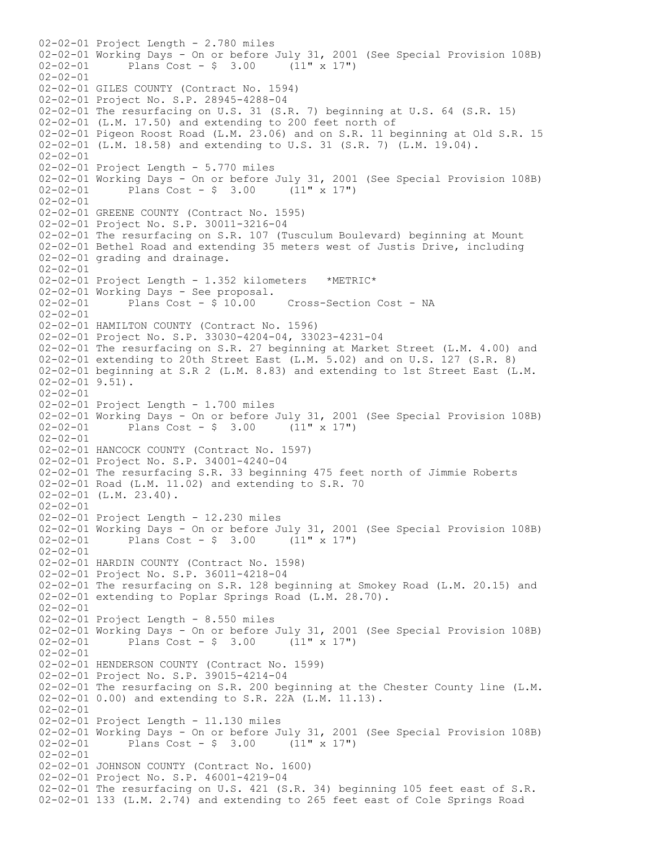02-02-01 Project Length - 2.780 miles 02-02-01 Working Days - On or before July 31, 2001 (See Special Provision 108B)<br>02-02-01 Plans Cost - \$ 3.00 (11" x 17")  $02-02-01$  Plans Cost - \$ 3.00 02-02-01 02-02-01 GILES COUNTY (Contract No. 1594) 02-02-01 Project No. S.P. 28945-4288-04 02-02-01 The resurfacing on U.S. 31 (S.R. 7) beginning at U.S. 64 (S.R. 15) 02-02-01 (L.M. 17.50) and extending to 200 feet north of 02-02-01 Pigeon Roost Road (L.M. 23.06) and on S.R. 11 beginning at Old S.R. 15 02-02-01 (L.M. 18.58) and extending to U.S. 31 (S.R. 7) (L.M. 19.04). 02-02-01 02-02-01 Project Length - 5.770 miles 02-02-01 Working Days - On or before July 31, 2001 (See Special Provision 108B) 02-02-01 Plans Cost - \$ 3.00 (11" x 17") 02-02-01 02-02-01 GREENE COUNTY (Contract No. 1595) 02-02-01 Project No. S.P. 30011-3216-04 02-02-01 The resurfacing on S.R. 107 (Tusculum Boulevard) beginning at Mount 02-02-01 Bethel Road and extending 35 meters west of Justis Drive, including 02-02-01 grading and drainage. 02-02-01 02-02-01 Project Length - 1.352 kilometers \*METRIC\* 02-02-01 Working Days - See proposal. 02-02-01 Plans Cost - \$ 10.00 Cross-Section Cost - NA 02-02-01 02-02-01 HAMILTON COUNTY (Contract No. 1596) 02-02-01 Project No. S.P. 33030-4204-04, 33023-4231-04 02-02-01 The resurfacing on S.R. 27 beginning at Market Street (L.M. 4.00) and 02-02-01 extending to 20th Street East (L.M. 5.02) and on U.S. 127 (S.R. 8) 02-02-01 beginning at S.R 2 (L.M. 8.83) and extending to 1st Street East (L.M. 02-02-01 9.51). 02-02-01 02-02-01 Project Length - 1.700 miles 02-02-01 Working Days - On or before July 31, 2001 (See Special Provision 108B)<br>02-02-01 Plans Cost - \$ 3.00 (11" x 17")  $02-02-01$  Plans Cost - \$ 3.00 02-02-01 02-02-01 HANCOCK COUNTY (Contract No. 1597) 02-02-01 Project No. S.P. 34001-4240-04 02-02-01 The resurfacing S.R. 33 beginning 475 feet north of Jimmie Roberts 02-02-01 Road (L.M. 11.02) and extending to S.R. 70 02-02-01 (L.M. 23.40). 02-02-01 02-02-01 Project Length - 12.230 miles 02-02-01 Working Days - On or before July 31, 2001 (See Special Provision 108B)<br>02-02-01 Plans Cost - \$ 3.00 (11" x 17")  $Plans Cost - $ 3.00$ 02-02-01 02-02-01 HARDIN COUNTY (Contract No. 1598) 02-02-01 Project No. S.P. 36011-4218-04 02-02-01 The resurfacing on S.R. 128 beginning at Smokey Road (L.M. 20.15) and 02-02-01 extending to Poplar Springs Road (L.M. 28.70). 02-02-01 02-02-01 Project Length - 8.550 miles 02-02-01 Working Days - On or before July 31, 2001 (See Special Provision 108B) 02-02-01 Plans Cost - \$ 3.00 (11" x 17") 02-02-01 02-02-01 HENDERSON COUNTY (Contract No. 1599) 02-02-01 Project No. S.P. 39015-4214-04 02-02-01 The resurfacing on S.R. 200 beginning at the Chester County line (L.M. 02-02-01 0.00) and extending to S.R. 22A (L.M. 11.13). 02-02-01 02-02-01 Project Length - 11.130 miles 02-02-01 Working Days - On or before July 31, 2001 (See Special Provision 108B) 02-02-01 Plans Cost - \$ 3.00 (11" x 17") 02-02-01 02-02-01 JOHNSON COUNTY (Contract No. 1600) 02-02-01 Project No. S.P. 46001-4219-04 02-02-01 The resurfacing on U.S. 421 (S.R. 34) beginning 105 feet east of S.R. 02-02-01 133 (L.M. 2.74) and extending to 265 feet east of Cole Springs Road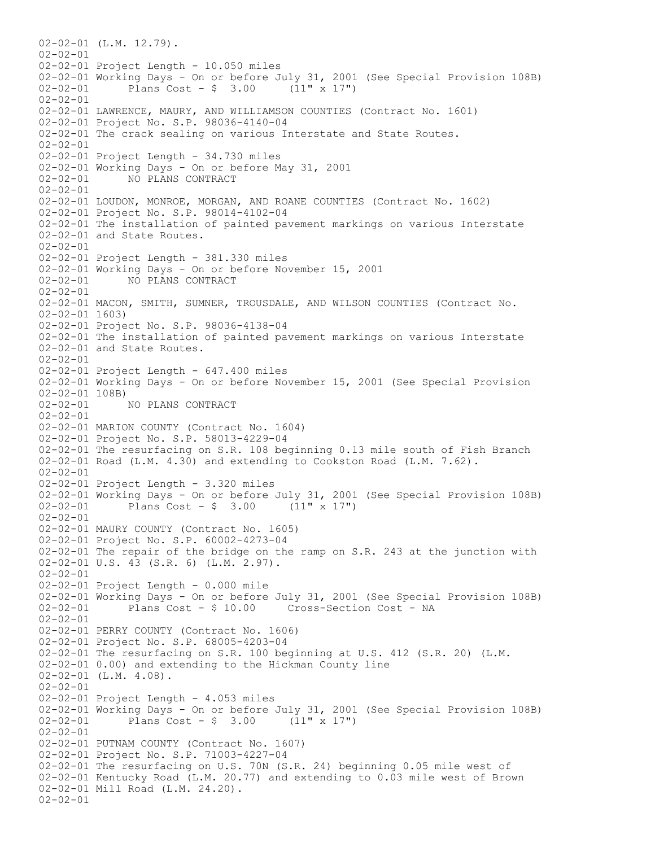02-02-01 (L.M. 12.79).  $02 - 02 - 01$ 02-02-01 Project Length - 10.050 miles 02-02-01 Working Days - On or before July 31, 2001 (See Special Provision 108B)<br>02-02-01 Plans Cost - \$ 3.00 (11" x 17")  $02 - 02 - 01$  Plans Cost - \$ 3.00 02-02-01 02-02-01 LAWRENCE, MAURY, AND WILLIAMSON COUNTIES (Contract No. 1601) 02-02-01 Project No. S.P. 98036-4140-04 02-02-01 The crack sealing on various Interstate and State Routes. 02-02-01 02-02-01 Project Length - 34.730 miles 02-02-01 Working Days - On or before May 31, 2001 02-02-01 NO PLANS CONTRACT  $02 - 02 - 01$ 02-02-01 LOUDON, MONROE, MORGAN, AND ROANE COUNTIES (Contract No. 1602) 02-02-01 Project No. S.P. 98014-4102-04 02-02-01 The installation of painted pavement markings on various Interstate 02-02-01 and State Routes. 02-02-01 02-02-01 Project Length - 381.330 miles 02-02-01 Working Days - On or before November 15, 2001<br>02-02-01 NO PLANS CONTRACT 02-02-01 NO PLANS CONTRACT 02-02-01 02-02-01 MACON, SMITH, SUMNER, TROUSDALE, AND WILSON COUNTIES (Contract No. 02-02-01 1603) 02-02-01 Project No. S.P. 98036-4138-04 02-02-01 The installation of painted pavement markings on various Interstate 02-02-01 and State Routes. 02-02-01 02-02-01 Project Length - 647.400 miles 02-02-01 Working Days - On or before November 15, 2001 (See Special Provision  $02-02-01$  108B)<br>02-02-01 02-02-01 NO PLANS CONTRACT 02-02-01 02-02-01 MARION COUNTY (Contract No. 1604) 02-02-01 Project No. S.P. 58013-4229-04 02-02-01 The resurfacing on S.R. 108 beginning 0.13 mile south of Fish Branch 02-02-01 Road (L.M. 4.30) and extending to Cookston Road (L.M. 7.62). 02-02-01 02-02-01 Project Length - 3.320 miles 02-02-01 Working Days - On or before July 31, 2001 (See Special Provision 108B) 02-02-01 Plans Cost - \$ 3.00 (11" x 17") 02-02-01 02-02-01 MAURY COUNTY (Contract No. 1605) 02-02-01 Project No. S.P. 60002-4273-04 02-02-01 The repair of the bridge on the ramp on S.R. 243 at the junction with 02-02-01 U.S. 43 (S.R. 6) (L.M. 2.97). 02-02-01 02-02-01 Project Length - 0.000 mile 02-02-01 Working Days - On or before July 31, 2001 (See Special Provision 108B) 02-02-01 Plans Cost - \$ 10.00 Cross-Section Cost - NA  $02 - 02 - 01$ 02-02-01 PERRY COUNTY (Contract No. 1606) 02-02-01 Project No. S.P. 68005-4203-04 02-02-01 The resurfacing on S.R. 100 beginning at U.S. 412 (S.R. 20) (L.M. 02-02-01 0.00) and extending to the Hickman County line 02-02-01 (L.M. 4.08). 02-02-01 02-02-01 Project Length - 4.053 miles 02-02-01 Working Days - On or before July 31, 2001 (See Special Provision 108B)<br>02-02-01 Plans Cost - \$ 3.00 (11" x 17") Plans Cost -  $\frac{1}{2}$  3.00 02-02-01 02-02-01 PUTNAM COUNTY (Contract No. 1607) 02-02-01 Project No. S.P. 71003-4227-04 02-02-01 The resurfacing on U.S. 70N (S.R. 24) beginning 0.05 mile west of 02-02-01 Kentucky Road (L.M. 20.77) and extending to 0.03 mile west of Brown 02-02-01 Mill Road (L.M. 24.20). 02-02-01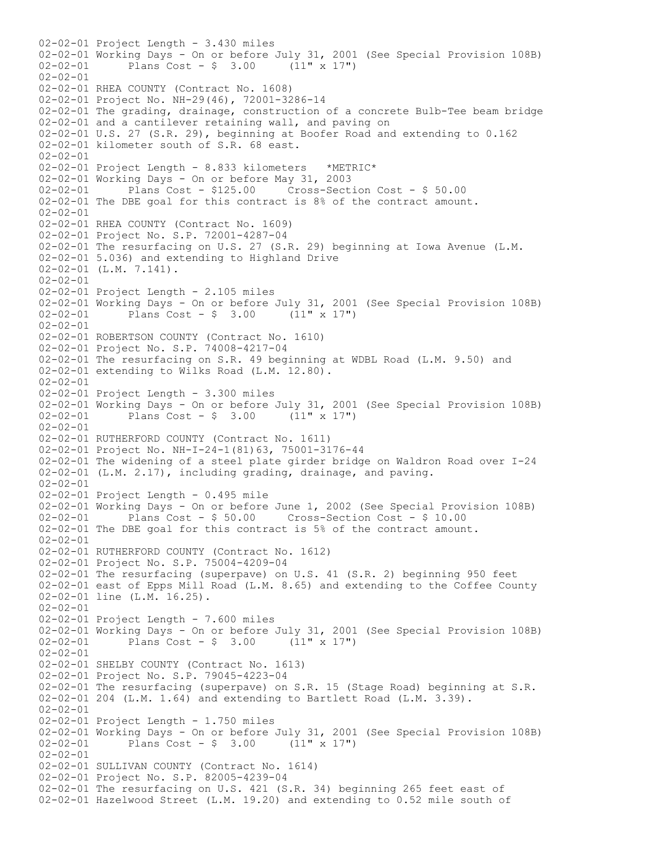02-02-01 Project Length - 3.430 miles 02-02-01 Working Days - On or before July 31, 2001 (See Special Provision 108B)<br>02-02-01 Plans Cost - \$ 3.00 (11" x 17")  $02-02-01$  Plans Cost - \$ 3.00 02-02-01 02-02-01 RHEA COUNTY (Contract No. 1608) 02-02-01 Project No. NH-29(46), 72001-3286-14 02-02-01 The grading, drainage, construction of a concrete Bulb-Tee beam bridge 02-02-01 and a cantilever retaining wall, and paving on 02-02-01 U.S. 27 (S.R. 29), beginning at Boofer Road and extending to 0.162 02-02-01 kilometer south of S.R. 68 east. 02-02-01 02-02-01 Project Length - 8.833 kilometers \*METRIC\* 02-02-01 Working Days - On or before May 31, 2003 02-02-01 Plans Cost - \$125.00 Cross-Section Cost - \$ 50.00 02-02-01 The DBE goal for this contract is 8% of the contract amount. 02-02-01 02-02-01 RHEA COUNTY (Contract No. 1609) 02-02-01 Project No. S.P. 72001-4287-04 02-02-01 The resurfacing on U.S. 27 (S.R. 29) beginning at Iowa Avenue (L.M. 02-02-01 5.036) and extending to Highland Drive 02-02-01 (L.M. 7.141). 02-02-01 02-02-01 Project Length - 2.105 miles 02-02-01 Working Days - On or before July 31, 2001 (See Special Provision 108B)<br>02-02-01 Plans Cost - \$ 3.00 (11" x 17")  $02-02-01$  Plans Cost - \$ 3.00  $02 - 02 - 01$ 02-02-01 ROBERTSON COUNTY (Contract No. 1610) 02-02-01 Project No. S.P. 74008-4217-04 02-02-01 The resurfacing on S.R. 49 beginning at WDBL Road (L.M. 9.50) and 02-02-01 extending to Wilks Road (L.M. 12.80). 02-02-01 02-02-01 Project Length - 3.300 miles 02-02-01 Working Days - On or before July 31, 2001 (See Special Provision 108B)<br>02-02-01 Plans Cost - \$ 3.00 (11" x 17") Plans Cost -  $\frac{1}{2}$  3.00 (11" x 17") 02-02-01 02-02-01 RUTHERFORD COUNTY (Contract No. 1611) 02-02-01 Project No. NH-I-24-1(81)63, 75001-3176-44 02-02-01 The widening of a steel plate girder bridge on Waldron Road over I-24 02-02-01 (L.M. 2.17), including grading, drainage, and paving. 02-02-01 02-02-01 Project Length - 0.495 mile 02-02-01 Working Days - On or before June 1, 2002 (See Special Provision 108B) 02-02-01 Plans Cost - \$ 50.00 Cross-Section Cost - \$ 10.00 02-02-01 The DBE goal for this contract is 5% of the contract amount. 02-02-01 02-02-01 RUTHERFORD COUNTY (Contract No. 1612) 02-02-01 Project No. S.P. 75004-4209-04 02-02-01 The resurfacing (superpave) on U.S. 41 (S.R. 2) beginning 950 feet 02-02-01 east of Epps Mill Road (L.M. 8.65) and extending to the Coffee County 02-02-01 line (L.M. 16.25).  $02 - 02 - 01$ 02-02-01 Project Length - 7.600 miles 02-02-01 Working Days - On or before July 31, 2001 (See Special Provision 108B) 02-02-01 Plans Cost - \$ 3.00 (11" x 17") 02-02-01 02-02-01 SHELBY COUNTY (Contract No. 1613) 02-02-01 Project No. S.P. 79045-4223-04 02-02-01 The resurfacing (superpave) on S.R. 15 (Stage Road) beginning at S.R. 02-02-01 204 (L.M. 1.64) and extending to Bartlett Road (L.M. 3.39). 02-02-01 02-02-01 Project Length - 1.750 miles 02-02-01 Working Days - On or before July 31, 2001 (See Special Provision 108B)<br>02-02-01 Plans Cost - \$ 3.00 (11" x 17") Plans Cost -  $$ 3.00$  (11" x 17") 02-02-01 02-02-01 SULLIVAN COUNTY (Contract No. 1614) 02-02-01 Project No. S.P. 82005-4239-04 02-02-01 The resurfacing on U.S. 421 (S.R. 34) beginning 265 feet east of 02-02-01 Hazelwood Street (L.M. 19.20) and extending to 0.52 mile south of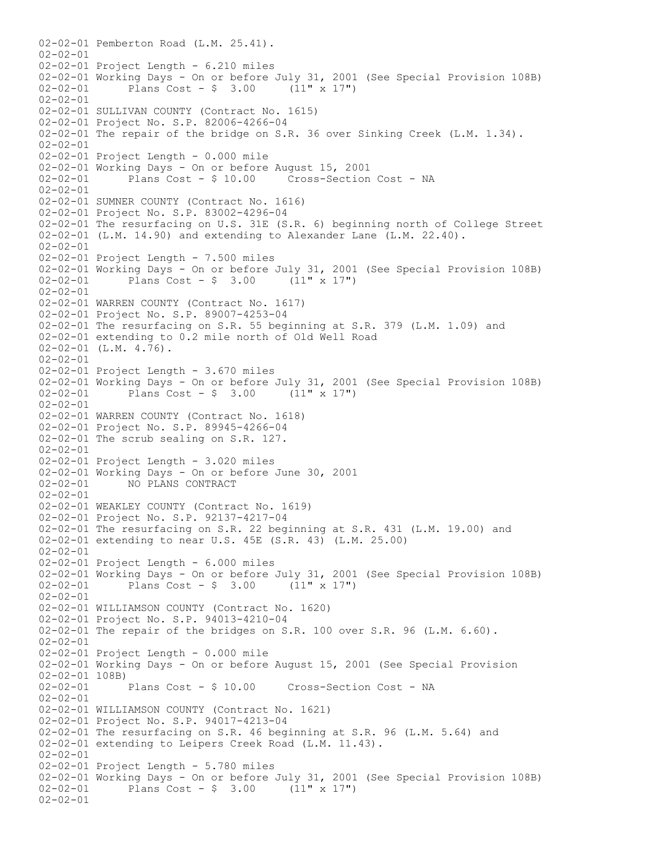02-02-01 Pemberton Road (L.M. 25.41).  $02 - 02 - 01$ 02-02-01 Project Length - 6.210 miles 02-02-01 Working Days - On or before July 31, 2001 (See Special Provision 108B)<br>02-02-01 Plans Cost - \$ 3.00 (11" x 17")  $02 - 02 - 01$  Plans Cost - \$ 3.00 02-02-01 02-02-01 SULLIVAN COUNTY (Contract No. 1615) 02-02-01 Project No. S.P. 82006-4266-04 02-02-01 The repair of the bridge on S.R. 36 over Sinking Creek (L.M. 1.34). 02-02-01 02-02-01 Project Length - 0.000 mile 02-02-01 Working Days - On or before August 15, 2001 02-02-01 Plans Cost - \$ 10.00 Cross-Section Cost - NA  $02 - 02 - 01$ 02-02-01 SUMNER COUNTY (Contract No. 1616) 02-02-01 Project No. S.P. 83002-4296-04 02-02-01 The resurfacing on U.S. 31E (S.R. 6) beginning north of College Street 02-02-01 (L.M. 14.90) and extending to Alexander Lane (L.M. 22.40). 02-02-01 02-02-01 Project Length - 7.500 miles 02-02-01 Working Days - On or before July 31, 2001 (See Special Provision 108B)<br>02-02-01 Plans Cost - \$ 3.00 (11" x 17") Plans Cost -  $$ 3.00$  (11" x 17") 02-02-01 02-02-01 WARREN COUNTY (Contract No. 1617) 02-02-01 Project No. S.P. 89007-4253-04 02-02-01 The resurfacing on S.R. 55 beginning at S.R. 379 (L.M. 1.09) and 02-02-01 extending to 0.2 mile north of Old Well Road 02-02-01 (L.M. 4.76). 02-02-01 02-02-01 Project Length - 3.670 miles 02-02-01 Working Days - On or before July 31, 2001 (See Special Provision 108B)<br>02-02-01 Plans Cost - \$ 3.00 (11" x 17") Plans  $Cost - $ 3.00 (11" x 17")$ 02-02-01 02-02-01 WARREN COUNTY (Contract No. 1618) 02-02-01 Project No. S.P. 89945-4266-04 02-02-01 The scrub sealing on S.R. 127.  $02 - 02 - 01$ 02-02-01 Project Length - 3.020 miles 02-02-01 Working Days - On or before June 30, 2001 02-02-01 NO PLANS CONTRACT 02-02-01 02-02-01 WEAKLEY COUNTY (Contract No. 1619) 02-02-01 Project No. S.P. 92137-4217-04 02-02-01 The resurfacing on S.R. 22 beginning at S.R. 431 (L.M. 19.00) and 02-02-01 extending to near U.S. 45E (S.R. 43) (L.M. 25.00) 02-02-01 02-02-01 Project Length - 6.000 miles 02-02-01 Working Days - On or before July 31, 2001 (See Special Provision 108B)<br>02-02-01 Plans Cost - \$ 3.00 (11" x 17") Plans  $Cost - $ 3.00$  $02 - 02 - 01$ 02-02-01 WILLIAMSON COUNTY (Contract No. 1620) 02-02-01 Project No. S.P. 94013-4210-04 02-02-01 The repair of the bridges on S.R. 100 over S.R. 96 (L.M. 6.60). 02-02-01 02-02-01 Project Length - 0.000 mile 02-02-01 Working Days - On or before August 15, 2001 (See Special Provision  $02-02-01$  108B)<br> $02-02-01$  Plans Cost - \$ 10.00 Cross-Section Cost - NA 02-02-01 02-02-01 WILLIAMSON COUNTY (Contract No. 1621) 02-02-01 Project No. S.P. 94017-4213-04 02-02-01 The resurfacing on S.R. 46 beginning at S.R. 96 (L.M. 5.64) and 02-02-01 extending to Leipers Creek Road (L.M. 11.43).  $02 - 02 - 01$ 02-02-01 Project Length - 5.780 miles 02-02-01 Working Days - On or before July 31, 2001 (See Special Provision 108B) 02-02-01 Plans Cost - \$ 3.00 (11" x 17") 02-02-01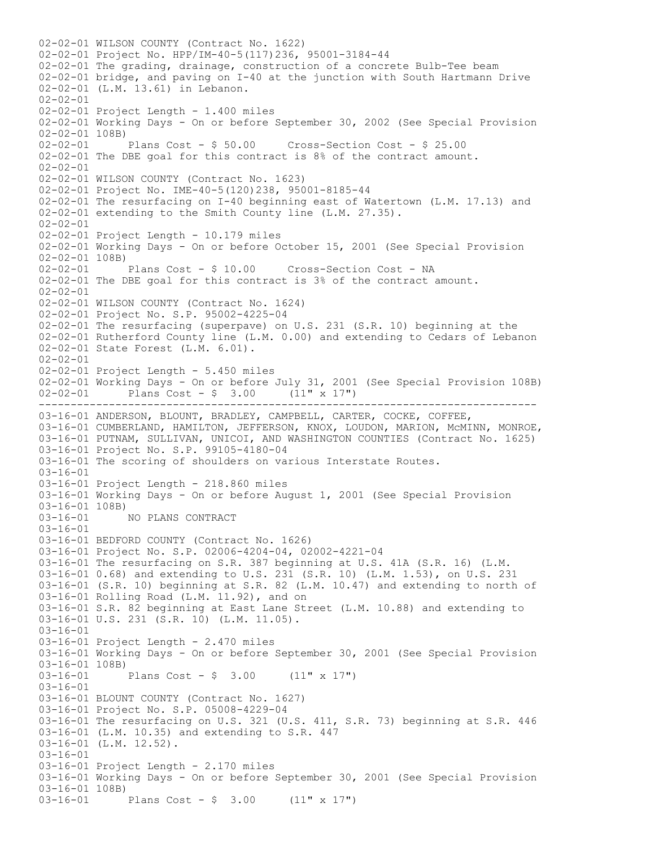------------------------------------------------------------------------------ 02-02-01 WILSON COUNTY (Contract No. 1622) 02-02-01 Project No. HPP/IM-40-5(117)236, 95001-3184-44 02-02-01 The grading, drainage, construction of a concrete Bulb-Tee beam 02-02-01 bridge, and paving on I-40 at the junction with South Hartmann Drive 02-02-01 (L.M. 13.61) in Lebanon. 02-02-01 02-02-01 Project Length - 1.400 miles 02-02-01 Working Days - On or before September 30, 2002 (See Special Provision 02-02-01 108B) 02-02-01 Plans Cost - \$ 50.00 Cross-Section Cost - \$ 25.00 02-02-01 The DBE goal for this contract is 8% of the contract amount. 02-02-01 02-02-01 WILSON COUNTY (Contract No. 1623) 02-02-01 Project No. IME-40-5(120)238, 95001-8185-44 02-02-01 The resurfacing on I-40 beginning east of Watertown (L.M. 17.13) and 02-02-01 extending to the Smith County line (L.M. 27.35). 02-02-01 02-02-01 Project Length - 10.179 miles 02-02-01 Working Days - On or before October 15, 2001 (See Special Provision  $02-02-01$  108B)<br> $02-02-01$  Plans Cost - \$ 10.00 Cross-Section Cost - NA 02-02-01 The DBE goal for this contract is 3% of the contract amount. 02-02-01 02-02-01 WILSON COUNTY (Contract No. 1624) 02-02-01 Project No. S.P. 95002-4225-04 02-02-01 The resurfacing (superpave) on U.S. 231 (S.R. 10) beginning at the 02-02-01 Rutherford County line (L.M. 0.00) and extending to Cedars of Lebanon 02-02-01 State Forest (L.M. 6.01). 02-02-01 02-02-01 Project Length - 5.450 miles 02-02-01 Working Days - On or before July 31, 2001 (See Special Provision 108B)  $02-02-01$  Plans Cost - \$ 3.00 (11" x 17") 03-16-01 ANDERSON, BLOUNT, BRADLEY, CAMPBELL, CARTER, COCKE, COFFEE, 03-16-01 CUMBERLAND, HAMILTON, JEFFERSON, KNOX, LOUDON, MARION, McMINN, MONROE, 03-16-01 PUTNAM, SULLIVAN, UNICOI, AND WASHINGTON COUNTIES (Contract No. 1625) 03-16-01 Project No. S.P. 99105-4180-04 03-16-01 The scoring of shoulders on various Interstate Routes. 03-16-01 03-16-01 Project Length - 218.860 miles 03-16-01 Working Days - On or before August 1, 2001 (See Special Provision 03-16-01 108B)<br>03-16-01 1 03-16-01 NO PLANS CONTRACT 03-16-01 03-16-01 BEDFORD COUNTY (Contract No. 1626) 03-16-01 Project No. S.P. 02006-4204-04, 02002-4221-04 03-16-01 The resurfacing on S.R. 387 beginning at U.S. 41A (S.R. 16) (L.M. 03-16-01 0.68) and extending to U.S. 231 (S.R. 10) (L.M. 1.53), on U.S. 231 03-16-01 (S.R. 10) beginning at S.R. 82 (L.M. 10.47) and extending to north of 03-16-01 Rolling Road (L.M. 11.92), and on 03-16-01 S.R. 82 beginning at East Lane Street (L.M. 10.88) and extending to 03-16-01 U.S. 231 (S.R. 10) (L.M. 11.05). 03-16-01 03-16-01 Project Length - 2.470 miles 03-16-01 Working Days - On or before September 30, 2001 (See Special Provision 03-16-01 108B)<br>03-16-01 Plans Cost -  $$ 3.00$  (11" x 17") 03-16-01 03-16-01 BLOUNT COUNTY (Contract No. 1627) 03-16-01 Project No. S.P. 05008-4229-04 03-16-01 The resurfacing on U.S. 321 (U.S. 411, S.R. 73) beginning at S.R. 446 03-16-01 (L.M. 10.35) and extending to S.R. 447 03-16-01 (L.M. 12.52). 03-16-01 03-16-01 Project Length - 2.170 miles 03-16-01 Working Days - On or before September 30, 2001 (See Special Provision 03-16-01 108B)<br>03-16-01 Plans Cost -  $\frac{1}{2}$  3.00 (11" x 17")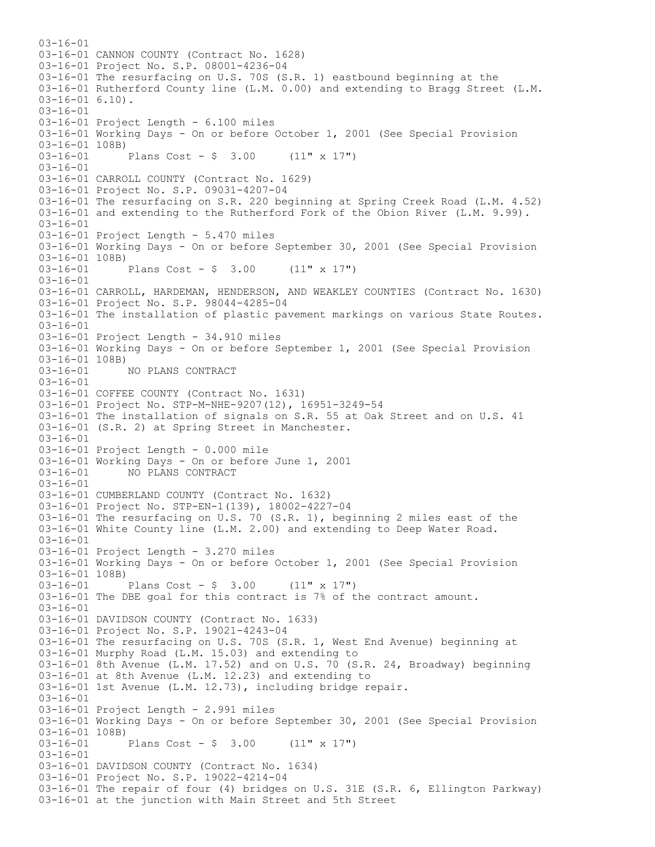$03-16-01$ 03-16-01 CANNON COUNTY (Contract No. 1628) 03-16-01 Project No. S.P. 08001-4236-04 03-16-01 The resurfacing on U.S. 70S (S.R. 1) eastbound beginning at the 03-16-01 Rutherford County line (L.M. 0.00) and extending to Bragg Street (L.M. 03-16-01 6.10). 03-16-01 03-16-01 Project Length - 6.100 miles 03-16-01 Working Days - On or before October 1, 2001 (See Special Provision 03-16-01 108B) 03-16-01 Plans Cost - \$ 3.00 (11" x 17")  $03-16-01$ 03-16-01 CARROLL COUNTY (Contract No. 1629) 03-16-01 Project No. S.P. 09031-4207-04 03-16-01 The resurfacing on S.R. 220 beginning at Spring Creek Road (L.M. 4.52) 03-16-01 and extending to the Rutherford Fork of the Obion River (L.M. 9.99). 03-16-01 03-16-01 Project Length - 5.470 miles 03-16-01 Working Days - On or before September 30, 2001 (See Special Provision 03-16-01 108B)<br>03-16-01 Plans Cost -  $$3.00$  (11" x 17") 03-16-01 03-16-01 CARROLL, HARDEMAN, HENDERSON, AND WEAKLEY COUNTIES (Contract No. 1630) 03-16-01 Project No. S.P. 98044-4285-04 03-16-01 The installation of plastic pavement markings on various State Routes.  $03-16-01$ 03-16-01 Project Length - 34.910 miles 03-16-01 Working Days - On or before September 1, 2001 (See Special Provision 03-16-01 108B)<br>03-16-01 NO PLANS CONTRACT 03-16-01 03-16-01 COFFEE COUNTY (Contract No. 1631) 03-16-01 Project No. STP-M-NHE-9207(12), 16951-3249-54 03-16-01 The installation of signals on S.R. 55 at Oak Street and on U.S. 41 03-16-01 (S.R. 2) at Spring Street in Manchester. 03-16-01 03-16-01 Project Length - 0.000 mile 03-16-01 Working Days - On or before June 1, 2001 03-16-01 NO PLANS CONTRACT 03-16-01 03-16-01 CUMBERLAND COUNTY (Contract No. 1632) 03-16-01 Project No. STP-EN-1(139), 18002-4227-04 03-16-01 The resurfacing on U.S. 70 (S.R. 1), beginning 2 miles east of the 03-16-01 White County line (L.M. 2.00) and extending to Deep Water Road. 03-16-01 03-16-01 Project Length - 3.270 miles 03-16-01 Working Days - On or before October 1, 2001 (See Special Provision 03-16-01 108B) 03-16-01 Plans Cost - \$ 3.00 (11" x 17") 03-16-01 The DBE goal for this contract is 7% of the contract amount.  $03 - 16 - 01$ 03-16-01 DAVIDSON COUNTY (Contract No. 1633) 03-16-01 Project No. S.P. 19021-4243-04 03-16-01 The resurfacing on U.S. 70S (S.R. 1, West End Avenue) beginning at 03-16-01 Murphy Road (L.M. 15.03) and extending to 03-16-01 8th Avenue (L.M. 17.52) and on U.S. 70 (S.R. 24, Broadway) beginning 03-16-01 at 8th Avenue (L.M. 12.23) and extending to 03-16-01 1st Avenue (L.M. 12.73), including bridge repair. 03-16-01 03-16-01 Project Length - 2.991 miles 03-16-01 Working Days - On or before September 30, 2001 (See Special Provision 03-16-01 108B) Plans Cost -  $$ 3.00$  (11" x 17") 03-16-01 03-16-01 DAVIDSON COUNTY (Contract No. 1634) 03-16-01 Project No. S.P. 19022-4214-04 03-16-01 The repair of four (4) bridges on U.S. 31E (S.R. 6, Ellington Parkway) 03-16-01 at the junction with Main Street and 5th Street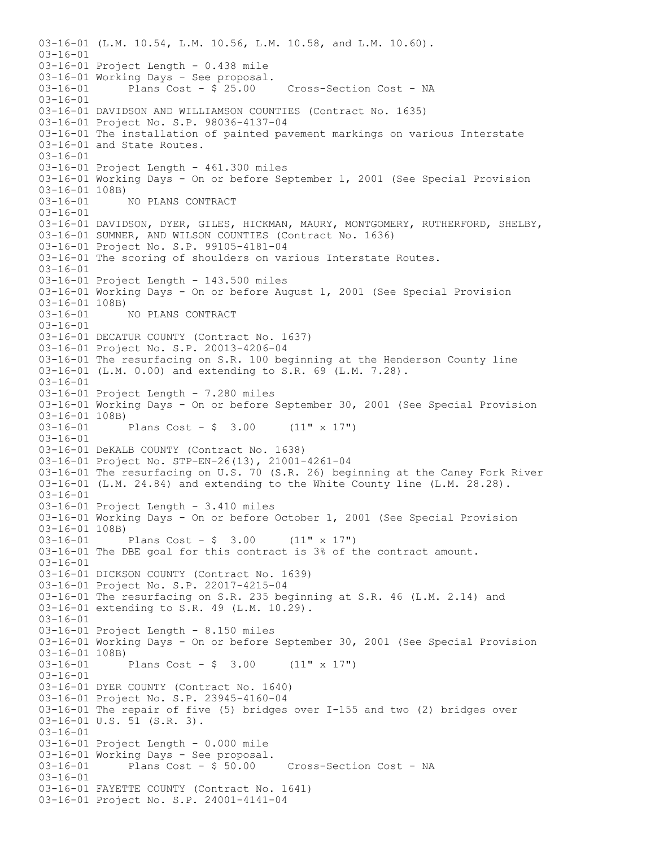03-16-01 (L.M. 10.54, L.M. 10.56, L.M. 10.58, and L.M. 10.60).  $03-16-01$ 03-16-01 Project Length - 0.438 mile 03-16-01 Working Days - See proposal.<br>03-16-01 Plans Cost - \$ 25.00 Cross-Section Cost - NA Plans Cost -  $$25.00$ 03-16-01 03-16-01 DAVIDSON AND WILLIAMSON COUNTIES (Contract No. 1635) 03-16-01 Project No. S.P. 98036-4137-04 03-16-01 The installation of painted pavement markings on various Interstate 03-16-01 and State Routes. 03-16-01 03-16-01 Project Length - 461.300 miles 03-16-01 Working Days - On or before September 1, 2001 (See Special Provision 03-16-01 108B) 03-16-01 NO PLANS CONTRACT 03-16-01 03-16-01 DAVIDSON, DYER, GILES, HICKMAN, MAURY, MONTGOMERY, RUTHERFORD, SHELBY, 03-16-01 SUMNER, AND WILSON COUNTIES (Contract No. 1636) 03-16-01 Project No. S.P. 99105-4181-04 03-16-01 The scoring of shoulders on various Interstate Routes. 03-16-01 03-16-01 Project Length - 143.500 miles 03-16-01 Working Days - On or before August 1, 2001 (See Special Provision  $03-16-01$  108B)<br>03-16-01 03-16-01 NO PLANS CONTRACT  $03-16-01$ 03-16-01 DECATUR COUNTY (Contract No. 1637) 03-16-01 Project No. S.P. 20013-4206-04 03-16-01 The resurfacing on S.R. 100 beginning at the Henderson County line 03-16-01 (L.M. 0.00) and extending to S.R. 69 (L.M. 7.28). 03-16-01 03-16-01 Project Length - 7.280 miles 03-16-01 Working Days - On or before September 30, 2001 (See Special Provision 03-16-01 108B)<br>03-16-01 Plans Cost -  $$ 3.00$  (11" x 17") 03-16-01 03-16-01 DeKALB COUNTY (Contract No. 1638) 03-16-01 Project No. STP-EN-26(13), 21001-4261-04 03-16-01 The resurfacing on U.S. 70 (S.R. 26) beginning at the Caney Fork River 03-16-01 (L.M. 24.84) and extending to the White County line (L.M. 28.28). 03-16-01 03-16-01 Project Length - 3.410 miles 03-16-01 Working Days - On or before October 1, 2001 (See Special Provision 03-16-01 108B)<br>03-16-01 Plans Cost -  $$ 3.00$  (11" x 17") 03-16-01 The DBE goal for this contract is 3% of the contract amount. 03-16-01 03-16-01 DICKSON COUNTY (Contract No. 1639) 03-16-01 Project No. S.P. 22017-4215-04 03-16-01 The resurfacing on S.R. 235 beginning at S.R. 46 (L.M. 2.14) and 03-16-01 extending to S.R. 49 (L.M. 10.29). 03-16-01 03-16-01 Project Length - 8.150 miles 03-16-01 Working Days - On or before September 30, 2001 (See Special Provision 03-16-01 108B)<br>03-16-01 Plans Cost -  $\frac{1}{2}$  3.00 (11" x 17") 03-16-01 03-16-01 DYER COUNTY (Contract No. 1640) 03-16-01 Project No. S.P. 23945-4160-04 03-16-01 The repair of five (5) bridges over I-155 and two (2) bridges over 03-16-01 U.S. 51 (S.R. 3). 03-16-01 03-16-01 Project Length - 0.000 mile 03-16-01 Working Days - See proposal.  $03-16-01$  Plans Cost -  $\frac{5}{50.00}$  Cross-Section Cost - NA 03-16-01 03-16-01 FAYETTE COUNTY (Contract No. 1641) 03-16-01 Project No. S.P. 24001-4141-04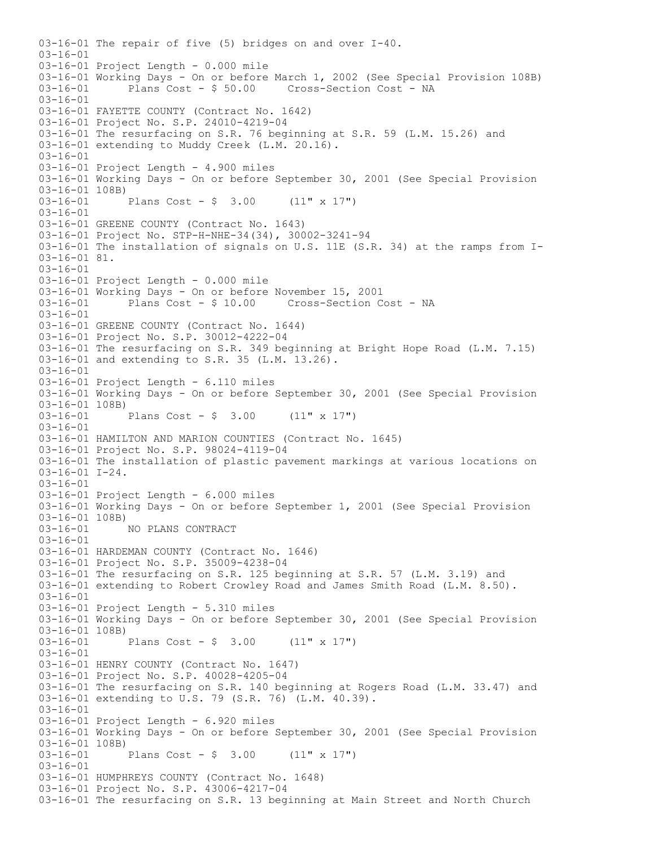03-16-01 The repair of five (5) bridges on and over I-40. 03-16-01 03-16-01 Project Length - 0.000 mile 03-16-01 Working Days - On or before March 1, 2002 (See Special Provision 108B) Plans Cost - \$ 50.00 Cross-Section Cost - NA 03-16-01 03-16-01 FAYETTE COUNTY (Contract No. 1642) 03-16-01 Project No. S.P. 24010-4219-04 03-16-01 The resurfacing on S.R. 76 beginning at S.R. 59 (L.M. 15.26) and 03-16-01 extending to Muddy Creek (L.M. 20.16). 03-16-01 03-16-01 Project Length - 4.900 miles 03-16-01 Working Days - On or before September 30, 2001 (See Special Provision 03-16-01 108B) 03-16-01 Plans Cost - \$ 3.00 (11" x 17") 03-16-01 03-16-01 GREENE COUNTY (Contract No. 1643) 03-16-01 Project No. STP-H-NHE-34(34), 30002-3241-94 03-16-01 The installation of signals on U.S. 11E (S.R. 34) at the ramps from I-03-16-01 81. 03-16-01 03-16-01 Project Length - 0.000 mile 03-16-01 Working Days - On or before November 15, 2001 03-16-01 Plans Cost - \$ 10.00 Cross-Section Cost - NA  $03 - 16 - 01$ 03-16-01 GREENE COUNTY (Contract No. 1644) 03-16-01 Project No. S.P. 30012-4222-04 03-16-01 The resurfacing on S.R. 349 beginning at Bright Hope Road (L.M. 7.15) 03-16-01 and extending to S.R. 35 (L.M. 13.26). 03-16-01 03-16-01 Project Length - 6.110 miles 03-16-01 Working Days - On or before September 30, 2001 (See Special Provision  $03-16-01$  108B)<br> $03-16-01$ Plans Cost -  $\frac{1}{2}$  3.00 (11" x 17") 03-16-01 03-16-01 HAMILTON AND MARION COUNTIES (Contract No. 1645) 03-16-01 Project No. S.P. 98024-4119-04 03-16-01 The installation of plastic pavement markings at various locations on  $03-16-01$   $I-24$ . 03-16-01 03-16-01 Project Length - 6.000 miles 03-16-01 Working Days - On or before September 1, 2001 (See Special Provision 03-16-01 108B)<br>03-16-01 1 NO PLANS CONTRACT 03-16-01 03-16-01 HARDEMAN COUNTY (Contract No. 1646) 03-16-01 Project No. S.P. 35009-4238-04 03-16-01 The resurfacing on S.R. 125 beginning at S.R. 57 (L.M. 3.19) and 03-16-01 extending to Robert Crowley Road and James Smith Road (L.M. 8.50).  $03-16-01$ 03-16-01 Project Length - 5.310 miles 03-16-01 Working Days - On or before September 30, 2001 (See Special Provision 03-16-01 108B)<br>03-16-01 Plans Cost -  $\frac{1}{2}$  3.00 (11" x 17") 03-16-01 03-16-01 HENRY COUNTY (Contract No. 1647) 03-16-01 Project No. S.P. 40028-4205-04 03-16-01 The resurfacing on S.R. 140 beginning at Rogers Road (L.M. 33.47) and 03-16-01 extending to U.S. 79 (S.R. 76) (L.M. 40.39). 03-16-01 03-16-01 Project Length - 6.920 miles 03-16-01 Working Days - On or before September 30, 2001 (See Special Provision 03-16-01 108B) 03-16-01 Plans Cost - \$ 3.00 (11" x 17") 03-16-01 03-16-01 HUMPHREYS COUNTY (Contract No. 1648) 03-16-01 Project No. S.P. 43006-4217-04 03-16-01 The resurfacing on S.R. 13 beginning at Main Street and North Church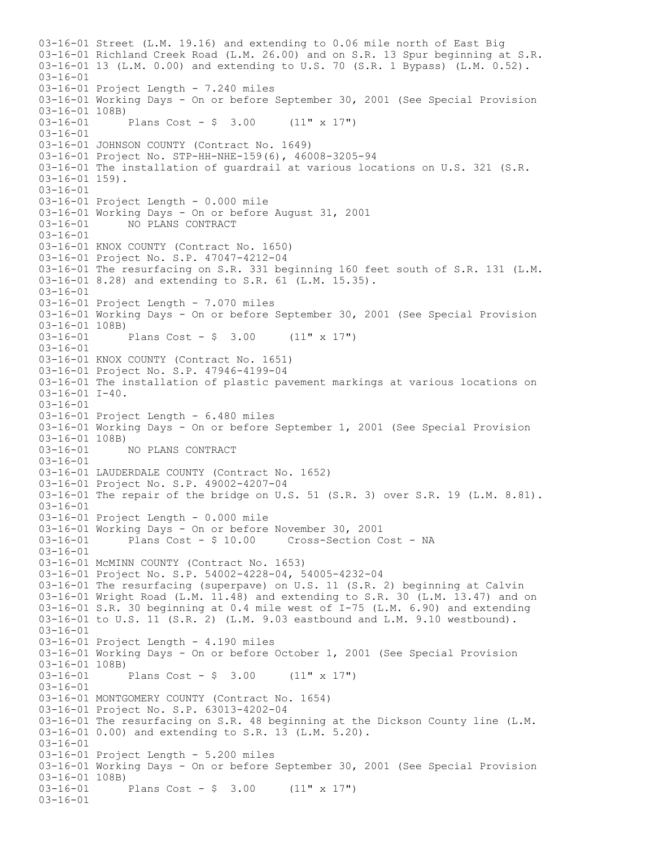03-16-01 Street (L.M. 19.16) and extending to 0.06 mile north of East Big 03-16-01 Richland Creek Road (L.M. 26.00) and on S.R. 13 Spur beginning at S.R. 03-16-01 13 (L.M. 0.00) and extending to U.S. 70 (S.R. 1 Bypass) (L.M. 0.52). 03-16-01 03-16-01 Project Length - 7.240 miles 03-16-01 Working Days - On or before September 30, 2001 (See Special Provision 03-16-01 108B)<br>03-16-01 Plans Cost -  $$ 3.00$  (11" x 17") 03-16-01 03-16-01 JOHNSON COUNTY (Contract No. 1649) 03-16-01 Project No. STP-HH-NHE-159(6), 46008-3205-94 03-16-01 The installation of guardrail at various locations on U.S. 321 (S.R.  $03-16-01$  159). 03-16-01 03-16-01 Project Length - 0.000 mile 03-16-01 Working Days - On or before August 31, 2001<br>03-16-01 MO PLANS CONTRACT 03-16-01 NO PLANS CONTRACT 03-16-01 03-16-01 KNOX COUNTY (Contract No. 1650) 03-16-01 Project No. S.P. 47047-4212-04 03-16-01 The resurfacing on S.R. 331 beginning 160 feet south of S.R. 131 (L.M. 03-16-01 8.28) and extending to S.R. 61 (L.M. 15.35). 03-16-01 03-16-01 Project Length - 7.070 miles 03-16-01 Working Days - On or before September 30, 2001 (See Special Provision 03-16-01 108B)<br>03-16-01 Plans Cost -  $\frac{1}{2}$  3.00 (11" x 17") 03-16-01 03-16-01 KNOX COUNTY (Contract No. 1651) 03-16-01 Project No. S.P. 47946-4199-04 03-16-01 The installation of plastic pavement markings at various locations on 03-16-01 I-40. 03-16-01 03-16-01 Project Length - 6.480 miles 03-16-01 Working Days - On or before September 1, 2001 (See Special Provision  $03-16-01$  108B)<br>03-16-01 03-16-01 NO PLANS CONTRACT  $03-16-01$ 03-16-01 LAUDERDALE COUNTY (Contract No. 1652) 03-16-01 Project No. S.P. 49002-4207-04 03-16-01 The repair of the bridge on U.S. 51 (S.R. 3) over S.R. 19 (L.M. 8.81). 03-16-01 03-16-01 Project Length - 0.000 mile 03-16-01 Working Days - On or before November 30, 2001<br>03-16-01 Plans Cost - \$ 10.00 Cross-Section C Cross-Section Cost - NA 03-16-01 03-16-01 McMINN COUNTY (Contract No. 1653) 03-16-01 Project No. S.P. 54002-4228-04, 54005-4232-04 03-16-01 The resurfacing (superpave) on U.S. 11 (S.R. 2) beginning at Calvin 03-16-01 Wright Road (L.M. 11.48) and extending to S.R. 30 (L.M. 13.47) and on 03-16-01 S.R. 30 beginning at 0.4 mile west of I-75 (L.M. 6.90) and extending 03-16-01 to U.S. 11 (S.R. 2) (L.M. 9.03 eastbound and L.M. 9.10 westbound). 03-16-01 03-16-01 Project Length - 4.190 miles 03-16-01 Working Days - On or before October 1, 2001 (See Special Provision 03-16-01 108B)<br>03-16-01 Plans Cost -  $\frac{1}{2}$  3.00 (11" x 17") 03-16-01 03-16-01 MONTGOMERY COUNTY (Contract No. 1654) 03-16-01 Project No. S.P. 63013-4202-04 03-16-01 The resurfacing on S.R. 48 beginning at the Dickson County line (L.M. 03-16-01 0.00) and extending to S.R. 13 (L.M. 5.20).  $03 - 16 - 01$ 03-16-01 Project Length - 5.200 miles 03-16-01 Working Days - On or before September 30, 2001 (See Special Provision 03-16-01 108B) Plans Cost -  $\frac{1}{2}$  3.00 (11" x 17") 03-16-01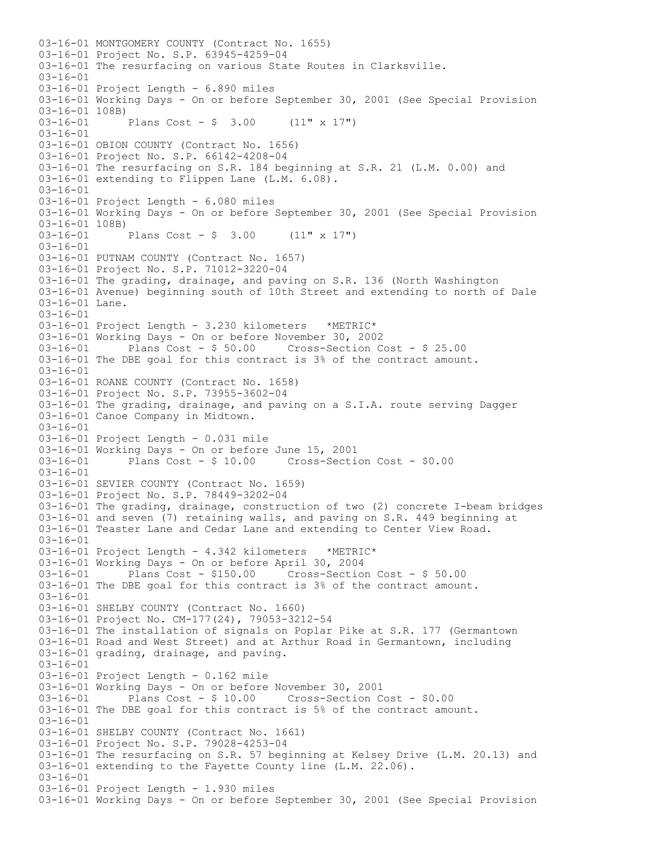03-16-01 MONTGOMERY COUNTY (Contract No. 1655) 03-16-01 Project No. S.P. 63945-4259-04 03-16-01 The resurfacing on various State Routes in Clarksville. 03-16-01 03-16-01 Project Length - 6.890 miles 03-16-01 Working Days - On or before September 30, 2001 (See Special Provision  $03-16-01$  108B)<br> $03-16-01$ Plans Cost -  $\frac{1}{2}$  3.00 (11" x 17") 03-16-01 03-16-01 OBION COUNTY (Contract No. 1656) 03-16-01 Project No. S.P. 66142-4208-04 03-16-01 The resurfacing on S.R. 184 beginning at S.R. 21 (L.M. 0.00) and 03-16-01 extending to Flippen Lane (L.M. 6.08). 03-16-01 03-16-01 Project Length - 6.080 miles 03-16-01 Working Days - On or before September 30, 2001 (See Special Provision 03-16-01 108B)<br>03-16-01 Plans Cost -  $\frac{1}{2}$  3.00 (11" x 17") 03-16-01 03-16-01 PUTNAM COUNTY (Contract No. 1657) 03-16-01 Project No. S.P. 71012-3220-04 03-16-01 The grading, drainage, and paving on S.R. 136 (North Washington 03-16-01 Avenue) beginning south of 10th Street and extending to north of Dale 03-16-01 Lane.  $03-16-01$ 03-16-01 Project Length - 3.230 kilometers \*METRIC\* 03-16-01 Working Days - On or before November 30, 2002 03-16-01 Plans Cost - \$ 50.00 Cross-Section Cost - \$ 25.00 03-16-01 The DBE goal for this contract is 3% of the contract amount. 03-16-01 03-16-01 ROANE COUNTY (Contract No. 1658) 03-16-01 Project No. S.P. 73955-3602-04 03-16-01 The grading, drainage, and paving on a S.I.A. route serving Dagger 03-16-01 Canoe Company in Midtown. 03-16-01 03-16-01 Project Length - 0.031 mile 03-16-01 Working Days - On or before June 15, 2001 03-16-01 Plans Cost - \$ 10.00 Cross-Section Cost - \$0.00  $03-16-01$ 03-16-01 SEVIER COUNTY (Contract No. 1659) 03-16-01 Project No. S.P. 78449-3202-04 03-16-01 The grading, drainage, construction of two (2) concrete I-beam bridges 03-16-01 and seven (7) retaining walls, and paving on S.R. 449 beginning at 03-16-01 Teaster Lane and Cedar Lane and extending to Center View Road. 03-16-01 03-16-01 Project Length - 4.342 kilometers \*METRIC\* 03-16-01 Working Days - On or before April 30, 2004 03-16-01 Plans Cost - \$150.00 Cross-Section Cost - \$ 50.00 03-16-01 The DBE goal for this contract is 3% of the contract amount.  $03-16-01$ 03-16-01 SHELBY COUNTY (Contract No. 1660) 03-16-01 Project No. CM-177(24), 79053-3212-54 03-16-01 The installation of signals on Poplar Pike at S.R. 177 (Germantown 03-16-01 Road and West Street) and at Arthur Road in Germantown, including 03-16-01 grading, drainage, and paving. 03-16-01 03-16-01 Project Length - 0.162 mile 03-16-01 Working Days - On or before November 30, 2001 Plans  $Cost - $ 10.00$  Cross-Section Cost -  $$0.00$ 03-16-01 The DBE goal for this contract is 5% of the contract amount. 03-16-01 03-16-01 SHELBY COUNTY (Contract No. 1661) 03-16-01 Project No. S.P. 79028-4253-04 03-16-01 The resurfacing on S.R. 57 beginning at Kelsey Drive (L.M. 20.13) and 03-16-01 extending to the Fayette County line (L.M. 22.06). 03-16-01 03-16-01 Project Length - 1.930 miles 03-16-01 Working Days - On or before September 30, 2001 (See Special Provision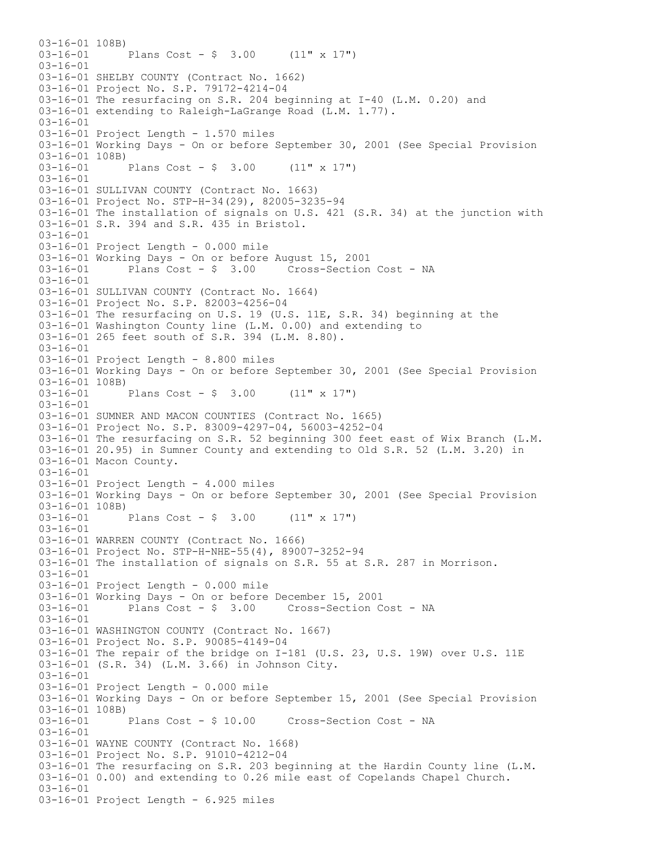03-16-01 108B) 03-16-01 Plans Cost - \$ 3.00 (11" x 17") 03-16-01 03-16-01 SHELBY COUNTY (Contract No. 1662) 03-16-01 Project No. S.P. 79172-4214-04 03-16-01 The resurfacing on S.R. 204 beginning at I-40 (L.M. 0.20) and 03-16-01 extending to Raleigh-LaGrange Road (L.M. 1.77). 03-16-01 03-16-01 Project Length - 1.570 miles 03-16-01 Working Days - On or before September 30, 2001 (See Special Provision  $03-16-01$  108B)<br> $03-16-01$ Plans Cost -  $$ 3.00$  (11" x 17")  $03-16-01$ 03-16-01 SULLIVAN COUNTY (Contract No. 1663) 03-16-01 Project No. STP-H-34(29), 82005-3235-94 03-16-01 The installation of signals on U.S. 421 (S.R. 34) at the junction with 03-16-01 S.R. 394 and S.R. 435 in Bristol. 03-16-01 03-16-01 Project Length - 0.000 mile 03-16-01 Working Days - On or before August 15, 2001<br>03-16-01 Plans Cost - \$ 3.00 Cross-Section Cost - NA Plans  $Cost - $ 3.00$ 03-16-01 03-16-01 SULLIVAN COUNTY (Contract No. 1664) 03-16-01 Project No. S.P. 82003-4256-04 03-16-01 The resurfacing on U.S. 19 (U.S. 11E, S.R. 34) beginning at the 03-16-01 Washington County line (L.M. 0.00) and extending to 03-16-01 265 feet south of S.R. 394 (L.M. 8.80). 03-16-01 03-16-01 Project Length - 8.800 miles 03-16-01 Working Days - On or before September 30, 2001 (See Special Provision 03-16-01 108B)<br>03-16-01 Plans Cost -  $\frac{1}{2}$  3.00 (11" x 17") 03-16-01 03-16-01 SUMNER AND MACON COUNTIES (Contract No. 1665) 03-16-01 Project No. S.P. 83009-4297-04, 56003-4252-04 03-16-01 The resurfacing on S.R. 52 beginning 300 feet east of Wix Branch (L.M. 03-16-01 20.95) in Sumner County and extending to Old S.R. 52 (L.M. 3.20) in 03-16-01 Macon County. 03-16-01 03-16-01 Project Length - 4.000 miles 03-16-01 Working Days - On or before September 30, 2001 (See Special Provision 03-16-01 108B)<br>03-16-01 Plans Cost -  $$3.00$  (11" x 17") 03-16-01 03-16-01 WARREN COUNTY (Contract No. 1666) 03-16-01 Project No. STP-H-NHE-55(4), 89007-3252-94 03-16-01 The installation of signals on S.R. 55 at S.R. 287 in Morrison. 03-16-01 03-16-01 Project Length - 0.000 mile 03-16-01 Working Days - On or before December 15, 2001<br>03-16-01 Plans Cost - \$ 3.00 Cross-Section C Cross-Section Cost - NA 03-16-01 03-16-01 WASHINGTON COUNTY (Contract No. 1667) 03-16-01 Project No. S.P. 90085-4149-04 03-16-01 The repair of the bridge on I-181 (U.S. 23, U.S. 19W) over U.S. 11E 03-16-01 (S.R. 34) (L.M. 3.66) in Johnson City. 03-16-01 03-16-01 Project Length - 0.000 mile 03-16-01 Working Days - On or before September 15, 2001 (See Special Provision 03-16-01 108B)<br>03-16-01 Plans Cost - \$ 10.00 Cross-Section Cost - NA 03-16-01 03-16-01 WAYNE COUNTY (Contract No. 1668) 03-16-01 Project No. S.P. 91010-4212-04 03-16-01 The resurfacing on S.R. 203 beginning at the Hardin County line (L.M. 03-16-01 0.00) and extending to 0.26 mile east of Copelands Chapel Church. 03-16-01 03-16-01 Project Length - 6.925 miles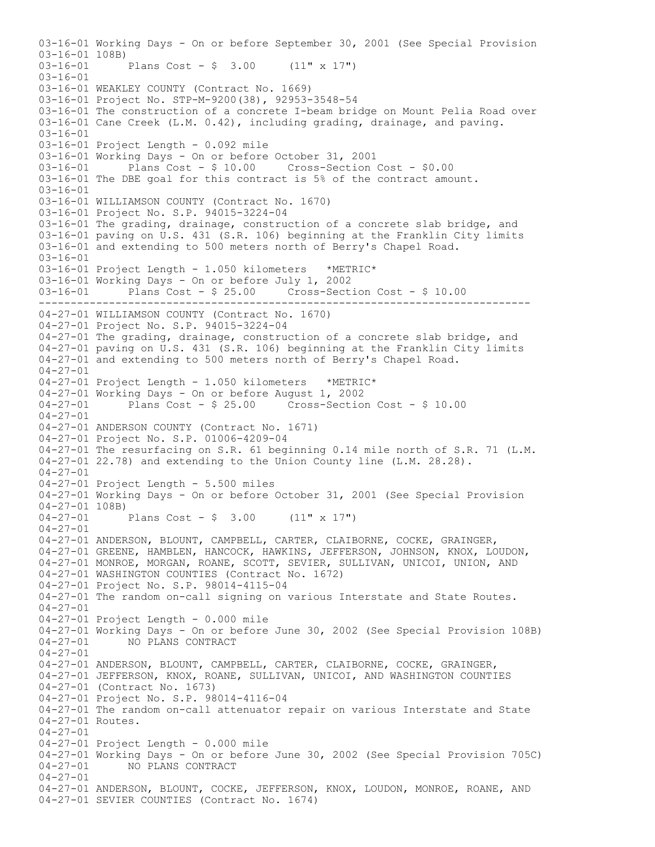----------------------------------------------------------------------------- 03-16-01 Working Days - On or before September 30, 2001 (See Special Provision 03-16-01 108B) 03-16-01 Plans Cost - \$ 3.00 (11" x 17") 03-16-01 03-16-01 WEAKLEY COUNTY (Contract No. 1669) 03-16-01 Project No. STP-M-9200(38), 92953-3548-54 03-16-01 The construction of a concrete I-beam bridge on Mount Pelia Road over 03-16-01 Cane Creek (L.M. 0.42), including grading, drainage, and paving. 03-16-01 03-16-01 Project Length - 0.092 mile 03-16-01 Working Days - On or before October 31, 2001 03-16-01 Plans Cost - \$ 10.00 Cross-Section Cost - \$0.00 03-16-01 The DBE goal for this contract is 5% of the contract amount. 03-16-01 03-16-01 WILLIAMSON COUNTY (Contract No. 1670) 03-16-01 Project No. S.P. 94015-3224-04 03-16-01 The grading, drainage, construction of a concrete slab bridge, and 03-16-01 paving on U.S. 431 (S.R. 106) beginning at the Franklin City limits 03-16-01 and extending to 500 meters north of Berry's Chapel Road. 03-16-01 03-16-01 Project Length - 1.050 kilometers \*METRIC\* 03-16-01 Working Days - On or before July 1, 2002 03-16-01 Plans Cost - \$ 25.00 Cross-Section Cost - \$ 10.00 04-27-01 WILLIAMSON COUNTY (Contract No. 1670) 04-27-01 Project No. S.P. 94015-3224-04 04-27-01 The grading, drainage, construction of a concrete slab bridge, and 04-27-01 paving on U.S. 431 (S.R. 106) beginning at the Franklin City limits 04-27-01 and extending to 500 meters north of Berry's Chapel Road. 04-27-01 04-27-01 Project Length - 1.050 kilometers \*METRIC\* 04-27-01 Working Days - On or before August 1, 2002<br>04-27-01 Plans Cost - \$ 25.00 Cross-Section Plans  $Cost - $ 25.00$  Cross-Section Cost -  $$ 10.00$ 04-27-01 04-27-01 ANDERSON COUNTY (Contract No. 1671) 04-27-01 Project No. S.P. 01006-4209-04 04-27-01 The resurfacing on S.R. 61 beginning 0.14 mile north of S.R. 71 (L.M. 04-27-01 22.78) and extending to the Union County line (L.M. 28.28). 04-27-01 04-27-01 Project Length - 5.500 miles 04-27-01 Working Days - On or before October 31, 2001 (See Special Provision 04-27-01 108B)<br>04-27-01 Plans Cost -  $$ 3.00$  (11" x 17") 04-27-01 04-27-01 ANDERSON, BLOUNT, CAMPBELL, CARTER, CLAIBORNE, COCKE, GRAINGER, 04-27-01 GREENE, HAMBLEN, HANCOCK, HAWKINS, JEFFERSON, JOHNSON, KNOX, LOUDON, 04-27-01 MONROE, MORGAN, ROANE, SCOTT, SEVIER, SULLIVAN, UNICOI, UNION, AND 04-27-01 WASHINGTON COUNTIES (Contract No. 1672) 04-27-01 Project No. S.P. 98014-4115-04 04-27-01 The random on-call signing on various Interstate and State Routes.  $04 - 27 - 01$ 04-27-01 Project Length - 0.000 mile 04-27-01 Working Days - On or before June 30, 2002 (See Special Provision 108B) 04-27-01 NO PLANS CONTRACT 04-27-01 04-27-01 ANDERSON, BLOUNT, CAMPBELL, CARTER, CLAIBORNE, COCKE, GRAINGER, 04-27-01 JEFFERSON, KNOX, ROANE, SULLIVAN, UNICOI, AND WASHINGTON COUNTIES 04-27-01 (Contract No. 1673) 04-27-01 Project No. S.P. 98014-4116-04 04-27-01 The random on-call attenuator repair on various Interstate and State 04-27-01 Routes. 04-27-01 04-27-01 Project Length - 0.000 mile 04-27-01 Working Days - On or before June 30, 2002 (See Special Provision 705C) 04-27-01 NO PLANS CONTRACT 04-27-01 04-27-01 ANDERSON, BLOUNT, COCKE, JEFFERSON, KNOX, LOUDON, MONROE, ROANE, AND 04-27-01 SEVIER COUNTIES (Contract No. 1674)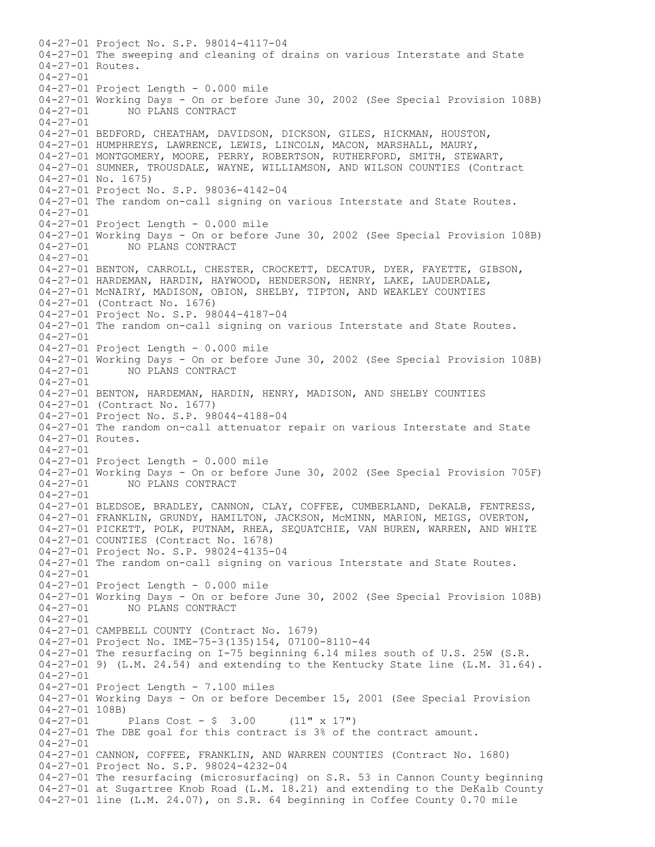04-27-01 Project No. S.P. 98014-4117-04 04-27-01 The sweeping and cleaning of drains on various Interstate and State 04-27-01 Routes. 04-27-01 04-27-01 Project Length - 0.000 mile 04-27-01 Working Days - On or before June 30, 2002 (See Special Provision 108B) NO PLANS CONTRACT 04-27-01 04-27-01 BEDFORD, CHEATHAM, DAVIDSON, DICKSON, GILES, HICKMAN, HOUSTON, 04-27-01 HUMPHREYS, LAWRENCE, LEWIS, LINCOLN, MACON, MARSHALL, MAURY, 04-27-01 MONTGOMERY, MOORE, PERRY, ROBERTSON, RUTHERFORD, SMITH, STEWART, 04-27-01 SUMNER, TROUSDALE, WAYNE, WILLIAMSON, AND WILSON COUNTIES (Contract 04-27-01 No. 1675) 04-27-01 Project No. S.P. 98036-4142-04 04-27-01 The random on-call signing on various Interstate and State Routes. 04-27-01 04-27-01 Project Length - 0.000 mile 04-27-01 Working Days - On or before June 30, 2002 (See Special Provision 108B) NO PLANS CONTRACT 04-27-01 04-27-01 BENTON, CARROLL, CHESTER, CROCKETT, DECATUR, DYER, FAYETTE, GIBSON, 04-27-01 HARDEMAN, HARDIN, HAYWOOD, HENDERSON, HENRY, LAKE, LAUDERDALE, 04-27-01 McNAIRY, MADISON, OBION, SHELBY, TIPTON, AND WEAKLEY COUNTIES 04-27-01 (Contract No. 1676) 04-27-01 Project No. S.P. 98044-4187-04 04-27-01 The random on-call signing on various Interstate and State Routes. 04-27-01 04-27-01 Project Length - 0.000 mile 04-27-01 Working Days - On or before June 30, 2002 (See Special Provision 108B) 04-27-01 NO PLANS CONTRACT 04-27-01 04-27-01 BENTON, HARDEMAN, HARDIN, HENRY, MADISON, AND SHELBY COUNTIES 04-27-01 (Contract No. 1677) 04-27-01 Project No. S.P. 98044-4188-04 04-27-01 The random on-call attenuator repair on various Interstate and State 04-27-01 Routes.  $04 - 27 - 01$ 04-27-01 Project Length - 0.000 mile 04-27-01 Working Days - On or before June 30, 2002 (See Special Provision 705F) 04-27-01 NO PLANS CONTRACT 04-27-01 04-27-01 BLEDSOE, BRADLEY, CANNON, CLAY, COFFEE, CUMBERLAND, DeKALB, FENTRESS, 04-27-01 FRANKLIN, GRUNDY, HAMILTON, JACKSON, McMINN, MARION, MEIGS, OVERTON, 04-27-01 PICKETT, POLK, PUTNAM, RHEA, SEQUATCHIE, VAN BUREN, WARREN, AND WHITE 04-27-01 COUNTIES (Contract No. 1678) 04-27-01 Project No. S.P. 98024-4135-04 04-27-01 The random on-call signing on various Interstate and State Routes. 04-27-01 04-27-01 Project Length - 0.000 mile  $04-27-01$  Working Days - On or before June 30, 2002 (See Special Provision 108B)<br> $04-27-01$  NO PLANS CONTRACT NO PLANS CONTRACT 04-27-01 04-27-01 CAMPBELL COUNTY (Contract No. 1679) 04-27-01 Project No. IME-75-3(135)154, 07100-8110-44 04-27-01 The resurfacing on I-75 beginning 6.14 miles south of U.S. 25W (S.R. 04-27-01 9) (L.M. 24.54) and extending to the Kentucky State line (L.M. 31.64). 04-27-01 04-27-01 Project Length - 7.100 miles 04-27-01 Working Days - On or before December 15, 2001 (See Special Provision 04-27-01 108B) 04-27-01 Plans Cost - \$ 3.00 (11" x 17") 04-27-01 The DBE goal for this contract is 3% of the contract amount.  $04 - 27 - 01$ 04-27-01 CANNON, COFFEE, FRANKLIN, AND WARREN COUNTIES (Contract No. 1680) 04-27-01 Project No. S.P. 98024-4232-04 04-27-01 The resurfacing (microsurfacing) on S.R. 53 in Cannon County beginning 04-27-01 at Sugartree Knob Road (L.M. 18.21) and extending to the DeKalb County 04-27-01 line (L.M. 24.07), on S.R. 64 beginning in Coffee County 0.70 mile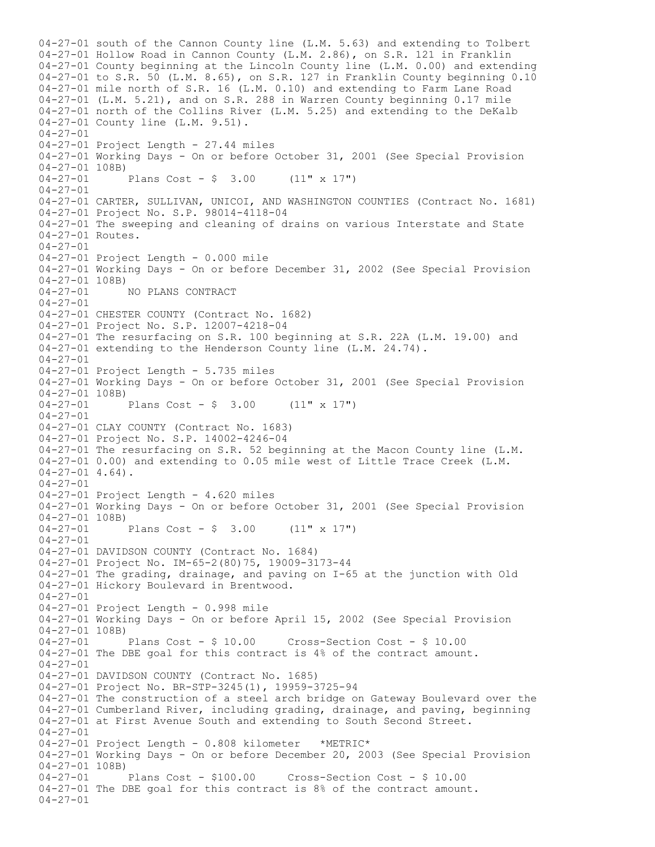04-27-01 south of the Cannon County line (L.M. 5.63) and extending to Tolbert 04-27-01 Hollow Road in Cannon County (L.M. 2.86), on S.R. 121 in Franklin 04-27-01 County beginning at the Lincoln County line (L.M. 0.00) and extending 04-27-01 to S.R. 50 (L.M. 8.65), on S.R. 127 in Franklin County beginning 0.10 04-27-01 mile north of S.R. 16 (L.M. 0.10) and extending to Farm Lane Road 04-27-01 (L.M. 5.21), and on S.R. 288 in Warren County beginning 0.17 mile 04-27-01 north of the Collins River (L.M. 5.25) and extending to the DeKalb 04-27-01 County line (L.M. 9.51). 04-27-01 04-27-01 Project Length - 27.44 miles 04-27-01 Working Days - On or before October 31, 2001 (See Special Provision  $04-27-01$  108B)<br>04-27-01 Plans Cost - \$ 3.00  $(11" \times 17")$ 04-27-01 04-27-01 CARTER, SULLIVAN, UNICOI, AND WASHINGTON COUNTIES (Contract No. 1681) 04-27-01 Project No. S.P. 98014-4118-04 04-27-01 The sweeping and cleaning of drains on various Interstate and State 04-27-01 Routes. 04-27-01 04-27-01 Project Length - 0.000 mile 04-27-01 Working Days - On or before December 31, 2002 (See Special Provision  $04-27-01$  108B)<br> $04-27-01$ 04-27-01 NO PLANS CONTRACT 04-27-01 04-27-01 CHESTER COUNTY (Contract No. 1682) 04-27-01 Project No. S.P. 12007-4218-04 04-27-01 The resurfacing on S.R. 100 beginning at S.R. 22A (L.M. 19.00) and 04-27-01 extending to the Henderson County line (L.M. 24.74). 04-27-01 04-27-01 Project Length - 5.735 miles 04-27-01 Working Days - On or before October 31, 2001 (See Special Provision 04-27-01 108B)<br>04-27-01 Plans Cost -  $\frac{1}{2}$  3.00 (11" x 17") 04-27-01 04-27-01 CLAY COUNTY (Contract No. 1683) 04-27-01 Project No. S.P. 14002-4246-04 04-27-01 The resurfacing on S.R. 52 beginning at the Macon County line (L.M. 04-27-01 0.00) and extending to 0.05 mile west of Little Trace Creek (L.M.  $04-27-01$  4.64). 04-27-01 04-27-01 Project Length - 4.620 miles 04-27-01 Working Days - On or before October 31, 2001 (See Special Provision 04-27-01 108B)<br>04-27-01 Plans Cost -  $\frac{1}{7}$  3.00 (11" x 17") 04-27-01 04-27-01 DAVIDSON COUNTY (Contract No. 1684) 04-27-01 Project No. IM-65-2(80)75, 19009-3173-44 04-27-01 The grading, drainage, and paving on I-65 at the junction with Old 04-27-01 Hickory Boulevard in Brentwood.  $04 - 27 - 01$ 04-27-01 Project Length - 0.998 mile 04-27-01 Working Days - On or before April 15, 2002 (See Special Provision 04-27-01 108B)<br>04-27-01 Plans Cost - \$ 10.00 04-27-01 Plans Cost - \$ 10.00 Cross-Section Cost - \$ 10.00 04-27-01 The DBE goal for this contract is 4% of the contract amount. 04-27-01 04-27-01 DAVIDSON COUNTY (Contract No. 1685) 04-27-01 Project No. BR-STP-3245(1), 19959-3725-94 04-27-01 The construction of a steel arch bridge on Gateway Boulevard over the 04-27-01 Cumberland River, including grading, drainage, and paving, beginning 04-27-01 at First Avenue South and extending to South Second Street. 04-27-01 04-27-01 Project Length - 0.808 kilometer \*METRIC\* 04-27-01 Working Days - On or before December 20, 2003 (See Special Provision 04-27-01 108B)<br>04-27-01 Plans Cost - \$100.00 04-27-01 Plans Cost - \$100.00 Cross-Section Cost - \$ 10.00 04-27-01 The DBE goal for this contract is 8% of the contract amount. 04-27-01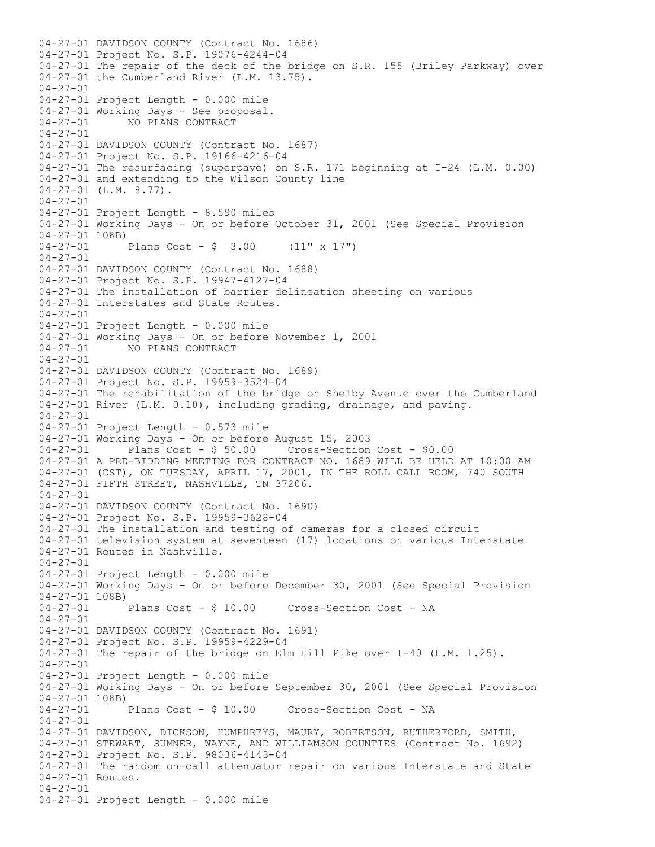04-27-01 DAVIDSON COUNTY (Contract No. 1686) 04-27-01 Project No. S.P. 19076-4244-04 04-27-01 The repair of the deck of the bridge on S.R. 155 (Briley Parkway) over 04-27-01 the Cumberland River (L.M. 13.75). 04-27-01 04-27-01 Project Length - 0.000 mile 04-27-01 Working Days - See proposal.<br>04-27-01 MO PLANS CONTRACT NO PLANS CONTRACT 04-27-01 04-27-01 DAVIDSON COUNTY (Contract No. 1687) 04-27-01 Project No. S.P. 19166-4216-04 04-27-01 The resurfacing (superpave) on S.R. 171 beginning at I-24 (L.M. 0.00) 04-27-01 and extending to the Wilson County line 04-27-01 (L.M. 8.77). 04-27-01 04-27-01 Project Length - 8.590 miles 04-27-01 Working Days - On or before October 31, 2001 (See Special Provision 04-27-01 108B)<br>04-27-01 Plans Cost -  $$ 3.00$  (11" x 17")  $04 - 27 - 01$ 04-27-01 DAVIDSON COUNTY (Contract No. 1688) 04-27-01 Project No. S.P. 19947-4127-04 04-27-01 The installation of barrier delineation sheeting on various 04-27-01 Interstates and State Routes.  $04 - 27 - 01$ 04-27-01 Project Length - 0.000 mile 04-27-01 Working Days - On or before November 1, 2001 04-27-01 NO PLANS CONTRACT 04-27-01 04-27-01 DAVIDSON COUNTY (Contract No. 1689) 04-27-01 Project No. S.P. 19959-3524-04 04-27-01 The rehabilitation of the bridge on Shelby Avenue over the Cumberland 04-27-01 River (L.M. 0.10), including grading, drainage, and paving. 04-27-01 04-27-01 Project Length - 0.573 mile 04-27-01 Working Days - On or before August 15, 2003 04-27-01 Plans Cost - \$ 50.00 Cross-Section Cost - \$0.00 04-27-01 A PRE-BIDDING MEETING FOR CONTRACT NO. 1689 WILL BE HELD AT 10:00 AM 04-27-01 (CST), ON TUESDAY, APRIL 17, 2001, IN THE ROLL CALL ROOM, 740 SOUTH 04-27-01 FIFTH STREET, NASHVILLE, TN 37206. 04-27-01 04-27-01 DAVIDSON COUNTY (Contract No. 1690) 04-27-01 Project No. S.P. 19959-3628-04 04-27-01 The installation and testing of cameras for a closed circuit 04-27-01 television system at seventeen (17) locations on various Interstate 04-27-01 Routes in Nashville. 04-27-01 04-27-01 Project Length - 0.000 mile 04-27-01 Working Days - On or before December 30, 2001 (See Special Provision  $04-27-01$  108B)<br> $04-27-01$  Plans Cost - \$ 10.00 Cross-Section Cost - NA 04-27-01 04-27-01 DAVIDSON COUNTY (Contract No. 1691) 04-27-01 Project No. S.P. 19959-4229-04 04-27-01 The repair of the bridge on Elm Hill Pike over I-40 (L.M. 1.25). 04-27-01 04-27-01 Project Length - 0.000 mile 04-27-01 Working Days - On or before September 30, 2001 (See Special Provision 04-27-01 108B)<br>04-27-01 Plans Cost - \$ 10.00 Cross-Section Cost - NA 04-27-01 04-27-01 DAVIDSON, DICKSON, HUMPHREYS, MAURY, ROBERTSON, RUTHERFORD, SMITH, 04-27-01 STEWART, SUMNER, WAYNE, AND WILLIAMSON COUNTIES (Contract No. 1692) 04-27-01 Project No. S.P. 98036-4143-04 04-27-01 The random on-call attenuator repair on various Interstate and State 04-27-01 Routes. 04-27-01 04-27-01 Project Length - 0.000 mile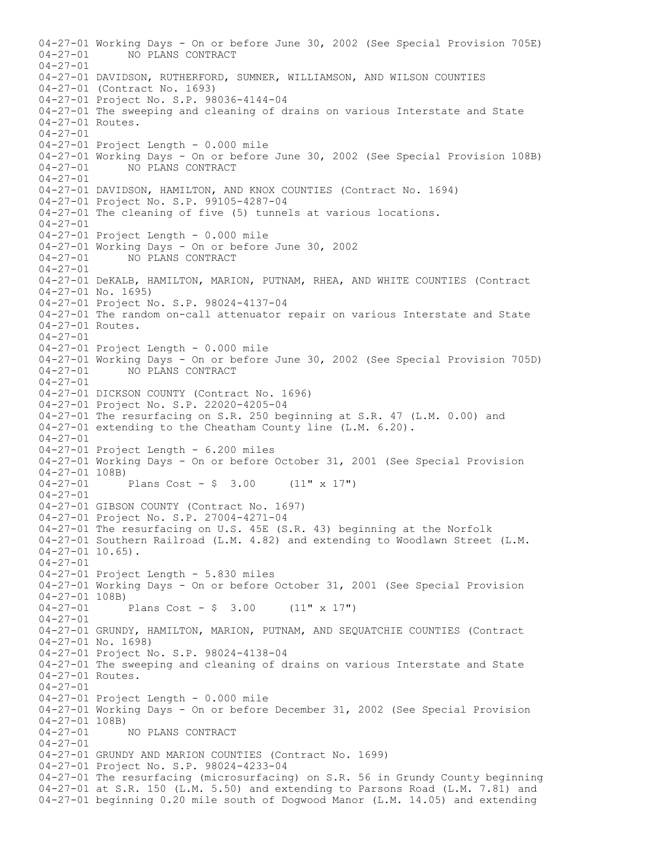04-27-01 Working Days - On or before June 30, 2002 (See Special Provision 705E)<br>04-27-01 MO PLANS CONTRACT 04-27-01 NO PLANS CONTRACT 04-27-01 04-27-01 DAVIDSON, RUTHERFORD, SUMNER, WILLIAMSON, AND WILSON COUNTIES 04-27-01 (Contract No. 1693) 04-27-01 Project No. S.P. 98036-4144-04 04-27-01 The sweeping and cleaning of drains on various Interstate and State 04-27-01 Routes. 04-27-01 04-27-01 Project Length - 0.000 mile 04-27-01 Working Days - On or before June 30, 2002 (See Special Provision 108B) 04-27-01 NO PLANS CONTRACT  $04 - 27 - 01$ 04-27-01 DAVIDSON, HAMILTON, AND KNOX COUNTIES (Contract No. 1694) 04-27-01 Project No. S.P. 99105-4287-04 04-27-01 The cleaning of five (5) tunnels at various locations. 04-27-01 04-27-01 Project Length - 0.000 mile 04-27-01 Working Days - On or before June 30, 2002<br>04-27-01 NO PLANS CONTRACT NO PLANS CONTRACT 04-27-01 04-27-01 DeKALB, HAMILTON, MARION, PUTNAM, RHEA, AND WHITE COUNTIES (Contract 04-27-01 No. 1695) 04-27-01 Project No. S.P. 98024-4137-04 04-27-01 The random on-call attenuator repair on various Interstate and State 04-27-01 Routes. 04-27-01 04-27-01 Project Length - 0.000 mile 04-27-01 Working Days - On or before June 30, 2002 (See Special Provision 705D) 04-27-01 NO PLANS CONTRACT 04-27-01 04-27-01 DICKSON COUNTY (Contract No. 1696) 04-27-01 Project No. S.P. 22020-4205-04 04-27-01 The resurfacing on S.R. 250 beginning at S.R. 47 (L.M. 0.00) and 04-27-01 extending to the Cheatham County line (L.M. 6.20). 04-27-01 04-27-01 Project Length - 6.200 miles 04-27-01 Working Days - On or before October 31, 2001 (See Special Provision  $04-27-01$  108B)<br> $04-27-01$ Plans Cost -  $$ 3.00$  (11" x 17") 04-27-01 04-27-01 GIBSON COUNTY (Contract No. 1697) 04-27-01 Project No. S.P. 27004-4271-04 04-27-01 The resurfacing on U.S. 45E (S.R. 43) beginning at the Norfolk 04-27-01 Southern Railroad (L.M. 4.82) and extending to Woodlawn Street (L.M.  $04-27-01$  10.65). 04-27-01 04-27-01 Project Length - 5.830 miles 04-27-01 Working Days - On or before October 31, 2001 (See Special Provision  $04-27-01$  108B)<br>04-27-01 Plans Cost -  $$ 3.00$  (11" x 17") 04-27-01 04-27-01 GRUNDY, HAMILTON, MARION, PUTNAM, AND SEQUATCHIE COUNTIES (Contract 04-27-01 No. 1698) 04-27-01 Project No. S.P. 98024-4138-04 04-27-01 The sweeping and cleaning of drains on various Interstate and State 04-27-01 Routes. 04-27-01 04-27-01 Project Length - 0.000 mile 04-27-01 Working Days - On or before December 31, 2002 (See Special Provision  $04-27-01$  108B)<br>04-27-01 NO PLANS CONTRACT  $04 - 27 - 01$ 04-27-01 GRUNDY AND MARION COUNTIES (Contract No. 1699) 04-27-01 Project No. S.P. 98024-4233-04 04-27-01 The resurfacing (microsurfacing) on S.R. 56 in Grundy County beginning 04-27-01 at S.R. 150 (L.M. 5.50) and extending to Parsons Road (L.M. 7.81) and 04-27-01 beginning 0.20 mile south of Dogwood Manor (L.M. 14.05) and extending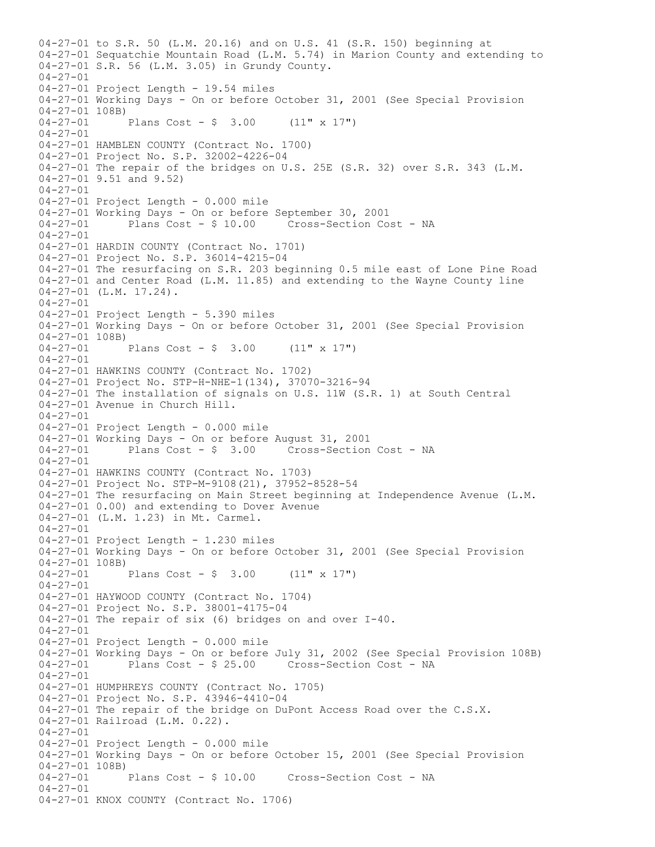04-27-01 to S.R. 50 (L.M. 20.16) and on U.S. 41 (S.R. 150) beginning at 04-27-01 Sequatchie Mountain Road (L.M. 5.74) in Marion County and extending to 04-27-01 S.R. 56 (L.M. 3.05) in Grundy County. 04-27-01 04-27-01 Project Length - 19.54 miles 04-27-01 Working Days - On or before October 31, 2001 (See Special Provision  $04-27-01$  108B)<br>04-27-01 Plans Cost -  $$ 3.00$  (11" x 17") 04-27-01 04-27-01 HAMBLEN COUNTY (Contract No. 1700) 04-27-01 Project No. S.P. 32002-4226-04 04-27-01 The repair of the bridges on U.S. 25E (S.R. 32) over S.R. 343 (L.M. 04-27-01 9.51 and 9.52) 04-27-01 04-27-01 Project Length - 0.000 mile 04-27-01 Working Days - On or before September 30, 2001 04-27-01 Plans Cost - \$ 10.00 Cross-Section Cost - NA 04-27-01 04-27-01 HARDIN COUNTY (Contract No. 1701) 04-27-01 Project No. S.P. 36014-4215-04 04-27-01 The resurfacing on S.R. 203 beginning 0.5 mile east of Lone Pine Road 04-27-01 and Center Road (L.M. 11.85) and extending to the Wayne County line 04-27-01 (L.M. 17.24). 04-27-01 04-27-01 Project Length - 5.390 miles 04-27-01 Working Days - On or before October 31, 2001 (See Special Provision 04-27-01 108B) 04-27-01 Plans Cost - \$ 3.00 (11" x 17") 04-27-01 04-27-01 HAWKINS COUNTY (Contract No. 1702) 04-27-01 Project No. STP-H-NHE-1(134), 37070-3216-94 04-27-01 The installation of signals on U.S. 11W (S.R. 1) at South Central 04-27-01 Avenue in Church Hill. 04-27-01 04-27-01 Project Length - 0.000 mile 04-27-01 Working Days - On or before August 31, 2001 04-27-01 Plans Cost - \$ 3.00 Cross-Section Cost - NA  $04 - 27 - 01$ 04-27-01 HAWKINS COUNTY (Contract No. 1703) 04-27-01 Project No. STP-M-9108(21), 37952-8528-54 04-27-01 The resurfacing on Main Street beginning at Independence Avenue (L.M. 04-27-01 0.00) and extending to Dover Avenue 04-27-01 (L.M. 1.23) in Mt. Carmel. 04-27-01 04-27-01 Project Length - 1.230 miles 04-27-01 Working Days - On or before October 31, 2001 (See Special Provision  $04-27-01$  108B)<br>04-27-01 Plans Cost -  $\frac{1}{7}$  3.00 (11" x 17") 04-27-01 04-27-01 HAYWOOD COUNTY (Contract No. 1704) 04-27-01 Project No. S.P. 38001-4175-04 04-27-01 The repair of six (6) bridges on and over I-40. 04-27-01 04-27-01 Project Length - 0.000 mile 04-27-01 Working Days - On or before July 31, 2002 (See Special Provision 108B)<br>04-27-01 Plans Cost - \$ 25.00 Cross-Section Cost - NA 04-27-01 Plans Cost - \$ 25.00 Cross-Section Cost - NA 04-27-01 04-27-01 HUMPHREYS COUNTY (Contract No. 1705) 04-27-01 Project No. S.P. 43946-4410-04 04-27-01 The repair of the bridge on DuPont Access Road over the C.S.X. 04-27-01 Railroad (L.M. 0.22). 04-27-01 04-27-01 Project Length - 0.000 mile 04-27-01 Working Days - On or before October 15, 2001 (See Special Provision 04-27-01 108B) 04-27-01 Plans Cost - \$ 10.00 Cross-Section Cost - NA 04-27-01 04-27-01 KNOX COUNTY (Contract No. 1706)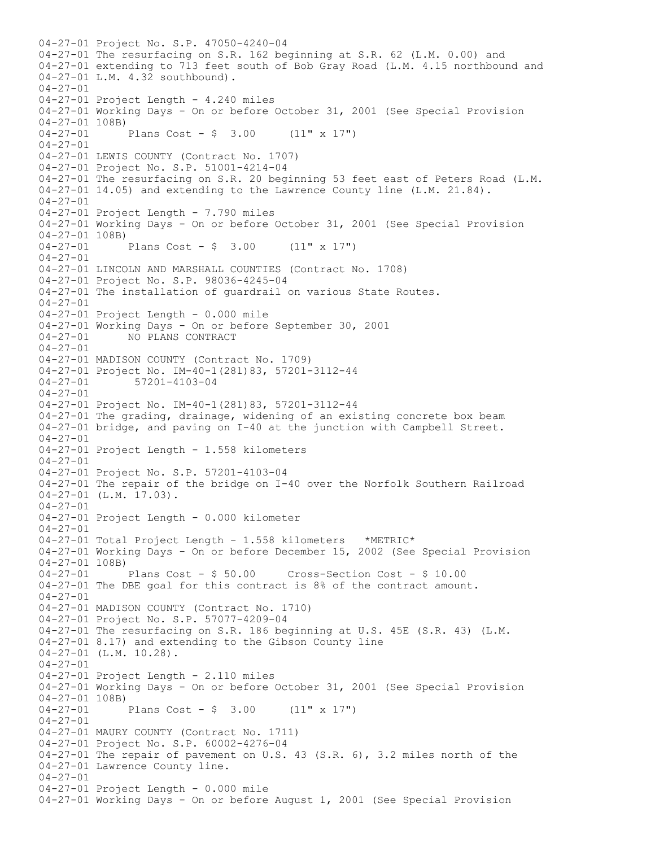04-27-01 Project No. S.P. 47050-4240-04 04-27-01 The resurfacing on S.R. 162 beginning at S.R. 62 (L.M. 0.00) and 04-27-01 extending to 713 feet south of Bob Gray Road (L.M. 4.15 northbound and 04-27-01 L.M. 4.32 southbound). 04-27-01 04-27-01 Project Length - 4.240 miles 04-27-01 Working Days - On or before October 31, 2001 (See Special Provision  $04-27-01$  108B)<br> $04-27-01$ Plans Cost -  $$ 3.00$  (11" x 17") 04-27-01 04-27-01 LEWIS COUNTY (Contract No. 1707) 04-27-01 Project No. S.P. 51001-4214-04 04-27-01 The resurfacing on S.R. 20 beginning 53 feet east of Peters Road (L.M. 04-27-01 14.05) and extending to the Lawrence County line (L.M. 21.84). 04-27-01 04-27-01 Project Length - 7.790 miles 04-27-01 Working Days - On or before October 31, 2001 (See Special Provision 04-27-01 108B)<br>04-27-01 Plans Cost -  $\frac{1}{7}$  3.00 (11" x 17")  $04 - 27 - 01$ 04-27-01 LINCOLN AND MARSHALL COUNTIES (Contract No. 1708) 04-27-01 Project No. S.P. 98036-4245-04 04-27-01 The installation of guardrail on various State Routes. 04-27-01 04-27-01 Project Length - 0.000 mile 04-27-01 Working Days - On or before September 30, 2001 04-27-01 NO PLANS CONTRACT 04-27-01 04-27-01 MADISON COUNTY (Contract No. 1709) 04-27-01 Project No. IM-40-1 (281) 83, 57201-3112-44<br>04-27-01 57201-4103-04 04-27-01 57201-4103-04 04-27-01 04-27-01 Project No. IM-40-1(281)83, 57201-3112-44 04-27-01 The grading, drainage, widening of an existing concrete box beam 04-27-01 bridge, and paving on I-40 at the junction with Campbell Street. 04-27-01 04-27-01 Project Length - 1.558 kilometers  $04 - 27 - 01$ 04-27-01 Project No. S.P. 57201-4103-04 04-27-01 The repair of the bridge on I-40 over the Norfolk Southern Railroad 04-27-01 (L.M. 17.03). 04-27-01 04-27-01 Project Length - 0.000 kilometer 04-27-01 04-27-01 Total Project Length - 1.558 kilometers \*METRIC\* 04-27-01 Working Days - On or before December 15, 2002 (See Special Provision 04-27-01 108B)<br>04-27-01 Plans Cost - \$ 50.00 04-27-01 Plans Cost - \$ 50.00 Cross-Section Cost - \$ 10.00 04-27-01 The DBE goal for this contract is 8% of the contract amount.  $04 - 27 - 01$ 04-27-01 MADISON COUNTY (Contract No. 1710) 04-27-01 Project No. S.P. 57077-4209-04 04-27-01 The resurfacing on S.R. 186 beginning at U.S. 45E (S.R. 43) (L.M. 04-27-01 8.17) and extending to the Gibson County line 04-27-01 (L.M. 10.28). 04-27-01 04-27-01 Project Length - 2.110 miles 04-27-01 Working Days - On or before October 31, 2001 (See Special Provision  $04-27-01$  108B)<br> $04-27-01$ Plans Cost -  $$ 3.00$  (11" x 17") 04-27-01 04-27-01 MAURY COUNTY (Contract No. 1711) 04-27-01 Project No. S.P. 60002-4276-04 04-27-01 The repair of pavement on U.S. 43 (S.R. 6), 3.2 miles north of the 04-27-01 Lawrence County line. 04-27-01 04-27-01 Project Length - 0.000 mile 04-27-01 Working Days - On or before August 1, 2001 (See Special Provision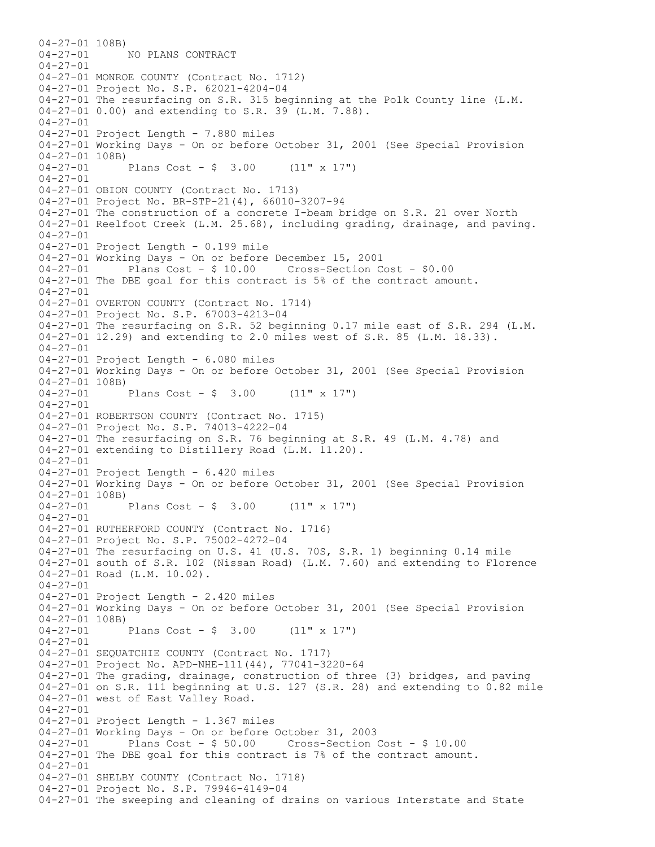04-27-01 108B) 04-27-01 NO PLANS CONTRACT 04-27-01 04-27-01 MONROE COUNTY (Contract No. 1712) 04-27-01 Project No. S.P. 62021-4204-04 04-27-01 The resurfacing on S.R. 315 beginning at the Polk County line (L.M. 04-27-01 0.00) and extending to S.R. 39 (L.M. 7.88). 04-27-01 04-27-01 Project Length - 7.880 miles 04-27-01 Working Days - On or before October 31, 2001 (See Special Provision  $04-27-01$  108B)<br>04-27-01 Plans Cost -  $$ 3.00$  (11" x 17")  $04 - 27 - 01$ 04-27-01 OBION COUNTY (Contract No. 1713) 04-27-01 Project No. BR-STP-21(4), 66010-3207-94 04-27-01 The construction of a concrete I-beam bridge on S.R. 21 over North 04-27-01 Reelfoot Creek (L.M. 25.68), including grading, drainage, and paving. 04-27-01 04-27-01 Project Length - 0.199 mile 04-27-01 Working Days - On or before December 15, 2001 Plans  $Cost - $ 10.00$  Cross-Section Cost -  $$0.00$ 04-27-01 The DBE goal for this contract is 5% of the contract amount. 04-27-01 04-27-01 OVERTON COUNTY (Contract No. 1714) 04-27-01 Project No. S.P. 67003-4213-04 04-27-01 The resurfacing on S.R. 52 beginning 0.17 mile east of S.R. 294 (L.M. 04-27-01 12.29) and extending to 2.0 miles west of S.R. 85 (L.M. 18.33). 04-27-01 04-27-01 Project Length - 6.080 miles 04-27-01 Working Days - On or before October 31, 2001 (See Special Provision 04-27-01 108B)<br>04-27-01 Plans Cost -  $\frac{1}{2}$  3.00 (11" x 17")  $04 - 27 - 01$ 04-27-01 ROBERTSON COUNTY (Contract No. 1715) 04-27-01 Project No. S.P. 74013-4222-04 04-27-01 The resurfacing on S.R. 76 beginning at S.R. 49 (L.M. 4.78) and 04-27-01 extending to Distillery Road (L.M. 11.20).  $04 - 27 - 01$ 04-27-01 Project Length - 6.420 miles 04-27-01 Working Days - On or before October 31, 2001 (See Special Provision 04-27-01 108B)<br>04-27-01 Plans Cost -  $\frac{1}{2}$  3.00 (11" x 17") 04-27-01 04-27-01 RUTHERFORD COUNTY (Contract No. 1716) 04-27-01 Project No. S.P. 75002-4272-04 04-27-01 The resurfacing on U.S. 41 (U.S. 70S, S.R. 1) beginning 0.14 mile 04-27-01 south of S.R. 102 (Nissan Road) (L.M. 7.60) and extending to Florence 04-27-01 Road (L.M. 10.02). 04-27-01 04-27-01 Project Length - 2.420 miles 04-27-01 Working Days - On or before October 31, 2001 (See Special Provision 04-27-01 108B) 04-27-01 Plans Cost - \$ 3.00 (11" x 17") 04-27-01 04-27-01 SEQUATCHIE COUNTY (Contract No. 1717) 04-27-01 Project No. APD-NHE-111(44), 77041-3220-64 04-27-01 The grading, drainage, construction of three (3) bridges, and paving 04-27-01 on S.R. 111 beginning at U.S. 127 (S.R. 28) and extending to 0.82 mile 04-27-01 west of East Valley Road. 04-27-01 04-27-01 Project Length - 1.367 miles 04-27-01 Working Days - On or before October 31, 2003 04-27-01 Plans Cost - \$ 50.00 Cross-Section Cost - \$ 10.00 04-27-01 The DBE goal for this contract is 7% of the contract amount. 04-27-01 04-27-01 SHELBY COUNTY (Contract No. 1718) 04-27-01 Project No. S.P. 79946-4149-04 04-27-01 The sweeping and cleaning of drains on various Interstate and State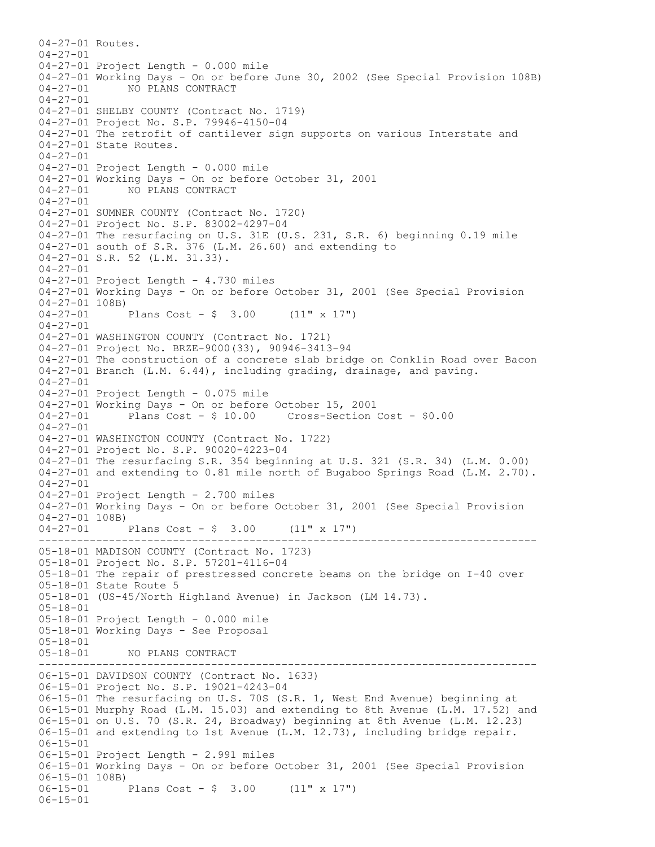------------------------------------------------------------------------------ ------------------------------------------------------------------------------ 04-27-01 Routes.  $04 - 27 - 01$ 04-27-01 Project Length - 0.000 mile 04-27-01 Working Days - On or before June 30, 2002 (See Special Provision 108B) 04-27-01 NO PLANS CONTRACT 04-27-01 04-27-01 SHELBY COUNTY (Contract No. 1719) 04-27-01 Project No. S.P. 79946-4150-04 04-27-01 The retrofit of cantilever sign supports on various Interstate and 04-27-01 State Routes. 04-27-01 04-27-01 Project Length - 0.000 mile 04-27-01 Working Days - On or before October 31, 2001 04-27-01 NO PLANS CONTRACT 04-27-01 04-27-01 SUMNER COUNTY (Contract No. 1720) 04-27-01 Project No. S.P. 83002-4297-04 04-27-01 The resurfacing on U.S. 31E (U.S. 231, S.R. 6) beginning 0.19 mile 04-27-01 south of S.R. 376 (L.M. 26.60) and extending to 04-27-01 S.R. 52 (L.M. 31.33). 04-27-01 04-27-01 Project Length - 4.730 miles 04-27-01 Working Days - On or before October 31, 2001 (See Special Provision  $04-27-01$  108B)<br>04-27-01 Plans Cost -  $$ 3.00$  (11" x 17")  $04 - 27 - 01$ 04-27-01 WASHINGTON COUNTY (Contract No. 1721) 04-27-01 Project No. BRZE-9000(33), 90946-3413-94 04-27-01 The construction of a concrete slab bridge on Conklin Road over Bacon 04-27-01 Branch (L.M. 6.44), including grading, drainage, and paving. 04-27-01 04-27-01 Project Length - 0.075 mile 04-27-01 Working Days - On or before October 15, 2001 04-27-01 Plans Cost - \$ 10.00 Cross-Section Cost - \$0.00 04-27-01 04-27-01 WASHINGTON COUNTY (Contract No. 1722) 04-27-01 Project No. S.P. 90020-4223-04 04-27-01 The resurfacing S.R. 354 beginning at U.S. 321 (S.R. 34) (L.M. 0.00) 04-27-01 and extending to 0.81 mile north of Bugaboo Springs Road (L.M. 2.70). 04-27-01 04-27-01 Project Length - 2.700 miles 04-27-01 Working Days - On or before October 31, 2001 (See Special Provision 04-27-01 108B) 04-27-01 Plans Cost - \$ 3.00 (11" x 17") 05-18-01 MADISON COUNTY (Contract No. 1723) 05-18-01 Project No. S.P. 57201-4116-04 05-18-01 The repair of prestressed concrete beams on the bridge on I-40 over 05-18-01 State Route 5 05-18-01 (US-45/North Highland Avenue) in Jackson (LM 14.73). 05-18-01 05-18-01 Project Length - 0.000 mile 05-18-01 Working Days - See Proposal 05-18-01<br>05-18-01 05-18-01 NO PLANS CONTRACT 06-15-01 DAVIDSON COUNTY (Contract No. 1633) 06-15-01 Project No. S.P. 19021-4243-04 06-15-01 The resurfacing on U.S. 70S (S.R. 1, West End Avenue) beginning at 06-15-01 Murphy Road (L.M. 15.03) and extending to 8th Avenue (L.M. 17.52) and 06-15-01 on U.S. 70 (S.R. 24, Broadway) beginning at 8th Avenue (L.M. 12.23) 06-15-01 and extending to 1st Avenue (L.M. 12.73), including bridge repair.  $06 - 15 - 01$ 06-15-01 Project Length - 2.991 miles 06-15-01 Working Days - On or before October 31, 2001 (See Special Provision 06-15-01 108B) 06-15-01 Plans Cost - \$ 3.00 (11" x 17") 06-15-01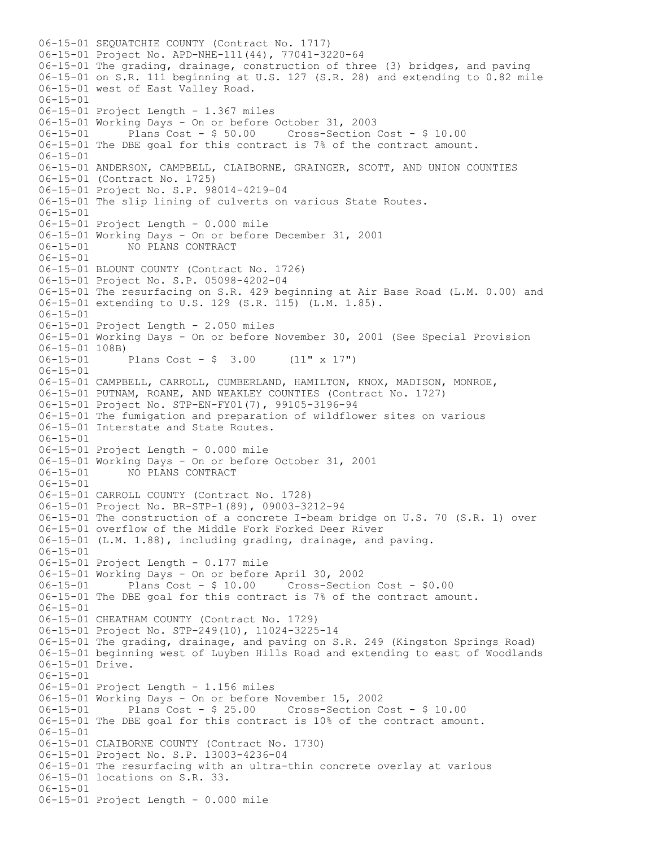06-15-01 SEQUATCHIE COUNTY (Contract No. 1717) 06-15-01 Project No. APD-NHE-111(44), 77041-3220-64 06-15-01 The grading, drainage, construction of three (3) bridges, and paving 06-15-01 on S.R. 111 beginning at U.S. 127 (S.R. 28) and extending to 0.82 mile 06-15-01 west of East Valley Road. 06-15-01 06-15-01 Project Length - 1.367 miles 06-15-01 Working Days - On or before October 31, 2003 Plans Cost - \$ 50.00 Cross-Section Cost - \$ 10.00 06-15-01 The DBE goal for this contract is 7% of the contract amount. 06-15-01 06-15-01 ANDERSON, CAMPBELL, CLAIBORNE, GRAINGER, SCOTT, AND UNION COUNTIES 06-15-01 (Contract No. 1725) 06-15-01 Project No. S.P. 98014-4219-04 06-15-01 The slip lining of culverts on various State Routes. 06-15-01 06-15-01 Project Length - 0.000 mile 06-15-01 Working Days - On or before December 31, 2001<br>06-15-01 MO PLANS CONTRACT 06-15-01 NO PLANS CONTRACT 06-15-01 06-15-01 BLOUNT COUNTY (Contract No. 1726) 06-15-01 Project No. S.P. 05098-4202-04 06-15-01 The resurfacing on S.R. 429 beginning at Air Base Road (L.M. 0.00) and 06-15-01 extending to U.S. 129 (S.R. 115) (L.M. 1.85).  $06 - 15 - 01$ 06-15-01 Project Length - 2.050 miles 06-15-01 Working Days - On or before November 30, 2001 (See Special Provision 06-15-01 108B)<br>06-15-01 Plans Cost -  $\frac{1}{2}$  3.00 (11" x 17") 06-15-01 06-15-01 CAMPBELL, CARROLL, CUMBERLAND, HAMILTON, KNOX, MADISON, MONROE, 06-15-01 PUTNAM, ROANE, AND WEAKLEY COUNTIES (Contract No. 1727) 06-15-01 Project No. STP-EN-FY01(7), 99105-3196-94 06-15-01 The fumigation and preparation of wildflower sites on various 06-15-01 Interstate and State Routes. 06-15-01 06-15-01 Project Length - 0.000 mile 06-15-01 Working Days - On or before October 31, 2001 06-15-01 NO PLANS CONTRACT 06-15-01 06-15-01 CARROLL COUNTY (Contract No. 1728) 06-15-01 Project No. BR-STP-1(89), 09003-3212-94 06-15-01 The construction of a concrete I-beam bridge on U.S. 70 (S.R. 1) over 06-15-01 overflow of the Middle Fork Forked Deer River 06-15-01 (L.M. 1.88), including grading, drainage, and paving. 06-15-01 06-15-01 Project Length - 0.177 mile 06-15-01 Working Days - On or before April 30, 2002 06-15-01 Plans Cost - \$ 10.00 Cross-Section Cost - \$0.00 06-15-01 The DBE goal for this contract is 7% of the contract amount.  $06 - 15 - 01$ 06-15-01 CHEATHAM COUNTY (Contract No. 1729) 06-15-01 Project No. STP-249(10), 11024-3225-14 06-15-01 The grading, drainage, and paving on S.R. 249 (Kingston Springs Road) 06-15-01 beginning west of Luyben Hills Road and extending to east of Woodlands 06-15-01 Drive. 06-15-01 06-15-01 Project Length - 1.156 miles 06-15-01 Working Days - On or before November 15, 2002 Plans Cost - \$ 25.00 Cross-Section Cost - \$ 10.00 06-15-01 The DBE goal for this contract is 10% of the contract amount. 06-15-01 06-15-01 CLAIBORNE COUNTY (Contract No. 1730) 06-15-01 Project No. S.P. 13003-4236-04 06-15-01 The resurfacing with an ultra-thin concrete overlay at various 06-15-01 locations on S.R. 33. 06-15-01 06-15-01 Project Length - 0.000 mile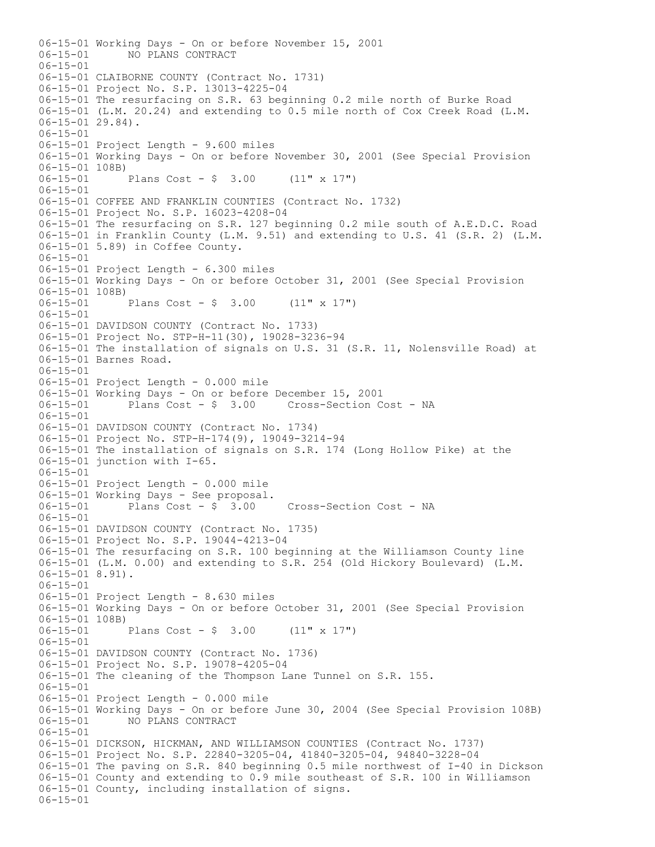06-15-01 Working Days - On or before November 15, 2001 06-15-01 NO PLANS CONTRACT 06-15-01 06-15-01 CLAIBORNE COUNTY (Contract No. 1731) 06-15-01 Project No. S.P. 13013-4225-04 06-15-01 The resurfacing on S.R. 63 beginning 0.2 mile north of Burke Road 06-15-01 (L.M. 20.24) and extending to 0.5 mile north of Cox Creek Road (L.M.  $06-15-01$  29.84). 06-15-01 06-15-01 Project Length - 9.600 miles 06-15-01 Working Days - On or before November 30, 2001 (See Special Provision 06-15-01 108B) 06-15-01 Plans Cost - \$ 3.00 (11" x 17") 06-15-01 06-15-01 COFFEE AND FRANKLIN COUNTIES (Contract No. 1732) 06-15-01 Project No. S.P. 16023-4208-04 06-15-01 The resurfacing on S.R. 127 beginning 0.2 mile south of A.E.D.C. Road 06-15-01 in Franklin County (L.M. 9.51) and extending to U.S. 41 (S.R. 2) (L.M. 06-15-01 5.89) in Coffee County. 06-15-01 06-15-01 Project Length - 6.300 miles 06-15-01 Working Days - On or before October 31, 2001 (See Special Provision 06-15-01 108B)<br>06-15-01 Plans Cost -  $\frac{1}{2}$  3.00 (11" x 17") 06-15-01 06-15-01 DAVIDSON COUNTY (Contract No. 1733) 06-15-01 Project No. STP-H-11(30), 19028-3236-94 06-15-01 The installation of signals on U.S. 31 (S.R. 11, Nolensville Road) at 06-15-01 Barnes Road. 06-15-01 06-15-01 Project Length - 0.000 mile 06-15-01 Working Days - On or before December 15, 2001 Cross-Section Cost - NA 06-15-01 06-15-01 DAVIDSON COUNTY (Contract No. 1734) 06-15-01 Project No. STP-H-174(9), 19049-3214-94 06-15-01 The installation of signals on S.R. 174 (Long Hollow Pike) at the 06-15-01 junction with I-65. 06-15-01 06-15-01 Project Length - 0.000 mile 06-15-01 Working Days - See proposal. 06-15-01 Plans Cost - \$ 3.00 Cross-Section Cost - NA 06-15-01 06-15-01 DAVIDSON COUNTY (Contract No. 1735) 06-15-01 Project No. S.P. 19044-4213-04 06-15-01 The resurfacing on S.R. 100 beginning at the Williamson County line 06-15-01 (L.M. 0.00) and extending to S.R. 254 (Old Hickory Boulevard) (L.M. 06-15-01 8.91). 06-15-01 06-15-01 Project Length - 8.630 miles 06-15-01 Working Days - On or before October 31, 2001 (See Special Provision 06-15-01 108B) 06-15-01 Plans Cost - \$ 3.00 (11" x 17") 06-15-01 06-15-01 DAVIDSON COUNTY (Contract No. 1736) 06-15-01 Project No. S.P. 19078-4205-04 06-15-01 The cleaning of the Thompson Lane Tunnel on S.R. 155. 06-15-01 06-15-01 Project Length - 0.000 mile 06-15-01 Working Days - On or before June 30, 2004 (See Special Provision 108B) 06-15-01 NO PLANS CONTRACT 06-15-01 06-15-01 DICKSON, HICKMAN, AND WILLIAMSON COUNTIES (Contract No. 1737) 06-15-01 Project No. S.P. 22840-3205-04, 41840-3205-04, 94840-3228-04 06-15-01 The paving on S.R. 840 beginning 0.5 mile northwest of I-40 in Dickson 06-15-01 County and extending to 0.9 mile southeast of S.R. 100 in Williamson 06-15-01 County, including installation of signs. 06-15-01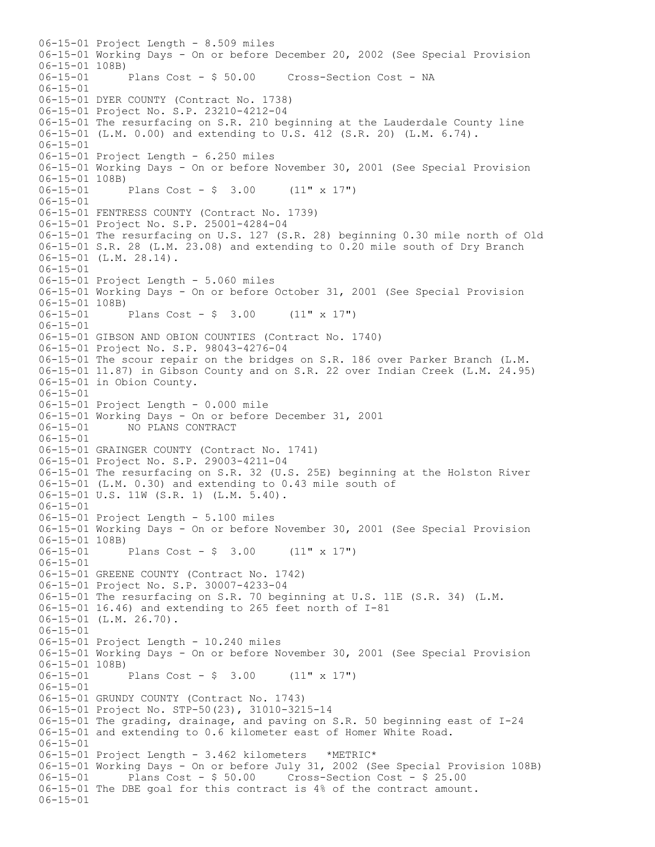06-15-01 Project Length - 8.509 miles 06-15-01 Working Days - On or before December 20, 2002 (See Special Provision 06-15-01 108B)<br>06-15-01 Plans Cost - \$ 50.00 Cross-Section Cost - NA 06-15-01 06-15-01 DYER COUNTY (Contract No. 1738) 06-15-01 Project No. S.P. 23210-4212-04 06-15-01 The resurfacing on S.R. 210 beginning at the Lauderdale County line 06-15-01 (L.M. 0.00) and extending to U.S. 412 (S.R. 20) (L.M. 6.74). 06-15-01 06-15-01 Project Length - 6.250 miles 06-15-01 Working Days - On or before November 30, 2001 (See Special Provision 06-15-01 108B)<br>06-15-01 Plans Cost -  $$3.00$  (11" x 17") 06-15-01 06-15-01 FENTRESS COUNTY (Contract No. 1739) 06-15-01 Project No. S.P. 25001-4284-04 06-15-01 The resurfacing on U.S. 127 (S.R. 28) beginning 0.30 mile north of Old 06-15-01 S.R. 28 (L.M. 23.08) and extending to 0.20 mile south of Dry Branch 06-15-01 (L.M. 28.14). 06-15-01 06-15-01 Project Length - 5.060 miles 06-15-01 Working Days - On or before October 31, 2001 (See Special Provision  $06-15-01$  108B)<br> $06-15-01$ Plans Cost -  $$3.00$  (11" x 17")  $06 - 15 - 01$ 06-15-01 GIBSON AND OBION COUNTIES (Contract No. 1740) 06-15-01 Project No. S.P. 98043-4276-04 06-15-01 The scour repair on the bridges on S.R. 186 over Parker Branch (L.M. 06-15-01 11.87) in Gibson County and on S.R. 22 over Indian Creek (L.M. 24.95) 06-15-01 in Obion County. 06-15-01 06-15-01 Project Length - 0.000 mile 06-15-01 Working Days - On or before December 31, 2001<br>06-15-01 MO PLANS CONTRACT 06-15-01 NO PLANS CONTRACT 06-15-01 06-15-01 GRAINGER COUNTY (Contract No. 1741) 06-15-01 Project No. S.P. 29003-4211-04 06-15-01 The resurfacing on S.R. 32 (U.S. 25E) beginning at the Holston River 06-15-01 (L.M. 0.30) and extending to 0.43 mile south of 06-15-01 U.S. 11W (S.R. 1) (L.M. 5.40). 06-15-01 06-15-01 Project Length - 5.100 miles 06-15-01 Working Days - On or before November 30, 2001 (See Special Provision  $06-15-01$  108B)<br> $06-15-01$ Plans Cost -  $\frac{1}{2}$  3.00 (11" x 17") 06-15-01 06-15-01 GREENE COUNTY (Contract No. 1742) 06-15-01 Project No. S.P. 30007-4233-04 06-15-01 The resurfacing on S.R. 70 beginning at U.S. 11E (S.R. 34) (L.M. 06-15-01 16.46) and extending to 265 feet north of I-81 06-15-01 (L.M. 26.70). 06-15-01 06-15-01 Project Length - 10.240 miles 06-15-01 Working Days - On or before November 30, 2001 (See Special Provision 06-15-01 108B)<br>06-15-01 Plans Cost -  $$3.00$  (11" x 17") 06-15-01 06-15-01 GRUNDY COUNTY (Contract No. 1743) 06-15-01 Project No. STP-50(23), 31010-3215-14 06-15-01 The grading, drainage, and paving on S.R. 50 beginning east of I-24 06-15-01 and extending to 0.6 kilometer east of Homer White Road.  $06 - 15 - 01$ 06-15-01 Project Length - 3.462 kilometers \*METRIC\* 06-15-01 Working Days - On or before July 31, 2002 (See Special Provision 108B) 06-15-01 Plans Cost - \$ 50.00 Cross-Section Cost - \$ 25.00 06-15-01 The DBE goal for this contract is 4% of the contract amount. 06-15-01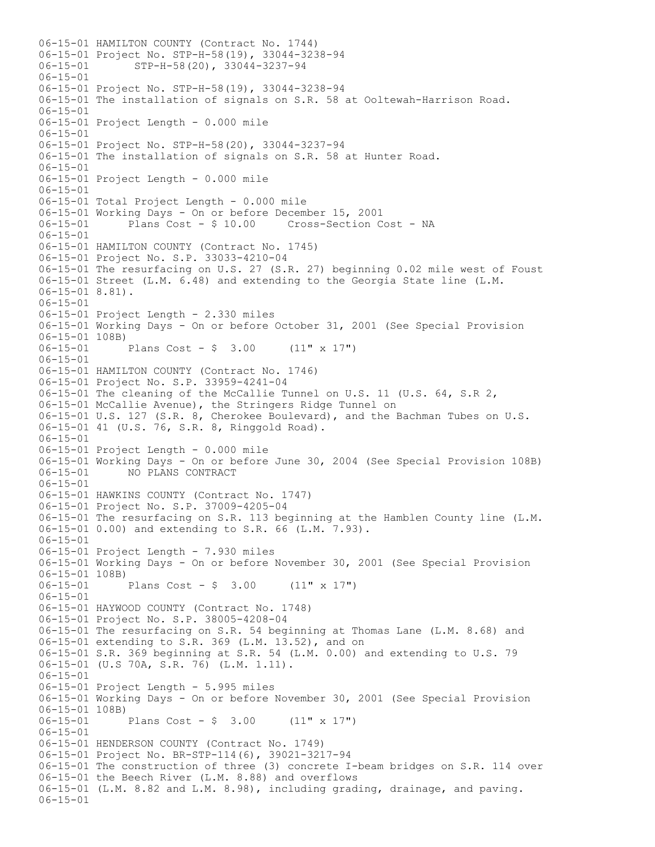06-15-01 HAMILTON COUNTY (Contract No. 1744) 06-15-01 Project No. STP-H-58(19), 33044-3238-94 06-15-01 STP-H-58(20), 33044-3237-94 06-15-01 06-15-01 Project No. STP-H-58(19), 33044-3238-94 06-15-01 The installation of signals on S.R. 58 at Ooltewah-Harrison Road. 06-15-01 06-15-01 Project Length - 0.000 mile 06-15-01 06-15-01 Project No. STP-H-58(20), 33044-3237-94 06-15-01 The installation of signals on S.R. 58 at Hunter Road.  $06 - 15 - 01$ 06-15-01 Project Length - 0.000 mile 06-15-01 06-15-01 Total Project Length - 0.000 mile 06-15-01 Working Days - On or before December 15, 2001 06-15-01 Plans Cost - \$ 10.00 Cross-Section Cost - NA 06-15-01 06-15-01 HAMILTON COUNTY (Contract No. 1745) 06-15-01 Project No. S.P. 33033-4210-04 06-15-01 The resurfacing on U.S. 27 (S.R. 27) beginning 0.02 mile west of Foust 06-15-01 Street (L.M. 6.48) and extending to the Georgia State line (L.M. 06-15-01 8.81). 06-15-01 06-15-01 Project Length - 2.330 miles 06-15-01 Working Days - On or before October 31, 2001 (See Special Provision 06-15-01 108B) 06-15-01 Plans Cost - \$ 3.00 (11" x 17") 06-15-01 06-15-01 HAMILTON COUNTY (Contract No. 1746) 06-15-01 Project No. S.P. 33959-4241-04 06-15-01 The cleaning of the McCallie Tunnel on U.S. 11 (U.S. 64, S.R 2, 06-15-01 McCallie Avenue), the Stringers Ridge Tunnel on 06-15-01 U.S. 127 (S.R. 8, Cherokee Boulevard), and the Bachman Tubes on U.S. 06-15-01 41 (U.S. 76, S.R. 8, Ringgold Road). 06-15-01 06-15-01 Project Length - 0.000 mile 06-15-01 Working Days - On or before June 30, 2004 (See Special Provision 108B) 06-15-01 NO PLANS CONTRACT 06-15-01 06-15-01 HAWKINS COUNTY (Contract No. 1747) 06-15-01 Project No. S.P. 37009-4205-04 06-15-01 The resurfacing on S.R. 113 beginning at the Hamblen County line (L.M. 06-15-01 0.00) and extending to S.R. 66 (L.M. 7.93). 06-15-01 06-15-01 Project Length - 7.930 miles 06-15-01 Working Days - On or before November 30, 2001 (See Special Provision 06-15-01 108B)<br>06-15-01 Plans Cost -  $$3.00$  (11" x 17")  $06 - 15 - 01$ 06-15-01 HAYWOOD COUNTY (Contract No. 1748) 06-15-01 Project No. S.P. 38005-4208-04 06-15-01 The resurfacing on S.R. 54 beginning at Thomas Lane (L.M. 8.68) and 06-15-01 extending to S.R. 369 (L.M. 13.52), and on 06-15-01 S.R. 369 beginning at S.R. 54 (L.M. 0.00) and extending to U.S. 79 06-15-01 (U.S 70A, S.R. 76) (L.M. 1.11). 06-15-01 06-15-01 Project Length - 5.995 miles 06-15-01 Working Days - On or before November 30, 2001 (See Special Provision 06-15-01 108B)<br>06-15-01 Plans Cost -  $\frac{1}{2}$  3.00 (11" x 17") 06-15-01 06-15-01 HENDERSON COUNTY (Contract No. 1749) 06-15-01 Project No. BR-STP-114(6), 39021-3217-94 06-15-01 The construction of three (3) concrete I-beam bridges on S.R. 114 over 06-15-01 the Beech River (L.M. 8.88) and overflows 06-15-01 (L.M. 8.82 and L.M. 8.98), including grading, drainage, and paving. 06-15-01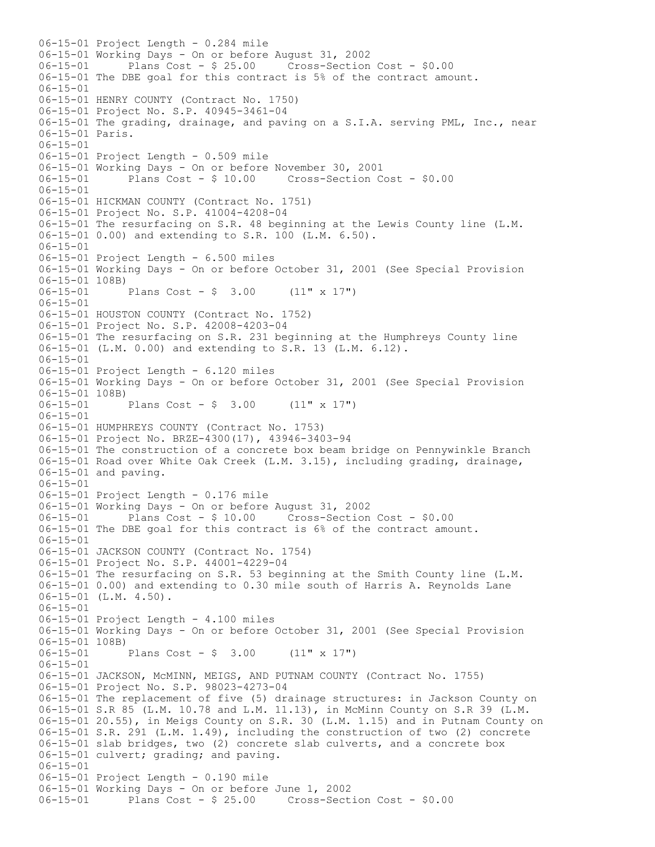06-15-01 Project Length - 0.284 mile 06-15-01 Working Days - On or before August 31, 2002 06-15-01 Plans Cost - \$ 25.00 Cross-Section Cost - \$0.00 06-15-01 The DBE goal for this contract is 5% of the contract amount. 06-15-01 06-15-01 HENRY COUNTY (Contract No. 1750) 06-15-01 Project No. S.P. 40945-3461-04 06-15-01 The grading, drainage, and paving on a S.I.A. serving PML, Inc., near 06-15-01 Paris. 06-15-01 06-15-01 Project Length - 0.509 mile 06-15-01 Working Days - On or before November 30, 2001 06-15-01 Plans Cost - \$ 10.00 Cross-Section Cost - \$0.00 06-15-01 06-15-01 HICKMAN COUNTY (Contract No. 1751) 06-15-01 Project No. S.P. 41004-4208-04 06-15-01 The resurfacing on S.R. 48 beginning at the Lewis County line (L.M. 06-15-01 0.00) and extending to S.R. 100 (L.M. 6.50). 06-15-01 06-15-01 Project Length - 6.500 miles 06-15-01 Working Days - On or before October 31, 2001 (See Special Provision 06-15-01 108B)<br>06-15-01 Plans Cost -  $$3.00$  (11" x 17") 06-15-01 06-15-01 HOUSTON COUNTY (Contract No. 1752) 06-15-01 Project No. S.P. 42008-4203-04 06-15-01 The resurfacing on S.R. 231 beginning at the Humphreys County line 06-15-01 (L.M. 0.00) and extending to S.R. 13 (L.M. 6.12). 06-15-01 06-15-01 Project Length - 6.120 miles 06-15-01 Working Days - On or before October 31, 2001 (See Special Provision 06-15-01 108B)<br>06-15-01 Plans Cost -  $\frac{6}{7}$  3.00 (11" x 17") 06-15-01 06-15-01 HUMPHREYS COUNTY (Contract No. 1753) 06-15-01 Project No. BRZE-4300(17), 43946-3403-94 06-15-01 The construction of a concrete box beam bridge on Pennywinkle Branch 06-15-01 Road over White Oak Creek (L.M. 3.15), including grading, drainage, 06-15-01 and paving. 06-15-01 06-15-01 Project Length - 0.176 mile 06-15-01 Working Days - On or before August 31, 2002 Plans Cost -  $$10.00$  Cross-Section Cost -  $$0.00$ 06-15-01 The DBE goal for this contract is 6% of the contract amount. 06-15-01 06-15-01 JACKSON COUNTY (Contract No. 1754) 06-15-01 Project No. S.P. 44001-4229-04 06-15-01 The resurfacing on S.R. 53 beginning at the Smith County line (L.M. 06-15-01 0.00) and extending to 0.30 mile south of Harris A. Reynolds Lane 06-15-01 (L.M. 4.50).  $06 - 15 - 01$ 06-15-01 Project Length - 4.100 miles 06-15-01 Working Days - On or before October 31, 2001 (See Special Provision 06-15-01 108B)<br>06-15-01 Plans Cost -  $\frac{1}{2}$  3.00 (11" x 17") 06-15-01 06-15-01 JACKSON, McMINN, MEIGS, AND PUTNAM COUNTY (Contract No. 1755) 06-15-01 Project No. S.P. 98023-4273-04 06-15-01 The replacement of five (5) drainage structures: in Jackson County on 06-15-01 S.R 85 (L.M. 10.78 and L.M. 11.13), in McMinn County on S.R 39 (L.M. 06-15-01 20.55), in Meigs County on S.R. 30 (L.M. 1.15) and in Putnam County on 06-15-01 S.R. 291 (L.M. 1.49), including the construction of two (2) concrete 06-15-01 slab bridges, two (2) concrete slab culverts, and a concrete box 06-15-01 culvert; grading; and paving. 06-15-01 06-15-01 Project Length - 0.190 mile 06-15-01 Working Days - On or before June 1, 2002 06-15-01 Plans Cost - \$ 25.00 Cross-Section Cost - \$0.00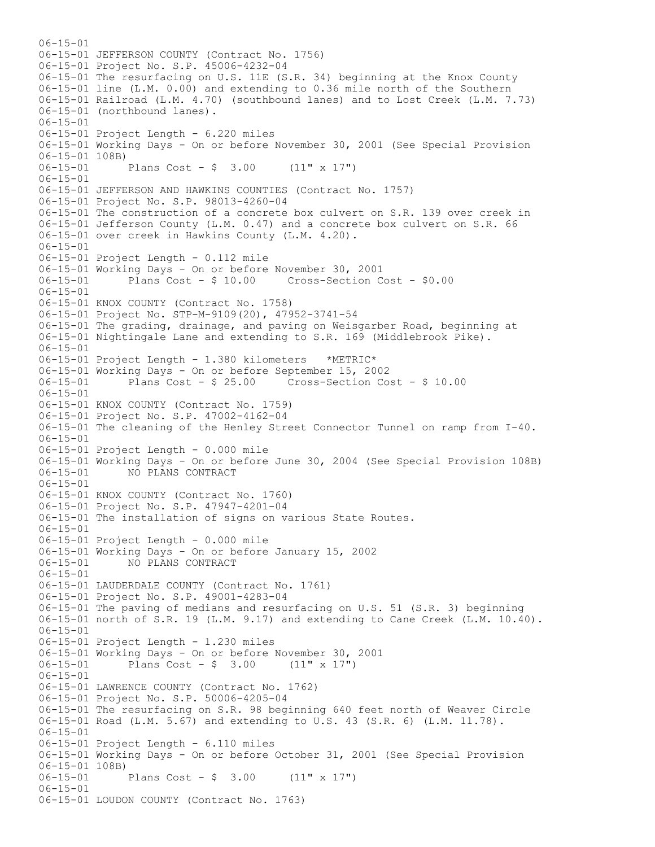$06 - 15 - 01$ 06-15-01 JEFFERSON COUNTY (Contract No. 1756) 06-15-01 Project No. S.P. 45006-4232-04 06-15-01 The resurfacing on U.S. 11E (S.R. 34) beginning at the Knox County 06-15-01 line (L.M. 0.00) and extending to 0.36 mile north of the Southern 06-15-01 Railroad (L.M. 4.70) (southbound lanes) and to Lost Creek (L.M. 7.73) 06-15-01 (northbound lanes). 06-15-01 06-15-01 Project Length - 6.220 miles 06-15-01 Working Days - On or before November 30, 2001 (See Special Provision  $06-15-01$  108B)<br> $06-15-01$ Plans Cost -  $$3.00$  (11" x 17") 06-15-01 06-15-01 JEFFERSON AND HAWKINS COUNTIES (Contract No. 1757) 06-15-01 Project No. S.P. 98013-4260-04 06-15-01 The construction of a concrete box culvert on S.R. 139 over creek in 06-15-01 Jefferson County (L.M. 0.47) and a concrete box culvert on S.R. 66 06-15-01 over creek in Hawkins County (L.M. 4.20). 06-15-01 06-15-01 Project Length - 0.112 mile 06-15-01 Working Days - On or before November 30, 2001 Plans  $Cost - $ 10.00$  Cross-Section Cost -  $$0.00$ 06-15-01 06-15-01 KNOX COUNTY (Contract No. 1758) 06-15-01 Project No. STP-M-9109(20), 47952-3741-54 06-15-01 The grading, drainage, and paving on Weisgarber Road, beginning at 06-15-01 Nightingale Lane and extending to S.R. 169 (Middlebrook Pike). 06-15-01 06-15-01 Project Length - 1.380 kilometers \*METRIC\* 06-15-01 Working Days - On or before September 15, 2002 Plans Cost - \$ 25.00 Cross-Section Cost - \$ 10.00 06-15-01 06-15-01 KNOX COUNTY (Contract No. 1759) 06-15-01 Project No. S.P. 47002-4162-04 06-15-01 The cleaning of the Henley Street Connector Tunnel on ramp from I-40. 06-15-01 06-15-01 Project Length - 0.000 mile 06-15-01 Working Days - On or before June 30, 2004 (See Special Provision 108B) 06-15-01 NO PLANS CONTRACT 06-15-01 06-15-01 KNOX COUNTY (Contract No. 1760) 06-15-01 Project No. S.P. 47947-4201-04 06-15-01 The installation of signs on various State Routes. 06-15-01 06-15-01 Project Length - 0.000 mile 06-15-01 Working Days - On or before January 15, 2002 06-15-01 NO PLANS CONTRACT 06-15-01 06-15-01 LAUDERDALE COUNTY (Contract No. 1761) 06-15-01 Project No. S.P. 49001-4283-04 06-15-01 The paving of medians and resurfacing on U.S. 51 (S.R. 3) beginning 06-15-01 north of S.R. 19 (L.M. 9.17) and extending to Cane Creek (L.M. 10.40). 06-15-01 06-15-01 Project Length - 1.230 miles 06-15-01 Working Days - On or before November 30, 2001 06-15-01 Plans Cost - \$ 3.00 (11" x 17") 06-15-01 06-15-01 LAWRENCE COUNTY (Contract No. 1762) 06-15-01 Project No. S.P. 50006-4205-04 06-15-01 The resurfacing on S.R. 98 beginning 640 feet north of Weaver Circle 06-15-01 Road (L.M. 5.67) and extending to U.S. 43 (S.R. 6) (L.M. 11.78). 06-15-01 06-15-01 Project Length - 6.110 miles 06-15-01 Working Days - On or before October 31, 2001 (See Special Provision 06-15-01 108B) 06-15-01 Plans Cost - \$ 3.00 (11" x 17") 06-15-01 06-15-01 LOUDON COUNTY (Contract No. 1763)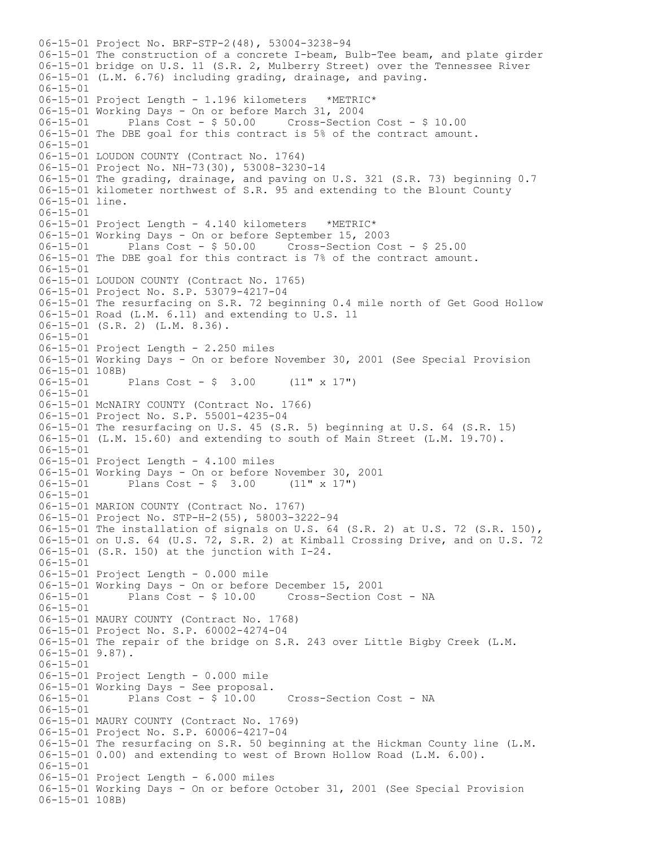06-15-01 Project No. BRF-STP-2(48), 53004-3238-94 06-15-01 The construction of a concrete I-beam, Bulb-Tee beam, and plate girder 06-15-01 bridge on U.S. 11 (S.R. 2, Mulberry Street) over the Tennessee River 06-15-01 (L.M. 6.76) including grading, drainage, and paving. 06-15-01 06-15-01 Project Length - 1.196 kilometers \*METRIC\* 06-15-01 Working Days - On or before March 31, 2004 06-15-01 Plans Cost - \$ 50.00 Cross-Section Cost - \$ 10.00 06-15-01 The DBE goal for this contract is 5% of the contract amount. 06-15-01 06-15-01 LOUDON COUNTY (Contract No. 1764) 06-15-01 Project No. NH-73(30), 53008-3230-14 06-15-01 The grading, drainage, and paving on U.S. 321 (S.R. 73) beginning 0.7 06-15-01 kilometer northwest of S.R. 95 and extending to the Blount County 06-15-01 line. 06-15-01 06-15-01 Project Length - 4.140 kilometers \*METRIC\* 06-15-01 Working Days - On or before September 15, 2003 06-15-01 Plans Cost - \$ 50.00 Cross-Section Cost - \$ 25.00 06-15-01 The DBE goal for this contract is 7% of the contract amount. 06-15-01 06-15-01 LOUDON COUNTY (Contract No. 1765) 06-15-01 Project No. S.P. 53079-4217-04 06-15-01 The resurfacing on S.R. 72 beginning 0.4 mile north of Get Good Hollow 06-15-01 Road (L.M. 6.11) and extending to U.S. 11 06-15-01 (S.R. 2) (L.M. 8.36). 06-15-01 06-15-01 Project Length - 2.250 miles 06-15-01 Working Days - On or before November 30, 2001 (See Special Provision 06-15-01 108B)<br>06-15-01 Plans Cost -  $\frac{1}{2}$  3.00 (11" x 17") 06-15-01 06-15-01 McNAIRY COUNTY (Contract No. 1766) 06-15-01 Project No. S.P. 55001-4235-04 06-15-01 The resurfacing on U.S. 45 (S.R. 5) beginning at U.S. 64 (S.R. 15) 06-15-01 (L.M. 15.60) and extending to south of Main Street (L.M. 19.70).  $06 - 15 - 01$ 06-15-01 Project Length - 4.100 miles 06-15-01 Working Days - On or before November 30, 2001 06-15-01 Plans Cost - \$ 3.00 (11" x 17") 06-15-01 06-15-01 MARION COUNTY (Contract No. 1767) 06-15-01 Project No. STP-H-2(55), 58003-3222-94 06-15-01 The installation of signals on U.S. 64 (S.R. 2) at U.S. 72 (S.R. 150), 06-15-01 on U.S. 64 (U.S. 72, S.R. 2) at Kimball Crossing Drive, and on U.S. 72 06-15-01 (S.R. 150) at the junction with I-24. 06-15-01 06-15-01 Project Length - 0.000 mile 06-15-01 Working Days - On or before December 15, 2001 06-15-01 Plans Cost - \$ 10.00 Cross-Section Cost - NA 06-15-01 06-15-01 MAURY COUNTY (Contract No. 1768) 06-15-01 Project No. S.P. 60002-4274-04 06-15-01 The repair of the bridge on S.R. 243 over Little Bigby Creek (L.M. 06-15-01 9.87). 06-15-01 06-15-01 Project Length - 0.000 mile 06-15-01 Working Days - See proposal.<br>06-15-01 Plans Cost - \$ 10.00 Plans  $Cost - $ 10.00$  Cross-Section Cost - NA 06-15-01 06-15-01 MAURY COUNTY (Contract No. 1769) 06-15-01 Project No. S.P. 60006-4217-04 06-15-01 The resurfacing on S.R. 50 beginning at the Hickman County line (L.M. 06-15-01 0.00) and extending to west of Brown Hollow Road (L.M. 6.00). 06-15-01 06-15-01 Project Length - 6.000 miles 06-15-01 Working Days - On or before October 31, 2001 (See Special Provision 06-15-01 108B)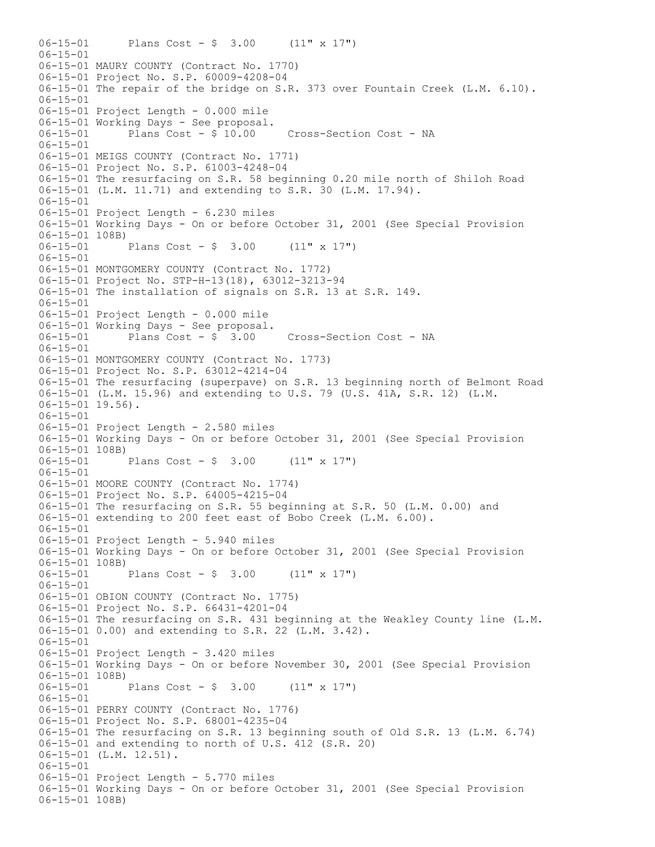06-15-01 Plans Cost - \$ 3.00 (11" x 17")  $06 - 15 - 01$ 06-15-01 MAURY COUNTY (Contract No. 1770) 06-15-01 Project No. S.P. 60009-4208-04 06-15-01 The repair of the bridge on S.R. 373 over Fountain Creek (L.M. 6.10). 06-15-01 06-15-01 Project Length - 0.000 mile 06-15-01 Working Days - See proposal.<br>06-15-01 Plans Cost - \$ 10.00 Cross-Section Cost - NA 06-15-01 06-15-01 MEIGS COUNTY (Contract No. 1771) 06-15-01 Project No. S.P. 61003-4248-04 06-15-01 The resurfacing on S.R. 58 beginning 0.20 mile north of Shiloh Road 06-15-01 (L.M. 11.71) and extending to S.R. 30 (L.M. 17.94). 06-15-01 06-15-01 Project Length - 6.230 miles 06-15-01 Working Days - On or before October 31, 2001 (See Special Provision 06-15-01 108B)<br>06-15-01 Plans Cost -  $$3.00$  (11" x 17") 06-15-01 06-15-01 MONTGOMERY COUNTY (Contract No. 1772) 06-15-01 Project No. STP-H-13(18), 63012-3213-94 06-15-01 The installation of signals on S.R. 13 at S.R. 149. 06-15-01 06-15-01 Project Length - 0.000 mile 06-15-01 Working Days - See proposal.<br>06-15-01 Plans Cost -  $$3.00$ 06-15-01 Plans Cost - \$ 3.00 Cross-Section Cost - NA 06-15-01 06-15-01 MONTGOMERY COUNTY (Contract No. 1773) 06-15-01 Project No. S.P. 63012-4214-04 06-15-01 The resurfacing (superpave) on S.R. 13 beginning north of Belmont Road 06-15-01 (L.M. 15.96) and extending to U.S. 79 (U.S. 41A, S.R. 12) (L.M. 06-15-01 19.56). 06-15-01 06-15-01 Project Length - 2.580 miles 06-15-01 Working Days - On or before October 31, 2001 (See Special Provision  $06-15-01$  108B)<br> $06-15-01$ Plans Cost -  $$3.00$  (11" x 17")  $06 - 15 - 01$ 06-15-01 MOORE COUNTY (Contract No. 1774) 06-15-01 Project No. S.P. 64005-4215-04 06-15-01 The resurfacing on S.R. 55 beginning at S.R. 50 (L.M. 0.00) and 06-15-01 extending to 200 feet east of Bobo Creek (L.M. 6.00). 06-15-01 06-15-01 Project Length - 5.940 miles 06-15-01 Working Days - On or before October 31, 2001 (See Special Provision 06-15-01 108B)<br>06-15-01 Plans Cost -  $\frac{1}{7}$  3.00 (11" x 17") 06-15-01 06-15-01 OBION COUNTY (Contract No. 1775) 06-15-01 Project No. S.P. 66431-4201-04 06-15-01 The resurfacing on S.R. 431 beginning at the Weakley County line (L.M. 06-15-01 0.00) and extending to S.R. 22 (L.M. 3.42). 06-15-01 06-15-01 Project Length - 3.420 miles 06-15-01 Working Days - On or before November 30, 2001 (See Special Provision 06-15-01 108B)<br>06-15-01 Plans Cost -  $\frac{1}{7}$  3.00 (11" x 17") 06-15-01 06-15-01 PERRY COUNTY (Contract No. 1776) 06-15-01 Project No. S.P. 68001-4235-04 06-15-01 The resurfacing on S.R. 13 beginning south of Old S.R. 13 (L.M. 6.74) 06-15-01 and extending to north of U.S. 412 (S.R. 20) 06-15-01 (L.M. 12.51). 06-15-01 06-15-01 Project Length - 5.770 miles 06-15-01 Working Days - On or before October 31, 2001 (See Special Provision 06-15-01 108B)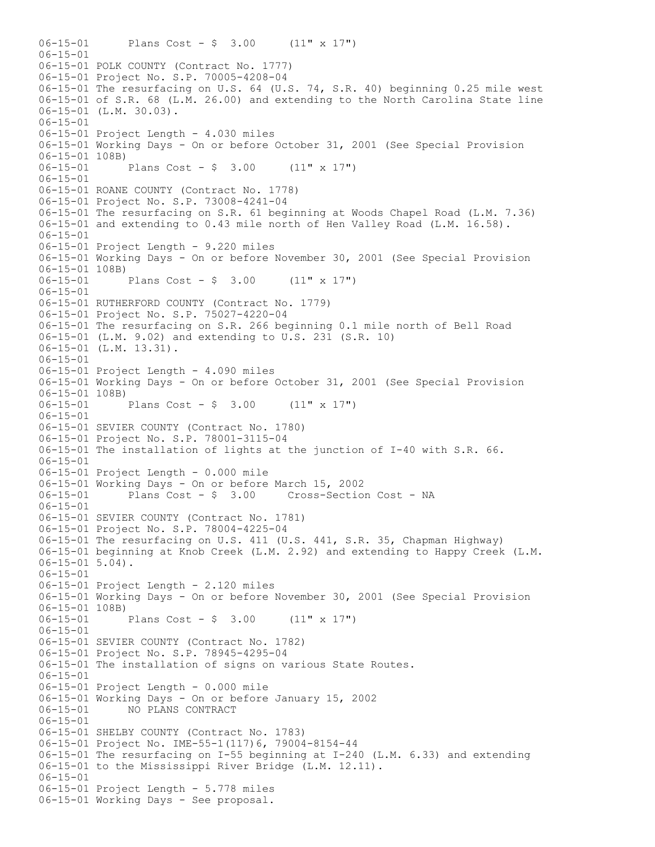06-15-01 Plans Cost - \$ 3.00 (11" x 17")  $06 - 15 - 01$ 06-15-01 POLK COUNTY (Contract No. 1777) 06-15-01 Project No. S.P. 70005-4208-04 06-15-01 The resurfacing on U.S. 64 (U.S. 74, S.R. 40) beginning 0.25 mile west 06-15-01 of S.R. 68 (L.M. 26.00) and extending to the North Carolina State line 06-15-01 (L.M. 30.03). 06-15-01 06-15-01 Project Length - 4.030 miles 06-15-01 Working Days - On or before October 31, 2001 (See Special Provision  $06-15-01$  108B)<br> $06-15-01$ Plans Cost -  $$3.00$  (11" x 17")  $06 - 15 - 01$ 06-15-01 ROANE COUNTY (Contract No. 1778) 06-15-01 Project No. S.P. 73008-4241-04 06-15-01 The resurfacing on S.R. 61 beginning at Woods Chapel Road (L.M. 7.36) 06-15-01 and extending to 0.43 mile north of Hen Valley Road (L.M. 16.58). 06-15-01 06-15-01 Project Length - 9.220 miles 06-15-01 Working Days - On or before November 30, 2001 (See Special Provision 06-15-01 108B)<br>06-15-01 Plans Cost -  $\frac{1}{2}$  3.00 (11" x 17") 06-15-01 06-15-01 RUTHERFORD COUNTY (Contract No. 1779) 06-15-01 Project No. S.P. 75027-4220-04 06-15-01 The resurfacing on S.R. 266 beginning 0.1 mile north of Bell Road 06-15-01 (L.M. 9.02) and extending to U.S. 231 (S.R. 10) 06-15-01 (L.M. 13.31). 06-15-01 06-15-01 Project Length - 4.090 miles 06-15-01 Working Days - On or before October 31, 2001 (See Special Provision 06-15-01 108B)<br>06-15-01 Plans Cost -  $$3.00$  (11" x 17") 06-15-01 06-15-01 SEVIER COUNTY (Contract No. 1780) 06-15-01 Project No. S.P. 78001-3115-04 06-15-01 The installation of lights at the junction of I-40 with S.R. 66. 06-15-01 06-15-01 Project Length - 0.000 mile 06-15-01 Working Days - On or before March 15, 2002 06-15-01 Plans Cost - \$ 3.00 Cross-Section Cost - NA 06-15-01 06-15-01 SEVIER COUNTY (Contract No. 1781) 06-15-01 Project No. S.P. 78004-4225-04 06-15-01 The resurfacing on U.S. 411 (U.S. 441, S.R. 35, Chapman Highway) 06-15-01 beginning at Knob Creek (L.M. 2.92) and extending to Happy Creek (L.M. 06-15-01 5.04). 06-15-01 06-15-01 Project Length - 2.120 miles 06-15-01 Working Days - On or before November 30, 2001 (See Special Provision 06-15-01 108B) 06-15-01 Plans Cost - \$ 3.00 (11" x 17") 06-15-01 06-15-01 SEVIER COUNTY (Contract No. 1782) 06-15-01 Project No. S.P. 78945-4295-04 06-15-01 The installation of signs on various State Routes. 06-15-01 06-15-01 Project Length - 0.000 mile 06-15-01 Working Days - On or before January 15, 2002 06-15-01 NO PLANS CONTRACT 06-15-01 06-15-01 SHELBY COUNTY (Contract No. 1783) 06-15-01 Project No. IME-55-1(117)6, 79004-8154-44 06-15-01 The resurfacing on I-55 beginning at I-240 (L.M. 6.33) and extending 06-15-01 to the Mississippi River Bridge (L.M. 12.11). 06-15-01 06-15-01 Project Length - 5.778 miles 06-15-01 Working Days - See proposal.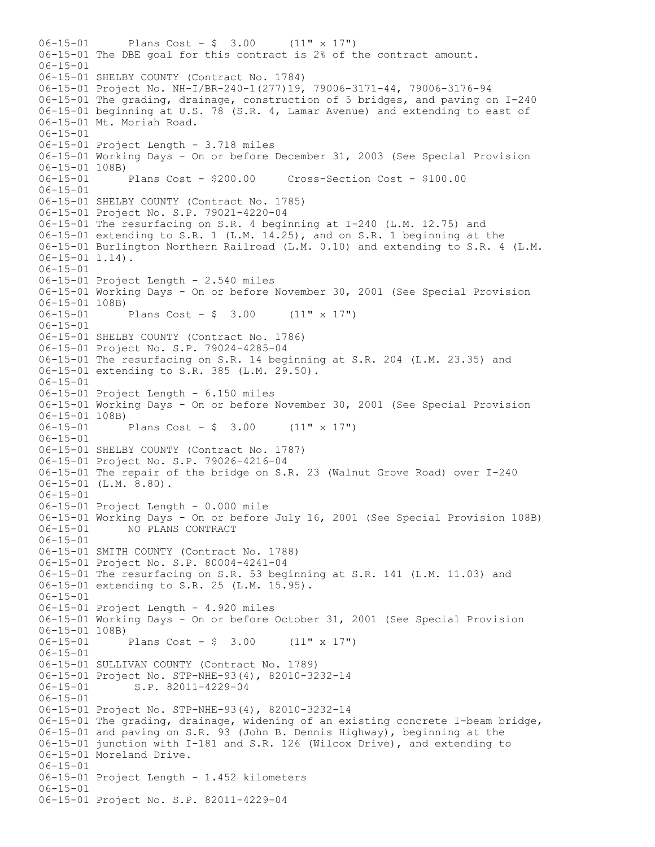06-15-01 Plans Cost - \$ 3.00 (11" x 17") 06-15-01 The DBE goal for this contract is 2% of the contract amount. 06-15-01 06-15-01 SHELBY COUNTY (Contract No. 1784) 06-15-01 Project No. NH-I/BR-240-1(277)19, 79006-3171-44, 79006-3176-94 06-15-01 The grading, drainage, construction of 5 bridges, and paving on I-240 06-15-01 beginning at U.S. 78 (S.R. 4, Lamar Avenue) and extending to east of 06-15-01 Mt. Moriah Road. 06-15-01 06-15-01 Project Length - 3.718 miles 06-15-01 Working Days - On or before December 31, 2003 (See Special Provision 06-15-01 108B)<br>06-15-01 Plans Cost - \$200.00 06-15-01 Plans Cost - \$200.00 Cross-Section Cost - \$100.00 06-15-01 06-15-01 SHELBY COUNTY (Contract No. 1785) 06-15-01 Project No. S.P. 79021-4220-04 06-15-01 The resurfacing on S.R. 4 beginning at I-240 (L.M. 12.75) and 06-15-01 extending to S.R. 1 (L.M. 14.25), and on S.R. 1 beginning at the 06-15-01 Burlington Northern Railroad (L.M. 0.10) and extending to S.R. 4 (L.M.  $06-15-01$  1.14). 06-15-01 06-15-01 Project Length - 2.540 miles 06-15-01 Working Days - On or before November 30, 2001 (See Special Provision 06-15-01 108B) 06-15-01 Plans Cost - \$ 3.00 (11" x 17")  $06 - 15 - 01$ 06-15-01 SHELBY COUNTY (Contract No. 1786) 06-15-01 Project No. S.P. 79024-4285-04 06-15-01 The resurfacing on S.R. 14 beginning at S.R. 204 (L.M. 23.35) and 06-15-01 extending to S.R. 385 (L.M. 29.50). 06-15-01 06-15-01 Project Length - 6.150 miles 06-15-01 Working Days - On or before November 30, 2001 (See Special Provision 06-15-01 108B)<br>06-15-01 Plans Cost -  $$3.00$  (11" x 17") 06-15-01 06-15-01 SHELBY COUNTY (Contract No. 1787) 06-15-01 Project No. S.P. 79026-4216-04 06-15-01 The repair of the bridge on S.R. 23 (Walnut Grove Road) over I-240 06-15-01 (L.M. 8.80). 06-15-01 06-15-01 Project Length - 0.000 mile 06-15-01 Working Days - On or before July 16, 2001 (See Special Provision 108B) 06-15-01 NO PLANS CONTRACT 06-15-01 06-15-01 SMITH COUNTY (Contract No. 1788) 06-15-01 Project No. S.P. 80004-4241-04 06-15-01 The resurfacing on S.R. 53 beginning at S.R. 141 (L.M. 11.03) and 06-15-01 extending to S.R. 25 (L.M. 15.95). 06-15-01 06-15-01 Project Length - 4.920 miles 06-15-01 Working Days - On or before October 31, 2001 (See Special Provision 06-15-01 108B)<br>06-15-01 Plans Cost -  $$3.00$  (11" x 17") 06-15-01 06-15-01 SULLIVAN COUNTY (Contract No. 1789) 06-15-01 Project No. STP-NHE-93(4), 82010-3232-14<br>06-15-01 S.P. 82011-4229-04 S.P. 82011-4229-04 06-15-01 06-15-01 Project No. STP-NHE-93(4), 82010-3232-14 06-15-01 The grading, drainage, widening of an existing concrete I-beam bridge, 06-15-01 and paving on S.R. 93 (John B. Dennis Highway), beginning at the 06-15-01 junction with I-181 and S.R. 126 (Wilcox Drive), and extending to 06-15-01 Moreland Drive. 06-15-01 06-15-01 Project Length - 1.452 kilometers 06-15-01 06-15-01 Project No. S.P. 82011-4229-04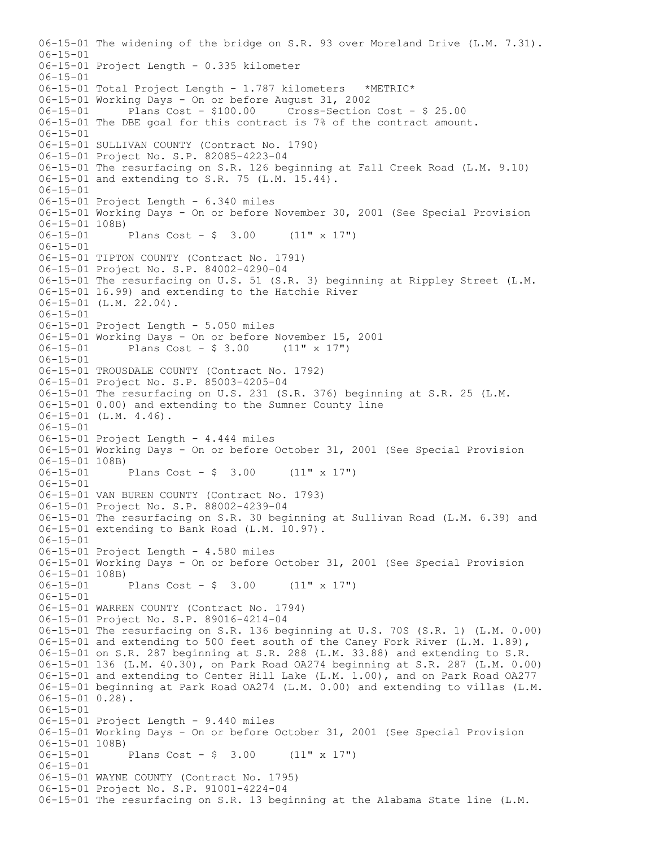06-15-01 The widening of the bridge on S.R. 93 over Moreland Drive (L.M. 7.31).  $06 - 15 - 01$ 06-15-01 Project Length - 0.335 kilometer 06-15-01 06-15-01 Total Project Length - 1.787 kilometers \*METRIC\* 06-15-01 Working Days - On or before August 31, 2002 Plans Cost - \$100.00 Cross-Section Cost - \$ 25.00 06-15-01 The DBE goal for this contract is 7% of the contract amount. 06-15-01 06-15-01 SULLIVAN COUNTY (Contract No. 1790) 06-15-01 Project No. S.P. 82085-4223-04 06-15-01 The resurfacing on S.R. 126 beginning at Fall Creek Road (L.M. 9.10) 06-15-01 and extending to S.R. 75 (L.M. 15.44). 06-15-01 06-15-01 Project Length - 6.340 miles 06-15-01 Working Days - On or before November 30, 2001 (See Special Provision 06-15-01 108B)<br>06-15-01 Plans Cost -  $$3.00$  (11" x 17") 06-15-01 06-15-01 TIPTON COUNTY (Contract No. 1791) 06-15-01 Project No. S.P. 84002-4290-04 06-15-01 The resurfacing on U.S. 51 (S.R. 3) beginning at Rippley Street (L.M. 06-15-01 16.99) and extending to the Hatchie River 06-15-01 (L.M. 22.04). 06-15-01 06-15-01 Project Length - 5.050 miles 06-15-01 Working Days - On or before November 15, 2001 06-15-01 Plans Cost - \$ 3.00 (11" x 17") 06-15-01 06-15-01 TROUSDALE COUNTY (Contract No. 1792) 06-15-01 Project No. S.P. 85003-4205-04 06-15-01 The resurfacing on U.S. 231 (S.R. 376) beginning at S.R. 25 (L.M. 06-15-01 0.00) and extending to the Sumner County line 06-15-01 (L.M. 4.46). 06-15-01 06-15-01 Project Length - 4.444 miles 06-15-01 Working Days - On or before October 31, 2001 (See Special Provision  $06-15-01$  108B)<br> $06-15-01$ Plans Cost -  $\frac{6}{7}$  3.00 (11" x 17") 06-15-01 06-15-01 VAN BUREN COUNTY (Contract No. 1793) 06-15-01 Project No. S.P. 88002-4239-04 06-15-01 The resurfacing on S.R. 30 beginning at Sullivan Road (L.M. 6.39) and 06-15-01 extending to Bank Road (L.M. 10.97). 06-15-01 06-15-01 Project Length - 4.580 miles 06-15-01 Working Days - On or before October 31, 2001 (See Special Provision 06-15-01 108B)<br>06-15-01 Plans Cost -  $$3.00$  (11" x 17")  $06 - 15 - 01$ 06-15-01 WARREN COUNTY (Contract No. 1794) 06-15-01 Project No. S.P. 89016-4214-04 06-15-01 The resurfacing on S.R. 136 beginning at U.S. 70S (S.R. 1) (L.M. 0.00) 06-15-01 and extending to 500 feet south of the Caney Fork River (L.M. 1.89), 06-15-01 on S.R. 287 beginning at S.R. 288 (L.M. 33.88) and extending to S.R. 06-15-01 136 (L.M. 40.30), on Park Road OA274 beginning at S.R. 287 (L.M. 0.00) 06-15-01 and extending to Center Hill Lake (L.M. 1.00), and on Park Road OA277 06-15-01 beginning at Park Road OA274 (L.M. 0.00) and extending to villas (L.M. 06-15-01 0.28). 06-15-01 06-15-01 Project Length - 9.440 miles 06-15-01 Working Days - On or before October 31, 2001 (See Special Provision 06-15-01 108B) 06-15-01 Plans Cost - \$ 3.00 (11" x 17") 06-15-01 06-15-01 WAYNE COUNTY (Contract No. 1795) 06-15-01 Project No. S.P. 91001-4224-04 06-15-01 The resurfacing on S.R. 13 beginning at the Alabama State line (L.M.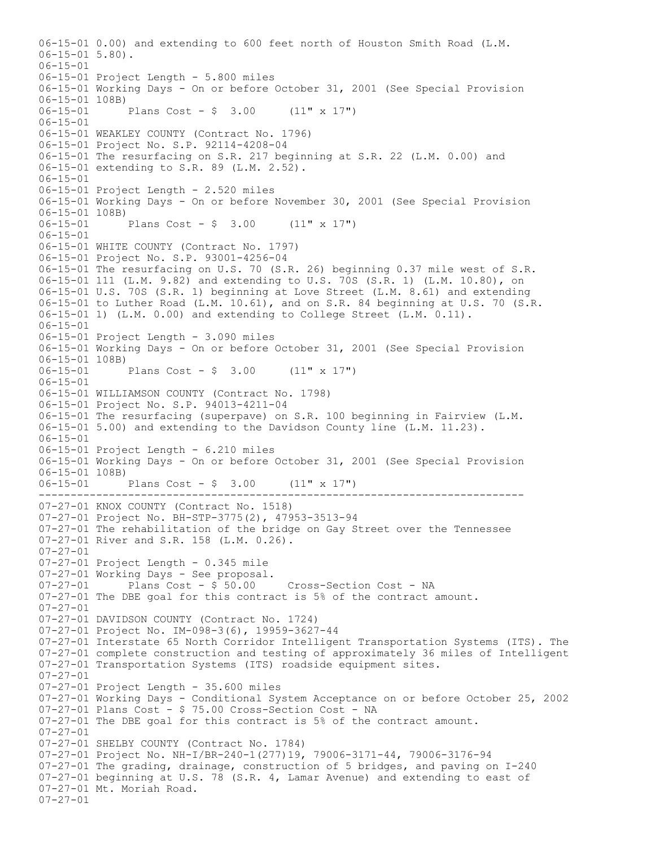---------------------------------------------------------------------------- 06-15-01 0.00) and extending to 600 feet north of Houston Smith Road (L.M. 06-15-01 5.80). 06-15-01 06-15-01 Project Length - 5.800 miles 06-15-01 Working Days - On or before October 31, 2001 (See Special Provision 06-15-01 108B)<br>06-15-01 Plans Cost -  $\frac{1}{2}$  3.00 (11" x 17") 06-15-01 06-15-01 WEAKLEY COUNTY (Contract No. 1796) 06-15-01 Project No. S.P. 92114-4208-04 06-15-01 The resurfacing on S.R. 217 beginning at S.R. 22 (L.M. 0.00) and 06-15-01 extending to S.R. 89 (L.M. 2.52). 06-15-01 06-15-01 Project Length - 2.520 miles 06-15-01 Working Days - On or before November 30, 2001 (See Special Provision 06-15-01 108B)<br>06-15-01 Plans Cost -  $$3.00$  (11" x 17") 06-15-01 06-15-01 WHITE COUNTY (Contract No. 1797) 06-15-01 Project No. S.P. 93001-4256-04 06-15-01 The resurfacing on U.S. 70 (S.R. 26) beginning 0.37 mile west of S.R. 06-15-01 111 (L.M. 9.82) and extending to U.S. 70S (S.R. 1) (L.M. 10.80), on 06-15-01 U.S. 70S (S.R. 1) beginning at Love Street (L.M. 8.61) and extending 06-15-01 to Luther Road (L.M. 10.61), and on S.R. 84 beginning at U.S. 70 (S.R. 06-15-01 1) (L.M. 0.00) and extending to College Street (L.M. 0.11).  $06 - 15 - 01$ 06-15-01 Project Length - 3.090 miles 06-15-01 Working Days - On or before October 31, 2001 (See Special Provision 06-15-01 108B)<br>06-15-01 I Plans Cost -  $$3.00$  (11" x 17") 06-15-01 06-15-01 WILLIAMSON COUNTY (Contract No. 1798) 06-15-01 Project No. S.P. 94013-4211-04 06-15-01 The resurfacing (superpave) on S.R. 100 beginning in Fairview (L.M. 06-15-01 5.00) and extending to the Davidson County line (L.M. 11.23). 06-15-01 06-15-01 Project Length - 6.210 miles 06-15-01 Working Days - On or before October 31, 2001 (See Special Provision 06-15-01 108B) 06-15-01 Plans Cost - \$ 3.00 (11" x 17") 07-27-01 KNOX COUNTY (Contract No. 1518) 07-27-01 Project No. BH-STP-3775(2), 47953-3513-94 07-27-01 The rehabilitation of the bridge on Gay Street over the Tennessee 07-27-01 River and S.R. 158 (L.M. 0.26). 07-27-01 07-27-01 Project Length - 0.345 mile  $07-27-01$  Working Days - See proposal.<br> $07-27-01$  Plans Cost - \$ 50.00 Plans Cost - \$ 50.00 Cross-Section Cost - NA 07-27-01 The DBE goal for this contract is 5% of the contract amount.  $07 - 27 - 01$ 07-27-01 DAVIDSON COUNTY (Contract No. 1724) 07-27-01 Project No. IM-098-3(6), 19959-3627-44 07-27-01 Interstate 65 North Corridor Intelligent Transportation Systems (ITS). The 07-27-01 complete construction and testing of approximately 36 miles of Intelligent 07-27-01 Transportation Systems (ITS) roadside equipment sites. 07-27-01 07-27-01 Project Length - 35.600 miles 07-27-01 Working Days - Conditional System Acceptance on or before October 25, 2002 07-27-01 Plans Cost - \$ 75.00 Cross-Section Cost - NA 07-27-01 The DBE goal for this contract is 5% of the contract amount. 07-27-01 07-27-01 SHELBY COUNTY (Contract No. 1784) 07-27-01 Project No. NH-I/BR-240-1(277)19, 79006-3171-44, 79006-3176-94 07-27-01 The grading, drainage, construction of 5 bridges, and paving on I-240 07-27-01 beginning at U.S. 78 (S.R. 4, Lamar Avenue) and extending to east of 07-27-01 Mt. Moriah Road. 07-27-01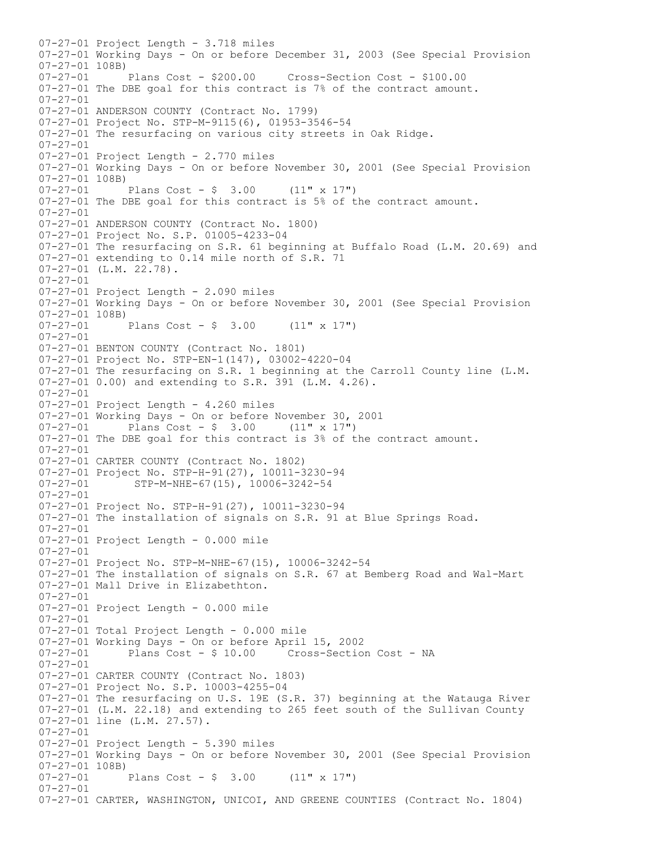07-27-01 Project Length - 3.718 miles 07-27-01 Working Days - On or before December 31, 2003 (See Special Provision 07-27-01 108B) 07-27-01 Plans Cost - \$200.00 Cross-Section Cost - \$100.00 07-27-01 The DBE goal for this contract is 7% of the contract amount. 07-27-01 07-27-01 ANDERSON COUNTY (Contract No. 1799) 07-27-01 Project No. STP-M-9115(6), 01953-3546-54 07-27-01 The resurfacing on various city streets in Oak Ridge. 07-27-01 07-27-01 Project Length - 2.770 miles 07-27-01 Working Days - On or before November 30, 2001 (See Special Provision 07-27-01 108B)  $07-27-01$  Plans Cost - \$ 3.00 (11" x 17") 07-27-01 The DBE goal for this contract is 5% of the contract amount. 07-27-01 07-27-01 ANDERSON COUNTY (Contract No. 1800) 07-27-01 Project No. S.P. 01005-4233-04 07-27-01 The resurfacing on S.R. 61 beginning at Buffalo Road (L.M. 20.69) and 07-27-01 extending to 0.14 mile north of S.R. 71 07-27-01 (L.M. 22.78). 07-27-01 07-27-01 Project Length - 2.090 miles 07-27-01 Working Days - On or before November 30, 2001 (See Special Provision  $07-27-01$  108B)<br>07-27-01 Plans Cost -  $$ 3.00$  (11" x 17") 07-27-01 07-27-01 BENTON COUNTY (Contract No. 1801) 07-27-01 Project No. STP-EN-1(147), 03002-4220-04 07-27-01 The resurfacing on S.R. 1 beginning at the Carroll County line (L.M. 07-27-01 0.00) and extending to S.R. 391 (L.M. 4.26). 07-27-01 07-27-01 Project Length - 4.260 miles 07-27-01 Working Days - On or before November 30, 2001<br>07-27-01 Plans Cost - \$ 3.00 (11" x 17") Plans Cost -  $\frac{1}{2}$  3.00 (11" x 17") 07-27-01 The DBE goal for this contract is 3% of the contract amount. 07-27-01 07-27-01 CARTER COUNTY (Contract No. 1802) 07-27-01 Project No. STP-H-91(27), 10011-3230-94 07-27-01 STP-M-NHE-67(15), 10006-3242-54 07-27-01 07-27-01 Project No. STP-H-91(27), 10011-3230-94 07-27-01 The installation of signals on S.R. 91 at Blue Springs Road. 07-27-01 07-27-01 Project Length - 0.000 mile 07-27-01 07-27-01 Project No. STP-M-NHE-67(15), 10006-3242-54 07-27-01 The installation of signals on S.R. 67 at Bemberg Road and Wal-Mart 07-27-01 Mall Drive in Elizabethton. 07-27-01 07-27-01 Project Length - 0.000 mile 07-27-01 07-27-01 Total Project Length - 0.000 mile 07-27-01 Working Days - On or before April 15, 2002 Cross-Section Cost - NA 07-27-01 07-27-01 CARTER COUNTY (Contract No. 1803) 07-27-01 Project No. S.P. 10003-4255-04 07-27-01 The resurfacing on U.S. 19E (S.R. 37) beginning at the Watauga River 07-27-01 (L.M. 22.18) and extending to 265 feet south of the Sullivan County 07-27-01 line (L.M. 27.57). 07-27-01 07-27-01 Project Length - 5.390 miles 07-27-01 Working Days - On or before November 30, 2001 (See Special Provision 07-27-01 108B)  $07-27-01$  Plans Cost - \$ 3.00 (11" x 17") 07-27-01 07-27-01 CARTER, WASHINGTON, UNICOI, AND GREENE COUNTIES (Contract No. 1804)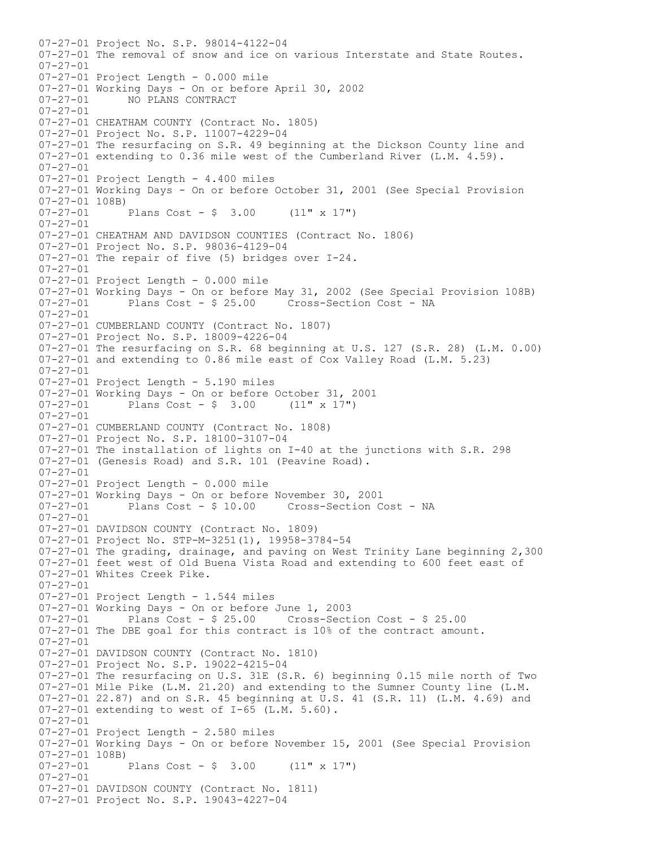07-27-01 Project No. S.P. 98014-4122-04 07-27-01 The removal of snow and ice on various Interstate and State Routes. 07-27-01 07-27-01 Project Length - 0.000 mile 07-27-01 Working Days - On or before April 30, 2002 07-27-01 NO PLANS CONTRACT 07-27-01 07-27-01 CHEATHAM COUNTY (Contract No. 1805) 07-27-01 Project No. S.P. 11007-4229-04 07-27-01 The resurfacing on S.R. 49 beginning at the Dickson County line and 07-27-01 extending to 0.36 mile west of the Cumberland River (L.M. 4.59).  $07 - 27 - 01$ 07-27-01 Project Length - 4.400 miles 07-27-01 Working Days - On or before October 31, 2001 (See Special Provision 07-27-01 108B) Plans Cost -  $\frac{1}{2}$  3.00 (11" x 17") 07-27-01 07-27-01 CHEATHAM AND DAVIDSON COUNTIES (Contract No. 1806) 07-27-01 Project No. S.P. 98036-4129-04 07-27-01 The repair of five (5) bridges over I-24. 07-27-01 07-27-01 Project Length - 0.000 mile 07-27-01 Working Days - On or before May 31, 2002 (See Special Provision 108B) 07-27-01 Plans Cost - \$ 25.00 Cross-Section Cost - NA  $07 - 27 - 01$ 07-27-01 CUMBERLAND COUNTY (Contract No. 1807) 07-27-01 Project No. S.P. 18009-4226-04 07-27-01 The resurfacing on S.R. 68 beginning at U.S. 127 (S.R. 28) (L.M. 0.00) 07-27-01 and extending to 0.86 mile east of Cox Valley Road (L.M. 5.23) 07-27-01 07-27-01 Project Length - 5.190 miles 07-27-01 Working Days - On or before October 31, 2001<br>07-27-01 Plans Cost -  $\frac{6}{7}$  3.00 (11" x 17") Plans  $Cost - $ 3.00$ 07-27-01 07-27-01 CUMBERLAND COUNTY (Contract No. 1808) 07-27-01 Project No. S.P. 18100-3107-04 07-27-01 The installation of lights on I-40 at the junctions with S.R. 298 07-27-01 (Genesis Road) and S.R. 101 (Peavine Road). 07-27-01 07-27-01 Project Length - 0.000 mile 07-27-01 Working Days - On or before November 30, 2001 Plans Cost - \$ 10.00 Cross-Section Cost - NA 07-27-01 07-27-01 DAVIDSON COUNTY (Contract No. 1809) 07-27-01 Project No. STP-M-3251(1), 19958-3784-54 07-27-01 The grading, drainage, and paving on West Trinity Lane beginning 2,300 07-27-01 feet west of Old Buena Vista Road and extending to 600 feet east of 07-27-01 Whites Creek Pike. 07-27-01 07-27-01 Project Length - 1.544 miles 07-27-01 Working Days - On or before June 1, 2003 07-27-01 Plans Cost - \$ 25.00 Cross-Section Cost - \$ 25.00 07-27-01 The DBE goal for this contract is 10% of the contract amount. 07-27-01 07-27-01 DAVIDSON COUNTY (Contract No. 1810) 07-27-01 Project No. S.P. 19022-4215-04 07-27-01 The resurfacing on U.S. 31E (S.R. 6) beginning 0.15 mile north of Two 07-27-01 Mile Pike (L.M. 21.20) and extending to the Sumner County line (L.M. 07-27-01 22.87) and on S.R. 45 beginning at U.S. 41 (S.R. 11) (L.M. 4.69) and 07-27-01 extending to west of I-65 (L.M. 5.60). 07-27-01 07-27-01 Project Length - 2.580 miles 07-27-01 Working Days - On or before November 15, 2001 (See Special Provision  $07-27-01$  108B)<br> $07-27-01$ Plans Cost -  $$3.00$  (11" x 17") 07-27-01 07-27-01 DAVIDSON COUNTY (Contract No. 1811) 07-27-01 Project No. S.P. 19043-4227-04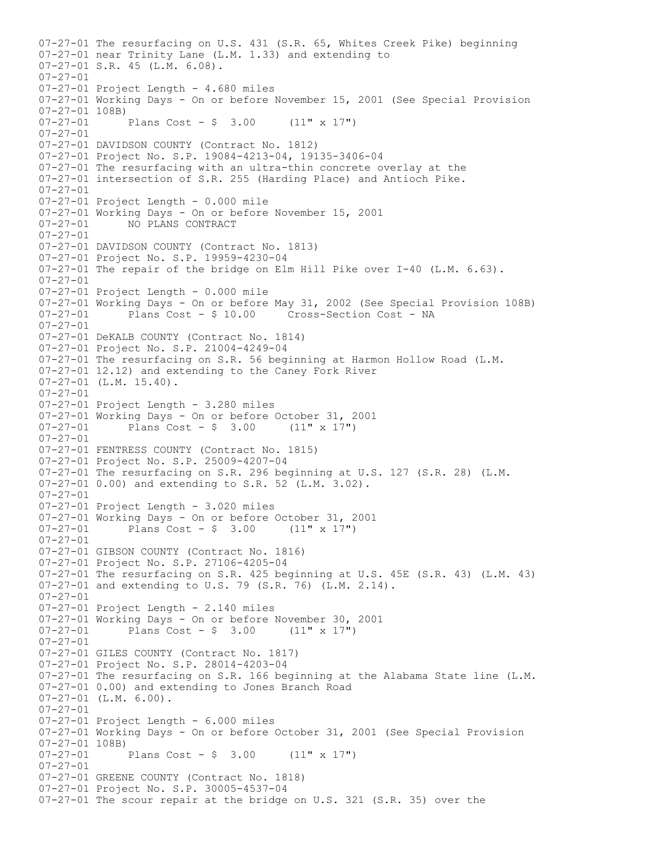07-27-01 The resurfacing on U.S. 431 (S.R. 65, Whites Creek Pike) beginning 07-27-01 near Trinity Lane (L.M. 1.33) and extending to 07-27-01 S.R. 45 (L.M. 6.08). 07-27-01 07-27-01 Project Length - 4.680 miles 07-27-01 Working Days - On or before November 15, 2001 (See Special Provision  $07-27-01$  108B)<br>07-27-01 Plans Cost -  $$ 3.00$  (11" x 17") 07-27-01 07-27-01 DAVIDSON COUNTY (Contract No. 1812) 07-27-01 Project No. S.P. 19084-4213-04, 19135-3406-04 07-27-01 The resurfacing with an ultra-thin concrete overlay at the 07-27-01 intersection of S.R. 255 (Harding Place) and Antioch Pike. 07-27-01 07-27-01 Project Length - 0.000 mile 07-27-01 Working Days - On or before November 15, 2001<br>07-27-01 MO PLANS CONTRACT 07-27-01 NO PLANS CONTRACT 07-27-01 07-27-01 DAVIDSON COUNTY (Contract No. 1813) 07-27-01 Project No. S.P. 19959-4230-04 07-27-01 The repair of the bridge on Elm Hill Pike over I-40 (L.M. 6.63). 07-27-01 07-27-01 Project Length - 0.000 mile 07-27-01 Working Days - On or before May 31, 2002 (See Special Provision 108B)<br>07-27-01 Plans Cost - \$ 10.00 Cross-Section Cost - NA Plans Cost - \$ 10.00 Cross-Section Cost - NA  $07 - 27 - 01$ 07-27-01 DeKALB COUNTY (Contract No. 1814) 07-27-01 Project No. S.P. 21004-4249-04 07-27-01 The resurfacing on S.R. 56 beginning at Harmon Hollow Road (L.M. 07-27-01 12.12) and extending to the Caney Fork River 07-27-01 (L.M. 15.40). 07-27-01 07-27-01 Project Length - 3.280 miles 07-27-01 Working Days - On or before October 31, 2001<br>07-27-01 Plans Cost -  $\frac{6}{7}$  3.00 (11" x 17") Plans Cost -  $\frac{1}{7}$  3.00 07-27-01 07-27-01 FENTRESS COUNTY (Contract No. 1815) 07-27-01 Project No. S.P. 25009-4207-04 07-27-01 The resurfacing on S.R. 296 beginning at U.S. 127 (S.R. 28) (L.M. 07-27-01 0.00) and extending to S.R. 52 (L.M. 3.02). 07-27-01 07-27-01 Project Length - 3.020 miles 07-27-01 Working Days - On or before October 31, 2001<br>07-27-01 Plans Cost -  $\frac{6}{7}$  3.00 (11" x 17") Plans Cost -  $$ 3.00$  (11" x 17") 07-27-01 07-27-01 GIBSON COUNTY (Contract No. 1816) 07-27-01 Project No. S.P. 27106-4205-04 07-27-01 The resurfacing on S.R. 425 beginning at U.S. 45E (S.R. 43) (L.M. 43) 07-27-01 and extending to U.S. 79 (S.R. 76) (L.M. 2.14).  $07 - 27 - 01$ 07-27-01 Project Length - 2.140 miles 07-27-01 Working Days - On or before November 30, 2001  $07-27-01$  Plans Cost - \$ 3.00 (11" x 17") 07-27-01 07-27-01 GILES COUNTY (Contract No. 1817) 07-27-01 Project No. S.P. 28014-4203-04 07-27-01 The resurfacing on S.R. 166 beginning at the Alabama State line (L.M. 07-27-01 0.00) and extending to Jones Branch Road 07-27-01 (L.M. 6.00). 07-27-01 07-27-01 Project Length - 6.000 miles 07-27-01 Working Days - On or before October 31, 2001 (See Special Provision 07-27-01 108B)<br>07-27-01 Plans Cost -  $$ 3.00$  (11" x 17") 07-27-01 07-27-01 GREENE COUNTY (Contract No. 1818) 07-27-01 Project No. S.P. 30005-4537-04 07-27-01 The scour repair at the bridge on U.S. 321 (S.R. 35) over the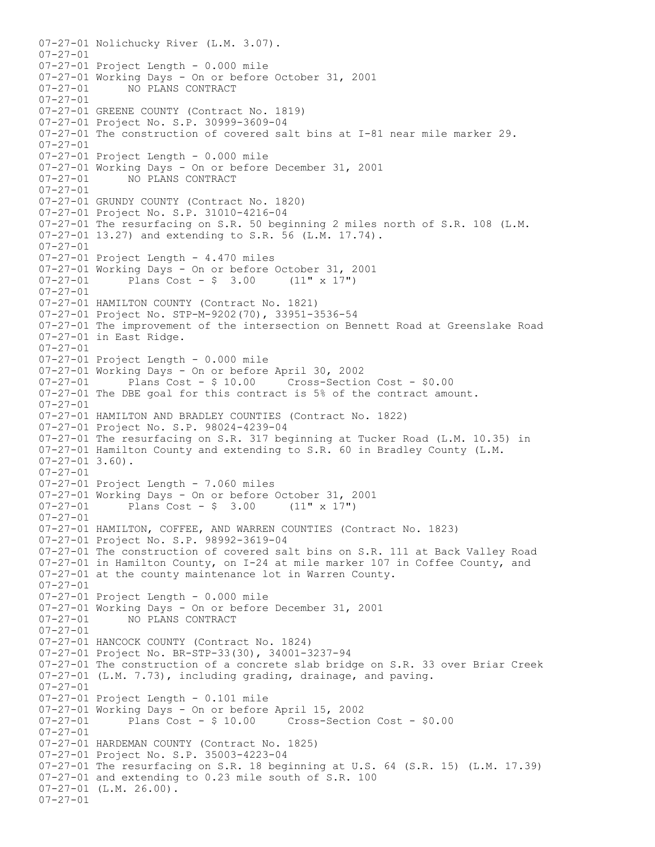07-27-01 Nolichucky River (L.M. 3.07). 07-27-01 07-27-01 Project Length - 0.000 mile 07-27-01 Working Days - On or before October 31, 2001 07-27-01 NO PLANS CONTRACT 07-27-01 07-27-01 GREENE COUNTY (Contract No. 1819) 07-27-01 Project No. S.P. 30999-3609-04 07-27-01 The construction of covered salt bins at I-81 near mile marker 29. 07-27-01 07-27-01 Project Length - 0.000 mile 07-27-01 Working Days - On or before December 31, 2001<br>07-27-01 NO PLANS CONTRACT NO PLANS CONTRACT  $07 - 27 - 01$ 07-27-01 GRUNDY COUNTY (Contract No. 1820) 07-27-01 Project No. S.P. 31010-4216-04 07-27-01 The resurfacing on S.R. 50 beginning 2 miles north of S.R. 108 (L.M. 07-27-01 13.27) and extending to S.R. 56 (L.M. 17.74). 07-27-01 07-27-01 Project Length - 4.470 miles 07-27-01 Working Days - On or before October 31, 2001<br>07-27-01 Plans Cost - \$ 3.00 (11" x 17") Plans Cost -  $\frac{1}{2}$  3.00 (11" x 17") 07-27-01 07-27-01 HAMILTON COUNTY (Contract No. 1821) 07-27-01 Project No. STP-M-9202(70), 33951-3536-54 07-27-01 The improvement of the intersection on Bennett Road at Greenslake Road 07-27-01 in East Ridge. 07-27-01 07-27-01 Project Length - 0.000 mile 07-27-01 Working Days - On or before April 30, 2002 Plans  $Cost - $ 10.00$  Cross-Section Cost -  $$0.00$ 07-27-01 The DBE goal for this contract is 5% of the contract amount. 07-27-01 07-27-01 HAMILTON AND BRADLEY COUNTIES (Contract No. 1822) 07-27-01 Project No. S.P. 98024-4239-04 07-27-01 The resurfacing on S.R. 317 beginning at Tucker Road (L.M. 10.35) in 07-27-01 Hamilton County and extending to S.R. 60 in Bradley County (L.M.  $07-27-01$  3.60). 07-27-01 07-27-01 Project Length - 7.060 miles 07-27-01 Working Days - On or before October 31, 2001<br>07-27-01 Plans Cost -  $\frac{6}{7}$  3.00 (11" x 17") Plans Cost -  $\frac{1}{2}$  3.00 (11" x 17") 07-27-01 07-27-01 HAMILTON, COFFEE, AND WARREN COUNTIES (Contract No. 1823) 07-27-01 Project No. S.P. 98992-3619-04 07-27-01 The construction of covered salt bins on S.R. 111 at Back Valley Road 07-27-01 in Hamilton County, on I-24 at mile marker 107 in Coffee County, and 07-27-01 at the county maintenance lot in Warren County. 07-27-01 07-27-01 Project Length - 0.000 mile 07-27-01 Working Days - On or before December 31, 2001 07-27-01 NO PLANS CONTRACT 07-27-01 07-27-01 HANCOCK COUNTY (Contract No. 1824) 07-27-01 Project No. BR-STP-33(30), 34001-3237-94 07-27-01 The construction of a concrete slab bridge on S.R. 33 over Briar Creek 07-27-01 (L.M. 7.73), including grading, drainage, and paving. 07-27-01 07-27-01 Project Length - 0.101 mile 07-27-01 Working Days - On or before April 15, 2002 Cross-Section Cost - \$0.00 07-27-01 07-27-01 HARDEMAN COUNTY (Contract No. 1825) 07-27-01 Project No. S.P. 35003-4223-04 07-27-01 The resurfacing on S.R. 18 beginning at U.S. 64 (S.R. 15) (L.M. 17.39) 07-27-01 and extending to 0.23 mile south of S.R. 100 07-27-01 (L.M. 26.00). 07-27-01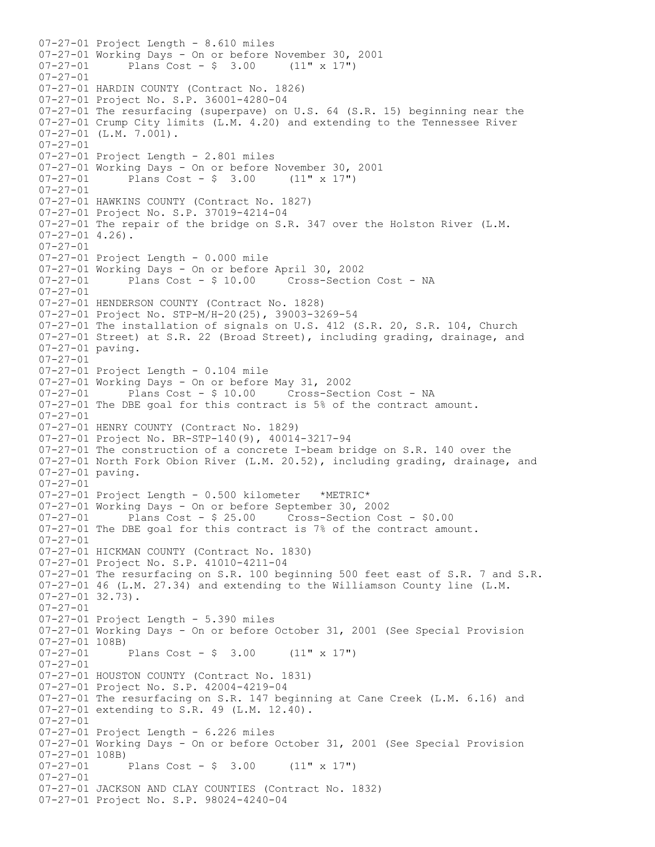07-27-01 Project Length - 8.610 miles 07-27-01 Working Days - On or before November 30, 2001 07-27-01 Plans Cost - \$ 3.00 (11" x 17") 07-27-01 07-27-01 HARDIN COUNTY (Contract No. 1826) 07-27-01 Project No. S.P. 36001-4280-04 07-27-01 The resurfacing (superpave) on U.S. 64 (S.R. 15) beginning near the 07-27-01 Crump City limits (L.M. 4.20) and extending to the Tennessee River  $07-27-01$  (L.M. 7.001). 07-27-01 07-27-01 Project Length - 2.801 miles 07-27-01 Working Days - On or before November 30, 2001<br>07-27-01 Plans Cost - \$ 3.00  $(11" \times 17")$  $07 - 27 - 01$  Plans Cost - \$ 3.00 07-27-01 07-27-01 HAWKINS COUNTY (Contract No. 1827) 07-27-01 Project No. S.P. 37019-4214-04 07-27-01 The repair of the bridge on S.R. 347 over the Holston River (L.M. 07-27-01 4.26). 07-27-01 07-27-01 Project Length - 0.000 mile 07-27-01 Working Days - On or before April 30, 2002 Plans Cost - \$ 10.00 Cross-Section Cost - NA 07-27-01 07-27-01 HENDERSON COUNTY (Contract No. 1828) 07-27-01 Project No. STP-M/H-20(25), 39003-3269-54 07-27-01 The installation of signals on U.S. 412 (S.R. 20, S.R. 104, Church 07-27-01 Street) at S.R. 22 (Broad Street), including grading, drainage, and 07-27-01 paving. 07-27-01 07-27-01 Project Length - 0.104 mile 07-27-01 Working Days - On or before May 31, 2002 Plans Cost - \$ 10.00 Cross-Section Cost - NA 07-27-01 The DBE goal for this contract is 5% of the contract amount. 07-27-01 07-27-01 HENRY COUNTY (Contract No. 1829) 07-27-01 Project No. BR-STP-140(9), 40014-3217-94 07-27-01 The construction of a concrete I-beam bridge on S.R. 140 over the 07-27-01 North Fork Obion River (L.M. 20.52), including grading, drainage, and 07-27-01 paving. 07-27-01 07-27-01 Project Length - 0.500 kilometer \*METRIC\* 07-27-01 Working Days - On or before September 30, 2002 Plans Cost -  $$25.00$  Cross-Section Cost -  $$0.00$ 07-27-01 The DBE goal for this contract is 7% of the contract amount. 07-27-01 07-27-01 HICKMAN COUNTY (Contract No. 1830) 07-27-01 Project No. S.P. 41010-4211-04 07-27-01 The resurfacing on S.R. 100 beginning 500 feet east of S.R. 7 and S.R. 07-27-01 46 (L.M. 27.34) and extending to the Williamson County line (L.M. 07-27-01 32.73).  $07 - 27 - 01$ 07-27-01 Project Length - 5.390 miles 07-27-01 Working Days - On or before October 31, 2001 (See Special Provision 07-27-01 108B) Plans Cost -  $$ 3.00$  (11" x 17") 07-27-01 07-27-01 HOUSTON COUNTY (Contract No. 1831) 07-27-01 Project No. S.P. 42004-4219-04 07-27-01 The resurfacing on S.R. 147 beginning at Cane Creek (L.M. 6.16) and 07-27-01 extending to S.R. 49 (L.M. 12.40). 07-27-01 07-27-01 Project Length - 6.226 miles 07-27-01 Working Days - On or before October 31, 2001 (See Special Provision  $07-27-01$  108B)<br> $07-27-01$ Plans Cost -  $$ 3.00$  (11" x 17") 07-27-01 07-27-01 JACKSON AND CLAY COUNTIES (Contract No. 1832) 07-27-01 Project No. S.P. 98024-4240-04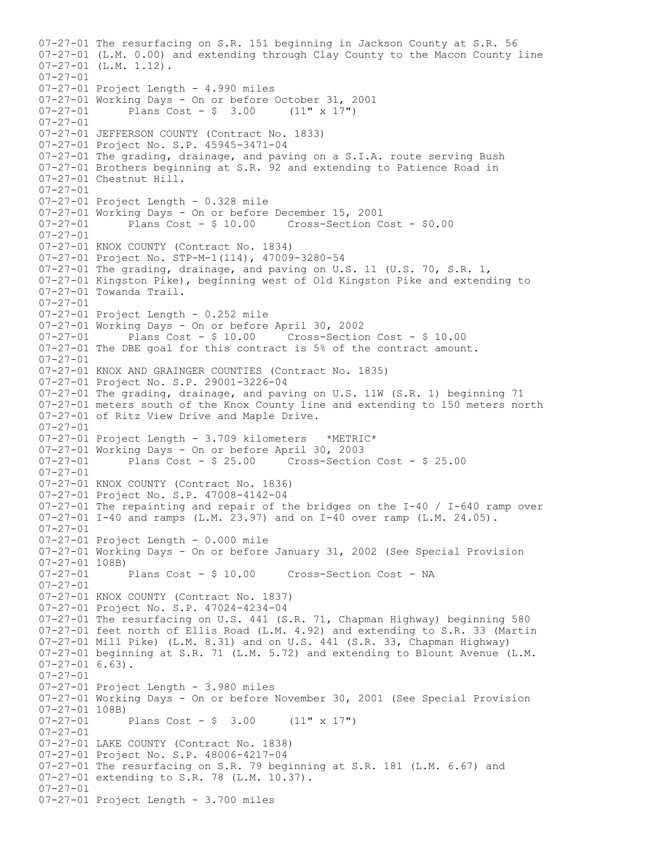07-27-01 The resurfacing on S.R. 151 beginning in Jackson County at S.R. 56 07-27-01 (L.M. 0.00) and extending through Clay County to the Macon County line 07-27-01 (L.M. 1.12). 07-27-01 07-27-01 Project Length - 4.990 miles 07-27-01 Working Days - On or before October 31, 2001<br>07-27-01 Plans Cost -  $\frac{6}{7}$  3.00 (11" x 17") Plans  $Cost - $ 3.00$ 07-27-01 07-27-01 JEFFERSON COUNTY (Contract No. 1833) 07-27-01 Project No. S.P. 45945-3471-04 07-27-01 The grading, drainage, and paving on a S.I.A. route serving Bush 07-27-01 Brothers beginning at S.R. 92 and extending to Patience Road in 07-27-01 Chestnut Hill.  $07 - 27 - 01$ 07-27-01 Project Length - 0.328 mile 07-27-01 Working Days - On or before December 15, 2001 Plans Cost -  $$10.00$  Cross-Section Cost -  $$0.00$ 07-27-01 07-27-01 KNOX COUNTY (Contract No. 1834) 07-27-01 Project No. STP-M-1(114), 47009-3280-54 07-27-01 The grading, drainage, and paving on U.S. 11 (U.S. 70, S.R. 1, 07-27-01 Kingston Pike), beginning west of Old Kingston Pike and extending to 07-27-01 Towanda Trail. 07-27-01 07-27-01 Project Length - 0.252 mile 07-27-01 Working Days - On or before April 30, 2002 07-27-01 Plans Cost - \$ 10.00 Cross-Section Cost - \$ 10.00 07-27-01 The DBE goal for this contract is 5% of the contract amount. 07-27-01 07-27-01 KNOX AND GRAINGER COUNTIES (Contract No. 1835) 07-27-01 Project No. S.P. 29001-3226-04 07-27-01 The grading, drainage, and paving on U.S. 11W (S.R. 1) beginning 71 07-27-01 meters south of the Knox County line and extending to 150 meters north 07-27-01 of Ritz View Drive and Maple Drive. 07-27-01 07-27-01 Project Length - 3.709 kilometers \*METRIC\* 07-27-01 Working Days - On or before April 30, 2003 07-27-01 Plans Cost - \$ 25.00 Cross-Section Cost - \$ 25.00  $07 - 27 - 01$ 07-27-01 KNOX COUNTY (Contract No. 1836) 07-27-01 Project No. S.P. 47008-4142-04 07-27-01 The repainting and repair of the bridges on the I-40 / I-640 ramp over 07-27-01 I-40 and ramps (L.M. 23.97) and on I-40 over ramp (L.M. 24.05). 07-27-01 07-27-01 Project Length - 0.000 mile 07-27-01 Working Days - On or before January 31, 2002 (See Special Provision 07-27-01 108B)<br>07-27-01 Plans Cost - \$ 10.00 Cross-Section Cost - NA 07-27-01 07-27-01 KNOX COUNTY (Contract No. 1837) 07-27-01 Project No. S.P. 47024-4234-04 07-27-01 The resurfacing on U.S. 441 (S.R. 71, Chapman Highway) beginning 580 07-27-01 feet north of Ellis Road (L.M. 4.92) and extending to S.R. 33 (Martin 07-27-01 Mill Pike) (L.M. 8.31) and on U.S. 441 (S.R. 33, Chapman Highway) 07-27-01 beginning at S.R. 71 (L.M. 5.72) and extending to Blount Avenue (L.M. 07-27-01 6.63). 07-27-01 07-27-01 Project Length - 3.980 miles 07-27-01 Working Days - On or before November 30, 2001 (See Special Provision 07-27-01 108B)<br>07-27-01 Plans Cost -  $$ 3.00$  (11" x 17") 07-27-01 07-27-01 LAKE COUNTY (Contract No. 1838) 07-27-01 Project No. S.P. 48006-4217-04 07-27-01 The resurfacing on S.R. 79 beginning at S.R. 181 (L.M. 6.67) and 07-27-01 extending to S.R. 78 (L.M. 10.37). 07-27-01 07-27-01 Project Length - 3.700 miles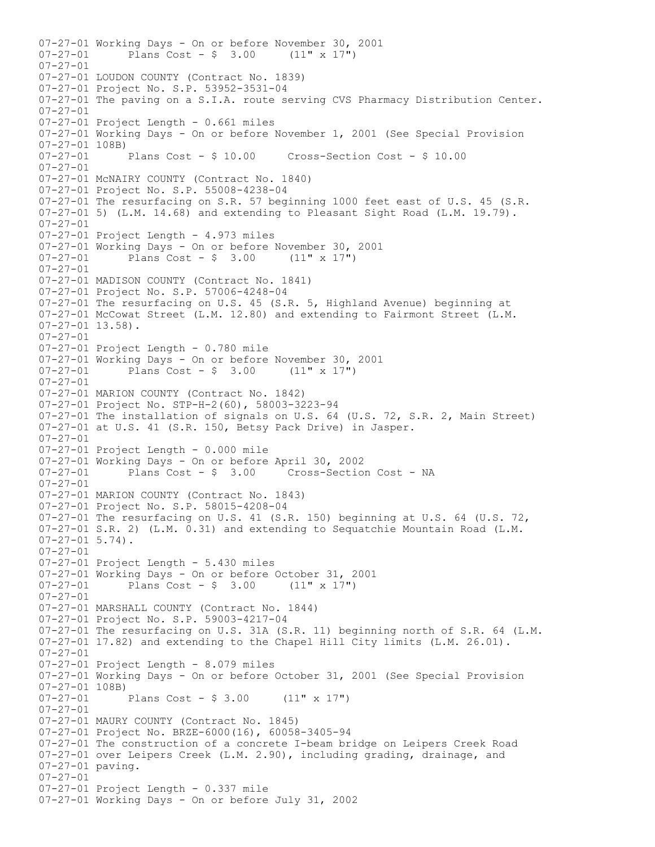07-27-01 Working Days - On or before November 30, 2001<br>07-27-01 Plans Cost - \$ 3.00 (11" x 17") Plans Cost -  $\frac{1}{2}$  3.00 (11" x 17") 07-27-01 07-27-01 LOUDON COUNTY (Contract No. 1839) 07-27-01 Project No. S.P. 53952-3531-04 07-27-01 The paving on a S.I.A. route serving CVS Pharmacy Distribution Center. 07-27-01 07-27-01 Project Length - 0.661 miles 07-27-01 Working Days - On or before November 1, 2001 (See Special Provision 07-27-01 108B)<br>07-27-01 Plans Cost - \$ 10.00 07-27-01 Plans Cost - \$ 10.00 Cross-Section Cost - \$ 10.00  $07 - 27 - 01$ 07-27-01 McNAIRY COUNTY (Contract No. 1840) 07-27-01 Project No. S.P. 55008-4238-04 07-27-01 The resurfacing on S.R. 57 beginning 1000 feet east of U.S. 45 (S.R. 07-27-01 5) (L.M. 14.68) and extending to Pleasant Sight Road (L.M. 19.79). 07-27-01 07-27-01 Project Length - 4.973 miles 07-27-01 Working Days - On or before November 30, 2001<br>07-27-01 Plans Cost -  $$3.00$  (11" x 17") Plans  $Cost - $ 3.00$  (11" x 17") 07-27-01 07-27-01 MADISON COUNTY (Contract No. 1841) 07-27-01 Project No. S.P. 57006-4248-04 07-27-01 The resurfacing on U.S. 45 (S.R. 5, Highland Avenue) beginning at 07-27-01 McCowat Street (L.M. 12.80) and extending to Fairmont Street (L.M. 07-27-01 13.58). 07-27-01 07-27-01 Project Length - 0.780 mile 07-27-01 Working Days - On or before November 30, 2001 07-27-01 Plans Cost - \$ 3.00 (11" x 17") 07-27-01 07-27-01 MARION COUNTY (Contract No. 1842) 07-27-01 Project No. STP-H-2(60), 58003-3223-94 07-27-01 The installation of signals on U.S. 64 (U.S. 72, S.R. 2, Main Street) 07-27-01 at U.S. 41 (S.R. 150, Betsy Pack Drive) in Jasper. 07-27-01 07-27-01 Project Length - 0.000 mile  $07-27-01$  Working Days - On or before April 30, 2002<br> $07-27-01$  Plans Cost - \$ 3.00 Cross-Section Cost - NA Plans  $Cost - $ 3.00$ 07-27-01 07-27-01 MARION COUNTY (Contract No. 1843) 07-27-01 Project No. S.P. 58015-4208-04 07-27-01 The resurfacing on U.S. 41 (S.R. 150) beginning at U.S. 64 (U.S. 72, 07-27-01 S.R. 2) (L.M. 0.31) and extending to Sequatchie Mountain Road (L.M. 07-27-01 5.74). 07-27-01 07-27-01 Project Length - 5.430 miles 07-27-01 Working Days - On or before October 31, 2001<br>07-27-01 Plans Cost - \$ 3.00 (11" x 17") Plans  $Cost - $ 3.00$  $07 - 27 - 01$ 07-27-01 MARSHALL COUNTY (Contract No. 1844) 07-27-01 Project No. S.P. 59003-4217-04 07-27-01 The resurfacing on U.S. 31A (S.R. 11) beginning north of S.R. 64 (L.M. 07-27-01 17.82) and extending to the Chapel Hill City limits (L.M. 26.01). 07-27-01 07-27-01 Project Length - 8.079 miles 07-27-01 Working Days - On or before October 31, 2001 (See Special Provision 07-27-01 108B)<br>07-27-01 Plans Cost -  $$3.00$  (11" x 17") 07-27-01 07-27-01 MAURY COUNTY (Contract No. 1845) 07-27-01 Project No. BRZE-6000(16), 60058-3405-94 07-27-01 The construction of a concrete I-beam bridge on Leipers Creek Road 07-27-01 over Leipers Creek (L.M. 2.90), including grading, drainage, and 07-27-01 paving. 07-27-01 07-27-01 Project Length - 0.337 mile 07-27-01 Working Days - On or before July 31, 2002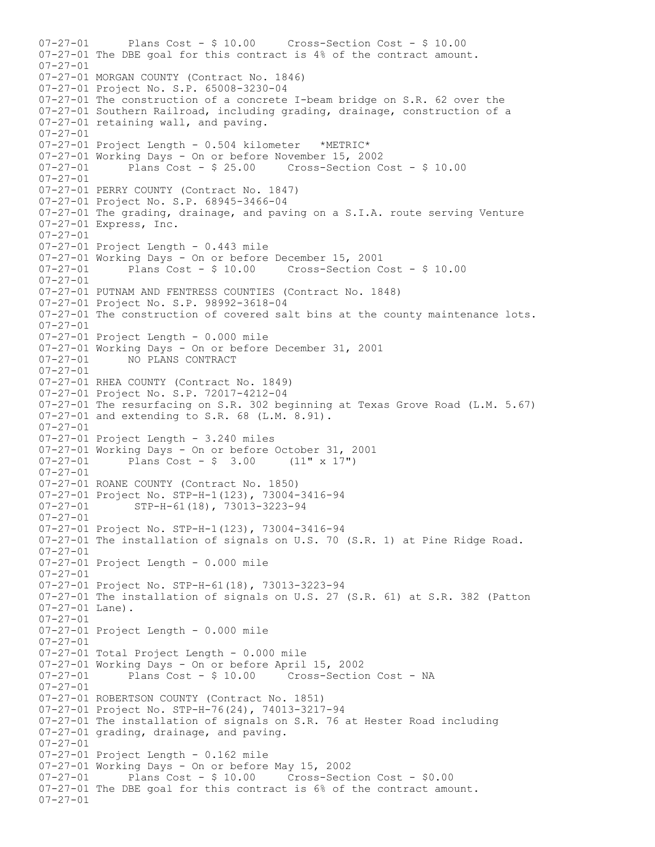07-27-01 Plans Cost - \$ 10.00 Cross-Section Cost - \$ 10.00 07-27-01 The DBE goal for this contract is 4% of the contract amount. 07-27-01 07-27-01 MORGAN COUNTY (Contract No. 1846) 07-27-01 Project No. S.P. 65008-3230-04 07-27-01 The construction of a concrete I-beam bridge on S.R. 62 over the 07-27-01 Southern Railroad, including grading, drainage, construction of a 07-27-01 retaining wall, and paving. 07-27-01 07-27-01 Project Length - 0.504 kilometer \*METRIC\* 07-27-01 Working Days - On or before November 15, 2002 Plans  $Cost - $ 25.00$  Cross-Section Cost -  $$ 10.00$  $07 - 27 - 01$ 07-27-01 PERRY COUNTY (Contract No. 1847) 07-27-01 Project No. S.P. 68945-3466-04 07-27-01 The grading, drainage, and paving on a S.I.A. route serving Venture 07-27-01 Express, Inc. 07-27-01 07-27-01 Project Length - 0.443 mile 07-27-01 Working Days - On or before December 15, 2001 07-27-01 Plans Cost - \$ 10.00 Cross-Section Cost - \$ 10.00 07-27-01 07-27-01 PUTNAM AND FENTRESS COUNTIES (Contract No. 1848) 07-27-01 Project No. S.P. 98992-3618-04 07-27-01 The construction of covered salt bins at the county maintenance lots. 07-27-01 07-27-01 Project Length - 0.000 mile 07-27-01 Working Days - On or before December 31, 2001<br>07-27-01 MO PLANS CONTRACT 07-27-01 NO PLANS CONTRACT 07-27-01 07-27-01 RHEA COUNTY (Contract No. 1849) 07-27-01 Project No. S.P. 72017-4212-04 07-27-01 The resurfacing on S.R. 302 beginning at Texas Grove Road (L.M. 5.67) 07-27-01 and extending to S.R. 68 (L.M. 8.91). 07-27-01 07-27-01 Project Length - 3.240 miles 07-27-01 Working Days - On or before October 31, 2001<br>07-27-01 Plans Cost - \$ 3.00 (11" x 17") Plans Cost -  $$3.00$  (11" x 17")  $07 - 27 - 01$ 07-27-01 ROANE COUNTY (Contract No. 1850) 07-27-01 Project No. STP-H-1(123), 73004-3416-94<br>07-27-01 STP-H-61(18), 73013-3223-94 07-27-01 STP-H-61(18), 73013-3223-94 07-27-01 07-27-01 Project No. STP-H-1(123), 73004-3416-94 07-27-01 The installation of signals on U.S. 70 (S.R. 1) at Pine Ridge Road. 07-27-01 07-27-01 Project Length - 0.000 mile 07-27-01 07-27-01 Project No. STP-H-61(18), 73013-3223-94 07-27-01 The installation of signals on U.S. 27 (S.R. 61) at S.R. 382 (Patton 07-27-01 Lane). 07-27-01 07-27-01 Project Length - 0.000 mile 07-27-01 07-27-01 Total Project Length - 0.000 mile 07-27-01 Working Days - On or before April 15, 2002 Cross-Section Cost - NA 07-27-01 07-27-01 ROBERTSON COUNTY (Contract No. 1851) 07-27-01 Project No. STP-H-76(24), 74013-3217-94 07-27-01 The installation of signals on S.R. 76 at Hester Road including 07-27-01 grading, drainage, and paving. 07-27-01 07-27-01 Project Length - 0.162 mile 07-27-01 Working Days - On or before May 15, 2002 07-27-01 Plans Cost - \$ 10.00 Cross-Section Cost - \$0.00 07-27-01 The DBE goal for this contract is 6% of the contract amount. 07-27-01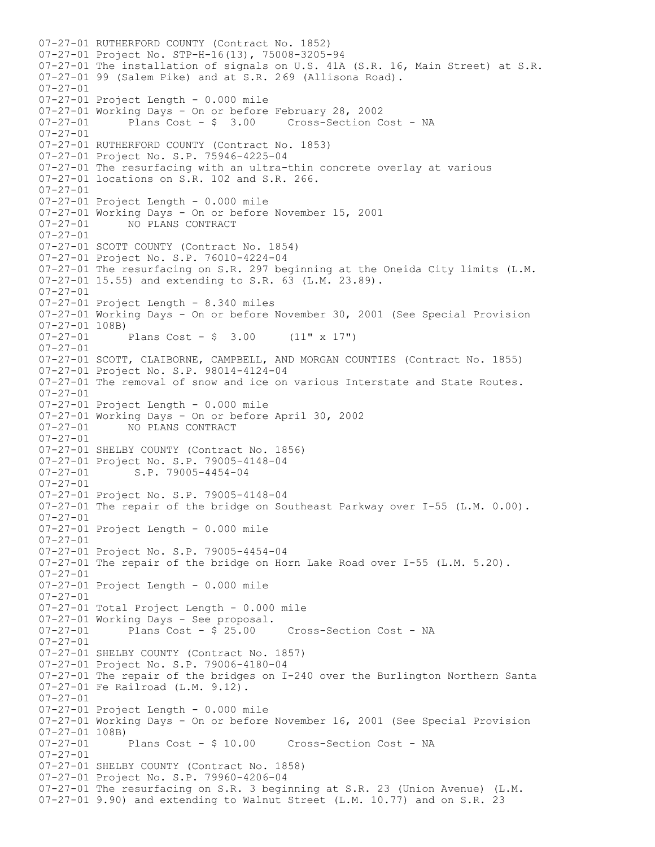07-27-01 RUTHERFORD COUNTY (Contract No. 1852) 07-27-01 Project No. STP-H-16(13), 75008-3205-94 07-27-01 The installation of signals on U.S. 41A (S.R. 16, Main Street) at S.R. 07-27-01 99 (Salem Pike) and at S.R. 269 (Allisona Road). 07-27-01 07-27-01 Project Length - 0.000 mile 07-27-01 Working Days - On or before February 28, 2002<br>07-27-01 Plans Cost - \$ 3.00 Cross-Section C Plans  $Cost - $ 3.00$  Cross-Section Cost - NA 07-27-01 07-27-01 RUTHERFORD COUNTY (Contract No. 1853) 07-27-01 Project No. S.P. 75946-4225-04 07-27-01 The resurfacing with an ultra-thin concrete overlay at various 07-27-01 locations on S.R. 102 and S.R. 266. 07-27-01 07-27-01 Project Length - 0.000 mile 07-27-01 Working Days - On or before November 15, 2001<br>07-27-01 MO PLANS CONTRACT 07-27-01 NO PLANS CONTRACT 07-27-01 07-27-01 SCOTT COUNTY (Contract No. 1854) 07-27-01 Project No. S.P. 76010-4224-04 07-27-01 The resurfacing on S.R. 297 beginning at the Oneida City limits (L.M. 07-27-01 15.55) and extending to S.R. 63 (L.M. 23.89). 07-27-01 07-27-01 Project Length - 8.340 miles 07-27-01 Working Days - On or before November 30, 2001 (See Special Provision  $07-27-01$  108B)<br> $07-27-01$ Plans Cost -  $$ 3.00$  (11" x 17") 07-27-01 07-27-01 SCOTT, CLAIBORNE, CAMPBELL, AND MORGAN COUNTIES (Contract No. 1855) 07-27-01 Project No. S.P. 98014-4124-04 07-27-01 The removal of snow and ice on various Interstate and State Routes. 07-27-01 07-27-01 Project Length - 0.000 mile 07-27-01 Working Days - On or before April 30, 2002<br>07-27-01 MO PLANS CONTRACT NO PLANS CONTRACT 07-27-01 07-27-01 SHELBY COUNTY (Contract No. 1856) 07-27-01 Project No. S.P. 79005-4148-04<br>07-27-01 S.P. 79005-4454-04 S.P. 79005-4454-04 07-27-01 07-27-01 Project No. S.P. 79005-4148-04 07-27-01 The repair of the bridge on Southeast Parkway over I-55 (L.M. 0.00). 07-27-01 07-27-01 Project Length - 0.000 mile 07-27-01 07-27-01 Project No. S.P. 79005-4454-04 07-27-01 The repair of the bridge on Horn Lake Road over I-55 (L.M. 5.20). 07-27-01 07-27-01 Project Length - 0.000 mile  $07 - 27 - 01$ 07-27-01 Total Project Length - 0.000 mile 07-27-01 Working Days - See proposal. 07-27-01 Plans Cost - \$ 25.00 Cross-Section Cost - NA 07-27-01 07-27-01 SHELBY COUNTY (Contract No. 1857) 07-27-01 Project No. S.P. 79006-4180-04 07-27-01 The repair of the bridges on I-240 over the Burlington Northern Santa 07-27-01 Fe Railroad (L.M. 9.12). 07-27-01 07-27-01 Project Length - 0.000 mile 07-27-01 Working Days - On or before November 16, 2001 (See Special Provision  $07-27-01$  108B)<br>07-27-01 Plans Cost - \$ 10.00 Cross-Section Cost - NA 07-27-01 07-27-01 SHELBY COUNTY (Contract No. 1858) 07-27-01 Project No. S.P. 79960-4206-04 07-27-01 The resurfacing on S.R. 3 beginning at S.R. 23 (Union Avenue) (L.M. 07-27-01 9.90) and extending to Walnut Street (L.M. 10.77) and on S.R. 23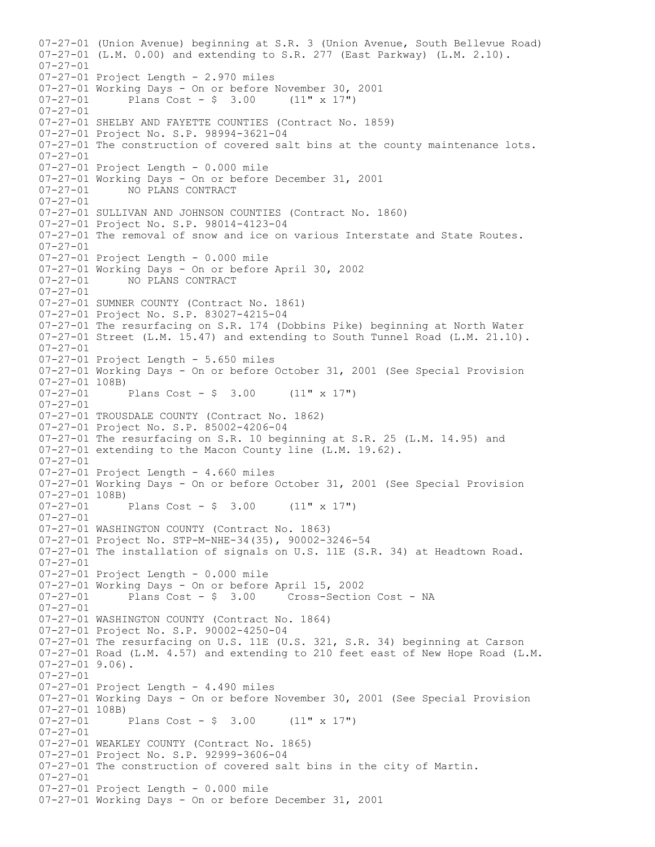07-27-01 (Union Avenue) beginning at S.R. 3 (Union Avenue, South Bellevue Road)  $07-27-01$  (L.M. 0.00) and extending to S.R. 277 (East Parkway) (L.M. 2.10). 07-27-01 07-27-01 Project Length - 2.970 miles 07-27-01 Working Days - On or before November 30, 2001<br>07-27-01 Plans Cost -  $$3.00$  (11" x 17") Plans Cost -  $\frac{1}{2}$  3.00 (11" x 17") 07-27-01 07-27-01 SHELBY AND FAYETTE COUNTIES (Contract No. 1859) 07-27-01 Project No. S.P. 98994-3621-04 07-27-01 The construction of covered salt bins at the county maintenance lots. 07-27-01 07-27-01 Project Length - 0.000 mile 07-27-01 Working Days - On or before December 31, 2001 07-27-01 NO PLANS CONTRACT 07-27-01 07-27-01 SULLIVAN AND JOHNSON COUNTIES (Contract No. 1860) 07-27-01 Project No. S.P. 98014-4123-04 07-27-01 The removal of snow and ice on various Interstate and State Routes. 07-27-01 07-27-01 Project Length - 0.000 mile 07-27-01 Working Days - On or before April 30, 2002<br>07-27-01 MO PLANS CONTRACT NO PLANS CONTRACT 07-27-01 07-27-01 SUMNER COUNTY (Contract No. 1861) 07-27-01 Project No. S.P. 83027-4215-04 07-27-01 The resurfacing on S.R. 174 (Dobbins Pike) beginning at North Water 07-27-01 Street (L.M. 15.47) and extending to South Tunnel Road (L.M. 21.10). 07-27-01 07-27-01 Project Length - 5.650 miles 07-27-01 Working Days - On or before October 31, 2001 (See Special Provision  $07-27-01$  108B)<br>07-27-01 Plans Cost -  $\frac{1}{2}$  3.00 (11" x 17") 07-27-01 07-27-01 TROUSDALE COUNTY (Contract No. 1862) 07-27-01 Project No. S.P. 85002-4206-04 07-27-01 The resurfacing on S.R. 10 beginning at S.R. 25 (L.M. 14.95) and 07-27-01 extending to the Macon County line (L.M. 19.62). 07-27-01 07-27-01 Project Length - 4.660 miles 07-27-01 Working Days - On or before October 31, 2001 (See Special Provision 07-27-01 108B)<br>07-27-01 Plans Cost -  $\frac{1}{2}$  3.00 (11" x 17") 07-27-01 07-27-01 WASHINGTON COUNTY (Contract No. 1863) 07-27-01 Project No. STP-M-NHE-34(35), 90002-3246-54 07-27-01 The installation of signals on U.S. 11E (S.R. 34) at Headtown Road. 07-27-01 07-27-01 Project Length - 0.000 mile 07-27-01 Working Days - On or before April 15, 2002 07-27-01 Plans Cost - \$ 3.00 Cross-Section Cost - NA  $07 - 27 - 01$ 07-27-01 WASHINGTON COUNTY (Contract No. 1864) 07-27-01 Project No. S.P. 90002-4250-04 07-27-01 The resurfacing on U.S. 11E (U.S. 321, S.R. 34) beginning at Carson 07-27-01 Road (L.M. 4.57) and extending to 210 feet east of New Hope Road (L.M. 07-27-01 9.06). 07-27-01 07-27-01 Project Length - 4.490 miles 07-27-01 Working Days - On or before November 30, 2001 (See Special Provision 07-27-01 108B)<br>07-27-01 Plans Cost -  $\frac{1}{2}$  3.00 (11" x 17") 07-27-01 07-27-01 WEAKLEY COUNTY (Contract No. 1865) 07-27-01 Project No. S.P. 92999-3606-04 07-27-01 The construction of covered salt bins in the city of Martin. 07-27-01 07-27-01 Project Length - 0.000 mile 07-27-01 Working Days - On or before December 31, 2001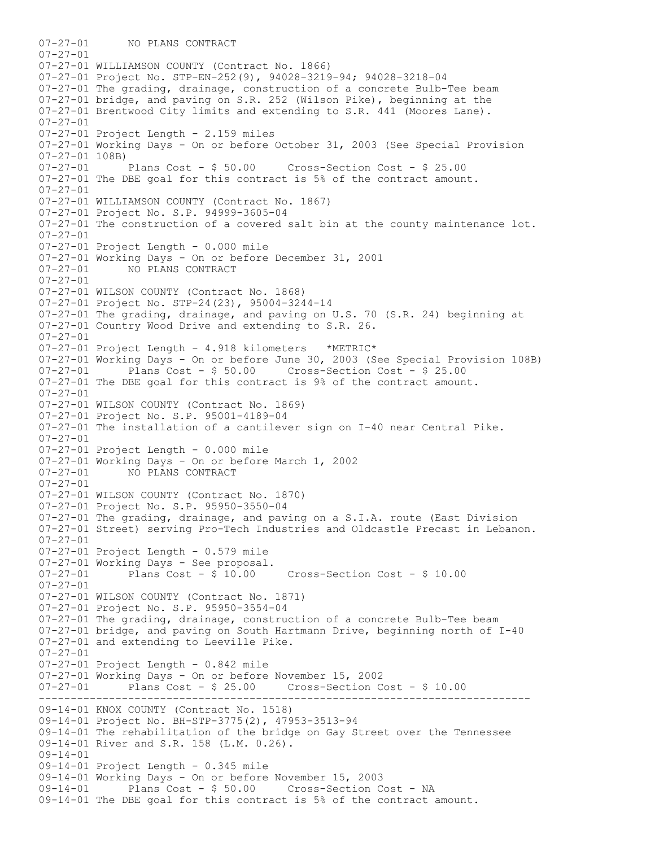----------------------------------------------------------------------------- 07-27-01 NO PLANS CONTRACT  $07 - 27 - 01$ 07-27-01 WILLIAMSON COUNTY (Contract No. 1866) 07-27-01 Project No. STP-EN-252(9), 94028-3219-94; 94028-3218-04 07-27-01 The grading, drainage, construction of a concrete Bulb-Tee beam 07-27-01 bridge, and paving on S.R. 252 (Wilson Pike), beginning at the 07-27-01 Brentwood City limits and extending to S.R. 441 (Moores Lane). 07-27-01 07-27-01 Project Length - 2.159 miles 07-27-01 Working Days - On or before October 31, 2003 (See Special Provision 07-27-01 108B) 07-27-01 Plans Cost - \$ 50.00 Cross-Section Cost - \$ 25.00 07-27-01 The DBE goal for this contract is 5% of the contract amount. 07-27-01 07-27-01 WILLIAMSON COUNTY (Contract No. 1867) 07-27-01 Project No. S.P. 94999-3605-04 07-27-01 The construction of a covered salt bin at the county maintenance lot. 07-27-01 07-27-01 Project Length - 0.000 mile 07-27-01 Working Days - On or before December 31, 2001<br>07-27-01 NO PLANS CONTRACT NO PLANS CONTRACT 07-27-01 07-27-01 WILSON COUNTY (Contract No. 1868) 07-27-01 Project No. STP-24(23), 95004-3244-14 07-27-01 The grading, drainage, and paving on U.S. 70 (S.R. 24) beginning at 07-27-01 Country Wood Drive and extending to S.R. 26. 07-27-01 07-27-01 Project Length - 4.918 kilometers \*METRIC\* 07-27-01 Working Days - On or before June 30, 2003 (See Special Provision 108B) 07-27-01 Plans Cost - \$ 50.00 Cross-Section Cost - \$ 25.00 07-27-01 The DBE goal for this contract is 9% of the contract amount. 07-27-01 07-27-01 WILSON COUNTY (Contract No. 1869) 07-27-01 Project No. S.P. 95001-4189-04 07-27-01 The installation of a cantilever sign on I-40 near Central Pike. 07-27-01 07-27-01 Project Length - 0.000 mile 07-27-01 Working Days - On or before March 1, 2002<br>07-27-01 MO PLANS CONTRACT 07-27-01 NO PLANS CONTRACT 07-27-01 07-27-01 WILSON COUNTY (Contract No. 1870) 07-27-01 Project No. S.P. 95950-3550-04 07-27-01 The grading, drainage, and paving on a S.I.A. route (East Division 07-27-01 Street) serving Pro-Tech Industries and Oldcastle Precast in Lebanon. 07-27-01 07-27-01 Project Length - 0.579 mile  $07-27-01$  Working Days - See proposal.<br> $07-27-01$  Plans Cost - \$ 10.00 07-27-01 Plans Cost - \$ 10.00 Cross-Section Cost - \$ 10.00 07-27-01 07-27-01 WILSON COUNTY (Contract No. 1871) 07-27-01 Project No. S.P. 95950-3554-04 07-27-01 The grading, drainage, construction of a concrete Bulb-Tee beam 07-27-01 bridge, and paving on South Hartmann Drive, beginning north of I-40 07-27-01 and extending to Leeville Pike. 07-27-01 07-27-01 Project Length - 0.842 mile 07-27-01 Working Days - On or before November 15, 2002 07-27-01 Plans Cost - \$ 25.00 Cross-Section Cost - \$ 10.00 09-14-01 KNOX COUNTY (Contract No. 1518) 09-14-01 Project No. BH-STP-3775(2), 47953-3513-94 09-14-01 The rehabilitation of the bridge on Gay Street over the Tennessee 09-14-01 River and S.R. 158 (L.M. 0.26). 09-14-01 09-14-01 Project Length - 0.345 mile 09-14-01 Working Days - On or before November 15, 2003 09-14-01 Plans Cost - \$ 50.00 Cross-Section Cost - NA 09-14-01 The DBE goal for this contract is 5% of the contract amount.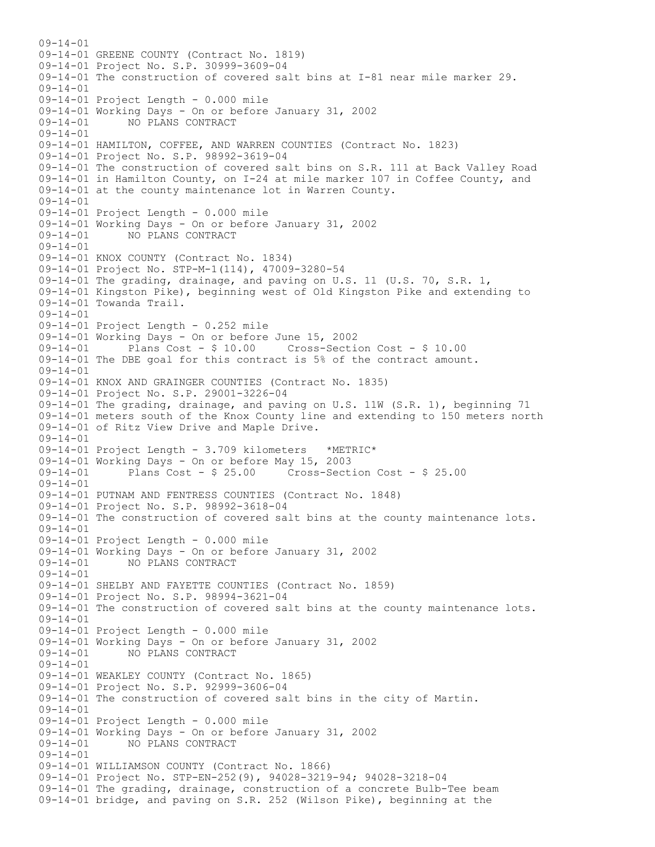$09 - 14 - 01$ 09-14-01 GREENE COUNTY (Contract No. 1819) 09-14-01 Project No. S.P. 30999-3609-04 09-14-01 The construction of covered salt bins at I-81 near mile marker 29. 09-14-01 09-14-01 Project Length - 0.000 mile 09-14-01 Working Days - On or before January 31, 2002 09-14-01 NO PLANS CONTRACT 09-14-01 09-14-01 HAMILTON, COFFEE, AND WARREN COUNTIES (Contract No. 1823) 09-14-01 Project No. S.P. 98992-3619-04 09-14-01 The construction of covered salt bins on S.R. 111 at Back Valley Road 09-14-01 in Hamilton County, on I-24 at mile marker 107 in Coffee County, and 09-14-01 at the county maintenance lot in Warren County. 09-14-01 09-14-01 Project Length - 0.000 mile 09-14-01 Working Days - On or before January 31, 2002 09-14-01 NO PLANS CONTRACT 09-14-01 09-14-01 KNOX COUNTY (Contract No. 1834) 09-14-01 Project No. STP-M-1(114), 47009-3280-54 09-14-01 The grading, drainage, and paving on U.S. 11 (U.S. 70, S.R. 1, 09-14-01 Kingston Pike), beginning west of Old Kingston Pike and extending to 09-14-01 Towanda Trail.  $09 - 14 - 01$ 09-14-01 Project Length - 0.252 mile 09-14-01 Working Days - On or before June 15, 2002 09-14-01 Plans Cost - \$ 10.00 Cross-Section Cost - \$ 10.00 09-14-01 The DBE goal for this contract is 5% of the contract amount. 09-14-01 09-14-01 KNOX AND GRAINGER COUNTIES (Contract No. 1835) 09-14-01 Project No. S.P. 29001-3226-04 09-14-01 The grading, drainage, and paving on U.S. 11W (S.R. 1), beginning 71 09-14-01 meters south of the Knox County line and extending to 150 meters north 09-14-01 of Ritz View Drive and Maple Drive. 09-14-01 09-14-01 Project Length - 3.709 kilometers \*METRIC\* 09-14-01 Working Days - On or before May 15, 2003 09-14-01 Plans Cost - \$ 25.00 Cross-Section Cost - \$ 25.00  $09 - 14 - 01$ 09-14-01 PUTNAM AND FENTRESS COUNTIES (Contract No. 1848) 09-14-01 Project No. S.P. 98992-3618-04 09-14-01 The construction of covered salt bins at the county maintenance lots. 09-14-01 09-14-01 Project Length - 0.000 mile 09-14-01 Working Days - On or before January 31, 2002 09-14-01 NO PLANS CONTRACT 09-14-01 09-14-01 SHELBY AND FAYETTE COUNTIES (Contract No. 1859) 09-14-01 Project No. S.P. 98994-3621-04 09-14-01 The construction of covered salt bins at the county maintenance lots. 09-14-01 09-14-01 Project Length - 0.000 mile 09-14-01 Working Days - On or before January 31, 2002 09-14-01 NO PLANS CONTRACT 09-14-01 09-14-01 WEAKLEY COUNTY (Contract No. 1865) 09-14-01 Project No. S.P. 92999-3606-04 09-14-01 The construction of covered salt bins in the city of Martin. 09-14-01 09-14-01 Project Length - 0.000 mile 09-14-01 Working Days - On or before January 31, 2002 09-14-01 NO PLANS CONTRACT  $09 - 14 - 01$ 09-14-01 WILLIAMSON COUNTY (Contract No. 1866) 09-14-01 Project No. STP-EN-252(9), 94028-3219-94; 94028-3218-04 09-14-01 The grading, drainage, construction of a concrete Bulb-Tee beam 09-14-01 bridge, and paving on S.R. 252 (Wilson Pike), beginning at the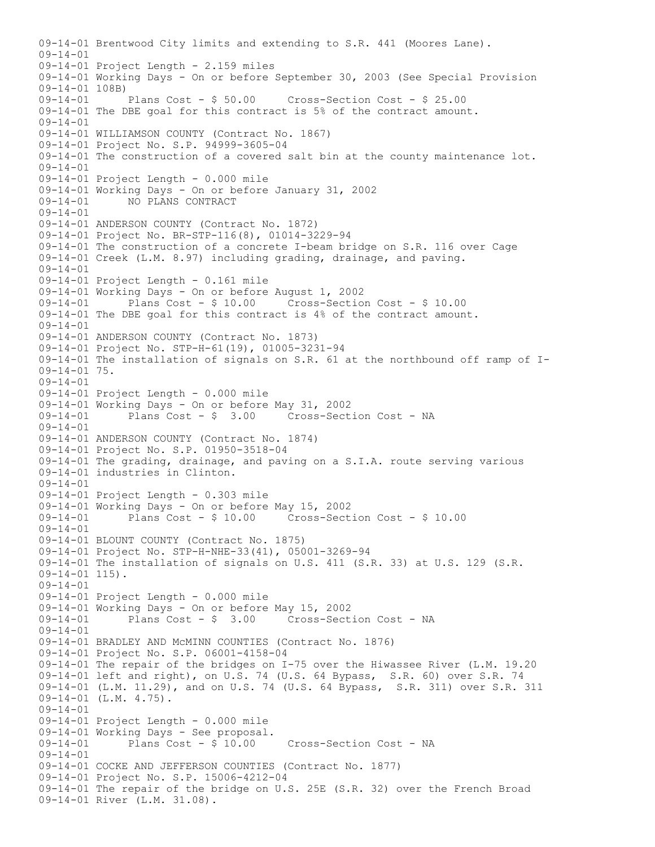09-14-01 Brentwood City limits and extending to S.R. 441 (Moores Lane).  $09 - 14 - 01$ 09-14-01 Project Length - 2.159 miles 09-14-01 Working Days - On or before September 30, 2003 (See Special Provision 09-14-01 108B)<br>09-14-01 Plans Cost - \$ 50.00 Cross-Section Cost - \$ 25.00 09-14-01 The DBE goal for this contract is 5% of the contract amount. 09-14-01 09-14-01 WILLIAMSON COUNTY (Contract No. 1867) 09-14-01 Project No. S.P. 94999-3605-04 09-14-01 The construction of a covered salt bin at the county maintenance lot.  $09 - 14 - 01$ 09-14-01 Project Length - 0.000 mile 09-14-01 Working Days - On or before January 31, 2002 09-14-01 NO PLANS CONTRACT 09-14-01 09-14-01 ANDERSON COUNTY (Contract No. 1872) 09-14-01 Project No. BR-STP-116(8), 01014-3229-94 09-14-01 The construction of a concrete I-beam bridge on S.R. 116 over Cage 09-14-01 Creek (L.M. 8.97) including grading, drainage, and paving. 09-14-01 09-14-01 Project Length - 0.161 mile 09-14-01 Working Days - On or before August 1, 2002 09-14-01 Plans Cost - \$ 10.00 Cross-Section Cost - \$ 10.00 09-14-01 The DBE goal for this contract is 4% of the contract amount.  $09 - 14 - 01$ 09-14-01 ANDERSON COUNTY (Contract No. 1873) 09-14-01 Project No. STP-H-61(19), 01005-3231-94 09-14-01 The installation of signals on S.R. 61 at the northbound off ramp of I-09-14-01 75. 09-14-01 09-14-01 Project Length - 0.000 mile 09-14-01 Working Days - On or before May 31, 2002 Plans Cost - \$ 3.00 Cross-Section Cost - NA 09-14-01 09-14-01 ANDERSON COUNTY (Contract No. 1874) 09-14-01 Project No. S.P. 01950-3518-04 09-14-01 The grading, drainage, and paving on a S.I.A. route serving various 09-14-01 industries in Clinton.  $09 - 14 - 01$ 09-14-01 Project Length - 0.303 mile 09-14-01 Working Days - On or before May 15, 2002 Plans Cost -  $$10.00$  Cross-Section Cost -  $$10.00$ 09-14-01 09-14-01 BLOUNT COUNTY (Contract No. 1875) 09-14-01 Project No. STP-H-NHE-33(41), 05001-3269-94 09-14-01 The installation of signals on U.S. 411 (S.R. 33) at U.S. 129 (S.R. 09-14-01 115). 09-14-01 09-14-01 Project Length - 0.000 mile 09-14-01 Working Days - On or before May 15, 2002 09-14-01 Plans Cost - \$ 3.00 Cross-Section Cost - NA 09-14-01 09-14-01 BRADLEY AND McMINN COUNTIES (Contract No. 1876) 09-14-01 Project No. S.P. 06001-4158-04 09-14-01 The repair of the bridges on I-75 over the Hiwassee River (L.M. 19.20 09-14-01 left and right), on U.S. 74 (U.S. 64 Bypass, S.R. 60) over S.R. 74 09-14-01 (L.M. 11.29), and on U.S. 74 (U.S. 64 Bypass, S.R. 311) over S.R. 311 09-14-01 (L.M. 4.75). 09-14-01 09-14-01 Project Length - 0.000 mile  $09-14-01$  Working Days - See proposal.<br> $09-14-01$  Plans Cost - \$ 10.00 09-14-01 Plans Cost - \$ 10.00 Cross-Section Cost - NA 09-14-01 09-14-01 COCKE AND JEFFERSON COUNTIES (Contract No. 1877) 09-14-01 Project No. S.P. 15006-4212-04 09-14-01 The repair of the bridge on U.S. 25E (S.R. 32) over the French Broad 09-14-01 River (L.M. 31.08).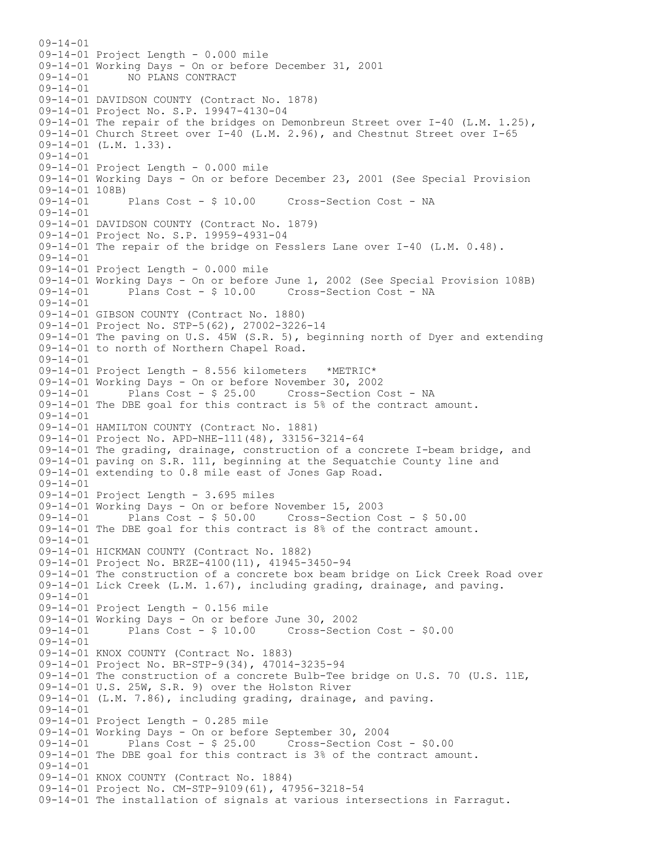$09 - 14 - 01$ 09-14-01 Project Length - 0.000 mile 09-14-01 Working Days - On or before December 31, 2001<br>09-14-01 MO PLANS CONTRACT 09-14-01 NO PLANS CONTRACT 09-14-01 09-14-01 DAVIDSON COUNTY (Contract No. 1878) 09-14-01 Project No. S.P. 19947-4130-04 09-14-01 The repair of the bridges on Demonbreun Street over I-40 (L.M. 1.25), 09-14-01 Church Street over I-40 (L.M. 2.96), and Chestnut Street over I-65 09-14-01 (L.M. 1.33). 09-14-01 09-14-01 Project Length - 0.000 mile 09-14-01 Working Days - On or before December 23, 2001 (See Special Provision 09-14-01 108B) 09-14-01 Plans Cost - \$ 10.00 Cross-Section Cost - NA 09-14-01 09-14-01 DAVIDSON COUNTY (Contract No. 1879) 09-14-01 Project No. S.P. 19959-4931-04 09-14-01 The repair of the bridge on Fesslers Lane over I-40 (L.M. 0.48). 09-14-01 09-14-01 Project Length - 0.000 mile 09-14-01 Working Days - On or before June 1, 2002 (See Special Provision 108B)<br>09-14-01 Plans Cost - \$ 10.00 Cross-Section Cost - NA 09-14-01 Plans Cost - \$ 10.00 Cross-Section Cost - NA 09-14-01 09-14-01 GIBSON COUNTY (Contract No. 1880) 09-14-01 Project No. STP-5(62), 27002-3226-14 09-14-01 The paving on U.S. 45W (S.R. 5), beginning north of Dyer and extending 09-14-01 to north of Northern Chapel Road. 09-14-01 09-14-01 Project Length - 8.556 kilometers \*METRIC\* 09-14-01 Working Days - On or before November 30, 2002 Plans Cost - \$ 25.00 Cross-Section Cost - NA 09-14-01 The DBE goal for this contract is 5% of the contract amount. 09-14-01 09-14-01 HAMILTON COUNTY (Contract No. 1881) 09-14-01 Project No. APD-NHE-111(48), 33156-3214-64 09-14-01 The grading, drainage, construction of a concrete I-beam bridge, and 09-14-01 paving on S.R. 111, beginning at the Sequatchie County line and 09-14-01 extending to 0.8 mile east of Jones Gap Road. 09-14-01 09-14-01 Project Length - 3.695 miles 09-14-01 Working Days - On or before November 15, 2003 Plans Cost -  $$50.00$  Cross-Section Cost -  $$50.00$ 09-14-01 The DBE goal for this contract is 8% of the contract amount. 09-14-01 09-14-01 HICKMAN COUNTY (Contract No. 1882) 09-14-01 Project No. BRZE-4100(11), 41945-3450-94 09-14-01 The construction of a concrete box beam bridge on Lick Creek Road over 09-14-01 Lick Creek (L.M. 1.67), including grading, drainage, and paving.  $09 - 14 - 01$ 09-14-01 Project Length - 0.156 mile 09-14-01 Working Days - On or before June 30, 2002 09-14-01 Plans Cost - \$ 10.00 Cross-Section Cost - \$0.00 09-14-01 09-14-01 KNOX COUNTY (Contract No. 1883) 09-14-01 Project No. BR-STP-9(34), 47014-3235-94 09-14-01 The construction of a concrete Bulb-Tee bridge on U.S. 70 (U.S. 11E, 09-14-01 U.S. 25W, S.R. 9) over the Holston River 09-14-01 (L.M. 7.86), including grading, drainage, and paving. 09-14-01 09-14-01 Project Length - 0.285 mile 09-14-01 Working Days - On or before September 30, 2004 09-14-01 Plans Cost - \$ 25.00 Cross-Section Cost - \$0.00 09-14-01 The DBE goal for this contract is 3% of the contract amount. 09-14-01 09-14-01 KNOX COUNTY (Contract No. 1884) 09-14-01 Project No. CM-STP-9109(61), 47956-3218-54 09-14-01 The installation of signals at various intersections in Farragut.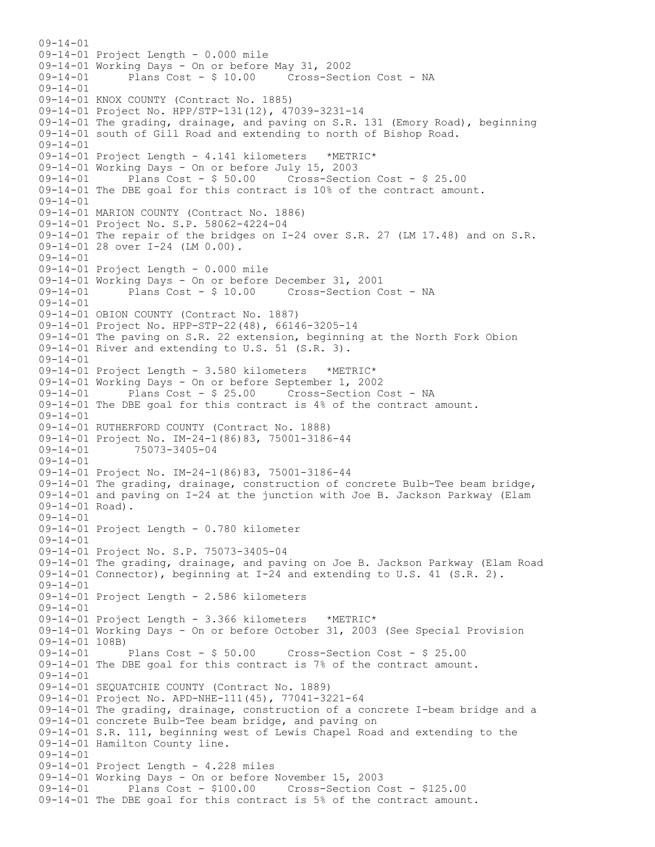$09 - 14 - 01$ 09-14-01 Project Length - 0.000 mile 09-14-01 Working Days - On or before May 31, 2002 Plans Cost - \$ 10.00 Cross-Section Cost - NA 09-14-01 09-14-01 KNOX COUNTY (Contract No. 1885) 09-14-01 Project No. HPP/STP-131(12), 47039-3231-14 09-14-01 The grading, drainage, and paving on S.R. 131 (Emory Road), beginning 09-14-01 south of Gill Road and extending to north of Bishop Road. 09-14-01 09-14-01 Project Length - 4.141 kilometers \*METRIC\* 09-14-01 Working Days - On or before July 15, 2003 09-14-01 Plans Cost - \$ 50.00 Cross-Section Cost - \$ 25.00 09-14-01 The DBE goal for this contract is 10% of the contract amount. 09-14-01 09-14-01 MARION COUNTY (Contract No. 1886) 09-14-01 Project No. S.P. 58062-4224-04 09-14-01 The repair of the bridges on I-24 over S.R. 27 (LM 17.48) and on S.R. 09-14-01 28 over I-24 (LM 0.00). 09-14-01 09-14-01 Project Length - 0.000 mile 09-14-01 Working Days - On or before December 31, 2001 09-14-01 Plans Cost - \$ 10.00 Cross-Section Cost - NA 09-14-01 09-14-01 OBION COUNTY (Contract No. 1887) 09-14-01 Project No. HPP-STP-22(48), 66146-3205-14 09-14-01 The paving on S.R. 22 extension, beginning at the North Fork Obion 09-14-01 River and extending to U.S. 51 (S.R. 3). 09-14-01 09-14-01 Project Length - 3.580 kilometers \*METRIC\* 09-14-01 Working Days - On or before September 1, 2002 Plans Cost - \$ 25.00 Cross-Section Cost - NA 09-14-01 The DBE goal for this contract is 4% of the contract amount. 09-14-01 09-14-01 RUTHERFORD COUNTY (Contract No. 1888) 09-14-01 Project No. IM-24-1(86)83, 75001-3186-44<br>09-14-01 75073-3405-04 09-14-01 75073-3405-04  $09 - 14 - 01$ 09-14-01 Project No. IM-24-1(86)83, 75001-3186-44 09-14-01 The grading, drainage, construction of concrete Bulb-Tee beam bridge, 09-14-01 and paving on I-24 at the junction with Joe B. Jackson Parkway (Elam 09-14-01 Road). 09-14-01 09-14-01 Project Length - 0.780 kilometer 09-14-01 09-14-01 Project No. S.P. 75073-3405-04 09-14-01 The grading, drainage, and paving on Joe B. Jackson Parkway (Elam Road 09-14-01 Connector), beginning at I-24 and extending to U.S. 41 (S.R. 2). 09-14-01 09-14-01 Project Length - 2.586 kilometers  $09 - 14 - 01$ 09-14-01 Project Length - 3.366 kilometers \*METRIC\* 09-14-01 Working Days - On or before October 31, 2003 (See Special Provision 09-14-01 108B)<br>09-14-01 Plans Cost - \$ 50.00 09-14-01 Plans Cost - \$ 50.00 Cross-Section Cost - \$ 25.00 09-14-01 The DBE goal for this contract is 7% of the contract amount. 09-14-01 09-14-01 SEQUATCHIE COUNTY (Contract No. 1889) 09-14-01 Project No. APD-NHE-111(45), 77041-3221-64 09-14-01 The grading, drainage, construction of a concrete I-beam bridge and a 09-14-01 concrete Bulb-Tee beam bridge, and paving on 09-14-01 S.R. 111, beginning west of Lewis Chapel Road and extending to the 09-14-01 Hamilton County line. 09-14-01 09-14-01 Project Length - 4.228 miles 09-14-01 Working Days - On or before November 15, 2003 09-14-01 Plans Cost - \$100.00 Cross-Section Cost - \$125.00 09-14-01 The DBE goal for this contract is 5% of the contract amount.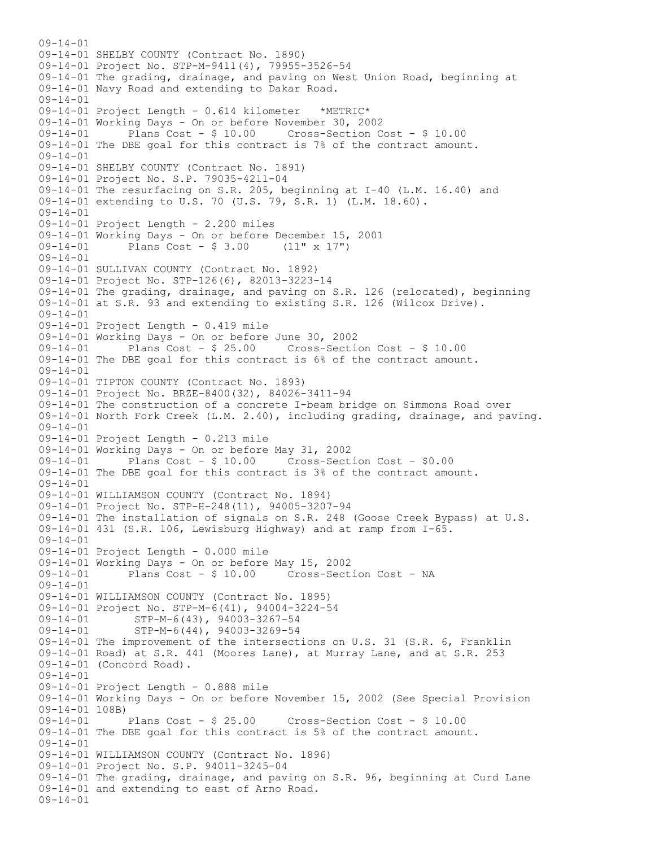$09 - 14 - 01$ 09-14-01 SHELBY COUNTY (Contract No. 1890) 09-14-01 Project No. STP-M-9411(4), 79955-3526-54 09-14-01 The grading, drainage, and paving on West Union Road, beginning at 09-14-01 Navy Road and extending to Dakar Road. 09-14-01 09-14-01 Project Length - 0.614 kilometer \*METRIC\* 09-14-01 Working Days - On or before November 30, 2002 Plans Cost -  $$10.00$  Cross-Section Cost -  $$10.00$ 09-14-01 The DBE goal for this contract is 7% of the contract amount. 09-14-01 09-14-01 SHELBY COUNTY (Contract No. 1891) 09-14-01 Project No. S.P. 79035-4211-04 09-14-01 The resurfacing on S.R. 205, beginning at I-40 (L.M. 16.40) and 09-14-01 extending to U.S. 70 (U.S. 79, S.R. 1) (L.M. 18.60). 09-14-01 09-14-01 Project Length - 2.200 miles 09-14-01 Working Days - On or before December 15, 2001<br>09-14-01 Plans Cost - \$ 3.00 (11" x 17") Plans  $Cost - $ 3.00$ 09-14-01 09-14-01 SULLIVAN COUNTY (Contract No. 1892) 09-14-01 Project No. STP-126(6), 82013-3223-14 09-14-01 The grading, drainage, and paving on S.R. 126 (relocated), beginning 09-14-01 at S.R. 93 and extending to existing S.R. 126 (Wilcox Drive).  $09 - 14 - 01$ 09-14-01 Project Length - 0.419 mile 09-14-01 Working Days - On or before June 30, 2002 09-14-01 Plans Cost - \$ 25.00 Cross-Section Cost - \$ 10.00 09-14-01 The DBE goal for this contract is 6% of the contract amount. 09-14-01 09-14-01 TIPTON COUNTY (Contract No. 1893) 09-14-01 Project No. BRZE-8400(32), 84026-3411-94 09-14-01 The construction of a concrete I-beam bridge on Simmons Road over 09-14-01 North Fork Creek (L.M. 2.40), including grading, drainage, and paving. 09-14-01 09-14-01 Project Length - 0.213 mile 09-14-01 Working Days - On or before May 31, 2002 09-14-01 Plans Cost - \$ 10.00 Cross-Section Cost - \$0.00 09-14-01 The DBE goal for this contract is 3% of the contract amount. 09-14-01 09-14-01 WILLIAMSON COUNTY (Contract No. 1894) 09-14-01 Project No. STP-H-248(11), 94005-3207-94 09-14-01 The installation of signals on S.R. 248 (Goose Creek Bypass) at U.S. 09-14-01 431 (S.R. 106, Lewisburg Highway) and at ramp from I-65. 09-14-01 09-14-01 Project Length - 0.000 mile 09-14-01 Working Days - On or before May 15, 2002 09-14-01 Plans Cost - \$ 10.00 Cross-Section Cost - NA 09-14-01 09-14-01 WILLIAMSON COUNTY (Contract No. 1895) 09-14-01 Project No. STP-M-6(41), 94004-3224-54 09-14-01 STP-M-6(43), 94003-3267-54<br>09-14-01 STP-M-6(44), 94003-3269-54 STP-M-6(44), 94003-3269-54 09-14-01 The improvement of the intersections on U.S. 31 (S.R. 6, Franklin 09-14-01 Road) at S.R. 441 (Moores Lane), at Murray Lane, and at S.R. 253 09-14-01 (Concord Road). 09-14-01 09-14-01 Project Length - 0.888 mile 09-14-01 Working Days - On or before November 15, 2002 (See Special Provision 09-14-01 108B)<br>09-14-01 Plans Cost - \$ 25.00 09-14-01 Plans Cost - \$ 25.00 Cross-Section Cost - \$ 10.00 09-14-01 The DBE goal for this contract is 5% of the contract amount.  $09 - 14 - 01$ 09-14-01 WILLIAMSON COUNTY (Contract No. 1896) 09-14-01 Project No. S.P. 94011-3245-04 09-14-01 The grading, drainage, and paving on S.R. 96, beginning at Curd Lane 09-14-01 and extending to east of Arno Road. 09-14-01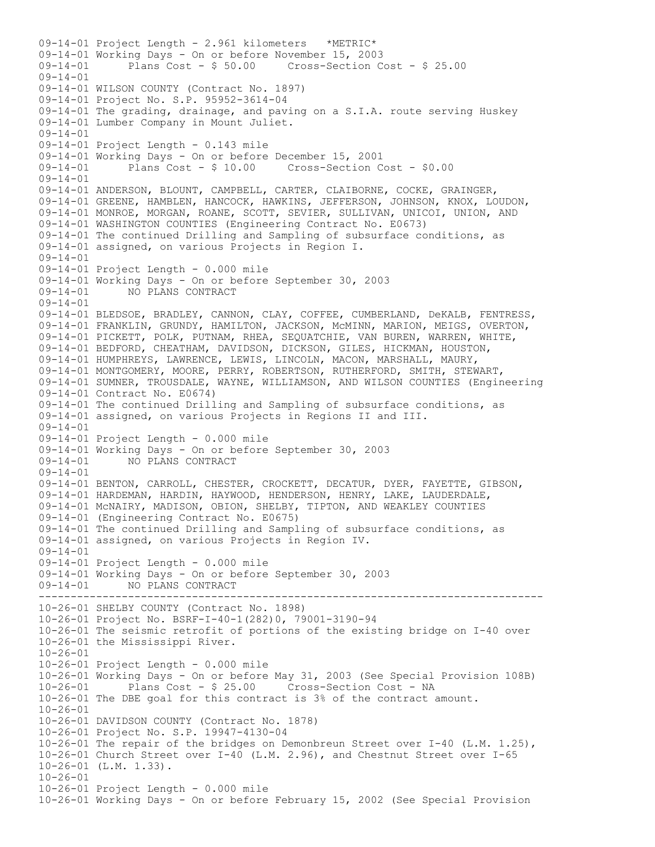------------------------------------------------------------------------------- 09-14-01 Project Length - 2.961 kilometers \*METRIC\* 09-14-01 Working Days - On or before November 15, 2003 09-14-01 Plans Cost - \$ 50.00 Cross-Section Cost - \$ 25.00 09-14-01 09-14-01 WILSON COUNTY (Contract No. 1897) 09-14-01 Project No. S.P. 95952-3614-04 09-14-01 The grading, drainage, and paving on a S.I.A. route serving Huskey 09-14-01 Lumber Company in Mount Juliet. 09-14-01 09-14-01 Project Length - 0.143 mile 09-14-01 Working Days - On or before December 15, 2001 09-14-01 Plans Cost - \$ 10.00 Cross-Section Cost - \$0.00 09-14-01 09-14-01 ANDERSON, BLOUNT, CAMPBELL, CARTER, CLAIBORNE, COCKE, GRAINGER, 09-14-01 GREENE, HAMBLEN, HANCOCK, HAWKINS, JEFFERSON, JOHNSON, KNOX, LOUDON, 09-14-01 MONROE, MORGAN, ROANE, SCOTT, SEVIER, SULLIVAN, UNICOI, UNION, AND 09-14-01 WASHINGTON COUNTIES (Engineering Contract No. E0673) 09-14-01 The continued Drilling and Sampling of subsurface conditions, as 09-14-01 assigned, on various Projects in Region I. 09-14-01 09-14-01 Project Length - 0.000 mile 09-14-01 Working Days - On or before September 30, 2003<br>09-14-01 MO PLANS CONTRACT 09-14-01 NO PLANS CONTRACT 09-14-01 09-14-01 BLEDSOE, BRADLEY, CANNON, CLAY, COFFEE, CUMBERLAND, DeKALB, FENTRESS, 09-14-01 FRANKLIN, GRUNDY, HAMILTON, JACKSON, McMINN, MARION, MEIGS, OVERTON, 09-14-01 PICKETT, POLK, PUTNAM, RHEA, SEQUATCHIE, VAN BUREN, WARREN, WHITE, 09-14-01 BEDFORD, CHEATHAM, DAVIDSON, DICKSON, GILES, HICKMAN, HOUSTON, 09-14-01 HUMPHREYS, LAWRENCE, LEWIS, LINCOLN, MACON, MARSHALL, MAURY, 09-14-01 MONTGOMERY, MOORE, PERRY, ROBERTSON, RUTHERFORD, SMITH, STEWART, 09-14-01 SUMNER, TROUSDALE, WAYNE, WILLIAMSON, AND WILSON COUNTIES (Engineering 09-14-01 Contract No. E0674) 09-14-01 The continued Drilling and Sampling of subsurface conditions, as 09-14-01 assigned, on various Projects in Regions II and III. 09-14-01 09-14-01 Project Length - 0.000 mile 09-14-01 Working Days - On or before September 30, 2003 09-14-01 NO PLANS CONTRACT  $09 - 14 - 01$ 09-14-01 BENTON, CARROLL, CHESTER, CROCKETT, DECATUR, DYER, FAYETTE, GIBSON, 09-14-01 HARDEMAN, HARDIN, HAYWOOD, HENDERSON, HENRY, LAKE, LAUDERDALE, 09-14-01 McNAIRY, MADISON, OBION, SHELBY, TIPTON, AND WEAKLEY COUNTIES 09-14-01 (Engineering Contract No. E0675) 09-14-01 The continued Drilling and Sampling of subsurface conditions, as 09-14-01 assigned, on various Projects in Region IV. 09-14-01 09-14-01 Project Length - 0.000 mile 09-14-01 Working Days - On or before September 30, 2003 09-14-01 NO PLANS CONTRACT 10-26-01 SHELBY COUNTY (Contract No. 1898) 10-26-01 Project No. BSRF-I-40-1(282)0, 79001-3190-94 10-26-01 The seismic retrofit of portions of the existing bridge on I-40 over 10-26-01 the Mississippi River. 10-26-01 10-26-01 Project Length - 0.000 mile 10-26-01 Working Days - On or before May 31, 2003 (See Special Provision 108B) Plans Cost - \$ 25.00 Cross-Section Cost - NA 10-26-01 The DBE goal for this contract is 3% of the contract amount. 10-26-01 10-26-01 DAVIDSON COUNTY (Contract No. 1878) 10-26-01 Project No. S.P. 19947-4130-04 10-26-01 The repair of the bridges on Demonbreun Street over I-40 (L.M. 1.25), 10-26-01 Church Street over I-40 (L.M. 2.96), and Chestnut Street over I-65 10-26-01 (L.M. 1.33). 10-26-01 10-26-01 Project Length - 0.000 mile 10-26-01 Working Days - On or before February 15, 2002 (See Special Provision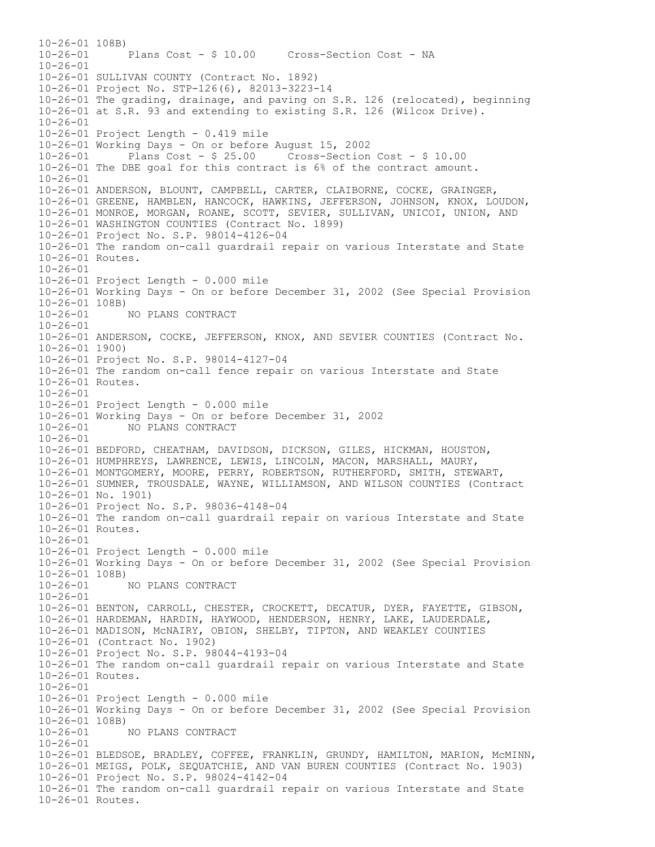10-26-01 108B) 10-26-01 Plans Cost - \$ 10.00 Cross-Section Cost - NA 10-26-01 10-26-01 SULLIVAN COUNTY (Contract No. 1892) 10-26-01 Project No. STP-126(6), 82013-3223-14 10-26-01 The grading, drainage, and paving on S.R. 126 (relocated), beginning 10-26-01 at S.R. 93 and extending to existing S.R. 126 (Wilcox Drive). 10-26-01 10-26-01 Project Length - 0.419 mile 10-26-01 Working Days - On or before August 15, 2002 10-26-01 Plans Cost - \$ 25.00 Cross-Section Cost - \$ 10.00 10-26-01 The DBE goal for this contract is 6% of the contract amount.  $10 - 26 - 01$ 10-26-01 ANDERSON, BLOUNT, CAMPBELL, CARTER, CLAIBORNE, COCKE, GRAINGER, 10-26-01 GREENE, HAMBLEN, HANCOCK, HAWKINS, JEFFERSON, JOHNSON, KNOX, LOUDON, 10-26-01 MONROE, MORGAN, ROANE, SCOTT, SEVIER, SULLIVAN, UNICOI, UNION, AND 10-26-01 WASHINGTON COUNTIES (Contract No. 1899) 10-26-01 Project No. S.P. 98014-4126-04 10-26-01 The random on-call guardrail repair on various Interstate and State 10-26-01 Routes. 10-26-01 10-26-01 Project Length - 0.000 mile 10-26-01 Working Days - On or before December 31, 2002 (See Special Provision  $10-26-01$  108B)<br> $10-26-01$ 10-26-01 NO PLANS CONTRACT  $10 - 26 - 01$ 10-26-01 ANDERSON, COCKE, JEFFERSON, KNOX, AND SEVIER COUNTIES (Contract No. 10-26-01 1900) 10-26-01 Project No. S.P. 98014-4127-04 10-26-01 The random on-call fence repair on various Interstate and State 10-26-01 Routes. 10-26-01 10-26-01 Project Length - 0.000 mile 10-26-01 Working Days - On or before December 31, 2002 10-26-01 NO PLANS CONTRACT 10-26-01 10-26-01 BEDFORD, CHEATHAM, DAVIDSON, DICKSON, GILES, HICKMAN, HOUSTON, 10-26-01 HUMPHREYS, LAWRENCE, LEWIS, LINCOLN, MACON, MARSHALL, MAURY, 10-26-01 MONTGOMERY, MOORE, PERRY, ROBERTSON, RUTHERFORD, SMITH, STEWART, 10-26-01 SUMNER, TROUSDALE, WAYNE, WILLIAMSON, AND WILSON COUNTIES (Contract 10-26-01 No. 1901) 10-26-01 Project No. S.P. 98036-4148-04 10-26-01 The random on-call guardrail repair on various Interstate and State 10-26-01 Routes. 10-26-01 10-26-01 Project Length - 0.000 mile 10-26-01 Working Days - On or before December 31, 2002 (See Special Provision 10-26-01 108B)<br>10-26-01 10-26-01 NO PLANS CONTRACT  $10 - 26 - 01$ 10-26-01 BENTON, CARROLL, CHESTER, CROCKETT, DECATUR, DYER, FAYETTE, GIBSON, 10-26-01 HARDEMAN, HARDIN, HAYWOOD, HENDERSON, HENRY, LAKE, LAUDERDALE, 10-26-01 MADISON, McNAIRY, OBION, SHELBY, TIPTON, AND WEAKLEY COUNTIES 10-26-01 (Contract No. 1902) 10-26-01 Project No. S.P. 98044-4193-04 10-26-01 The random on-call guardrail repair on various Interstate and State 10-26-01 Routes. 10-26-01 10-26-01 Project Length - 0.000 mile 10-26-01 Working Days - On or before December 31, 2002 (See Special Provision  $10-26-01$  108B)<br> $10-26-01$ 10-26-01 NO PLANS CONTRACT  $10 - 26 - 01$ 10-26-01 BLEDSOE, BRADLEY, COFFEE, FRANKLIN, GRUNDY, HAMILTON, MARION, McMINN, 10-26-01 MEIGS, POLK, SEQUATCHIE, AND VAN BUREN COUNTIES (Contract No. 1903) 10-26-01 Project No. S.P. 98024-4142-04 10-26-01 The random on-call guardrail repair on various Interstate and State 10-26-01 Routes.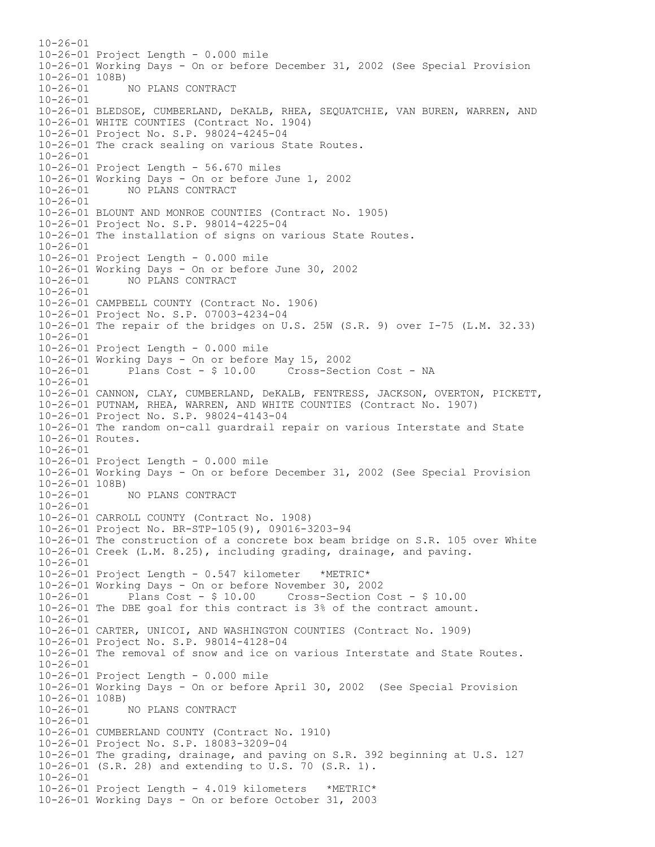$10 - 26 - 01$ 10-26-01 Project Length - 0.000 mile 10-26-01 Working Days - On or before December 31, 2002 (See Special Provision 10-26-01 108B)<br>10-26-01 10-26-01 NO PLANS CONTRACT 10-26-01 10-26-01 BLEDSOE, CUMBERLAND, DeKALB, RHEA, SEQUATCHIE, VAN BUREN, WARREN, AND 10-26-01 WHITE COUNTIES (Contract No. 1904) 10-26-01 Project No. S.P. 98024-4245-04 10-26-01 The crack sealing on various State Routes. 10-26-01 10-26-01 Project Length - 56.670 miles 10-26-01 Working Days - On or before June 1, 2002 10-26-01 NO PLANS CONTRACT 10-26-01 10-26-01 BLOUNT AND MONROE COUNTIES (Contract No. 1905) 10-26-01 Project No. S.P. 98014-4225-04 10-26-01 The installation of signs on various State Routes. 10-26-01 10-26-01 Project Length - 0.000 mile 10-26-01 Working Days - On or before June 30, 2002 10-26-01 NO PLANS CONTRACT 10-26-01 10-26-01 CAMPBELL COUNTY (Contract No. 1906) 10-26-01 Project No. S.P. 07003-4234-04 10-26-01 The repair of the bridges on U.S. 25W (S.R. 9) over I-75 (L.M. 32.33) 10-26-01 10-26-01 Project Length - 0.000 mile 10-26-01 Working Days - On or before May 15, 2002 10-26-01 Plans Cost - \$ 10.00 Cross-Section Cost - NA 10-26-01 10-26-01 CANNON, CLAY, CUMBERLAND, DeKALB, FENTRESS, JACKSON, OVERTON, PICKETT, 10-26-01 PUTNAM, RHEA, WARREN, AND WHITE COUNTIES (Contract No. 1907) 10-26-01 Project No. S.P. 98024-4143-04 10-26-01 The random on-call guardrail repair on various Interstate and State 10-26-01 Routes. 10-26-01 10-26-01 Project Length - 0.000 mile 10-26-01 Working Days - On or before December 31, 2002 (See Special Provision 10-26-01 108B) 10-26-01 NO PLANS CONTRACT 10-26-01 10-26-01 CARROLL COUNTY (Contract No. 1908) 10-26-01 Project No. BR-STP-105(9), 09016-3203-94 10-26-01 The construction of a concrete box beam bridge on S.R. 105 over White 10-26-01 Creek (L.M. 8.25), including grading, drainage, and paving. 10-26-01 10-26-01 Project Length - 0.547 kilometer \*METRIC\* 10-26-01 Working Days - On or before November 30, 2002 10-26-01 Plans Cost - \$ 10.00 Cross-Section Cost - \$ 10.00 10-26-01 The DBE goal for this contract is 3% of the contract amount. 10-26-01 10-26-01 CARTER, UNICOI, AND WASHINGTON COUNTIES (Contract No. 1909) 10-26-01 Project No. S.P. 98014-4128-04 10-26-01 The removal of snow and ice on various Interstate and State Routes. 10-26-01 10-26-01 Project Length - 0.000 mile 10-26-01 Working Days - On or before April 30, 2002 (See Special Provision 10-26-01 108B) 10-26-01 NO PLANS CONTRACT  $10-26-01$ 10-26-01 CUMBERLAND COUNTY (Contract No. 1910) 10-26-01 Project No. S.P. 18083-3209-04 10-26-01 The grading, drainage, and paving on S.R. 392 beginning at U.S. 127 10-26-01 (S.R. 28) and extending to U.S. 70 (S.R. 1). 10-26-01 10-26-01 Project Length - 4.019 kilometers \*METRIC\* 10-26-01 Working Days - On or before October 31, 2003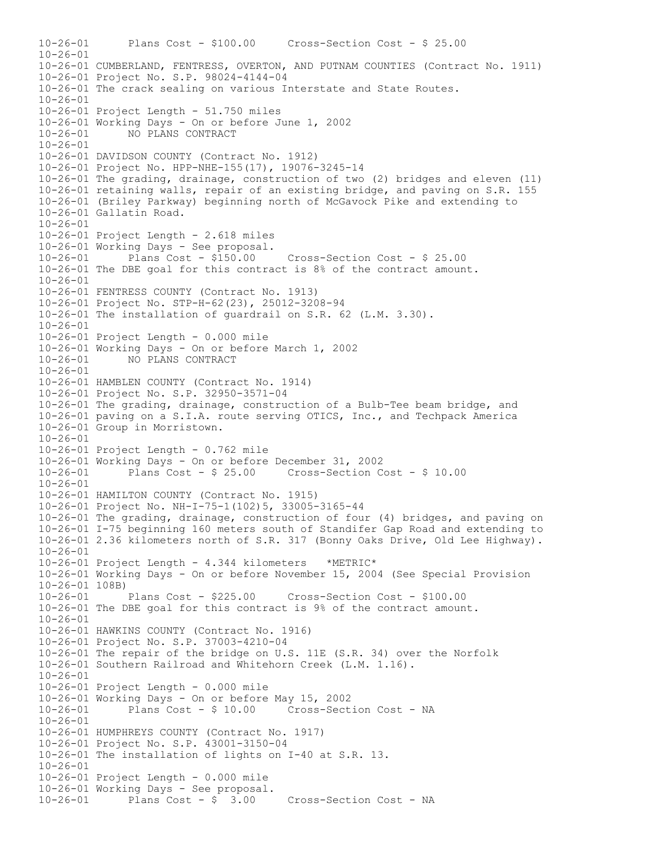10-26-01 Plans Cost - \$100.00 Cross-Section Cost - \$ 25.00  $10 - 26 - 01$ 10-26-01 CUMBERLAND, FENTRESS, OVERTON, AND PUTNAM COUNTIES (Contract No. 1911) 10-26-01 Project No. S.P. 98024-4144-04 10-26-01 The crack sealing on various Interstate and State Routes. 10-26-01 10-26-01 Project Length - 51.750 miles 10-26-01 Working Days - On or before June 1, 2002 10-26-01 NO PLANS CONTRACT 10-26-01 10-26-01 DAVIDSON COUNTY (Contract No. 1912) 10-26-01 Project No. HPP-NHE-155(17), 19076-3245-14 10-26-01 The grading, drainage, construction of two (2) bridges and eleven (11) 10-26-01 retaining walls, repair of an existing bridge, and paving on S.R. 155 10-26-01 (Briley Parkway) beginning north of McGavock Pike and extending to 10-26-01 Gallatin Road. 10-26-01 10-26-01 Project Length - 2.618 miles 10-26-01 Working Days - See proposal.  $Cross-Section Cost - $25.00$ 10-26-01 The DBE goal for this contract is 8% of the contract amount. 10-26-01 10-26-01 FENTRESS COUNTY (Contract No. 1913) 10-26-01 Project No. STP-H-62(23), 25012-3208-94 10-26-01 The installation of guardrail on S.R. 62 (L.M. 3.30).  $10 - 26 - 01$ 10-26-01 Project Length - 0.000 mile 10-26-01 Working Days - On or before March 1, 2002 10-26-01 NO PLANS CONTRACT 10-26-01 10-26-01 HAMBLEN COUNTY (Contract No. 1914) 10-26-01 Project No. S.P. 32950-3571-04 10-26-01 The grading, drainage, construction of a Bulb-Tee beam bridge, and 10-26-01 paving on a S.I.A. route serving OTICS, Inc., and Techpack America 10-26-01 Group in Morristown. 10-26-01 10-26-01 Project Length - 0.762 mile 10-26-01 Working Days - On or before December 31, 2002 10-26-01 Plans Cost - \$ 25.00 Cross-Section Cost - \$ 10.00 10-26-01 10-26-01 HAMILTON COUNTY (Contract No. 1915) 10-26-01 Project No. NH-I-75-1(102)5, 33005-3165-44 10-26-01 The grading, drainage, construction of four (4) bridges, and paving on 10-26-01 I-75 beginning 160 meters south of Standifer Gap Road and extending to 10-26-01 2.36 kilometers north of S.R. 317 (Bonny Oaks Drive, Old Lee Highway). 10-26-01 10-26-01 Project Length - 4.344 kilometers \*METRIC\* 10-26-01 Working Days - On or before November 15, 2004 (See Special Provision 10-26-01 108B) 10-26-01 Plans Cost - \$225.00 Cross-Section Cost - \$100.00 10-26-01 The DBE goal for this contract is 9% of the contract amount. 10-26-01 10-26-01 HAWKINS COUNTY (Contract No. 1916) 10-26-01 Project No. S.P. 37003-4210-04 10-26-01 The repair of the bridge on U.S. 11E (S.R. 34) over the Norfolk 10-26-01 Southern Railroad and Whitehorn Creek (L.M. 1.16). 10-26-01 10-26-01 Project Length - 0.000 mile 10-26-01 Working Days - On or before May 15, 2002 10-26-01 Plans Cost - \$ 10.00 Cross-Section Cost - NA 10-26-01 10-26-01 HUMPHREYS COUNTY (Contract No. 1917) 10-26-01 Project No. S.P. 43001-3150-04 10-26-01 The installation of lights on I-40 at S.R. 13. 10-26-01 10-26-01 Project Length - 0.000 mile 10-26-01 Working Days - See proposal. 10-26-01 Plans Cost - \$ 3.00 Cross-Section Cost - NA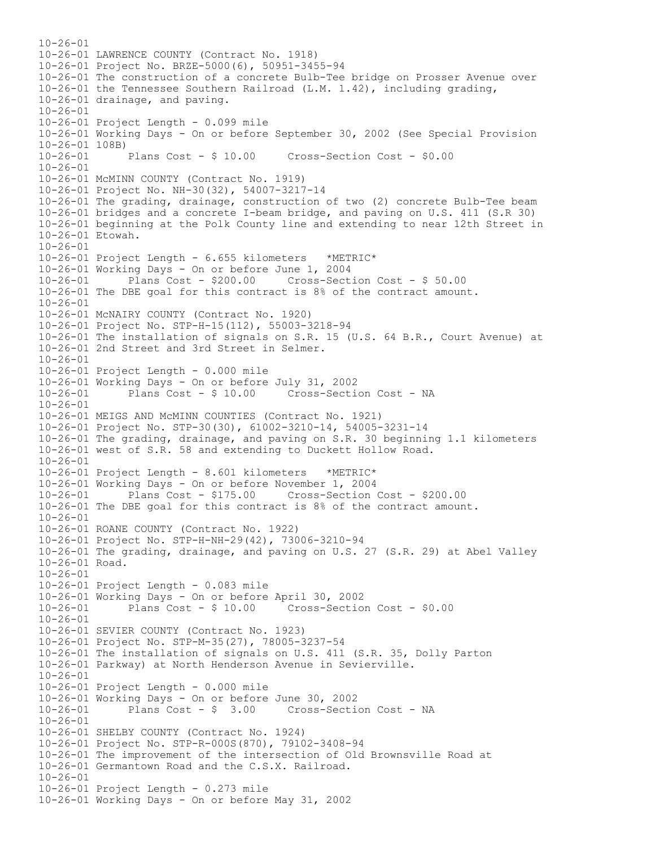$10 - 26 - 01$ 10-26-01 LAWRENCE COUNTY (Contract No. 1918) 10-26-01 Project No. BRZE-5000(6), 50951-3455-94 10-26-01 The construction of a concrete Bulb-Tee bridge on Prosser Avenue over 10-26-01 the Tennessee Southern Railroad (L.M. 1.42), including grading, 10-26-01 drainage, and paving. 10-26-01 10-26-01 Project Length - 0.099 mile 10-26-01 Working Days - On or before September 30, 2002 (See Special Provision 10-26-01 108B)<br>10-26-01 Plans Cost - \$ 10.00 10-26-01 Plans Cost - \$ 10.00 Cross-Section Cost - \$0.00  $10 - 26 - 01$ 10-26-01 McMINN COUNTY (Contract No. 1919) 10-26-01 Project No. NH-30(32), 54007-3217-14 10-26-01 The grading, drainage, construction of two (2) concrete Bulb-Tee beam 10-26-01 bridges and a concrete I-beam bridge, and paving on U.S. 411 (S.R 30) 10-26-01 beginning at the Polk County line and extending to near 12th Street in 10-26-01 Etowah. 10-26-01 10-26-01 Project Length - 6.655 kilometers \*METRIC\* 10-26-01 Working Days - On or before June 1, 2004 10-26-01 Plans Cost - \$200.00 Cross-Section Cost - \$ 50.00 10-26-01 The DBE goal for this contract is 8% of the contract amount. 10-26-01 10-26-01 McNAIRY COUNTY (Contract No. 1920) 10-26-01 Project No. STP-H-15(112), 55003-3218-94 10-26-01 The installation of signals on S.R. 15 (U.S. 64 B.R., Court Avenue) at 10-26-01 2nd Street and 3rd Street in Selmer. 10-26-01 10-26-01 Project Length - 0.000 mile 10-26-01 Working Days - On or before July 31, 2002 10-26-01 Plans Cost - \$ 10.00 Cross-Section Cost - NA 10-26-01 10-26-01 MEIGS AND McMINN COUNTIES (Contract No. 1921) 10-26-01 Project No. STP-30(30), 61002-3210-14, 54005-3231-14 10-26-01 The grading, drainage, and paving on S.R. 30 beginning 1.1 kilometers 10-26-01 west of S.R. 58 and extending to Duckett Hollow Road.  $10 - 26 - 01$ 10-26-01 Project Length - 8.601 kilometers \*METRIC\* 10-26-01 Working Days - On or before November 1, 2004 10-26-01 Plans Cost - \$175.00 Cross-Section Cost - \$200.00 10-26-01 The DBE goal for this contract is 8% of the contract amount. 10-26-01 10-26-01 ROANE COUNTY (Contract No. 1922) 10-26-01 Project No. STP-H-NH-29(42), 73006-3210-94 10-26-01 The grading, drainage, and paving on U.S. 27 (S.R. 29) at Abel Valley 10-26-01 Road. 10-26-01 10-26-01 Project Length - 0.083 mile 10-26-01 Working Days - On or before April 30, 2002 10-26-01 Plans Cost - \$ 10.00 Cross-Section Cost - \$0.00 10-26-01 10-26-01 SEVIER COUNTY (Contract No. 1923) 10-26-01 Project No. STP-M-35(27), 78005-3237-54 10-26-01 The installation of signals on U.S. 411 (S.R. 35, Dolly Parton 10-26-01 Parkway) at North Henderson Avenue in Sevierville. 10-26-01 10-26-01 Project Length - 0.000 mile 10-26-01 Working Days - On or before June 30, 2002 Plans  $Cost - $ 3.00$  Cross-Section Cost - NA  $10-26-01$ 10-26-01 SHELBY COUNTY (Contract No. 1924) 10-26-01 Project No. STP-R-000S(870), 79102-3408-94 10-26-01 The improvement of the intersection of Old Brownsville Road at 10-26-01 Germantown Road and the C.S.X. Railroad. 10-26-01 10-26-01 Project Length - 0.273 mile 10-26-01 Working Days - On or before May 31, 2002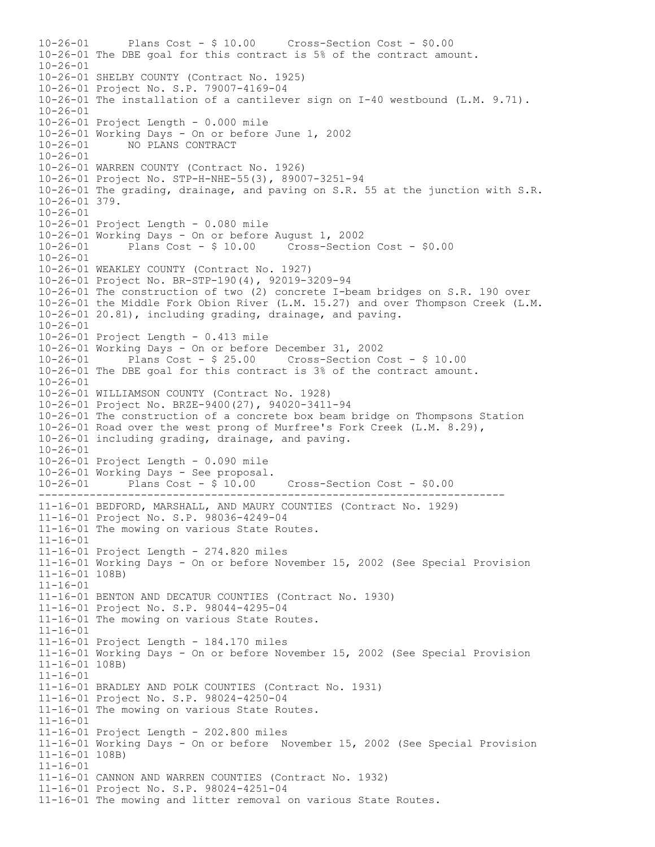------------------------------------------------------------------------- 10-26-01 Plans Cost - \$ 10.00 Cross-Section Cost - \$0.00 10-26-01 The DBE goal for this contract is 5% of the contract amount. 10-26-01 10-26-01 SHELBY COUNTY (Contract No. 1925) 10-26-01 Project No. S.P. 79007-4169-04 10-26-01 The installation of a cantilever sign on I-40 westbound (L.M. 9.71). 10-26-01 10-26-01 Project Length - 0.000 mile 10-26-01 Working Days - On or before June 1, 2002 10-26-01 NO PLANS CONTRACT 10-26-01 10-26-01 WARREN COUNTY (Contract No. 1926) 10-26-01 Project No. STP-H-NHE-55(3), 89007-3251-94 10-26-01 The grading, drainage, and paving on S.R. 55 at the junction with S.R. 10-26-01 379. 10-26-01 10-26-01 Project Length - 0.080 mile 10-26-01 Working Days - On or before August 1, 2002 Plans  $Cost - $ 10.00$   $Cross-Section Cost - $0.00$ 10-26-01 10-26-01 WEAKLEY COUNTY (Contract No. 1927) 10-26-01 Project No. BR-STP-190(4), 92019-3209-94 10-26-01 The construction of two (2) concrete I-beam bridges on S.R. 190 over 10-26-01 the Middle Fork Obion River (L.M. 15.27) and over Thompson Creek (L.M. 10-26-01 20.81), including grading, drainage, and paving. 10-26-01 10-26-01 Project Length - 0.413 mile 10-26-01 Working Days - On or before December 31, 2002 10-26-01 Plans Cost - \$ 25.00 Cross-Section Cost - \$ 10.00 10-26-01 The DBE goal for this contract is 3% of the contract amount. 10-26-01 10-26-01 WILLIAMSON COUNTY (Contract No. 1928) 10-26-01 Project No. BRZE-9400(27), 94020-3411-94 10-26-01 The construction of a concrete box beam bridge on Thompsons Station 10-26-01 Road over the west prong of Murfree's Fork Creek (L.M. 8.29), 10-26-01 including grading, drainage, and paving. 10-26-01 10-26-01 Project Length - 0.090 mile 10-26-01 Working Days - See proposal. 10-26-01 Plans Cost - \$ 10.00 Cross-Section Cost - \$0.00 11-16-01 BEDFORD, MARSHALL, AND MAURY COUNTIES (Contract No. 1929) 11-16-01 Project No. S.P. 98036-4249-04 11-16-01 The mowing on various State Routes. 11-16-01 11-16-01 Project Length - 274.820 miles 11-16-01 Working Days - On or before November 15, 2002 (See Special Provision 11-16-01 108B) 11-16-01 11-16-01 BENTON AND DECATUR COUNTIES (Contract No. 1930) 11-16-01 Project No. S.P. 98044-4295-04 11-16-01 The mowing on various State Routes. 11-16-01 11-16-01 Project Length - 184.170 miles 11-16-01 Working Days - On or before November 15, 2002 (See Special Provision 11-16-01 108B) 11-16-01 11-16-01 BRADLEY AND POLK COUNTIES (Contract No. 1931) 11-16-01 Project No. S.P. 98024-4250-04 11-16-01 The mowing on various State Routes. 11-16-01 11-16-01 Project Length - 202.800 miles 11-16-01 Working Days - On or before November 15, 2002 (See Special Provision 11-16-01 108B) 11-16-01 11-16-01 CANNON AND WARREN COUNTIES (Contract No. 1932) 11-16-01 Project No. S.P. 98024-4251-04 11-16-01 The mowing and litter removal on various State Routes.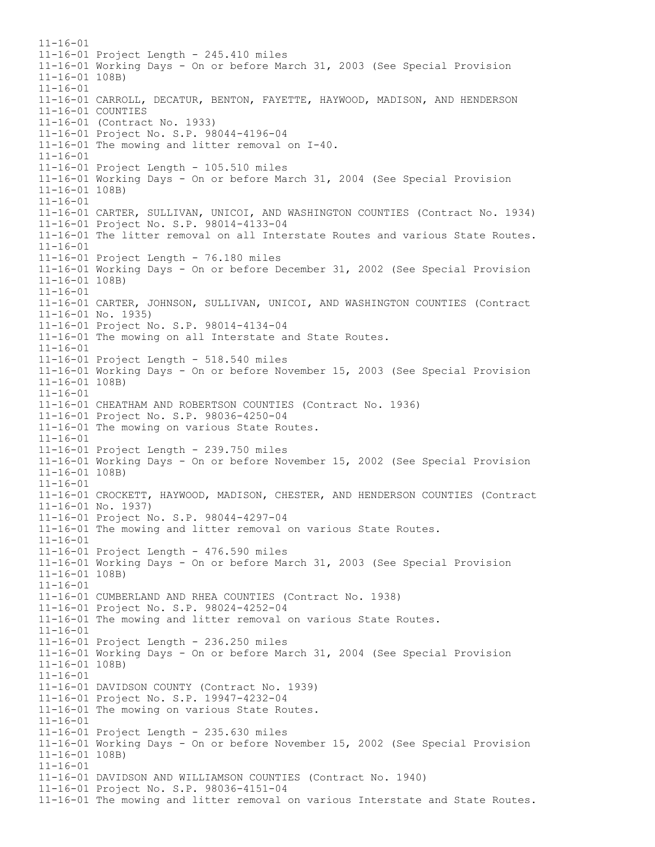$11 - 16 - 01$ 11-16-01 Project Length - 245.410 miles 11-16-01 Working Days - On or before March 31, 2003 (See Special Provision 11-16-01 108B) 11-16-01 11-16-01 CARROLL, DECATUR, BENTON, FAYETTE, HAYWOOD, MADISON, AND HENDERSON 11-16-01 COUNTIES 11-16-01 (Contract No. 1933) 11-16-01 Project No. S.P. 98044-4196-04 11-16-01 The mowing and litter removal on I-40. 11-16-01 11-16-01 Project Length - 105.510 miles 11-16-01 Working Days - On or before March 31, 2004 (See Special Provision 11-16-01 108B) 11-16-01 11-16-01 CARTER, SULLIVAN, UNICOI, AND WASHINGTON COUNTIES (Contract No. 1934) 11-16-01 Project No. S.P. 98014-4133-04 11-16-01 The litter removal on all Interstate Routes and various State Routes. 11-16-01 11-16-01 Project Length - 76.180 miles 11-16-01 Working Days - On or before December 31, 2002 (See Special Provision 11-16-01 108B) 11-16-01 11-16-01 CARTER, JOHNSON, SULLIVAN, UNICOI, AND WASHINGTON COUNTIES (Contract 11-16-01 No. 1935) 11-16-01 Project No. S.P. 98014-4134-04 11-16-01 The mowing on all Interstate and State Routes. 11-16-01 11-16-01 Project Length - 518.540 miles 11-16-01 Working Days - On or before November 15, 2003 (See Special Provision 11-16-01 108B) 11-16-01 11-16-01 CHEATHAM AND ROBERTSON COUNTIES (Contract No. 1936) 11-16-01 Project No. S.P. 98036-4250-04 11-16-01 The mowing on various State Routes. 11-16-01 11-16-01 Project Length - 239.750 miles 11-16-01 Working Days - On or before November 15, 2002 (See Special Provision 11-16-01 108B) 11-16-01 11-16-01 CROCKETT, HAYWOOD, MADISON, CHESTER, AND HENDERSON COUNTIES (Contract 11-16-01 No. 1937) 11-16-01 Project No. S.P. 98044-4297-04 11-16-01 The mowing and litter removal on various State Routes. 11-16-01 11-16-01 Project Length - 476.590 miles 11-16-01 Working Days - On or before March 31, 2003 (See Special Provision 11-16-01 108B) 11-16-01 11-16-01 CUMBERLAND AND RHEA COUNTIES (Contract No. 1938) 11-16-01 Project No. S.P. 98024-4252-04 11-16-01 The mowing and litter removal on various State Routes. 11-16-01 11-16-01 Project Length - 236.250 miles 11-16-01 Working Days - On or before March 31, 2004 (See Special Provision 11-16-01 108B) 11-16-01 11-16-01 DAVIDSON COUNTY (Contract No. 1939) 11-16-01 Project No. S.P. 19947-4232-04 11-16-01 The mowing on various State Routes. 11-16-01 11-16-01 Project Length - 235.630 miles 11-16-01 Working Days - On or before November 15, 2002 (See Special Provision 11-16-01 108B) 11-16-01 11-16-01 DAVIDSON AND WILLIAMSON COUNTIES (Contract No. 1940) 11-16-01 Project No. S.P. 98036-4151-04 11-16-01 The mowing and litter removal on various Interstate and State Routes.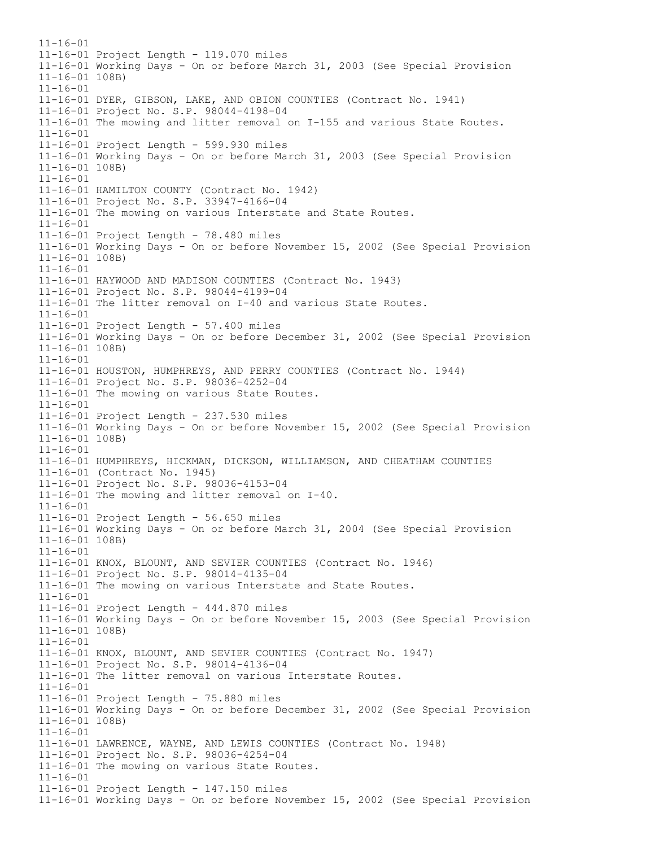$11 - 16 - 01$ 11-16-01 Project Length - 119.070 miles 11-16-01 Working Days - On or before March 31, 2003 (See Special Provision 11-16-01 108B) 11-16-01 11-16-01 DYER, GIBSON, LAKE, AND OBION COUNTIES (Contract No. 1941) 11-16-01 Project No. S.P. 98044-4198-04 11-16-01 The mowing and litter removal on I-155 and various State Routes. 11-16-01 11-16-01 Project Length - 599.930 miles 11-16-01 Working Days - On or before March 31, 2003 (See Special Provision 11-16-01 108B)  $11 - 16 - 01$ 11-16-01 HAMILTON COUNTY (Contract No. 1942) 11-16-01 Project No. S.P. 33947-4166-04 11-16-01 The mowing on various Interstate and State Routes. 11-16-01 11-16-01 Project Length - 78.480 miles 11-16-01 Working Days - On or before November 15, 2002 (See Special Provision 11-16-01 108B) 11-16-01 11-16-01 HAYWOOD AND MADISON COUNTIES (Contract No. 1943) 11-16-01 Project No. S.P. 98044-4199-04 11-16-01 The litter removal on I-40 and various State Routes.  $11 - 16 - 01$ 11-16-01 Project Length - 57.400 miles 11-16-01 Working Days - On or before December 31, 2002 (See Special Provision 11-16-01 108B) 11-16-01 11-16-01 HOUSTON, HUMPHREYS, AND PERRY COUNTIES (Contract No. 1944) 11-16-01 Project No. S.P. 98036-4252-04 11-16-01 The mowing on various State Routes. 11-16-01 11-16-01 Project Length - 237.530 miles 11-16-01 Working Days - On or before November 15, 2002 (See Special Provision 11-16-01 108B)  $11 - 16 - 01$ 11-16-01 HUMPHREYS, HICKMAN, DICKSON, WILLIAMSON, AND CHEATHAM COUNTIES 11-16-01 (Contract No. 1945) 11-16-01 Project No. S.P. 98036-4153-04 11-16-01 The mowing and litter removal on I-40. 11-16-01 11-16-01 Project Length - 56.650 miles 11-16-01 Working Days - On or before March 31, 2004 (See Special Provision 11-16-01 108B) 11-16-01 11-16-01 KNOX, BLOUNT, AND SEVIER COUNTIES (Contract No. 1946) 11-16-01 Project No. S.P. 98014-4135-04 11-16-01 The mowing on various Interstate and State Routes. 11-16-01 11-16-01 Project Length - 444.870 miles 11-16-01 Working Days - On or before November 15, 2003 (See Special Provision 11-16-01 108B) 11-16-01 11-16-01 KNOX, BLOUNT, AND SEVIER COUNTIES (Contract No. 1947) 11-16-01 Project No. S.P. 98014-4136-04 11-16-01 The litter removal on various Interstate Routes. 11-16-01 11-16-01 Project Length - 75.880 miles 11-16-01 Working Days - On or before December 31, 2002 (See Special Provision 11-16-01 108B) 11-16-01 11-16-01 LAWRENCE, WAYNE, AND LEWIS COUNTIES (Contract No. 1948) 11-16-01 Project No. S.P. 98036-4254-04 11-16-01 The mowing on various State Routes. 11-16-01 11-16-01 Project Length - 147.150 miles 11-16-01 Working Days - On or before November 15, 2002 (See Special Provision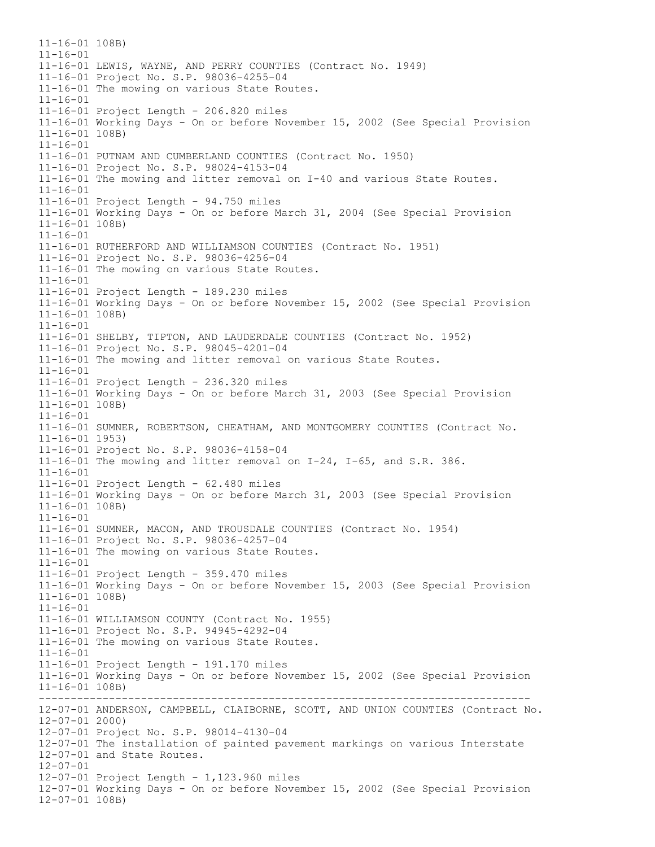----------------------------------------------------------------------------- 11-16-01 108B)  $11 - 16 - 01$ 11-16-01 LEWIS, WAYNE, AND PERRY COUNTIES (Contract No. 1949) 11-16-01 Project No. S.P. 98036-4255-04 11-16-01 The mowing on various State Routes. 11-16-01 11-16-01 Project Length - 206.820 miles 11-16-01 Working Days - On or before November 15, 2002 (See Special Provision 11-16-01 108B) 11-16-01 11-16-01 PUTNAM AND CUMBERLAND COUNTIES (Contract No. 1950) 11-16-01 Project No. S.P. 98024-4153-04 11-16-01 The mowing and litter removal on I-40 and various State Routes.  $11 - 16 - 01$ 11-16-01 Project Length - 94.750 miles 11-16-01 Working Days - On or before March 31, 2004 (See Special Provision 11-16-01 108B) 11-16-01 11-16-01 RUTHERFORD AND WILLIAMSON COUNTIES (Contract No. 1951) 11-16-01 Project No. S.P. 98036-4256-04 11-16-01 The mowing on various State Routes. 11-16-01 11-16-01 Project Length - 189.230 miles 11-16-01 Working Days - On or before November 15, 2002 (See Special Provision 11-16-01 108B)  $11 - 16 - 01$ 11-16-01 SHELBY, TIPTON, AND LAUDERDALE COUNTIES (Contract No. 1952) 11-16-01 Project No. S.P. 98045-4201-04 11-16-01 The mowing and litter removal on various State Routes. 11-16-01 11-16-01 Project Length - 236.320 miles 11-16-01 Working Days - On or before March 31, 2003 (See Special Provision 11-16-01 108B) 11-16-01 11-16-01 SUMNER, ROBERTSON, CHEATHAM, AND MONTGOMERY COUNTIES (Contract No. 11-16-01 1953) 11-16-01 Project No. S.P. 98036-4158-04 11-16-01 The mowing and litter removal on I-24, I-65, and S.R. 386. 11-16-01 11-16-01 Project Length - 62.480 miles 11-16-01 Working Days - On or before March 31, 2003 (See Special Provision 11-16-01 108B) 11-16-01 11-16-01 SUMNER, MACON, AND TROUSDALE COUNTIES (Contract No. 1954) 11-16-01 Project No. S.P. 98036-4257-04 11-16-01 The mowing on various State Routes. 11-16-01 11-16-01 Project Length - 359.470 miles 11-16-01 Working Days - On or before November 15, 2003 (See Special Provision 11-16-01 108B) 11-16-01 11-16-01 WILLIAMSON COUNTY (Contract No. 1955) 11-16-01 Project No. S.P. 94945-4292-04 11-16-01 The mowing on various State Routes. 11-16-01 11-16-01 Project Length - 191.170 miles 11-16-01 Working Days - On or before November 15, 2002 (See Special Provision 11-16-01 108B) 12-07-01 ANDERSON, CAMPBELL, CLAIBORNE, SCOTT, AND UNION COUNTIES (Contract No. 12-07-01 2000) 12-07-01 Project No. S.P. 98014-4130-04 12-07-01 The installation of painted pavement markings on various Interstate 12-07-01 and State Routes. 12-07-01 12-07-01 Project Length - 1,123.960 miles 12-07-01 Working Days - On or before November 15, 2002 (See Special Provision 12-07-01 108B)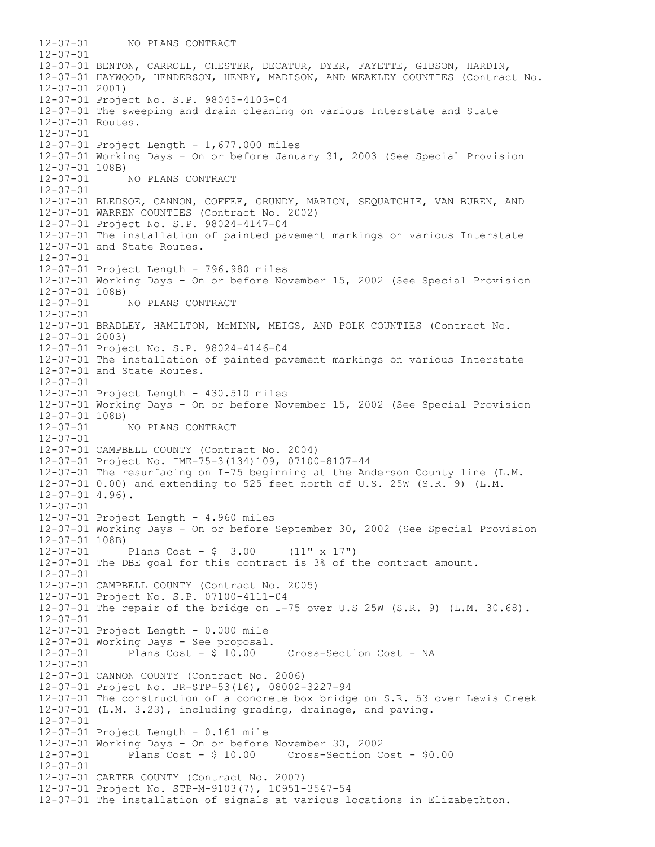12-07-01 NO PLANS CONTRACT  $12 - 07 - 01$ 12-07-01 BENTON, CARROLL, CHESTER, DECATUR, DYER, FAYETTE, GIBSON, HARDIN, 12-07-01 HAYWOOD, HENDERSON, HENRY, MADISON, AND WEAKLEY COUNTIES (Contract No. 12-07-01 2001) 12-07-01 Project No. S.P. 98045-4103-04 12-07-01 The sweeping and drain cleaning on various Interstate and State 12-07-01 Routes. 12-07-01 12-07-01 Project Length - 1,677.000 miles 12-07-01 Working Days - On or before January 31, 2003 (See Special Provision 12-07-01 108B) 12-07-01 NO PLANS CONTRACT  $12 - 07 - 01$ 12-07-01 BLEDSOE, CANNON, COFFEE, GRUNDY, MARION, SEQUATCHIE, VAN BUREN, AND 12-07-01 WARREN COUNTIES (Contract No. 2002) 12-07-01 Project No. S.P. 98024-4147-04 12-07-01 The installation of painted pavement markings on various Interstate 12-07-01 and State Routes. 12-07-01 12-07-01 Project Length - 796.980 miles 12-07-01 Working Days - On or before November 15, 2002 (See Special Provision  $12-07-01$  108B)<br> $12-07-01$ 12-07-01 NO PLANS CONTRACT  $12 - 07 - 01$ 12-07-01 BRADLEY, HAMILTON, McMINN, MEIGS, AND POLK COUNTIES (Contract No. 12-07-01 2003) 12-07-01 Project No. S.P. 98024-4146-04 12-07-01 The installation of painted pavement markings on various Interstate 12-07-01 and State Routes. 12-07-01 12-07-01 Project Length - 430.510 miles 12-07-01 Working Days - On or before November 15, 2002 (See Special Provision 12-07-01 108B)<br>12-07-01 12-07-01 NO PLANS CONTRACT  $12 - 07 - 01$ 12-07-01 CAMPBELL COUNTY (Contract No. 2004) 12-07-01 Project No. IME-75-3(134)109, 07100-8107-44 12-07-01 The resurfacing on I-75 beginning at the Anderson County line (L.M. 12-07-01 0.00) and extending to 525 feet north of U.S. 25W (S.R. 9) (L.M. 12-07-01 4.96). 12-07-01 12-07-01 Project Length - 4.960 miles 12-07-01 Working Days - On or before September 30, 2002 (See Special Provision  $12-07-01$  108B)<br> $12-07-01$ Plans Cost -  $\frac{1}{2}$  3.00 (11" x 17") 12-07-01 The DBE goal for this contract is 3% of the contract amount.  $12 - 07 - 01$ 12-07-01 CAMPBELL COUNTY (Contract No. 2005) 12-07-01 Project No. S.P. 07100-4111-04 12-07-01 The repair of the bridge on I-75 over U.S 25W (S.R. 9) (L.M. 30.68). 12-07-01 12-07-01 Project Length - 0.000 mile 12-07-01 Working Days - See proposal. Cross-Section Cost - NA 12-07-01 12-07-01 CANNON COUNTY (Contract No. 2006) 12-07-01 Project No. BR-STP-53(16), 08002-3227-94 12-07-01 The construction of a concrete box bridge on S.R. 53 over Lewis Creek 12-07-01 (L.M. 3.23), including grading, drainage, and paving. 12-07-01 12-07-01 Project Length - 0.161 mile 12-07-01 Working Days - On or before November 30, 2002 Plans  $Cost - $ 10.00$  Cross-Section Cost -  $$0.00$ 12-07-01 12-07-01 CARTER COUNTY (Contract No. 2007) 12-07-01 Project No. STP-M-9103(7), 10951-3547-54 12-07-01 The installation of signals at various locations in Elizabethton.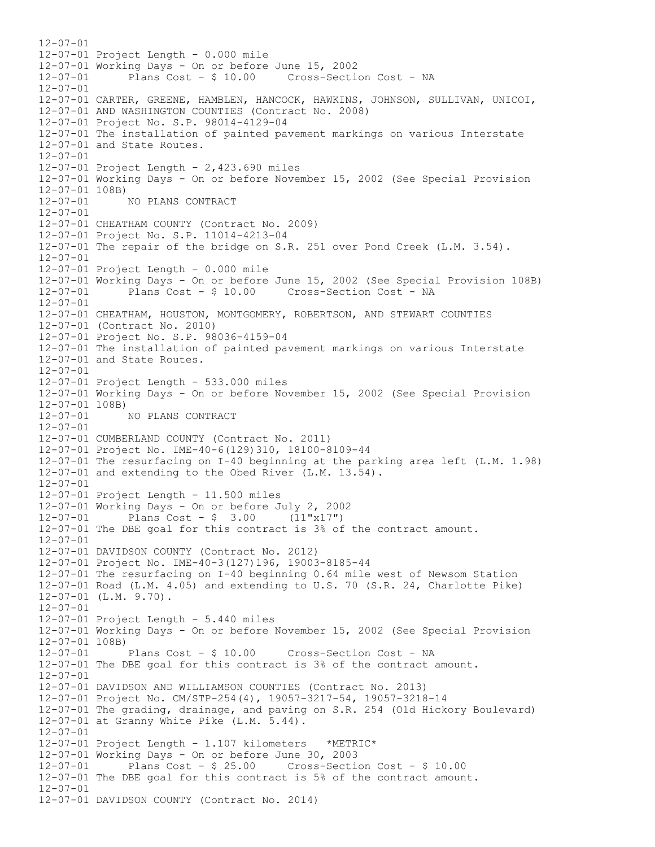$12 - 07 - 01$ 12-07-01 Project Length - 0.000 mile 12-07-01 Working Days - On or before June 15, 2002 12-07-01 Plans Cost - \$ 10.00 Cross-Section Cost - NA 12-07-01 12-07-01 CARTER, GREENE, HAMBLEN, HANCOCK, HAWKINS, JOHNSON, SULLIVAN, UNICOI, 12-07-01 AND WASHINGTON COUNTIES (Contract No. 2008) 12-07-01 Project No. S.P. 98014-4129-04 12-07-01 The installation of painted pavement markings on various Interstate 12-07-01 and State Routes. 12-07-01 12-07-01 Project Length - 2,423.690 miles 12-07-01 Working Days - On or before November 15, 2002 (See Special Provision 12-07-01 108B) 12-07-01 NO PLANS CONTRACT 12-07-01 12-07-01 CHEATHAM COUNTY (Contract No. 2009) 12-07-01 Project No. S.P. 11014-4213-04 12-07-01 The repair of the bridge on S.R. 251 over Pond Creek (L.M. 3.54). 12-07-01 12-07-01 Project Length - 0.000 mile 12-07-01 Working Days - On or before June 15, 2002 (See Special Provision 108B) 12-07-01 Plans Cost - \$ 10.00 Cross-Section Cost - NA  $12 - 07 - 01$ 12-07-01 CHEATHAM, HOUSTON, MONTGOMERY, ROBERTSON, AND STEWART COUNTIES 12-07-01 (Contract No. 2010) 12-07-01 Project No. S.P. 98036-4159-04 12-07-01 The installation of painted pavement markings on various Interstate 12-07-01 and State Routes. 12-07-01 12-07-01 Project Length - 533.000 miles 12-07-01 Working Days - On or before November 15, 2002 (See Special Provision  $12-07-01$  108B)<br> $12-07-01$ NO PLANS CONTRACT 12-07-01 12-07-01 CUMBERLAND COUNTY (Contract No. 2011) 12-07-01 Project No. IME-40-6(129)310, 18100-8109-44 12-07-01 The resurfacing on I-40 beginning at the parking area left (L.M. 1.98) 12-07-01 and extending to the Obed River (L.M. 13.54). 12-07-01 12-07-01 Project Length - 11.500 miles 12-07-01 Working Days - On or before July 2, 2002 12-07-01 Plans Cost - \$ 3.00 (11"x17") 12-07-01 The DBE goal for this contract is 3% of the contract amount. 12-07-01 12-07-01 DAVIDSON COUNTY (Contract No. 2012) 12-07-01 Project No. IME-40-3(127)196, 19003-8185-44 12-07-01 The resurfacing on I-40 beginning 0.64 mile west of Newsom Station 12-07-01 Road (L.M. 4.05) and extending to U.S. 70 (S.R. 24, Charlotte Pike) 12-07-01 (L.M. 9.70).  $12 - 07 - 01$ 12-07-01 Project Length - 5.440 miles 12-07-01 Working Days - On or before November 15, 2002 (See Special Provision 12-07-01 108B)<br>12-07-01 Plans Cost - \$ 10.00 12-07-01 Plans Cost - \$ 10.00 Cross-Section Cost - NA 12-07-01 The DBE goal for this contract is 3% of the contract amount. 12-07-01 12-07-01 DAVIDSON AND WILLIAMSON COUNTIES (Contract No. 2013) 12-07-01 Project No. CM/STP-254(4), 19057-3217-54, 19057-3218-14 12-07-01 The grading, drainage, and paving on S.R. 254 (Old Hickory Boulevard) 12-07-01 at Granny White Pike (L.M. 5.44). 12-07-01 12-07-01 Project Length - 1.107 kilometers \*METRIC\* 12-07-01 Working Days - On or before June 30, 2003 12-07-01 Plans Cost - \$ 25.00 Cross-Section Cost - \$ 10.00 12-07-01 The DBE goal for this contract is 5% of the contract amount. 12-07-01 12-07-01 DAVIDSON COUNTY (Contract No. 2014)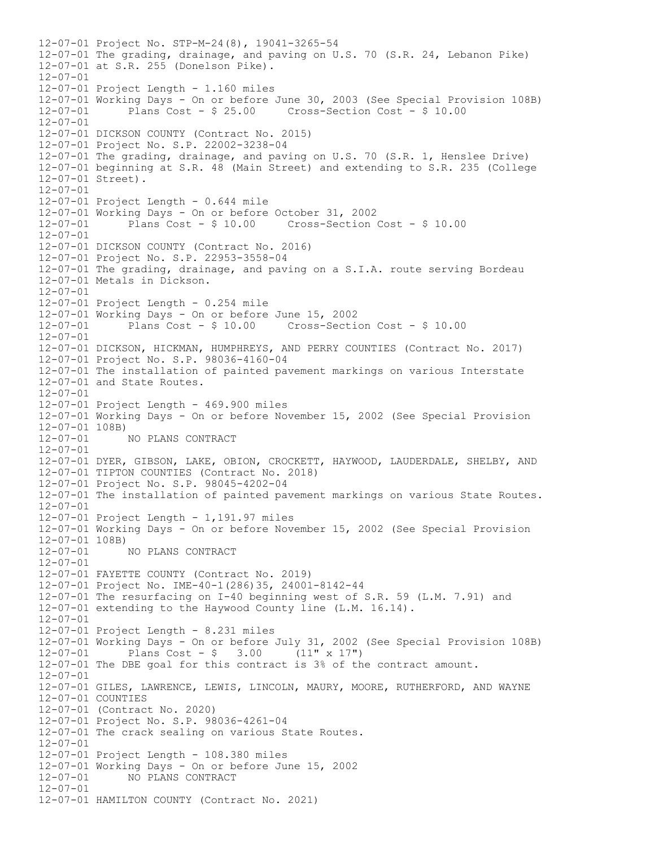12-07-01 Project No. STP-M-24(8), 19041-3265-54 12-07-01 The grading, drainage, and paving on U.S. 70 (S.R. 24, Lebanon Pike) 12-07-01 at S.R. 255 (Donelson Pike). 12-07-01 12-07-01 Project Length - 1.160 miles 12-07-01 Working Days - On or before June 30, 2003 (See Special Provision 108B)  $Cross-Section Cost - $ 10.00$ 12-07-01 12-07-01 DICKSON COUNTY (Contract No. 2015) 12-07-01 Project No. S.P. 22002-3238-04 12-07-01 The grading, drainage, and paving on U.S. 70 (S.R. 1, Henslee Drive) 12-07-01 beginning at S.R. 48 (Main Street) and extending to S.R. 235 (College 12-07-01 Street).  $12 - 07 - 01$ 12-07-01 Project Length - 0.644 mile 12-07-01 Working Days - On or before October 31, 2002 12-07-01 Plans Cost - \$ 10.00 Cross-Section Cost - \$ 10.00 12-07-01 12-07-01 DICKSON COUNTY (Contract No. 2016) 12-07-01 Project No. S.P. 22953-3558-04 12-07-01 The grading, drainage, and paving on a S.I.A. route serving Bordeau 12-07-01 Metals in Dickson. 12-07-01 12-07-01 Project Length - 0.254 mile 12-07-01 Working Days - On or before June 15, 2002 12-07-01 Plans Cost - \$ 10.00 Cross-Section Cost - \$ 10.00 12-07-01 12-07-01 DICKSON, HICKMAN, HUMPHREYS, AND PERRY COUNTIES (Contract No. 2017) 12-07-01 Project No. S.P. 98036-4160-04 12-07-01 The installation of painted pavement markings on various Interstate 12-07-01 and State Routes.  $12 - 07 - 01$ 12-07-01 Project Length - 469.900 miles 12-07-01 Working Days - On or before November 15, 2002 (See Special Provision  $12-07-01$  108B)<br> $12-07-01$ 12-07-01 NO PLANS CONTRACT  $12 - 07 - 01$ 12-07-01 DYER, GIBSON, LAKE, OBION, CROCKETT, HAYWOOD, LAUDERDALE, SHELBY, AND 12-07-01 TIPTON COUNTIES (Contract No. 2018) 12-07-01 Project No. S.P. 98045-4202-04 12-07-01 The installation of painted pavement markings on various State Routes. 12-07-01 12-07-01 Project Length - 1,191.97 miles 12-07-01 Working Days - On or before November 15, 2002 (See Special Provision 12-07-01 108B) 12-07-01 NO PLANS CONTRACT  $12 - 07 - 01$ 12-07-01 FAYETTE COUNTY (Contract No. 2019) 12-07-01 Project No. IME-40-1(286)35, 24001-8142-44 12-07-01 The resurfacing on I-40 beginning west of S.R. 59 (L.M. 7.91) and 12-07-01 extending to the Haywood County line (L.M. 16.14). 12-07-01 12-07-01 Project Length - 8.231 miles 12-07-01 Working Days - On or before July 31, 2002 (See Special Provision 108B) 12-07-01 Plans Cost - \$ 3.00 (11" x 17") 12-07-01 The DBE goal for this contract is 3% of the contract amount. 12-07-01 12-07-01 GILES, LAWRENCE, LEWIS, LINCOLN, MAURY, MOORE, RUTHERFORD, AND WAYNE 12-07-01 COUNTIES 12-07-01 (Contract No. 2020) 12-07-01 Project No. S.P. 98036-4261-04 12-07-01 The crack sealing on various State Routes.  $12 - 07 - 01$ 12-07-01 Project Length - 108.380 miles 12-07-01 Working Days - On or before June 15, 2002 12-07-01 NO PLANS CONTRACT 12-07-01 12-07-01 HAMILTON COUNTY (Contract No. 2021)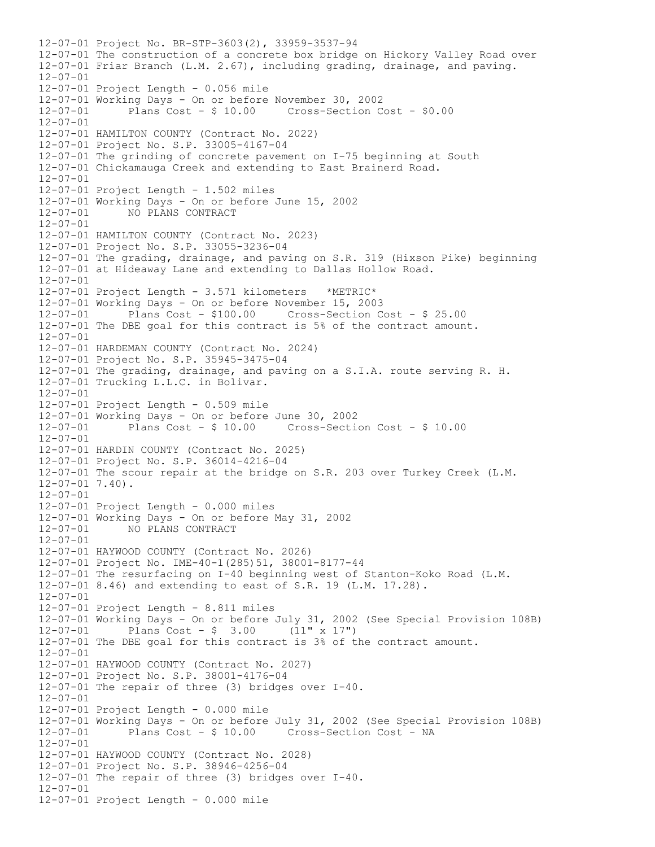12-07-01 Project No. BR-STP-3603(2), 33959-3537-94 12-07-01 The construction of a concrete box bridge on Hickory Valley Road over 12-07-01 Friar Branch (L.M. 2.67), including grading, drainage, and paving. 12-07-01 12-07-01 Project Length - 0.056 mile 12-07-01 Working Days - On or before November 30, 2002 12-07-01 Plans Cost - \$ 10.00 Cross-Section Cost - \$0.00 12-07-01 12-07-01 HAMILTON COUNTY (Contract No. 2022) 12-07-01 Project No. S.P. 33005-4167-04 12-07-01 The grinding of concrete pavement on I-75 beginning at South 12-07-01 Chickamauga Creek and extending to East Brainerd Road.  $12 - 07 - 01$ 12-07-01 Project Length - 1.502 miles 12-07-01 Working Days - On or before June 15, 2002 12-07-01 NO PLANS CONTRACT 12-07-01 12-07-01 HAMILTON COUNTY (Contract No. 2023) 12-07-01 Project No. S.P. 33055-3236-04 12-07-01 The grading, drainage, and paving on S.R. 319 (Hixson Pike) beginning 12-07-01 at Hideaway Lane and extending to Dallas Hollow Road. 12-07-01 12-07-01 Project Length - 3.571 kilometers \*METRIC\* 12-07-01 Working Days - On or before November 15, 2003 12-07-01 Plans Cost - \$100.00 Cross-Section Cost - \$ 25.00 12-07-01 The DBE goal for this contract is 5% of the contract amount. 12-07-01 12-07-01 HARDEMAN COUNTY (Contract No. 2024) 12-07-01 Project No. S.P. 35945-3475-04 12-07-01 The grading, drainage, and paving on a S.I.A. route serving R. H. 12-07-01 Trucking L.L.C. in Bolivar.  $12 - 07 - 01$ 12-07-01 Project Length - 0.509 mile 12-07-01 Working Days - On or before June 30, 2002  $Cross-Section Cost - $ 10.00$ 12-07-01 12-07-01 HARDIN COUNTY (Contract No. 2025) 12-07-01 Project No. S.P. 36014-4216-04 12-07-01 The scour repair at the bridge on S.R. 203 over Turkey Creek (L.M.  $12-07-01$  7.40). 12-07-01 12-07-01 Project Length - 0.000 miles 12-07-01 Working Days - On or before May 31, 2002 12-07-01 NO PLANS CONTRACT 12-07-01 12-07-01 HAYWOOD COUNTY (Contract No. 2026) 12-07-01 Project No. IME-40-1(285)51, 38001-8177-44 12-07-01 The resurfacing on I-40 beginning west of Stanton-Koko Road (L.M. 12-07-01 8.46) and extending to east of S.R. 19 (L.M. 17.28).  $12 - 07 - 01$ 12-07-01 Project Length - 8.811 miles 12-07-01 Working Days - On or before July 31, 2002 (See Special Provision 108B) 12-07-01 Plans Cost - \$ 3.00 (11" x 17") 12-07-01 The DBE goal for this contract is 3% of the contract amount. 12-07-01 12-07-01 HAYWOOD COUNTY (Contract No. 2027) 12-07-01 Project No. S.P. 38001-4176-04 12-07-01 The repair of three (3) bridges over I-40. 12-07-01 12-07-01 Project Length - 0.000 mile 12-07-01 Working Days - On or before July 31, 2002 (See Special Provision 108B) 12-07-01 Plans Cost - \$ 10.00 Cross-Section Cost - NA  $12 - 07 - 01$ 12-07-01 HAYWOOD COUNTY (Contract No. 2028) 12-07-01 Project No. S.P. 38946-4256-04 12-07-01 The repair of three (3) bridges over I-40. 12-07-01 12-07-01 Project Length - 0.000 mile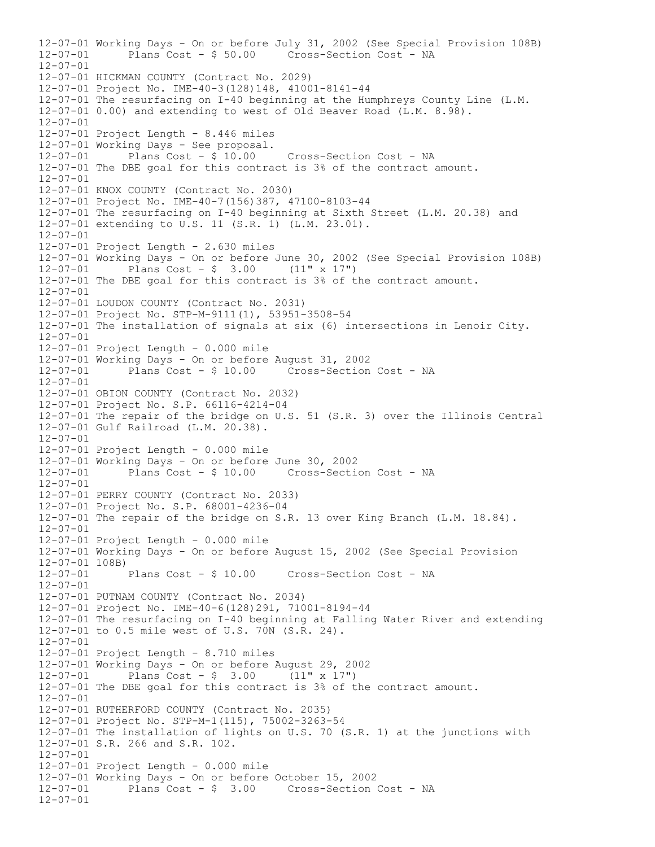12-07-01 Working Days - On or before July 31, 2002 (See Special Provision 108B) 12-07-01 Plans Cost - \$ 50.00 Cross-Section Cost - NA 12-07-01 12-07-01 HICKMAN COUNTY (Contract No. 2029) 12-07-01 Project No. IME-40-3(128)148, 41001-8141-44 12-07-01 The resurfacing on I-40 beginning at the Humphreys County Line (L.M. 12-07-01 0.00) and extending to west of Old Beaver Road (L.M. 8.98). 12-07-01 12-07-01 Project Length - 8.446 miles  $12-07-01$  Working Days - See proposal.<br> $12-07-01$  Plans Cost - \$ 10.00 12-07-01 Plans Cost - \$ 10.00 Cross-Section Cost - NA 12-07-01 The DBE goal for this contract is 3% of the contract amount.  $12 - 07 - 01$ 12-07-01 KNOX COUNTY (Contract No. 2030) 12-07-01 Project No. IME-40-7(156)387, 47100-8103-44 12-07-01 The resurfacing on I-40 beginning at Sixth Street (L.M. 20.38) and 12-07-01 extending to U.S. 11 (S.R. 1) (L.M. 23.01). 12-07-01 12-07-01 Project Length - 2.630 miles 12-07-01 Working Days - On or before June 30, 2002 (See Special Provision 108B)<br>12-07-01 Plans Cost - \$ 3.00 (11" x 17") Plans Cost -  $\frac{1}{2}$  3.00 (11" x 17") 12-07-01 The DBE goal for this contract is 3% of the contract amount. 12-07-01 12-07-01 LOUDON COUNTY (Contract No. 2031) 12-07-01 Project No. STP-M-9111(1), 53951-3508-54 12-07-01 The installation of signals at six (6) intersections in Lenoir City. 12-07-01 12-07-01 Project Length - 0.000 mile 12-07-01 Working Days - On or before August 31, 2002 12-07-01 Plans Cost - \$ 10.00 Cross-Section Cost - NA 12-07-01 12-07-01 OBION COUNTY (Contract No. 2032) 12-07-01 Project No. S.P. 66116-4214-04 12-07-01 The repair of the bridge on U.S. 51 (S.R. 3) over the Illinois Central 12-07-01 Gulf Railroad (L.M. 20.38). 12-07-01 12-07-01 Project Length - 0.000 mile 12-07-01 Working Days - On or before June 30, 2002 12-07-01 Plans Cost - \$ 10.00 Cross-Section Cost - NA  $12 - 07 - 01$ 12-07-01 PERRY COUNTY (Contract No. 2033) 12-07-01 Project No. S.P. 68001-4236-04 12-07-01 The repair of the bridge on S.R. 13 over King Branch (L.M. 18.84). 12-07-01 12-07-01 Project Length - 0.000 mile 12-07-01 Working Days - On or before August 15, 2002 (See Special Provision 12-07-01 108B)<br>12-07-01 Plans Cost - \$ 10.00 Cross-Section Cost - NA 12-07-01 12-07-01 PUTNAM COUNTY (Contract No. 2034) 12-07-01 Project No. IME-40-6(128)291, 71001-8194-44 12-07-01 The resurfacing on I-40 beginning at Falling Water River and extending 12-07-01 to 0.5 mile west of U.S. 70N (S.R. 24). 12-07-01 12-07-01 Project Length - 8.710 miles 12-07-01 Working Days - On or before August 29, 2002 Plans Cost -  $\frac{1}{2}$  3.00 (11" x 17") 12-07-01 The DBE goal for this contract is 3% of the contract amount. 12-07-01 12-07-01 RUTHERFORD COUNTY (Contract No. 2035) 12-07-01 Project No. STP-M-1(115), 75002-3263-54 12-07-01 The installation of lights on U.S. 70 (S.R. 1) at the junctions with 12-07-01 S.R. 266 and S.R. 102.  $12 - 07 - 01$ 12-07-01 Project Length - 0.000 mile 12-07-01 Working Days - On or before October 15, 2002 12-07-01 Plans Cost - \$ 3.00 Cross-Section Cost - NA 12-07-01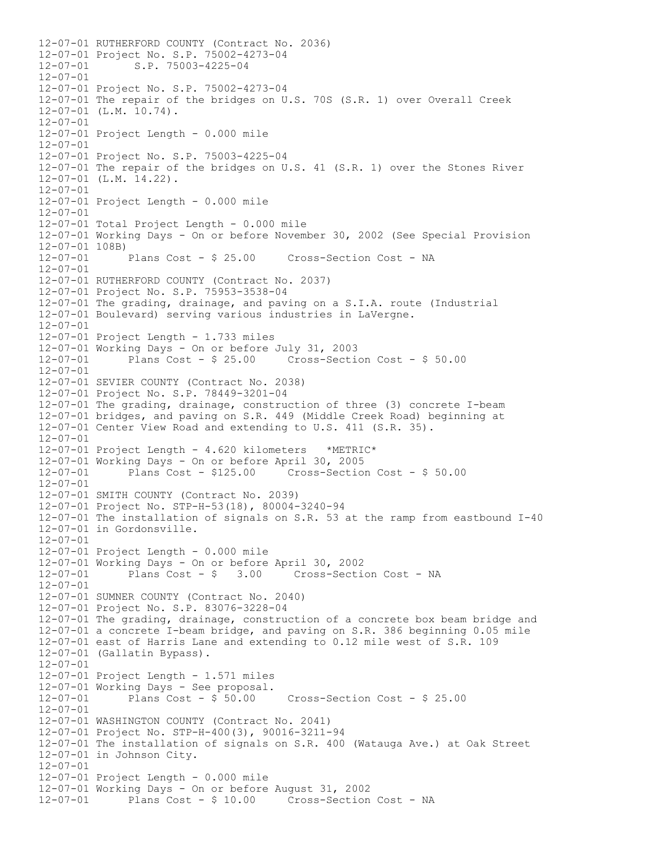12-07-01 RUTHERFORD COUNTY (Contract No. 2036) 12-07-01 Project No. S.P. 75002-4273-04 12-07-01 S.P. 75003-4225-04 12-07-01 12-07-01 Project No. S.P. 75002-4273-04 12-07-01 The repair of the bridges on U.S. 70S (S.R. 1) over Overall Creek 12-07-01 (L.M. 10.74).  $12 - 07 - 01$ 12-07-01 Project Length - 0.000 mile 12-07-01 12-07-01 Project No. S.P. 75003-4225-04 12-07-01 The repair of the bridges on U.S. 41 (S.R. 1) over the Stones River 12-07-01 (L.M. 14.22). 12-07-01 12-07-01 Project Length - 0.000 mile 12-07-01 12-07-01 Total Project Length - 0.000 mile 12-07-01 Working Days - On or before November 30, 2002 (See Special Provision 12-07-01 108B)<br>12-07-01 Plans Cost - \$ 25.00 Cross-Section Cost - NA 12-07-01 12-07-01 RUTHERFORD COUNTY (Contract No. 2037) 12-07-01 Project No. S.P. 75953-3538-04 12-07-01 The grading, drainage, and paving on a S.I.A. route (Industrial 12-07-01 Boulevard) serving various industries in LaVergne.  $12 - 07 - 01$ 12-07-01 Project Length - 1.733 miles 12-07-01 Working Days - On or before July 31, 2003 12-07-01 Plans Cost - \$ 25.00 Cross-Section Cost - \$ 50.00 12-07-01 12-07-01 SEVIER COUNTY (Contract No. 2038) 12-07-01 Project No. S.P. 78449-3201-04 12-07-01 The grading, drainage, construction of three (3) concrete I-beam 12-07-01 bridges, and paving on S.R. 449 (Middle Creek Road) beginning at 12-07-01 Center View Road and extending to U.S. 411 (S.R. 35). 12-07-01 12-07-01 Project Length - 4.620 kilometers \*METRIC\*  $12-07-01$  Working Days - On or before April 30, 2005<br> $12-07-01$  Plans Cost - \$125.00 Cross-Section 12-07-01 Plans Cost - \$125.00 Cross-Section Cost - \$ 50.00  $12 - 07 - 01$ 12-07-01 SMITH COUNTY (Contract No. 2039) 12-07-01 Project No. STP-H-53(18), 80004-3240-94 12-07-01 The installation of signals on S.R. 53 at the ramp from eastbound I-40 12-07-01 in Gordonsville. 12-07-01 12-07-01 Project Length - 0.000 mile 12-07-01 Working Days - On or before April 30, 2002 12-07-01 Plans Cost - \$ 3.00 Cross-Section Cost - NA  $12 - 07 - 01$ 12-07-01 SUMNER COUNTY (Contract No. 2040) 12-07-01 Project No. S.P. 83076-3228-04 12-07-01 The grading, drainage, construction of a concrete box beam bridge and 12-07-01 a concrete I-beam bridge, and paving on S.R. 386 beginning 0.05 mile 12-07-01 east of Harris Lane and extending to 0.12 mile west of S.R. 109 12-07-01 (Gallatin Bypass). 12-07-01 12-07-01 Project Length - 1.571 miles  $12-07-01$  Working Days - See proposal.<br> $12-07-01$  Plans Cost - \$ 50.00  $Cross-Section Cost - $ 25.00$ 12-07-01 12-07-01 WASHINGTON COUNTY (Contract No. 2041) 12-07-01 Project No. STP-H-400(3), 90016-3211-94 12-07-01 The installation of signals on S.R. 400 (Watauga Ave.) at Oak Street 12-07-01 in Johnson City. 12-07-01 12-07-01 Project Length - 0.000 mile 12-07-01 Working Days - On or before August 31, 2002 12-07-01 Plans Cost - \$ 10.00 Cross-Section Cost - NA